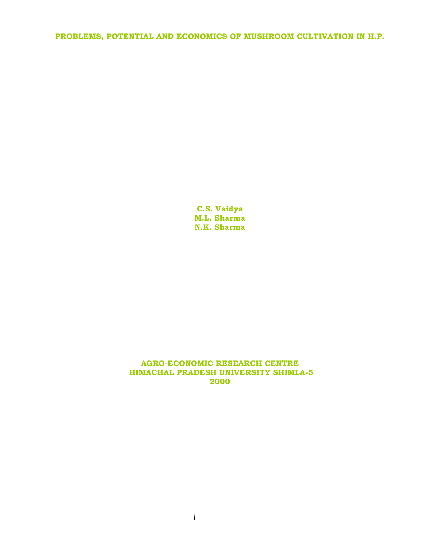# **PROBLEMS, POTENTIAL AND ECONOMICS OF MUSHROOM CULTIVATION IN H.P.**

**C.S. Vaidya M.L. Sharma N.K. Sharma** 

#### **AGRO-ECONOMIC RESEARCH CENTRE HIMACHAL PRADESH UNIVERSITY SHIMLA-5 2000**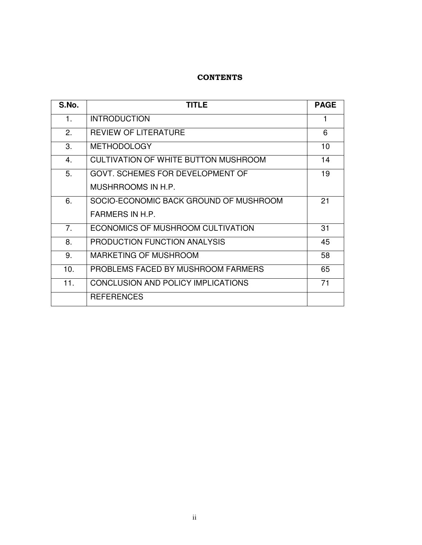## **CONTENTS**

| S.No.          | <b>TITLE</b>                                | <b>PAGE</b> |
|----------------|---------------------------------------------|-------------|
| 1.             | <b>INTRODUCTION</b>                         |             |
| 2.             | <b>REVIEW OF LITERATURE</b>                 | 6           |
| 3.             | <b>METHODOLOGY</b>                          | 10          |
| 4.             | <b>CULTIVATION OF WHITE BUTTON MUSHROOM</b> | 14          |
| 5.             | GOVT. SCHEMES FOR DEVELOPMENT OF            | 19          |
|                | MUSHRROOMS IN H.P.                          |             |
| 6.             | SOCIO-ECONOMIC BACK GROUND OF MUSHROOM      | 21          |
|                | FARMERS IN H.P.                             |             |
| 7 <sub>1</sub> | ECONOMICS OF MUSHROOM CULTIVATION           | 31          |
| 8.             | PRODUCTION FUNCTION ANALYSIS                | 45          |
| 9.             | <b>MARKETING OF MUSHROOM</b>                | 58          |
| 10.            | PROBLEMS FACED BY MUSHROOM FARMERS          | 65          |
| 11.            | CONCLUSION AND POLICY IMPLICATIONS          | 71          |
|                | <b>REFERENCES</b>                           |             |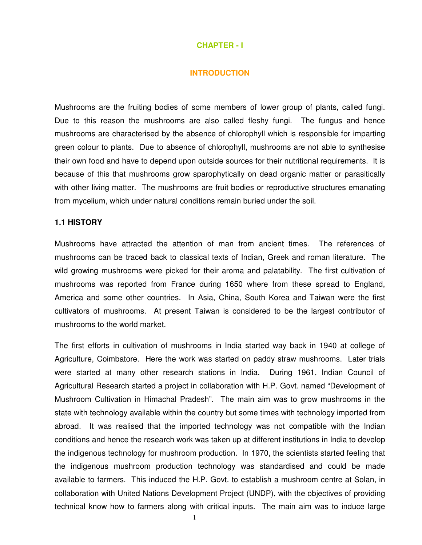#### **CHAPTER - I**

#### **INTRODUCTION**

Mushrooms are the fruiting bodies of some members of lower group of plants, called fungi. Due to this reason the mushrooms are also called fleshy fungi. The fungus and hence mushrooms are characterised by the absence of chlorophyll which is responsible for imparting green colour to plants. Due to absence of chlorophyll, mushrooms are not able to synthesise their own food and have to depend upon outside sources for their nutritional requirements. It is because of this that mushrooms grow sparophytically on dead organic matter or parasitically with other living matter. The mushrooms are fruit bodies or reproductive structures emanating from mycelium, which under natural conditions remain buried under the soil.

#### **1.1 HISTORY**

Mushrooms have attracted the attention of man from ancient times. The references of mushrooms can be traced back to classical texts of Indian, Greek and roman literature. The wild growing mushrooms were picked for their aroma and palatability. The first cultivation of mushrooms was reported from France during 1650 where from these spread to England, America and some other countries. In Asia, China, South Korea and Taiwan were the first cultivators of mushrooms. At present Taiwan is considered to be the largest contributor of mushrooms to the world market.

The first efforts in cultivation of mushrooms in India started way back in 1940 at college of Agriculture, Coimbatore. Here the work was started on paddy straw mushrooms. Later trials were started at many other research stations in India. During 1961, Indian Council of Agricultural Research started a project in collaboration with H.P. Govt. named "Development of Mushroom Cultivation in Himachal Pradesh". The main aim was to grow mushrooms in the state with technology available within the country but some times with technology imported from abroad. It was realised that the imported technology was not compatible with the Indian conditions and hence the research work was taken up at different institutions in India to develop the indigenous technology for mushroom production. In 1970, the scientists started feeling that the indigenous mushroom production technology was standardised and could be made available to farmers. This induced the H.P. Govt. to establish a mushroom centre at Solan, in collaboration with United Nations Development Project (UNDP), with the objectives of providing technical know how to farmers along with critical inputs. The main aim was to induce large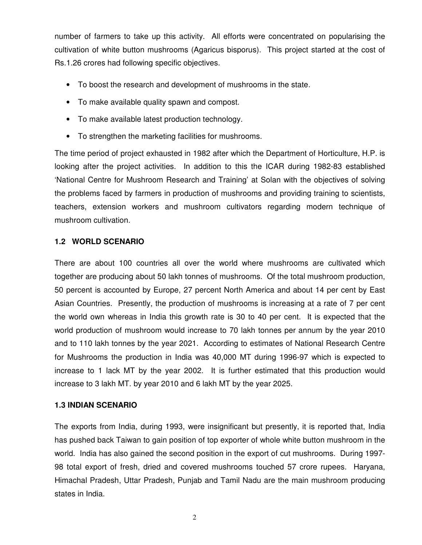number of farmers to take up this activity. All efforts were concentrated on popularising the cultivation of white button mushrooms (Agaricus bisporus). This project started at the cost of Rs.1.26 crores had following specific objectives.

- To boost the research and development of mushrooms in the state.
- To make available quality spawn and compost.
- To make available latest production technology.
- To strengthen the marketing facilities for mushrooms.

The time period of project exhausted in 1982 after which the Department of Horticulture, H.P. is looking after the project activities. In addition to this the ICAR during 1982-83 established 'National Centre for Mushroom Research and Training' at Solan with the objectives of solving the problems faced by farmers in production of mushrooms and providing training to scientists, teachers, extension workers and mushroom cultivators regarding modern technique of mushroom cultivation.

## **1.2 WORLD SCENARIO**

There are about 100 countries all over the world where mushrooms are cultivated which together are producing about 50 lakh tonnes of mushrooms. Of the total mushroom production, 50 percent is accounted by Europe, 27 percent North America and about 14 per cent by East Asian Countries. Presently, the production of mushrooms is increasing at a rate of 7 per cent the world own whereas in India this growth rate is 30 to 40 per cent. It is expected that the world production of mushroom would increase to 70 lakh tonnes per annum by the year 2010 and to 110 lakh tonnes by the year 2021. According to estimates of National Research Centre for Mushrooms the production in India was 40,000 MT during 1996-97 which is expected to increase to 1 lack MT by the year 2002. It is further estimated that this production would increase to 3 lakh MT. by year 2010 and 6 lakh MT by the year 2025.

### **1.3 INDIAN SCENARIO**

The exports from India, during 1993, were insignificant but presently, it is reported that, India has pushed back Taiwan to gain position of top exporter of whole white button mushroom in the world. India has also gained the second position in the export of cut mushrooms. During 1997- 98 total export of fresh, dried and covered mushrooms touched 57 crore rupees. Haryana, Himachal Pradesh, Uttar Pradesh, Punjab and Tamil Nadu are the main mushroom producing states in India.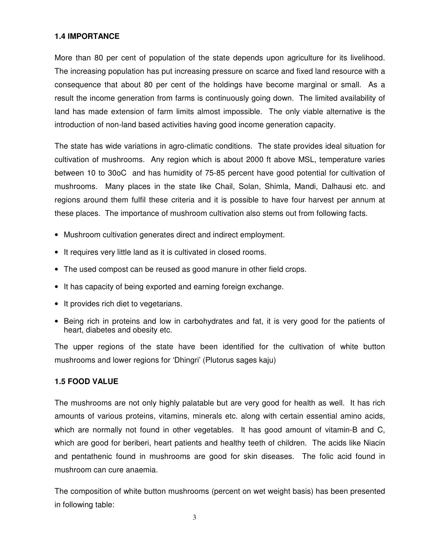### **1.4 IMPORTANCE**

More than 80 per cent of population of the state depends upon agriculture for its livelihood. The increasing population has put increasing pressure on scarce and fixed land resource with a consequence that about 80 per cent of the holdings have become marginal or small. As a result the income generation from farms is continuously going down. The limited availability of land has made extension of farm limits almost impossible. The only viable alternative is the introduction of non-land based activities having good income generation capacity.

The state has wide variations in agro-climatic conditions. The state provides ideal situation for cultivation of mushrooms. Any region which is about 2000 ft above MSL, temperature varies between 10 to 30oC and has humidity of 75-85 percent have good potential for cultivation of mushrooms. Many places in the state like Chail, Solan, Shimla, Mandi, Dalhausi etc. and regions around them fulfil these criteria and it is possible to have four harvest per annum at these places. The importance of mushroom cultivation also stems out from following facts.

- Mushroom cultivation generates direct and indirect employment.
- It requires very little land as it is cultivated in closed rooms.
- The used compost can be reused as good manure in other field crops.
- It has capacity of being exported and earning foreign exchange.
- It provides rich diet to vegetarians.
- Being rich in proteins and low in carbohydrates and fat, it is very good for the patients of heart, diabetes and obesity etc.

The upper regions of the state have been identified for the cultivation of white button mushrooms and lower regions for 'Dhingri' (Plutorus sages kaju)

### **1.5 FOOD VALUE**

The mushrooms are not only highly palatable but are very good for health as well. It has rich amounts of various proteins, vitamins, minerals etc. along with certain essential amino acids, which are normally not found in other vegetables. It has good amount of vitamin-B and C, which are good for beriberi, heart patients and healthy teeth of children. The acids like Niacin and pentathenic found in mushrooms are good for skin diseases. The folic acid found in mushroom can cure anaemia.

The composition of white button mushrooms (percent on wet weight basis) has been presented in following table: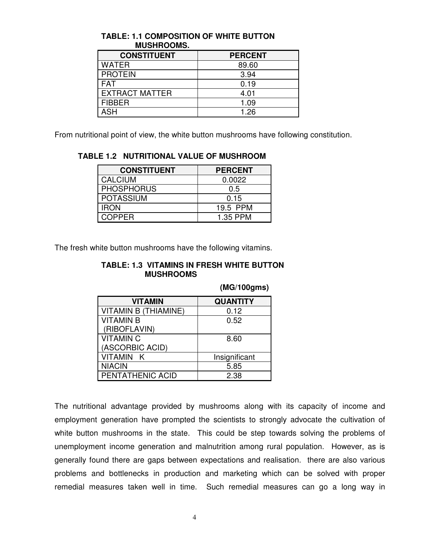| <b>CONSTITUENT</b>    | <b>PERCENT</b> |
|-----------------------|----------------|
| <b>WATER</b>          | 89.60          |
| <b>PROTEIN</b>        | 3.94           |
| <b>FAT</b>            | 0.19           |
| <b>EXTRACT MATTER</b> | 4.01           |
| <b>FIBBER</b>         | 1.09           |
| ASH                   | 1.26           |

### **TABLE: 1.1 COMPOSITION OF WHITE BUTTON MUSHROOMS.**

From nutritional point of view, the white button mushrooms have following constitution.

| <b>CONSTITUENT</b> | <b>PERCENT</b> |
|--------------------|----------------|
| <b>CALCIUM</b>     | 0.0022         |
| <b>PHOSPHORUS</b>  | 0.5            |
| <b>POTASSIUM</b>   | 0.15           |
| <b>IRON</b>        | 19.5 PPM       |
| COPPFR             | 1.35 PPM       |

**TABLE 1.2 NUTRITIONAL VALUE OF MUSHROOM** 

The fresh white button mushrooms have the following vitamins.

### **TABLE: 1.3 VITAMINS IN FRESH WHITE BUTTON MUSHROOMS**

| <b>VITAMIN</b>              | <b>QUANTITY</b> |
|-----------------------------|-----------------|
| <b>VITAMIN B (THIAMINE)</b> | 0.12            |
| <b>VITAMIN B</b>            | 0.52            |
| (RIBOFLAVIN)                |                 |
| <b>VITAMIN C</b>            | 8.60            |
| (ASCORBIC ACID)             |                 |
| <b>VITAMIN K</b>            | Insignificant   |
| <b>NIACIN</b>               | 5.85            |
| PENTATHENIC ACID            | 2.38            |

 **(MG/100gms)** 

The nutritional advantage provided by mushrooms along with its capacity of income and employment generation have prompted the scientists to strongly advocate the cultivation of white button mushrooms in the state. This could be step towards solving the problems of unemployment income generation and malnutrition among rural population. However, as is generally found there are gaps between expectations and realisation. there are also various problems and bottlenecks in production and marketing which can be solved with proper remedial measures taken well in time. Such remedial measures can go a long way in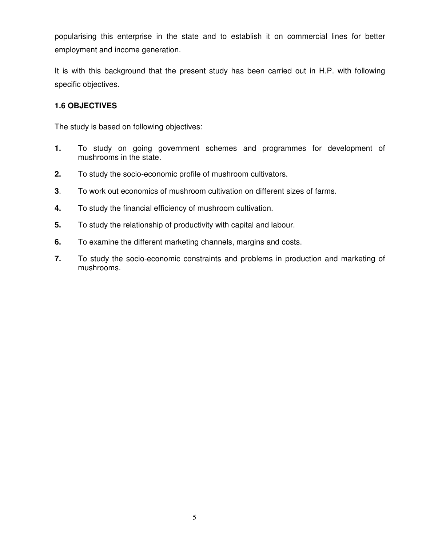popularising this enterprise in the state and to establish it on commercial lines for better employment and income generation.

It is with this background that the present study has been carried out in H.P. with following specific objectives.

### **1.6 OBJECTIVES**

The study is based on following objectives:

- **1.** To study on going government schemes and programmes for development of mushrooms in the state.
- **2.** To study the socio-economic profile of mushroom cultivators.
- **3**. To work out economics of mushroom cultivation on different sizes of farms.
- **4.** To study the financial efficiency of mushroom cultivation.
- **5.** To study the relationship of productivity with capital and labour.
- **6.** To examine the different marketing channels, margins and costs.
- **7.** To study the socio-economic constraints and problems in production and marketing of mushrooms.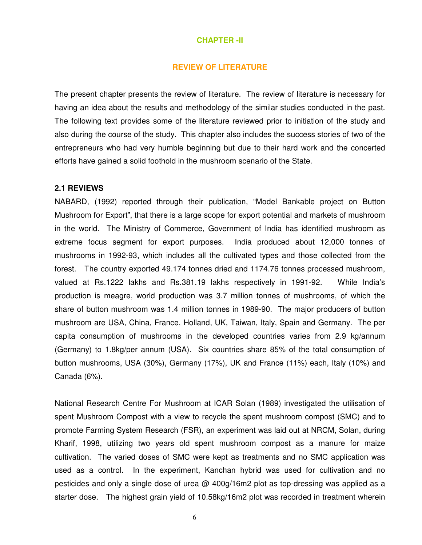#### **CHAPTER -II**

#### **REVIEW OF LITERATURE**

The present chapter presents the review of literature. The review of literature is necessary for having an idea about the results and methodology of the similar studies conducted in the past. The following text provides some of the literature reviewed prior to initiation of the study and also during the course of the study. This chapter also includes the success stories of two of the entrepreneurs who had very humble beginning but due to their hard work and the concerted efforts have gained a solid foothold in the mushroom scenario of the State.

#### **2.1 REVIEWS**

NABARD, (1992) reported through their publication, "Model Bankable project on Button Mushroom for Export", that there is a large scope for export potential and markets of mushroom in the world. The Ministry of Commerce, Government of India has identified mushroom as extreme focus segment for export purposes. India produced about 12,000 tonnes of mushrooms in 1992-93, which includes all the cultivated types and those collected from the forest. The country exported 49.174 tonnes dried and 1174.76 tonnes processed mushroom, valued at Rs.1222 lakhs and Rs.381.19 lakhs respectively in 1991-92. While India's production is meagre, world production was 3.7 million tonnes of mushrooms, of which the share of button mushroom was 1.4 million tonnes in 1989-90. The major producers of button mushroom are USA, China, France, Holland, UK, Taiwan, Italy, Spain and Germany. The per capita consumption of mushrooms in the developed countries varies from 2.9 kg/annum (Germany) to 1.8kg/per annum (USA). Six countries share 85% of the total consumption of button mushrooms, USA (30%), Germany (17%), UK and France (11%) each, Italy (10%) and Canada (6%).

National Research Centre For Mushroom at ICAR Solan (1989) investigated the utilisation of spent Mushroom Compost with a view to recycle the spent mushroom compost (SMC) and to promote Farming System Research (FSR), an experiment was laid out at NRCM, Solan, during Kharif, 1998, utilizing two years old spent mushroom compost as a manure for maize cultivation. The varied doses of SMC were kept as treatments and no SMC application was used as a control. In the experiment, Kanchan hybrid was used for cultivation and no pesticides and only a single dose of urea @ 400g/16m2 plot as top-dressing was applied as a starter dose. The highest grain yield of 10.58kg/16m2 plot was recorded in treatment wherein

6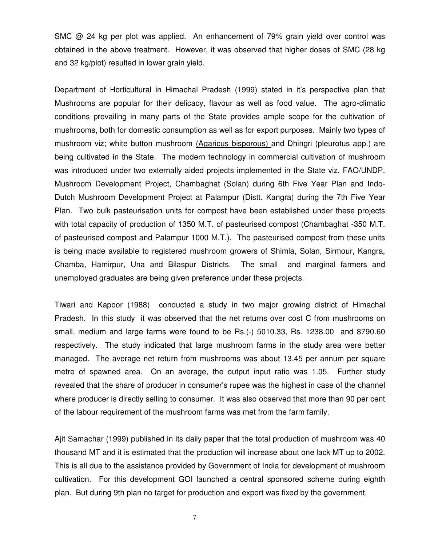SMC  $\omega$  24 kg per plot was applied. An enhancement of 79% grain yield over control was obtained in the above treatment. However, it was observed that higher doses of SMC (28 kg and 32 kg/plot) resulted in lower grain yield.

Department of Horticultural in Himachal Pradesh (1999) stated in it's perspective plan that Mushrooms are popular for their delicacy, flavour as well as food value. The agro-climatic conditions prevailing in many parts of the State provides ample scope for the cultivation of mushrooms, both for domestic consumption as well as for export purposes. Mainly two types of mushroom viz; white button mushroom (Agaricus bisporous) and Dhingri (pleurotus app.) are being cultivated in the State. The modern technology in commercial cultivation of mushroom was introduced under two externally aided projects implemented in the State viz. FAO/UNDP. Mushroom Development Project, Chambaghat (Solan) during 6th Five Year Plan and Indo-Dutch Mushroom Development Project at Palampur (Distt. Kangra) during the 7th Five Year Plan. Two bulk pasteurisation units for compost have been established under these projects with total capacity of production of 1350 M.T. of pasteurised compost (Chambaghat -350 M.T. of pasteurised compost and Palampur 1000 M.T.). The pasteurised compost from these units is being made available to registered mushroom growers of Shimla, Solan, Sirmour, Kangra, Chamba, Hamirpur, Una and Bilaspur Districts. The small and marginal farmers and unemployed graduates are being given preference under these projects.

Tiwari and Kapoor (1988) conducted a study in two major growing district of Himachal Pradesh. In this study it was observed that the net returns over cost C from mushrooms on small, medium and large farms were found to be Rs.(-) 5010.33, Rs. 1238.00 and 8790.60 respectively. The study indicated that large mushroom farms in the study area were better managed. The average net return from mushrooms was about 13.45 per annum per square metre of spawned area. On an average, the output input ratio was 1.05. Further study revealed that the share of producer in consumer's rupee was the highest in case of the channel where producer is directly selling to consumer. It was also observed that more than 90 per cent of the labour requirement of the mushroom farms was met from the farm family.

Ajit Samachar (1999) published in its daily paper that the total production of mushroom was 40 thousand MT and it is estimated that the production will increase about one lack MT up to 2002. This is all due to the assistance provided by Government of India for development of mushroom cultivation. For this development GOI launched a central sponsored scheme during eighth plan. But during 9th plan no target for production and export was fixed by the government.

7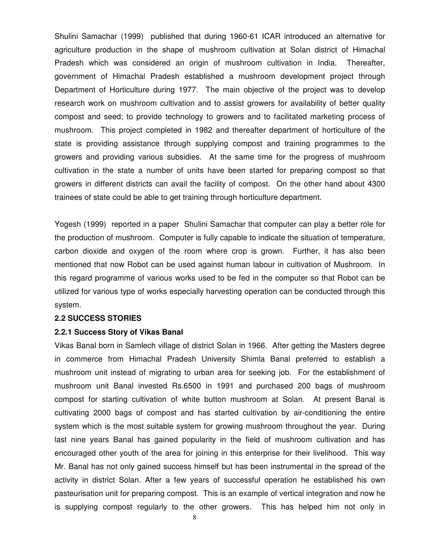Shulini Samachar (1999) published that during 1960-61 ICAR introduced an alternative for agriculture production in the shape of mushroom cultivation at Solan district of Himachal Pradesh which was considered an origin of mushroom cultivation in India. Thereafter, government of Himachal Pradesh established a mushroom development project through Department of Horticulture during 1977. The main objective of the project was to develop research work on mushroom cultivation and to assist growers for availability of better quality compost and seed; to provide technology to growers and to facilitated marketing process of mushroom. This project completed in 1982 and thereafter department of horticulture of the state is providing assistance through supplying compost and training programmes to the growers and providing various subsidies. At the same time for the progress of mushroom cultivation in the state a number of units have been started for preparing compost so that growers in different districts can avail the facility of compost. On the other hand about 4300 trainees of state could be able to get training through horticulture department.

Yogesh (1999) reported in a paper Shulini Samachar that computer can play a better role for the production of mushroom. Computer is fully capable to indicate the situation of temperature, carbon dioxide and oxygen of the room where crop is grown. Further, it has also been mentioned that now Robot can be used against human labour in cultivation of Mushroom. In this regard programme of various works used to be fed in the computer so that Robot can be utilized for various type of works especially harvesting operation can be conducted through this system.

#### **2.2 SUCCESS STORIES**

#### **2.2.1 Success Story of Vikas Banal**

Vikas Banal born in Samlech village of district Solan in 1966. After getting the Masters degree in commerce from Himachal Pradesh University Shimla Banal preferred to establish a mushroom unit instead of migrating to urban area for seeking job. For the establishment of mushroom unit Banal invested Rs.6500 in 1991 and purchased 200 bags of mushroom compost for starting cultivation of white button mushroom at Solan. At present Banal is cultivating 2000 bags of compost and has started cultivation by air-conditioning the entire system which is the most suitable system for growing mushroom throughout the year. During last nine years Banal has gained popularity in the field of mushroom cultivation and has encouraged other youth of the area for joining in this enterprise for their livelihood. This way Mr. Banal has not only gained success himself but has been instrumental in the spread of the activity in district Solan. After a few years of successful operation he established his own pasteurisation unit for preparing compost. This is an example of vertical integration and now he is supplying compost regularly to the other growers. This has helped him not only in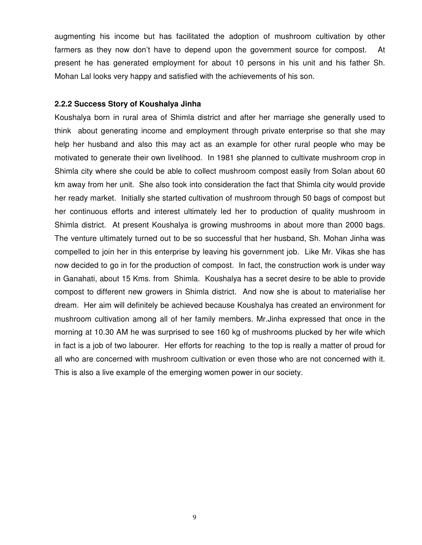augmenting his income but has facilitated the adoption of mushroom cultivation by other farmers as they now don't have to depend upon the government source for compost. At present he has generated employment for about 10 persons in his unit and his father Sh. Mohan Lal looks very happy and satisfied with the achievements of his son.

#### **2.2.2 Success Story of Koushalya Jinha**

Koushalya born in rural area of Shimla district and after her marriage she generally used to think about generating income and employment through private enterprise so that she may help her husband and also this may act as an example for other rural people who may be motivated to generate their own livelihood. In 1981 she planned to cultivate mushroom crop in Shimla city where she could be able to collect mushroom compost easily from Solan about 60 km away from her unit. She also took into consideration the fact that Shimla city would provide her ready market. Initially she started cultivation of mushroom through 50 bags of compost but her continuous efforts and interest ultimately led her to production of quality mushroom in Shimla district. At present Koushalya is growing mushrooms in about more than 2000 bags. The venture ultimately turned out to be so successful that her husband, Sh. Mohan Jinha was compelled to join her in this enterprise by leaving his government job. Like Mr. Vikas she has now decided to go in for the production of compost. In fact, the construction work is under way in Ganahati, about 15 Kms. from Shimla. Koushalya has a secret desire to be able to provide compost to different new growers in Shimla district. And now she is about to materialise her dream. Her aim will definitely be achieved because Koushalya has created an environment for mushroom cultivation among all of her family members. Mr.Jinha expressed that once in the morning at 10.30 AM he was surprised to see 160 kg of mushrooms plucked by her wife which in fact is a job of two labourer. Her efforts for reaching to the top is really a matter of proud for all who are concerned with mushroom cultivation or even those who are not concerned with it. This is also a live example of the emerging women power in our society.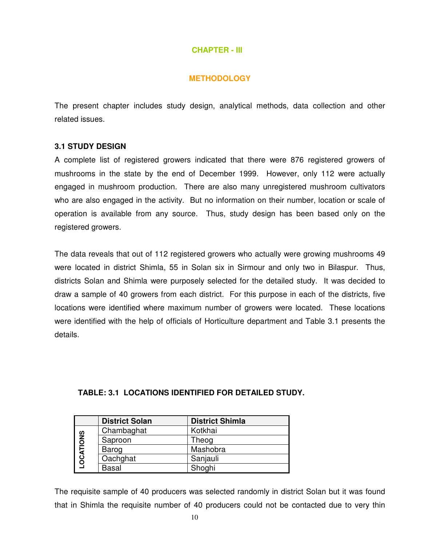### **CHAPTER - III**

### **METHODOLOGY**

The present chapter includes study design, analytical methods, data collection and other related issues.

### **3.1 STUDY DESIGN**

A complete list of registered growers indicated that there were 876 registered growers of mushrooms in the state by the end of December 1999. However, only 112 were actually engaged in mushroom production. There are also many unregistered mushroom cultivators who are also engaged in the activity. But no information on their number, location or scale of operation is available from any source. Thus, study design has been based only on the registered growers.

The data reveals that out of 112 registered growers who actually were growing mushrooms 49 were located in district Shimla, 55 in Solan six in Sirmour and only two in Bilaspur. Thus, districts Solan and Shimla were purposely selected for the detailed study. It was decided to draw a sample of 40 growers from each district. For this purpose in each of the districts, five locations were identified where maximum number of growers were located. These locations were identified with the help of officials of Horticulture department and Table 3.1 presents the details.

## **TABLE: 3.1 LOCATIONS IDENTIFIED FOR DETAILED STUDY.**

|                  | <b>District Solan</b> | <b>District Shimla</b> |
|------------------|-----------------------|------------------------|
|                  | Chambaghat            | Kotkhai                |
| <b>LOCATIONS</b> | Saproon               | Theog                  |
|                  | Barog                 | Mashobra               |
|                  | Oachghat              | Sanjauli               |
|                  | <b>Basal</b>          | Shoghi                 |

The requisite sample of 40 producers was selected randomly in district Solan but it was found that in Shimla the requisite number of 40 producers could not be contacted due to very thin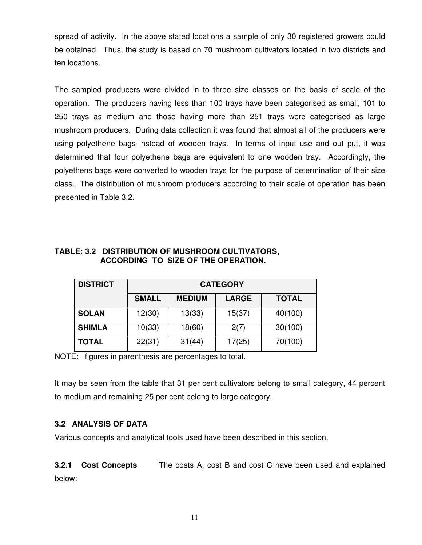spread of activity. In the above stated locations a sample of only 30 registered growers could be obtained. Thus, the study is based on 70 mushroom cultivators located in two districts and ten locations.

The sampled producers were divided in to three size classes on the basis of scale of the operation. The producers having less than 100 trays have been categorised as small, 101 to 250 trays as medium and those having more than 251 trays were categorised as large mushroom producers. During data collection it was found that almost all of the producers were using polyethene bags instead of wooden trays. In terms of input use and out put, it was determined that four polyethene bags are equivalent to one wooden tray. Accordingly, the polyethens bags were converted to wooden trays for the purpose of determination of their size class. The distribution of mushroom producers according to their scale of operation has been presented in Table 3.2.

| <b>DISTRICT</b> |              |               | <b>CATEGORY</b> |              |
|-----------------|--------------|---------------|-----------------|--------------|
|                 | <b>SMALL</b> | <b>MEDIUM</b> | <b>LARGE</b>    | <b>TOTAL</b> |
| <b>SOLAN</b>    | 12(30)       | 13(33)        | 15(37)          | 40(100)      |
| <b>SHIMLA</b>   | 10(33)       | 18(60)        | 2(7)            | 30(100)      |
| <b>TOTAL</b>    | 22(31)       | 31(44)        | 17(25)          | 70(100)      |

## **TABLE: 3.2 DISTRIBUTION OF MUSHROOM CULTIVATORS, ACCORDING TO SIZE OF THE OPERATION.**

NOTE: figures in parenthesis are percentages to total.

It may be seen from the table that 31 per cent cultivators belong to small category, 44 percent to medium and remaining 25 per cent belong to large category.

## **3.2 ANALYSIS OF DATA**

Various concepts and analytical tools used have been described in this section.

**3.2.1 Cost Concepts** The costs A, cost B and cost C have been used and explained below:-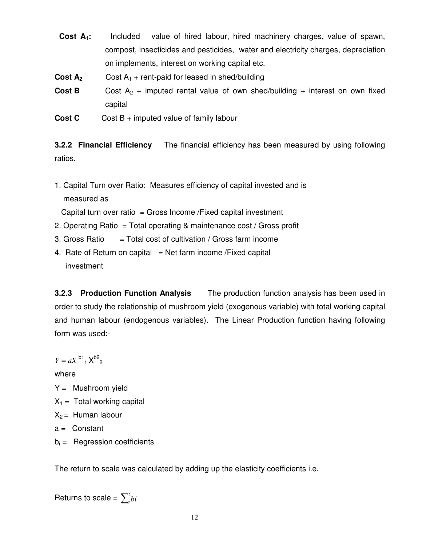**Cost A1:** Included value of hired labour, hired machinery charges, value of spawn, compost, insecticides and pesticides, water and electricity charges, depreciation on implements, interest on working capital etc.

**Cost A<sub>2</sub>** Cost A<sub>1</sub> + rent-paid for leased in shed/building

**Cost B** Cost  $A_2$  + imputed rental value of own shed/building + interest on own fixed capital

**Cost C** Cost B + imputed value of family labour

**3.2.2 Financial Efficiency** The financial efficiency has been measured by using following ratios.

1. Capital Turn over Ratio: Measures efficiency of capital invested and is measured as

Capital turn over ratio = Gross Income /Fixed capital investment

- 2. Operating Ratio = Total operating & maintenance cost / Gross profit
- 3. Gross Ratio  $=$  Total cost of cultivation / Gross farm income
- 4. Rate of Return on capital  $=$  Net farm income /Fixed capital investment

**3.2.3 Production Function Analysis** The production function analysis has been used in order to study the relationship of mushroom yield (exogenous variable) with total working capital and human labour (endogenous variables). The Linear Production function having following form was used:-

 $Y = aX^{b1}$ <sub>1</sub> $X^{b2}$ <sub>2</sub>

where

- $Y =$  Mushroom yield
- $X_1$  = Total working capital
- $X_2 =$  Human labour
- $a =$  Constant
- $b_i =$  Regression coefficients

The return to scale was calculated by adding up the elasticity coefficients i.e.

Returns to scale =  $\sum_i^2 b_i$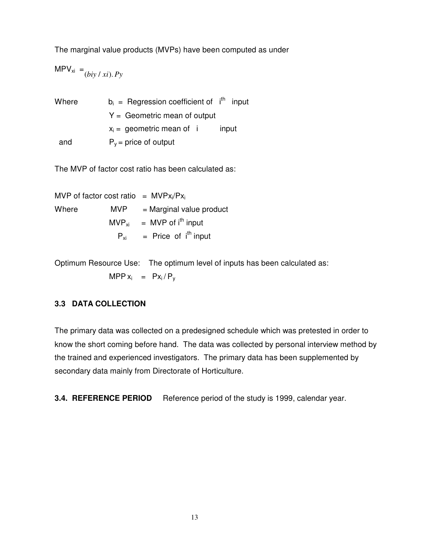The marginal value products (MVPs) have been computed as under

 $MPV_{xi} = ( biy / xi ) . Py$ 

| Where | $b_i$ = Regression coefficient of $i^{th}$ input |
|-------|--------------------------------------------------|
|       | $Y =$ Geometric mean of output                   |
|       | $x_i =$ geometric mean of i<br>input             |
| and   | $P_v$ = price of output                          |

The MVP of factor cost ratio has been calculated as:

MVP of factor cost ratio =  $MVPx_i/Px_i$ Where  $MVP = Marginal value product$  $MVP_{xi}$  = MVP of i<sup>th</sup> input  $P_{xi}$  = Price of i<sup>th</sup> input

Optimum Resource Use: The optimum level of inputs has been calculated as:  $MPP x_i = Px_i/P_y$ 

### **3.3 DATA COLLECTION**

The primary data was collected on a predesigned schedule which was pretested in order to know the short coming before hand. The data was collected by personal interview method by the trained and experienced investigators. The primary data has been supplemented by secondary data mainly from Directorate of Horticulture.

**3.4. REFERENCE PERIOD** Reference period of the study is 1999, calendar year.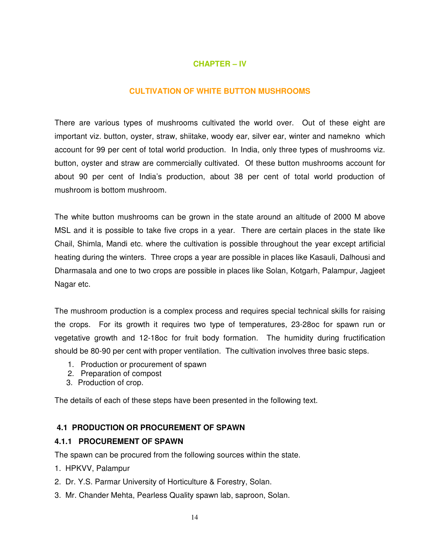## **CHAPTER – IV**

### **CULTIVATION OF WHITE BUTTON MUSHROOMS**

There are various types of mushrooms cultivated the world over. Out of these eight are important viz. button, oyster, straw, shiitake, woody ear, silver ear, winter and namekno which account for 99 per cent of total world production. In India, only three types of mushrooms viz. button, oyster and straw are commercially cultivated. Of these button mushrooms account for about 90 per cent of India's production, about 38 per cent of total world production of mushroom is bottom mushroom.

The white button mushrooms can be grown in the state around an altitude of 2000 M above MSL and it is possible to take five crops in a year. There are certain places in the state like Chail, Shimla, Mandi etc. where the cultivation is possible throughout the year except artificial heating during the winters. Three crops a year are possible in places like Kasauli, Dalhousi and Dharmasala and one to two crops are possible in places like Solan, Kotgarh, Palampur, Jagjeet Nagar etc.

The mushroom production is a complex process and requires special technical skills for raising the crops. For its growth it requires two type of temperatures, 23-28oc for spawn run or vegetative growth and 12-18oc for fruit body formation. The humidity during fructification should be 80-90 per cent with proper ventilation. The cultivation involves three basic steps.

- 1. Production or procurement of spawn
- 2. Preparation of compost
- 3. Production of crop.

The details of each of these steps have been presented in the following text.

### **4.1 PRODUCTION OR PROCUREMENT OF SPAWN**

### **4.1.1 PROCUREMENT OF SPAWN**

The spawn can be procured from the following sources within the state.

- 1. HPKVV, Palampur
- 2. Dr. Y.S. Parmar University of Horticulture & Forestry, Solan.
- 3. Mr. Chander Mehta, Pearless Quality spawn lab, saproon, Solan.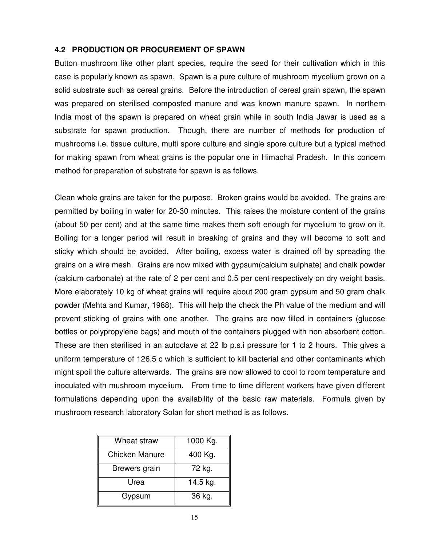### **4.2 PRODUCTION OR PROCUREMENT OF SPAWN**

Button mushroom like other plant species, require the seed for their cultivation which in this case is popularly known as spawn. Spawn is a pure culture of mushroom mycelium grown on a solid substrate such as cereal grains. Before the introduction of cereal grain spawn, the spawn was prepared on sterilised composted manure and was known manure spawn. In northern India most of the spawn is prepared on wheat grain while in south India Jawar is used as a substrate for spawn production. Though, there are number of methods for production of mushrooms i.e. tissue culture, multi spore culture and single spore culture but a typical method for making spawn from wheat grains is the popular one in Himachal Pradesh. In this concern method for preparation of substrate for spawn is as follows.

Clean whole grains are taken for the purpose. Broken grains would be avoided. The grains are permitted by boiling in water for 20-30 minutes. This raises the moisture content of the grains (about 50 per cent) and at the same time makes them soft enough for mycelium to grow on it. Boiling for a longer period will result in breaking of grains and they will become to soft and sticky which should be avoided. After boiling, excess water is drained off by spreading the grains on a wire mesh. Grains are now mixed with gypsum(calcium sulphate) and chalk powder (calcium carbonate) at the rate of 2 per cent and 0.5 per cent respectively on dry weight basis. More elaborately 10 kg of wheat grains will require about 200 gram gypsum and 50 gram chalk powder (Mehta and Kumar, 1988). This will help the check the Ph value of the medium and will prevent sticking of grains with one another. The grains are now filled in containers (glucose bottles or polypropylene bags) and mouth of the containers plugged with non absorbent cotton. These are then sterilised in an autoclave at 22 lb p.s.i pressure for 1 to 2 hours. This gives a uniform temperature of 126.5 c which is sufficient to kill bacterial and other contaminants which might spoil the culture afterwards. The grains are now allowed to cool to room temperature and inoculated with mushroom mycelium. From time to time different workers have given different formulations depending upon the availability of the basic raw materials. Formula given by mushroom research laboratory Solan for short method is as follows.

| Wheat straw           | 1000 Kg. |
|-----------------------|----------|
| <b>Chicken Manure</b> | 400 Kg.  |
| Brewers grain         | 72 kg.   |
| Urea                  | 14.5 kg. |
| Gypsum                | 36 kg.   |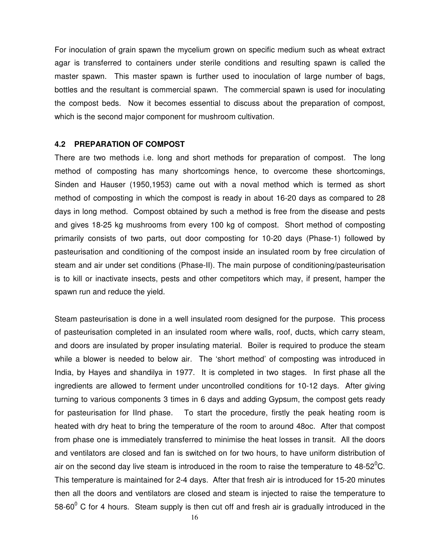For inoculation of grain spawn the mycelium grown on specific medium such as wheat extract agar is transferred to containers under sterile conditions and resulting spawn is called the master spawn. This master spawn is further used to inoculation of large number of bags, bottles and the resultant is commercial spawn. The commercial spawn is used for inoculating the compost beds. Now it becomes essential to discuss about the preparation of compost, which is the second major component for mushroom cultivation.

#### **4.2 PREPARATION OF COMPOST**

There are two methods i.e. long and short methods for preparation of compost. The long method of composting has many shortcomings hence, to overcome these shortcomings, Sinden and Hauser (1950,1953) came out with a noval method which is termed as short method of composting in which the compost is ready in about 16-20 days as compared to 28 days in long method. Compost obtained by such a method is free from the disease and pests and gives 18-25 kg mushrooms from every 100 kg of compost. Short method of composting primarily consists of two parts, out door composting for 10-20 days (Phase-1) followed by pasteurisation and conditioning of the compost inside an insulated room by free circulation of steam and air under set conditions (Phase-II). The main purpose of conditioning/pasteurisation is to kill or inactivate insects, pests and other competitors which may, if present, hamper the spawn run and reduce the yield.

Steam pasteurisation is done in a well insulated room designed for the purpose. This process of pasteurisation completed in an insulated room where walls, roof, ducts, which carry steam, and doors are insulated by proper insulating material. Boiler is required to produce the steam while a blower is needed to below air. The 'short method' of composting was introduced in India, by Hayes and shandilya in 1977. It is completed in two stages. In first phase all the ingredients are allowed to ferment under uncontrolled conditions for 10-12 days. After giving turning to various components 3 times in 6 days and adding Gypsum, the compost gets ready for pasteurisation for IInd phase. To start the procedure, firstly the peak heating room is heated with dry heat to bring the temperature of the room to around 48oc. After that compost from phase one is immediately transferred to minimise the heat losses in transit. All the doors and ventilators are closed and fan is switched on for two hours, to have uniform distribution of air on the second day live steam is introduced in the room to raise the temperature to 48-52 $^{\circ}$ C. This temperature is maintained for 2-4 days. After that fresh air is introduced for 15-20 minutes then all the doors and ventilators are closed and steam is injected to raise the temperature to 58-60 $^0$  C for 4 hours. Steam supply is then cut off and fresh air is gradually introduced in the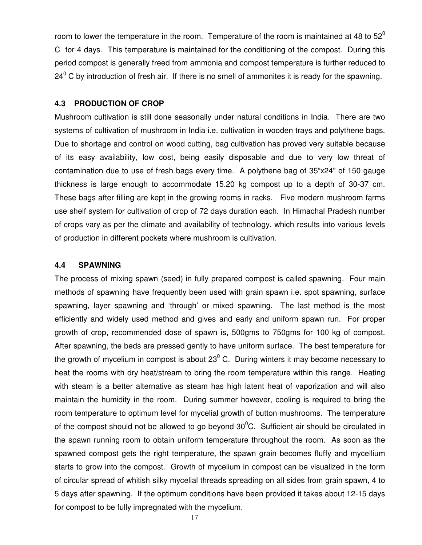room to lower the temperature in the room. Temperature of the room is maintained at 48 to  $52^{\circ}$ C for 4 days. This temperature is maintained for the conditioning of the compost. During this period compost is generally freed from ammonia and compost temperature is further reduced to 24<sup>0</sup> C by introduction of fresh air. If there is no smell of ammonites it is ready for the spawning.

#### **4.3 PRODUCTION OF CROP**

Mushroom cultivation is still done seasonally under natural conditions in India. There are two systems of cultivation of mushroom in India i.e. cultivation in wooden trays and polythene bags. Due to shortage and control on wood cutting, bag cultivation has proved very suitable because of its easy availability, low cost, being easily disposable and due to very low threat of contamination due to use of fresh bags every time. A polythene bag of 35"x24" of 150 gauge thickness is large enough to accommodate 15.20 kg compost up to a depth of 30-37 cm. These bags after filling are kept in the growing rooms in racks. Five modern mushroom farms use shelf system for cultivation of crop of 72 days duration each. In Himachal Pradesh number of crops vary as per the climate and availability of technology, which results into various levels of production in different pockets where mushroom is cultivation.

#### **4.4 SPAWNING**

The process of mixing spawn (seed) in fully prepared compost is called spawning. Four main methods of spawning have frequently been used with grain spawn i.e. spot spawning, surface spawning, layer spawning and 'through' or mixed spawning. The last method is the most efficiently and widely used method and gives and early and uniform spawn run. For proper growth of crop, recommended dose of spawn is, 500gms to 750gms for 100 kg of compost. After spawning, the beds are pressed gently to have uniform surface. The best temperature for the growth of mycelium in compost is about 23 $^0$  C. During winters it may become necessary to heat the rooms with dry heat/stream to bring the room temperature within this range. Heating with steam is a better alternative as steam has high latent heat of vaporization and will also maintain the humidity in the room. During summer however, cooling is required to bring the room temperature to optimum level for mycelial growth of button mushrooms. The temperature of the compost should not be allowed to go beyond  $30^{\circ}$ C. Sufficient air should be circulated in the spawn running room to obtain uniform temperature throughout the room. As soon as the spawned compost gets the right temperature, the spawn grain becomes fluffy and mycellium starts to grow into the compost. Growth of mycelium in compost can be visualized in the form of circular spread of whitish silky mycelial threads spreading on all sides from grain spawn, 4 to 5 days after spawning. If the optimum conditions have been provided it takes about 12-15 days for compost to be fully impregnated with the mycelium.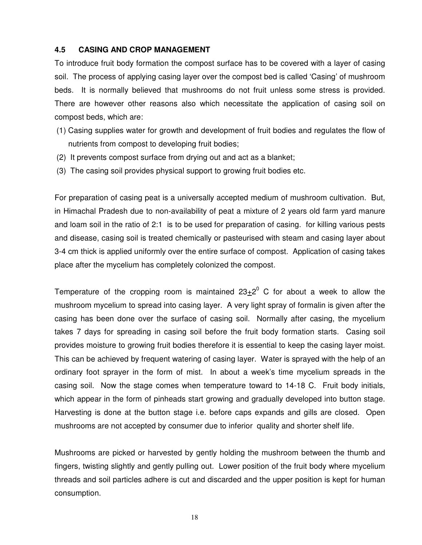#### **4.5 CASING AND CROP MANAGEMENT**

To introduce fruit body formation the compost surface has to be covered with a layer of casing soil. The process of applying casing layer over the compost bed is called 'Casing' of mushroom beds. It is normally believed that mushrooms do not fruit unless some stress is provided. There are however other reasons also which necessitate the application of casing soil on compost beds, which are:

- (1) Casing supplies water for growth and development of fruit bodies and regulates the flow of nutrients from compost to developing fruit bodies;
- (2) It prevents compost surface from drying out and act as a blanket;
- (3) The casing soil provides physical support to growing fruit bodies etc.

For preparation of casing peat is a universally accepted medium of mushroom cultivation. But, in Himachal Pradesh due to non-availability of peat a mixture of 2 years old farm yard manure and loam soil in the ratio of 2:1 is to be used for preparation of casing. for killing various pests and disease, casing soil is treated chemically or pasteurised with steam and casing layer about 3-4 cm thick is applied uniformly over the entire surface of compost. Application of casing takes place after the mycelium has completely colonized the compost.

Temperature of the cropping room is maintained  $23\pm2^0$  C for about a week to allow the mushroom mycelium to spread into casing layer. A very light spray of formalin is given after the casing has been done over the surface of casing soil. Normally after casing, the mycelium takes 7 days for spreading in casing soil before the fruit body formation starts. Casing soil provides moisture to growing fruit bodies therefore it is essential to keep the casing layer moist. This can be achieved by frequent watering of casing layer. Water is sprayed with the help of an ordinary foot sprayer in the form of mist. In about a week's time mycelium spreads in the casing soil. Now the stage comes when temperature toward to 14-18 C. Fruit body initials, which appear in the form of pinheads start growing and gradually developed into button stage. Harvesting is done at the button stage i.e. before caps expands and gills are closed. Open mushrooms are not accepted by consumer due to inferior quality and shorter shelf life.

Mushrooms are picked or harvested by gently holding the mushroom between the thumb and fingers, twisting slightly and gently pulling out. Lower position of the fruit body where mycelium threads and soil particles adhere is cut and discarded and the upper position is kept for human consumption.

18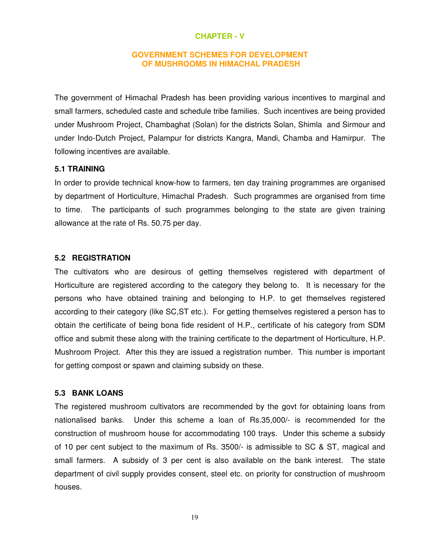#### **CHAPTER - V**

#### **GOVERNMENT SCHEMES FOR DEVELOPMENT OF MUSHROOMS IN HIMACHAL PRADESH**

The government of Himachal Pradesh has been providing various incentives to marginal and small farmers, scheduled caste and schedule tribe families. Such incentives are being provided under Mushroom Project, Chambaghat (Solan) for the districts Solan, Shimla and Sirmour and under Indo-Dutch Project, Palampur for districts Kangra, Mandi, Chamba and Hamirpur. The following incentives are available.

#### **5.1 TRAINING**

In order to provide technical know-how to farmers, ten day training programmes are organised by department of Horticulture, Himachal Pradesh. Such programmes are organised from time to time. The participants of such programmes belonging to the state are given training allowance at the rate of Rs. 50.75 per day.

#### **5.2 REGISTRATION**

The cultivators who are desirous of getting themselves registered with department of Horticulture are registered according to the category they belong to. It is necessary for the persons who have obtained training and belonging to H.P. to get themselves registered according to their category (like SC,ST etc.). For getting themselves registered a person has to obtain the certificate of being bona fide resident of H.P., certificate of his category from SDM office and submit these along with the training certificate to the department of Horticulture, H.P. Mushroom Project. After this they are issued a registration number. This number is important for getting compost or spawn and claiming subsidy on these.

#### **5.3 BANK LOANS**

The registered mushroom cultivators are recommended by the govt for obtaining loans from nationalised banks. Under this scheme a loan of Rs.35,000/- is recommended for the construction of mushroom house for accommodating 100 trays. Under this scheme a subsidy of 10 per cent subject to the maximum of Rs. 3500/- is admissible to SC & ST, magical and small farmers. A subsidy of 3 per cent is also available on the bank interest. The state department of civil supply provides consent, steel etc. on priority for construction of mushroom houses.

19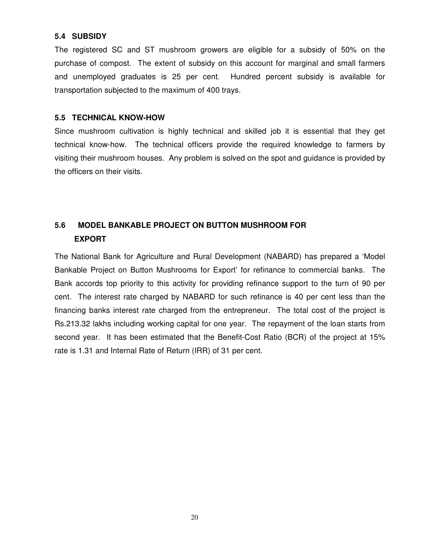### **5.4 SUBSIDY**

The registered SC and ST mushroom growers are eligible for a subsidy of 50% on the purchase of compost. The extent of subsidy on this account for marginal and small farmers and unemployed graduates is 25 per cent. Hundred percent subsidy is available for transportation subjected to the maximum of 400 trays.

### **5.5 TECHNICAL KNOW-HOW**

Since mushroom cultivation is highly technical and skilled job it is essential that they get technical know-how. The technical officers provide the required knowledge to farmers by visiting their mushroom houses. Any problem is solved on the spot and guidance is provided by the officers on their visits.

# **5.6 MODEL BANKABLE PROJECT ON BUTTON MUSHROOM FOR EXPORT**

The National Bank for Agriculture and Rural Development (NABARD) has prepared a 'Model Bankable Project on Button Mushrooms for Export' for refinance to commercial banks. The Bank accords top priority to this activity for providing refinance support to the turn of 90 per cent. The interest rate charged by NABARD for such refinance is 40 per cent less than the financing banks interest rate charged from the entrepreneur. The total cost of the project is Rs.213.32 lakhs including working capital for one year. The repayment of the loan starts from second year. It has been estimated that the Benefit-Cost Ratio (BCR) of the project at 15% rate is 1.31 and Internal Rate of Return (IRR) of 31 per cent.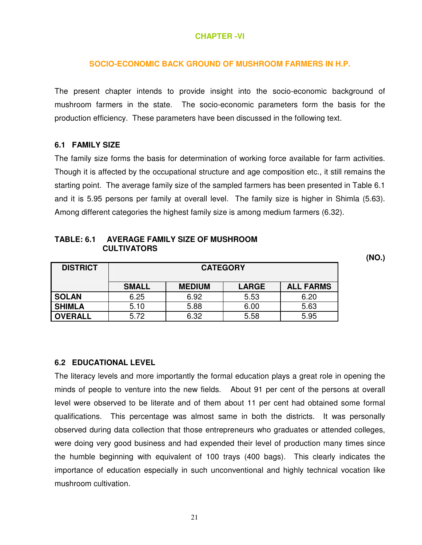### **CHAPTER -VI**

#### **SOCIO-ECONOMIC BACK GROUND OF MUSHROOM FARMERS IN H.P.**

The present chapter intends to provide insight into the socio-economic background of mushroom farmers in the state. The socio-economic parameters form the basis for the production efficiency. These parameters have been discussed in the following text.

#### **6.1 FAMILY SIZE**

The family size forms the basis for determination of working force available for farm activities. Though it is affected by the occupational structure and age composition etc., it still remains the starting point. The average family size of the sampled farmers has been presented in Table 6.1 and it is 5.95 persons per family at overall level. The family size is higher in Shimla (5.63). Among different categories the highest family size is among medium farmers (6.32).

| <b>TABLE: 6.1</b> | <b>AVERAGE FAMILY SIZE OF MUSHROOM</b> |
|-------------------|----------------------------------------|
|                   | <b>CULTIVATORS</b>                     |

| <b>DISTRICT</b> | <b>CATEGORY</b> |               |              |                  |
|-----------------|-----------------|---------------|--------------|------------------|
|                 |                 |               |              |                  |
|                 | <b>SMALL</b>    | <b>MEDIUM</b> | <b>LARGE</b> | <b>ALL FARMS</b> |
| <b>SOLAN</b>    | 6.25            | 6.92          | 5.53         | 6.20             |
| <b>SHIMLA</b>   | 5.10            | 5.88          | 6.00         | 5.63             |
| <b>OVERALL</b>  | 5.72            | 6.32          | 5.58         | 5.95             |

**6.2 EDUCATIONAL LEVEL** 

The literacy levels and more importantly the formal education plays a great role in opening the minds of people to venture into the new fields. About 91 per cent of the persons at overall level were observed to be literate and of them about 11 per cent had obtained some formal qualifications. This percentage was almost same in both the districts. It was personally observed during data collection that those entrepreneurs who graduates or attended colleges, were doing very good business and had expended their level of production many times since the humble beginning with equivalent of 100 trays (400 bags). This clearly indicates the importance of education especially in such unconventional and highly technical vocation like mushroom cultivation.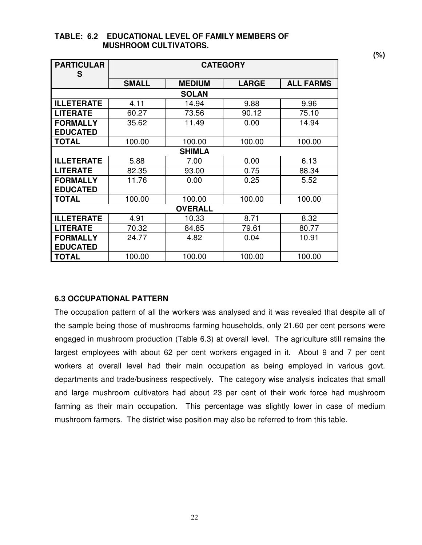| <b>PARTICULAR</b> |              | <b>CATEGORY</b> |              |                  |  |  |
|-------------------|--------------|-----------------|--------------|------------------|--|--|
| S                 |              |                 |              |                  |  |  |
|                   | <b>SMALL</b> | <b>MEDIUM</b>   | <b>LARGE</b> | <b>ALL FARMS</b> |  |  |
|                   |              | <b>SOLAN</b>    |              |                  |  |  |
| <b>ILLETERATE</b> | 4.11         | 14.94           | 9.88         | 9.96             |  |  |
| <b>LITERATE</b>   | 60.27        | 73.56           | 90.12        | 75.10            |  |  |
| <b>FORMALLY</b>   | 35.62        | 11.49           | 0.00         | 14.94            |  |  |
| <b>EDUCATED</b>   |              |                 |              |                  |  |  |
| <b>TOTAL</b>      | 100.00       | 100.00          | 100.00       | 100.00           |  |  |
|                   |              | <b>SHIMLA</b>   |              |                  |  |  |
| <b>ILLETERATE</b> | 5.88         | 7.00            | 0.00         | 6.13             |  |  |
| <b>LITERATE</b>   | 82.35        | 93.00           | 0.75         | 88.34            |  |  |
| <b>FORMALLY</b>   | 11.76        | 0.00            | 0.25         | 5.52             |  |  |
| <b>EDUCATED</b>   |              |                 |              |                  |  |  |
| <b>TOTAL</b>      | 100.00       | 100.00          | 100.00       | 100.00           |  |  |
|                   |              | <b>OVERALL</b>  |              |                  |  |  |
| <b>ILLETERATE</b> | 4.91         | 10.33           | 8.71         | 8.32             |  |  |
| <b>LITERATE</b>   | 70.32        | 84.85           | 79.61        | 80.77            |  |  |
| <b>FORMALLY</b>   | 24.77        | 4.82            | 0.04         | 10.91            |  |  |
| <b>EDUCATED</b>   |              |                 |              |                  |  |  |
| <b>TOTAL</b>      | 100.00       | 100.00          | 100.00       | 100.00           |  |  |

#### **TABLE: 6.2 EDUCATIONAL LEVEL OF FAMILY MEMBERS OF MUSHROOM CULTIVATORS.**

### **6.3 OCCUPATIONAL PATTERN**

The occupation pattern of all the workers was analysed and it was revealed that despite all of the sample being those of mushrooms farming households, only 21.60 per cent persons were engaged in mushroom production (Table 6.3) at overall level. The agriculture still remains the largest employees with about 62 per cent workers engaged in it. About 9 and 7 per cent workers at overall level had their main occupation as being employed in various govt. departments and trade/business respectively. The category wise analysis indicates that small and large mushroom cultivators had about 23 per cent of their work force had mushroom farming as their main occupation. This percentage was slightly lower in case of medium mushroom farmers. The district wise position may also be referred to from this table.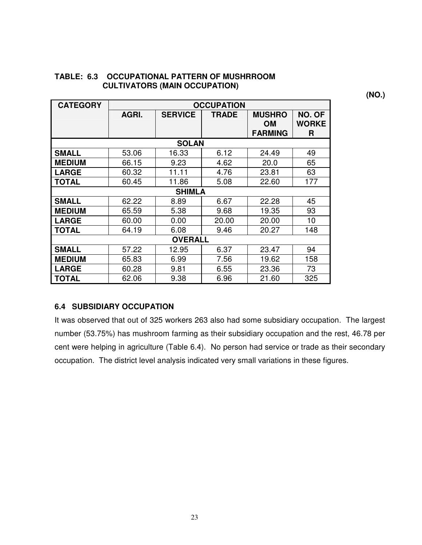| <b>CATEGORY</b> | <b>OCCUPATION</b> |                |       |                                              |                             |
|-----------------|-------------------|----------------|-------|----------------------------------------------|-----------------------------|
|                 | AGRI.             | <b>SERVICE</b> | TRADE | <b>MUSHRO</b><br><b>OM</b><br><b>FARMING</b> | NO. OF<br><b>WORKE</b><br>R |
|                 |                   | <b>SOLAN</b>   |       |                                              |                             |
| <b>SMALL</b>    | 53.06             | 16.33          | 6.12  | 24.49                                        | 49                          |
| <b>MEDIUM</b>   | 66.15             | 9.23           | 4.62  | 20.0                                         | 65                          |
| <b>LARGE</b>    | 60.32             | 11.11          | 4.76  | 23.81                                        | 63                          |
| <b>TOTAL</b>    | 60.45             | 11.86          | 5.08  | 22.60                                        | 177                         |
| <b>SHIMLA</b>   |                   |                |       |                                              |                             |
| <b>SMALL</b>    | 62.22             | 8.89           | 6.67  | 22.28                                        | 45                          |
| <b>MEDIUM</b>   | 65.59             | 5.38           | 9.68  | 19.35                                        | 93                          |
| <b>LARGE</b>    | 60.00             | 0.00           | 20.00 | 20.00                                        | 10                          |
| <b>TOTAL</b>    | 64.19             | 6.08           | 9.46  | 20.27                                        | 148                         |
|                 |                   | <b>OVERALL</b> |       |                                              |                             |
| <b>SMALL</b>    | 57.22             | 12.95          | 6.37  | 23.47                                        | 94                          |
| <b>MEDIUM</b>   | 65.83             | 6.99           | 7.56  | 19.62                                        | 158                         |
| <b>LARGE</b>    | 60.28             | 9.81           | 6.55  | 23.36                                        | 73                          |
| <b>TOTAL</b>    | 62.06             | 9.38           | 6.96  | 21.60                                        | 325                         |

### **TABLE: 6.3 OCCUPATIONAL PATTERN OF MUSHRROOM CULTIVATORS (MAIN OCCUPATION)**

## **6.4 SUBSIDIARY OCCUPATION**

It was observed that out of 325 workers 263 also had some subsidiary occupation. The largest number (53.75%) has mushroom farming as their subsidiary occupation and the rest, 46.78 per cent were helping in agriculture (Table 6.4). No person had service or trade as their secondary occupation. The district level analysis indicated very small variations in these figures.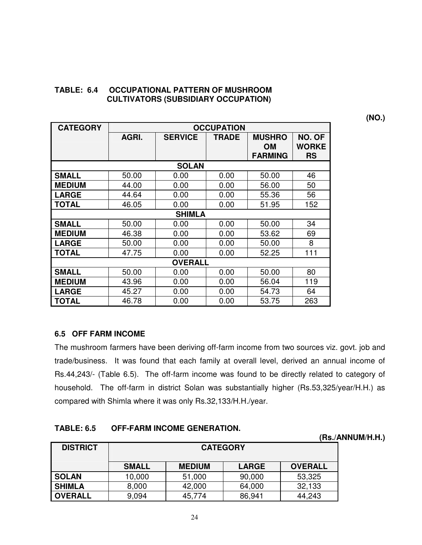### **TABLE: 6.4 OCCUPATIONAL PATTERN OF MUSHROOM CULTIVATORS (SUBSIDIARY OCCUPATION)**

**(NO.)** 

| <b>CATEGORY</b> |       |                | <b>OCCUPATION</b> |                |              |  |
|-----------------|-------|----------------|-------------------|----------------|--------------|--|
|                 | AGRI. | <b>SERVICE</b> | <b>TRADE</b>      | <b>MUSHRO</b>  | NO. OF       |  |
|                 |       |                |                   | OМ             | <b>WORKE</b> |  |
|                 |       |                |                   | <b>FARMING</b> | <b>RS</b>    |  |
|                 |       | <b>SOLAN</b>   |                   |                |              |  |
| <b>SMALL</b>    | 50.00 | 0.00           | 0.00              | 50.00          | 46           |  |
| <b>MEDIUM</b>   | 44.00 | 0.00           | 0.00              | 56.00          | 50           |  |
| <b>LARGE</b>    | 44.64 | 0.00           | 0.00              | 55.36          | 56           |  |
| <b>TOTAL</b>    | 46.05 | 0.00           | 0.00              | 51.95          | 152          |  |
|                 |       | <b>SHIMLA</b>  |                   |                |              |  |
| <b>SMALL</b>    | 50.00 | 0.00           | 0.00              | 50.00          | 34           |  |
| <b>MEDIUM</b>   | 46.38 | 0.00           | 0.00              | 53.62          | 69           |  |
| <b>LARGE</b>    | 50.00 | 0.00           | 0.00              | 50.00          | 8            |  |
| <b>TOTAL</b>    | 47.75 | 0.00           | 0.00              | 52.25          | 111          |  |
| <b>OVERALL</b>  |       |                |                   |                |              |  |
| <b>SMALL</b>    | 50.00 | 0.00           | 0.00              | 50.00          | 80           |  |
| <b>MEDIUM</b>   | 43.96 | 0.00           | 0.00              | 56.04          | 119          |  |
| <b>LARGE</b>    | 45.27 | 0.00           | 0.00              | 54.73          | 64           |  |
| <b>TOTAL</b>    | 46.78 | 0.00           | 0.00              | 53.75          | 263          |  |

## **6.5 OFF FARM INCOME**

The mushroom farmers have been deriving off-farm income from two sources viz. govt. job and trade/business. It was found that each family at overall level, derived an annual income of Rs.44,243/- (Table 6.5). The off-farm income was found to be directly related to category of household. The off-farm in district Solan was substantially higher (Rs.53,325/year/H.H.) as compared with Shimla where it was only Rs.32,133/H.H./year.

## **TABLE: 6.5 OFF-FARM INCOME GENERATION.**

| .               | 9. ARRI 111991116 SEREIGHTUS |                 |              |                |                  |  |
|-----------------|------------------------------|-----------------|--------------|----------------|------------------|--|
|                 |                              |                 |              |                | (Rs./ANNUM/H.H.) |  |
| <b>DISTRICT</b> |                              | <b>CATEGORY</b> |              |                |                  |  |
|                 |                              |                 |              |                |                  |  |
|                 | <b>SMALL</b>                 | <b>MEDIUM</b>   | <b>LARGE</b> | <b>OVERALL</b> |                  |  |
| <b>SOLAN</b>    | 10,000                       | 51,000          | 90,000       | 53,325         |                  |  |
| <b>SHIMLA</b>   | 8,000                        | 42,000          | 64,000       | 32,133         |                  |  |
| <b>OVERALL</b>  | 9.094                        | 45,774          | 86,941       | 44,243         |                  |  |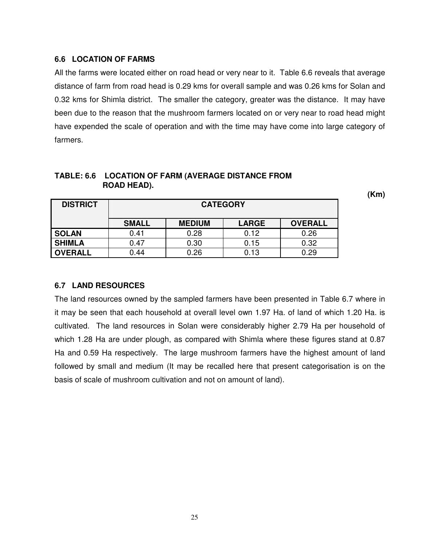### **6.6 LOCATION OF FARMS**

All the farms were located either on road head or very near to it. Table 6.6 reveals that average distance of farm from road head is 0.29 kms for overall sample and was 0.26 kms for Solan and 0.32 kms for Shimla district. The smaller the category, greater was the distance. It may have been due to the reason that the mushroom farmers located on or very near to road head might have expended the scale of operation and with the time may have come into large category of farmers.

| <b>DISTRICT</b> | <b>CATEGORY</b> |               |              |                |
|-----------------|-----------------|---------------|--------------|----------------|
|                 | <b>SMALL</b>    | <b>MEDIUM</b> | <b>LARGE</b> | <b>OVERALL</b> |
| <b>SOLAN</b>    | 0.41            | 0.28          | 0.12         | 0.26           |
| <b>SHIMLA</b>   | 0.47            | 0.30          | 0.15         | 0.32           |
| <b>OVERALL</b>  | 0.44            | 0.26          | 0.13         | 0.29           |

### **TABLE: 6.6 LOCATION OF FARM (AVERAGE DISTANCE FROM ROAD HEAD).**

## **6.7 LAND RESOURCES**

The land resources owned by the sampled farmers have been presented in Table 6.7 where in it may be seen that each household at overall level own 1.97 Ha. of land of which 1.20 Ha. is cultivated. The land resources in Solan were considerably higher 2.79 Ha per household of which 1.28 Ha are under plough, as compared with Shimla where these figures stand at 0.87 Ha and 0.59 Ha respectively. The large mushroom farmers have the highest amount of land followed by small and medium (It may be recalled here that present categorisation is on the basis of scale of mushroom cultivation and not on amount of land).

25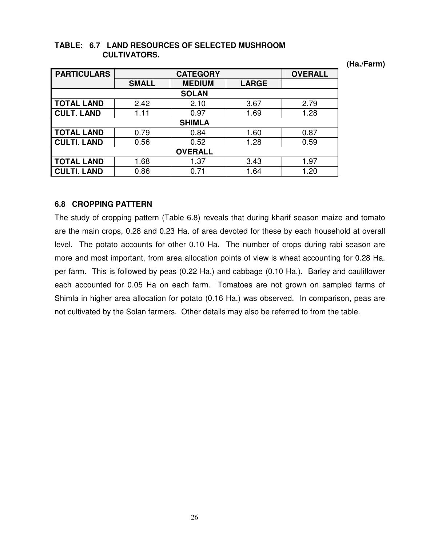| <b>PARTICULARS</b> | <b>CATEGORY</b> |               |              | <b>OVERALL</b> |  |  |
|--------------------|-----------------|---------------|--------------|----------------|--|--|
|                    | <b>SMALL</b>    | <b>MEDIUM</b> | <b>LARGE</b> |                |  |  |
|                    |                 | <b>SOLAN</b>  |              |                |  |  |
| <b>TOTAL LAND</b>  | 2.42            | 2.10          | 3.67         | 2.79           |  |  |
| <b>CULT. LAND</b>  | 1.11            | 0.97          | 1.69         | 1.28           |  |  |
|                    |                 | <b>SHIMLA</b> |              |                |  |  |
| <b>TOTAL LAND</b>  | 0.79            | 0.84          | 1.60         | 0.87           |  |  |
| <b>CULTI. LAND</b> | 0.56            | 0.52          | 1.28         | 0.59           |  |  |
| <b>OVERALL</b>     |                 |               |              |                |  |  |
| <b>TOTAL LAND</b>  | 1.68            | 1.37          | 3.43         | 1.97           |  |  |
| . LAND             | 0.86            | 0.71          | 1.64         | 1.20           |  |  |

### **TABLE: 6.7 LAND RESOURCES OF SELECTED MUSHROOM CULTIVATORS.**

**(Ha./Farm)** 

## **6.8 CROPPING PATTERN**

The study of cropping pattern (Table 6.8) reveals that during kharif season maize and tomato are the main crops, 0.28 and 0.23 Ha. of area devoted for these by each household at overall level. The potato accounts for other 0.10 Ha. The number of crops during rabi season are more and most important, from area allocation points of view is wheat accounting for 0.28 Ha. per farm. This is followed by peas (0.22 Ha.) and cabbage (0.10 Ha.). Barley and cauliflower each accounted for 0.05 Ha on each farm. Tomatoes are not grown on sampled farms of Shimla in higher area allocation for potato (0.16 Ha.) was observed. In comparison, peas are not cultivated by the Solan farmers. Other details may also be referred to from the table.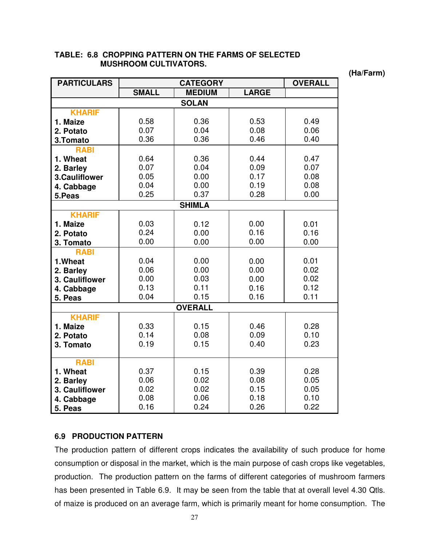| <b>PARTICULARS</b> |              | <b>CATEGORY</b> |              | <b>OVERALL</b> |
|--------------------|--------------|-----------------|--------------|----------------|
|                    | <b>SMALL</b> | <b>MEDIUM</b>   | <b>LARGE</b> |                |
|                    |              | <b>SOLAN</b>    |              |                |
| <b>KHARIF</b>      |              |                 |              |                |
| 1. Maize           | 0.58         | 0.36            | 0.53         | 0.49           |
| 2. Potato          | 0.07         | 0.04            | 0.08         | 0.06           |
| 3.Tomato           | 0.36         | 0.36            | 0.46         | 0.40           |
| <b>RABI</b>        |              |                 |              |                |
| 1. Wheat           | 0.64         | 0.36            | 0.44         | 0.47           |
| 2. Barley          | 0.07         | 0.04            | 0.09         | 0.07           |
| 3.Cauliflower      | 0.05         | 0.00            | 0.17         | 0.08           |
| 4. Cabbage         | 0.04         | 0.00            | 0.19         | 0.08           |
| 5.Peas             | 0.25         | 0.37            | 0.28         | 0.00           |
|                    |              | <b>SHIMLA</b>   |              |                |
| <b>KHARIF</b>      |              |                 |              |                |
| 1. Maize           | 0.03         | 0.12            | 0.00         | 0.01           |
| 2. Potato          | 0.24         | 0.00            | 0.16         | 0.16           |
| 3. Tomato          | 0.00         | 0.00            | 0.00         | 0.00           |
| <b>RABI</b>        |              |                 |              |                |
| 1.Wheat            | 0.04         | 0.00            | 0.00         | 0.01           |
| 2. Barley          | 0.06         | 0.00            | 0.00         | 0.02           |
| 3. Cauliflower     | 0.00         | 0.03            | 0.00         | 0.02           |
| 4. Cabbage         | 0.13         | 0.11            | 0.16         | 0.12           |
| 5. Peas            | 0.04         | 0.15            | 0.16         | 0.11           |
|                    |              | <b>OVERALL</b>  |              |                |
| <b>KHARIF</b>      |              |                 |              |                |
| 1. Maize           | 0.33         | 0.15            | 0.46         | 0.28           |
| 2. Potato          | 0.14         | 0.08            | 0.09         | 0.10           |
| 3. Tomato          | 0.19         | 0.15            | 0.40         | 0.23           |
|                    |              |                 |              |                |
| <b>RABI</b>        |              |                 |              |                |
| 1. Wheat           | 0.37         | 0.15            | 0.39         | 0.28           |
| 2. Barley          | 0.06         | 0.02            | 0.08         | 0.05           |
| 3. Cauliflower     | 0.02         | 0.02            | 0.15         | 0.05           |
| 4. Cabbage         | 0.08         | 0.06            | 0.18         | 0.10           |
| 5. Peas            | 0.16         | 0.24            | 0.26         | 0.22           |

### **TABLE: 6.8 CROPPING PATTERN ON THE FARMS OF SELECTED MUSHROOM CULTIVATORS.**

**(Ha/Farm)** 

## **6.9 PRODUCTION PATTERN**

The production pattern of different crops indicates the availability of such produce for home consumption or disposal in the market, which is the main purpose of cash crops like vegetables, production. The production pattern on the farms of different categories of mushroom farmers has been presented in Table 6.9. It may be seen from the table that at overall level 4.30 Qtls. of maize is produced on an average farm, which is primarily meant for home consumption. The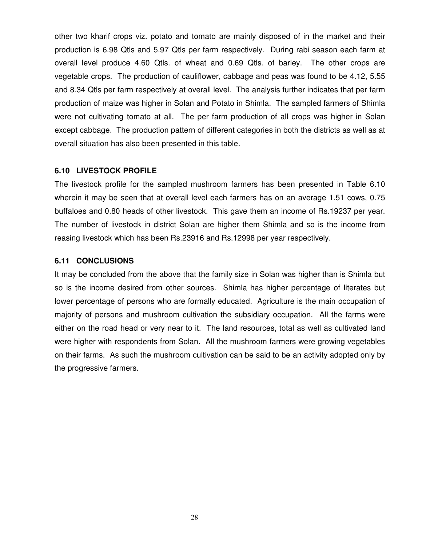other two kharif crops viz. potato and tomato are mainly disposed of in the market and their production is 6.98 Qtls and 5.97 Qtls per farm respectively. During rabi season each farm at overall level produce 4.60 Qtls. of wheat and 0.69 Qtls. of barley. The other crops are vegetable crops. The production of cauliflower, cabbage and peas was found to be 4.12, 5.55 and 8.34 Qtls per farm respectively at overall level. The analysis further indicates that per farm production of maize was higher in Solan and Potato in Shimla. The sampled farmers of Shimla were not cultivating tomato at all. The per farm production of all crops was higher in Solan except cabbage. The production pattern of different categories in both the districts as well as at overall situation has also been presented in this table.

#### **6.10 LIVESTOCK PROFILE**

The livestock profile for the sampled mushroom farmers has been presented in Table 6.10 wherein it may be seen that at overall level each farmers has on an average 1.51 cows, 0.75 buffaloes and 0.80 heads of other livestock. This gave them an income of Rs.19237 per year. The number of livestock in district Solan are higher them Shimla and so is the income from reasing livestock which has been Rs.23916 and Rs.12998 per year respectively.

#### **6.11 CONCLUSIONS**

It may be concluded from the above that the family size in Solan was higher than is Shimla but so is the income desired from other sources. Shimla has higher percentage of literates but lower percentage of persons who are formally educated. Agriculture is the main occupation of majority of persons and mushroom cultivation the subsidiary occupation. All the farms were either on the road head or very near to it. The land resources, total as well as cultivated land were higher with respondents from Solan. All the mushroom farmers were growing vegetables on their farms. As such the mushroom cultivation can be said to be an activity adopted only by the progressive farmers.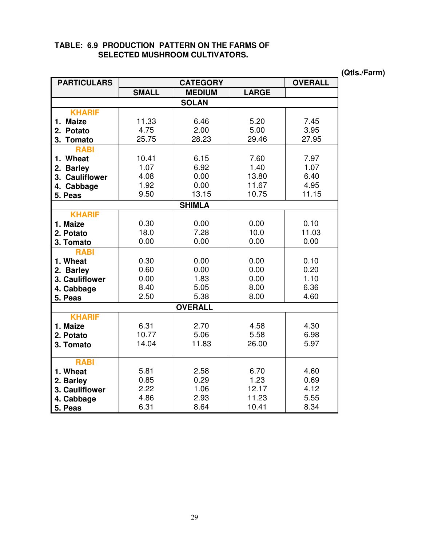|  |  | TABLE: 6.9 PRODUCTION PATTERN ON THE FARMS OF |  |  |
|--|--|-----------------------------------------------|--|--|
|  |  | <b>SELECTED MUSHROOM CULTIVATORS.</b>         |  |  |

**PARTICULARS CATEGORY OVERALL SMALL MEDIUM LARGE SOLAN KHARIF 1. Maize 2. Potato 3. Tomato** 11.33 4.75 25.75 6.46 2.00 28.23 5.20 5.00 29.46 7.45 3.95 27.95 **RABI 1. Wheat 2. Barley 3. Cauliflower 4. Cabbage 5. Peas** 10.41 1.07 4.08 1.92 9.50 6.15 6.92 0.00 0.00 13.15 7.60 1.40 13.80 11.67 10.75 7.97 1.07 6.40 4.95 11.15 **SHIMLA KHARIF 1. Maize 2. Potato 3. Tomato** 0.30 18.0 0.00 0.00 7.28 0.00 0.00 10.0 0.00 0.10 11.03 0.00 **RABI 1. Wheat 2. Barley 3. Cauliflower 4. Cabbage 5. Peas** 0.30 0.60 0.00 8.40 2.50 0.00 0.00 1.83 5.05 5.38 0.00 0.00 0.00 8.00 8.00 0.10 0.20 1.10 6.36 4.60 **OVERALL KHARIF 1. Maize 2. Potato 3. Tomato**  6.31 10.77 14.04 2.70 5.06 11.83 4.58 5.58 26.00 4.30 6.98 5.97 **RABI 1. Wheat 2. Barley 3. Cauliflower 4. Cabbage 5. Peas**  5.81 0.85 2.22 4.86 6.31 2.58 0.29 1.06 2.93 8.64 6.70 1.23 12.17 11.23 10.41 4.60 0.69 4.12 5.55 8.34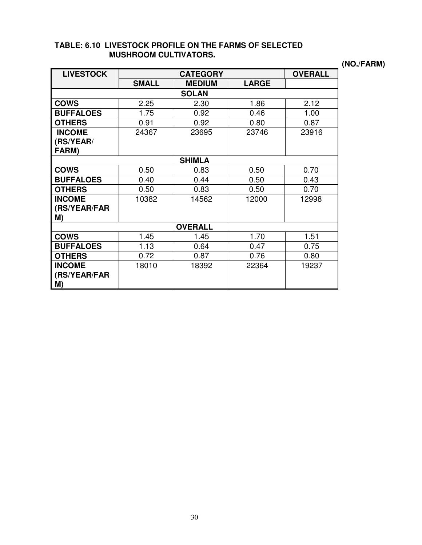## **TABLE: 6.10 LIVESTOCK PROFILE ON THE FARMS OF SELECTED MUSHROOM CULTIVATORS.**

**(NO./FARM)** 

| <b>LIVESTOCK</b>   | <b>CATEGORY</b> |               |              | <b>OVERALL</b> |  |  |
|--------------------|-----------------|---------------|--------------|----------------|--|--|
|                    | <b>SMALL</b>    | <b>MEDIUM</b> | <b>LARGE</b> |                |  |  |
|                    |                 | <b>SOLAN</b>  |              |                |  |  |
| <b>COWS</b>        | 2.25            | 2.30          | 1.86         | 2.12           |  |  |
| <b>BUFFALOES</b>   | 1.75            | 0.92          | 0.46         | 1.00           |  |  |
| <b>OTHERS</b>      | 0.91            | 0.92          | 0.80         | 0.87           |  |  |
| <b>INCOME</b>      | 24367           | 23695         | 23746        | 23916          |  |  |
| (RS/YEAR/          |                 |               |              |                |  |  |
| FARM)              |                 |               |              |                |  |  |
|                    |                 | <b>SHIMLA</b> |              |                |  |  |
| <b>COWS</b>        | 0.50            | 0.83          | 0.50         | 0.70           |  |  |
| <b>BUFFALOES</b>   | 0.40            | 0.44          | 0.50         | 0.43           |  |  |
| <b>OTHERS</b>      | 0.50            | 0.83          | 0.50         | 0.70           |  |  |
| <b>INCOME</b>      | 10382           | 14562         | 12000        | 12998          |  |  |
| (RS/YEAR/FAR       |                 |               |              |                |  |  |
| M)                 |                 |               |              |                |  |  |
| <b>OVERALL</b>     |                 |               |              |                |  |  |
| <b>COWS</b>        | 1.45            | 1.45          | 1.70         | 1.51           |  |  |
| <b>BUFFALOES</b>   | 1.13            | 0.64          | 0.47         | 0.75           |  |  |
| <b>OTHERS</b>      | 0.72            | 0.87          | 0.76         | 0.80           |  |  |
| <b>INCOME</b>      | 18010           | 18392         | 22364        | 19237          |  |  |
| (RS/YEAR/FAR<br>M) |                 |               |              |                |  |  |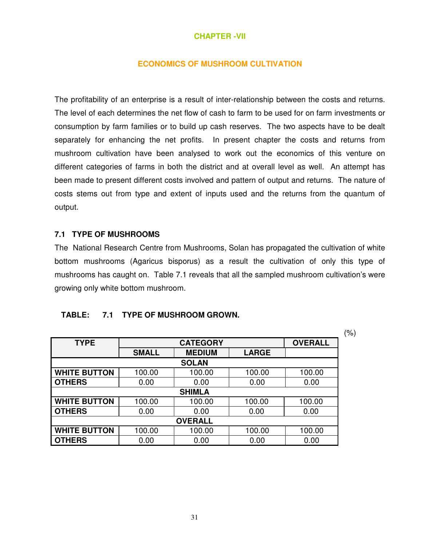#### **CHAPTER -VII**

#### **ECONOMICS OF MUSHROOM CULTIVATION**

The profitability of an enterprise is a result of inter-relationship between the costs and returns. The level of each determines the net flow of cash to farm to be used for on farm investments or consumption by farm families or to build up cash reserves. The two aspects have to be dealt separately for enhancing the net profits. In present chapter the costs and returns from mushroom cultivation have been analysed to work out the economics of this venture on different categories of farms in both the district and at overall level as well. An attempt has been made to present different costs involved and pattern of output and returns. The nature of costs stems out from type and extent of inputs used and the returns from the quantum of output.

#### **7.1 TYPE OF MUSHROOMS**

The National Research Centre from Mushrooms, Solan has propagated the cultivation of white bottom mushrooms (Agaricus bisporus) as a result the cultivation of only this type of mushrooms has caught on. Table 7.1 reveals that all the sampled mushroom cultivation's were growing only white bottom mushroom.

### **TABLE: 7.1 TYPE OF MUSHROOM GROWN.**

|                     |              |                 |              |                | (%) |
|---------------------|--------------|-----------------|--------------|----------------|-----|
| <b>TYPE</b>         |              | <b>CATEGORY</b> |              | <b>OVERALL</b> |     |
|                     | <b>SMALL</b> | <b>MEDIUM</b>   | <b>LARGE</b> |                |     |
|                     |              | <b>SOLAN</b>    |              |                |     |
| <b>WHITE BUTTON</b> | 100.00       | 100.00          | 100.00       | 100.00         |     |
| <b>OTHERS</b>       | 0.00         | 0.00            | 0.00         | 0.00           |     |
|                     |              | <b>SHIMLA</b>   |              |                |     |
| <b>WHITE BUTTON</b> | 100.00       | 100.00          | 100.00       | 100.00         |     |
| <b>OTHERS</b>       | 0.00         | 0.00            | 0.00         | 0.00           |     |
| <b>OVERALL</b>      |              |                 |              |                |     |
| <b>WHITE BUTTON</b> | 100.00       | 100.00          | 100.00       | 100.00         |     |
| <b>OTHERS</b>       | 0.00         | 0.00            | 0.00         | 0.00           |     |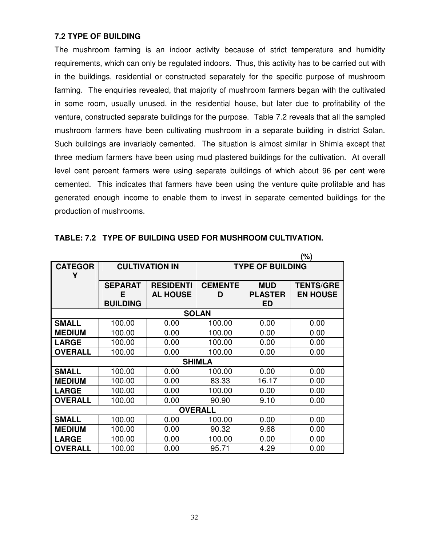### **7.2 TYPE OF BUILDING**

The mushroom farming is an indoor activity because of strict temperature and humidity requirements, which can only be regulated indoors. Thus, this activity has to be carried out with in the buildings, residential or constructed separately for the specific purpose of mushroom farming. The enquiries revealed, that majority of mushroom farmers began with the cultivated in some room, usually unused, in the residential house, but later due to profitability of the venture, constructed separate buildings for the purpose. Table 7.2 reveals that all the sampled mushroom farmers have been cultivating mushroom in a separate building in district Solan. Such buildings are invariably cemented. The situation is almost similar in Shimla except that three medium farmers have been using mud plastered buildings for the cultivation. At overall level cent percent farmers were using separate buildings of which about 96 per cent were cemented. This indicates that farmers have been using the venture quite profitable and has generated enough income to enable them to invest in separate cemented buildings for the production of mushrooms.

|                |                 |                       |                |                         | (%)              |  |
|----------------|-----------------|-----------------------|----------------|-------------------------|------------------|--|
| <b>CATEGOR</b> |                 | <b>CULTIVATION IN</b> |                | <b>TYPE OF BUILDING</b> |                  |  |
| Υ              |                 |                       |                |                         |                  |  |
|                | <b>SEPARAT</b>  | <b>RESIDENTI</b>      | <b>CEMENTE</b> | <b>MUD</b>              | <b>TENTS/GRE</b> |  |
|                | Е               | <b>AL HOUSE</b>       | D              | <b>PLASTER</b>          | <b>EN HOUSE</b>  |  |
|                | <b>BUILDING</b> |                       |                | ED                      |                  |  |
|                |                 |                       | <b>SOLAN</b>   |                         |                  |  |
| <b>SMALL</b>   | 100.00          | 0.00                  | 100.00         | 0.00                    | 0.00             |  |
| <b>MEDIUM</b>  | 100.00          | 0.00                  | 100.00         | 0.00                    | 0.00             |  |
| <b>LARGE</b>   | 100.00          | 0.00                  | 100.00         | 0.00                    | 0.00             |  |
| <b>OVERALL</b> | 100.00          | 0.00                  | 100.00         | 0.00                    | 0.00             |  |
|                |                 |                       | <b>SHIMLA</b>  |                         |                  |  |
| <b>SMALL</b>   | 100.00          | 0.00                  | 100.00         | 0.00                    | 0.00             |  |
| <b>MEDIUM</b>  | 100.00          | 0.00                  | 83.33          | 16.17                   | 0.00             |  |
| <b>LARGE</b>   | 100.00          | 0.00                  | 100.00         | 0.00                    | 0.00             |  |
| <b>OVERALL</b> | 100.00          | 0.00                  | 90.90          | 9.10                    | 0.00             |  |
| <b>OVERALL</b> |                 |                       |                |                         |                  |  |
| <b>SMALL</b>   | 100.00          | 0.00                  | 100.00         | 0.00                    | 0.00             |  |
| <b>MEDIUM</b>  | 100.00          | 0.00                  | 90.32          | 9.68                    | 0.00             |  |
| <b>LARGE</b>   | 100.00          | 0.00                  | 100.00         | 0.00                    | 0.00             |  |
| <b>OVERALL</b> | 100.00          | 0.00                  | 95.71          | 4.29                    | 0.00             |  |

|  | TABLE: 7.2 TYPE OF BUILDING USED FOR MUSHROOM CULTIVATION. |
|--|------------------------------------------------------------|
|--|------------------------------------------------------------|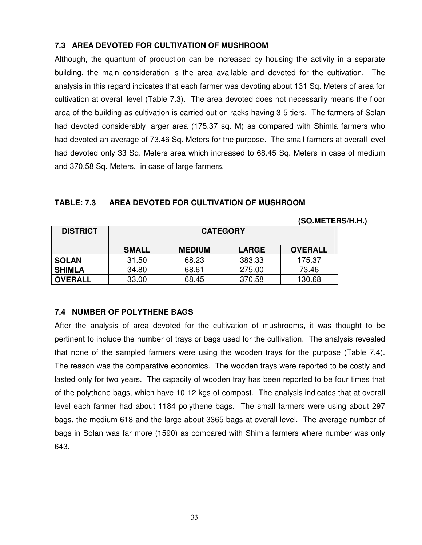## **7.3 AREA DEVOTED FOR CULTIVATION OF MUSHROOM**

Although, the quantum of production can be increased by housing the activity in a separate building, the main consideration is the area available and devoted for the cultivation. The analysis in this regard indicates that each farmer was devoting about 131 Sq. Meters of area for cultivation at overall level (Table 7.3). The area devoted does not necessarily means the floor area of the building as cultivation is carried out on racks having 3-5 tiers. The farmers of Solan had devoted considerably larger area (175.37 sq. M) as compared with Shimla farmers who had devoted an average of 73.46 Sq. Meters for the purpose. The small farmers at overall level had devoted only 33 Sq. Meters area which increased to 68.45 Sq. Meters in case of medium and 370.58 Sq. Meters, in case of large farmers.

|                 |                 |               |              | (SQ.METERS/H.H.) |  |  |
|-----------------|-----------------|---------------|--------------|------------------|--|--|
| <b>DISTRICT</b> | <b>CATEGORY</b> |               |              |                  |  |  |
|                 | <b>SMALL</b>    | <b>MEDIUM</b> | <b>LARGE</b> | <b>OVERALL</b>   |  |  |
| <b>SOLAN</b>    | 31.50           | 68.23         | 383.33       | 175.37           |  |  |
| <b>SHIMLA</b>   | 34.80           | 68.61         | 275.00       | 73.46            |  |  |
| <b>OVERALL</b>  | 33.00           | 68.45         | 370.58       | 130.68           |  |  |

### **TABLE: 7.3 AREA DEVOTED FOR CULTIVATION OF MUSHROOM**

## **7.4 NUMBER OF POLYTHENE BAGS**

After the analysis of area devoted for the cultivation of mushrooms, it was thought to be pertinent to include the number of trays or bags used for the cultivation. The analysis revealed that none of the sampled farmers were using the wooden trays for the purpose (Table 7.4). The reason was the comparative economics. The wooden trays were reported to be costly and lasted only for two years. The capacity of wooden tray has been reported to be four times that of the polythene bags, which have 10-12 kgs of compost. The analysis indicates that at overall level each farmer had about 1184 polythene bags. The small farmers were using about 297 bags, the medium 618 and the large about 3365 bags at overall level. The average number of bags in Solan was far more (1590) as compared with Shimla farmers where number was only 643.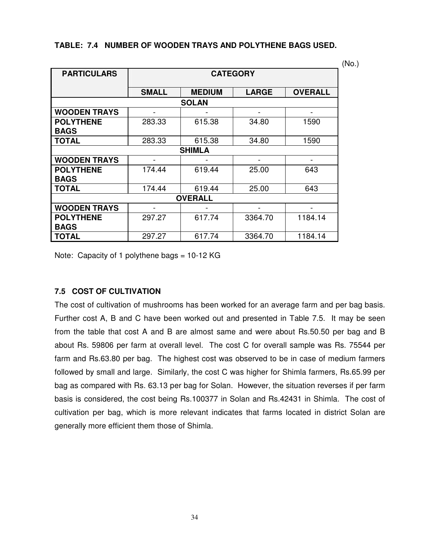| <b>PARTICULARS</b>  | <b>CATEGORY</b> |               |                          |                |  |  |
|---------------------|-----------------|---------------|--------------------------|----------------|--|--|
|                     |                 |               |                          |                |  |  |
|                     | <b>SMALL</b>    | <b>MEDIUM</b> | <b>LARGE</b>             | <b>OVERALL</b> |  |  |
|                     |                 | <b>SOLAN</b>  |                          |                |  |  |
| <b>WOODEN TRAYS</b> | -               |               |                          |                |  |  |
| <b>POLYTHENE</b>    | 283.33          | 615.38        | 34.80                    | 1590           |  |  |
| <b>BAGS</b>         |                 |               |                          |                |  |  |
| <b>TOTAL</b>        | 283.33          | 615.38        | 34.80                    | 1590           |  |  |
|                     |                 | <b>SHIMLA</b> |                          |                |  |  |
| <b>WOODEN TRAYS</b> | -               |               | $\overline{\phantom{a}}$ | -              |  |  |
| <b>POLYTHENE</b>    | 174.44          | 619.44        | 25.00                    | 643            |  |  |
| <b>BAGS</b>         |                 |               |                          |                |  |  |
| <b>TOTAL</b>        | 174.44          | 619.44        | 25.00                    | 643            |  |  |
| <b>OVERALL</b>      |                 |               |                          |                |  |  |
| <b>WOODEN TRAYS</b> |                 |               |                          |                |  |  |
| <b>POLYTHENE</b>    | 297.27          | 617.74        | 3364.70                  | 1184.14        |  |  |
| <b>BAGS</b>         |                 |               |                          |                |  |  |
| <b>TOTAL</b>        | 297.27          | 617.74        | 3364.70                  | 1184.14        |  |  |

### **TABLE: 7.4 NUMBER OF WOODEN TRAYS AND POLYTHENE BAGS USED.**

(No.)

Note: Capacity of 1 polythene bags =  $10-12$  KG

## **7.5 COST OF CULTIVATION**

The cost of cultivation of mushrooms has been worked for an average farm and per bag basis. Further cost A, B and C have been worked out and presented in Table 7.5. It may be seen from the table that cost A and B are almost same and were about Rs.50.50 per bag and B about Rs. 59806 per farm at overall level. The cost C for overall sample was Rs. 75544 per farm and Rs.63.80 per bag. The highest cost was observed to be in case of medium farmers followed by small and large. Similarly, the cost C was higher for Shimla farmers, Rs.65.99 per bag as compared with Rs. 63.13 per bag for Solan. However, the situation reverses if per farm basis is considered, the cost being Rs.100377 in Solan and Rs.42431 in Shimla. The cost of cultivation per bag, which is more relevant indicates that farms located in district Solan are generally more efficient them those of Shimla.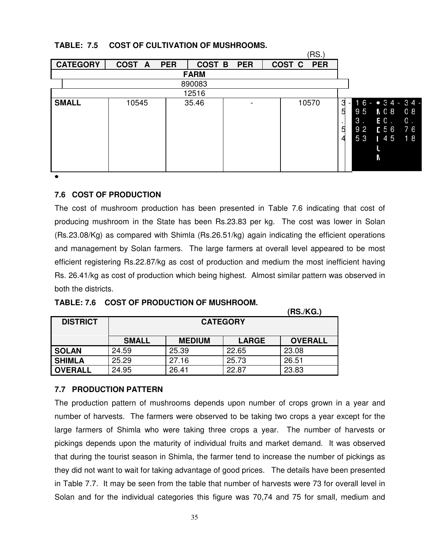## **TABLE: 7.5 COST OF CULTIVATION OF MUSHROOMS.**

|                 |                  |                      |            | (RS.                            |                                                                                                                                                                           |
|-----------------|------------------|----------------------|------------|---------------------------------|---------------------------------------------------------------------------------------------------------------------------------------------------------------------------|
| <b>CATEGORY</b> | <b>COST</b><br>A | <b>PER</b><br>COST B | <b>PER</b> | COST <sub>C</sub><br><b>PER</b> |                                                                                                                                                                           |
|                 |                  | <b>FARM</b>          |            |                                 |                                                                                                                                                                           |
|                 |                  | 890083               |            |                                 |                                                                                                                                                                           |
|                 |                  | 12516                |            |                                 |                                                                                                                                                                           |
| <b>SMALL</b>    | 10545            | 35.46                |            | 10570                           | $16 - 34 - 34 -$<br>3<br>$\overline{\phantom{a}}$<br>9 <sub>5</sub><br>8 0 A<br>5<br>08<br>3 <sub>1</sub><br>EO.<br>$0$ .<br>E56<br>92<br>76<br>5<br>53<br>145<br>18<br>Ν |

 $\bullet$ 

### **7.6 COST OF PRODUCTION**

The cost of mushroom production has been presented in Table 7.6 indicating that cost of producing mushroom in the State has been Rs.23.83 per kg. The cost was lower in Solan (Rs.23.08/Kg) as compared with Shimla (Rs.26.51/kg) again indicating the efficient operations and management by Solan farmers. The large farmers at overall level appeared to be most efficient registering Rs.22.87/kg as cost of production and medium the most inefficient having Rs. 26.41/kg as cost of production which being highest. Almost similar pattern was observed in both the districts.

|                 |              |                 |              | (RS./KG.)      |
|-----------------|--------------|-----------------|--------------|----------------|
| <b>DISTRICT</b> |              | <b>CATEGORY</b> |              |                |
|                 |              |                 |              |                |
|                 | <b>SMALL</b> | <b>MEDIUM</b>   | <b>LARGE</b> | <b>OVERALL</b> |
| <b>SOLAN</b>    | 24.59        | 25.39           | 22.65        | 23.08          |
| <b>SHIMLA</b>   | 25.29        | 27.16           | 25.73        | 26.51          |
| <b>OVERALL</b>  | 24.95        | 26.41           | 22.87        | 23.83          |

#### **TABLE: 7.6 COST OF PRODUCTION OF MUSHROOM.**

#### **7.7 PRODUCTION PATTERN**

The production pattern of mushrooms depends upon number of crops grown in a year and number of harvests. The farmers were observed to be taking two crops a year except for the large farmers of Shimla who were taking three crops a year. The number of harvests or pickings depends upon the maturity of individual fruits and market demand. It was observed that during the tourist season in Shimla, the farmer tend to increase the number of pickings as they did not want to wait for taking advantage of good prices. The details have been presented in Table 7.7. It may be seen from the table that number of harvests were 73 for overall level in Solan and for the individual categories this figure was 70,74 and 75 for small, medium and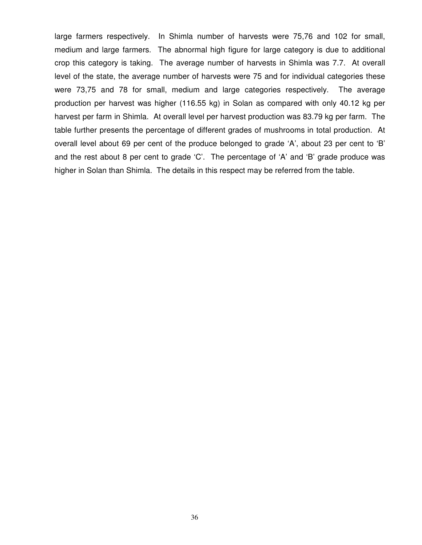large farmers respectively. In Shimla number of harvests were 75,76 and 102 for small, medium and large farmers. The abnormal high figure for large category is due to additional crop this category is taking. The average number of harvests in Shimla was 7.7. At overall level of the state, the average number of harvests were 75 and for individual categories these were 73,75 and 78 for small, medium and large categories respectively. The average production per harvest was higher (116.55 kg) in Solan as compared with only 40.12 kg per harvest per farm in Shimla. At overall level per harvest production was 83.79 kg per farm. The table further presents the percentage of different grades of mushrooms in total production. At overall level about 69 per cent of the produce belonged to grade 'A', about 23 per cent to 'B' and the rest about 8 per cent to grade 'C'. The percentage of 'A' and 'B' grade produce was higher in Solan than Shimla. The details in this respect may be referred from the table.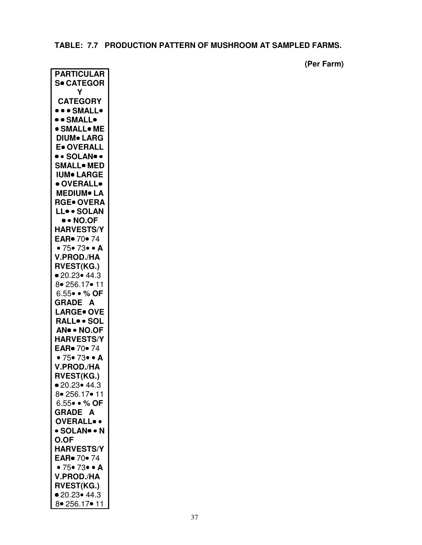# **TABLE: 7.7 PRODUCTION PATTERN OF MUSHROOM AT SAMPLED FARMS.**

 **(Per Farm)** 

| <b>PARTICULAR</b>                         |
|-------------------------------------------|
| <b>S• CATEGOR</b>                         |
| γ                                         |
| <b>CATEGORY</b>                           |
| ••• SMALL•                                |
| ••SMALL•                                  |
|                                           |
| $\bullet$ small $\bullet$ Me              |
| <b>DIUM• LARG</b>                         |
| <b>E</b> OVERALL                          |
| $\bullet \bullet$ solan $\bullet \bullet$ |
| <b>SMALL• MED</b>                         |
| IUM• LARGE                                |
| · OVERALL•                                |
| <b>MEDIUM• LA</b>                         |
| RGE• OVERA                                |
| LL• • SOLAN                               |
|                                           |
| $\bullet \bullet$ No.of                   |
| <b>HARVESTS/Y</b>                         |
| EAR. 70. 74                               |
| • 75• 73• • A                             |
| <b>V.PROD./HA</b>                         |
| <b>RVEST(KG.)</b>                         |
| • 20.23 • 44.3                            |
| 8 • 256.17 • 11                           |
| 6.55 · % OF                               |
| <b>GRADE A</b>                            |
|                                           |
| <b>LARGE• OVE</b>                         |
| RALL. SOL                                 |
| AN •• NO.OF                               |
| <b>HARVESTS/Y</b>                         |
| EAR. 70. 74                               |
| • $75 \cdot 73 \cdot 4$                   |
| <b>V.PROD./HA</b>                         |
| <b>RVEST(KG.)</b>                         |
| ● 20.23● 44.3                             |
| 8 256.17 • 11                             |
|                                           |
| $6.55 \bullet \bullet \%$ OF              |
| GRADE A                                   |
| <b>OVERALL</b> .                          |
| • SOLAN• • N                              |
| <b>O.OF</b>                               |
| <b>HARVESTS/Y</b>                         |
| EAR• 70• 74                               |
| • $75 \cdot 73 \cdot 4$                   |
|                                           |
| <b>V.PROD./HA</b>                         |
| <b>RVEST(KG.)</b>                         |
| • 20.23 • 44.3                            |
| 8• 256.17• 11                             |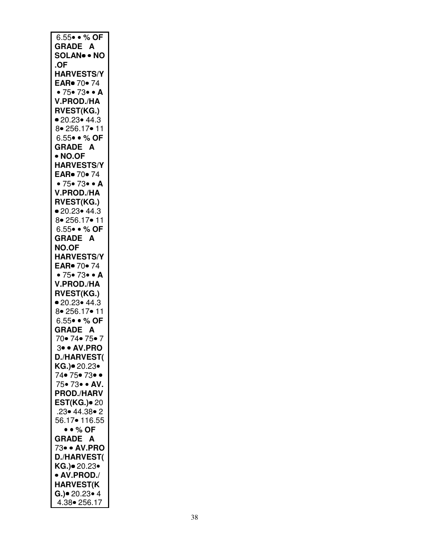| 6.55 • % OF                                       |
|---------------------------------------------------|
| <b>GRADE A</b>                                    |
|                                                   |
| <b>SOLAN NO</b>                                   |
| .OF                                               |
| <b>HARVESTS/Y</b>                                 |
| EAR. 70. 74                                       |
| • $75 \cdot 73 \cdot 4$                           |
|                                                   |
| V.PROD./HA                                        |
| <b>RVEST(KG.)</b>                                 |
| • 20.23• 44.3                                     |
| 8 256.17 • 11                                     |
| 6.55 · % OF                                       |
|                                                   |
| GRADE A                                           |
| • NO.OF                                           |
| <b>HARVESTS/Y</b>                                 |
| EAR. 70. 74                                       |
| • $75 \cdot 73 \cdot 4$                           |
|                                                   |
| V.PROD./HA                                        |
| <b>RVEST(KG.)</b>                                 |
| • 20.23• 44.3                                     |
| 8 256.17 • 11                                     |
|                                                   |
| 6.55 · % OF                                       |
| <b>GRADE A</b>                                    |
| <b>NO.OF</b>                                      |
| <b>HARVESTS/Y</b>                                 |
| EAR• 70• 74                                       |
|                                                   |
|                                                   |
| $\bullet$ 75 $\bullet$ 73 $\bullet$ $\bullet$ A   |
| V.PROD./HA                                        |
|                                                   |
| <b>RVEST(KG.)</b>                                 |
| ● 20.23● 44.3                                     |
| 8 • 256.17 • 11                                   |
| 6.55 · % OF                                       |
|                                                   |
|                                                   |
| GRADE A<br>70• 74• 75• 7                          |
| 3• • AV.PRO                                       |
| <b>D./HARVEST(</b>                                |
|                                                   |
| KG.)● 20.23 <mark>•</mark><br>74• 75• 73• •       |
| 75.73. AV.                                        |
|                                                   |
| <b>PROD./HARV</b>                                 |
| <b>EST(KG.)</b> • 20                              |
| .23• 44.38• 2                                     |
| 56.17● 116.55                                     |
| $\bullet \bullet \%$ OF                           |
|                                                   |
| <b>GRADE A</b>                                    |
| 73• • AV.PRO                                      |
| <b>D./HARVEST(</b>                                |
| KG.)● 20.23●                                      |
| • AV.PROD./                                       |
|                                                   |
| <b>HARVEST(K</b>                                  |
| $G.$ ) $\bullet$ 20.23 $\bullet$ 4<br>4.38 256.17 |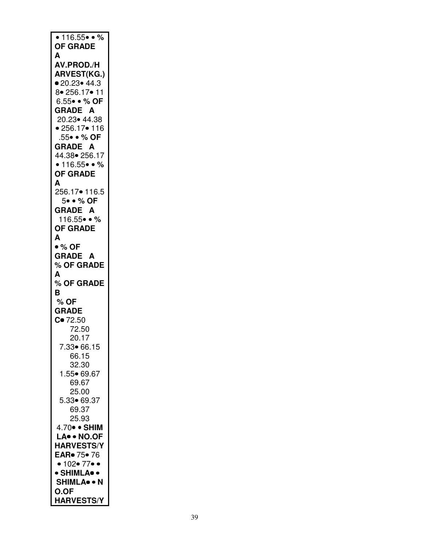| $\bullet$ 116.55 $\bullet$ $\bullet$ % |
|----------------------------------------|
| <b>OF GRADE</b>                        |
|                                        |
| А                                      |
| AV.PROD./H                             |
| <b>ARVEST(KG.)</b>                     |
| • 20.23 • 44.3                         |
| 8 • 256.17 • 11                        |
| 6.55 · % OF                            |
| <b>GRADE A</b>                         |
| 20.23 44.38                            |
| • 256.17 • 116                         |
| .55• • % OF                            |
| <b>GRADE A</b>                         |
|                                        |
| 44.38 256.17                           |
| • $116.55$ • %                         |
| <b>OF GRADE</b>                        |
| A                                      |
| 256.17• 116.5                          |
| 5. . % OF                              |
| <b>GRADE A</b>                         |
| $116.55 \bullet 0 \%$                  |
| <b>OF GRADE</b>                        |
| A                                      |
| • % OF                                 |
|                                        |
| <b>GRADE A</b>                         |
| % OF GRADE                             |
|                                        |
| A                                      |
| % OF GRADE                             |
| B                                      |
| $%$ OF                                 |
|                                        |
| <b>GRADE</b>                           |
| $C = 72.50$                            |
| 72.50                                  |
| 20.17                                  |
| 7.33• 66.15                            |
| 66.15                                  |
| 32.30                                  |
| 1.55• 69.67                            |
| 69.67                                  |
| 25.00                                  |
| 5.33• 69.37                            |
| 69.37                                  |
| 25.93                                  |
|                                        |
| 4.70 · SHIM                            |
| LA. NO.OF                              |
| <b>HARVESTS/Y</b>                      |
| EAR <sup>o</sup> 75• 76                |
| • 102• 77• •                           |
| · SHIMLA• •                            |
| <b>SHIMLA</b> . N                      |
| <b>O.OF</b>                            |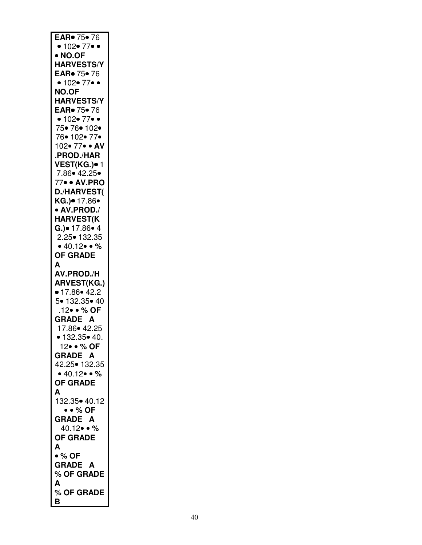| EAR <sup>o</sup> 75 <sup>o</sup> 76 |
|-------------------------------------|
| • 102• 77• •                        |
| • NO.OF                             |
| <b>HARVESTS/Y</b>                   |
|                                     |
| EAR. 75. 76                         |
| • 102• 77•                          |
| <b>NO.OF</b>                        |
|                                     |
| <b>HARVESTS/Y</b>                   |
| EAR• 75• 76                         |
| • 102 • 77 •                        |
| 75• 76• 102•                        |
|                                     |
| 76• 102• 77•                        |
| 102• 77• • AV                       |
| .PROD./HAR                          |
|                                     |
| VEST(KG.)• 1                        |
| 7.86 • 42.25                        |
| 77• • AV.PRO                        |
| <b>D./HARVEST(</b>                  |
|                                     |
| KG.)● 17.86●                        |
| • AV.PROD./                         |
| <b>HARVEST(K</b>                    |
|                                     |
| G.)• 17.86• 4                       |
| $2.25 \bullet 132.35$               |
| • $40.12$ • %                       |
| <b>OF GRADE</b>                     |
|                                     |
| A                                   |
| AV.PROD./H                          |
|                                     |
|                                     |
| <b>ARVEST(KG.)</b>                  |
| ● 17.86● 42.2                       |
|                                     |
| 5• 132.35• 40                       |
| .12• • % OF                         |
| GRADE A                             |
| 17.86 42.25                         |
|                                     |
| 132.35 • 40                         |
| 12• • % OF                          |
| <b>GRADE A</b>                      |
|                                     |
| 42.25• 132.35                       |
| • 40.12 • %                         |
| <b>OF GRADE</b>                     |
| A                                   |
|                                     |
| 132.35 • 40.12                      |
| $\bullet \bullet \%$ OF             |
|                                     |
| GRADE A                             |
| 40.12••%                            |
| <b>OF GRADE</b>                     |
| Α                                   |
|                                     |
| • % OF                              |
| <b>GRADE A</b>                      |
| % OF GRADE                          |
| Α                                   |
|                                     |
| % OF GRADE<br>В                     |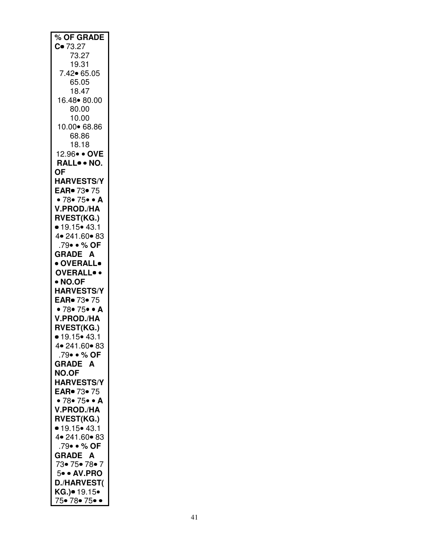| % OF GRADE                     |
|--------------------------------|
| $C = 73.27$                    |
|                                |
| 73.27                          |
| 19.31                          |
|                                |
| 7.42• 65.05                    |
| 65.05                          |
|                                |
| 18.47                          |
|                                |
| 16.48 80.00                    |
| 80.00                          |
|                                |
| 10.00                          |
| 10.00 68.86                    |
|                                |
| 68.86                          |
| 18.18                          |
|                                |
| 12.96 · OVE                    |
| RALL NO.                       |
|                                |
| ΟF                             |
| <b>HARVESTS/Y</b>              |
|                                |
| EAR. 73. 75                    |
|                                |
| • 78• 75• • A                  |
| <b>V.PROD./HA</b>              |
|                                |
| <b>RVEST(KG.)</b>              |
| • 19.15 • 43.1                 |
|                                |
| 4 • 241.60 • 83                |
| .79• • % OF                    |
|                                |
| <b>GRADE A</b>                 |
| · OVERALL•                     |
|                                |
| <b>OVERALL</b> .               |
|                                |
| • NO.OF                        |
| <b>HARVESTS/Y</b>              |
|                                |
| EAR. 73. 75                    |
| • $78 \cdot 75 \cdot 4$        |
|                                |
| V.PROD./HA                     |
| <b>RVEST(KG.)</b>              |
|                                |
| • 19.15 • 43.1                 |
|                                |
| 4 • 241.60 • 83                |
| .79• • % OF                    |
|                                |
| <b>GRADE</b><br>A              |
| <b>NO.OF</b>                   |
|                                |
| <b>HARVESTS/Y</b>              |
| EAR. 73. 75                    |
|                                |
| • $78 \cdot 75 \cdot 4$        |
| <b>V.PROD./HA</b>              |
|                                |
| <b>RVEST(KG.)</b>              |
|                                |
| $\bullet$ 19.15 $\bullet$ 43.1 |
| 4• 241.60• 83                  |
|                                |
| .79• • % OF                    |
| <b>GRADE A</b>                 |
|                                |
| 73• 75• 78• 7                  |
|                                |
| 5. AV.PRO                      |
| <b>D./HARVEST(</b>             |
|                                |
|                                |
| KG.)● 19.15●                   |
| 75• 78• 75• •                  |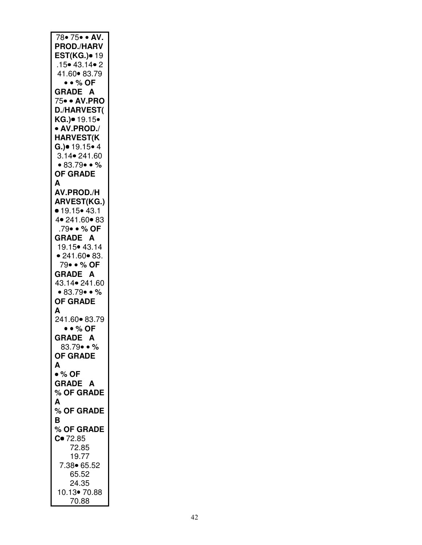| 78 = 75 · AV.             |
|---------------------------|
|                           |
| <b>PROD./HARV</b>         |
|                           |
| <b>EST(KG.)</b> • 19      |
| $.15 \cdot 43.14 \cdot 2$ |
| 41.60 83.79               |
|                           |
| • • % OF                  |
| <b>GRADE A</b>            |
|                           |
| 75• • AV.PRO              |
| <b>D./HARVEST(</b>        |
|                           |
| KG.)• 19.15•              |
| • AV.PROD./               |
|                           |
| <b>HARVEST(K</b>          |
| $G.) = 19.15 - 4$         |
|                           |
| 3.14 • 241.60             |
| • 83.79 • %               |
|                           |
| <b>OF GRADE</b>           |
| A                         |
|                           |
| AV.PROD./H                |
| <b>ARVEST(KG.)</b>        |
|                           |
| • 19.15 • 43.1            |
| 4 • 241.60 • 83           |
|                           |
| .79• • % OF               |
| <b>GRADE A</b>            |
|                           |
| 19.15 • 43.14             |
| • 241.60 • 83.            |
|                           |
| 79••% OF                  |
| <b>GRADE A</b>            |
|                           |
| 43.14 • 241.60            |
| • 83.79 • %               |
|                           |
|                           |
| <b>OF GRADE</b>           |
|                           |
| A                         |
| 241.60• 83.79             |
|                           |
| $\bullet \bullet \%$ OF   |
| <b>GRADE A</b>            |
|                           |
| 83.79••%                  |
| <b>OF GRADE</b>           |
|                           |
| A                         |
| $\bullet$ % OF            |
|                           |
| <b>GRADE A</b>            |
| % OF GRADE                |
|                           |
| A                         |
| % OF GRADE                |
|                           |
| в                         |
| % OF GRADE                |
|                           |
| $C = 72.85$               |
| 72.85                     |
|                           |
| 19.77                     |
| 7.38● 65.52               |
|                           |
| 65.52                     |
| 24.35                     |
|                           |
| 10.13• 70.88<br>70.88     |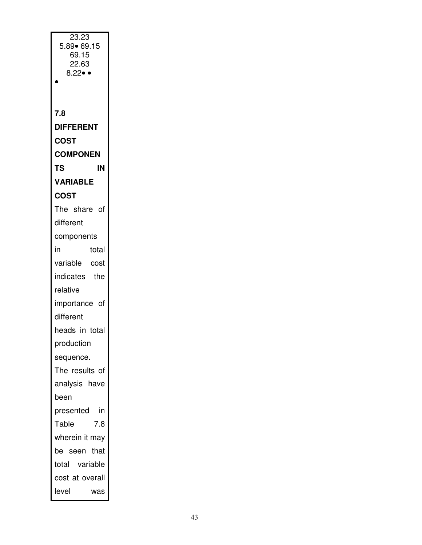| 23.23                           |
|---------------------------------|
| 5.89∙ 69.15                     |
| 69.15                           |
| 22.63<br>$8.22 \bullet \bullet$ |
|                                 |
|                                 |
| 7.8                             |
| <b>DIFFERENT</b>                |
| <b>COST</b>                     |
| <b>COMPONEN</b>                 |
| TS<br>IN                        |
| <b>VARIABLE</b>                 |
| <b>COST</b>                     |
| The share of                    |
| different                       |
| components                      |
| in<br>total                     |
| variable<br>cost                |
| indicates<br>the                |
| relative                        |
| importance of                   |
| different                       |
| heads in total                  |
| production                      |
| sequence.                       |
| The results of                  |
| analysis have                   |
| been                            |
| in<br>presented                 |
| Table<br>7.8                    |
| wherein it may                  |
| that<br>be seen                 |
| total variable                  |
| cost at overall                 |
| level<br>was                    |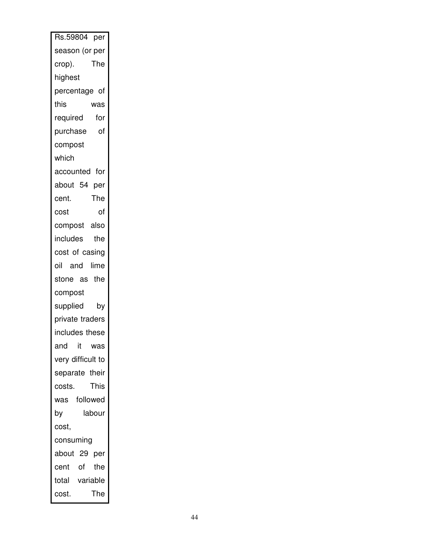| Rs.59804 per      |
|-------------------|
| season (or per    |
| The<br>crop).     |
| highest           |
| percentage of     |
| this<br>was       |
| required<br>for   |
| purchase<br>of    |
| compost           |
| which             |
| accounted for     |
| about 54 per      |
| The<br>cent.      |
| of<br>cost        |
| compost also      |
| includes<br>the   |
| cost of casing    |
| oil and lime      |
| stone as the      |
| compost           |
| supplied<br>by    |
| private traders   |
| includes these    |
| and<br>it was     |
| very difficult to |
| separate their    |
| This<br>costs.    |
| was followed      |
| labour<br>by      |
| cost,             |
| consuming         |
| about 29 per      |
| cent of the       |
| total variable    |
| The<br>cost.      |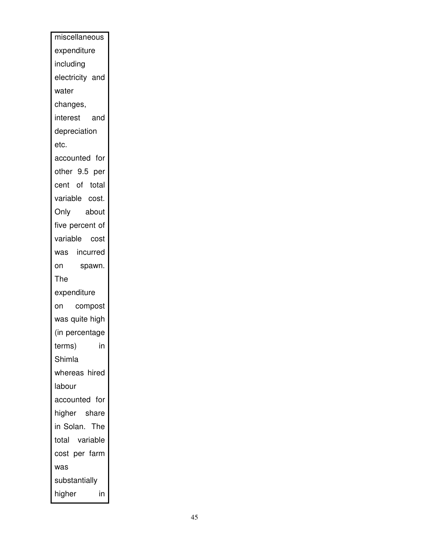| miscellaneous   |
|-----------------|
| expenditure     |
| including       |
| electricity and |
| water           |
| changes,        |
| interest<br>and |
| depreciation    |
| etc.            |
| accounted for   |
| other 9.5 per   |
| cent of total   |
| variable cost.  |
| about<br>Only   |
| five percent of |
| variable cost   |
| was incurred    |
| spawn.<br>on    |
| The             |
| expenditure     |
| compost<br>on   |
| was quite high  |
| (in percentage  |
| in<br>terms)    |
| Shimla          |
| whereas hired   |
| labour          |
| accounted for   |
| higher share    |
| in Solan. The   |
| total variable  |
| cost per farm   |
| was             |
| substantially   |
| higher<br>in    |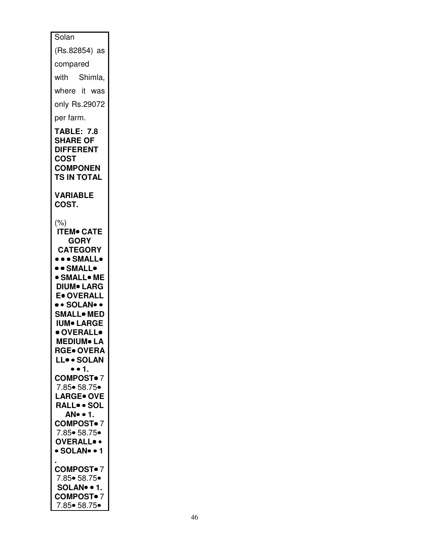| $\overline{\text{Solan}}$                                                                                                                                                                                                                                                                                 |
|-----------------------------------------------------------------------------------------------------------------------------------------------------------------------------------------------------------------------------------------------------------------------------------------------------------|
| (Rs.82854) as                                                                                                                                                                                                                                                                                             |
| compared                                                                                                                                                                                                                                                                                                  |
| with Shimla,                                                                                                                                                                                                                                                                                              |
| where it was                                                                                                                                                                                                                                                                                              |
| only Rs.29072                                                                                                                                                                                                                                                                                             |
| per farm.                                                                                                                                                                                                                                                                                                 |
| <b>TABLE: 7.8</b><br><b>SHARE OF</b><br><b>DIFFERENT</b><br>COST<br><b>COMPONEN</b><br><b>TS IN TOTAL</b>                                                                                                                                                                                                 |
| <b>VARIABLE</b><br>COST.                                                                                                                                                                                                                                                                                  |
| $(\% )$<br><b>ITEM® CATE</b><br><b>GORY</b><br><b>CATEGORY</b><br>••• SMALL•<br>·· SMALL•<br><b>• SMALL• ME</b><br><b>DIUM</b> LARG<br><b>E</b> OVERALL<br>• • SOLAN• •<br><b>SMALL</b> . MED<br><b>IUM</b> LARGE<br>· OVERALL•<br>IEDIUM● LA<br><b>RGE• OVERA</b><br>LL. SOLAN<br>$\bullet$ $\bullet$ 1. |
| <b>COMPOST</b> •7<br>7.85 • 58.75 •<br><b>LARGE</b> OVE<br>RALL SOL<br>AN • 1.<br><b>COMPOST</b> •7<br>7.85 • 58.75 •<br><b>OVERALL</b> .<br>· SOLAN• • 1                                                                                                                                                 |
| <b>COMPOST</b> •7<br>7.85 • 58.75 •<br>SOLAN. . 1.<br><b>COMPOST</b> •7<br>7.85• 58.75•                                                                                                                                                                                                                   |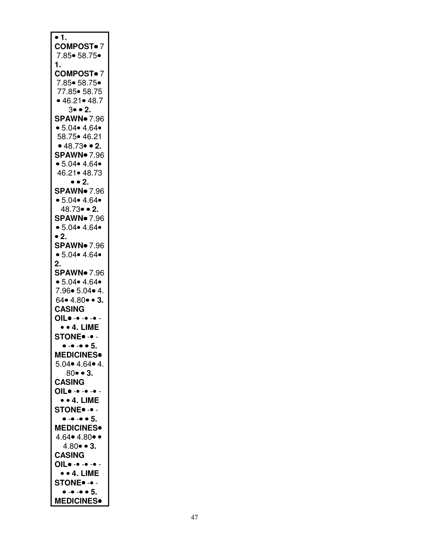| $\bullet$ 1.                                   |
|------------------------------------------------|
| <b>COMPOST</b> •7                              |
| 7.85• 58.75•                                   |
| 1.                                             |
| <b>COMPOST</b> •7                              |
| 7.85• 58.75•                                   |
| 77.85• 58.75                                   |
| • 46.21• 48.7                                  |
| $3 \bullet \bullet 2$ .<br><b>SPAWN</b> 7.96   |
| • 5.04 • 4.64 •                                |
| 58.75• 46.21                                   |
| • 48.73 • 2.                                   |
| <b>SPAWN</b> 7.96                              |
| • 5.04 • 4.64 •                                |
| 46.21• 48.73                                   |
| $\bullet$ $\bullet$ 2.                         |
| <b>SPAWN</b> 7.96                              |
| • 5.04 • 4.64 •                                |
| 48.73• • 2.                                    |
| <b>SPAWN</b> 7.96                              |
| • 5.04 • 4.64 •                                |
| • 2.                                           |
| <b>SPAWN</b> 7.96                              |
| • 5.04 • 4.64 •                                |
| 2.                                             |
| <b>SPAWN</b> 7.96                              |
| • 5.04 • 4.64 •                                |
| 7.96 • 5.04 • 4.                               |
| 64 • 4.80 • 3.                                 |
| <b>CASING</b>                                  |
| OIL                                            |
| $\bullet$ $\bullet$ 4. LIME                    |
| <b>STONE</b> - -                               |
| $\bullet$ - $\bullet$ - $\bullet$ $\bullet$ 5. |
| <b>MEDICINES</b> .                             |
| $5.04 \cdot 4.64 \cdot 4$ .                    |
| $80 - 3$ .                                     |
| <b>CASING</b>                                  |
| OIL                                            |
| $\bullet$ $\bullet$ 4. LIME                    |
| <b>STONE</b> - -                               |
| $\bullet$ - $\bullet$ - $\bullet$ $\bullet$ 5. |
| <b>MEDICINES</b>                               |
| $4.64 \cdot 4.80 \cdot \cdot$                  |
| $4.80 \cdot 3.$<br><b>CASING</b>               |
| OIL                                            |
| $\bullet$ $\bullet$ 4. LIME                    |
| <b>STONE</b> -. -                              |
| $\bullet$ - $\bullet$ - $\bullet$ $\bullet$ 5. |
| <b>MEDICINES</b> •                             |
|                                                |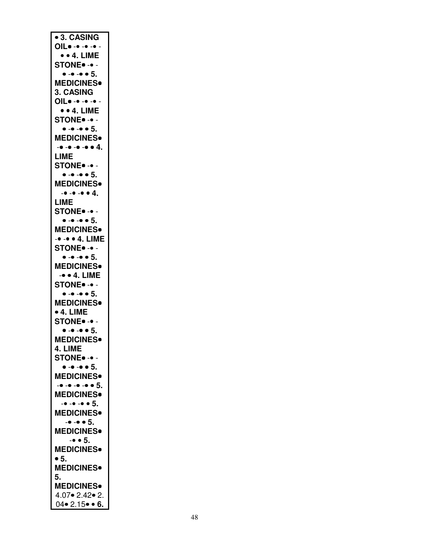| <b>• 3. CASING</b>                             |
|------------------------------------------------|
| OIL                                            |
| • • 4. LIME                                    |
| <b>STONE</b> - -                               |
| $\bullet - \bullet - \bullet 5$ .              |
|                                                |
| <b>MEDICINES</b>                               |
| 3. CASING                                      |
| OIL                                            |
| $\bullet$ $\bullet$ 4. LIME                    |
| <b>STONE</b> -. -                              |
| $\bullet$ - $\bullet$ - $\bullet$ $\bullet$ 5. |
| <b>MEDICINES</b> <sup>.</sup>                  |
|                                                |
| $-• - • - • - • 4.$                            |
| <b>LIME</b>                                    |
| <b>STONE</b> - -                               |
| $\bullet$ - $\bullet$ - $\bullet$ $\bullet$ 5. |
| <b>MEDICINES</b>                               |
| $-• - • - • 4.$                                |
|                                                |
| LIME                                           |
| STONE. -.                                      |
| $\bullet$ - $\bullet$ - $\bullet$ $\bullet$ 5. |
| <b>MEDICINES</b>                               |
|                                                |
| -• -• • 4. LIME                                |
| <b>STONE</b> -                                 |
| $\bullet$ - $\bullet$ - $\bullet$ $\bullet$ 5. |
| <b>MEDICINES</b>                               |
|                                                |
| $-• • 4.$ LIME                                 |
| <b>STONE</b> -                                 |
| $\bullet - \bullet - \bullet 5$ .              |
| <b>MEDICINES</b>                               |
| $\bullet$ 4. LIME                              |
|                                                |
| <b>STONE</b> -. -                              |
|                                                |
| $\bullet - \bullet - \bullet 5$ .              |
|                                                |
| <b>MEDICINES</b>                               |
| 4. LIME                                        |
| STONE. -.                                      |
| $\bullet$ - $\bullet$ - $\bullet$ $\bullet$ 5. |
| <b>MEDICINES</b>                               |
| $        5$ .                                  |
|                                                |
| <b>MEDICINES</b> .                             |
| $      5$ .                                    |
| <b>MEDICINES</b> .                             |
| $-• - • 5.$                                    |
|                                                |
| <b>MEDICINES</b>                               |
| $-• • 5.$                                      |
| <b>MEDICINES</b>                               |
| $\bullet$ 5.                                   |
| <b>MEDICINES</b>                               |
| 5.                                             |
|                                                |
| <b>MEDICINES•</b>                              |
| 4.07•2.42•2.<br>$04 \cdot 2.15 \cdot 6.$       |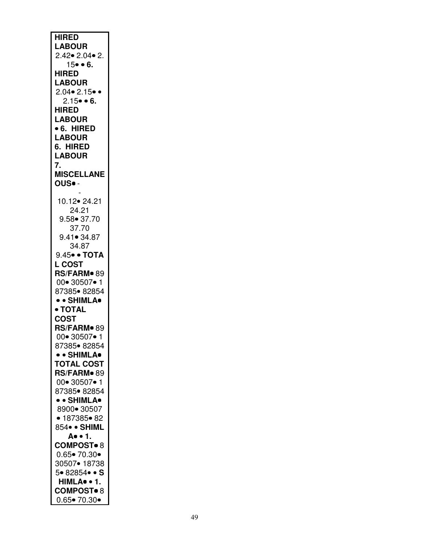| <b>HIRED</b>                                                |
|-------------------------------------------------------------|
|                                                             |
| <b>LABOUR</b>                                               |
| $2.42 \cdot 2.04 \cdot 2.$                                  |
| $15 - 6$ .                                                  |
|                                                             |
| <b>HIRED</b>                                                |
|                                                             |
| <b>LABOUR</b>                                               |
| $2.04 \cdot 2.15 \cdot \cdot$                               |
|                                                             |
| $2.15 - 6.$                                                 |
| <b>HIRED</b>                                                |
| <b>LABOUR</b>                                               |
|                                                             |
| • 6. HIRED                                                  |
| <b>LABOUR</b>                                               |
|                                                             |
| 6. HIRED                                                    |
| <b>LABOUR</b>                                               |
|                                                             |
| 7.                                                          |
| <b>MISCELLANE</b>                                           |
|                                                             |
| OUS. -                                                      |
|                                                             |
|                                                             |
| 10.12• 24.21                                                |
| 24.21                                                       |
|                                                             |
| $9.58 \bullet 37.70$                                        |
| 37.70                                                       |
|                                                             |
| 9.41• 34.87                                                 |
| 34.87                                                       |
|                                                             |
| 9.45• • ТОТА                                                |
| <b>L COST</b>                                               |
|                                                             |
| RS/FARM <sup>®</sup> 89                                     |
| 00 - 30507 - 1                                              |
|                                                             |
| 87385• 82854                                                |
| • • SHIMLA•                                                 |
|                                                             |
| • TOTAL                                                     |
| <b>COST</b>                                                 |
|                                                             |
| RS/FARM <sup>®</sup> 89                                     |
|                                                             |
|                                                             |
| 00 - 30507 - 1                                              |
| 87385• 82854                                                |
|                                                             |
| • SHIMLA•                                                   |
| <b>TOTAL COST</b>                                           |
|                                                             |
| RS/FARM•89                                                  |
| 00• 30507• 1                                                |
|                                                             |
| 87385• 82854                                                |
| • • SHIMLA•                                                 |
|                                                             |
| 8900• 30507                                                 |
| ● 187385● 82                                                |
|                                                             |
| 854• • SHIML                                                |
| A. . 1.                                                     |
|                                                             |
| <b>COMPOST</b> <sup>8</sup>                                 |
|                                                             |
| $0.65 \bullet 70.30 \bullet$                                |
| 30507• 18738                                                |
|                                                             |
| 5.82854.S                                                   |
| HIMLA. 1.                                                   |
|                                                             |
| <b>COMPOST</b> <sup>8</sup><br>$0.65 \bullet 70.30 \bullet$ |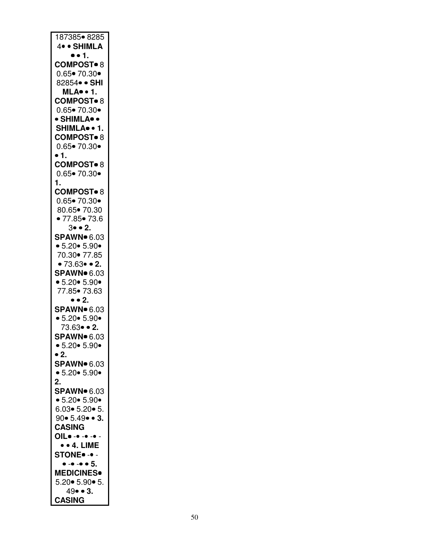| 187385• 8285                      |
|-----------------------------------|
| 4. · SHIMLA                       |
| •• 1.                             |
|                                   |
| <b>COMPOST</b> 8                  |
| $0.65 \bullet 70.30 \bullet$      |
| 82854• • SHI                      |
|                                   |
| <b>MLA</b> . 1.                   |
| <b>COMPOST</b> 8                  |
| $0.65 \bullet 70.30 \bullet$      |
|                                   |
| • SHIMLA• •                       |
| SHIMLA <sup>·</sup> 1.            |
| <b>COMPOST</b> <sup>8</sup>       |
| $0.65 \bullet 70.30 \bullet$      |
|                                   |
| • 1.                              |
| <b>COMPOST</b> <sup>8</sup>       |
| $0.65 \bullet 70.30 \bullet$      |
|                                   |
| 1.                                |
| <b>COMPOST</b> 8                  |
| $0.65 \bullet 70.30 \bullet$      |
|                                   |
| 80.65 - 70.30                     |
| • 77.85• 73.6                     |
| $3 \bullet 2.$                    |
| <b>SPAWN</b> 6.03                 |
|                                   |
| • 5.20 • 5.90 •                   |
| 70.30 - 77.85                     |
| • 73.63 $\bullet$ 2.              |
|                                   |
| <b>SPAWN</b> 6.03                 |
| • $5.20\bullet 5.90\bullet$       |
|                                   |
|                                   |
| 77.85 • 73.63                     |
| $\bullet$ $\bullet$ 2.            |
| <b>SPAWN</b> 6.03                 |
| • 5.20 • 5.90 •                   |
|                                   |
| 73.63• • 2.                       |
| <b>SPAWN</b> 6.03                 |
| • 5.20 • 5.90 •                   |
| $\bullet$ 2.                      |
|                                   |
| <b>SPAWN</b> 6.03                 |
| • 5.20 • 5.90 •                   |
| $\overline{2}$ .                  |
|                                   |
| <b>SPAWN</b> 6.03                 |
| • 5.20 • 5.90 •                   |
| $6.03 \cdot 5.20 \cdot 5.$        |
|                                   |
| $90 \cdot 5.49 \cdot 3.$          |
| <b>CASING</b>                     |
| OIL                               |
| $\bullet$ $\bullet$ 4. LIME       |
|                                   |
| STONE. -.                         |
| $\bullet - \bullet - \bullet 5$ . |
| <b>MEDICINES</b>                  |
| $5.20 \cdot 5.90 \cdot 5.$        |
|                                   |
| 49• • 3.<br><b>CASING</b>         |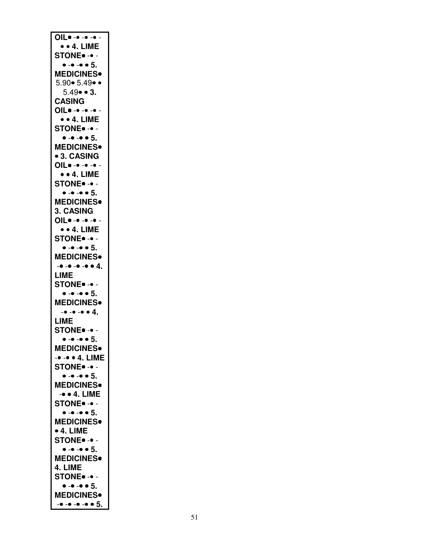| OIL<br>$\bullet$ $\bullet$ 4. LIME                                                                   |
|------------------------------------------------------------------------------------------------------|
| <b>STONE</b> - -                                                                                     |
| $\bullet$ - $\bullet$ - $\bullet$ $\bullet$ 5.<br><b>MEDICINES•</b><br>$5.90 \cdot 5.49 \cdot \cdot$ |
| $5.49 \cdot 3.$<br><b>CASING</b><br>OIL                                                              |
| $\bullet$ $\bullet$ 4. LIME<br><b>STONE</b> - -                                                      |
| $\bullet - \bullet - \bullet 5$ .<br><b>MEDICINES</b> .<br><b>• 3. CASING</b><br>OIL                 |
| $\bullet$ $\bullet$ 4. LIME<br><b>STONE</b> - -                                                      |
| $\bullet - \bullet - \bullet 5$ .<br><b>MEDICINES</b><br><b>3. CASING</b><br>OIL                     |
| $\bullet$ $\bullet$ 4. LIME<br><b>STONE</b> - -                                                      |
| $\bullet - \bullet - \bullet \bullet 5$ .<br><b>MEDICINES</b> .<br>$-• - • - • - • 4.$               |
| LIME<br><b>STONE</b> - -                                                                             |
| $\bullet$ - $\bullet$ - $\bullet$ $\bullet$ 5.<br><b>MEDICINES</b> .                                 |
| $-• - • - • 4.$<br>LIME<br><b>STONE</b> •- •-                                                        |
| $• - • - • 5$<br><b>MEDICINES</b> .<br>-• -• • 4. LIME                                               |
| <b>STONE</b> - -<br>$\bullet - \bullet - \bullet 5$ .                                                |
| <b>MEDICINES</b><br>$-• 4.$ LIME                                                                     |
| <b>STONE</b> - -<br>$\bullet - \bullet - \bullet 5$ .                                                |
| <b>MEDICINES</b> .<br>$\bullet$ 4. LIME<br><b>STONE</b> - -                                          |
| $\bullet$ - $\bullet$ - $\bullet$ $\bullet$ 5.<br><b>MEDICINES</b> .<br>4. LIME<br><b>STONE</b> - -  |
| $\bullet$ - $\bullet$ - $\bullet$ $\bullet$ 5.<br><b>MEDICINES</b> .<br>$-0 - 0 - 0 - 0 = 5$ .       |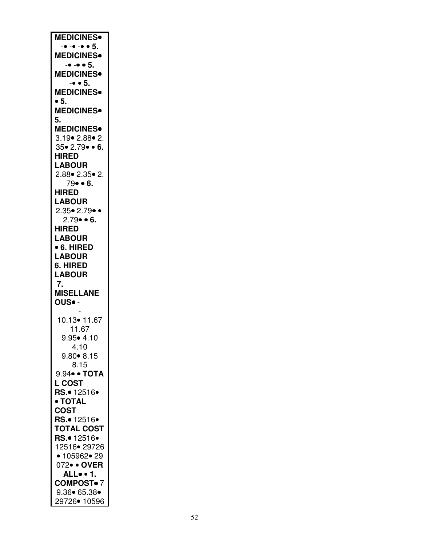| <b>MEDICINES</b>              |
|-------------------------------|
| $      5$ .                   |
| <b>MEDICINES</b>              |
| $-• - • 5.$                   |
| <b>MEDICINES</b>              |
| $-• 5.$                       |
| <b>MEDICINES</b>              |
| $\bullet$ 5.                  |
|                               |
| <b>MEDICINES</b> .            |
| 5.                            |
| <b>MEDICINES</b> .            |
| 3.19 • 2.88 • 2.              |
| 35• 2.79• • 6.                |
| <b>HIRED</b>                  |
| <b>LABOUR</b>                 |
| $2.88 \cdot 2.35 \cdot 2$ .   |
| 79• • 6.                      |
| <b>HIRED</b>                  |
| <b>LABOUR</b>                 |
| $2.35 \cdot 2.79 \cdot \cdot$ |
| $2.79 \cdot 6$ .              |
| <b>HIRED</b>                  |
| <b>LABOUR</b>                 |
| • 6. HIRED                    |
| <b>LABOUR</b>                 |
| 6. HIRED                      |
|                               |
|                               |
| <b>LABOUR</b>                 |
| 7.                            |
| <b>MISELLANE</b>              |
| OUS. -                        |
|                               |
| 10.13• 11.67                  |
| 11.67                         |
| $9.95 \cdot 4.10$             |
| 4.10                          |
| $9.80 \cdot 8.15$             |
| 8.15                          |
| 9.94• • ТОТА                  |
| <b>L COST</b>                 |
| RS.• 12516•                   |
| • TOTAL                       |
| <b>COST</b>                   |
| RS.• 12516•                   |
| <b>TOTAL COST</b>             |
| RS.• 12516•                   |
| 12516• 29726                  |
| • 105962• 29                  |
| 072• • OVER                   |
| ALL                           |
| <b>COMPOST</b> •7             |
| 9.36• 65.38•<br>29726• 10596  |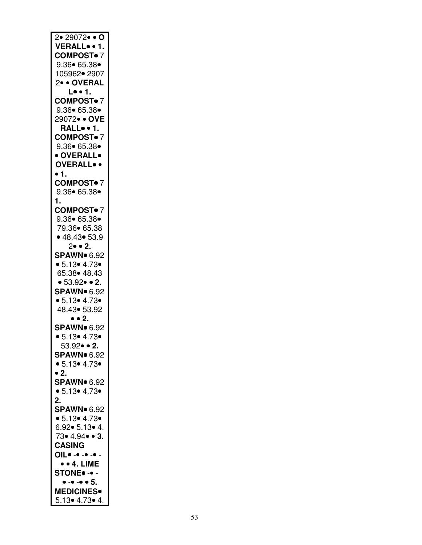| 2• 29072• • O                                   |
|-------------------------------------------------|
| VERALL 1.                                       |
|                                                 |
| <b>COMPOST</b> •7                               |
|                                                 |
| $9.36 \cdot 65.38 \cdot$                        |
| 105962• 2907                                    |
|                                                 |
| 2• • OVERAL                                     |
|                                                 |
| L••1.                                           |
|                                                 |
| <b>COMPOST</b> •7                               |
| $9.36 \cdot 65.38 \cdot$                        |
|                                                 |
| 29072• • OVE                                    |
|                                                 |
| RALL1.                                          |
|                                                 |
| <b>COMPOST</b> •7                               |
| 9.36 65.38                                      |
|                                                 |
| • OVERALL•                                      |
|                                                 |
| <b>OVERALL</b> .                                |
|                                                 |
| $\bullet$ 1.                                    |
| <b>COMPOST</b> •7                               |
|                                                 |
| $9.36 \cdot 65.38 \cdot$                        |
|                                                 |
| 1.                                              |
|                                                 |
| <b>COMPOST</b> •7                               |
| $9.36 \cdot 65.38 \cdot$                        |
|                                                 |
| 79.36• 65.38                                    |
|                                                 |
| • 48.43 • 53.9                                  |
|                                                 |
| $2\bullet \bullet 2$ .                          |
| <b>SPAWN</b> 6.92                               |
|                                                 |
| • 5.13 • 4.73 •                                 |
|                                                 |
|                                                 |
|                                                 |
| 65.38 • 48.43                                   |
| • 53.92 • 2.                                    |
|                                                 |
| <b>SPAWN</b> 6.92                               |
|                                                 |
| • 5.13 • 4.73 •                                 |
| 48.43• 53.92                                    |
|                                                 |
| • • 2.                                          |
|                                                 |
| <b>SPAWN</b> 6.92                               |
|                                                 |
| • 5.13 • 4.73 •                                 |
| $53.92 \bullet 2.$                              |
|                                                 |
| <b>SPAWN</b> 6.92                               |
|                                                 |
| • 5.13 • 4.73 •                                 |
|                                                 |
| $\bullet$ 2.                                    |
| <b>SPAWN</b> 6.92                               |
|                                                 |
| • 5.13 • 4.73 •                                 |
|                                                 |
| $\overline{2}$ .                                |
| <b>SPAWN</b> 6.92                               |
|                                                 |
| • 5.13 • 4.73 •                                 |
|                                                 |
| 6.92• 5.13• 4.                                  |
|                                                 |
| 73• 4.94• • 3.                                  |
| <b>CASING</b>                                   |
|                                                 |
| OIL                                             |
|                                                 |
| $\bullet$ $\bullet$ 4. LIME                     |
|                                                 |
| <b>STONE</b> - -                                |
|                                                 |
| $\bullet$ - $\bullet$ - $\bullet$ $\bullet$ $5$ |
| <b>MEDICINES</b> .                              |
| 5.13 • 4.73 • 4.                                |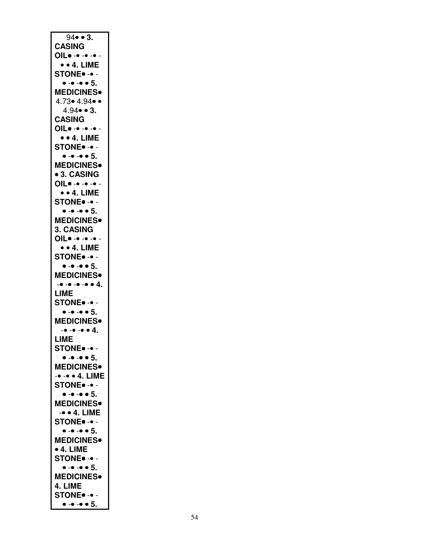| $94 \cdot 3$ .                                                |
|---------------------------------------------------------------|
| <b>CASING</b>                                                 |
|                                                               |
| OIL                                                           |
| $\bullet$ $\bullet$ 4. LIME                                   |
| <b>STONE</b> - -                                              |
|                                                               |
| $\bullet$ - $\bullet$ - $\bullet$ $\bullet$ 5.                |
| <b>MEDICINES</b>                                              |
| $4.73 \cdot 4.94 \cdot \cdot$                                 |
|                                                               |
| $4.94 \cdot 3.$                                               |
| <b>CASING</b>                                                 |
|                                                               |
| OIL                                                           |
| $\bullet$ $\bullet$ 4. LIME                                   |
| <b>STONE</b> - -                                              |
|                                                               |
| $\bullet$ - $\bullet$ - $\bullet$ $\bullet$ 5.                |
| <b>MEDICINES</b> .                                            |
|                                                               |
| <b>• 3. CASING</b>                                            |
| OIL                                                           |
| $\bullet$ $\bullet$ 4. LIME                                   |
|                                                               |
| <b>STONE</b> -. -                                             |
| $\bullet$ - $\bullet$ - $\bullet$ $\bullet$ 5.                |
| <b>MEDICINES</b>                                              |
|                                                               |
| 3. CASING                                                     |
| OIL                                                           |
|                                                               |
| $\bullet$ $\bullet$ 4. LIME                                   |
| <b>STONE</b> - -                                              |
| $\bullet$ - $\bullet$ - $\bullet$ $\bullet$ 5.                |
|                                                               |
|                                                               |
| <b>MEDICINES</b> .                                            |
|                                                               |
| $-• - • - • - • 4.$                                           |
| LIME                                                          |
|                                                               |
| <b>STONE</b> - -                                              |
| $\bullet$ - $\bullet$ - $\bullet$ $\bullet$ 5.                |
| <b>MEDICINES</b> .                                            |
|                                                               |
| $-• - • - • 4$                                                |
| LIME                                                          |
|                                                               |
| <b>STONE</b> - -                                              |
| $\bullet$ - $\bullet$ - $\bullet$ $\bullet$ $5.$              |
| <b>MEDICINES</b>                                              |
|                                                               |
| -• -• • 4. LIME                                               |
| <b>STONE</b> - -                                              |
|                                                               |
| $\bullet$ - $\bullet$ - $\bullet$ $\bullet$ 5.                |
| <b>MEDICINES</b>                                              |
| $-• 4.$ LIME                                                  |
|                                                               |
| <b>STONE® -® -</b>                                            |
| $\bullet$ - $\bullet$ - $\bullet$ $\bullet$ 5.                |
|                                                               |
| <b>MEDICINES</b>                                              |
| $\bullet$ 4. LIME                                             |
| STONE. -.                                                     |
|                                                               |
| $\bullet$ - $\bullet$ - $\bullet$ $\bullet$ 5.                |
| <b>MEDICINES</b>                                              |
| 4. LIME                                                       |
|                                                               |
| <b>STONE</b> - -<br>$\bullet - \bullet - \bullet \bullet 5$ . |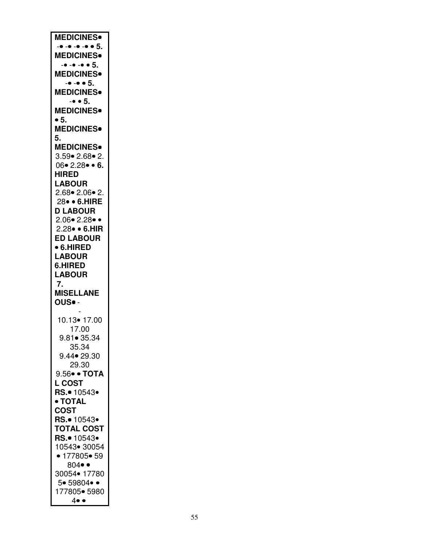| <b>MEDICINES</b>                    |
|-------------------------------------|
| $        5$ .                       |
| <b>MEDICINES</b> <sup>.</sup>       |
|                                     |
| $      5$ .                         |
| <b>MEDICINES</b>                    |
| $-• - • 5.$                         |
|                                     |
| MEDICINES <sup>®</sup>              |
| $-• • 5.$                           |
| <b>MEDICINES</b> .                  |
| $\bullet$ 5.                        |
|                                     |
| <b>MEDICINES</b> .                  |
| 5.                                  |
| <b>MEDICINES</b> .                  |
| $3.59 \cdot 2.68 \cdot 2.$          |
|                                     |
| $06 \cdot 2.28 \cdot 6.$            |
| <b>HIRED</b>                        |
| <b>LABOUR</b>                       |
| $2.68 \cdot 2.06 \cdot 2$ .         |
|                                     |
| 28 · 6.HIRE                         |
| <b>D LABOUR</b>                     |
| $2.06 \cdot 2.28 \cdot \cdot$       |
| 2.28 · 6.HIR                        |
|                                     |
| <b>ED LABOUR</b>                    |
| • 6.HIRED                           |
| <b>LABOUR</b>                       |
|                                     |
|                                     |
| 6.HIRED                             |
| <b>LABOUR</b>                       |
| 7.                                  |
|                                     |
| <b>MISELLANE</b>                    |
| OUS. -                              |
|                                     |
| 10.13 • 17.00                       |
|                                     |
| 17.00                               |
| $9.81 \bullet 35.34$                |
| 35.34                               |
| 9.44• 29.30                         |
| 29.30                               |
|                                     |
| 9.56• • ТОТА                        |
| <b>L COST</b>                       |
| RS.• 10543•                         |
| • TOTAL                             |
|                                     |
| <b>COST</b>                         |
| RS.• 10543•                         |
| <b>TOTAL COST</b>                   |
| RS.• 10543•                         |
|                                     |
| 10543• 30054                        |
| • 177805• 59                        |
| $804 \bullet \bullet$               |
| 30054• 17780                        |
| 5• 59804• •                         |
|                                     |
| 177805• 5980<br>$4 \bullet \bullet$ |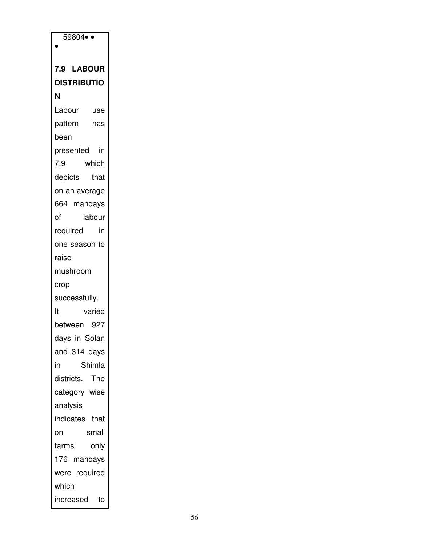| $59804 \bullet \bullet$ |  |
|-------------------------|--|
|                         |  |
| 7.9 LABOUR              |  |
| <b>DISTRIBUTIO</b>      |  |
| Ν                       |  |
| Labour<br>use           |  |
| pattern<br>has          |  |
| been                    |  |
| presented<br>in         |  |
| 7.9<br>which            |  |
| depicts<br>that         |  |
| on an average           |  |
| 664 mandays             |  |
| of<br>labour            |  |
| required<br>in          |  |
| one season to           |  |
| raise                   |  |
| mushroom                |  |
| crop                    |  |
| successfully.           |  |
| varied<br>It            |  |
| between 927             |  |
| days in Solan           |  |
| and 314 days            |  |
| Shimla<br>in            |  |
| districts. The          |  |
| category wise           |  |
| analysis                |  |
| indicates that          |  |
| small<br>on             |  |
| farms<br>only           |  |
| 176 mandays             |  |
| were required           |  |
| which                   |  |
| to<br>increased         |  |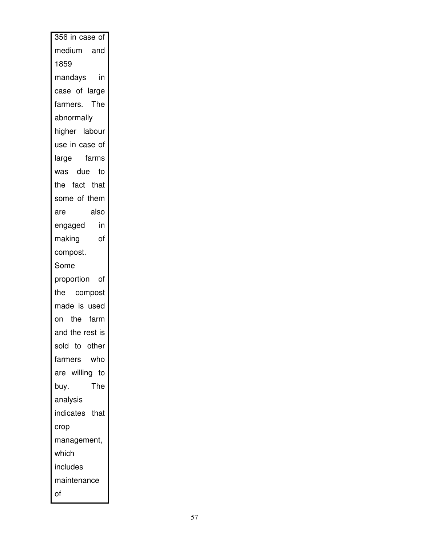| 356 in case of                        |
|---------------------------------------|
| medium and                            |
| 1859                                  |
| mandays in                            |
| case of large                         |
| farmers. The                          |
| abnormally                            |
| higher labour                         |
| use in case of                        |
| large farms                           |
| was due to                            |
| the fact that                         |
| some of them                          |
| also<br>are                           |
| engaged i <mark>n</mark><br>making of |
| making<br>of                          |
| compost.                              |
| Some                                  |
| proportion of                         |
| the compost                           |
| made is used                          |
| on the farm                           |
| and the rest is                       |
| sold to other                         |
| who<br>farmers                        |
| are willing to                        |
| The<br>buy.                           |
| analysis                              |
| indicates that                        |
| crop                                  |
| management,                           |
| which                                 |
| includes                              |
|                                       |
| maintenance                           |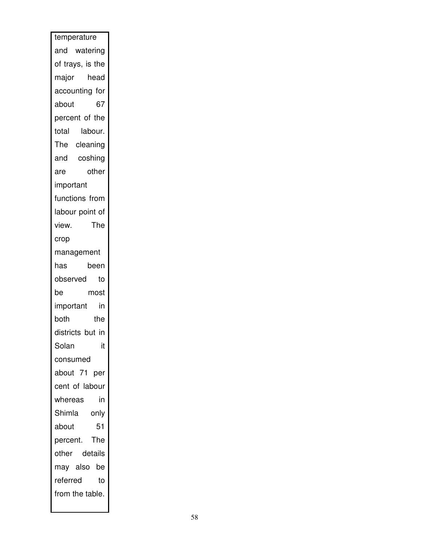| temperature      |
|------------------|
| and watering     |
| of trays, is the |
| major head       |
| accounting for   |
| 67<br>about      |
| percent of the   |
| total<br>labour. |
| The cleaning     |
| and coshing      |
| other<br>are     |
| important        |
| functions from   |
| labour point of  |
| The<br>view.     |
| crop             |
| management       |
| has<br>been      |
| observed<br>to   |
| be<br>most       |
| in<br>important  |
| both<br>the      |
| districts but in |
| Solan<br>it      |
| consumed         |
| about 71 per     |
| cent of labour   |
| whereas<br>in    |
| Shimla<br>only   |
| 51<br>about      |
| The<br>percent.  |
| other details    |
| may also be      |
| referred<br>to   |
| from the table.  |
|                  |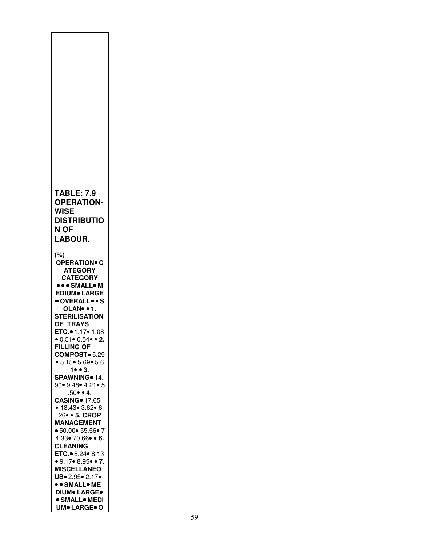| <b>TABLE: 7.9</b><br><b>OPERATION-</b><br>WISE<br><b>DISTRIBUTIO</b><br>N OF<br>LABOUR.                                                                                                                                                                                                                                                                                                                    |
|------------------------------------------------------------------------------------------------------------------------------------------------------------------------------------------------------------------------------------------------------------------------------------------------------------------------------------------------------------------------------------------------------------|
| $(\%)$<br><b>OPERATION® C</b><br><b>ATEGORY</b><br><b>CATEGORY</b><br><b>SMALL.M</b><br><b>EDIUM</b> LARGE<br>OVERALLS<br>OLAN. . 1.<br><b>STERILISATION</b><br>OF TRAYS<br>ETC. 1.17 • 1.08<br>• 0.51 • 0.54 • • 2.<br><b>FILLING OF</b><br>COMPOST <sup>®</sup> 5.29<br>• 5.15 • 5.69 • 5.6<br>$1 \bullet \bullet 3$ .                                                                                   |
| SPAWNING <sup>®</sup> 14.<br>90 • 9.48 • 4.21 • 5<br>$.50 \bullet 4.$<br><b>CASING</b> 17.65<br>• 18.43• 3.62• 6.<br>26 • 5. CROP<br><b>MANAGEMENT</b><br>● 50.00● 55.56● 7<br>$4.33 \cdot 70.66 \cdot 6$ .<br><b>CLEANING</b><br>ETC. 8.24 $\bullet$ 8.13<br>• 9.17• 8.95• • 7.<br><b>MISCELLANEO</b><br>US. 2.95. 2.17.<br>• • SMALL• ME<br><b>DIUM® LARGE®</b><br>● SMALL● MEDI<br><b>UM</b> · LARGE• O |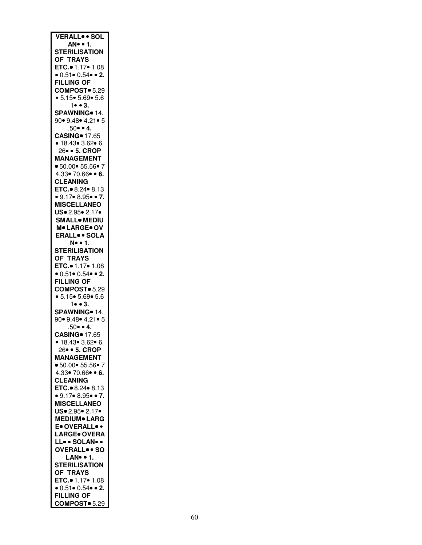| <b>VERALL SOL</b>                                      |
|--------------------------------------------------------|
|                                                        |
| AN • 1.                                                |
| <b>STERILISATION</b>                                   |
| OF TRAYS                                               |
| ETC.● 1.17● 1.08                                       |
| $\bullet$ 0.51 $\bullet$ 0.54 $\bullet$ $\bullet$ 2.   |
|                                                        |
| <b>FILLING OF</b>                                      |
| COMPOST = 5.29                                         |
| • 5.15 • 5.69 • 5.6                                    |
| 1 • 3.                                                 |
|                                                        |
| SPAWNING <sup>o</sup> 14.                              |
| 90• 9.48• 4.21• 5                                      |
| $.50 \cdot 4$ .                                        |
| <b>CASING</b> 17.65                                    |
| • 18.43• 3.62• 6.                                      |
|                                                        |
| 26 · 5. CROP                                           |
| <b>MANAGEMENT</b>                                      |
| • 50.00 • 55.56 • 7                                    |
| $4.33 \cdot 70.66 \cdot 6$ .                           |
|                                                        |
| <b>CLEANING</b>                                        |
| ETC. 8.24 8.13                                         |
| • 9.17 • 8.95 • 7.                                     |
| <b>MISCELLANEO</b>                                     |
| US. 2.95. 2.17.                                        |
|                                                        |
| <b>SMALL</b> MEDIU                                     |
| M. LARGE. OV                                           |
| <b>ERALL</b> . SOLA                                    |
|                                                        |
| N. . 1.                                                |
| <b>STERILISATION</b>                                   |
|                                                        |
| OF TRAYS<br>ETC.● 1.17● 1.08                           |
| • $0.51 \cdot 0.54 \cdot 2$ .                          |
|                                                        |
| <b>FILLING OF</b>                                      |
| COMPOST = 5.29                                         |
| • 5.15 • 5.69 • 5.6                                    |
| $1 \bullet \bullet 3.$                                 |
|                                                        |
| SPAWNING <sup>o</sup> 14.                              |
| 90• 9.48• 4.21• 5                                      |
| $.50 \bullet 4$ .                                      |
| <b>CASING</b> 17.65                                    |
|                                                        |
| ● 18.43● 3.62● 6.                                      |
| 26 · 5. CROP                                           |
| <b>MANAGEMENT</b>                                      |
| • 50.00 • 55.56 • 7                                    |
| $4.33 \cdot 70.66 \cdot 6$ .                           |
|                                                        |
| <b>CLEANING</b>                                        |
| ETC. 8.24 . 8.13                                       |
| $\bullet$ 9.17 $\bullet$ 8.95 $\bullet$ $\bullet$ 7.   |
|                                                        |
| <b>MISCELLANEO</b>                                     |
| US. 2.95. 2.17.                                        |
| <b>MEDIUM</b> LARG                                     |
| E. OVERALL                                             |
| <b>LARGE</b> OVERA                                     |
|                                                        |
| LL. SOLAN                                              |
| OVERALL <sup>.</sup> SO                                |
| LAN. . 1.                                              |
| <b>STERILISATION</b>                                   |
|                                                        |
|                                                        |
| OF TRAYS<br>ETC. • 1.17 • 1.08<br>• 0.51 • 0.54 • • 2. |
|                                                        |
| <b>FILLING OF</b>                                      |
| COMPOST <sup>o</sup> 5.29                              |
|                                                        |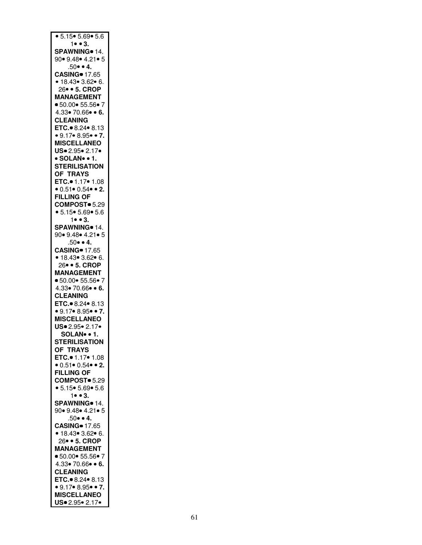| • 5.15 • 5.69 • 5.6                                   |
|-------------------------------------------------------|
| $1 \bullet \bullet 3$ .                               |
| SPAWNING <sup>o</sup> 14.                             |
|                                                       |
| 90 • 9.48 • 4.21 • 5                                  |
| $.50 \cdot 4$ .                                       |
| <b>CASING</b> 17.65                                   |
|                                                       |
| • 18.43 • 3.62 • 6.                                   |
| 26 • 5. CROP                                          |
|                                                       |
| <b>MANAGEMENT</b>                                     |
| • 50.00 • 55.56 • 7                                   |
| $4.33 \cdot 70.66 \cdot 6.$                           |
|                                                       |
| <b>CLEANING</b>                                       |
| ETC. 8.24 8.13                                        |
|                                                       |
| $\bullet$ 9.17 $\bullet$ 8.95 $\bullet$ $\bullet$ 7.  |
| <b>MISCELLANEO</b>                                    |
| US. 2.95. 2.17.                                       |
|                                                       |
| · SOLAN · 1.                                          |
| <b>STERILISATION</b>                                  |
|                                                       |
| OF TRAYS                                              |
| ETC. 01.17 01.08                                      |
|                                                       |
| $\bullet$ 0.51 $\bullet$ 0.54 $\bullet$ $\bullet$ 2.  |
| <b>FILLING OF</b>                                     |
| COMPOST <sup>®</sup> 5.29                             |
|                                                       |
| • 5.15 • 5.69 • 5.6                                   |
| $1 \bullet \bullet 3.$                                |
|                                                       |
| SPAWNING <sup>®</sup> 14.                             |
| 90 • 9.48 • 4.21 • 5                                  |
| $.50 \cdot 4$ .                                       |
|                                                       |
|                                                       |
|                                                       |
|                                                       |
| CASING = 17.65<br>• 18.43 = 3.62 = 6.<br>26 = 5. CROP |
| <b>MANAGEMENT</b>                                     |
| • 50.00 • 55.56 • 7                                   |
|                                                       |
| $4.33 \cdot 70.66 \cdot 6.$                           |
| <b>CLEANING</b>                                       |
|                                                       |
| ETC. 8.24 8.13                                        |
| • $9.17$ • $8.95$ • 7.                                |
| <b>MISCELLANEO</b>                                    |
|                                                       |
| US. 2.95. 2.17.                                       |
| SOLAN • 1.                                            |
|                                                       |
| <b>STERILISATION</b>                                  |
| OF TRAYS                                              |
|                                                       |
| ETC.● 1.17● 1.08                                      |
| • $0.51 \cdot 0.54 \cdot 2$ .                         |
| <b>FILLING OF</b>                                     |
|                                                       |
| COMPOST <sup>®</sup> 5.29                             |
| • 5.15 • 5.69 • 5.6                                   |
|                                                       |
| $1 \bullet \bullet 3$ .                               |
| SPAWNING 14.                                          |
| 90 • 9.48 • 4.21 • 5                                  |
|                                                       |
| $.50 \bullet 4.$                                      |
| <b>CASING</b> 17.65                                   |
| • 18.43• 3.62• 6.                                     |
|                                                       |
| 26 • 5. CROP                                          |
| <b>MANAGEMENT</b>                                     |
|                                                       |
| • 50.00 • 55.56 • 7                                   |
| $4.33 \cdot 70.66 \cdot 6.$                           |
| <b>CLEANING</b>                                       |
|                                                       |
| ETC. 8.24 8.13                                        |
|                                                       |
|                                                       |
| $\bullet$ 9.17 $\bullet$ 8.95 $\bullet$ $\bullet$ 7.  |
| <b>MISCELLANEO</b><br>US. 2.95. 2.17.                 |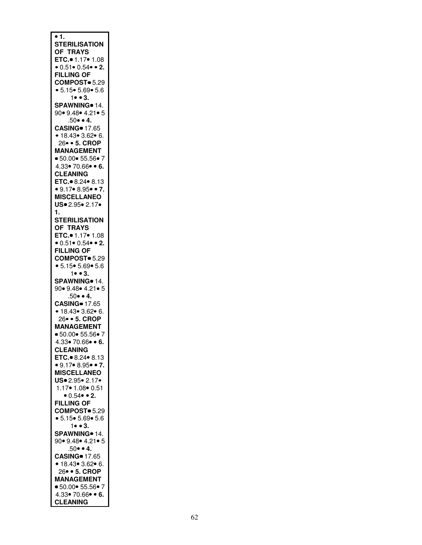| • 1.                                                  |
|-------------------------------------------------------|
|                                                       |
| <b>STERILISATION</b>                                  |
|                                                       |
| OF TRAYS                                              |
|                                                       |
| ETC.● 1.17● 1.08                                      |
|                                                       |
| • $0.51$ • $0.54$ • 2.                                |
|                                                       |
| <b>FILLING OF</b>                                     |
|                                                       |
| COMPOST = 5.29                                        |
|                                                       |
| • 5.15 • 5.69 • 5.6                                   |
|                                                       |
| 1 • • 3.                                              |
|                                                       |
| SPAWNING · 14.                                        |
|                                                       |
| 90• 9.48• 4.21• 5                                     |
|                                                       |
| $.50 \bullet 4.$                                      |
|                                                       |
| <b>CASING</b> 17.65                                   |
|                                                       |
| • 18.43 • 3.62 • 6.                                   |
|                                                       |
| 26 · 5. CROP                                          |
| <b>MANAGEMENT</b>                                     |
|                                                       |
| • 50.00 • 55.56 • 7                                   |
|                                                       |
| $4.33 \cdot 70.66 \cdot 6.$                           |
|                                                       |
| <b>CLEANING</b>                                       |
|                                                       |
| ETC. 8.24 . 8.13                                      |
|                                                       |
| $\bullet$ 9.17 $\bullet$ 8.95 $\bullet$ $\bullet$ 7.  |
|                                                       |
| <b>MISCELLANEO</b>                                    |
|                                                       |
| US. 2.95. 2.17.                                       |
|                                                       |
| 1.                                                    |
|                                                       |
| <b>STERILISATION</b>                                  |
|                                                       |
| OF TRAYS                                              |
|                                                       |
| ETC. 1.17 . 1.08                                      |
|                                                       |
|                                                       |
| $0.51 \cdot 0.54 \cdot 2$ .                           |
|                                                       |
| <b>FILLING OF</b>                                     |
|                                                       |
| COMPOST <sup>®</sup> 5.29                             |
|                                                       |
|                                                       |
|                                                       |
| • 5.15 • 5.69 • 5.6                                   |
| $1 \bullet 3.$                                        |
|                                                       |
| SPAWNING <sup>®</sup> 14.                             |
|                                                       |
| 90 • 9.48 • 4.21 • 5                                  |
|                                                       |
| $.50 \bullet 4.$                                      |
|                                                       |
| <b>CASING</b> 17.65                                   |
|                                                       |
|                                                       |
|                                                       |
| • 18.43• 3.62• 6.<br>26• • 5. CROP                    |
|                                                       |
| <b>MANAGEMENT</b>                                     |
|                                                       |
| $\bullet$ 50.00 $\bullet$ 55.56 $\bullet$ 7           |
|                                                       |
| 4.33 70.66 • 6.                                       |
|                                                       |
| <b>CLEANING</b>                                       |
|                                                       |
| ETC. 8.24 8.13                                        |
|                                                       |
| • $9.17$ • 8.95• • 7.                                 |
|                                                       |
| <b>MISCELLANEO</b>                                    |
|                                                       |
| US. 2.95. 2.17.                                       |
|                                                       |
| 1.17 • 1.08 • 0.51                                    |
|                                                       |
| $0.54$ $\bullet$ 2.                                   |
|                                                       |
| <b>FILLING OF</b>                                     |
|                                                       |
| COMPOST <sup>®</sup> 5.29                             |
|                                                       |
| • 5.15 • 5.69 • 5.6                                   |
|                                                       |
| $1 \bullet \bullet 3.$                                |
|                                                       |
| SPAWNING <sup>®</sup> 14.                             |
|                                                       |
| 90• 9.48• 4.21• 5                                     |
|                                                       |
| $.50 \bullet 4.$                                      |
|                                                       |
|                                                       |
|                                                       |
|                                                       |
|                                                       |
| CASING = 17.65<br>• 18.43 = 3.62 = 6.<br>26 = 5. CROP |
|                                                       |
| <b>MANAGEMENT</b>                                     |
|                                                       |
| • 50.00 • 55.56 • 7                                   |
|                                                       |
| $4.33 \cdot 70.66 \cdot 6.$                           |
| <b>CLEANING</b>                                       |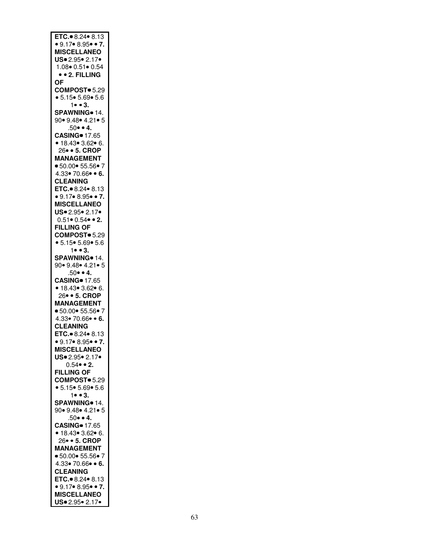| ETC. 8.24 $\bullet$ 8.13<br>$\bullet$ 9.17 $\bullet$ 8.95 $\bullet$ $\bullet$ 7. |
|----------------------------------------------------------------------------------|
| <b>MISCELLANEO</b>                                                               |
|                                                                                  |
| US. 2.95. 2.17.                                                                  |
| 1.08 0.51 0.54                                                                   |
| $\bullet$ $\bullet$ 2. FILLING                                                   |
| ΟF                                                                               |
| COMPOST <sup>®</sup> 5.29                                                        |
| • 5.15 • 5.69 • 5.6                                                              |
| $1 \bullet \bullet 3.$                                                           |
|                                                                                  |
| SPAWNING <sup>®</sup> 14.                                                        |
| 90• 9.48• 4.21• 5                                                                |
| $.50 \cdot 4$ .                                                                  |
| <b>CASING</b> 17.65                                                              |
|                                                                                  |
| • 18.43• 3.62• 6.<br>26• • 5. CROP                                               |
| <b>MANAGEMENT</b>                                                                |
|                                                                                  |
| • 50.00 • 55.56 • 7                                                              |
| $4.33 \cdot 70.66 \cdot 6.$                                                      |
| <b>CLEANING</b>                                                                  |
| ETC. $\bullet$ 8.24 $\bullet$ 8.13                                               |
| • $9.17$ • 8.95• • 7.                                                            |
|                                                                                  |
| <b>MISCELLANEO</b>                                                               |
| US. 2.95. 2.17.                                                                  |
| $0.51 \cdot 0.54 \cdot 2$ .                                                      |
| <b>FILLING OF</b>                                                                |
| COMPOST <sup>®</sup> 5.29                                                        |
|                                                                                  |
| • 5.15 • 5.69 • 5.6                                                              |
| $1 \bullet \bullet 3$ .                                                          |
| SPAWNING <sup>®</sup> 14.                                                        |
| 90• 9.48• 4.21• 5                                                                |
| $.50 \bullet 4.$                                                                 |
| <b>CASING</b> 17.65                                                              |
|                                                                                  |
| • 18.43• 3.62• 6.                                                                |
| 26● ● 5. CROP<br>MANAGEMENT                                                      |
|                                                                                  |
| • 50.00 • 55.56 • 7                                                              |
| $4.33 \cdot 70.66 \cdot 6.$                                                      |
| <b>CLEANING</b>                                                                  |
| ETC. 8.24 8.13                                                                   |
|                                                                                  |
|                                                                                  |
| ● 9.17● 8.95● ● 7.                                                               |
| <b>MISCELLANEO</b>                                                               |
| US. 2.95. 2.17.                                                                  |
|                                                                                  |
| $0.54 \cdot 2$ .                                                                 |
| <b>FILLING OF</b>                                                                |
| COMPOST <sup>®</sup> 5.29                                                        |
| • 5.15 • 5.69 • 5.6                                                              |
| $1 \bullet \bullet 3$ .                                                          |
|                                                                                  |
| SPAWNING · 14.                                                                   |
| 90 • 9.48 • 4.21 • 5                                                             |
| $.50 \bullet 4.$                                                                 |
| <b>CASING</b> 17.65                                                              |
| • 18.43• 3.62• 6.                                                                |
| 26• • 5. CROP                                                                    |
| <b>MANAGEMENT</b>                                                                |
|                                                                                  |
| ● 50.00● 55.56● 7                                                                |
| $4.33 \cdot 70.66 \cdot 6.$                                                      |
| <b>CLEANING</b>                                                                  |
| ETC. 8.24 . 8.13                                                                 |
| • 9.17 • 8.95 • 7.                                                               |
|                                                                                  |
| <b>MISCELLANEO</b><br>US. 2.95. 2.17.                                            |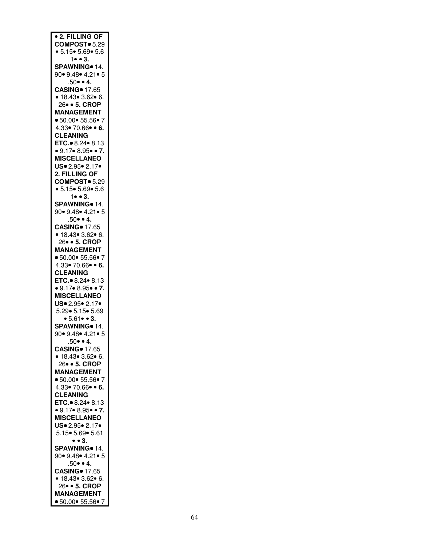| <b>• 2. FILLING OF</b>                               |
|------------------------------------------------------|
| COMPOST <sup>®</sup> 5.29                            |
| • 5.15 • 5.69 • 5.6                                  |
| 1 • • 3.                                             |
|                                                      |
| SPAWNING <sup>®</sup> 14.                            |
| 90 • 9.48 • 4.21 • 5                                 |
|                                                      |
| $.50 \bullet 4.$                                     |
| <b>CASING</b> 17.65                                  |
|                                                      |
| • 18.43• 3.62• 6.<br>26• • 5. CROP                   |
|                                                      |
| <b>MANAGEMENT</b>                                    |
| • 50.00 • 55.56 • 7                                  |
|                                                      |
| $4.33 \cdot 70.66 \cdot 6.$                          |
| <b>CLEANING</b>                                      |
|                                                      |
| ETC. 8.24 $\bullet$ 8.13                             |
| $\bullet$ 9.17 $\bullet$ 8.95 $\bullet$ $\bullet$ 7. |
| <b>MISCELLANEO</b>                                   |
|                                                      |
| US. 2.95. 2.17.                                      |
| 2. FILLING OF                                        |
|                                                      |
| COMPOST <sup>®</sup> 5.29                            |
| • 5.15 • 5.69 • 5.6                                  |
| $1 \bullet \bullet 3$ .                              |
|                                                      |
| SPAWNING <sup>®</sup> 14.                            |
| 90• 9.48• 4.21• 5                                    |
| $.50 \cdot 4$ .                                      |
|                                                      |
| <b>CASING</b> 17.65                                  |
| • 18.43 • 3.62 • 6.                                  |
|                                                      |
| 26 · 5. CROP                                         |
| <b>MANAGEMENT</b>                                    |
|                                                      |
| • 50.00 • 55.56 • 7                                  |
| $4.33 \cdot 70.66 \cdot 6.$                          |
| <b>CLEANING</b>                                      |
|                                                      |
| ETC. 8.24 $\bullet$ 8.13                             |
| $\bullet$ 9.17 $\bullet$ 8.95 $\bullet$ $\bullet$ 7. |
|                                                      |
| <b>MISCELLANEO</b>                                   |
|                                                      |
| $US = 2.95 - 2.17$<br>5.29 5.15 5.69                 |
|                                                      |
| • $5.61$ • 3.                                        |
| SPAWNING <sup>o</sup> 14.                            |
| 90 • 9.48 • 4.21 • 5                                 |
|                                                      |
| .50• • 4.                                            |
| <b>CASING</b> 17.65                                  |
| • 18.43• 3.62• 6.                                    |
|                                                      |
| 26 • 5. CROP                                         |
| <b>MANAGEMENT</b>                                    |
| • 50.00 • 55.56 • 7                                  |
|                                                      |
| $4.33 \cdot 70.66 \cdot 6.$                          |
| <b>CLEANING</b>                                      |
|                                                      |
| ETC. 8.24 8.13                                       |
| • $9.17$ • 8.95• • 7.                                |
| <b>MISCELLANEO</b>                                   |
|                                                      |
| US. 2.95. 2.17.                                      |
| 5.15 • 5.69 • 5.61                                   |
|                                                      |
| • • 3.                                               |
| SPAWNING <sup>®</sup> 14.                            |
| 90• 9.48• 4.21• 5                                    |
|                                                      |
| $.50 \cdot 4$                                        |
| <b>CASING</b> 17.65                                  |
| $• 18.43 \cdot 3.62 \cdot 6.$                        |
|                                                      |
| 26• • 5. CROP                                        |
| <b>MANAGEMENT</b>                                    |
| ● 50.00● 55.56● 7                                    |
|                                                      |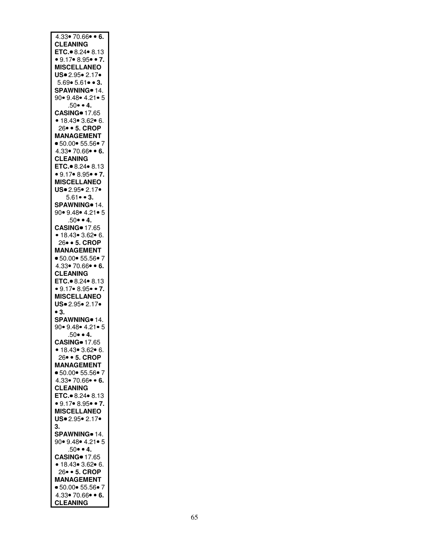| $4.33 \cdot 70.66 \cdot 6$ .                   |
|------------------------------------------------|
|                                                |
|                                                |
| <b>CLEANING</b>                                |
| ETC. 8.24 $\bullet$ 8.13                       |
|                                                |
| • 9.17 • 8.95 • 7.                             |
| <b>MISCELLANEO</b>                             |
|                                                |
| US. 2.95. 2.17.                                |
|                                                |
| $5.69 \cdot 5.61 \cdot 3.$                     |
|                                                |
| SPAWNING <sup>o</sup> 14.                      |
| 90• 9.48• 4.21• 5                              |
|                                                |
| $.50 \cdot 4.$                                 |
|                                                |
| <b>CASING</b> 17.65                            |
| • 18.43• 3.62• 6.                              |
|                                                |
| 26 · 5. CROP                                   |
|                                                |
| <b>MANAGEMENT</b>                              |
| • 50.00• 55.56• 7                              |
|                                                |
| $4.33 \cdot 70.66 \cdot 6.$                    |
|                                                |
| <b>CLEANING</b>                                |
| ETC. 8.24 8.13                                 |
|                                                |
| • $9.17$ • $8.95$ • 7.                         |
|                                                |
| <b>MISCELLANEO</b>                             |
| US. 2.95. 2.17.                                |
|                                                |
| $5.61 \cdot 3.$                                |
|                                                |
| SPAWNING <sup>®</sup> 14.                      |
|                                                |
| 90• 9.48• 4.21• 5                              |
| $.50 \cdot 4$ .                                |
|                                                |
| <b>CASING</b> 17.65                            |
|                                                |
| • 18.43• 3.62• 6.                              |
| 26 · 5. CROP                                   |
|                                                |
| <b>MANAGEMENT</b>                              |
|                                                |
| • 50.00 • 55.56 • 7                            |
| 4.33• 70.66• • 6.                              |
|                                                |
| <b>CLEANING</b>                                |
|                                                |
| ETC. 8.24 8.13                                 |
| • $9.17$ • $8.95$ • 7.                         |
|                                                |
| <b>MISCELLANEO</b>                             |
|                                                |
| US. 2.95. 2.17.                                |
| $\bullet$ 3.                                   |
|                                                |
| SPAWNING <sup>®</sup> 14.                      |
|                                                |
|                                                |
| 90• 9.48• 4.21• 5                              |
|                                                |
| $.50 \bullet 4.$                               |
|                                                |
| <b>CASING</b> 17.65                            |
| • 18.43• 3.62• 6.                              |
|                                                |
| 26 · 5. CROP                                   |
| <b>MANAGEMENT</b>                              |
|                                                |
| • 50.00 • 55.56 • 7                            |
|                                                |
| $4.33 \cdot 70.66 \cdot 6.$                    |
|                                                |
| <b>CLEANING</b>                                |
| ETC. 8.24 8.13                                 |
|                                                |
| • 9.17 • 8.95 • 7.                             |
| <b>MISCELLANEO</b>                             |
|                                                |
| US. 2.95. 2.17.                                |
|                                                |
| 3.                                             |
| SPAWNING <sup>o</sup> 14.                      |
|                                                |
| 90 • 9.48 • 4.21 • 5                           |
|                                                |
| $.50 \bullet 4.$                               |
|                                                |
| <b>CASING</b> 17.65                            |
|                                                |
|                                                |
| • 18.43• 3.62• 6.<br>26• • 5. CROP             |
| <b>MANAGEMENT</b>                              |
|                                                |
| • 50.00 • 55.56 • 7                            |
|                                                |
| $4.33 \cdot 70.66 \cdot 6.$<br><b>CLEANING</b> |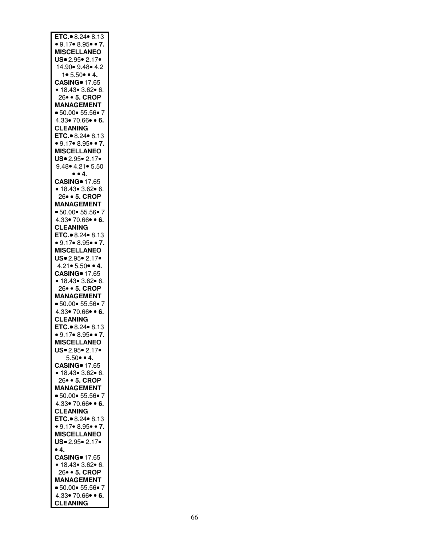| ETC. 8.24 $\bullet$ 8.13                                |
|---------------------------------------------------------|
| • $9.17$ • 8.95• • 7.                                   |
| <b>MISCELLANEO</b>                                      |
| US. 2.95. 2.17.                                         |
| 14.90 • 9.48 • 4.2                                      |
|                                                         |
| $1 \cdot 5.50 \cdot 4$ .                                |
| <b>CASING</b> 17.65                                     |
| • 18.43• 3.62• 6.<br>26• • 5. CROP<br>MANAGEMENT        |
|                                                         |
|                                                         |
| • 50.00 • 55.56 • 7                                     |
| $4.33 \cdot 70.66 \cdot 6$ .                            |
| <b>CLEANING</b>                                         |
| ETC. 8.24 $\bullet$ 8.13                                |
| • $9.17$ • 8.95• • 7.                                   |
| <b>MISCELLANEO</b>                                      |
|                                                         |
| US. 2.95. 2.17.                                         |
| 9.48 • 4.21 • 5.50                                      |
| $\bullet$ $\bullet$ 4.                                  |
| <b>CASING</b> 17.65                                     |
| • 18.43• 3.62• 6.<br>26• • 5. CROP<br>MANAGEMENT        |
|                                                         |
|                                                         |
| • 50.00 • 55.56 • 7                                     |
|                                                         |
| $4.33 \cdot 70.66 \cdot 6.$                             |
| <b>CLEANING</b>                                         |
| ETC. 8.24 $\bullet$ 8.13                                |
| • $9.17$ • 8.95• • 7.                                   |
| <b>MISCELLANEO</b>                                      |
| US. 2.95. 2.17.                                         |
| $4.21 \cdot 5.50 \cdot 4$ .                             |
| <b>CASING</b> 17.65                                     |
|                                                         |
| • 18.43 • 3.62 • 6.                                     |
| 26 · 5. CROP                                            |
| <b>MANAGEMENT</b>                                       |
| • 50.00 • 55.56 • 7                                     |
| $4.33 \cdot 70.66 \cdot 6.$                             |
| <b>CLEANING</b>                                         |
| ETC. 8.24 . 8.13                                        |
| • $9.17$ • 8.95• • 7.                                   |
|                                                         |
|                                                         |
| <b>MISCELLANEO</b>                                      |
| $US = 2.95 - 2.17$                                      |
| $5.50 \cdot 4$ .                                        |
| <b>CASING</b> 17.65                                     |
|                                                         |
| • 18.43• 3.62• 6.                                       |
| 26 · 5. CROP                                            |
| <b>MANAGEMENT</b>                                       |
| • 50.00 • 55.56 • 7                                     |
| $4.33 \cdot 70.66 \cdot 6.$                             |
| <b>CLEANING</b>                                         |
| ETC. 8.24 8.13                                          |
| • $9.17$ • 8.95• • 7.                                   |
|                                                         |
| <b>MISCELLANEO</b>                                      |
| US. 2.95. 2.17.                                         |
| •4.                                                     |
|                                                         |
|                                                         |
| CASING • 17.65<br>• 18.43 • 3.62 • 6.<br>26 • • 5. CROP |
| <b>MANAGEMENT</b>                                       |
| • 50.00 • 55.56 • 7                                     |
|                                                         |
| $4.33 \cdot 70.66 \cdot 6.$<br><b>CLEANING</b>          |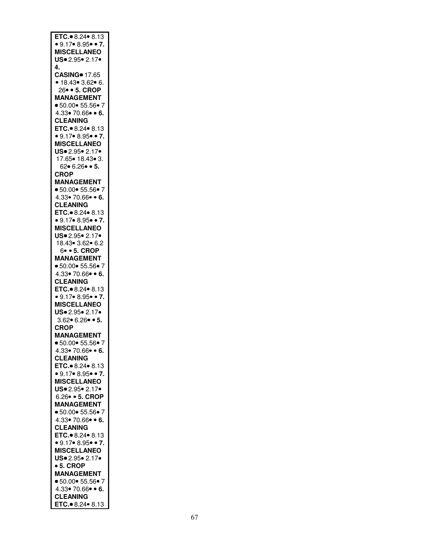| ETC. 8.24 8.13                                       |
|------------------------------------------------------|
| $\bullet$ 9.17 $\bullet$ 8.95 $\bullet$ $\bullet$ 7. |
|                                                      |
| <b>MISCELLANEO</b>                                   |
| US. 2.95. 2.17.                                      |
| 4.                                                   |
|                                                      |
| <b>CASING</b> 17.65                                  |
| • 18.43• 3.62• 6.                                    |
|                                                      |
| 26 · 5. CROP                                         |
| <b>MANAGEMENT</b>                                    |
|                                                      |
| ■ 50.00● 55.56● 7                                    |
| $4.33 \cdot 70.66 \cdot 6.$                          |
|                                                      |
| <b>CLEANING</b>                                      |
| ETC. 8.24 8.13                                       |
|                                                      |
| • $9.17$ • 8.95• • 7.                                |
| <b>MISCELLANEO</b>                                   |
|                                                      |
| US. 2.95. 2.17.                                      |
| 17.65 • 18.43 • 3.                                   |
|                                                      |
| $62 \cdot 6.26 \cdot 5$ .                            |
| <b>CROP</b>                                          |
| <b>MANAGEMENT</b>                                    |
|                                                      |
| ● 50.00● 55.56● 7                                    |
| $4.33 \cdot 70.66 \cdot 6.$                          |
|                                                      |
| <b>CLEANING</b>                                      |
| ETC. 8.24 $\bullet$ 8.13                             |
|                                                      |
| ● 9.17● 8.95● ● 7.<br>MISCELLANEO                    |
|                                                      |
|                                                      |
| $US = 2.95 - 2.17$                                   |
| 18.43 • 3.62 • 6.2                                   |
|                                                      |
| 6 • 5. CROP                                          |
| <b>MANAGEMENT</b>                                    |
|                                                      |
| ● 50.00● 55.56● 7                                    |
| $4.33 \cdot 70.66 \cdot 6.$                          |
| <b>CLEANING</b>                                      |
|                                                      |
| ETC. 8.24 8.13                                       |
| • $9.17$ • 8.95• • 7.                                |
|                                                      |
| <b>MISCELLANEO</b>                                   |
| US. 2.95. 2.17.                                      |
|                                                      |
| $3.62 \cdot 6.26 \cdot 5$ .                          |
| <b>CROP</b>                                          |
|                                                      |
| <b>MANAGEMENT</b>                                    |
| ● 50.00● 55.56● 7                                    |
|                                                      |
| $4.33 \cdot 70.66 \cdot 6.$                          |
| <b>CLEANING</b>                                      |
|                                                      |
| ETC. 8.24 8.13                                       |
| • 9.17 • 8.95 • 7.                                   |
| <b>MISCELLANEO</b>                                   |
|                                                      |
| US. 2.95. 2.17.                                      |
| 6.26 · 5. CROP                                       |
|                                                      |
|                                                      |
| <b>MANAGEMENT</b>                                    |
|                                                      |
| • 50.00 • 55.56 • 7                                  |
| $4.33 \cdot 70.66 \cdot 6.$                          |
|                                                      |
|                                                      |
|                                                      |
| <b>CLEANING<br/>ETC.● 8.24● 8.13</b>                 |
| • $9.17$ • 8.95• • 7.                                |
| <b>MISCELLANEO</b>                                   |
|                                                      |
| US. 2.95. 2.17.                                      |
| • 5. CROP                                            |
|                                                      |
| <b>MANAGEMENT</b>                                    |
| • 50.00• 55.56• 7                                    |
|                                                      |
| 4.33 $\bullet$ 70.66 $\bullet$ $\bullet$ 6.          |
| <b>CLEANING</b><br>ETC. 8.24 8.13                    |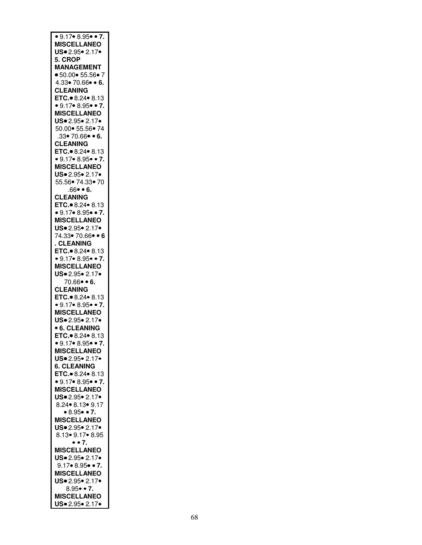| $\bullet$ 9.17 $\bullet$ 8.95 $\bullet$ $\bullet$ 7. |
|------------------------------------------------------|
| <b>MISCELLANEO</b>                                   |
| US. 2.95. 2.17.                                      |
| 5. CROP                                              |
| <b>MANAGEMENT</b>                                    |
| • 50.00 • 55.56 • 7                                  |
| $4.33 \cdot 70.66 \cdot 6.$                          |
| <b>CLEANING</b>                                      |
| ETC. 8.24 $\bullet$ 8.13                             |
| • 9.17• 8.95• • 7.                                   |
| <b>MISCELLANEO</b><br>US. 2.95. 2.17.                |
| 50.00   55.56   74                                   |
| .33 • 70.66 • 6.                                     |
| <b>CLEANING</b>                                      |
| ETC. 8.24 8.13                                       |
| • $9.17$ • 8.95• • 7.                                |
| <b>MISCELLANEO</b>                                   |
| US. 2.95. 2.17.                                      |
| 55.56 74.33 70                                       |
| $.66 \bullet 6.$                                     |
| <b>CLEANING</b>                                      |
| ETC. 8.24 $\bullet$ 8.13                             |
| • $9.17$ • $8.95$ • • 7.                             |
| <b>MISCELLANEO</b>                                   |
| US. 2.95. 2.17.                                      |
| 74.33 70.66 . 6                                      |
| . CLEANING                                           |
| ETC. 8.24 8.13                                       |
| • $9.17$ • $8.95$ • • 7.<br><b>MISCELLANEO</b>       |
| US. 2.95. 2.17.                                      |
| 70.66 • 6.                                           |
| <b>CLEANING</b>                                      |
| ETC. 8.24 8.13                                       |
| $\bullet$ 9.17 $\bullet$ 8.95 $\bullet$ $\bullet$ 7. |
| <b>MISCELLANEO</b>                                   |
| $US = 2.95 - 2.17$                                   |
| <b>6. CLEANING</b>                                   |
| ETC. 8.24 8.13                                       |
| $\bullet$ 9.17 $\bullet$ 8.95 $\bullet$ $\bullet$ 7. |
| <b>MISCELLANEO</b>                                   |
| US. 2.95. 2.17.                                      |
|                                                      |
| <b>6. CLEANING</b>                                   |
| ETC. 8.24 8.13                                       |
| • $9.17$ • 8.95• • 7.                                |
| <b>MISCELLANEO</b>                                   |
| US-2.95-2.17-                                        |
| 8.24 • 8.13 • 9.17                                   |
| • 8.95 • 7.                                          |
| <b>MISCELLANEO</b>                                   |
| US. 2.95. 2.17.                                      |
| 8.13 9.17 8.95                                       |
| $\bullet$ $\bullet$ 7.<br><b>MISCELLANEO</b>         |
| US. 2.95. 2.17.                                      |
| $9.17 \cdot 8.95 \cdot 7.$                           |
| <b>MISCELLANEO</b>                                   |
| US. 2.95. 2.17.                                      |
| $8.95 \bullet 7$ .                                   |
| <b>MISCELLANEO</b><br>US. 2.95. 2.17.                |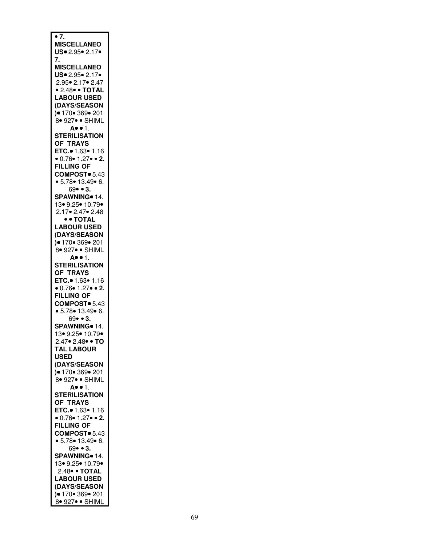| $\overline{\bullet}$ 7.<br><b>MISCELLANEO</b><br>US. 2.95. 2.17.<br>7.                                                                                                                                |
|-------------------------------------------------------------------------------------------------------------------------------------------------------------------------------------------------------|
| <b>MISCELLANEO</b><br>$US = 2.95 \cdot 2.17 \cdot$<br>2.95• 2.17• 2.47<br>• 2.48• • TOTAL<br><b>LABOUR USED</b><br>(DAYS/SEASON<br>)● 170● 369● 201<br>8● 927● ● SHIML<br>А•• 1.                      |
| <b>STERILISATION</b><br>OF TRAYS<br>ETC. 1.63 . 1.16<br>• 0.76• 1.27• • 2.<br><b>FILLING OF</b><br>COMPOST <sup>®</sup> 5.43<br>• $5.78 \cdot 13.49 \cdot 6$ .<br>$69 \cdot 3$ .                      |
| SPAWNING <sup>o</sup> 14.<br>13• 9.25• 10.79•<br>2.17• 2.47• 2.48<br>• • TOTAL<br><b>LABOUR USED</b><br>(DAYS/SEASON<br>$9 170$ 369 201<br>8. 927. SHIML                                              |
| A. . 1.<br><b>STERILISATION</b><br>OF TRAYS<br>ETC.• 1.63• 1.16<br>• $0.76$ • $1.27$ • 2.<br><b>FILLING OF</b><br>COMPOST <sup>®</sup> 5.43<br>• $5.78$ • 13.49• 6.<br>69• • 3.                       |
| SPAWNING <sup>®</sup> 14.<br>13• 9.25• 10.79•<br>$2.47 \cdot 2.48 \cdot \cdot 70$<br><b>TAL LABOUR</b><br><b>USED</b><br>(DAYS/SEASON<br>$9 170 \cdot 369 \cdot 201$<br>,<br>8• 927• • SHIML          |
| A. . 1.<br><b>STERILISATION</b><br>OF TRAYS<br><b>ETC.</b> $\bullet$ 1.63 $\bullet$ 1.16<br>• $0.76$ • $1.27$ • 2.<br><b>FILLING OF</b><br>COMPOST <sup>®</sup> 5.43<br>• 5.78 • 13.49 • 6.<br>69••3. |
| SPAWNING 14.<br>13• 9.25• 10.79•<br>2.48• • TOTAL<br><b>LABOUR USED</b><br>(DAYS/SEASON<br>$) \bullet 170 \bullet 369 \bullet 201$<br>8. 927. SHIML                                                   |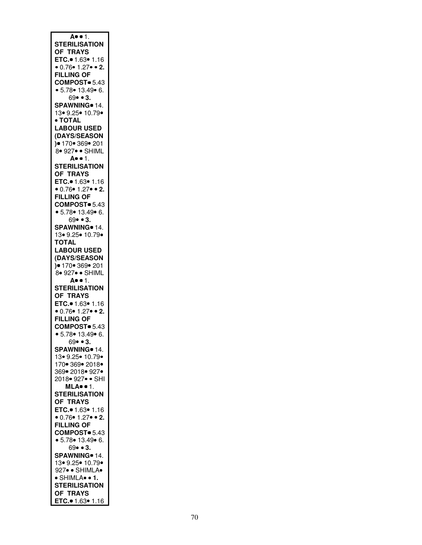| A. . 1.                                              |
|------------------------------------------------------|
|                                                      |
| <b>STERILISATION</b>                                 |
| OF TRAYS                                             |
|                                                      |
|                                                      |
|                                                      |
| <b>FILLING OF</b>                                    |
|                                                      |
| COMPOST <sup>®</sup> 5.43                            |
| • 5.78 • 13.49 • 6.                                  |
| 69• • 3.                                             |
|                                                      |
| SPAWNING <sup>®</sup> 14.                            |
| 13• 9.25• 10.79•                                     |
| • TOTAL                                              |
|                                                      |
| <b>LABOUR USED</b>                                   |
| (DAYS/SEASON                                         |
|                                                      |
|                                                      |
| )● 170● 369● 201<br>8● 927● ● SHIML                  |
| A. . 1.                                              |
|                                                      |
| <b>STERILISATION</b>                                 |
| <b>OF TRAYS</b>                                      |
|                                                      |
| ETC. 1.63 . 1.16                                     |
| $\bullet$ 0.76 $\bullet$ 1.27 $\bullet$ $\bullet$ 2. |
| <b>FILLING OF</b>                                    |
|                                                      |
| COMPOST <sup>®</sup> 5.43                            |
| • 5.78 • 13.49 • 6.                                  |
| $69 \bullet 3.$                                      |
|                                                      |
| SPAWNING <sup>®</sup> 14.                            |
| 13• 9.25• 10.79•                                     |
|                                                      |
| <b>TOTAL</b>                                         |
| <b>LABOUR USED</b>                                   |
| (DAYS/SEASON                                         |
|                                                      |
| $9 170 \cdot 369 \cdot 201$                          |
| 8. 927. SHIML                                        |
| A. . 1.                                              |
|                                                      |
| <b>STERILISATION</b>                                 |
| OF TRAYS                                             |
|                                                      |
| ETC.• 1.63• 1.16<br>• 0.76• 1.27• • 2.               |
|                                                      |
| <b>FILLING OF</b>                                    |
|                                                      |
| COMPOST <sup>®</sup> 5.43                            |
| • 5.78 • 13.49 • 6.                                  |
| 69• • 3.                                             |
|                                                      |
| SPAWNING <sup>o</sup> 14.                            |
| 13• 9.25• 10.79•                                     |
|                                                      |
|                                                      |
| 170 * 369 * 2018 *                                   |
| 369• 2018• 927•                                      |
|                                                      |
| 2018• 927• • SHI                                     |
| MLA                                                  |
| <b>STERILISATION</b>                                 |
|                                                      |
| OF TRAYS                                             |
| ETC. 1.63 . 1.16                                     |
| • $0.76$ • $1.27$ • 2.                               |
|                                                      |
| <b>FILLING OF</b>                                    |
| COMPOST <sup>®</sup> 5.43                            |
|                                                      |
| • 5.78 • 13.49 • 6.                                  |
| $69 \cdot 3$ .                                       |
| SPAWNING <sup>o</sup> 14.                            |
|                                                      |
| 13 9.25 • 10.79 •                                    |
| 927 · SHIMLA                                         |
| · SHIMLA• • 1.                                       |
|                                                      |
| <b>STERILISATION</b>                                 |
| OF TRAYS<br>ETC. 1.63 • 1.16                         |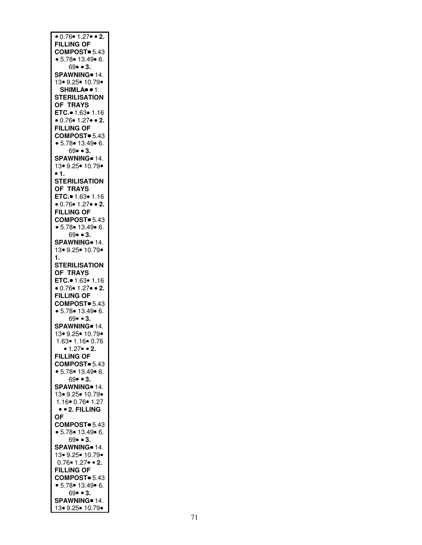| $\bullet$ 0.76 $\bullet$ 1.27 $\bullet$ $\bullet$ 2. |
|------------------------------------------------------|
|                                                      |
| <b>FILLING OF</b>                                    |
|                                                      |
| COMPOST <sup>®</sup> 5.43                            |
|                                                      |
| • $5.78$ • 13.49• 6.                                 |
| $69 \bullet 3.$                                      |
|                                                      |
| SPAWNING <sup>®</sup> 14.                            |
|                                                      |
| 13 9.25 • 10.79 •                                    |
|                                                      |
| SHIMLA <sup>·</sup> · 1.                             |
|                                                      |
| <b>STERILISATION</b>                                 |
|                                                      |
| OF TRAYS                                             |
|                                                      |
| ETC.• 1.63• 1.16<br>• 0.76• 1.27• • 2.               |
|                                                      |
|                                                      |
| <b>FILLING OF</b>                                    |
|                                                      |
| COMPOST <sup>®</sup> 5.43                            |
|                                                      |
| • 5.78 • 13.49 • 6.                                  |
|                                                      |
| $69 \cdot 3$ .                                       |
|                                                      |
| SPAWNING <sup>®</sup> 14.                            |
|                                                      |
| 13• 9.25• 10.79•                                     |
| $\bullet$ 1.                                         |
|                                                      |
| <b>STERILISATION</b>                                 |
|                                                      |
| <b>OF TRAYS</b>                                      |
|                                                      |
| ETC. $1.63$ $1.16$                                   |
|                                                      |
| • 0.76• 1.27• • 2.                                   |
|                                                      |
| <b>FILLING OF</b>                                    |
|                                                      |
| COMPOST <sup>®</sup> 5.43                            |
| • 5.78 • 13.49 • 6.                                  |
|                                                      |
| 69• • 3.                                             |
|                                                      |
| SPAWNING 14.                                         |
|                                                      |
| 13• 9.25• 10.79•                                     |
|                                                      |
| 1.                                                   |
|                                                      |
| <b>STERILISATION</b>                                 |
|                                                      |
| <b>OF TRAYS</b>                                      |
|                                                      |
| ETC. 1.63 . 1.16                                     |
|                                                      |
| $0.76$ $1.27$ $\bullet$ 2.                           |
| <b>FILLING OF</b>                                    |
|                                                      |
| COMPOST <sup>®</sup> 5.43                            |
|                                                      |
| • 5.78 • 13.49 • 6.                                  |
|                                                      |
| 69• • 3.                                             |
|                                                      |
| SPAWNING <sup>®</sup> 14.                            |
|                                                      |
| 13 9.25 10.79                                        |
|                                                      |
| 1.63● 1.16● 0.76                                     |
| $\bullet$ 1.27 $\bullet$ $\bullet$ 2.                |
|                                                      |
| <b>FILLING OF</b>                                    |
|                                                      |
| COMPOST <sup>®</sup> 5.43                            |
|                                                      |
| • 5.78 • 13.49 • 6.                                  |
|                                                      |
|                                                      |
| $69 - 3$ .                                           |
|                                                      |
| SPAWNING <sup>o</sup> 14.                            |
|                                                      |
| 13• 9.25• 10.79•                                     |
|                                                      |
|                                                      |
|                                                      |
| 1.16● 0.76● 1.27<br>●● 2. FILLING                    |
| <b>OF</b>                                            |
|                                                      |
| COMPOST <sup>®</sup> 5.43                            |
|                                                      |
| • 5.78 • 13.49 • 6.                                  |
|                                                      |
| 69••3.                                               |
|                                                      |
| SPAWNING <sup>®</sup> 14.                            |
|                                                      |
| 13• 9.25• 10.79•                                     |
|                                                      |
| $0.76 \cdot 1.27 \cdot 2.$                           |
| <b>FILLING OF</b>                                    |
|                                                      |
| COMPOST <sup>®</sup> 5.43                            |
|                                                      |
|                                                      |
| • $5.78$ • 13.49• 6.                                 |
| $69 \cdot 3$ .                                       |
|                                                      |
| SPAWNING <sup>®</sup> 14.<br>13 9.25 • 10.79 •       |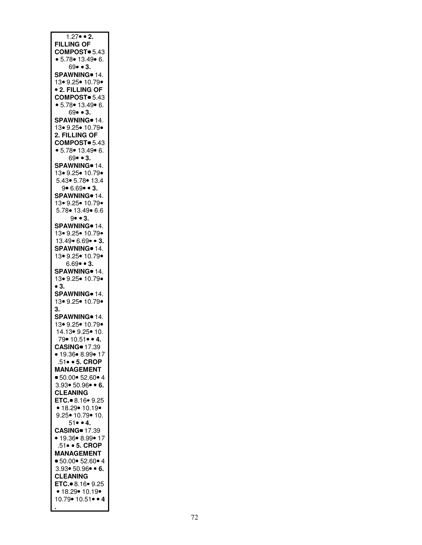| $1.27 \cdot 2.$                      |
|--------------------------------------|
|                                      |
|                                      |
| <b>FILLING OF</b>                    |
| COMPOST <sup>®</sup> 5.43            |
| • 5.78• 13.49• 6.<br>69• • 3.        |
|                                      |
|                                      |
| SPAWNING <sup>®</sup> 14.            |
|                                      |
| 13 9.25 • 10.79 •                    |
|                                      |
| <b>• 2. FILLING OF</b>               |
| COMPOST <sup>®</sup> 5.43            |
|                                      |
| • 5.78• 13.49• 6.                    |
| 69• • 3.                             |
|                                      |
| SPAWNING <sup>®</sup> 14.            |
|                                      |
| 13• 9.25• 10.79•                     |
| 2. FILLING OF                        |
|                                      |
| COMPOST <sup>®</sup> 5.43            |
|                                      |
| • 5.78 • 13.49 • 6.                  |
| 69• • 3.                             |
|                                      |
| SPAWNING <sup>®</sup> 14.            |
| 13 9.25 • 10.79 •                    |
|                                      |
| 5.43   5.78   13.4                   |
| $9 \cdot 6.69 \cdot 3.$              |
|                                      |
| SPAWNING <sup>®</sup> 14.            |
| 13• 9.25• 10.79•                     |
|                                      |
| 5.78 • 13.49 • 6.6                   |
|                                      |
| $9 \cdot 3$ .                        |
| SPAWNING <sup>o</sup> 14.            |
|                                      |
| 13• 9.25• 10.79•                     |
| 13.49 6.69 • 3.                      |
|                                      |
| SPAWNING <sup>o</sup> 14.            |
|                                      |
| 13 9.25 • 10.79 •                    |
| $6.69 \cdot 3.$                      |
|                                      |
| SPAWNING <sup>®</sup> 14.            |
| 13 9.25 10.79                        |
|                                      |
| $\bullet$ 3.                         |
|                                      |
| SPAWNING 14.                         |
| 13 9.25 • 10.79 •                    |
|                                      |
| 3.                                   |
| SPAWNING <sup>®</sup> 14.            |
|                                      |
|                                      |
|                                      |
|                                      |
|                                      |
| 13• 9.25• 10.79•<br>14.13• 9.25• 10. |
| $79 \cdot 10.51 \cdot 4.$            |
|                                      |
| <b>CASING</b> 17.39                  |
| ● 19.36● 8.99● 17                    |
|                                      |
| .51 • 5. CROP                        |
| <b>MANAGEMENT</b>                    |
|                                      |
| • 50.00 • 52.60 • 4                  |
| $3.93 \cdot 50.96 \cdot 6$ .         |
|                                      |
| <b>CLEANING</b>                      |
|                                      |
| ETC. 8.16 9.25                       |
| • 18.29• 10.19•                      |
|                                      |
| 9.25• 10.79• 10.                     |
|                                      |
| $51 \bullet 4.$                      |
| <b>CASING</b> 17.39                  |
|                                      |
| • 19.36• 8.99• 17                    |
| 51 • 5. CROP                         |
|                                      |
| <b>MANAGEMENT</b>                    |
| • 50.00 • 52.60 • 4                  |
|                                      |
| $3.93 \cdot 50.96 \cdot 6$ .         |
|                                      |
| <b>CLEANING</b>                      |
| ETC. 8.16 9.25                       |
|                                      |
| • $18.29 \cdot 10.19 \cdot$          |
| 10.79 • 10.51 • • 4                  |
|                                      |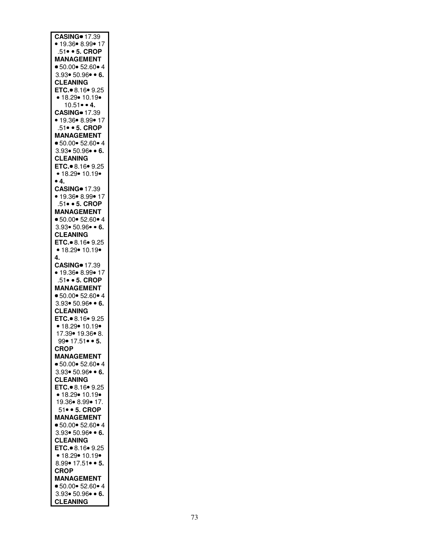| <b>CASING</b> 17.39          |
|------------------------------|
| • 19.36• 8.99• 17            |
| 51 • 5. CROP                 |
| <b>MANAGEMENT</b>            |
| • 50.00 • 52.60 • 4          |
| $3.93 \cdot 50.96 \cdot 6$ . |
|                              |
| <b>CLEANING</b>              |
| ETC. 8.16 $9.25$             |
| • 18.29• 10.19•              |
| $10.51 \cdot 4$ .            |
| <b>CASING</b> 17.39          |
| • 19.36• 8.99• 17            |
| .51 • 5. CROP                |
| <b>MANAGEMENT</b>            |
| • 50.00 • 52.60 • 4          |
| $3.93 \cdot 50.96 \cdot 6$ . |
| <b>CLEANING</b>              |
| ETC. 8.16 9.25               |
| • 18.29 • 10.19 •            |
| • 4.                         |
|                              |
| <b>CASING</b> 17.39          |
| • 19.36• 8.99• 17            |
| 51 • 5. CROP                 |
| <b>MANAGEMENT</b>            |
| • 50.00 • 52.60 • 4          |
| $3.93 \cdot 50.96 \cdot 6$ . |
| <b>CLEANING</b>              |
| ETC. 8.16 9.25               |
| • 18.29 • 10.19 •            |
| 4.                           |
| <b>CASING</b> 17.39          |
| • 19.36• 8.99• 17            |
|                              |
| .51 • 5. CROP                |
| <b>MANAGEMENT</b>            |
| • 50.00 • 52.60 • 4          |
| $3.93 \cdot 50.96 \cdot 6$ . |
| <b>CLEANING</b>              |
| ETC. 8.16 9.25               |
| • 18.29• 10.19•              |
| 17.39 • 19.36 • 8.           |
| 99• 17.51• • 5.              |
| <b>CROP</b>                  |
| <b>MANAGEMENT</b>            |
| • 50.00 • 52.60 • 4          |
| $3.93 \cdot 50.96 \cdot 6$ . |
| <b>CLEANING</b>              |
|                              |
| ETC. 8.16 9.25               |
| • 18.29• 10.19•              |
| 19.36 • 8.99 • 17.           |
| 51 • 5. CROP                 |
| <b>MANAGEMENT</b>            |
| • 50.00 • 52.60 • 4          |
| $3.93 \cdot 50.96 \cdot 6$ . |
| <b>CLEANING</b>              |
| ETC. 8.16 9.25               |
| • 18.29• 10.19•              |
| $8.99 \cdot 17.51 \cdot 5.$  |
|                              |
| CROP                         |
| <b>MANAGEMENT</b>            |
| • 50.00 • 52.60 • 4          |
| $3.93 \cdot 50.96 \cdot 6$ . |
| <b>CLEANING</b>              |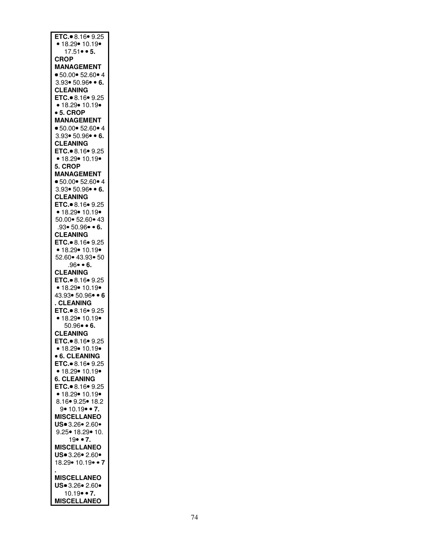| ETC. 8.16 9.25                          |
|-----------------------------------------|
| • 18.29• 10.19•                         |
| $17.51 \bullet 5.$                      |
| <b>CROP</b>                             |
| <b>MANAGEMENT</b>                       |
|                                         |
| • 50.00 • 52.60 • 4                     |
| $3.93 \cdot 50.96 \cdot 6$ .            |
| <b>CLEANING</b>                         |
| ETC. 8.16 9.25                          |
| • 18.29• 10.19•                         |
| • 5. CROP                               |
| <b>MANAGEMENT</b>                       |
| • 50.00 • 52.60 • 4                     |
| $3.93 \cdot 50.96 \cdot 6$ .            |
| <b>CLEANING</b>                         |
|                                         |
| ETC. 8.16 9.25                          |
| • 18.29• 10.19•                         |
| 5. CROP                                 |
| <b>MANAGEMENT</b>                       |
| • 50.00 • 52.60 • 4                     |
| $3.93 \cdot 50.96 \cdot 6$ .            |
| <b>CLEANING</b>                         |
| ETC. 8.16 9.25                          |
| • 18.29 • 10.19 •                       |
|                                         |
| 50.00  52.60  43                        |
| $.93 \cdot 50.96 \cdot 6.$              |
| <b>CLEANING</b>                         |
| ETC. $\bullet$ 8.16 $\bullet$ 9.25      |
| • 18.29• 10.19•                         |
| 52.60 43.93 50                          |
| .96• • 6.                               |
|                                         |
| <b>CLEANING</b>                         |
|                                         |
| ETC. 8.16 $9.25$                        |
| • 18.29• 10.19•                         |
| 43.93• 50.96• • 6                       |
| . CLEANING                              |
|                                         |
| ETC. 8.16 9.25                          |
| • 18.29 • 10.19 •                       |
| $50.96 \cdot 6$ .                       |
| <b>CLEANING</b>                         |
| ETC. $\bullet$ 8.16 $\bullet$ 9.25      |
| • 18.29 • 10.19 •                       |
| <b>• 6. CLEANING</b>                    |
| ETC. 8.16 9.25                          |
| • 18.29 • 10.19 •                       |
|                                         |
| <b>6. CLEANING</b>                      |
|                                         |
| ETC.● 8.16● 9.25<br>● 18.29● 10.19●     |
| 8.16 9.25 18.2                          |
| $9 \cdot 10.19 \cdot 7$ .               |
| <b>MISCELLANEO</b>                      |
| US. 3.26. 2.60.                         |
| 9.25 • 18.29 • 10.                      |
| $19 \cdot 7.$                           |
|                                         |
| <b>MISCELLANEO</b>                      |
| US 3.26 . 2.60 .                        |
| 18.29 • 10.19 • 7                       |
|                                         |
| <b>MISCELLANEO</b>                      |
| US. 3.26. 2.60.                         |
| $10.19 \cdot 7$ .<br><b>MISCELLANEO</b> |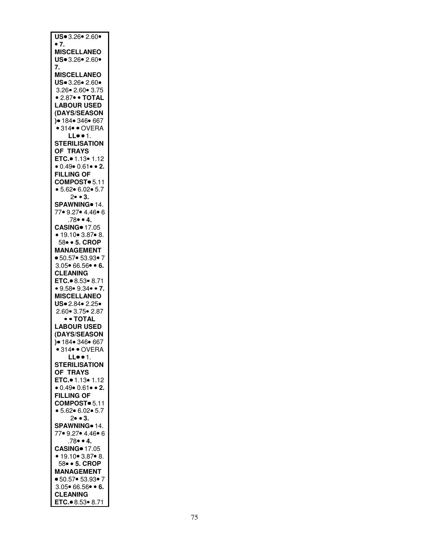| US. 3.26. 2.60.                                      |
|------------------------------------------------------|
| $\bullet$ 7.                                         |
|                                                      |
| <b>MISCELLANEO</b>                                   |
| US. 3.26. 2.60.                                      |
|                                                      |
| 7.                                                   |
| <b>MISCELLANEO</b>                                   |
|                                                      |
| US. 3.26. 2.60.                                      |
| 3.26 • 2.60 • 3.75                                   |
|                                                      |
| • 2.87• • TOTAL                                      |
| <b>LABOUR USED</b>                                   |
|                                                      |
| (DAYS/SEASON                                         |
| ,<br>)● 184● 346● 667                                |
| $\bullet$ 314 $\bullet$ $\bullet$ OVERA              |
|                                                      |
| LL1.                                                 |
| <b>STERILISATION</b>                                 |
|                                                      |
| OF TRAYS                                             |
| ETC. $\bullet$ 1.13 $\bullet$ 1.12                   |
|                                                      |
| $\bullet$ 0.49 $\bullet$ 0.61 $\bullet$ $\bullet$ 2. |
| <b>FILLING OF</b>                                    |
|                                                      |
| COMPOST <sup>®</sup> 5.11                            |
| • 5.62 • 6.02 • 5.7                                  |
|                                                      |
| $2 \cdot \cdot 3$ .                                  |
| SPAWNING <sup>o</sup> 14.                            |
|                                                      |
| 77• 9.27• 4.46• 6                                    |
| _.<br>.78● ● 4.                                      |
| <b>CASING</b> 17.05                                  |
|                                                      |
| • 19.10• 3.87• 8.                                    |
| 58 • 5. CROP                                         |
|                                                      |
| <b>MANAGEMENT</b>                                    |
| ● 50.57● 53.93● 7                                    |
|                                                      |
| $3.05 \cdot 66.56 \cdot 6.$                          |
| <b>CLEANING</b>                                      |
|                                                      |
| ETC. 8.53 $\bullet$ 8.71                             |
| • 9.58• 9.34• • 7.                                   |
|                                                      |
| <b>MISCELLANEO</b>                                   |
| US. 2.84. 2.25.                                      |
|                                                      |
| $2.60 \cdot 3.75 \cdot 2.87$                         |
| • • TOTAL                                            |
|                                                      |
| <b>LABOUR USED</b>                                   |
| (DAYS/SEASON                                         |
|                                                      |
| $9 184$ 346 667                                      |
| • 314 • OVERA                                        |
|                                                      |
| LL1                                                  |
|                                                      |
| STERILISATION<br>OF TRAYS                            |
|                                                      |
| ETC. 1.13 . 1.12                                     |
| $0.49 \cdot 0.61 \cdot 2.$                           |
|                                                      |
| <b>FILLING OF</b>                                    |
| COMPOST 5.11                                         |
|                                                      |
| • 5.62 • 6.02 • 5.7                                  |
| $2 \bullet \bullet 3$ .                              |
|                                                      |
| SPAWNING <sup>®</sup> 14.                            |
| 77• 9.27• 4.46• 6                                    |
| $.78 \bullet 4.$                                     |
|                                                      |
| <b>CASING</b> 17.05                                  |
|                                                      |
| • 19.10 • 3.87 • 8.                                  |
| 58 • 5. CROP                                         |
| <b>MANAGEMENT</b>                                    |
|                                                      |
| • 50.57• 53.93• 7                                    |
| $3.05 \cdot 66.56 \cdot 6.$                          |
|                                                      |
| <b>CLEANING</b>                                      |
| ETC. $\bullet$ 8.53 $\bullet$ 8.71                   |
|                                                      |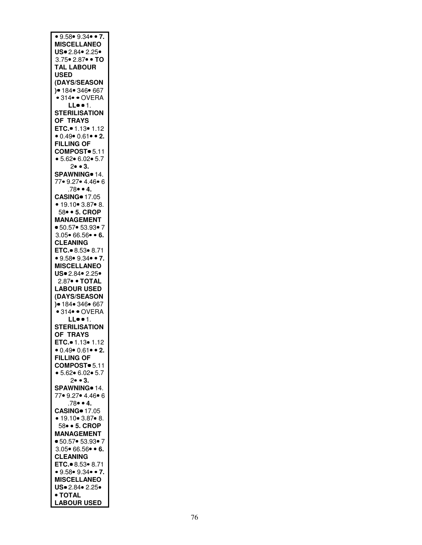| • 9.58 • 9.34 • 7.                                                  |
|---------------------------------------------------------------------|
| <b>MISCELLANEO</b>                                                  |
| US. 2.84. 2.25.                                                     |
| 3.75• 2.87• • TO                                                    |
| <b>TAL LABOUR</b>                                                   |
| <b>USED</b>                                                         |
| (DAYS/SEASON                                                        |
| )● 184● 346● 667                                                    |
| • 314• • OVERA                                                      |
| LL $\bullet$ $\bullet$ 1.                                           |
| <b>STERILISATION</b>                                                |
| <b>OF TRAYS</b>                                                     |
| ETC. 1.13 1.12                                                      |
| $\bullet$ 0.49 $\bullet$ 0.61 $\bullet$ $\bullet$ 2.                |
| <b>FILLING OF</b>                                                   |
| COMPOST <sup>®</sup> 5.11                                           |
| • 5.62 • 6.02 • 5.7                                                 |
| $2 \bullet \bullet 3$ .                                             |
| SPAWNING <sup>®</sup> 14.<br>77● 9.27● 4.46● 6                      |
|                                                                     |
| $.78 \bullet 4.$<br><b>CASING</b> 17.05                             |
|                                                                     |
| $\bullet$ 19.10 $\bullet$ 3.87 $\bullet$ 8.<br>58 $\bullet$ 5. CROP |
| <b>MANAGEMENT</b>                                                   |
| ● 50.57● 53.93● 7                                                   |
| $3.05 \cdot 66.56 \cdot 6.$                                         |
| <b>CLEANING</b>                                                     |
| ETC. 8.53 $\bullet$ 8.71                                            |
| • $9.58$ • $9.34$ • • 7.                                            |
| <b>MISCELLANEO</b>                                                  |
| US. 2.84. 2.25.                                                     |
| 2.87 • TOTAL                                                        |
| <b>LABOUR USED</b>                                                  |
| (DAYS/SEASON                                                        |
| )● 184● 346● 667<br>● 314● ● OVERA                                  |
|                                                                     |
| LL1.                                                                |
| <b>STERILISATION</b>                                                |
| OF TRAYS                                                            |
| <b>ETC.</b> ● 1.13● 1.12                                            |
| $\bullet$ 0.49 $\bullet$ 0.61 $\bullet$ 2.                          |
| <b>FILLING OF</b>                                                   |
| COMPOST <sup>®</sup> 5.11                                           |
| • 5.62 • 6.02 • 5.7                                                 |
| $2 \bullet \bullet 3$ .                                             |
| SPAWNING <sup>®</sup> 14.                                           |
| 77• 9.27• 4.46• 6<br>$.78 \bullet 4.$                               |
| <b>CASING</b> 17.05                                                 |
| • 19.10 • 3.87 • 8.                                                 |
| 58 • 5. CROP                                                        |
| <b>MANAGEMENT</b>                                                   |
| ● 50.57● 53.93● 7                                                   |
| $3.05 \cdot 66.56 \cdot 6.$                                         |
| <b>CLEANING</b>                                                     |
| ETC. 8.53 8.71                                                      |
| • $9.58$ • $9.34$ • • 7.                                            |
| <b>MISCELLANEO</b>                                                  |
| US. 2.84. 2.25.                                                     |
|                                                                     |
| • TOTAL                                                             |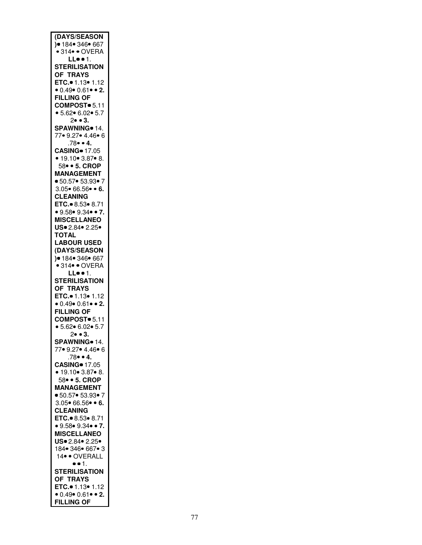| (DAYS/SEASON                                         |
|------------------------------------------------------|
| )● 184● 346● 667                                     |
|                                                      |
| $\bullet$ 314 $\bullet$ $\bullet$ OVERA              |
| LL $\bullet$ $\bullet$ 1.                            |
| <b>STERILISATION</b>                                 |
|                                                      |
| OF TRAYS                                             |
| ETC. 1.13 . 1.12                                     |
|                                                      |
| • $0.49$ • $0.61$ • 2.                               |
| <b>FILLING OF</b>                                    |
| COMPOST <sup>®</sup> 5.11                            |
|                                                      |
| • 5.62 • 6.02 • 5.7                                  |
| $2 \bullet 3.$                                       |
|                                                      |
| SPAWNING <sup>®</sup> 14.                            |
| 77• 9.27• 4.46• 6                                    |
| $.78 \bullet 4.$                                     |
|                                                      |
| <b>CASING</b> 17.05                                  |
| • 19.10• 3.87• 8.<br>58• • 5. CROP                   |
|                                                      |
|                                                      |
| <b>MANAGEMENT</b>                                    |
| ■ 50.57● 53.93● 7                                    |
|                                                      |
| $3.05 \cdot 66.56 \cdot 6.$                          |
| <b>CLEANING</b>                                      |
|                                                      |
| ETC. 8.53 $8.71$                                     |
| • 9.58 • 9.34 • 7.                                   |
| <b>MISCELLANEO</b>                                   |
|                                                      |
| US. 2.84. 2.25.                                      |
| <b>TOTAL</b>                                         |
|                                                      |
| <b>LABOUR USED</b>                                   |
| (DAYS/SEASON                                         |
| )● 184● 346● 667                                     |
|                                                      |
| • 314 • OVERA                                        |
| LL1.                                                 |
| <b>STERILISATION</b>                                 |
|                                                      |
| <b>OF TRAYS</b>                                      |
| ETC. 1.13 • 1.12                                     |
| $\bullet$ 0.49 $\bullet$ 0.61 $\bullet$ $\bullet$ 2. |
|                                                      |
| <b>FILLING OF</b>                                    |
| COMPOST <sup>®</sup> 5.11                            |
| • 5.62 • 6.02 • 5.7                                  |
|                                                      |
| $2 \bullet 3$ .                                      |
| SPAWNING <sup>®</sup> 14.                            |
| 77 9.27 4.46 6                                       |
|                                                      |
| .78● ● 4.<br>CASING● 17.05                           |
|                                                      |
| • 19.10 • 3.87 • 8.                                  |
|                                                      |
| 58 • 5. CROP                                         |
| <b>MANAGEMENT</b>                                    |
|                                                      |
| ■ 50.57● 53.93● 7                                    |
|                                                      |
| $3.05 \cdot 66.56 \cdot 6.$                          |
|                                                      |
| <b>CLEANING</b>                                      |
| ETC. 8.53 . 8.71                                     |
|                                                      |
| • 9.58• 9.34• • 7.                                   |
| <b>MISCELLANEO</b>                                   |
| US. 2.84. 2.25.                                      |
|                                                      |
| 184 • 346 • 667 • 3                                  |
| 14 · OVERALL                                         |
| $\bullet$ $\bullet$ 1.                               |
|                                                      |
| <b>STERILISATION</b>                                 |
| OF TRAYS                                             |
| ETC. 1.13 . 1.12                                     |
|                                                      |
| $0.49 \cdot 0.61 \cdot 2$ .<br><b>FILLING OF</b>     |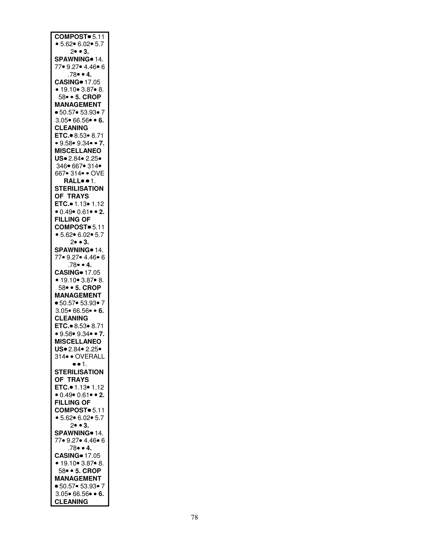| COMPOST 5.11                                   |
|------------------------------------------------|
|                                                |
| • 5.62 • 6.02 • 5.7                            |
| $2 \bullet \bullet 3$ .                        |
| SPAWNING 14.                                   |
|                                                |
| 77• 9.27• 4.46• 6                              |
|                                                |
| $.78 \bullet 4.$                               |
| <b>CASING</b> 17.05                            |
|                                                |
| • 19.10• 3.87• 8.                              |
|                                                |
| 58 • 5. CROP                                   |
| <b>MANAGEMENT</b>                              |
|                                                |
| ■ 50.57● 53.93● 7                              |
| $3.05 \cdot 66.56 \cdot 6.$                    |
|                                                |
| <b>CLEANING</b>                                |
|                                                |
| ETC. 8.53 8.71                                 |
| • 9.58• 9.34• • 7.                             |
|                                                |
| <b>MISCELLANEO</b>                             |
|                                                |
| US. 2.84. 2.25.                                |
| 346• 667• 314•                                 |
|                                                |
| 667• 314• • OVE                                |
| RALL <sup>o</sup> · 1.                         |
|                                                |
| <b>STERILISATION</b>                           |
|                                                |
| OF TRAYS                                       |
| ETC. $\bullet$ 1.13 $\bullet$ 1.12             |
|                                                |
| • $0.49$ • $0.61$ • 2.                         |
|                                                |
| <b>FILLING OF</b>                              |
| COMPOST <sup>®</sup> 5.11                      |
|                                                |
| • 5.62 • 6.02 • 5.7                            |
|                                                |
| $2 \bullet \bullet 3$ .                        |
| SPAWNING <sup>®</sup> 14.                      |
|                                                |
| 77• 9.27• 4.46• 6                              |
|                                                |
|                                                |
| $.78 \bullet 4.$                               |
|                                                |
| <b>CASING</b> 17.05                            |
| $\bullet$ 19.10 $\bullet$ 3.87 $\bullet$ 8.    |
|                                                |
| 58 • 5. CROP                                   |
|                                                |
| <b>MANAGEMENT</b>                              |
| • 50.57• 53.93• 7                              |
|                                                |
| $3.05 \cdot 66.56 \cdot 6.$                    |
|                                                |
| <b>CLEANING</b>                                |
| ETC. 8.53 8.71                                 |
|                                                |
| • 9.58 • 9.34 • 7.                             |
|                                                |
| <b>MISCELLANEO</b>                             |
| US. 2.84. 2.25.                                |
|                                                |
| 314 · OVERALL                                  |
| $\bullet \bullet 1.$                           |
|                                                |
| <b>STERILISATION</b>                           |
|                                                |
| OF TRAYS                                       |
| ETC. 1.13 1.12                                 |
|                                                |
| $0.49 \cdot 0.61 \cdot 2$ .                    |
| <b>FILLING OF</b>                              |
|                                                |
| COMPOST <sup>®</sup> 5.11                      |
|                                                |
| • 5.62 • 6.02 • 5.7                            |
| $2 \bullet 3$ .                                |
|                                                |
| SPAWNING <sup>o</sup> 14.                      |
|                                                |
| 77• 9.27• 4.46• 6                              |
| $.78 \bullet 4.$                               |
|                                                |
| <b>CASING</b> 17.05                            |
| • 19.10 • 3.87 • 8.                            |
|                                                |
| 58 • 5. CROP                                   |
|                                                |
| <b>MANAGEMENT</b>                              |
| ● 50.57● 53.93● 7                              |
|                                                |
| $3.05 \cdot 66.56 \cdot 6.$<br><b>CLEANING</b> |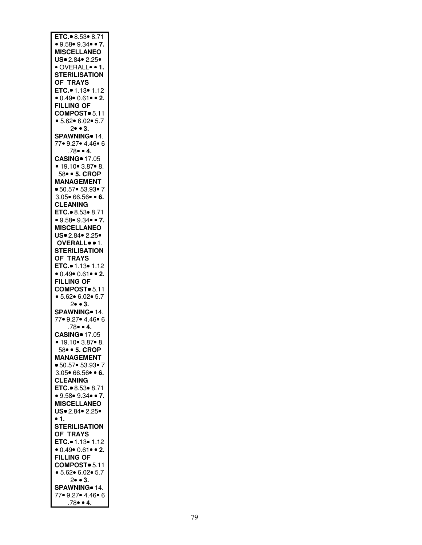| ETC. 8.53 $\overline{8.71}$<br>• 9.58 • 9.34 • 7. |
|---------------------------------------------------|
| <b>MISCELLANEO</b>                                |
| US. 2.84. 2.25.                                   |
| · OVERALL• • 1.                                   |
| <b>STERILISATION</b>                              |
| OF TRAYS                                          |
| ETC.● 1.13● 1.12                                  |
| • $0.49$ • $0.61$ • • 2.                          |
| <b>FILLING OF</b>                                 |
| COMPOST <sup>®</sup> 5.11                         |
| • 5.62 • 6.02 • 5.7                               |
| $2 \bullet \bullet 3$ .                           |
| SPAWNING <sup>®</sup> 14.                         |
| 77● 9.27● 4.46● 6                                 |
| $.78 \bullet 4.$                                  |
| <b>CASING</b> 17.05                               |
| • 19.10 • 3.87 • 8.                               |
| 58 • 5. CROP                                      |
| <b>MANAGEMENT</b>                                 |
| ■ 50.57● 53.93● 7                                 |
| $3.05 \cdot 66.56 \cdot 6.$                       |
| <b>CLEANING</b>                                   |
| ETC. 8.53 . 8.71                                  |
| • $9.58$ • $9.34$ • • 7.                          |
| <b>MISCELLANEO</b>                                |
|                                                   |
| US. 2.84. 2.25.                                   |
| OVERALL <sup>o</sup> · 1.                         |
| <b>STERILISATION</b>                              |
| OF TRAYS                                          |
| ETC. <sup>0</sup> 1.13 <sup>o</sup> 1.12          |
| $\bullet$ 0.49 $\bullet$ 0.61 $\bullet$ 2.        |
| <b>FILLING OF</b>                                 |
| COMPOST <sup>®</sup> 5.11                         |
| • 5.62 • 6.02 • 5.7                               |
| $2 \bullet \bullet 3$ .                           |
| SPAWNING <sup>®</sup> 14.                         |
|                                                   |
| 77• 9.27• 4.46• 6                                 |
| .78 • 4.                                          |
| <b>CASING</b> 17.05                               |
| ● 19.10● 3.87● 8.                                 |
| 58 • 5. CROP                                      |
| <b>MANAGEMENT</b>                                 |
| ■ 50.57● 53.93● 7                                 |
| $3.05 \cdot 66.56 \cdot 6$ .                      |
| <b>CLEANING</b>                                   |
| ETC. 8.53 8.71                                    |
|                                                   |
| • 9.58 • 9.34 • 7.                                |
| <b>MISCELLANEO</b>                                |
| US. 2.84. 2.25.<br>$\bullet$ 1.                   |
| <b>STERILISATION</b>                              |
|                                                   |
| <b>OF TRAYS</b>                                   |
| ETC. 1.13 . 1.12                                  |
| $\bullet$ 0.49 $\bullet$ 0.61 $\bullet$ 2.        |
| <b>FILLING OF</b>                                 |
| COMPOST <sup>®</sup> 5.11                         |
| • $5.62 \cdot 6.02 \cdot 5.7$                     |
| $2 \bullet \bullet 3$ .                           |
| SPAWNING <sup>®</sup> 14.                         |
| 77• 9.27• 4.46• 6<br>.78● ● 4.                    |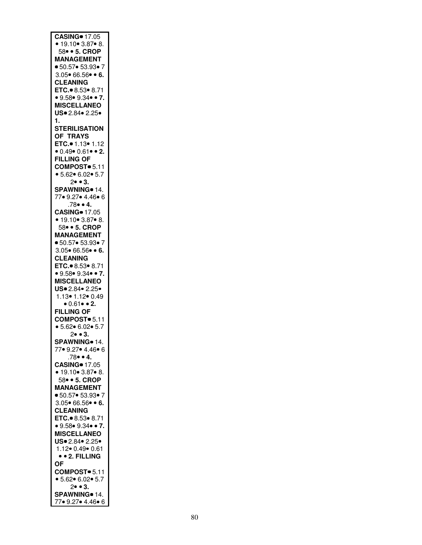| CASING = 17.05<br>• 19.10 = 3.87 = 8.<br>58 = • 5. CROP |
|---------------------------------------------------------|
| <b>MANAGEMENT</b>                                       |
| ● 50.57● 53.93● 7                                       |
| $3.05 \cdot 66.56 \cdot 6.$<br><b>CLEANING</b>          |
| ETC. 8.53 $8.71$                                        |
| • 9.58 • 9.34 • 7.<br><b>MISCELLANEO</b>                |
| US. 2.84. 2.25.                                         |
| 1.                                                      |
| <b>STERILISATION</b>                                    |
| OF TRAYS                                                |
| ETC.• 1.13• 1.12<br>• 0.49• 0.61• • 2.                  |
| <b>FILLING OF</b>                                       |
| COMPOST <sup>®</sup> 5.11<br>• 5.62 • 6.02 • 5.7        |
| $2 \bullet \bullet 3$ .                                 |
| SPAWNING <sup>o</sup> 14.                               |
| 77• 9.27• 4.46• 6<br>$.78 \bullet 4.$                   |
| <b>CASING</b> 17.05                                     |
| • 19.10 • 3.87 • 8.<br>58 • 5. CROP                     |
| <b>MANAGEMENT</b>                                       |
| ■ 50.57● 53.93● 7                                       |
| $3.05 \cdot 66.56 \cdot 6.$<br><b>CLEANING</b>          |
| ETC. 8.53 8.71                                          |
| • 9.58 • 9.34 • 7.                                      |
| <b>MISCELLANEO</b><br>US. 2.84. 2.25.                   |
| $1.13 \cdot 1.12 \cdot 0.49$<br>$\cdot 0.61 \cdot 2.$   |
|                                                         |
| <b>FILLING OF</b><br>COMPOST <sup>®</sup> 5.11          |
| • 5.62 • 6.02 • 5.7                                     |
| $2 \bullet \bullet 3$ .                                 |
| SPAWNING• 14.<br>77• 9.27• 4.46• 6                      |
| $.78 \bullet 4.$                                        |
| <b>CASING</b> 17.05<br>• 19.10 • 3.87 • 8.              |
| 58 • 5. CROP                                            |
| <b>MANAGEMENT</b>                                       |
| ■ 50.57● 53.93● 7<br>$3.05 \cdot 66.56 \cdot 6.$        |
| <b>CLEANING</b>                                         |
| ETC. 8.53 . 8.71                                        |
| • 9.58 • 9.34 • 7.<br><b>MISCELLANEO</b>                |
| US. 2.84. 2.25.                                         |
| 1.12• 0.49• 0.61                                        |
| • • 2. FILLING<br>OF                                    |
| COMPOST · 5.11                                          |
| • 5.62 • 6.02 • 5.7                                     |
| $2 \bullet \bullet 3$ .<br>SPAWNING <sup>®</sup> 14.    |
| 77• 9.27• 4.46• 6                                       |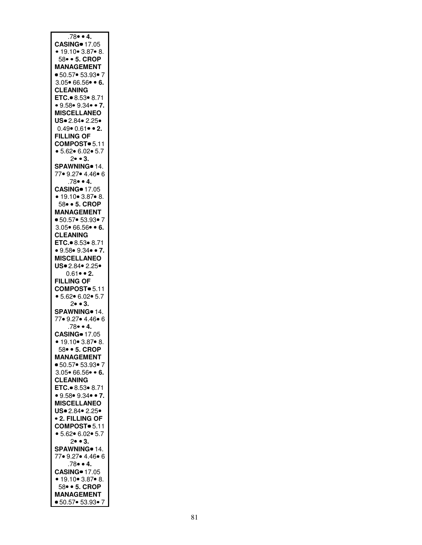| $.78 - 4.$                              |
|-----------------------------------------|
| <b>CASING</b> 17.05                     |
| • 19.10 • 3.87 • 8.                     |
| 58 • 5. CROP                            |
| <b>MANAGEMENT</b>                       |
| ■ 50.57● 53.93● 7                       |
| $3.05 \cdot 66.56 \cdot 6.$             |
| <b>CLEANING</b>                         |
| ETC. 8.53 8.71                          |
| • $9.58$ • $9.34$ • • 7.                |
| <b>MISCELLANEO</b>                      |
| US. 2.84. 2.25.                         |
| $0.49 \cdot 0.61 \cdot 2.$              |
| <b>FILLING OF</b>                       |
| COMPOST <sup>®</sup> 5.11               |
| • 5.62 • 6.02 • 5.7                     |
| 2 • 3.                                  |
| SPAWNING <sup>®</sup> 14.               |
| 77 9.27 4.46 6                          |
| $.78 \bullet 4.$                        |
| <b>CASING</b> 17.05                     |
|                                         |
| • 19.10• 3.87• 8.<br>58• • 5. CROP      |
| <b>MANAGEMENT</b>                       |
| ● 50.57● 53.93● 7                       |
| $3.05 \cdot 66.56 \cdot 6.$             |
| <b>CLEANING</b>                         |
| ETC. $\bullet$ 8.53 $\bullet$ 8.71      |
| • 9.58• 9.34• • 7.                      |
| <b>MISCELLANEO</b>                      |
| US. 2.84. 2.25.                         |
| $0.61 \cdot 2$ .                        |
| <b>FILLING OF</b>                       |
| COMPOST 5.11                            |
| • 5.62 • 6.02 • 5.7                     |
| $2 \bullet \bullet 3$ .                 |
| SPAWNING <sup>®</sup> 14.               |
| 77• 9.27• 4.46• 6                       |
| $.78 \bullet 4.$                        |
| <b>CASING</b> 17.05                     |
|                                         |
| $\cdot$ 19.10● 3.87● 8.<br>58 • 5. CROP |
| <b>MANAGEMENT</b>                       |
| ■ 50.57● 53.93● 7                       |
| $3.05 \cdot 66.56 \cdot 6.$             |
|                                         |
| <b>CLEANING</b>                         |
| ETC. 8.53 8.71                          |
| • 9.58 • 9.34 • 7.                      |
| <b>MISCELLANEO</b>                      |
| US. 2.84. 2.25.                         |
| <b>• 2. FILLING OF</b>                  |
| COMPOST <sup>®</sup> 5.11               |
| • 5.62 • 6.02 • 5.7                     |
| $2 \bullet \bullet 3$ .                 |
| SPAWNING <sup>®</sup> 14.               |
| 77● 9.27● 4.46● 6                       |
| $.78 \bullet 4.$                        |
| <b>CASING</b> 17.05                     |
| • 19.10 • 3.87 • 8.                     |
| 58 • 5. CROP                            |
| <b>MANAGEMENT</b>                       |
| ● 50.57● 53.93● 7                       |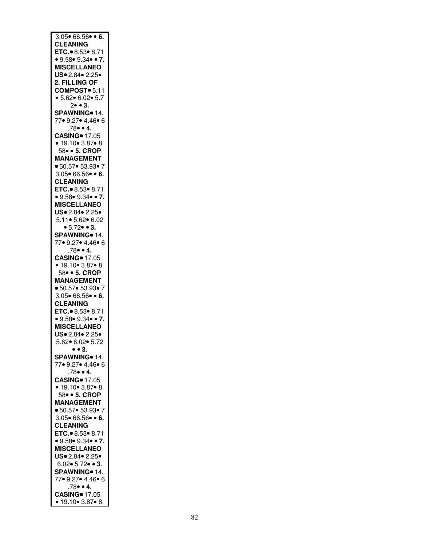| $3.05 \cdot 66.56 \cdot 6.$                |
|--------------------------------------------|
|                                            |
|                                            |
| <b>CLEANING</b>                            |
| ETC. 3.53 8.71<br>• 9.58 • 9.34 • 7.       |
|                                            |
|                                            |
| <b>MISCELLANEO</b>                         |
|                                            |
| US. 2.84. 2.25.                            |
|                                            |
| 2. FILLING OF                              |
| COMPOST = 5.11                             |
|                                            |
| • 5.62 • 6.02 • 5.7                        |
|                                            |
| $2 \bullet \bullet 3$ .                    |
| SPAWNING <sup>o</sup> 14.                  |
|                                            |
| 77• 9.27• 4.46• 6                          |
| $.78 \bullet 4.$                           |
|                                            |
| <b>CASING</b> 17.05                        |
|                                            |
| • 19.10 • 3.87 • 8.                        |
| 58 • 5. CROP                               |
|                                            |
| <b>MANAGEMENT</b>                          |
|                                            |
| ■ 50.57● 53.93● 7                          |
| $3.05 \cdot 66.56 \cdot 6.$                |
|                                            |
| <b>CLEANING</b>                            |
|                                            |
| ETC. 8.53 8.71                             |
| • 9.58• 9.34• • 7.                         |
|                                            |
| <b>MISCELLANEO</b>                         |
| US. 2.84. 2.25.                            |
|                                            |
| 5.11 • 5.62 • 6.02                         |
|                                            |
| • 5.72 • 3.                                |
| SPAWNING <sup>o</sup> 14.                  |
|                                            |
| 77● 9.27● 4.46● 6                          |
|                                            |
| .78 • 4.                                   |
| <b>CASING</b> 17.05                        |
|                                            |
| • 19.10 • 3.87 • 8.                        |
| 58 • 5. CROP                               |
|                                            |
| <b>MANAGEMENT</b>                          |
|                                            |
| ● 50.57● 53.93● 7                          |
| $3.05 \cdot 66.56 \cdot 6.$                |
|                                            |
| <b>CLEANING</b>                            |
|                                            |
|                                            |
| ETC. 8.53 $\bullet$ 8.71                   |
|                                            |
| • 9.58• 9.34• • 7.                         |
|                                            |
| <b>MISCELLANEO</b>                         |
| US. 2.84. 2.25.                            |
|                                            |
| 5.62● 6.02● 5.72                           |
|                                            |
| $\bullet$ $\bullet$ 3.                     |
| SPAWNING <sup>®</sup> 14.                  |
|                                            |
| 77• 9.27• 4.46• 6                          |
| $.78 \bullet 4.$                           |
|                                            |
| <b>CASING</b> 17.05                        |
|                                            |
| • 19.10• 3.87• 8.                          |
|                                            |
| 58 • 5. CROP                               |
| <b>MANAGEMENT</b>                          |
|                                            |
| • 50.57• 53.93• 7                          |
| $3.05 \cdot 66.56 \cdot 6.$                |
|                                            |
| <b>CLEANING</b>                            |
| ETC. 8.53 8.71                             |
|                                            |
| • 9.58 • 9.34 • 7.                         |
|                                            |
| <b>MISCELLANEO</b>                         |
|                                            |
| US. 2.84. 2.25.                            |
| $6.02 \cdot 5.72 \cdot 3$ .                |
|                                            |
| SPAWNING <sup>o</sup> 14.                  |
| 77• 9.27• 4.46• 6                          |
|                                            |
| $.78 \cdot 4.$                             |
|                                            |
| <b>CASING</b> 17.05<br>• 19.10 • 3.87 • 8. |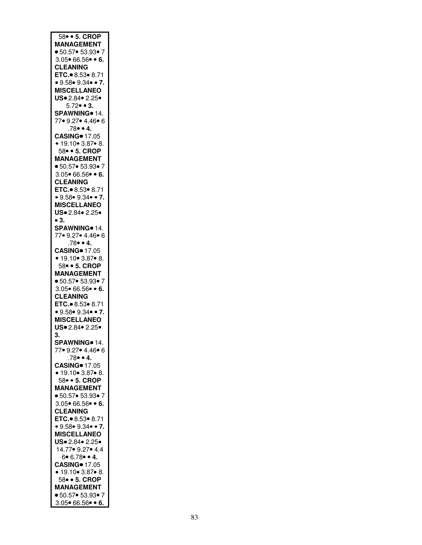| 58 • 5. CROP                                     |
|--------------------------------------------------|
|                                                  |
| <b>MANAGEMENT</b>                                |
| ■ 50.57● 53.93● 7                                |
|                                                  |
| $3.05 \cdot 66.56 \cdot 6.$                      |
| <b>CLEANING</b>                                  |
|                                                  |
| ETC. 8.53 . 8.71                                 |
|                                                  |
| • 9.58 • 9.34 • 7.                               |
|                                                  |
| <b>MISCELLANEO</b>                               |
|                                                  |
| US 2.84 2.25                                     |
| $5.72 \bullet 3$ .                               |
|                                                  |
| SPAWNING <sup>®</sup> 14.                        |
|                                                  |
| 77• 9.27• 4.46• 6                                |
| $.78 \bullet 4.$                                 |
|                                                  |
| <b>CASING</b> 17.05                              |
|                                                  |
| • 19.10• 3.87• 8.                                |
|                                                  |
| 58 • 5. CROP                                     |
| <b>MANAGEMENT</b>                                |
|                                                  |
| ● 50.57● 53.93● 7                                |
|                                                  |
| $3.05 \cdot 66.56 \cdot 6.$                      |
|                                                  |
| <b>CLEANING</b>                                  |
| ETC. 8.53 8.71                                   |
|                                                  |
| • 9.58 • 9.34 • 7.                               |
|                                                  |
| <b>MISCELLANEO</b>                               |
| US. 2.84. 2.25.                                  |
|                                                  |
| $\bullet$ 3.                                     |
|                                                  |
| SPAWNING 14.                                     |
|                                                  |
| 77• 9.27• 4.46• 6                                |
| $.78 \bullet 4.$                                 |
|                                                  |
| <b>CASING</b> 17.05                              |
|                                                  |
|                                                  |
|                                                  |
|                                                  |
|                                                  |
| • 19.10• 3.87• 8.<br>58• • 5. CROP               |
| <b>MANAGEMENT</b>                                |
|                                                  |
| ■ 50.57● 53.93● 7                                |
|                                                  |
| $3.05 \cdot 66.56 \cdot 6.$                      |
| <b>CLEANING</b>                                  |
|                                                  |
| ETC. $\bullet$ 8.53 $\bullet$ 8.71               |
|                                                  |
| • 9.58• 9.34• • 7.                               |
| <b>MISCELLANEO</b>                               |
|                                                  |
| US. 2.84. 2.25.                                  |
|                                                  |
| 3.                                               |
|                                                  |
| SPAWNING <sup>o</sup> 14.                        |
| 77• 9.27• 4.46• 6                                |
|                                                  |
| $.78 \bullet 4.$                                 |
|                                                  |
| <b>CASING</b> 17.05                              |
|                                                  |
| • 19.10 • 3.87 • 8.                              |
| 58 • 5. CROP                                     |
|                                                  |
| <b>MANAGEMENT</b>                                |
|                                                  |
| ● 50.57● 53.93● 7                                |
| $3.05 \cdot 66.56 \cdot 6.$                      |
|                                                  |
| <b>CLEANING</b>                                  |
|                                                  |
| ETC. 8.53 08.71                                  |
| • 9.58• 9.34• • 7.                               |
|                                                  |
| <b>MISCELLANEO</b>                               |
|                                                  |
| US. 2.84. 2.25.                                  |
|                                                  |
| 14.77 • 9.27 • 4.4                               |
|                                                  |
| $6 \cdot 6.78 \cdot 4.$                          |
| <b>CASING</b> 17.05                              |
|                                                  |
| • 19.10 • 3.87 • 8.                              |
| 58 • 5. CROP                                     |
|                                                  |
| <b>MANAGEMENT</b>                                |
|                                                  |
| ■ 50.57● 53.93● 7<br>$3.05 \cdot 66.56 \cdot 6.$ |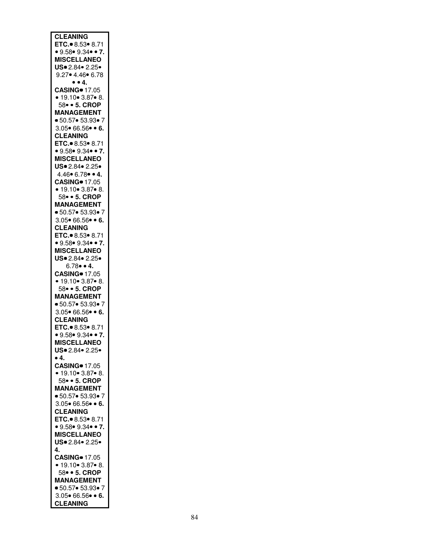| <b>CLEANING</b>                                |
|------------------------------------------------|
|                                                |
| ETC. 8.53 8.71                                 |
| • 9.58 • 9.34 • 7.                             |
|                                                |
| <b>MISCELLANEO</b>                             |
|                                                |
| US. 2.84. 2.25.                                |
| $9.27 \cdot 4.46 \cdot 6.78$                   |
|                                                |
| $\bullet$ $\bullet$ 4.                         |
|                                                |
| <b>CASING</b> 17.05                            |
| • 19.10 • 3.87 • 8.                            |
|                                                |
| 58 • 5. CROP                                   |
|                                                |
| <b>MANAGEMENT</b>                              |
| • 50.57• 53.93• 7                              |
|                                                |
| $3.05 \cdot 66.56 \cdot 6$ .                   |
|                                                |
| <b>CLEANING</b>                                |
|                                                |
| ETC. 8.53 8.71                                 |
| • 9.58 • 9.34 • 7.                             |
|                                                |
| <b>MISCELLANEO</b>                             |
|                                                |
| US. 2.84. 2.25.                                |
| $4.46 \cdot 6.78 \cdot 4.$                     |
|                                                |
| <b>CASING</b> 17.05                            |
|                                                |
| • 19.10 • 3.87 • 8.                            |
| 58 • 5. CROP                                   |
|                                                |
| <b>MANAGEMENT</b>                              |
|                                                |
| • 50.57• 53.93• 7                              |
|                                                |
| $3.05 \cdot 66.56 \cdot 6.$                    |
| <b>CLEANING</b>                                |
|                                                |
| ETC. 8.53 8.71                                 |
| • 9.58 • 9.34 • 7.                             |
|                                                |
| <b>MISCELLANEO</b>                             |
|                                                |
| US. 2.84. 2.25.                                |
|                                                |
|                                                |
| $6.78 \cdot 4$ .                               |
|                                                |
| <b>CASING</b> 17.05                            |
|                                                |
| • 19.10 • 3.87 • 8.                            |
| 58 • 5. CROP                                   |
|                                                |
| <b>MANAGEMENT</b>                              |
|                                                |
| • 50.57• 53.93• 7                              |
| $3.05 \cdot 66.56 \cdot 6.$                    |
|                                                |
| <b>CLEANING</b>                                |
|                                                |
| ETC. 8.53 8.71                                 |
|                                                |
| • 9.58 • 9.34 • 7.                             |
| <b>MISCELLANEO</b>                             |
|                                                |
| US. 2.84. 2.25.                                |
| •4.                                            |
|                                                |
| <b>CASING</b> 17.05                            |
|                                                |
| • 19.10 • 3.87 • 8.                            |
| 58 • 5. CROP                                   |
|                                                |
| <b>MANAGEMENT</b>                              |
|                                                |
| • 50.57• 53.93• 7                              |
| $3.05 \cdot 66.56 \cdot 6.$                    |
|                                                |
| <b>CLEANING</b>                                |
| ETC. 8.53 8.71                                 |
|                                                |
| • 9.58 • 9.34 • 7.                             |
|                                                |
| <b>MISCELLANEO</b>                             |
| US. 2.84. 2.25.                                |
|                                                |
| 4.                                             |
|                                                |
| <b>CASING</b> 17.05                            |
| • 19.10 • 3.87 • 8.                            |
|                                                |
| 58 • 5. CROP                                   |
|                                                |
| <b>MANAGEMENT</b>                              |
| ● 50.57● 53.93● 7                              |
|                                                |
| $3.05 \cdot 66.56 \cdot 6.$<br><b>CLEANING</b> |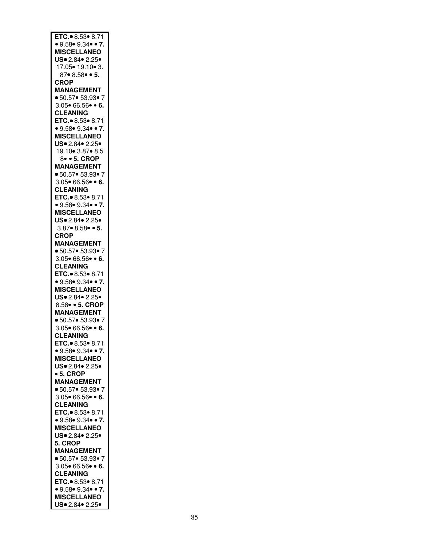| ETC. 8.53 8.71                        |
|---------------------------------------|
| • 9.58 • 9.34 • 7.                    |
| <b>MISCELLANEO</b>                    |
|                                       |
| US. 2.84. 2.25.                       |
| 17.05 • 19.10 • 3.                    |
|                                       |
| $87 \cdot 8.58 \cdot 5.$              |
|                                       |
| <b>CROP</b>                           |
| <b>MANAGEMENT</b>                     |
|                                       |
| ■ 50.57● 53.93● 7                     |
| $3.05 \cdot 66.56 \cdot 6.$           |
|                                       |
| <b>CLEANING</b>                       |
| ETC. 8.53 . 8.71                      |
|                                       |
| • 9.58• 9.34• • 7.                    |
|                                       |
| <b>MISCELLANEO</b>                    |
| US. 2.84. 2.25.                       |
|                                       |
| 19.10 3.87 8.5                        |
| 8 • 5. CROP                           |
|                                       |
| <b>MANAGEMENT</b>                     |
|                                       |
| ■ 50.57● 53.93● 7                     |
| $3.05 \cdot 66.56 \cdot 6.$           |
|                                       |
| <b>CLEANING</b>                       |
| ETC. 8.53 8.71                        |
|                                       |
| • 9.58 • 9.34 • 7.                    |
|                                       |
| <b>MISCELLANEO</b>                    |
| US. 2.84. 2.25.                       |
|                                       |
| $3.87 \cdot 8.58 \cdot 5.$            |
| <b>CROP</b>                           |
|                                       |
| <b>MANAGEMENT</b>                     |
| ■ 50.57● 53.93● 7                     |
|                                       |
| $3.05 \cdot 66.56 \cdot 6.$           |
| <b>CLEANING</b>                       |
|                                       |
| ETC. $8.53 \cdot 8.71$                |
|                                       |
| • 9.58 • 9.34 • 7.                    |
| <b>MISCELLANEO</b>                    |
|                                       |
| US. 2.84. 2.25.                       |
| 8.58 • 5. CROP                        |
|                                       |
| <b>MANAGEMENT</b>                     |
| • 50.57• 53.93• 7                     |
|                                       |
| $3.05 \cdot 66.56 \cdot 6.$           |
|                                       |
|                                       |
| <b>CLEANING</b>                       |
|                                       |
| ETC. 8.53 8.71                        |
| • 9.58 • 9.34 • 7.                    |
|                                       |
| <b>MISCELLANEO</b>                    |
| US. 2.84. 2.25.                       |
|                                       |
| • 5. CROP                             |
|                                       |
| <b>MANAGEMENT</b>                     |
| • 50.57• 53.93• 7                     |
|                                       |
| $3.05 \cdot 66.56 \cdot 6.$           |
| <b>CLEANING</b>                       |
|                                       |
| ETC. 8.53 . 8.71                      |
| • 9.58 • 9.34 • 7.                    |
|                                       |
| <b>MISCELLANEO</b>                    |
| US. 2.84. 2.25.                       |
|                                       |
| 5. CROP                               |
|                                       |
| <b>MANAGEMENT</b>                     |
| • 50.57• 53.93• 7                     |
|                                       |
| $3.05 \cdot 66.56 \cdot 6.$           |
| <b>CLEANING</b>                       |
|                                       |
| ETC. 8.53 8.71                        |
|                                       |
| • 9.58 • 9.34 • 7.                    |
| <b>MISCELLANEO</b><br>US. 2.84. 2.25. |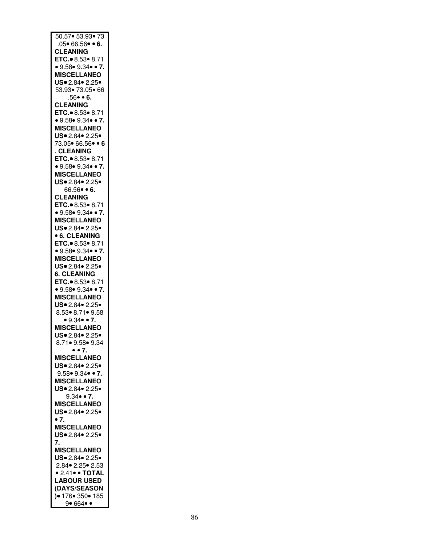| 50.57 53.93 73                                           |
|----------------------------------------------------------|
| $.05 \cdot 66.56 \cdot 6.$                               |
| <b>CLEANING</b>                                          |
| ETC. 8.53 8.71                                           |
| • 9.58 • 9.34 • 7.                                       |
| <b>MISCELLANEO</b><br>US. 2.84. 2.25.                    |
| 53.93• 73.05• 66                                         |
| $.56 - 6.$                                               |
| <b>CLEANING</b>                                          |
| ETC. 8.53 8.71                                           |
| • 9.58 • 9.34 • 7.                                       |
| <b>MISCELLANEO</b>                                       |
| US. 2.84. 2.25.                                          |
| 73.05• 66.56• • 6                                        |
| . CLEANING<br>ETC. 8.53 8.71                             |
| • 9.58 • 9.34 • 7.                                       |
| <b>MISCELLANEO</b>                                       |
| US. 2.84. 2.25.                                          |
| $66.56 \bullet 6.$                                       |
| <b>CLEANING</b>                                          |
| ETC. 8.53 8.71                                           |
| • $9.58$ • $9.34$ • • 7.                                 |
| <b>MISCELLANEO</b>                                       |
| US. 2.84. 2.25.                                          |
| <b>6. CLEANING</b>                                       |
| ETC. $\bullet$ 8.53 $\bullet$ 8.71<br>• 9.58 • 9.34 • 7. |
| <b>MISCELLANEO</b>                                       |
| US. 2.84. 2.25.                                          |
| <b>6. CLEANING</b>                                       |
| ETC. 8.53 8.71                                           |
| • 9.58 • 9.34 • 7.                                       |
| <b>MISCELLANEO</b>                                       |
| US. 2.84. 2.25.                                          |
| 8.53  8.71  9.58                                         |
| • $9.34$ • 7.                                            |
| <b>MISCELLANEO</b><br>US. 2.84. 2.25.                    |
| 8.71● 9.58● 9.34                                         |
| $\bullet$ $\bullet$ 7.                                   |
| <b>MISCELLANEO</b>                                       |
| US. 2.84. 2.25.                                          |
| $9.58 \cdot 9.34 \cdot 7$ .                              |
| <b>MISCELLANEO</b>                                       |
| US. 2.84. 2.25.                                          |
| $9.34 \cdot 7.$                                          |
| <b>MISCELLANEO</b>                                       |
| US. 2.84. 2.25.<br>$\bullet$ 7.                          |
| <b>MISCELLANEO</b>                                       |
| US. 2.84. 2.25.                                          |
| 7.                                                       |
| <b>MISCELLANEO</b>                                       |
| US. 2.84. 2.25.                                          |
| 2.84 • 2.25 • 2.53                                       |
| • 2.41 • • TOTAL                                         |
| <b>LABOUR USED</b>                                       |
| (DAYS/SEASON                                             |
| $9 176 - 350 - 185$<br>9• 664• •                         |
|                                                          |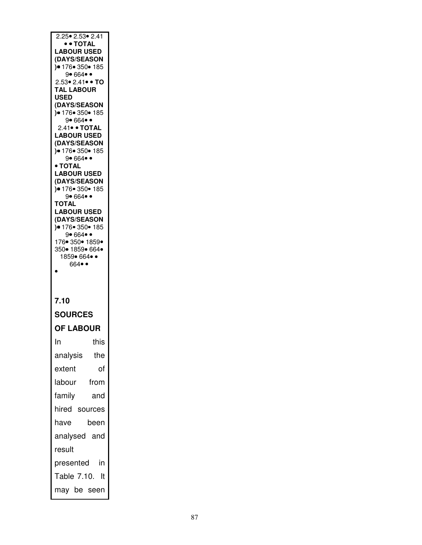| 2.25 • 2.53 • 2.41                                   |  |
|------------------------------------------------------|--|
| • • TOTAL                                            |  |
| <b>LABOUR USED</b>                                   |  |
| (DAYS/SEASON<br>)● 176● 350● 185                     |  |
| 9• 664• •                                            |  |
| 2.53• 2.41• • TO<br><b>TAL LABOUR</b>                |  |
| <b>USED</b>                                          |  |
| (DAYS/SEASON<br>) • 176 • 350 • 185                  |  |
| 9• 664• •                                            |  |
| 2.41 • TOTAL<br><b>LABOUR USED</b>                   |  |
| (DAYS/SEASON                                         |  |
| $) \bullet 176 \bullet 350 \bullet 185$<br>9• 664• • |  |
| $\bullet$ TOTAL                                      |  |
| <b>LABOUR USED</b><br>(DAYS/SEASON                   |  |
| )● 176● 350● 185                                     |  |
| 9• 664• •<br><b>TOTAL</b>                            |  |
| <b>LABOUR USED</b>                                   |  |
| (DAYS/SEASON<br>)● 176● 350● 185                     |  |
| 9• 664• •                                            |  |
| 176 350 1859<br>350• 1859• 664•                      |  |
| 1859• 664• •                                         |  |
| $664 \bullet \bullet$                                |  |
|                                                      |  |
|                                                      |  |
|                                                      |  |
| 7.10                                                 |  |
| <b>SOURCES</b>                                       |  |
| <b>OF LABOUR</b>                                     |  |
| ln<br>this                                           |  |
| analysis<br>the                                      |  |
| extent<br>of                                         |  |
| labour<br>from                                       |  |
| family<br>and                                        |  |
| hired sources                                        |  |
| have<br>been                                         |  |
| analysed and                                         |  |
| result                                               |  |
| in<br>presented                                      |  |
| Table 7.10.<br>It                                    |  |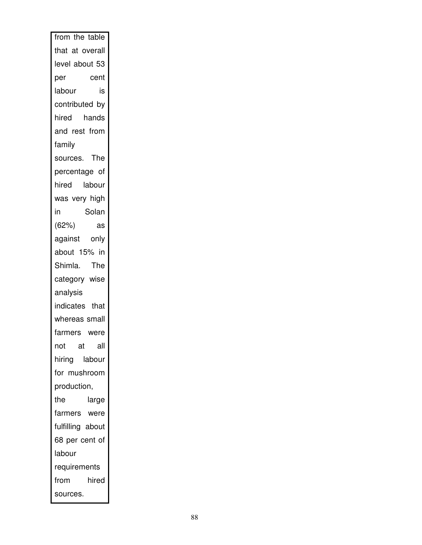| from the table   |
|------------------|
| that at overall  |
| level about 53   |
| per<br>cent      |
| labour<br>is     |
| contributed by   |
| hired hands      |
| and rest from    |
| family           |
| sources. The     |
| percentage of    |
| hired labour     |
| was very high    |
| in<br>Solan      |
| (62%)<br>as      |
| against<br>only  |
| about 15% in     |
| The<br>Shimla.   |
| category wise    |
| analysis         |
| indicates that   |
| whereas small    |
| farmers were     |
| not<br>all<br>at |
| hiring labour    |
| for mushroom     |
| production,      |
| the<br>large     |
| farmers were     |
| fulfilling about |
| 68 per cent of   |
| labour           |
| requirements     |
| from<br>hired    |
| sources.         |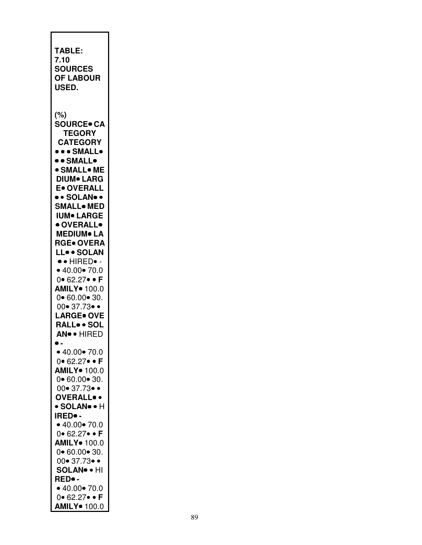| • 40.00 • 70.0<br>$0 \cdot 62.27 \cdot \cdot F$<br><b>AMILY</b> 100.0<br>$0 \cdot 60.00 \cdot 30.$<br>$00 \cdot 37.73 \cdot \cdot$<br><b>OVERALL</b> .<br>• SOLAN• • H<br><b>IRED</b> .<br>• 40.00 • 70.0<br>0 $\bullet$ 62.27 $\bullet$ $\bullet$ F<br><b>AMILY</b> 100.0<br>$0 - 60.00 - 30.$<br>$00 \cdot 37.73 \cdot \cdot$<br><b>SOLAN® • HI</b><br>RED• -<br>• 40.00 • 70.0<br>0.62.27.F<br><b>AMILY</b> 100.0 | (%)<br><b>SOURCE</b> CA<br><b>TEGORY</b><br><b>CATEGORY</b><br>••• SMALL•<br>• • SMALL•<br><b>• SMALL• ME</b><br><b>DIUM</b> LARG<br>E. OVERALL<br>• • SOLAN• •<br><b>SMALL</b> . MED<br><b>IUM• LARGE</b><br>· OVERALL•<br><b>MEDIUM</b> LA<br><b>RGE• OVERA</b><br>LL. SOLAN<br>$\bullet \bullet$ HIRED $\bullet$ -<br>• 40.00 • 70.0<br>$0 \cdot 62.27 \cdot 5$<br>AMILY <sup>o</sup> 100.0<br>$0 - 60.00 - 30.$<br>$00 \cdot 37.73 \cdot \cdot$<br><b>LARGE</b> OVE<br>RALLSOL<br>AN <sup>o</sup> • HIRED<br>$\bullet$ . | <b>TABLE:</b><br>7.10<br><b>SOURCES</b><br><b>OF LABOUR</b><br>USED. |
|----------------------------------------------------------------------------------------------------------------------------------------------------------------------------------------------------------------------------------------------------------------------------------------------------------------------------------------------------------------------------------------------------------------------|------------------------------------------------------------------------------------------------------------------------------------------------------------------------------------------------------------------------------------------------------------------------------------------------------------------------------------------------------------------------------------------------------------------------------------------------------------------------------------------------------------------------------|----------------------------------------------------------------------|
|                                                                                                                                                                                                                                                                                                                                                                                                                      |                                                                                                                                                                                                                                                                                                                                                                                                                                                                                                                              |                                                                      |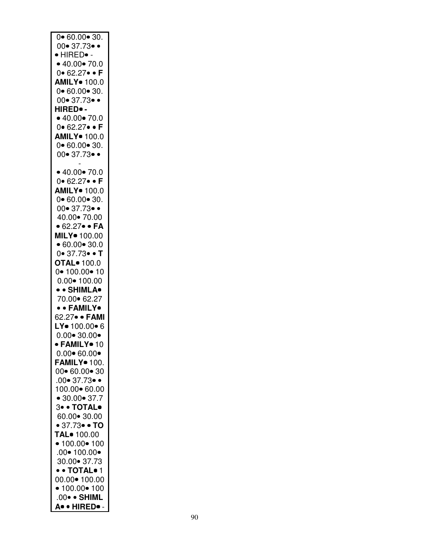| 0•60.00•30.                         |
|-------------------------------------|
| $00 - 37.73 - 0$                    |
|                                     |
| · HIRED• -                          |
|                                     |
| • $40.00$ • $70.0$                  |
| $0 - 62.27 - F$                     |
|                                     |
| <b>AMILY</b> 100.0                  |
|                                     |
| $0 - 60.00 - 30.$                   |
|                                     |
| $00 \cdot 37.73 \cdot \cdot$        |
| HIRED. -                            |
|                                     |
| • 40.00 • 70.0                      |
|                                     |
| 0 62.27 · F                         |
|                                     |
| <b>AMILY</b> 100.0                  |
| $0 \cdot 60.00 \cdot 30.$           |
|                                     |
| $00 \cdot 37.73 \cdot \cdot$        |
|                                     |
|                                     |
|                                     |
| • 40.00 • 70.0                      |
| $0 - 62.27 - F$                     |
|                                     |
| <b>AMILY</b> 100.0                  |
|                                     |
| $0 \cdot 60.00 \cdot 30.$           |
|                                     |
| $00 \cdot 37.73 \cdot \cdot$        |
| 40.00 - 70.00                       |
|                                     |
| • 62.27• • FA                       |
|                                     |
| MILY · 100.00                       |
|                                     |
| • 60.00 • 30.0                      |
| 0•37.73• • T                        |
|                                     |
| <b>OTAL</b> • 100.0                 |
|                                     |
|                                     |
|                                     |
| $0 - 100.00 - 10$                   |
| $0.00 \cdot 100.00$                 |
|                                     |
| • • SHIMLA•                         |
|                                     |
| 70.00 62.27                         |
| • • FAMILY•                         |
|                                     |
| 62.27• • FAMI                       |
|                                     |
| LY. 100.00.6                        |
|                                     |
| $0.00 \cdot 30.00 \cdot$            |
| · FAMILY• 10                        |
|                                     |
| $0.00 \cdot 60.00 \cdot$            |
|                                     |
| <b>FAMILY</b> 100.                  |
| 00 60.00 30                         |
|                                     |
| $.00 \bullet 37.73 \bullet \bullet$ |
|                                     |
| 100.00 60.00                        |
|                                     |
| • $30.00 \cdot 37.7$                |
| 3. OTAL.                            |
|                                     |
| 60.00 30.00                         |
|                                     |
| • 37.73 • T0                        |
|                                     |
| TAL <sup>•</sup> 100.00             |
|                                     |
| • $100.00$ • $100$                  |
| $.00 \cdot 100.00 \cdot$            |
|                                     |
| 30.00 • 37.73                       |
| • • TOTAL• 1                        |
|                                     |
| 00.00 • 100.00                      |
|                                     |
| • 100.00 • 100                      |
|                                     |
| .00• • SHIML<br>A. HIRED. -         |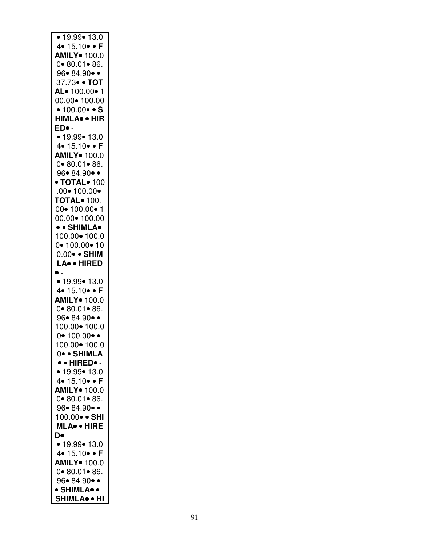| • 19.99 • 13.0                          |
|-----------------------------------------|
| 4 $\bullet$ 15.10 $\bullet$ $\bullet$ F |
| AMILY <sup>o</sup> 100.0                |
| $0 - 80.01 - 86.$                       |
|                                         |
| 96• 84.90• •                            |
| 37.73 · TOT                             |
| AL-100.00-1                             |
| 00.00• 100.00                           |
| • $100.00 \cdot S$                      |
| HIMLA <sup>.</sup> HIR                  |
| ED• -                                   |
| • 19.99 • 13.0                          |
| 4. $15.10 - F$                          |
| AMILY <sup>o</sup> 100.0                |
| $0 - 80.01 - 86.$                       |
| 96•84.90••                              |
| $\bullet$ TOTAL $\bullet$ 100           |
| $.00 \cdot 100.00 \cdot$                |
|                                         |
| <b>TOTAL</b> 100.                       |
| 00• 100.00• 1                           |
| 00.00 • 100.00                          |
| • • SHIMLA•                             |
| 100.00 • 100.0                          |
| $0 - 100.00 - 10$                       |
| $0.00 \bullet$ • SHIM                   |
| LA. HIRED                               |
|                                         |
| • 19.99 • 13.0                          |
| 4• 15.10 • F                            |
| AMILY <sup>o</sup> 100.0                |
| $0 - 80.01 - 86.$                       |
| 96• 84.90• •                            |
| 100.00 • 100.0                          |
|                                         |
| $0 \cdot 100.00 \cdot \cdot$            |
| 100.00• 100.0                           |
|                                         |
| 0• • SHIMLA                             |
| $\bullet \bullet$ HIRED $\bullet$ -     |
| • 19.99 • 13.0                          |
| 4. 15.10. F                             |
| <b>AMILY</b> 100.0                      |
|                                         |
| 0 80.01 86.                             |
| 96• 84.90• •                            |
| 100.00• • SHI                           |
| MLA• • HIRE                             |
| <b>D</b> • -                            |
| • 19.99 • 13.0                          |
| 4• 15.10• • F                           |
| <b>AMILY</b> 100.0                      |
| $0 - 80.01 - 86.$                       |
| 96• 84.90• •                            |
| • SHIMLA• •<br><b>SHIMLA</b> • HI       |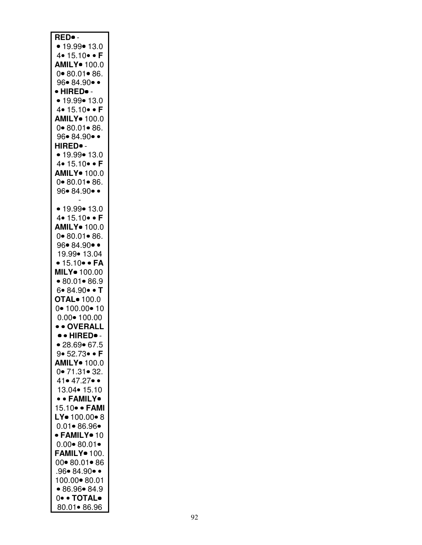| RED.                                   |
|----------------------------------------|
|                                        |
| • 19.99 • 13.0                         |
| 4• 15.10• • F                          |
| <b>AMILY</b> 100.0                     |
| $0 - 80.01 - 86.$                      |
| 96• 84.90• •                           |
| • HIRED• -                             |
| • 19.99 • 13.0                         |
| 4 • 15.10 • F                          |
| <b>AMILY</b> 100.0                     |
| $0 - 80.01 - 86.$                      |
|                                        |
| 96•84.90••                             |
| HIRED• -                               |
| • 19.99 • 13.0                         |
| 4• 15.10• • F                          |
| <b>AMILY</b> 100.0                     |
| $0 - 80.01 - 86.$                      |
| 96• 84.90••                            |
|                                        |
| • 19.99 • 13.0                         |
| 4• 15.10• • F                          |
|                                        |
| <b>AMILY</b> 100.0                     |
| $0 - 80.01 - 86.$                      |
| 96• 84.90• •                           |
| 19.99• 13.04                           |
| $\bullet$ 15.10 $\bullet$ $\bullet$ FA |
| MILY · 100.00                          |
|                                        |
|                                        |
| •80.01•86.9                            |
| 6• 84.90 • T                           |
| <b>OTAL</b> • 100.0                    |
| $0 - 100.00 - 10$                      |
| $0.00 \cdot 100.00$                    |
| • • OVERALL                            |
| ·· HIRED•-                             |
| • 28.69 • 67.5                         |
| 9• 52.73• • <b>F</b>                   |
| <b>AMILY</b> 100.0                     |
|                                        |
| $0 \cdot 71.31 \cdot 32.$              |
| 41• 47.27• •                           |
| 13.04 • 15.10                          |
| • • FAMILY•                            |
| 15.10 · FAMI                           |
| LY. 100.00.8                           |
| $0.01 - 86.96 -$                       |
| · FAMILY• 10                           |
| $0.00 - 80.01 -$                       |
| FAMILY <sup>o</sup> 100.               |
| 00 80.01 86                            |
|                                        |
| $.96 \bullet 84.90 \bullet \bullet$    |
| 100.00 • 80.01                         |
| •86.96•84.9                            |
| 0. TOTAL.<br>80.01• 86.96              |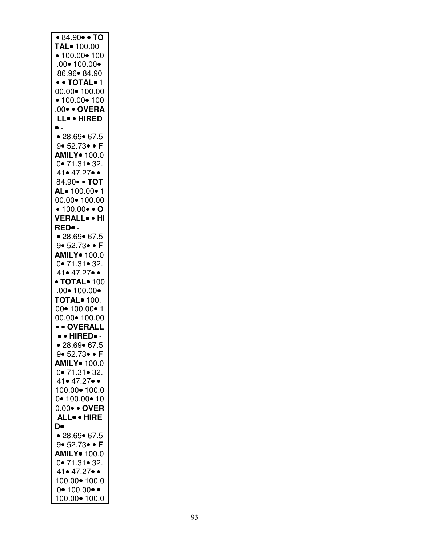| • 84.90 • TO                  |
|-------------------------------|
|                               |
| TAL <sup>o</sup> 100.00       |
| • $100.00$ • $100$            |
|                               |
| $.00 \cdot 100.00 \cdot$      |
|                               |
| 86.96• 84.90                  |
|                               |
| • • TOTAL• 1                  |
|                               |
| 00.00 • 100.00                |
|                               |
| • 100.00 • 100                |
| .00 · OVERA                   |
|                               |
| LL. HIRED                     |
|                               |
| $\bullet$ -                   |
|                               |
| • 28.69 • 67.5                |
|                               |
| 9• 52.73 • F                  |
|                               |
| AMILY <sup>o</sup> 100.0      |
|                               |
| 0.71.31.32.                   |
|                               |
| $41 \cdot 47.27 \cdot \cdot$  |
| 84.90 · TOT                   |
|                               |
| AL. 100.00.1                  |
|                               |
| 00.00• 100.00                 |
|                               |
| • $100.00 \cdot 0$            |
|                               |
| VERALL <sup>.</sup> HI        |
|                               |
| RED• -                        |
|                               |
| • 28.69 • 67.5                |
| $9 \cdot 52.73 \cdot \cdot F$ |
|                               |
| AMILY <sup>o</sup> 100.0      |
|                               |
| 0.71.31.32.                   |
|                               |
|                               |
|                               |
| 41• 47.27• •                  |
|                               |
| $\bullet$ TOTAL $\bullet$ 100 |
|                               |
| $.00 \cdot 100.00 \cdot$      |
| <b>TOTAL</b> 100.             |
|                               |
| $00 - 100.00 - 1$             |
|                               |
| 00.00• 100.00                 |
|                               |
| • • OVERALL                   |
| • • HIRED •-                  |
|                               |
| • 28.69 • 67.5                |
|                               |
| 9• 52.73• • F                 |
|                               |
| <b>AMILY</b> 100.0            |
|                               |
| $0 \cdot 71.31 \cdot 32.$     |
| 41• 47.27• •                  |
|                               |
|                               |
| 100.00• 100.0                 |
| 0• 100.00• 10                 |
|                               |
| 0.00 · OVER                   |
|                               |
| <b>ALL</b> . HIRE             |
| D• -                          |
|                               |
| • 28.69 • 67.5                |
|                               |
| 9• 52.73• • F                 |
|                               |
| <b>AMILY</b> 100.0            |
|                               |
| 0.71.31.32.                   |
|                               |
| 41• 47.27• •                  |
| 100.00 • 100.0                |
|                               |
| $0 - 100.00 -$                |
| 100.00 • 100.0                |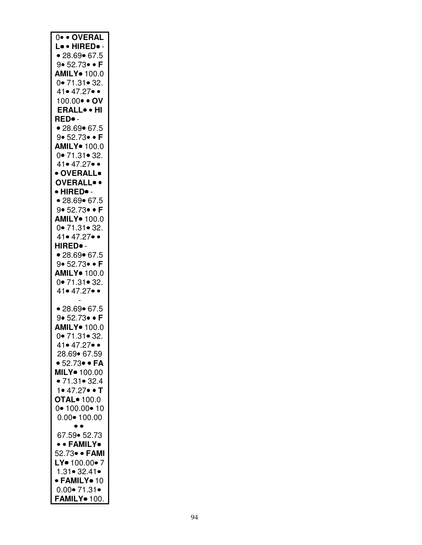| 0 · OVERAL                             |
|----------------------------------------|
| Lo . HIRED. -                          |
| • 28.69 • 67.5                         |
| 9•52.73• F                             |
|                                        |
| <b>AMILY</b> 100.0                     |
| 0• 71.31• 32.                          |
| 41• 47.27• •                           |
| 100.00 · OV                            |
| <b>ERALL</b> . HI                      |
| RED• -                                 |
| • 28.69 • 67.5                         |
| 9• 52.73• • F                          |
| <b>AMILY</b> 100.0                     |
|                                        |
| 0• 71.31• 32.                          |
| 41• 47.27• •                           |
| · OVERALL•                             |
| <b>OVERALL</b> .                       |
| • HIRED• -                             |
| • 28.69 • 67.5                         |
| 9•52.73• F                             |
| <b>AMILY</b> 100.0                     |
|                                        |
| $0 \cdot 71.31 \cdot 32.$              |
| 41• 47.27• •                           |
| HIRED.                                 |
| • 28.69 • 67.5                         |
| 9• 52.73• • <b>F</b>                   |
| AMILY <sup>o</sup> 100.0               |
| 0.71.31.32.                            |
| 41• 47.27• •                           |
|                                        |
|                                        |
| • 28.69 • 67.5                         |
| 9• 52.73• • <b>F</b>                   |
| AMILY <sup>o</sup> 100.0               |
| 0.71.31.32.                            |
| 41• 47.27• •                           |
| 28.69 67.59                            |
| $\bullet$ 52.73 $\bullet$ $\bullet$ FA |
| MILY. 100.00                           |
| • 71.31 • 32.4                         |
| 1• 47.27• • T                          |
|                                        |
| OTAL <sup>o</sup> 100.0                |
| $0 - 100.00 - 10$                      |
| $0.00 \cdot 100.00$                    |
| $\bullet$                              |
| 67.59 • 52.73                          |
| • • FAMILY•                            |
| 52.73• • FAMI                          |
| LY = 100.00 = 7                        |
| 1.31 • 32.41 •                         |
| · FAMILY• 10                           |
| $0.00 \bullet 71.31 \bullet$           |
| FAMILY• 100.                           |
|                                        |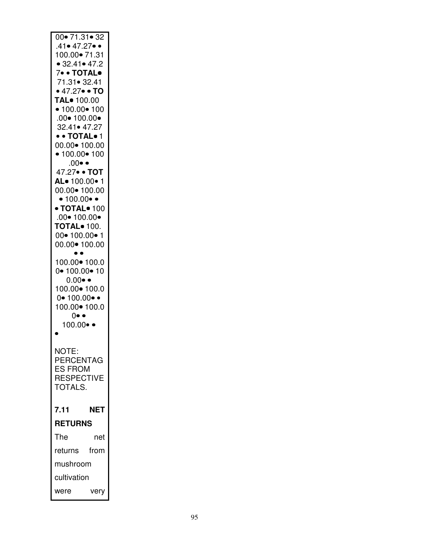| $00 \cdot 71.31 \cdot 32$<br>$.41 \bullet 47.27 \bullet \bullet$<br>100.00 - 71.31<br>• 32.41 • 47.2<br>7. TOTAL.<br>71.31 • 32.41<br>• 47.27 $\bullet$ • TO<br>TAL <sup>•</sup> 100.00<br>• 100.00 • 100<br>$.00 \cdot 100.00 \cdot$<br>32.41• 47.27<br>• • TOTAL• 1 |      |
|-----------------------------------------------------------------------------------------------------------------------------------------------------------------------------------------------------------------------------------------------------------------------|------|
| 00.00 • 100.00<br>• 100.00 • 100<br>$.00 \bullet \bullet$<br>47.27 · TOT<br>AL-100.00-1                                                                                                                                                                               |      |
| 00.00 • 100.00<br>$\bullet$ 100.00 $\bullet$ $\bullet$<br>$\bullet$ TOTAL $\bullet$ 100<br>.00 $\bullet$ 100.00 $\bullet$<br><b>TOTAL</b> 100.<br>$00 - 100.00 - 1$<br>00.00• 100.00                                                                                  |      |
| 100.00 • 100.0<br>$0 - 100.00 - 10$<br>$0.00 \bullet \bullet$<br>100.00 • 100.0<br>$0 - 100.00 - 4$<br>100.00 • 100.0<br>$0 \bullet \bullet$<br>100.00•                                                                                                               |      |
| NOTE:<br>PERCENTAG<br><b>ES FROM</b><br><b>RESPECTIVE</b><br>TOTALS.                                                                                                                                                                                                  |      |
| 7.11<br><b>RETURNS</b>                                                                                                                                                                                                                                                | NET  |
| The                                                                                                                                                                                                                                                                   | net  |
| returns                                                                                                                                                                                                                                                               | from |
| mushroom                                                                                                                                                                                                                                                              |      |
| cultivation                                                                                                                                                                                                                                                           |      |
| were                                                                                                                                                                                                                                                                  | ۱Ŋ   |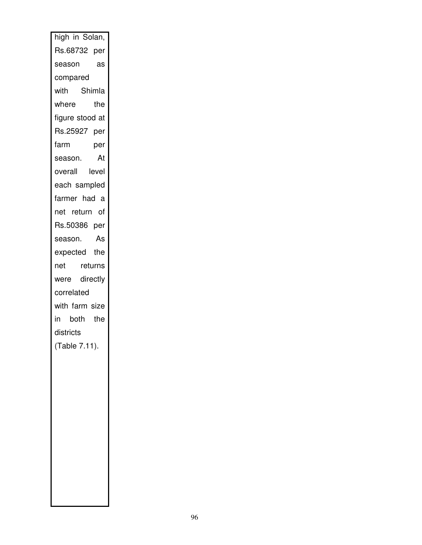| Rs.68732 per<br>season<br>as<br>compared<br>with Shimla<br>where<br>the<br>figure stood at<br>Rs.25927 per<br>farm<br>per<br>season.<br>At<br>overall level<br>each sampled<br>farmer had a<br>net return of<br>Rs.50386 per<br>season.<br>As<br>expected the<br>returns<br>net<br>were directly<br>correlated<br>with farm size<br>in both the<br>districts<br>(Table 7.11). |
|-------------------------------------------------------------------------------------------------------------------------------------------------------------------------------------------------------------------------------------------------------------------------------------------------------------------------------------------------------------------------------|
|                                                                                                                                                                                                                                                                                                                                                                               |
|                                                                                                                                                                                                                                                                                                                                                                               |
|                                                                                                                                                                                                                                                                                                                                                                               |
|                                                                                                                                                                                                                                                                                                                                                                               |
|                                                                                                                                                                                                                                                                                                                                                                               |
|                                                                                                                                                                                                                                                                                                                                                                               |
|                                                                                                                                                                                                                                                                                                                                                                               |
|                                                                                                                                                                                                                                                                                                                                                                               |
|                                                                                                                                                                                                                                                                                                                                                                               |
|                                                                                                                                                                                                                                                                                                                                                                               |
|                                                                                                                                                                                                                                                                                                                                                                               |
|                                                                                                                                                                                                                                                                                                                                                                               |
|                                                                                                                                                                                                                                                                                                                                                                               |
|                                                                                                                                                                                                                                                                                                                                                                               |
|                                                                                                                                                                                                                                                                                                                                                                               |
|                                                                                                                                                                                                                                                                                                                                                                               |
|                                                                                                                                                                                                                                                                                                                                                                               |
|                                                                                                                                                                                                                                                                                                                                                                               |
|                                                                                                                                                                                                                                                                                                                                                                               |
|                                                                                                                                                                                                                                                                                                                                                                               |
|                                                                                                                                                                                                                                                                                                                                                                               |
|                                                                                                                                                                                                                                                                                                                                                                               |
|                                                                                                                                                                                                                                                                                                                                                                               |
|                                                                                                                                                                                                                                                                                                                                                                               |
|                                                                                                                                                                                                                                                                                                                                                                               |
|                                                                                                                                                                                                                                                                                                                                                                               |
|                                                                                                                                                                                                                                                                                                                                                                               |
|                                                                                                                                                                                                                                                                                                                                                                               |
|                                                                                                                                                                                                                                                                                                                                                                               |
|                                                                                                                                                                                                                                                                                                                                                                               |
|                                                                                                                                                                                                                                                                                                                                                                               |
|                                                                                                                                                                                                                                                                                                                                                                               |
|                                                                                                                                                                                                                                                                                                                                                                               |
|                                                                                                                                                                                                                                                                                                                                                                               |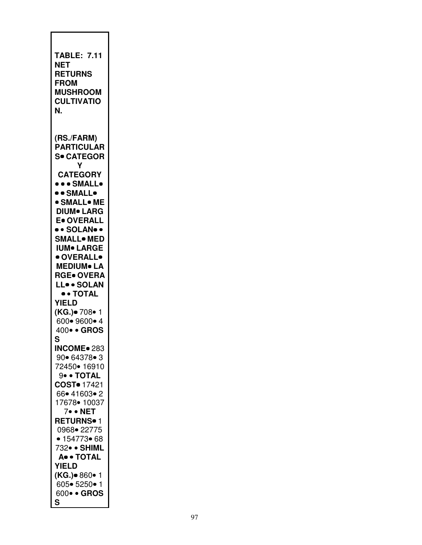| TABLE: 7.11<br>NET<br><b>RETURNS</b><br><b>FROM</b><br><b>MUSHROOM</b><br><b>CULTIVATIO</b><br>N.                                                                                                                                                                                                                                                                                                                              |
|--------------------------------------------------------------------------------------------------------------------------------------------------------------------------------------------------------------------------------------------------------------------------------------------------------------------------------------------------------------------------------------------------------------------------------|
| (RS./FARM)<br><b>PARTICULAR</b><br><b>S• CATEGOR</b><br>Υ<br><b>CATEGORY</b><br><b>••• SMALL•</b><br>$\bullet$ $\bullet$ small $\bullet$<br><b>• SMALL• ME</b><br><b>DIUM</b> LARG<br>E. OVERALL<br>•• SOLAN••<br><b>SMALL• MED</b><br><b>IUM• LARGE</b><br>· OVERALL•<br><b>MEDIUM</b> LA<br><b>RGE• OVERA</b><br>LL. SOLAN<br>$\bullet$ + TOTAL<br><b>YIELD</b><br>( <b>KG.)</b> ● 708● 1<br>600• 9600• 4<br>400 · GROS<br>S |
| <b>INCOME</b> 283<br>90• 64378• 3<br>72450• 16910<br>9• • TOTAL<br>COST <sup>o</sup> 17421<br>66• 41603• 2<br>17678 • 10037<br>7• • NET<br><b>RETURNS</b> <sup>1</sup><br>0968• 22775<br>• 154773• 68<br>732• • SHIML<br>A. TOTAL<br><b>YIELD</b><br>(KG.) 860 · 1<br>605• 5250• 1<br>600 · GROS<br>S                                                                                                                          |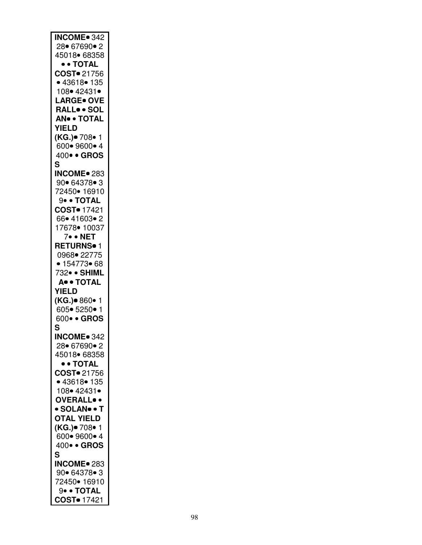| <b>INCOME</b> 342       |
|-------------------------|
| 28• 67690• 2            |
|                         |
| 45018• 68358            |
|                         |
| • • TOTAL               |
|                         |
| COST. 21756             |
| • 43618• 135            |
|                         |
| 108• 42431•             |
|                         |
| <b>LARGE</b> OVE        |
|                         |
| RALLSOL                 |
| <b>AN® • TOTAL</b>      |
|                         |
| <b>YIELD</b>            |
|                         |
| (KG.)• 708• 1           |
|                         |
| 600 • 9600 • 4          |
| 400 · GROS              |
|                         |
| S                       |
|                         |
| <b>INCOME</b> 283       |
|                         |
| 90• 64378• 3            |
| 72450• 16910            |
|                         |
| 9• • TOTAL              |
|                         |
| COST <sup>o</sup> 17421 |
|                         |
| 66• 41603• 2            |
| 17678• 10037            |
|                         |
| 7• • NET                |
|                         |
| RETURNS <sup>•</sup> 1  |
|                         |
| 0968• 22775             |
| • 154773• 68            |
|                         |
|                         |
|                         |
| 732• • SHIML            |
| A. · TOTAL              |
|                         |
| <b>YIELD</b>            |
|                         |
| (KG.)● 860● 1           |
|                         |
| 605 • 5250 • 1          |
| 600 · GROS              |
|                         |
| S                       |
|                         |
| <b>INCOME</b> 342       |
|                         |
| 28• 67690• 2            |
| 45018 68358             |
|                         |
| • • TOTAL               |
|                         |
| COST <sup>o</sup> 21756 |
|                         |
| • 43618• 135            |
| 108• 42431•             |
|                         |
| <b>OVERALL</b> .        |
|                         |
| · SOLAN• • T            |
|                         |
| <b>OTAL YIELD</b>       |
| (KG.)• 708• 1           |
|                         |
| 600 • 9600 • 4          |
|                         |
| 400 · GROS              |
| S                       |
|                         |
| <b>INCOME</b> 283       |
|                         |
| 90• 64378• 3            |
|                         |
| 72450• 16910            |
| 9• • TOTAL              |
| COST <sup>o</sup> 17421 |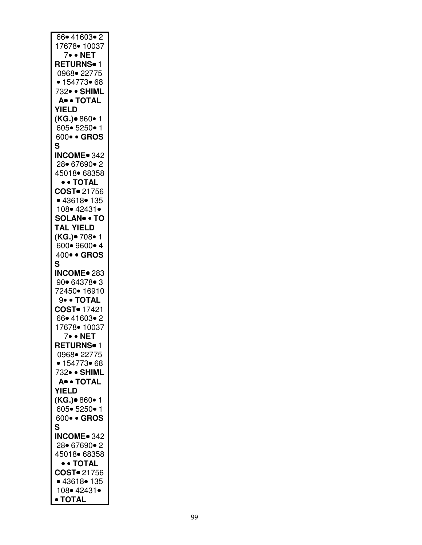| 66• 41603• 2                  |
|-------------------------------|
| 17678• 10037                  |
| 7• • NET                      |
| RETURNS• 1                    |
| 0968• 22775                   |
| • 154773• 68                  |
| 732• • SHIML                  |
| A. + TOTAL                    |
| <b>YIELD</b>                  |
|                               |
| (KG.)• 860• 1                 |
| 605• 5250• 1                  |
| 600 · GROS                    |
| S                             |
| <b>INCOME</b> 342             |
| 28 67690 • 2                  |
| 45018• 68358                  |
| • • TOTAL                     |
| COST = 21756<br>• 43618 = 135 |
|                               |
| 108• 42431•                   |
| <b>SOLAN® • TO</b>            |
| <b>TAL YIELD</b>              |
| (KG.)• 708• 1                 |
|                               |
| 600• 9600• 4                  |
| 400 · GROS                    |
| S                             |
| <b>INCOME</b> 283             |
| 90• 64378• 3                  |
| 72450• 16910                  |
| 9• • TOTAL                    |
| COST <sup>o</sup> 17421       |
| 66• 41603• 2                  |
| 17678• 10037                  |
| 7• • NET                      |
| <b>RETURNS</b> <sup>1</sup>   |
| 0968 22775                    |
| • 154773• 68                  |
|                               |
| 732• • SHIML                  |
| A. · TOTAL                    |
| <b>YIELD</b>                  |
| (KG.)• 860• 1                 |
| 605• 5250• 1                  |
| 600 · GROS                    |
| S                             |
| <b>INCOME</b> 342             |
| 28• 67690• 2                  |
| 45018• 68358                  |
| • • TOTAL                     |
|                               |
|                               |
| COST <sup>o</sup> 21756       |
| • 43618• 135                  |
| 108• 42431•<br>• TOTAL        |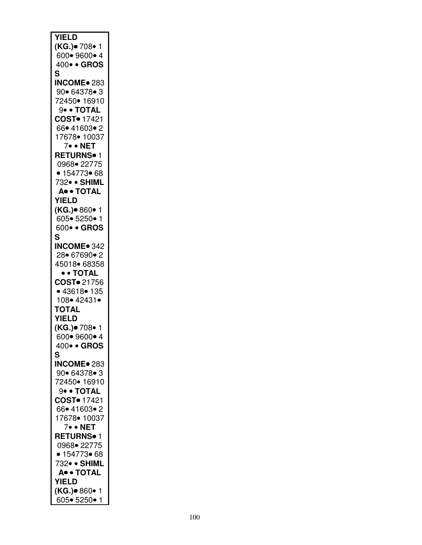| <b>YIELD</b>                |
|-----------------------------|
|                             |
| <b>(KG.)</b> ● 708● 1       |
| 600 • 9600 • 4              |
|                             |
| 400 · GROS                  |
| S                           |
|                             |
| <b>INCOME</b> 283           |
| 90• 64378• 3                |
|                             |
| 72450• 16910                |
| 9 · TOTAL                   |
|                             |
| COST. 17421                 |
| 66● 41603● 2                |
|                             |
| 17678• 10037                |
| 7• • NET                    |
|                             |
| <b>RETURNS</b> <sup>1</sup> |
| 0968 - 22775                |
|                             |
| • 154773• 68                |
| 732• • SHIML                |
|                             |
| A. • TOTAL                  |
| <b>YIELD</b>                |
|                             |
| (KG.)• 860• 1               |
| 605 • 5250 • 1              |
|                             |
| 600 · GROS                  |
| S                           |
|                             |
| <b>INCOME</b> 342           |
| 28 67690 • 2                |
|                             |
| 45018• 68358                |
| • • TOTAL                   |
|                             |
| COST. 21756                 |
| • 43618• 135                |
| 108 • 42431 •               |
|                             |
| <b>TOTAL</b>                |
| <b>YIELD</b>                |
|                             |
| (KG.)● 708● 1               |
| 600 • 9600 • 4              |
|                             |
| 400 · GROS                  |
| S                           |
|                             |
| <b>INCOME</b> 283           |
| 90• 64378• 3                |
|                             |
| 72450• 16910                |
| 9• • TOTAL                  |
|                             |
| COST <sup>o</sup> 17421     |
| 66 • 41603 • 2              |
|                             |
| 17678• 10037                |
| 7. • NET                    |
| <b>RETURNS</b> <sup>1</sup> |
|                             |
| 0968• 22775                 |
| • 154773• 68                |
|                             |
| 732• • SHIML                |
| A. • TOTAL                  |
|                             |
| <b>YIELD</b>                |
| (KG.)• 860• 1               |
|                             |
| 605 5250 1                  |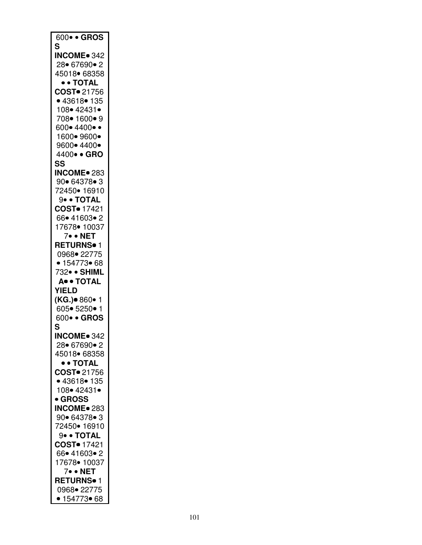| 600 · GROS                  |
|-----------------------------|
| S                           |
| <b>INCOME</b> 342           |
|                             |
| 28• 67690• 2                |
| 45018 68358                 |
| • • TOTAL                   |
| COST. 21756                 |
|                             |
| • 43618• 135                |
| 108• 42431•                 |
| 708• 1600• 9                |
| 600•4400••                  |
| 1600 • 9600 •               |
| 9600• 4400•                 |
|                             |
| 4400 · GRO                  |
| SS                          |
| <b>INCOME</b> 283           |
| 90• 64378• 3                |
| 72450• 16910                |
| 9• • TOTAL                  |
|                             |
| <b>COST</b> 17421           |
| 66• 41603• 2                |
| 17678• 10037                |
| 7• • NET                    |
| <b>RETURNS</b> • 1          |
|                             |
| 0968• 22775                 |
| • $154773$ 68               |
| 732• • SHIML                |
| A. • TOTAL                  |
| <b>YIELD</b>                |
|                             |
| ( <b>KG.)</b> ● 860● 1      |
| 605• 5250• 1                |
| 600 · GROS                  |
|                             |
|                             |
| S                           |
| <b>INCOME</b> 342           |
| 28• 67690• 2                |
| 45018 68358                 |
| • • TOTAL                   |
|                             |
| COST. 21756                 |
| • 43618• 135                |
| 108• 42431•                 |
| • GROSS                     |
| <b>INCOME</b> 283           |
|                             |
| 90• 64378• 3                |
| 72450• 16910                |
| 9• • TOTAL                  |
| COST <sup>o</sup> 17421     |
| 66• 41603• 2                |
|                             |
| 17678• 10037                |
| 7• • NET                    |
| <b>RETURNS</b> • 1          |
| 0968• 22775<br>• 154773• 68 |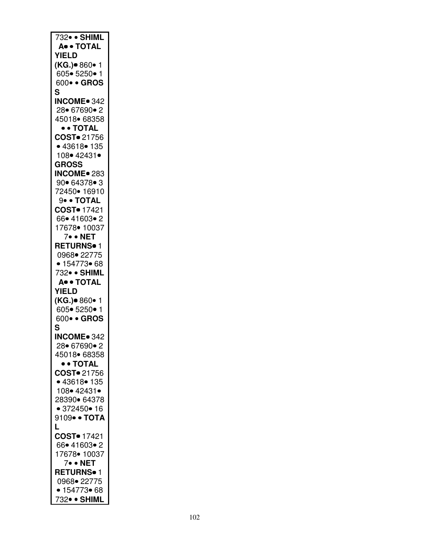| 732 · SHIML                   |
|-------------------------------|
|                               |
| A. + TOTAL                    |
| <b>YIELD</b>                  |
| (KG.)• 860• 1                 |
| 605• 5250• 1                  |
|                               |
| 600 · GROS                    |
| S                             |
| <b>INCOME</b> 342             |
| 28 67690 • 2                  |
|                               |
| 45018 68358                   |
| • • TOTAL                     |
| COST. 21756                   |
| • 43618• 135                  |
| 108• 42431•                   |
|                               |
| <b>GROSS</b>                  |
| <b>INCOME</b> 283             |
| 90• 64378• 3                  |
| 72450• 16910                  |
|                               |
| 9• • TOTAL                    |
| COST <sup>o</sup> 17421       |
| 66• 41603• 2                  |
| 17678 • 10037                 |
| 7• • NET                      |
|                               |
| RETURNS <sup>•</sup> 1        |
| 0968• 22775                   |
| • $154773$ 68                 |
|                               |
|                               |
| 732• • SHIML                  |
| A. + TOTAL                    |
| <b>YIELD</b>                  |
|                               |
| (KG.)● 860● 1                 |
| 605• 5250• 1                  |
| 600 · GROS                    |
| S                             |
| <b>INCOME</b> 342             |
|                               |
| 28• 67690• 2                  |
| 45018• 68358                  |
| • • TOTAL                     |
| COST <sup>o</sup> 21756       |
| • 43618 • 135                 |
|                               |
| 108• 42431•                   |
| 28390• 64378                  |
| • 372450 • 16                 |
| 9109• • TOTA                  |
| Ĺ                             |
|                               |
| <b>COST</b> 17421             |
| 66• 41603• 2                  |
| 17678 • 10037                 |
| 7• • NET                      |
|                               |
| RETURNS <sup>•</sup> 1        |
| 0968• 22775                   |
| • $154773$ 68<br>732• • SHIML |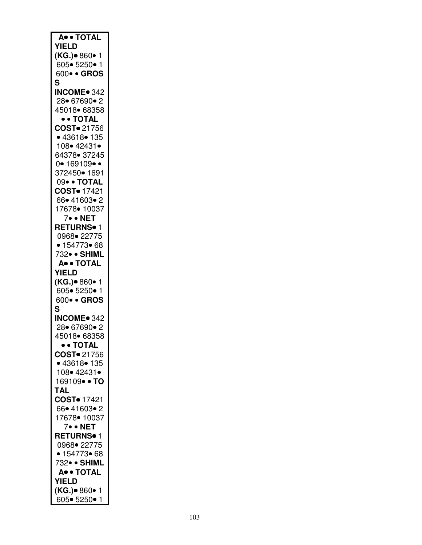| A. TOTAL                    |
|-----------------------------|
|                             |
| <b>YIELD</b>                |
|                             |
| ( <b>KG.)</b> ● 860● 1      |
| 605• 5250• 1                |
|                             |
| 600 · GROS                  |
|                             |
| S                           |
| <b>INCOME</b> 342           |
|                             |
| 28• 67690• 2                |
|                             |
| 45018• 68358                |
| • • TOTAL                   |
|                             |
| COST. 21756                 |
|                             |
| • 43618• 135                |
|                             |
| 108• 42431•                 |
| 64378• 37245                |
|                             |
| $0 - 169109 -$              |
|                             |
| 372450• 1691                |
| 09• • TOTAL                 |
|                             |
| COST <sup>o</sup> 17421     |
|                             |
| 66• 41603• 2                |
|                             |
| 17678 • 10037               |
| 7. • NET                    |
|                             |
| RETURNS• 1                  |
|                             |
| 0968• 22775                 |
| • 154773• 68                |
|                             |
| 732• • SHIML                |
|                             |
| A. · TOTAL                  |
| <b>YIELD</b>                |
|                             |
|                             |
| (KG.) <sup>•</sup> 860• 1   |
| 605• 5250• 1                |
|                             |
| 600• • GROS                 |
| S                           |
|                             |
| <b>INCOME</b> 342           |
|                             |
| 28 67690 2                  |
|                             |
| 45018• 68358                |
| • • TOTAL                   |
|                             |
| COST. 21756                 |
| • 43618• 135                |
|                             |
| 108• 42431•                 |
|                             |
| 169109• • TO                |
|                             |
| <b>TAL</b>                  |
|                             |
|                             |
| COST <sup>o</sup> 17421     |
|                             |
| 66• 41603• 2                |
| 17678• 10037                |
|                             |
| 7• • NET                    |
|                             |
| <b>RETURNS</b> <sup>1</sup> |
| 0968• 22775                 |
|                             |
| • 154773• 68                |
|                             |
| 732• • SHIML                |
|                             |
| A. + TOTAL                  |
| <b>YIELD</b>                |
|                             |
| (KG.)• 860• 1               |
| 605• 5250• 1                |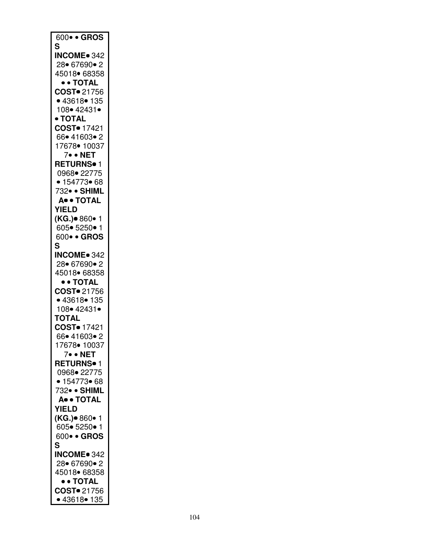| 600 · GROS              |
|-------------------------|
| S                       |
| <b>INCOME</b> 342       |
| 28 67690 • 2            |
| 45018 68358             |
| • • TOTAL               |
|                         |
| COST <sup>•</sup> 21756 |
| • 43618• 135            |
| 108• 42431•             |
| $\bullet$ TOTAL         |
| COST <sup>o</sup> 17421 |
| 66• 41603• 2            |
| 17678• 10037            |
| 7. • NET                |
|                         |
| RETURNS <sup>o</sup> 1  |
| 0968 22775              |
| • 154773• 68            |
| 732• • SHIML            |
| A. TOTAL                |
| <b>YIELD</b>            |
|                         |
| (KG.)• 860• 1           |
| 605• 5250• 1            |
| 600 · GROS              |
| S                       |
| <b>INCOME</b> 342       |
| 28 67690 2              |
| 45018• 68358            |
|                         |
| $\bullet$ + TOTAL       |
| COST. 21756             |
| • 43618 • 135           |
| 108• 42431•             |
| <b>TOTAL</b>            |
| COST <sup>o</sup> 17421 |
| 66● 41603● 2            |
|                         |
| 17678 • 10037           |
| 7. • NET                |
| RETURNS <sup>.</sup> 1  |
| 0968• 22775             |
| • 154773• 68            |
| 732• • SHIML            |
| A. · TOTAL              |
|                         |
| <b>YIELD</b>            |
| ( <b>KG.)</b> ● 860● 1  |
| 605• 5250• 1            |
| 600 · GROS              |
| S                       |
| <b>INCOME</b> 342       |
| 28 67690 • 2            |
|                         |
| 45018 68358             |
| • • TOTAL               |
| COST. 21756             |
| • 43618• 135            |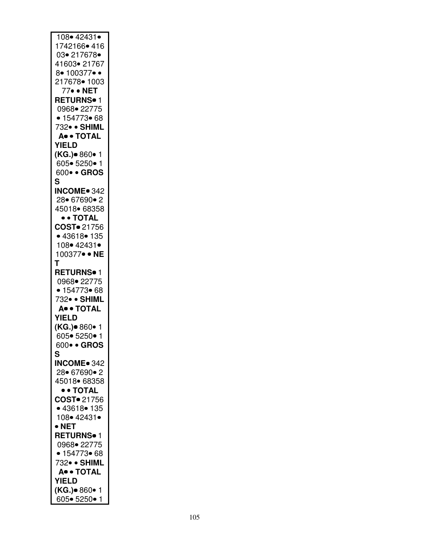| $108 - 42431$          |
|------------------------|
| 1742166• 416           |
| 03• 217678•            |
|                        |
| 41603•21767            |
| 8• 100377• •           |
| 217678• 1003           |
|                        |
| 77• • NET              |
| <b>RETURNS</b> • 1     |
| 0968• 22775            |
| • 154773• 68           |
|                        |
| 732• • SHIML           |
| A. TOTAL               |
| <b>YIELD</b>           |
|                        |
| ( <b>KG.)</b> ● 860● 1 |
| 605 • 5250 • 1         |
| 600 · GROS             |
|                        |
| S                      |
| <b>INCOME</b> 342      |
| 28• 67690• 2           |
|                        |
| 45018 68358            |
| • • TOTAL              |
| COST. 21756            |
|                        |
| • 43618• 135           |
| 108 • 42431 •          |
| 100377• • NE           |
|                        |
| Т                      |
| <b>RETURNS</b> • 1     |
| 0968• 22775            |
|                        |
| • 154773• 68           |
| 732• • SHIML           |
| A. TOTAL               |
| <b>YIELD</b>           |
|                        |
| (KG.) 860 · 1          |
| 605∙ 5250∙             |
| 600• • GROS            |
|                        |
| S                      |
| <b>INCOME</b> 342      |
| 28 67690 • 2           |
|                        |
| 45018 68358            |
| • • TOTAL              |
| COST. 21756            |
| • 43618• 135           |
|                        |
| 108• 42431•            |
| $\bullet$ NET          |
| <b>RETURNS</b> • 1     |
|                        |
| 0968• 22775            |
| • 154773• 68           |
| 732• • SHIML           |
|                        |
| A. OTAL                |
| <b>YIELD</b>           |
| (KG.)● 860● 1          |
|                        |
| 605• 5250• 1           |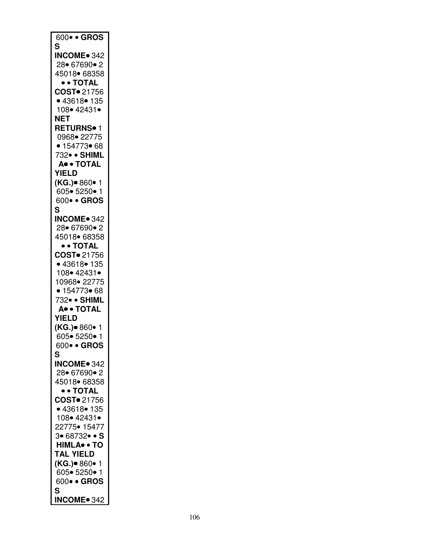| $600 \bullet \bullet$ GROS    |
|-------------------------------|
| S                             |
| <b>INCOME</b> 342             |
| 28• 67690• 2                  |
| 45018 68358                   |
| • • TOTAL                     |
| COST <sup>•</sup> 21756       |
| ● 43618● 135                  |
| 108• 42431•                   |
| <b>NET</b>                    |
| <b>RETURNS</b> • 1            |
| 0968• 22775                   |
| • 154773• 68                  |
| 732• • SHIML<br>A. • TOTAL    |
| <b>YIELD</b>                  |
|                               |
| (KG.)• 860• 1<br>605• 5250• 1 |
| 600 · GROS                    |
| S                             |
| <b>INCOME</b> 342             |
| 28 67690 • 2                  |
| 45018 68358                   |
| • • TOTAL                     |
| COST <sup>®</sup> 21756       |
| • 43618 • 135                 |
| 108• 42431•                   |
| 10968• 22775                  |
| • 154773•68                   |
| 732• • SHIML                  |
| A. TOTAL                      |
| <b>YIELD</b>                  |
| (KG.)● 860● 1                 |
| 605• 5250• 1                  |
| 600 · GROS                    |
| S                             |
| <b>INCOME</b> 342             |
| 28 67690 • 2                  |
| 45018 68358                   |
| • • TOTAL                     |
| COST. 21756                   |
| • 43618• 135                  |
| 108• 42431•                   |
| 22775• 15477                  |
| 3• 68732• • S                 |
| <b>HIMLA</b> • TO             |
| <b>TAL YIELD</b>              |
| (KG.)● 860 <mark>•</mark> 1   |
| 605• 5250• 1                  |
| 600 · GROS                    |
| S                             |
| <b>INCOME</b> 342             |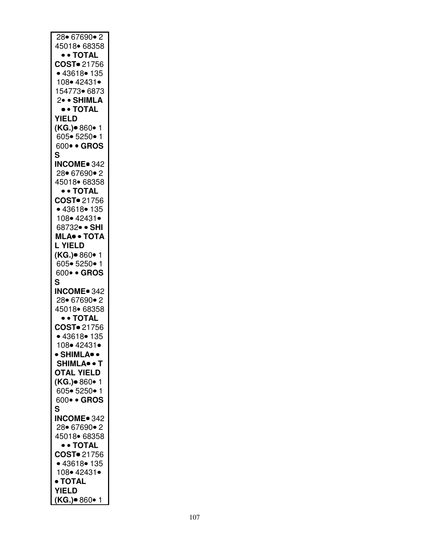| $28 \cdot 67690 \cdot 2$    |
|-----------------------------|
| 45018• 68358                |
|                             |
| • • TOTAL                   |
| COST. 21756                 |
|                             |
| • 43618• 135                |
| 108• 42431•                 |
|                             |
| 154773• 6873                |
| 2• • SHIMLA                 |
|                             |
| $\bullet\ \texttt{+}$ Total |
| <b>YIELD</b>                |
|                             |
| (KG.)• 860• 1               |
| 605 • 5250 • 1              |
|                             |
| 600 · GROS                  |
| S                           |
|                             |
| <b>INCOME</b> 342           |
| 28 67690 • 2                |
|                             |
| 45018• 68358                |
| • • TOTAL                   |
|                             |
| COST. 21756                 |
| • 43618• 135                |
|                             |
| 108• 42431•                 |
| 68732• • SHI                |
|                             |
| MLA <sup>®</sup> • TOTA     |
| L YIELD                     |
|                             |
| (KG.)• 860• 1               |
| 605 • 5250 • 1              |
|                             |
| 600 · GROS                  |
|                             |
|                             |
| S                           |
| <b>INCOME</b> 342           |
|                             |
| 28 67690 • 2                |
| 45018 68358                 |
|                             |
| $\bullet$ + TOTAL           |
| COST <sup>o</sup> 21756     |
|                             |
| • 43618• 135                |
| 108• 42431•                 |
|                             |
| • SHIMLA• •                 |
| SHIMLA• • T                 |
|                             |
| <b>OTAL YIELD</b>           |
| (KG.)• 860• 1               |
|                             |
| 605 • 5250 • 1              |
| 600 · GROS                  |
|                             |
| S                           |
| <b>INCOME</b> 342           |
|                             |
| 28 67690 • 2                |
| 45018 68358                 |
|                             |
| • • TOTAL                   |
| COST. 21756                 |
|                             |
| • 43618 • 135               |
| 108• 42431•                 |
|                             |
| • TOTAL                     |
| <b>YIELD</b>                |
| (KG.)• 860• 1               |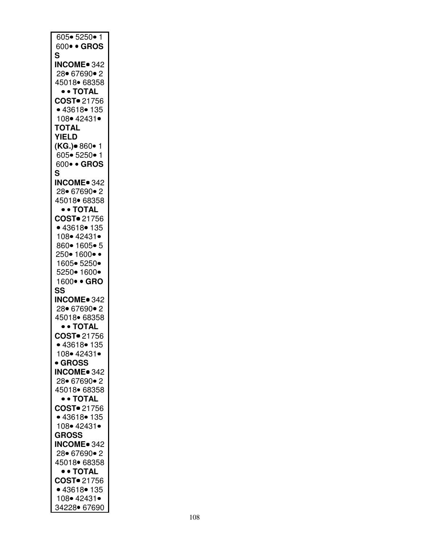| 605• 5250• 1                |
|-----------------------------|
|                             |
| 600 · GROS                  |
| S                           |
| <b>INCOME</b> 342           |
|                             |
| 28 67690 • 2                |
| 45018 68358                 |
|                             |
| $\bullet$ + TOTAL           |
| COST. 21756                 |
| • 43618• 135                |
|                             |
| 108• 42431•                 |
| <b>TOTAL</b>                |
| <b>YIELD</b>                |
|                             |
| (KG.)• 860• 1               |
| 605• 5250• 1                |
|                             |
| 600 · GROS                  |
| S                           |
|                             |
| <b>INCOME</b> 342           |
| 28 67690 • 2                |
| 45018 68358                 |
|                             |
| • • TOTAL                   |
| COST <sup>o</sup> 21756     |
| • 43618• 135                |
|                             |
| 108• 42431•                 |
| 860• 1605• 5                |
|                             |
| 250• 1600• •                |
| 1605• 5250•                 |
|                             |
| 5250• 1600•                 |
|                             |
| 1600 · GRO                  |
|                             |
| SS                          |
| <b>INCOME</b> 342           |
|                             |
| 28 67690 • 2                |
| 45018• 68358                |
|                             |
| • • TOTAL                   |
| COST. 21756                 |
| • 43618• 135                |
|                             |
| 108• 42431•                 |
| <b>GROSS</b>                |
| <b>INCOME</b> 342           |
|                             |
| 28 67690 • 2                |
| 45018 68358                 |
|                             |
| • • TOTAL                   |
| COST <sup>o</sup> 21756     |
| • 43618• 135                |
|                             |
| 108• 42431•                 |
| <b>GROSS</b>                |
|                             |
| <b>INCOME</b> 342           |
| 28 67690 • 2                |
| 45018 68358                 |
|                             |
| • • TOTAL                   |
| COST. 21756                 |
|                             |
| • 43618 • 135               |
| 108• 42431•<br>34228• 67690 |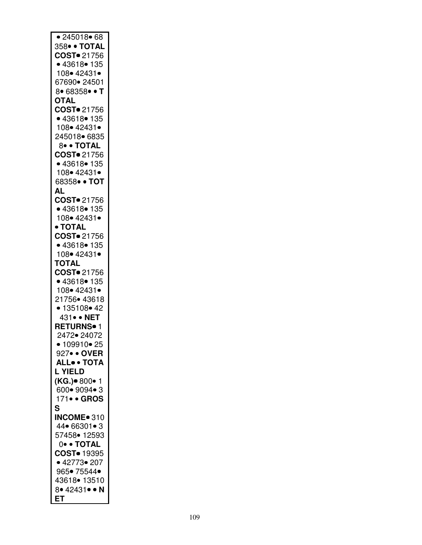| • 245018 • 68           |
|-------------------------|
| 358• • TOTAL            |
| COST. 21756             |
| • 43618 • 135           |
| 108• 42431•             |
|                         |
| 67690● 24501            |
| 8 • 68358 • T           |
| <b>OTAL</b>             |
| COST. 21756             |
| • 43618• 135            |
| 108• 42431•             |
| 245018• 6835            |
| 8 · TOTAL               |
| COST <sup>o</sup> 21756 |
| • 43618 • 135           |
| 108• 42431•             |
| 68358• • TOT            |
| AL                      |
| COST. 21756             |
|                         |
| • 43618• 135            |
| 108• 42431•             |
| • TOTAL                 |
| COST. 21756             |
| • 43618• 135            |
| 108• 42431•             |
| <b>TOTAL</b>            |
| COST. 21756             |
| • 43618• 135            |
| 108• 42431•             |
| 21756• 43618            |
| • 135108 • 42           |
|                         |
| 431 · NET               |
| RETURNS <sup>o</sup> 1  |
| 2472• 24072             |
| • 109910 • 25           |
| 927• • OVER             |
| <b>ALL TOTA</b>         |
| <b>L YIELD</b>          |
| (KG.)• 800• 1           |
| 600 • 9094 • 3          |
| 171• • GROS             |
| S                       |
| INCOME <sup>®</sup> 310 |
|                         |
| 44 66301 • 3            |
| 57458• 12593            |
| 0. TOTAL                |
| COST <sup>o</sup> 19395 |
| • 42773• 207            |
| 965• 75544•             |
| 43618• 13510            |
| 8. 42431. N             |
| ET                      |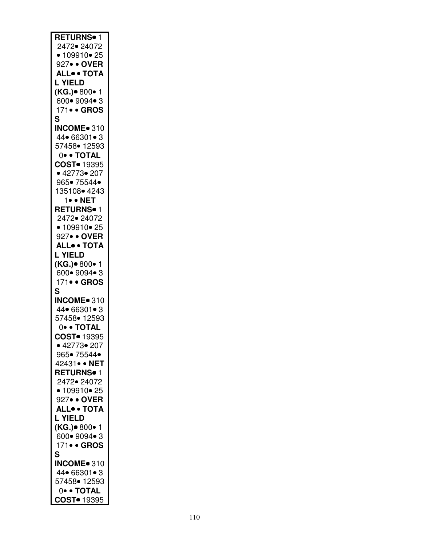| RETURNS <sup>.1</sup>   |
|-------------------------|
| 2472• 24072             |
| • $109910$ $25$         |
|                         |
| 927• • OVER             |
| <b>ALL. TOTA</b>        |
| <b>L YIELD</b>          |
| (KG.)• 800• 1           |
| 600• 9094• 3            |
| 171• • GROS             |
| S                       |
| INCOME <sup>®</sup> 310 |
|                         |
| 44 66301 • 3            |
| 57458• 12593            |
| 0. TOTAL                |
| COST <sup>o</sup> 19395 |
| • 42773 • 207           |
| 965• 75544•             |
| 135108 4243             |
|                         |
| 1. • NET                |
| <b>RETURNS</b> • 1      |
| 2472• 24072             |
| • $109910$ $25$         |
| 927• • OVER             |
| <b>ALL. TOTA</b>        |
|                         |
| <b>L YIELD</b>          |
| (KG.)• 800• 1           |
| 600 • 9094 • 3          |
| 171• • GROS             |
| S                       |
| INCOME <sup>®</sup> 310 |
| 44 66301 • 3            |
|                         |
| 57458• 12593            |
| 0. TOTAL                |
| COST <sup>•</sup> 19395 |
| • 42773• 207            |
| 965• 75544•             |
| 42431 · NET             |
| RETURNS <sup>•</sup> 1  |
| 2472• 24072             |
|                         |
| • 109910 • 25           |
| 927• • OVER             |
| <b>ALL. TOTA</b>        |
| L YIELD                 |
| (KG.)• 800• 1           |
| 600• 9094• 3            |
| 171• • GROS             |
|                         |
| S                       |
| INCOME <sup>®</sup> 310 |
| 44• 66301• 3            |
| 57458• 12593            |
| 0• • TOTAL              |
| COST <sup>o</sup> 19395 |
|                         |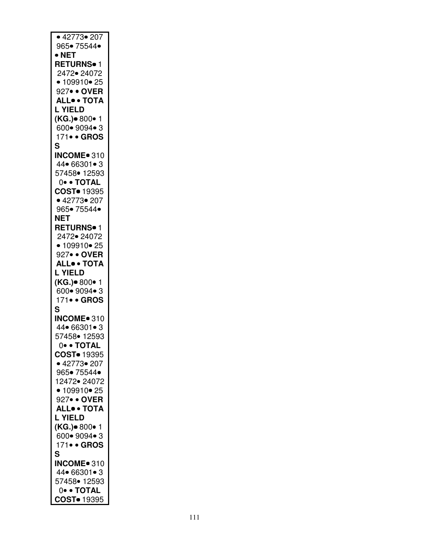| • 42773• 207              |
|---------------------------|
| 965• 75544•               |
| $\bullet$ NET             |
| <b>RETURNS</b> • 1        |
| 2472• 24072               |
| • 109910 • 25             |
| 927• • OVER               |
| <b>ALL. TOTA</b>          |
|                           |
| <b>L YIELD</b>            |
| (KG.)• 800• 1             |
| 600• 9094• 3              |
| 171• • GROS               |
| S                         |
| <b>INCOME</b> 310         |
| 44 66301 • 3              |
| 57458• 12593              |
| 0• • TOTAL                |
| COST <sup>o</sup> 19395   |
| • 42773 • 207             |
| 965• 75544•               |
|                           |
| <b>NET</b>                |
| RETURNS <sup>•</sup> 1    |
| 2472• 24072               |
| • 109910 • 25             |
| 927• • OVER               |
| <b>ALL. TOTA</b>          |
| <b>L YIELD</b>            |
| (KG.)• 800• 1             |
| 600• 9094• 3              |
| 171• • GROS               |
| S                         |
|                           |
| INCOME <sup>®</sup> 310   |
| 44 66301 • 3              |
| 57458• 12593              |
| $0 \bullet \bullet$ TOTAL |
| COST <sup>o</sup> 19395   |
| • 42773• 207              |
| 965• 75544•               |
| 12472• 24072              |
|                           |
|                           |
| • 109910 • 25             |
| 927• • OVER               |
| <b>ALL</b> ·· TOTA        |
| <b>L YIELD</b>            |
| (KG.)• 800• 1             |
| 600 • 9094 • 3            |
| 171• • GROS               |
| S                         |
| <b>INCOME</b> 310         |
| 44 66301 • 3              |
|                           |
| 57458• 12593<br>0. TOTAL  |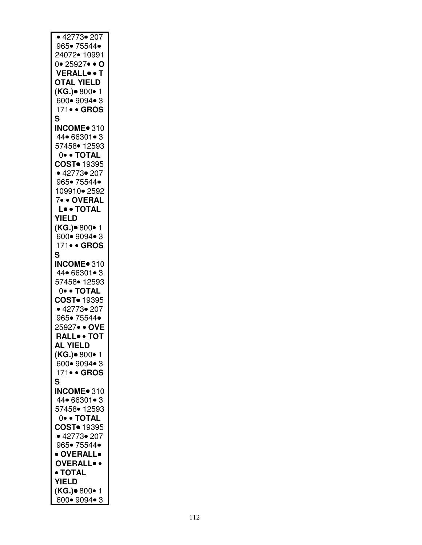| • 42773• 207                          |
|---------------------------------------|
|                                       |
| 965• 75544•                           |
| 24072• 10991                          |
| $0 \cdot 25927 \cdot \cdot \bullet$ O |
| <b>VERALL</b> .T                      |
|                                       |
| <b>OTAL YIELD</b>                     |
| (KG.)• 800• 1                         |
| 600 • 9094 • 3                        |
|                                       |
| 171• • GROS                           |
| S                                     |
| INCOME <sup>®</sup> 310               |
|                                       |
| 44 66301 • 3                          |
| 57458• 12593                          |
| 0. TOTAL                              |
|                                       |
| COST <sup>o</sup> 19395               |
| • 42773• 207                          |
| 965• 75544•                           |
| 109910• 2592                          |
|                                       |
|                                       |
| 7• • OVERAL<br>L• • TOTAL             |
| YIELD                                 |
|                                       |
| (KG.)• 800• 1                         |
| 600• 9094• 3                          |
| 171• • GROS                           |
|                                       |
| S                                     |
| INCOME <sup>®</sup> 310               |
| 44 66301 • 3                          |
|                                       |
| 57458• 12593                          |
| 0. TOTAL                              |
| COST <sup>o</sup> 19395               |
| • 42773• 207                          |
|                                       |
| 965• 75544•                           |
| 25927• • OVE                          |
| RALL <sup>.</sup> TOT                 |
|                                       |
| <b>AL YIELD</b>                       |
| ( <b>KG.)</b> ● 800● 1                |
| 600• 9094• 3                          |
|                                       |
| 171• • GROS                           |
| S                                     |
| INCOME <sup>®</sup> 310               |
| 44 66301 • 3                          |
|                                       |
| 57458• 12593                          |
| 0• • TOTAL                            |
| COST <sup>o</sup> 19395               |
|                                       |
| • 42773• 207                          |
| 965• 75544•                           |
| • OVERALL•                            |
|                                       |
| <b>OVERALL</b> .                      |
| • TOTAL                               |
| <b>YIELD</b>                          |
|                                       |
| (KG.)● 800● 1                         |
| 600• 9094• 3                          |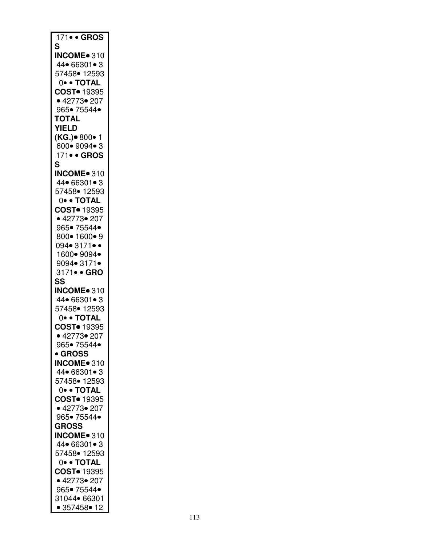| 171• • GROS                  |
|------------------------------|
| S                            |
| INCOME <sup>®</sup> 310      |
| $44 \cdot 66301 \cdot 3$     |
| 57458• 12593                 |
| 0• • TOTAL                   |
| COST <sup>o</sup> 19395      |
| • 42773• 207                 |
| 965• 75544•                  |
| <b>TOTAL</b>                 |
| <b>YIELD</b>                 |
| (KG.)• 800• 1                |
| 600• 9094• 3                 |
|                              |
| 171• • GROS                  |
| S                            |
| INCOME <sup>®</sup> 310      |
| 44 66301 • 3                 |
| 57458• 12593                 |
| 0. TOTAL                     |
| COST <sup>•</sup> 19395      |
| • 42773• 207                 |
| 965• 75544•                  |
| 800• 1600• 9                 |
| 094• 3171••                  |
| 1600 • 9094 •                |
| 9094• 3171•                  |
| 3171• • GRO                  |
| SS                           |
|                              |
|                              |
| INCOME <sup>®</sup> 310      |
| 44 66301 • 3                 |
| 57458• 12593                 |
| 0• • TOTAL                   |
| COST <sup>•</sup> 19395      |
| • 42773• 207                 |
| 965• 75544•                  |
| <b>• GROSS</b>               |
| INCOME <sup>®</sup> 310      |
| 44 66301 • 3                 |
| 57458• 12593                 |
|                              |
| 0. TOTAL                     |
| COST <sup>•</sup> 19395      |
| • 42773• 207                 |
| 965• 75544•                  |
| <b>GROSS</b>                 |
| INCOME <sup>®</sup> 310      |
| 44 66301 • 3                 |
| 57458 • 12593                |
| 0. TOTAL                     |
| COST <sup>o</sup> 19395      |
| • 42773• 207                 |
| 965• 75544•                  |
| 31044 66301<br>• 357458 • 12 |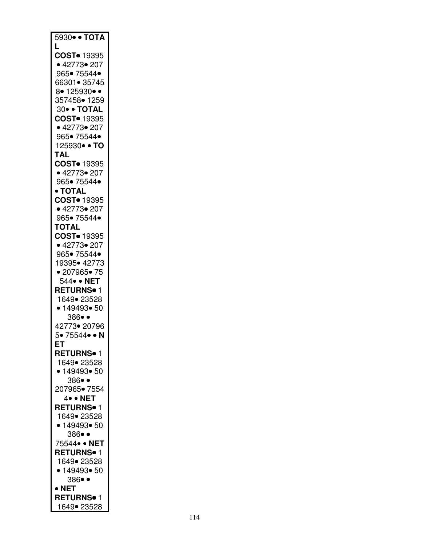| 5930 • TOTA                           |
|---------------------------------------|
| L                                     |
| COST <sup>•</sup> 19395               |
| • 42773• 207                          |
| 965• 75544•                           |
| 66301• 35745                          |
| 8• 125930• •                          |
| 357458• 1259                          |
| 30 · TOTAL<br>COST <sup>o</sup> 19395 |
| • 42773• 207                          |
| 965• 75544•                           |
| 125930• • TO                          |
| <b>TAL</b>                            |
| COST <sup>o</sup> 19395               |
| • 42773• 207                          |
| 965• 75544•                           |
| • TOTAL                               |
| COST <sup>o</sup> 19395               |
| • 42773• 207                          |
| 965• 75544•                           |
| <b>TOTAL</b>                          |
| COST <sup>o</sup> 19395               |
| • 42773• 207                          |
| 965• 75544•                           |
| 19395• 42773                          |
| • 207965• 75                          |
| 544 • NET                             |
| <b>RETURNS</b> • 1                    |
| 1649• 23528                           |
| • 149493• 50                          |
| 386••<br>42773• 20796                 |
| 5• 75544• • N                         |
| ЕT                                    |
| <b>RETURNS</b> • 1                    |
| 1649• 23528                           |
| • 149493• 50                          |
| 386••                                 |
| 207965• 7554                          |
| 4• • NET                              |
| <b>RETURNS</b> <sup>1</sup>           |
| 1649• 23528                           |
| • 149493• 50                          |
| 386••                                 |
| 75544 · NET                           |
| <b>RETURNS</b> • 1                    |
| 1649• 23528                           |
| • 149493• 50                          |
| 386••                                 |
| $\bullet$ NET                         |
| <b>RETURNS</b> • 1                    |
| 1649• 23528                           |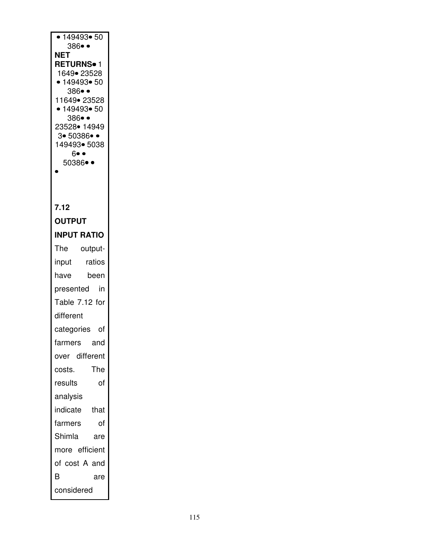| • 149493• 50<br>$386 \bullet \bullet$          |
|------------------------------------------------|
| NET                                            |
| <b>RETURNS</b> • 1<br>1649• 23528              |
| • 149493 • 50                                  |
| 386••                                          |
| 11649• 23528<br>• 149493• 50                   |
| 386• •                                         |
| 23528• 14949<br>3• 50386• •                    |
| 149493• 5038                                   |
| $6 \bullet \bullet$<br>$50386 \bullet \bullet$ |
|                                                |
|                                                |
| 7.12                                           |
| <b>OUTPUT</b>                                  |
| <b>INPUT RATIO</b>                             |
| The<br>output-                                 |
| ratios<br>input                                |
| have<br>been                                   |
| in<br>presented                                |
| Table 7.12 for                                 |
| different                                      |
| categories<br>οf                               |
| farmers<br>and                                 |
| over different                                 |
| The<br>costs.                                  |
| results<br>of                                  |
| analysis                                       |
| indicate<br>that                               |
| farmers<br>of                                  |
| Shimla<br>are                                  |
| more efficient                                 |
| of cost A and                                  |
| B<br>are                                       |
| considered                                     |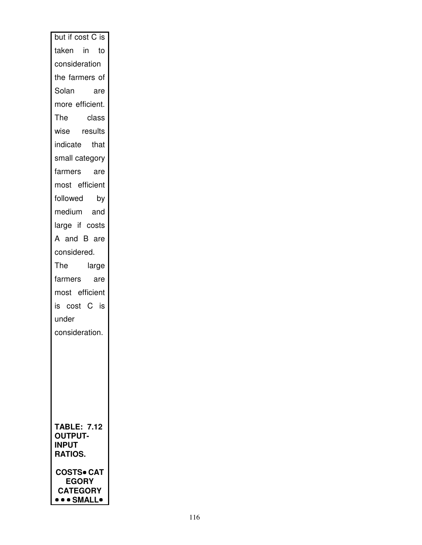| but if cost C is               |
|--------------------------------|
| taken in to                    |
| consideration                  |
| the farmers of                 |
| Solan<br>are                   |
| more efficient.                |
| The class<br>wise results      |
|                                |
| indicate that                  |
| small category                 |
| farmers are                    |
| most efficient                 |
| followed<br>by                 |
| medium and                     |
| large if costs                 |
| A and B are                    |
| considered.                    |
| large<br>The                   |
| farmers<br>are                 |
| most efficient                 |
| is cost C is                   |
| under                          |
| consideration.                 |
|                                |
|                                |
|                                |
|                                |
|                                |
|                                |
| <b>TABLE: 7.12</b>             |
| <b>OUTPUT-</b><br><b>INPUT</b> |
| <b>RATIOS.</b>                 |
| <b>COSTS• CA1</b>              |
| <b>EGORY</b>                   |
| <b>CATEGORY</b><br>•• SMALL•   |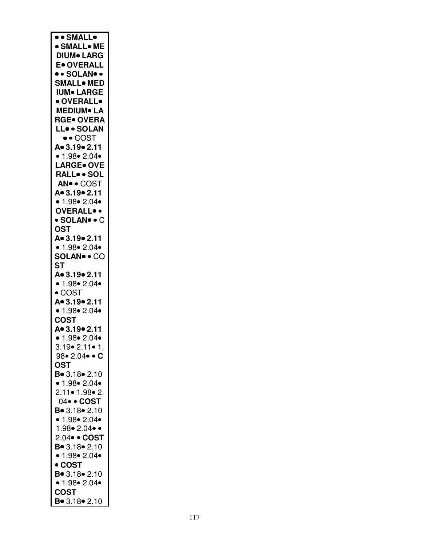| ·· SMALL•             |
|-----------------------|
|                       |
| · SMALL• ME           |
| <b>DIUM</b> LARG      |
|                       |
| <b>E</b> OVERALL      |
| • • SOLAN• •          |
|                       |
| <b>SMALL</b> . MED    |
| <b>IUM</b> LARGE      |
|                       |
| · OVERALL•            |
| <b>MEDIUM• LA</b>     |
|                       |
| <b>RGE• OVERA</b>     |
| LL. SOLAN             |
|                       |
| $\bullet$ COST        |
| A. 3.19. 2.11         |
|                       |
| • 1.98 • 2.04 •       |
| <b>LARGE</b> OVE      |
|                       |
| RALLSOL               |
| AN · COST             |
|                       |
| A. 3.19. 2.11         |
| • 1.98 • 2.04 •       |
|                       |
| <b>OVERALL</b> .      |
| • SOLAN• • C          |
|                       |
| <b>OST</b>            |
| A = 3.19 = 2.11       |
|                       |
| • 1.98 • 2.04 •       |
| <b>SOLAN•• CO</b>     |
|                       |
| <b>ST</b>             |
| A. 3.19. 2.11         |
|                       |
| • 1.98 • 2.04 •       |
| $\bullet$ COST        |
|                       |
| A. 3.19. 2.11         |
| • 1.98 • 2.04 •       |
|                       |
| <b>COST</b>           |
| A. 3.19. 2.11         |
| • $1.98$ • 2.04•      |
|                       |
| 3.19• 2.11• 1.        |
| 98•2.04•• C           |
|                       |
| OST                   |
| <b>B</b> ● 3.18● 2.10 |
|                       |
| • 1.98 • 2.04 •       |
| 2.11• 1.98• 2.        |
|                       |
| 04 · COST             |
| $B = 3.18 - 2.10$     |
|                       |
| • 1.98 • 2.04 •       |
| 1.98•2.04••           |
|                       |
| 2.04 · COST           |
| $B = 3.18 - 2.10$     |
|                       |
| • $1.98$ $2.04$       |
| • COST                |
|                       |
| $B = 3.18 - 2.10$     |
| • 1.98 • 2.04 •       |
|                       |
| <b>COST</b>           |
| $B = 3.18 - 2.10$     |
|                       |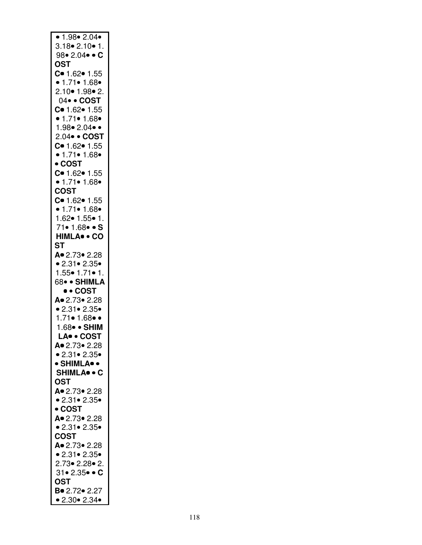| • 1.98 • 2.04 •                         |
|-----------------------------------------|
| $3.18 \cdot 2.10 \cdot 1.$              |
|                                         |
| 98• 2.04• • $C$                         |
| OST                                     |
| $C = 1.62 - 1.55$                       |
| • 1.71 • 1.68 •                         |
|                                         |
| $2.10 \cdot 1.98 \cdot 2$ .             |
| 04 · COST                               |
|                                         |
| C= 1.62= 1.55<br>• 1.71= 1.68=          |
| 1.98•2.04••                             |
|                                         |
| 2.04• • COST                            |
| $C = 1.62 - 1.55$                       |
| • $1.71$ • $1.68$ •                     |
| • COST                                  |
| $C = 1.62 - 1.55$                       |
|                                         |
| • 1.71 • 1.68 •                         |
| <b>COST</b>                             |
| $C = 1.62 - 1.55$                       |
| $\bullet$ 1.71 $\bullet$ 1.68 $\bullet$ |
| 1.62 • 1.55 • 1.                        |
|                                         |
| 71• 1.68• • S                           |
| HIMLA. CO                               |
| ST                                      |
| A. 2.73. 2.28                           |
|                                         |
|                                         |
| • 2.31 • 2.35 •                         |
| $1.55 \cdot 1.71 \cdot 1.$              |
| 68• • SHIMLA                            |
|                                         |
| • • COST                                |
| A 2.73 2.28                             |
| • 2.31 • 2.35 •                         |
| 1.71• 1.68•                             |
| 1.68 · SHIM                             |
|                                         |
| LA. COST                                |
| A 2.73 2.28                             |
| • 2.31 • 2.35 •                         |
| • SHIMLA• •                             |
| <b>SHIMLA</b> • C                       |
|                                         |
| <b>OST</b>                              |
| A. 2.73. 2.28                           |
| • 2.31 • 2.35 •                         |
| • COST                                  |
| A. 2.73. 2.28                           |
|                                         |
| • 2.31 • 2.35 •                         |
| COST                                    |
| A 2.73 2.28                             |
| • 2.31 • 2.35 •                         |
| 2.73• 2.28• 2.                          |
|                                         |
| $31 \cdot 2.35 \cdot \cdot C$           |
| OST                                     |
| Bo 2.72 o 2.27<br>• 2.30 • 2.34 •       |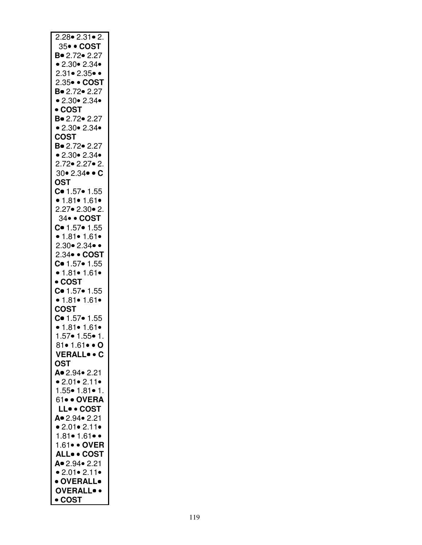| $2.28 \cdot 2.31 \cdot 2.$                                                 |
|----------------------------------------------------------------------------|
| 35• • COST                                                                 |
|                                                                            |
| B = 2.72 = 2.27                                                            |
| • 2.30 • 2.34 •                                                            |
|                                                                            |
| $2.31 \bullet 2.35 \bullet \bullet$                                        |
| 2.35• • COST                                                               |
|                                                                            |
| B = 2.72 = 2.27                                                            |
| • 2.30 • 2.34 •                                                            |
|                                                                            |
| $\bullet$ COST                                                             |
| B. 2.72. 2.27                                                              |
| • 2.30 • 2.34 •                                                            |
|                                                                            |
| <b>COST</b>                                                                |
|                                                                            |
| B• 2.72• 2.27                                                              |
| • 2.30 • 2.34 •                                                            |
| 2.72 • 2.27 • 2.                                                           |
|                                                                            |
| $30 \cdot 2.34 \cdot \cdot C$                                              |
| <b>OST</b>                                                                 |
|                                                                            |
| $C = 1.57 - 1.55$                                                          |
| • 1.81• 1.61•                                                              |
|                                                                            |
| $2.27 \cdot 2.30 \cdot 2.$                                                 |
| 34 · COST                                                                  |
|                                                                            |
| $C = 1.57 - 1.55$                                                          |
| • 1.81 • 1.61 •                                                            |
|                                                                            |
| $2.30 \cdot 2.34 \cdot \cdot$                                              |
| 2.34• • COST                                                               |
|                                                                            |
| $C = 1.57 - 1.55$                                                          |
| • 1.81 • 1.61 •                                                            |
|                                                                            |
| • COST                                                                     |
| $C = 1.57 - 1.55$                                                          |
|                                                                            |
| • 1.81 • 1.61 •                                                            |
| COST                                                                       |
|                                                                            |
| $C = 1.57 - 1.55$                                                          |
| $\bullet$ 1.81 $\bullet$ 1.61 $\bullet$<br>1.57 $\bullet$ 1.55 $\bullet$ 1 |
|                                                                            |
|                                                                            |
| 81• 1.61• • O                                                              |
| <b>VERALLC</b>                                                             |
|                                                                            |
| <b>OST</b>                                                                 |
| A. 2.94. 2.21                                                              |
|                                                                            |
| • 2.01 • 2.11 •                                                            |
| 1.55● 1.81● 1.                                                             |
|                                                                            |
| 61 · OVERA                                                                 |
| LL. COST                                                                   |
|                                                                            |
| A. 2.94. 2.21                                                              |
| • $2.01$ • $2.11$ •                                                        |
|                                                                            |
| $1.81 \cdot 1.61 \cdot \cdot$                                              |
| 1.61 · OVER                                                                |
|                                                                            |
| <b>ALL COST</b>                                                            |
|                                                                            |
|                                                                            |
| A. 2.94. 2.21                                                              |
| • 2.01 • 2.11 •                                                            |
|                                                                            |
| · OVERALL•                                                                 |
| <b>OVERALL</b> .<br>• COST                                                 |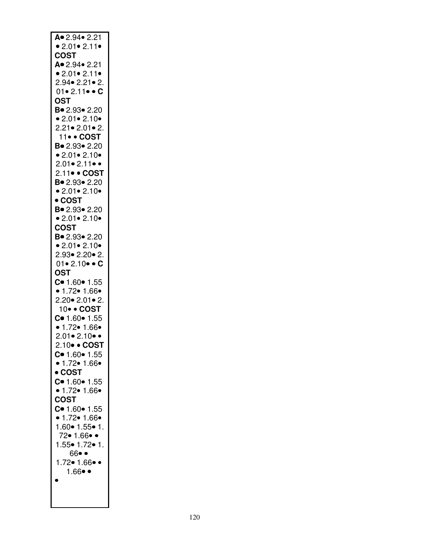| A. 2.94. 2.21                      |
|------------------------------------|
| • 2.01 • 2.11 •                    |
|                                    |
| <b>COST</b>                        |
| A. 2.94. 2.21                      |
| • 2.01 • 2.11 •                    |
| 2.94• 2.21• 2.                     |
|                                    |
| $01 \cdot 2.11 \cdot \cdot C$      |
| <b>OST</b>                         |
| $B = 2.93 \cdot 2.20$              |
| • 2.01 • 2.10 •                    |
|                                    |
| $2.21 \cdot 2.01 \cdot 2.$         |
| 11• • COST                         |
| B. 2.93. 2.20                      |
| • 2.01 • 2.10 •                    |
| $2.01 \cdot 2.11 \cdot \cdot$      |
|                                    |
| 2.11• • COST                       |
| B. 2.93. 2.20                      |
| • 2.01 • 2.10 •                    |
| • COST                             |
|                                    |
| B = 2.93 = 2.20                    |
| • 2.01 • 2.10 •                    |
| COST                               |
| Bo 2.93 o 2.20                     |
| • 2.01 • 2.10 •                    |
|                                    |
| $2.93 \cdot 2.20 \cdot 2$ .        |
| $01 \cdot 2.10 \cdot \cdot C$      |
| <b>OST</b>                         |
| $C = 1.60 - 1.55$                  |
|                                    |
| • $1.72 \cdot 1.66 \cdot$          |
| $2.20 \cdot 2.01 \cdot 2.$         |
| 10 · COST                          |
| $C = 1.60 - 1.55$                  |
| • $1.72 \cdot 1.66 \cdot$          |
|                                    |
| $2.01 \cdot 2.10 \cdot \cdot$      |
| 2.10• • COST                       |
| $C = 1.60 - 1.55$                  |
| • 1.72 • 1.66 •                    |
|                                    |
| • COST                             |
| C = 1.60 = 1.55<br>• 1.72 = 1.66 = |
|                                    |
| <b>COST</b>                        |
| $C = 1.60 - 1.55$                  |
|                                    |
| • 1.72 • 1.66 •                    |
| $1.60 \cdot 1.55 \cdot 1$ .        |
| 72• 1.66• •                        |
| $1.55 \cdot 1.72 \cdot 1.$         |
| 66• •                              |
|                                    |
|                                    |
| 1.72• 1.66• •                      |
| $1.66 \bullet \bullet$             |
| $\bullet$                          |
|                                    |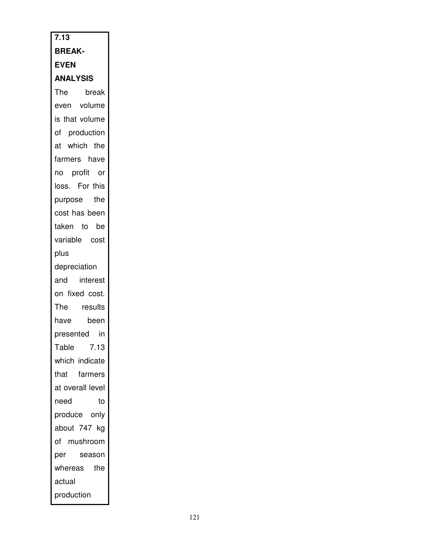| 7.13                              |
|-----------------------------------|
| <b>BREAK-</b>                     |
| <b>EVEN</b>                       |
| <b>ANALYSIS</b>                   |
| The break<br>even volume<br>break |
|                                   |
| is that volume                    |
| of production                     |
| at which the                      |
| farmers have                      |
| no profit or                      |
| loss. For this                    |
| purpose the                       |
| cost has been                     |
| taken to be                       |
| variable cost                     |
| plus                              |
| depreciation                      |
| and interest                      |
| on fixed cost.                    |
| The results                       |
| been<br>have                      |
| presented in                      |
| Table<br>7.13                     |
| which indicate                    |
| farmers<br>that                   |
| at overall level                  |
| need<br>to                        |
| produce only                      |
| about 747<br>kg                   |
| of mushroom                       |
| per<br>season                     |
| whereas<br>the                    |
| actual                            |
| production                        |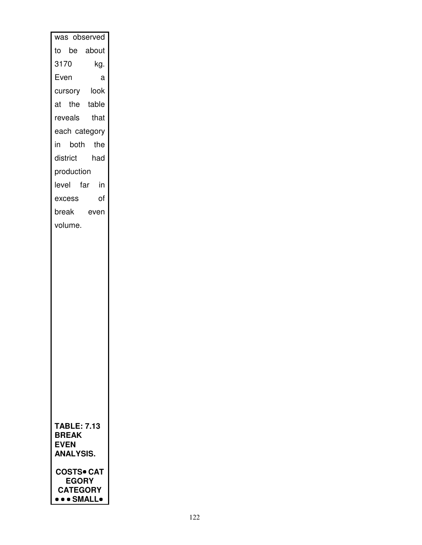| was observed                                                              |      |
|---------------------------------------------------------------------------|------|
| to be about                                                               |      |
| 3170                                                                      | kg.  |
| Even                                                                      | а    |
| cursory look                                                              |      |
| at the table                                                              |      |
| reveals that                                                              |      |
| each category                                                             |      |
| in both the                                                               |      |
| district had                                                              |      |
| production                                                                |      |
| level far in                                                              |      |
| excess                                                                    | of   |
| break                                                                     | even |
| volume.                                                                   |      |
|                                                                           |      |
| TABLE: 7.13<br><b>BREAK</b><br><b>EVEN</b><br><b>ANALYSIS.</b>            |      |
| <b>COSTS• CAT</b><br><b>EGORY</b><br><b>CATEGORY</b><br><b>O</b> • SMALL• |      |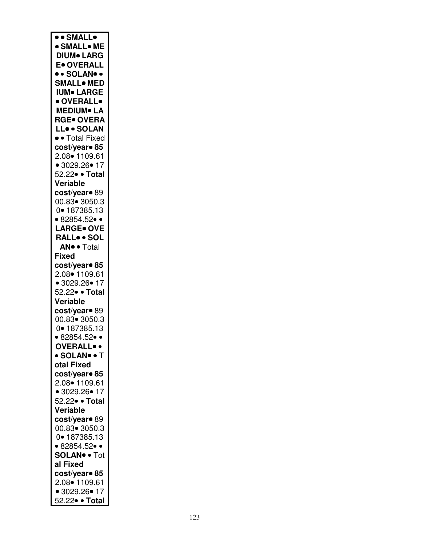| ·· SMALL•                      |
|--------------------------------|
|                                |
| · SMALL• ME                    |
| <b>DIUM</b> LARG               |
| <b>E</b> OVERALL               |
| • • SOLAN• •                   |
| <b>SMALL</b> . MED             |
|                                |
| <b>IUM</b> LARGE               |
| · OVERALL•                     |
| <b>MEDIUM</b> LA               |
| <b>RGE• OVERA</b>              |
|                                |
| LL. SOLAN                      |
| • Total Fixed                  |
| cost/year• 85                  |
| 2.08 1109.61                   |
|                                |
| • 3029.26 • 17                 |
| 52.22• • Total                 |
| Veriable                       |
| cost/year <sup>o</sup> 89      |
| 00.83• 3050.3                  |
|                                |
| 0• 187385.13                   |
| $• 82854.52 \bullet \bullet$   |
| <b>LARGE• OVE</b>              |
| RALL. SOL                      |
|                                |
| <b>AN</b> <sup>o</sup> Total   |
| <b>Fixed</b>                   |
| cost/year● 85                  |
| 2.08 1109.61                   |
|                                |
| • 3029.26 • 17                 |
| 52.22• • Total                 |
| Veriable                       |
| cost/year• 89                  |
| 00.83 - 3050.3                 |
|                                |
| 0• 187385.13                   |
| $• 82854.52 \bullet \bullet$   |
| <b>OVERALL</b> .               |
| • SOLAN• • T                   |
| otal Fixed                     |
|                                |
| cost/year• 85                  |
| 2.08 1109.61                   |
| • 3029.26 • 17                 |
| 52.22• • Total                 |
| Veriable                       |
|                                |
| cost/year• 89                  |
| 00.83 - 3050.3                 |
| 0• 187385.13                   |
| $• 82854.52 \bullet \bullet$   |
|                                |
| <b>SOLAN<sup>®</sup> • Tot</b> |
| al Fixed                       |
| cost/year• 85                  |
| 2.08 1109.61                   |
|                                |
| • 3029.26 • 17                 |
| 52.22 • Total                  |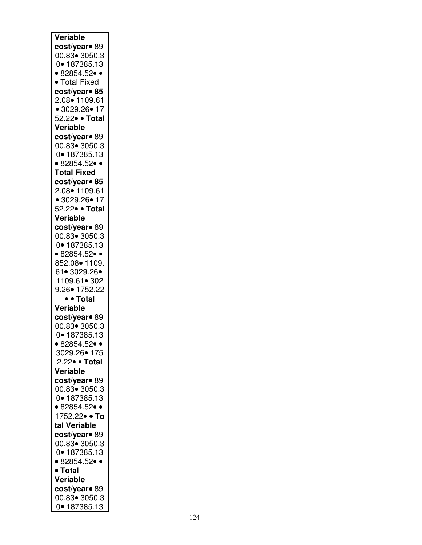| Veriable                     |
|------------------------------|
|                              |
| cost/year <sup>o</sup> 89    |
| 00.83 - 3050.3               |
| 0• 187385.13                 |
| $• 82854.52 \bullet \bullet$ |
| • Total Fixed                |
|                              |
| cost/year• 85                |
| 2.08• 1109.61                |
| • 3029.26• 17                |
| 52.22• • Total               |
| Veriable                     |
|                              |
| cost/year <sup>o</sup> 89    |
| 00.83 - 3050.3               |
| 0• 187385.13                 |
| $• 82854.52 \bullet \bullet$ |
| <b>Total Fixed</b>           |
|                              |
| cost/year• 85                |
| 2.08 1109.61                 |
| • 3029.26• 17                |
| 52.22• • Total               |
| Veriable                     |
| cost/year <sup>o</sup> 89    |
|                              |
| 00.83• 3050.3                |
| 0• 187385.13                 |
| • 82854.52 $\bullet$ •       |
| 852.08• 1109.                |
| 61• 3029.26•                 |
|                              |
| 1109.61• 302                 |
| $9.26 \bullet 1752.22$       |
|                              |
|                              |
| • • Total                    |
| <b>Veriable</b>              |
| cost/year <sup>o</sup> 89    |
| 00.83• 3050.3                |
| 0• 187385.13                 |
| • 82854.52 $\bullet$ •       |
|                              |
| 3029.26• 175                 |
| 2.22 · Total                 |
| Veriable                     |
| cost/year• 89                |
| 00.83 - 3050.3               |
| 0• 187385.13                 |
|                              |
| $• 82854.52 \bullet \bullet$ |
| 1752.22• • To                |
| tal Veriable                 |
| cost/year• 89                |
| 00.83 - 3050.3               |
|                              |
| 0• 187385.13                 |
| $• 82854.52 \bullet \bullet$ |
| • Total                      |
| Veriable                     |
| cost/year <sup>o</sup> 89    |
| 00.83• 3050.3                |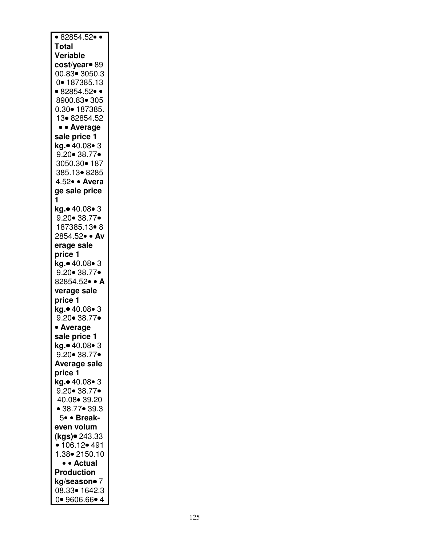| $• 82854.52 \bullet \bullet$ |
|------------------------------|
| <b>Total</b>                 |
| Veriable                     |
| cost/year <sup>o</sup> 89    |
|                              |
| 00.83• 3050.3                |
| 0• 187385.13                 |
| $• 82854.52 \bullet \bullet$ |
| 8900.83• 305                 |
| 0.30• 187385.                |
|                              |
| 13•82854.52                  |
| • • Average                  |
| sale price 1                 |
| kg.● 40.08● 3                |
|                              |
| $9.20 \bullet 38.77 \bullet$ |
| 3050.30• 187                 |
| 385.13 8285                  |
| 4.52 · Avera                 |
|                              |
| ge sale price                |
| 1                            |
| kg.• 40.08• 3                |
| $9.20 \cdot 38.77 \cdot$     |
| 187385.13•8                  |
|                              |
| 2854.52• · Av                |
| erage sale                   |
| price 1                      |
| kg.• 40.08• 3                |
|                              |
| $9.20 \cdot 38.77 \cdot$     |
| 82854.52• • A                |
| verage sale                  |
| price 1                      |
| kg. 40.08 • 3                |
| 9.20 • 38.77                 |
|                              |
| • Average                    |
| sale price 1                 |
| kg.• 40.08• 3                |
| $9.20 \cdot 38.77 \cdot$     |
|                              |
| <b>Average sale</b>          |
| price 1                      |
| kg.• 40.08• 3                |
| $9.20 \cdot 38.77 \cdot$     |
| 40.08 • 39.20                |
|                              |
| $• 38.77 \bullet 39.3$       |
| 5• · Break-                  |
| even volum                   |
| (kgs)● 243.33                |
|                              |
| • 106.12 • 491               |
| 1.38 - 2150.10               |
| • • Actual                   |
| Production                   |
| kg/season• 7                 |
|                              |
| 08.33• 1642.3                |
| $0 - 9606.66 - 4$            |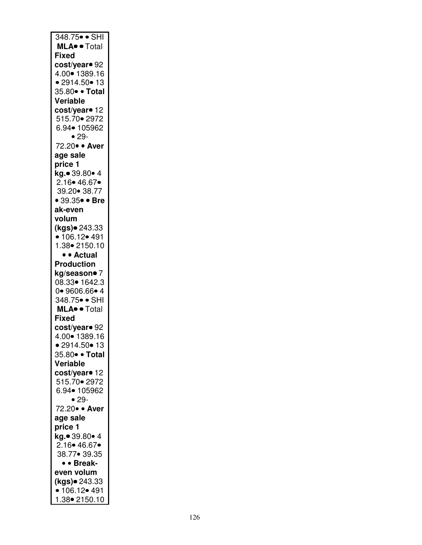| 348.75• • SHI                              |
|--------------------------------------------|
| MLA <sup>o</sup> • Total                   |
| <b>Fixed</b>                               |
| cost/yearo 92                              |
| 4.00 • 1389.16                             |
| • 2914.50 • 13                             |
| 35.80• • Total                             |
| Veriable                                   |
|                                            |
| cost/year• 12                              |
| 515.70 2972                                |
| 6.94• 105962                               |
| $• 29-$                                    |
| 72.20 · Aver                               |
| age sale                                   |
| price 1                                    |
| kg.• 39.80• 4                              |
| 2.16 • 46.67 •                             |
| 39.20 • 38.77                              |
| • 39.35 $\bullet$ • Bre                    |
| ak-even                                    |
| volum                                      |
| (kgs) <sup>243.33</sup>                    |
| $\cdot$ 106.12 $\cdot$ 491                 |
| 1.38• 2150.10                              |
| • • Actual                                 |
|                                            |
| <b>Production</b>                          |
| kg/season• 7                               |
| 08.33• 1642.3                              |
| 0.9606.66.4                                |
| 348.75• • SHI                              |
| MLA <sup>.</sup> Total                     |
| <b>Fixed</b>                               |
| cost/year• 92                              |
| 4.00 1389.16                               |
| • 2914.50 • 13                             |
| 35.80• • Total                             |
| Veriable                                   |
| cost/year <sup>o</sup> 12                  |
| 515.70 2972                                |
| 6.94• 105962                               |
| $• 29-$                                    |
| 72.20 · Aver                               |
| age sale                                   |
| price 1                                    |
| .<br><b>kg.●</b> 39.80● 4                  |
| 2.16• 46.67•                               |
| 38.77• 39.35                               |
|                                            |
| • • Break-                                 |
| even volum                                 |
| (kgs)• 243.33                              |
|                                            |
| $\cdot$ 106.12 $\cdot$ 491<br>1.38 2150.10 |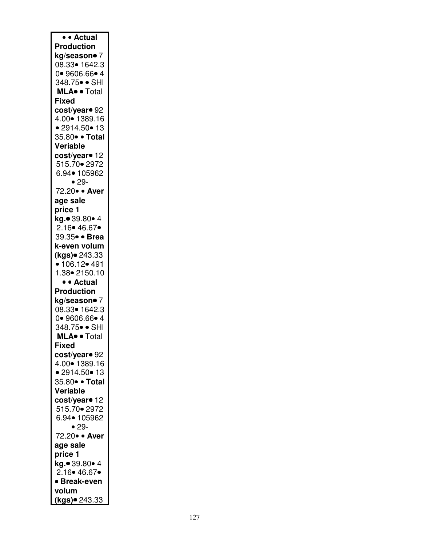| • Actual                       |
|--------------------------------|
| <b>Production</b>              |
| kg/season• 7                   |
| 08.33• 1642.3                  |
| 0.9606.66.4                    |
| 348.75• • SHI                  |
| MLA <sup>.</sup> Total         |
| <b>Fixed</b>                   |
| cost/year• 92                  |
| 4.00 1389.16                   |
| • 2914.50 • 13                 |
| 35.80• • Total                 |
| Veriable                       |
| cost/year• 12                  |
| 515.70• 2972                   |
| 6.94• 105962                   |
| $• 29-$                        |
| 72.20 · Aver                   |
| age sale                       |
| price 1                        |
| kg.● 39.80● 4                  |
| 2.16 • 46.67                   |
| 39.35 · Brea                   |
| k-even volum                   |
| .<br><b>(kgs)</b> ● 243.33     |
| $\bullet$ 106.12 $\bullet$ 491 |
| 1.38• 2150.10                  |
| • • Actual                     |
| <b>Production</b>              |
| kg/season• 7                   |
| 08.33• 1642.3                  |
| 0.9606.66.4                    |
| 348.75• • SHI                  |
| <b>MLA</b> · Total             |
| <b>Fixed</b>                   |
| cost/year <sup>o</sup> 92      |
| 4.00• 1389.16                  |
| • 2914.50 • 13                 |
| 35.80• • Total                 |
| Veriable                       |
| cost/year• 12                  |
| 515.70 • 2972                  |
| 6.94• 105962                   |
| $• 29-$                        |
|                                |
|                                |
| 72.20 · Aver                   |
| age sale                       |
| price 1                        |
| kg.• 39.80• 4                  |
| 2.16 • 46.67 •                 |
| • Break-even<br>volum          |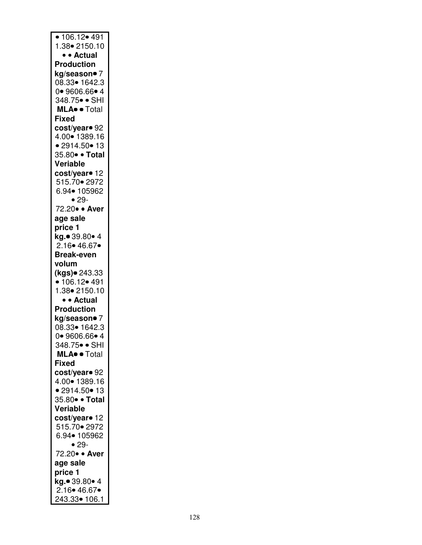| • 106.12• 491                          |
|----------------------------------------|
| 1.38 - 2150.10                         |
| • • Actual<br><b>Production</b>        |
| kg/season● 7                           |
| 08.33• 1642.3                          |
| 0 9606.66 • 4                          |
| 348.75• • SHI                          |
| MLA <sup>.</sup> Total<br><b>Fixed</b> |
| cost/year <sup>o</sup> 92              |
| 4.00  1389.16                          |
| • 2914.50 • 13                         |
| 35.80• • Total                         |
| Veriable                               |
| cost/year• 12<br>515.70 • 2972         |
| 6.94• 105962                           |
| $• 29-$                                |
| 72.20 · Aver                           |
| age sale                               |
| price 1<br>kg.• 39.80• 4               |
| 2.16 • 46.67                           |
| <b>Break-even</b>                      |
| volum                                  |
| (kgs)● 243.33<br>• 106.12 • 491        |
| 1.38 - 2150.10                         |
| • • Actual                             |
| <b>Production</b>                      |
| kg/season● 7                           |
| 08.33• 1642.3<br>0.9606.66.4           |
| 348.75• • SHI                          |
| MLA <sup>o</sup> • Total               |
| <b>Fixed</b>                           |
| cost/year <sup>o</sup> 92              |
| 4.00  1389.16<br>• 2914.50 • 13        |
| 35.80• • Total                         |
| Veriable                               |
| cost/year <sup>o</sup> 12              |
| 515.70 • 2972                          |
| 6.94• 105962<br>$• 29-$                |
| 72.20 · Aver                           |
| age sale                               |
| price 1                                |
| .<br><b>kg.●</b> 39.80● 4              |
| 2.16 • 46.67 •<br>243.33• 106.1        |
|                                        |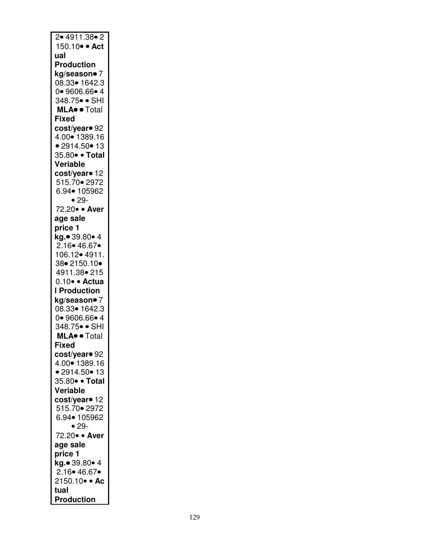| 2.4911.38.2                 |
|-----------------------------|
|                             |
| 150.10 · Act                |
| ual                         |
| <b>Production</b>           |
|                             |
| kg/season• 7                |
| 08.33• 1642.3               |
| 0.9606.66.4                 |
| 348.75 <mark>• •</mark> SHI |
|                             |
| MLA <sup>.</sup> Total      |
| Fixed                       |
| cost/year• 92               |
| 4.00 1389.16                |
|                             |
| • 2914.50 • 13              |
| 35.80• • Total              |
| Veriable                    |
|                             |
| cost/year <sup>o</sup> 12   |
| 515.70 • 2972               |
| 6.94• 105962                |
| $• 29-$                     |
|                             |
| 72.20 · Aver                |
| age sale                    |
| price 1                     |
|                             |
| .<br><b>kg.●</b> 39.80● 4   |
| 2.16 • 46.67                |
| 106.12• 4911.               |
| 38•2150.10•                 |
|                             |
| 4911.38 • 215               |
| 0.10 · Actua                |
| <b>I</b> Production         |
| kg/season• 7                |
|                             |
| 08.33• 1642.3               |
| 0 9606.66 • 4               |
| 348.75• • SHI               |
| MLA <sup>.</sup> Total      |
|                             |
| Fixed                       |
| cost/year• 92               |
| 4.00  1389.16               |
| • 2914.50 • 13              |
|                             |
| 35.80• • Total              |
| Veriable                    |
| cost/year• 12               |
|                             |
| 515.70 • 2972               |
| 6.94• 105962                |
| $• 29-$                     |
| 72.20 · Aver                |
|                             |
| age sale                    |
| price 1                     |
| kg.• 39.80• 4               |
| 2.16 • 46.67                |
|                             |
| 2150.10 • Ac                |
| tual                        |
| <b>Production</b>           |
|                             |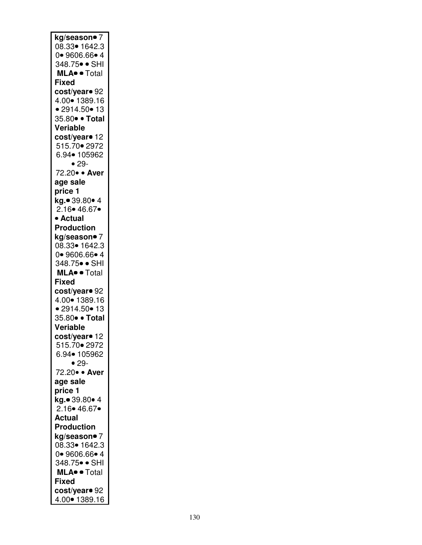| 08.33• 1642.3<br>0.9606.66.4<br>348.75• • SHI<br>MLA <sup>.</sup> Total<br><b>Fixed</b><br>cost/year• 92<br>4.00  1389.16<br>• 2914.50 • 13<br>35.80• • Total<br>Veriable<br>cost/year• 12<br>515.70 • 2972<br>6.94• 105962<br>$• 29-$<br>72.20 · Aver<br>age sale<br>price 1<br>kg.● 39.80● 4<br>2.16 • 46.67 •<br>• Actual<br><b>Production</b><br>kg/season• 7<br>08.33• 1642.3<br>0.9606.66.4<br>348.75• • SHI<br>MLA <sup>.</sup> Total<br><b>Fixed</b><br>cost/year• 92<br>4.00 1389.16<br>• 2914.50 • 13<br>35.80• • Total<br>Veriable<br>cost/year• 12<br>515.70• 2972<br>6.94• 105962<br>$• 29-$<br>72.20 · Aver<br>age sale<br>price 1<br>kg.• 39.80• 4<br>2.16 • 46.67 •<br><b>Actual</b><br><b>Production</b><br>kg/season• 7<br>08.33• 1642.3<br>0 9606.66 • 4<br>348.75• • SHI<br><b>MLA</b> • • Total<br><b>Fixed</b><br>cost/year• 92<br>4.00  1389.16 | kg/season• 7 |
|------------------------------------------------------------------------------------------------------------------------------------------------------------------------------------------------------------------------------------------------------------------------------------------------------------------------------------------------------------------------------------------------------------------------------------------------------------------------------------------------------------------------------------------------------------------------------------------------------------------------------------------------------------------------------------------------------------------------------------------------------------------------------------------------------------------------------------------------------------------------|--------------|
|                                                                                                                                                                                                                                                                                                                                                                                                                                                                                                                                                                                                                                                                                                                                                                                                                                                                        |              |
|                                                                                                                                                                                                                                                                                                                                                                                                                                                                                                                                                                                                                                                                                                                                                                                                                                                                        |              |
|                                                                                                                                                                                                                                                                                                                                                                                                                                                                                                                                                                                                                                                                                                                                                                                                                                                                        |              |
|                                                                                                                                                                                                                                                                                                                                                                                                                                                                                                                                                                                                                                                                                                                                                                                                                                                                        |              |
|                                                                                                                                                                                                                                                                                                                                                                                                                                                                                                                                                                                                                                                                                                                                                                                                                                                                        |              |
|                                                                                                                                                                                                                                                                                                                                                                                                                                                                                                                                                                                                                                                                                                                                                                                                                                                                        |              |
|                                                                                                                                                                                                                                                                                                                                                                                                                                                                                                                                                                                                                                                                                                                                                                                                                                                                        |              |
|                                                                                                                                                                                                                                                                                                                                                                                                                                                                                                                                                                                                                                                                                                                                                                                                                                                                        |              |
|                                                                                                                                                                                                                                                                                                                                                                                                                                                                                                                                                                                                                                                                                                                                                                                                                                                                        |              |
|                                                                                                                                                                                                                                                                                                                                                                                                                                                                                                                                                                                                                                                                                                                                                                                                                                                                        |              |
|                                                                                                                                                                                                                                                                                                                                                                                                                                                                                                                                                                                                                                                                                                                                                                                                                                                                        |              |
|                                                                                                                                                                                                                                                                                                                                                                                                                                                                                                                                                                                                                                                                                                                                                                                                                                                                        |              |
|                                                                                                                                                                                                                                                                                                                                                                                                                                                                                                                                                                                                                                                                                                                                                                                                                                                                        |              |
|                                                                                                                                                                                                                                                                                                                                                                                                                                                                                                                                                                                                                                                                                                                                                                                                                                                                        |              |
|                                                                                                                                                                                                                                                                                                                                                                                                                                                                                                                                                                                                                                                                                                                                                                                                                                                                        |              |
|                                                                                                                                                                                                                                                                                                                                                                                                                                                                                                                                                                                                                                                                                                                                                                                                                                                                        |              |
|                                                                                                                                                                                                                                                                                                                                                                                                                                                                                                                                                                                                                                                                                                                                                                                                                                                                        |              |
|                                                                                                                                                                                                                                                                                                                                                                                                                                                                                                                                                                                                                                                                                                                                                                                                                                                                        |              |
|                                                                                                                                                                                                                                                                                                                                                                                                                                                                                                                                                                                                                                                                                                                                                                                                                                                                        |              |
|                                                                                                                                                                                                                                                                                                                                                                                                                                                                                                                                                                                                                                                                                                                                                                                                                                                                        |              |
|                                                                                                                                                                                                                                                                                                                                                                                                                                                                                                                                                                                                                                                                                                                                                                                                                                                                        |              |
|                                                                                                                                                                                                                                                                                                                                                                                                                                                                                                                                                                                                                                                                                                                                                                                                                                                                        |              |
|                                                                                                                                                                                                                                                                                                                                                                                                                                                                                                                                                                                                                                                                                                                                                                                                                                                                        |              |
|                                                                                                                                                                                                                                                                                                                                                                                                                                                                                                                                                                                                                                                                                                                                                                                                                                                                        |              |
|                                                                                                                                                                                                                                                                                                                                                                                                                                                                                                                                                                                                                                                                                                                                                                                                                                                                        |              |
|                                                                                                                                                                                                                                                                                                                                                                                                                                                                                                                                                                                                                                                                                                                                                                                                                                                                        |              |
|                                                                                                                                                                                                                                                                                                                                                                                                                                                                                                                                                                                                                                                                                                                                                                                                                                                                        |              |
|                                                                                                                                                                                                                                                                                                                                                                                                                                                                                                                                                                                                                                                                                                                                                                                                                                                                        |              |
|                                                                                                                                                                                                                                                                                                                                                                                                                                                                                                                                                                                                                                                                                                                                                                                                                                                                        |              |
|                                                                                                                                                                                                                                                                                                                                                                                                                                                                                                                                                                                                                                                                                                                                                                                                                                                                        |              |
|                                                                                                                                                                                                                                                                                                                                                                                                                                                                                                                                                                                                                                                                                                                                                                                                                                                                        |              |
|                                                                                                                                                                                                                                                                                                                                                                                                                                                                                                                                                                                                                                                                                                                                                                                                                                                                        |              |
|                                                                                                                                                                                                                                                                                                                                                                                                                                                                                                                                                                                                                                                                                                                                                                                                                                                                        |              |
|                                                                                                                                                                                                                                                                                                                                                                                                                                                                                                                                                                                                                                                                                                                                                                                                                                                                        |              |
|                                                                                                                                                                                                                                                                                                                                                                                                                                                                                                                                                                                                                                                                                                                                                                                                                                                                        |              |
|                                                                                                                                                                                                                                                                                                                                                                                                                                                                                                                                                                                                                                                                                                                                                                                                                                                                        |              |
|                                                                                                                                                                                                                                                                                                                                                                                                                                                                                                                                                                                                                                                                                                                                                                                                                                                                        |              |
|                                                                                                                                                                                                                                                                                                                                                                                                                                                                                                                                                                                                                                                                                                                                                                                                                                                                        |              |
|                                                                                                                                                                                                                                                                                                                                                                                                                                                                                                                                                                                                                                                                                                                                                                                                                                                                        |              |
|                                                                                                                                                                                                                                                                                                                                                                                                                                                                                                                                                                                                                                                                                                                                                                                                                                                                        |              |
|                                                                                                                                                                                                                                                                                                                                                                                                                                                                                                                                                                                                                                                                                                                                                                                                                                                                        |              |
|                                                                                                                                                                                                                                                                                                                                                                                                                                                                                                                                                                                                                                                                                                                                                                                                                                                                        |              |
|                                                                                                                                                                                                                                                                                                                                                                                                                                                                                                                                                                                                                                                                                                                                                                                                                                                                        |              |
|                                                                                                                                                                                                                                                                                                                                                                                                                                                                                                                                                                                                                                                                                                                                                                                                                                                                        |              |
|                                                                                                                                                                                                                                                                                                                                                                                                                                                                                                                                                                                                                                                                                                                                                                                                                                                                        |              |
|                                                                                                                                                                                                                                                                                                                                                                                                                                                                                                                                                                                                                                                                                                                                                                                                                                                                        |              |
|                                                                                                                                                                                                                                                                                                                                                                                                                                                                                                                                                                                                                                                                                                                                                                                                                                                                        |              |
|                                                                                                                                                                                                                                                                                                                                                                                                                                                                                                                                                                                                                                                                                                                                                                                                                                                                        |              |
|                                                                                                                                                                                                                                                                                                                                                                                                                                                                                                                                                                                                                                                                                                                                                                                                                                                                        |              |
|                                                                                                                                                                                                                                                                                                                                                                                                                                                                                                                                                                                                                                                                                                                                                                                                                                                                        |              |
|                                                                                                                                                                                                                                                                                                                                                                                                                                                                                                                                                                                                                                                                                                                                                                                                                                                                        |              |
|                                                                                                                                                                                                                                                                                                                                                                                                                                                                                                                                                                                                                                                                                                                                                                                                                                                                        |              |
|                                                                                                                                                                                                                                                                                                                                                                                                                                                                                                                                                                                                                                                                                                                                                                                                                                                                        |              |
|                                                                                                                                                                                                                                                                                                                                                                                                                                                                                                                                                                                                                                                                                                                                                                                                                                                                        |              |
|                                                                                                                                                                                                                                                                                                                                                                                                                                                                                                                                                                                                                                                                                                                                                                                                                                                                        |              |
|                                                                                                                                                                                                                                                                                                                                                                                                                                                                                                                                                                                                                                                                                                                                                                                                                                                                        |              |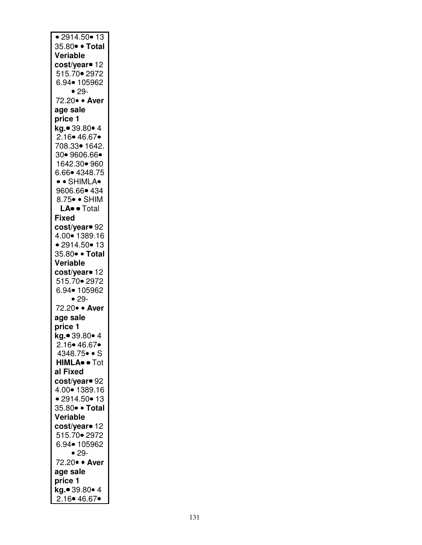| $\bullet$ 2914.50 $\bullet$ 13  |
|---------------------------------|
| 35.80 · Total                   |
| Veriable                        |
| cost/year• 12                   |
|                                 |
| 515.70 • 2972                   |
| 6.94• 105962                    |
| $• 29-$                         |
| 72.20 · Aver                    |
|                                 |
| age sale                        |
| price 1                         |
| kg.• 39.80• 4                   |
| 2.16• 46.67•                    |
|                                 |
| 708.33• 1642.                   |
| 30• 9606.66•                    |
| 1642.30• 960                    |
| 6.66 + 4348.75                  |
|                                 |
| • • SHIMLA•                     |
| 9606.66 • 434                   |
| 8.75 · SHIM                     |
|                                 |
| LA <sup>.</sup> Total           |
| <b>Fixed</b>                    |
| cost/year• 92                   |
| 4.00• 1389.16                   |
|                                 |
| • 2914.50 • 13                  |
| 35.80• • Total                  |
| Veriable                        |
|                                 |
| cost/year <sup>o</sup> 12       |
|                                 |
| 515.70 • 2972                   |
|                                 |
| 6.94• 105962                    |
| $• 29-$                         |
| 72.20 · Aver                    |
| age sale                        |
|                                 |
| price 1                         |
| <b>kg.●</b> 39.80● 4            |
| 2.16• 46.67•                    |
| 4348.75• • S                    |
|                                 |
| <b>HIMLA</b> <sup>o</sup> • Tot |
| al Fixed                        |
| cost/year• 92                   |
|                                 |
| 4.00 1389.16                    |
| • 2914.50 • 13                  |
| 35.80 • Total                   |
| Veriable                        |
|                                 |
| cost/year <sup>o</sup> 12       |
| 515.70 2972                     |
| 6.94• 105962                    |
| $• 29-$                         |
| 72.20 · Aver                    |
|                                 |
| age sale                        |
| price 1                         |
| kg.• 39.80• 4<br>2.16 • 46.67 • |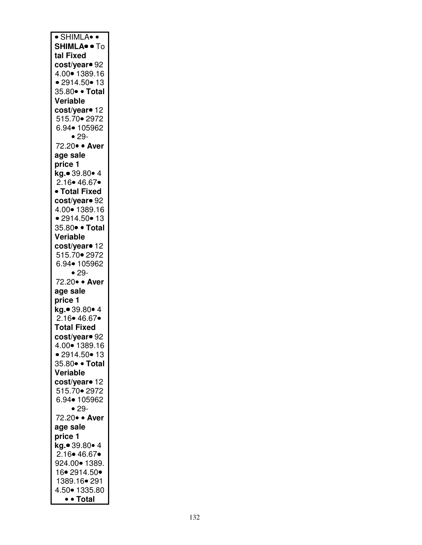| <b>SHIMLA</b> . To<br>tal Fixed<br>cost/year• 92<br>4.00  1389.16<br>• 2914.50 • 13<br>35.80• • Total<br>Veriable<br>cost/ <mark>year•</mark> 12<br>515.70 • 2972<br>6.94• 105962<br>$• 29-$<br>72.20 · Aver<br>age sale<br>price 1<br>kg.• 39.80• 4<br>2.16 • 46.67<br>· Total Fixed<br>cost/year <sup>o</sup> 92<br>4.00  1389.16<br>• 2914.50 • 13<br>35.80• • Total<br>Veriable<br>cost/year <sup>o</sup> 12<br>515.70 • 2972<br>6.94• 105962<br>$• 29-$<br>72.20 · Aver<br>age sale<br>price 1<br>kg.• 39.80• 4<br>2.16• 46.67•<br><b>Total Fixed</b><br>cost/year• 92<br>4.00• 1389.16<br>• 2914.50 • 13<br>35.80• • Total<br>Veriable<br>cost/year <sup>o</sup> 12<br>515.70 • 2972<br>6.94• 105962<br>$• 29-$<br>72.20 · Aver<br>age sale<br>price 1<br>kg.● 39.80● 4<br>2.16• 46.67• | 924.00• 1389.<br>16 - 2914.50 -<br>1389.16• 291<br>4.50 - 1335.80 | · SHIMLA• • |
|-----------------------------------------------------------------------------------------------------------------------------------------------------------------------------------------------------------------------------------------------------------------------------------------------------------------------------------------------------------------------------------------------------------------------------------------------------------------------------------------------------------------------------------------------------------------------------------------------------------------------------------------------------------------------------------------------------------------------------------------------------------------------------------------------|-------------------------------------------------------------------|-------------|
|                                                                                                                                                                                                                                                                                                                                                                                                                                                                                                                                                                                                                                                                                                                                                                                               |                                                                   |             |
|                                                                                                                                                                                                                                                                                                                                                                                                                                                                                                                                                                                                                                                                                                                                                                                               |                                                                   |             |
|                                                                                                                                                                                                                                                                                                                                                                                                                                                                                                                                                                                                                                                                                                                                                                                               |                                                                   |             |
|                                                                                                                                                                                                                                                                                                                                                                                                                                                                                                                                                                                                                                                                                                                                                                                               |                                                                   |             |
|                                                                                                                                                                                                                                                                                                                                                                                                                                                                                                                                                                                                                                                                                                                                                                                               |                                                                   |             |
|                                                                                                                                                                                                                                                                                                                                                                                                                                                                                                                                                                                                                                                                                                                                                                                               |                                                                   |             |
|                                                                                                                                                                                                                                                                                                                                                                                                                                                                                                                                                                                                                                                                                                                                                                                               |                                                                   |             |
|                                                                                                                                                                                                                                                                                                                                                                                                                                                                                                                                                                                                                                                                                                                                                                                               |                                                                   |             |
|                                                                                                                                                                                                                                                                                                                                                                                                                                                                                                                                                                                                                                                                                                                                                                                               |                                                                   |             |
|                                                                                                                                                                                                                                                                                                                                                                                                                                                                                                                                                                                                                                                                                                                                                                                               |                                                                   |             |
|                                                                                                                                                                                                                                                                                                                                                                                                                                                                                                                                                                                                                                                                                                                                                                                               |                                                                   |             |
|                                                                                                                                                                                                                                                                                                                                                                                                                                                                                                                                                                                                                                                                                                                                                                                               |                                                                   |             |
|                                                                                                                                                                                                                                                                                                                                                                                                                                                                                                                                                                                                                                                                                                                                                                                               |                                                                   |             |
|                                                                                                                                                                                                                                                                                                                                                                                                                                                                                                                                                                                                                                                                                                                                                                                               |                                                                   |             |
|                                                                                                                                                                                                                                                                                                                                                                                                                                                                                                                                                                                                                                                                                                                                                                                               |                                                                   |             |
|                                                                                                                                                                                                                                                                                                                                                                                                                                                                                                                                                                                                                                                                                                                                                                                               |                                                                   |             |
|                                                                                                                                                                                                                                                                                                                                                                                                                                                                                                                                                                                                                                                                                                                                                                                               |                                                                   |             |
|                                                                                                                                                                                                                                                                                                                                                                                                                                                                                                                                                                                                                                                                                                                                                                                               |                                                                   |             |
|                                                                                                                                                                                                                                                                                                                                                                                                                                                                                                                                                                                                                                                                                                                                                                                               |                                                                   |             |
|                                                                                                                                                                                                                                                                                                                                                                                                                                                                                                                                                                                                                                                                                                                                                                                               |                                                                   |             |
|                                                                                                                                                                                                                                                                                                                                                                                                                                                                                                                                                                                                                                                                                                                                                                                               |                                                                   |             |
|                                                                                                                                                                                                                                                                                                                                                                                                                                                                                                                                                                                                                                                                                                                                                                                               |                                                                   |             |
|                                                                                                                                                                                                                                                                                                                                                                                                                                                                                                                                                                                                                                                                                                                                                                                               |                                                                   |             |
|                                                                                                                                                                                                                                                                                                                                                                                                                                                                                                                                                                                                                                                                                                                                                                                               |                                                                   |             |
|                                                                                                                                                                                                                                                                                                                                                                                                                                                                                                                                                                                                                                                                                                                                                                                               |                                                                   |             |
|                                                                                                                                                                                                                                                                                                                                                                                                                                                                                                                                                                                                                                                                                                                                                                                               |                                                                   |             |
|                                                                                                                                                                                                                                                                                                                                                                                                                                                                                                                                                                                                                                                                                                                                                                                               |                                                                   |             |
|                                                                                                                                                                                                                                                                                                                                                                                                                                                                                                                                                                                                                                                                                                                                                                                               |                                                                   |             |
|                                                                                                                                                                                                                                                                                                                                                                                                                                                                                                                                                                                                                                                                                                                                                                                               |                                                                   |             |
|                                                                                                                                                                                                                                                                                                                                                                                                                                                                                                                                                                                                                                                                                                                                                                                               |                                                                   |             |
|                                                                                                                                                                                                                                                                                                                                                                                                                                                                                                                                                                                                                                                                                                                                                                                               |                                                                   |             |
|                                                                                                                                                                                                                                                                                                                                                                                                                                                                                                                                                                                                                                                                                                                                                                                               |                                                                   |             |
|                                                                                                                                                                                                                                                                                                                                                                                                                                                                                                                                                                                                                                                                                                                                                                                               |                                                                   |             |
|                                                                                                                                                                                                                                                                                                                                                                                                                                                                                                                                                                                                                                                                                                                                                                                               |                                                                   |             |
|                                                                                                                                                                                                                                                                                                                                                                                                                                                                                                                                                                                                                                                                                                                                                                                               |                                                                   |             |
|                                                                                                                                                                                                                                                                                                                                                                                                                                                                                                                                                                                                                                                                                                                                                                                               |                                                                   |             |
|                                                                                                                                                                                                                                                                                                                                                                                                                                                                                                                                                                                                                                                                                                                                                                                               |                                                                   |             |
|                                                                                                                                                                                                                                                                                                                                                                                                                                                                                                                                                                                                                                                                                                                                                                                               |                                                                   |             |
|                                                                                                                                                                                                                                                                                                                                                                                                                                                                                                                                                                                                                                                                                                                                                                                               |                                                                   |             |
|                                                                                                                                                                                                                                                                                                                                                                                                                                                                                                                                                                                                                                                                                                                                                                                               |                                                                   |             |
|                                                                                                                                                                                                                                                                                                                                                                                                                                                                                                                                                                                                                                                                                                                                                                                               |                                                                   |             |
|                                                                                                                                                                                                                                                                                                                                                                                                                                                                                                                                                                                                                                                                                                                                                                                               |                                                                   |             |
|                                                                                                                                                                                                                                                                                                                                                                                                                                                                                                                                                                                                                                                                                                                                                                                               |                                                                   |             |
|                                                                                                                                                                                                                                                                                                                                                                                                                                                                                                                                                                                                                                                                                                                                                                                               |                                                                   |             |
|                                                                                                                                                                                                                                                                                                                                                                                                                                                                                                                                                                                                                                                                                                                                                                                               |                                                                   |             |
|                                                                                                                                                                                                                                                                                                                                                                                                                                                                                                                                                                                                                                                                                                                                                                                               |                                                                   |             |
|                                                                                                                                                                                                                                                                                                                                                                                                                                                                                                                                                                                                                                                                                                                                                                                               |                                                                   |             |
|                                                                                                                                                                                                                                                                                                                                                                                                                                                                                                                                                                                                                                                                                                                                                                                               |                                                                   |             |
|                                                                                                                                                                                                                                                                                                                                                                                                                                                                                                                                                                                                                                                                                                                                                                                               |                                                                   |             |
|                                                                                                                                                                                                                                                                                                                                                                                                                                                                                                                                                                                                                                                                                                                                                                                               |                                                                   |             |
|                                                                                                                                                                                                                                                                                                                                                                                                                                                                                                                                                                                                                                                                                                                                                                                               |                                                                   |             |
|                                                                                                                                                                                                                                                                                                                                                                                                                                                                                                                                                                                                                                                                                                                                                                                               |                                                                   |             |
|                                                                                                                                                                                                                                                                                                                                                                                                                                                                                                                                                                                                                                                                                                                                                                                               |                                                                   |             |
|                                                                                                                                                                                                                                                                                                                                                                                                                                                                                                                                                                                                                                                                                                                                                                                               | • • Total                                                         |             |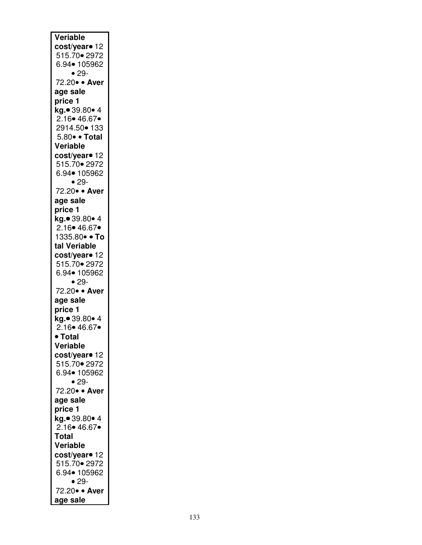| Veriable                  |
|---------------------------|
|                           |
| cost/yearo 12             |
| 515.70 • 2972             |
| 6.94• 105962              |
| $• 29-$                   |
| 72.20 · Aver              |
|                           |
| age sale                  |
| price 1                   |
| kg.● 39.80● 4             |
| 2.16• 46.67•              |
|                           |
| 2914.50 • 133             |
| 5.80 · Total              |
| Veriable                  |
| cost/year <sup>o</sup> 12 |
|                           |
| 515.70 • 2972             |
| 6.94• 105962              |
| $• 29-$                   |
| 72.20 · Aver              |
|                           |
| age sale                  |
| price 1                   |
| kg.• 39.80• 4             |
| $2.16 \cdot 46.67 \cdot$  |
|                           |
| 1335.80• • To             |
| tal Veriable              |
| cost/year• 12             |
| 515.70 • 2972             |
|                           |
| 6.94• 105962              |
| $• 29-$                   |
| 72.20 · Aver              |
| age sale                  |
|                           |
| price 1                   |
| kg.● 39.80● 4             |
| $2.16 \cdot 46.67 \cdot$  |
| • Total                   |
|                           |
| Veriable                  |
| cost/year• 12             |
| 515.70 • 2972             |
| 6.94• 105962              |
| $• 29-$                   |
|                           |
| 72.20 · Aver              |
| age sale                  |
| price 1                   |
| <b>kg.</b> ● 39.80● 4     |
|                           |
| 2.16 • 46.67 •            |
| <b>Total</b>              |
| Veriable                  |
|                           |
| cost/year <sup>o</sup> 12 |
| 515.70 2972               |
| 6.94• 105962              |
| $• 29-$                   |
| 72.20 · Aver              |
|                           |
| age sale                  |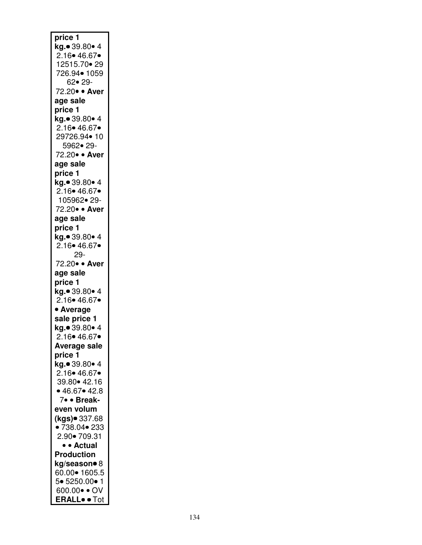| price 1                        |
|--------------------------------|
| <b>kg.●</b> 39.80● 4           |
| 2.16• 46.67•                   |
| 12515.70 • 29                  |
|                                |
| 726.94• 1059                   |
| 62•29-                         |
| 72.20• • Aver                  |
|                                |
| age sale                       |
| price 1                        |
| kg.● 39.80● 4                  |
|                                |
| 2.16• 46.67•                   |
| 29726.94• 10                   |
| 5962• 29-                      |
|                                |
| 72.20 · Aver                   |
| age sale                       |
| price 1                        |
|                                |
| kg.● 39.80● 4                  |
| 2.16 46.67                     |
| 105962• 29-                    |
| 72.20 · Aver                   |
|                                |
| age sale                       |
| price 1                        |
| kg.● 39.80● 4                  |
|                                |
| 2.16 • 46.67                   |
| 29-                            |
| 72.20 · Aver                   |
|                                |
| age sale                       |
| price 1                        |
| kg.● 39.80● 4                  |
| 2.16 • 46.67                   |
|                                |
| • Average                      |
| sale price 1                   |
| kg.● 39.80● 4                  |
|                                |
| 2.16 • 46.67                   |
| Average sale                   |
| price 1                        |
|                                |
| kg.● 39.80● 4                  |
| 2.16 46.67                     |
| 39.80• 42.16                   |
| • 46.67 • 42.8                 |
|                                |
| 7• · Break-                    |
| even volum                     |
| (kgs)● 337.68                  |
|                                |
| $\bullet$ 738.04 $\bullet$ 233 |
| 2.90• 709.31                   |
| • • Actual                     |
| <b>Production</b>              |
|                                |
| kg/season• 8                   |
| 60.00• 1605.5                  |
| 5• 5250.00• 1                  |
|                                |
| 600.00 · OV                    |
| <b>ERALL</b> <sup>o</sup> Tot  |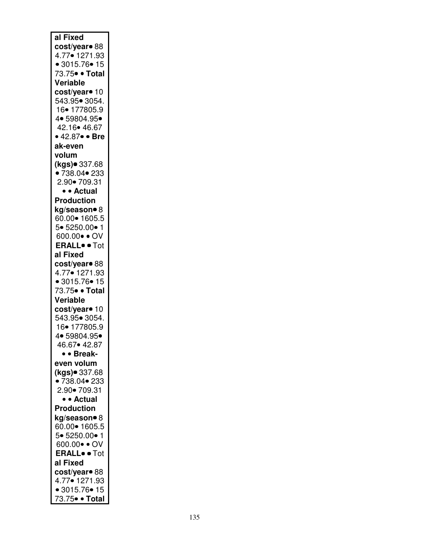| al Fixed                        |
|---------------------------------|
| cost/year <sup>o</sup> 88       |
| 4.77• 1271.93                   |
| • 3015.76 • 15                  |
| 73.75• • Total                  |
| Veriable                        |
| cost/year <sup>o</sup> 10       |
| 543.95• 3054.<br>16• 177805.9   |
| 4 • 59804.95 •                  |
| 42.16 • 46.67                   |
| • 42.87• • Bre                  |
| ak-even                         |
| volum                           |
| (kgs)● 337.68                   |
| •738.04•233                     |
| 2.90• 709.31                    |
| • • Actual                      |
| <b>Production</b>               |
| kg/season• 8                    |
| 60.00 • 1605.5                  |
| 5• 5250.00• 1                   |
| 600.00 · OV                     |
| <b>ERALL</b> <sup>o</sup> • Tot |
| al Fixed                        |
| cost/year <sup>o</sup> 88       |
| 4.77• 1271.93                   |
| • 3015.76• 15                   |
| 73.75• • Total                  |
| Veriable                        |
| cost/year• 10                   |
| 543.95• 3054.                   |
| 16• 177805.9                    |
| 4• 59804.95•<br>46.67• 42.87    |
| • • Break-                      |
| even volum                      |
| (kgs)● 337.68                   |
| •738.04 •233                    |
| 2.90• 709.31                    |
| • • Actual                      |
| <b>Production</b>               |
| kg/season• 8                    |
| 60.00• 1605.5                   |
| 5• 5250.00• 1                   |
| 600.00 · OV                     |
| <b>ERALL</b> <sup>o</sup> • Tot |
| al Fixed                        |
| cost/year <sup>o</sup> 88       |
| 4.77• 1271.93                   |
| • 3015.76• 15                   |
| 73.75• • Total                  |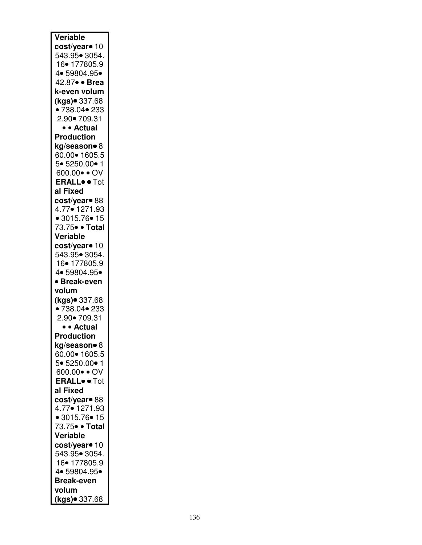| Veriable                        |
|---------------------------------|
|                                 |
| cost/year <sup>o</sup> 10       |
| 543.95• 3054.                   |
| 16• 177805.9                    |
| 4 • 59804.95 •                  |
| 42.87 · Brea                    |
|                                 |
| k-even volum                    |
| (kgs)● 337.68                   |
| •738.04 •233                    |
| 2.90• 709.31                    |
|                                 |
| • • Actual                      |
| <b>Production</b>               |
| kg/season• 8                    |
| 60.00• 1605.5                   |
| 5• 5250.00• 1                   |
|                                 |
| 600.00 · OV                     |
| <b>ERALL</b> <sup>o</sup> • Tot |
| al Fixed                        |
| cost/year• 88                   |
| 4.77• 1271.93                   |
|                                 |
| • 3015.76 • 15                  |
| 73.75• • Total                  |
| Veriable                        |
| cost/year <sup>o</sup> 10       |
|                                 |
| 543.95• 3054.                   |
| 16• 177805.9                    |
| 4 • 59804.95 •                  |
| · Break-even                    |
| volum                           |
|                                 |
| (kgs)● 337.68                   |
| •738.04 •233                    |
| 2.90• 709.31                    |
| • • Actual                      |
|                                 |
| <b>Production</b>               |
| kg/season• 8                    |
| 60.00 • 1605.5                  |
| 5• 5250.00• 1                   |
| 600.00 · OV                     |
|                                 |
| <b>ERALL</b> <sup>o</sup> · Tot |
| al Fixed                        |
| cost/year <sup>o</sup> 88       |
| 4.77• 1271.93                   |
| • 3015.76 • 15                  |
|                                 |
| 73.75• • Total                  |
| Veriable                        |
| cost/year• 10                   |
| 543.95• 3054.                   |
|                                 |
| 16• 177805.9                    |
|                                 |
| 4• 59804.95•                    |
| <b>Break-even</b>               |
|                                 |
| volum<br>(kgs) 337.68           |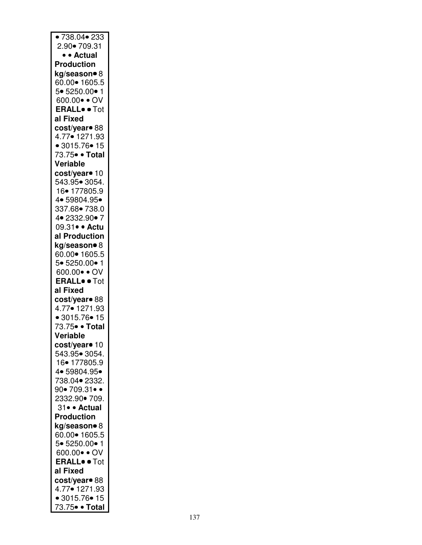| ■ 738.04● 233                   |
|---------------------------------|
| 2.90• 709.31                    |
| • • Actual                      |
| <b>Production</b>               |
| kg/season• 8                    |
| 60.00 • 1605.5                  |
| 5• 5250.00• 1                   |
|                                 |
| 600.00 · OV                     |
| <b>ERALL</b> <sup>o</sup> • Tot |
| al Fixed                        |
| cost/year <sup>o</sup> 88       |
| 4.77• 1271.93                   |
| • 3015.76 • 15                  |
| 73.75• • Total                  |
| Veriable                        |
| cost/year <sup>o</sup> 10       |
| 543.95• 3054.                   |
| 16• 177805.9                    |
| 4 • 59804.95 •                  |
| 337.68• 738.0                   |
| 4 • 2332.90 • 7                 |
| 09.31• • Actu                   |
| al Production                   |
| kg/season• 8                    |
| 60.00• 1605.5                   |
|                                 |
| 5• 5250.00• 1                   |
| 600.00 · OV                     |
| <b>ERALL</b> <sup>o</sup> • Tot |
| al Fixed                        |
| cost/year• 88                   |
| 4.77• 1271.93                   |
| • 3015.76 • 15                  |
| 73.75• • Total                  |
| Veriable                        |
| cost/year <sup>o</sup> 10       |
| 543.95∙ 3054.                   |
| 16• 177805.9                    |
| 4 • 59804.95 •                  |
| 738.04 • 2332.                  |
| 90•709.31• •                    |
| 2332.90 - 709.                  |
| 31• • Actual                    |
| <b>Production</b>               |
| kg/season• 8                    |
| 60.00 • 1605.5                  |
|                                 |
| 5• 5250.00• 1                   |
| 600.00 · OV                     |
| <b>ERALL</b> <sup>o</sup> • Tot |
| al Fixed                        |
| cost/year <sup>o</sup> 88       |
| 4.77• 1271.93                   |
| • 3015.76• 15                   |
| 73.75• • Total                  |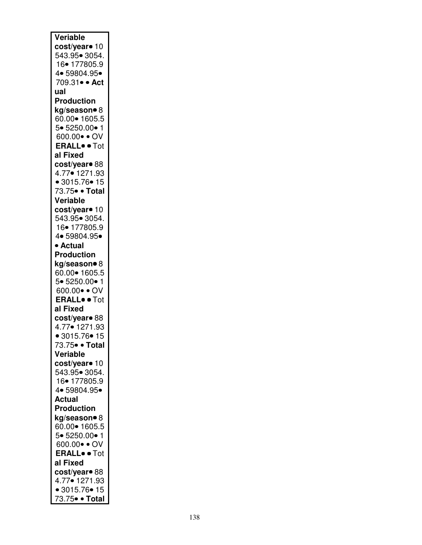| Veriable                                                     |
|--------------------------------------------------------------|
| cost/year <sup>o</sup> 10                                    |
| 543.95• 3054.                                                |
| 16• 177805.9                                                 |
| 4• 59804.95•                                                 |
| 709.31 · Act                                                 |
| ual                                                          |
| <b>Production</b>                                            |
| kg/season• 8<br>60.00• 1605.5                                |
| 5• 5250.00• 1                                                |
| 600.00 · OV                                                  |
| <b>ERALL</b> <sup>o</sup> · Tot                              |
| al Fixed                                                     |
| cost/year <sup>o</sup> 88                                    |
| 4.77• 1271.93                                                |
| • 3015.76 • 15                                               |
| 73.75• • Total                                               |
| Veriable                                                     |
| cost/year• 10                                                |
| 543.95• 3054.                                                |
| 16• 177805.9                                                 |
| 4 • 59804.95 •                                               |
| • Actual                                                     |
| <b>Production</b>                                            |
| kg/season• 8                                                 |
| 60.00 • 1605.5                                               |
| 5• 5250.00• 1                                                |
| $600.00 \bullet \bullet OV$<br><b>ERALL</b> <sup>o</sup> Tot |
| al Fixed                                                     |
| cost/year <sup>o</sup> 88                                    |
| 4.77• 1271.93                                                |
| • 3015.76 • 15                                               |
| 73.75• • Total                                               |
| Veriable                                                     |
| cost/year <sup>o</sup> 10                                    |
| 543.95• 3054.                                                |
| 16• 177805.9                                                 |
| 4 • 59804.95 •                                               |
| <b>Actual</b>                                                |
| <b>Production</b>                                            |
| kg/season• 8                                                 |
| 60.00• 1605.5                                                |
| 5• 5250.00• 1                                                |
| 600.00 · OV                                                  |
| <b>ERALL</b> <sup>o</sup> • Tot                              |
| al Fixed                                                     |
| cost/year• 88                                                |
| 4.77• 1271.93<br>• 3015.76• 15                               |
| 73.75• • Total                                               |
|                                                              |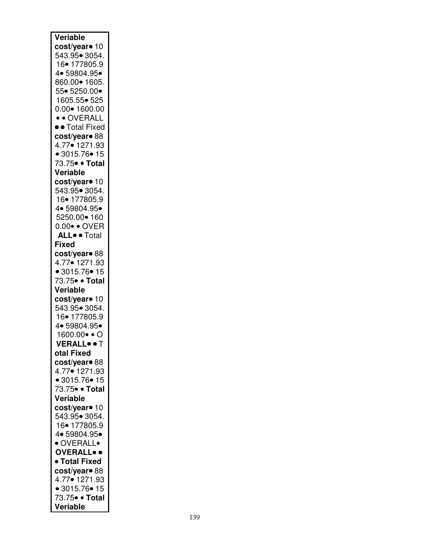| Veriable                             |
|--------------------------------------|
| cost/year• 10                        |
| 543.95• 3054.                        |
| 16• 177805.9                         |
| 4 • 59804.95 •                       |
| 860.00 • 1605.                       |
| 55• 5250.00•                         |
| 1605.55• 525<br>$0.00 \cdot 1600.00$ |
| • • OVERALL                          |
| • • Total Fixed                      |
| cost/year <sup>o</sup> 88            |
| 4.77• 1271.93                        |
| • 3015.76 • 15                       |
| 73.75• • Total                       |
| Veriable                             |
| cost/year <sup>o</sup> 10            |
| 543.95• 3054.                        |
| 16• 177805.9                         |
| 4 • 59804.95 •                       |
| 5250.00 • 160                        |
| 0.00 · OVER                          |
| ALL. Total                           |
| <b>Fixed</b>                         |
| cost/year• 88<br>4.77• 1271.93       |
| • 3015.76 • 15                       |
| 73.75• • Total                       |
| Veriable                             |
| cost/year <sup>o</sup> 10            |
| 543.95• 3054.                        |
| 16• 177805.9                         |
| 4• 59804.95•                         |
| 1600.00●● O                          |
| VERALL. T                            |
| otal Fixed                           |
| cost/year• 88                        |
| 4.77• 1271.93                        |
| • 3015.76 • 15                       |
| 73.75• • Total                       |
| Veriable                             |
| cost/year• 10<br>543.95• 3054.       |
| 16• 177805.9                         |
| 4 • 59804.95 •                       |
| · OVERALL•                           |
| <b>OVERALL</b>                       |
| • Total Fixed                        |
| cost/year <sup>o</sup> 88            |
| 4.77• 1271.93                        |
| • 3015.76 • 15                       |
| 73.75• • Total                       |
| Veriable                             |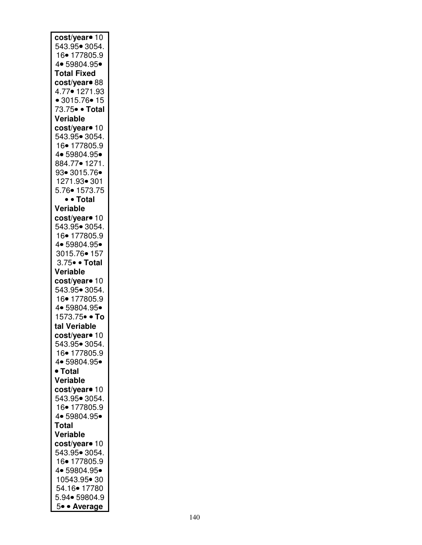| cost/year• 10<br>543.95• 3054.<br>16• 177805.9<br>4• 59804.95•<br><b>Total Fixed</b><br>cost/year <sup>o</sup> 88<br>4.77• 1271.93<br>• 3015.76 • 15<br>73.75• • Total<br>Veriable |
|------------------------------------------------------------------------------------------------------------------------------------------------------------------------------------|
| cost/year <sup>o</sup> 10<br>543.95• 3054.<br>16• 177805.9<br>4• 59804.95•<br>884.77• 1271.<br>93• 3015.76•<br>1271.93• 301<br>5.76• 1573.75<br>• • Total                          |
| Veriable                                                                                                                                                                           |
| cost/year <sup>o</sup> 10<br>543.95• 3054.<br>16• 177805.9<br>4• 59804.95•<br>3015.76• 157<br>3.75 · Total<br>Veriable                                                             |
|                                                                                                                                                                                    |
| cost/year <sup>o</sup> 10<br>543.95• 3054.<br>16• 177805.9<br>4• 59804.95•<br>1573.75• • To<br>tal Veriable<br>cost/year• 10                                                       |
| 543.95• 3054.                                                                                                                                                                      |
| 16• 177805.9<br>4• 59804.95•<br>• Total<br>Veriable                                                                                                                                |
| cost/year• 10<br>543.95• 3054.<br>16• 177805.9<br>4 • 59804.95 •<br>Total                                                                                                          |
| Veriable                                                                                                                                                                           |
| cost/year• 10<br>543.95• 3054.<br>16• 177805.9<br>4• 59804.95•<br>10543.95• 30<br>54.16• 17780<br>5.94• 59804.9                                                                    |
| 5• • Average                                                                                                                                                                       |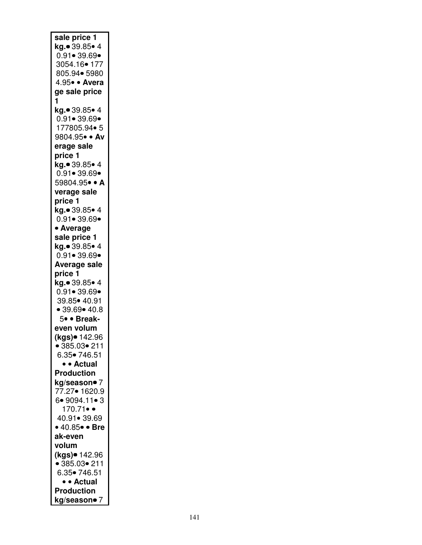| sale price 1                         |
|--------------------------------------|
| kg.• 39.85• 4                        |
| $0.91 \cdot 39.69 \cdot$             |
| 3054.16• 177                         |
| 805.94• 5980                         |
| 4.95• · Avera                        |
| ge sale price                        |
| 1                                    |
| <b>kg.●</b> 39.85● 4                 |
| $0.91 \cdot 39.69 \cdot$             |
| 177805.94• 5                         |
| 9804.95• · Av                        |
| erage sale                           |
| price 1                              |
| kg.● 39.85● 4                        |
| $0.91 \bullet 39.69 \bullet$         |
| 59804.95• • A                        |
| verage sale                          |
| price 1                              |
| kg.● 39.85● 4                        |
| $0.91 - 39.69 -$                     |
| • Average                            |
| sale price 1                         |
| <b>kg.</b> ● 39.85● 4                |
| $0.91 - 39.69 -$                     |
| <b>Average sale</b>                  |
| price 1                              |
| kg.• 39.85• 4                        |
| $0.91 \bullet 39.69 \bullet$         |
| 39.85 • 40.91                        |
| • 39.69 • 40.8                       |
| 5• • Break-                          |
| even volum                           |
| (kgs)● 142.96                        |
| $\bullet$ 385.03 $\bullet$ 211       |
| 6.35• 746.51                         |
| • • Actual                           |
| <b>Production</b>                    |
| <b>kg/season● 7</b><br>77.27● 1620.9 |
|                                      |
| 6• 9094.11• 3                        |
| $170.71 \bullet$                     |
| 40.91• 39.69                         |
| • 40.85 · Bre                        |
| ak-even                              |
| volum                                |
| (kgs)● 142.96                        |
| • 385.03 • 211                       |
| 6.35• 746.51                         |
| • • Actual                           |
| <b>Production</b>                    |
| kg/season• 7                         |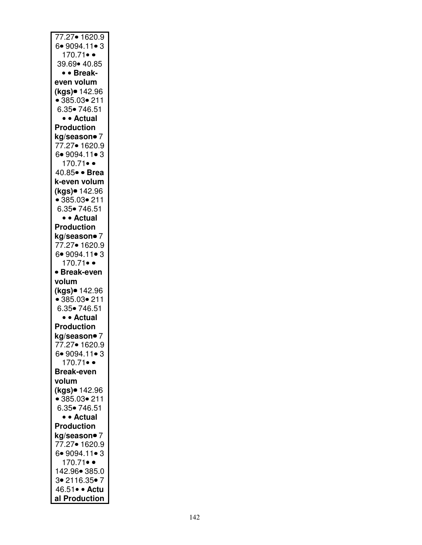| 77.27• 1620.9                                |
|----------------------------------------------|
| 6.9094.11.3                                  |
| 170.71 $\bullet$                             |
| 39.69• 40.85                                 |
|                                              |
| • • Break-                                   |
| even volum                                   |
| (kgs)● 142.96<br>● 385.03● 211               |
|                                              |
|                                              |
| 6.35• 746.51                                 |
| · Actual                                     |
| <b>Production</b>                            |
|                                              |
| <b>kg/season•</b> 7<br>77.27• 1620.9         |
|                                              |
| 6• 9094.11• 3                                |
| 170.71••                                     |
| 40.85 · Brea                                 |
|                                              |
| k-even volum                                 |
|                                              |
| ( <mark>kgs)● 142.96</mark><br>● 385.03● 211 |
| 6.35• 746.51                                 |
|                                              |
| • • Actual                                   |
| <b>Production</b>                            |
|                                              |
|                                              |
| kg/season• 7                                 |
| 77.27• 1620.9                                |
| 6•9094.11•3                                  |
| 170.71•                                      |
|                                              |
| <b>Break-even</b><br>$\bullet$               |
| volum                                        |
|                                              |
| (kgs)● 142.96                                |
| $• 385.03 \cdot 211$                         |
| 6.35• 746.51                                 |
| • • Actual                                   |
| <b>Production</b>                            |
|                                              |
| kg/season● 7                                 |
| 77.27• 1620.9                                |
| 6.9094.11.3                                  |
| $170.71 \bullet$                             |
| <b>Break-even</b>                            |
|                                              |
| volum                                        |
| (kgs)● 142.96                                |
| • 385.03 • 211                               |
| 6.35• 746.51                                 |
| • • Actual                                   |
|                                              |
| <b>Production</b>                            |
| kg/season• 7                                 |
| 77.27• 1620.9                                |
| 6.9094.11.3                                  |
|                                              |
| $170.71 \bullet$                             |
| 142.96• 385.0                                |
| 3• 2116.35• 7                                |
| 46.51 · Actu<br>al Production                |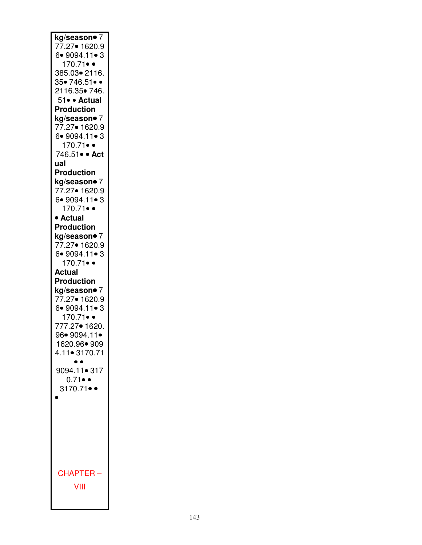| kg/season● 7           |
|------------------------|
| 77.27• 1620.9          |
| 6.9094.11.3            |
| 170.71 $\bullet$       |
| 385.03• 2116.          |
| 35• 746.51••           |
| 2116.35• 746.          |
| 51• · Actual           |
| <b>Production</b>      |
| kg/season● 7           |
| 77.27• 1620.9          |
| 6•9094.11•3            |
| 170.71••               |
| 746.51 · Act           |
| ual                    |
| <b>Production</b>      |
| kg/season• 7           |
| 77.27• 1620.9          |
| 6.9094.11.3            |
| 170.71 $\bullet$       |
| • Actual               |
| <b>Production</b>      |
| kg/season• 7           |
| 77.27• 1620.9          |
| 6.9094.11.3            |
| $170.71 \bullet$       |
| Actual                 |
| <b>Production</b>      |
| kg/season• 7           |
|                        |
| 77.27• 1620.9          |
| 6.9094.11.3            |
| 170.71••               |
| 777.27• 1620.          |
| 96• 9094.11•           |
| 1620.96• 909           |
| 4.11• 3170.71          |
|                        |
| 9094.11• 317           |
| $0.71 \bullet \bullet$ |
| 3170.71•               |
|                        |
|                        |
|                        |
|                        |
|                        |
|                        |
|                        |
|                        |
| <b>CHAPTER</b>         |
| VIII                   |
|                        |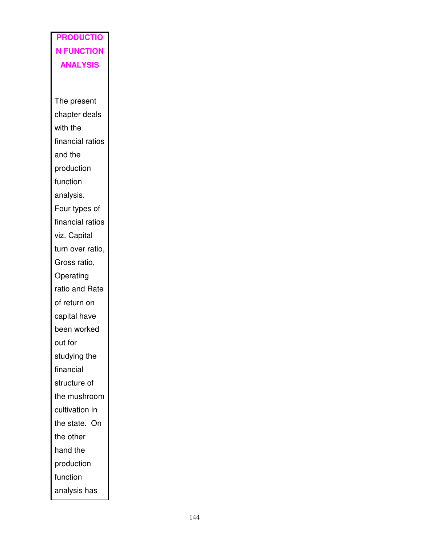## **PRODUCTIO N FUNCTION ANALYSIS**

The present chapter deals with the financial ratios and the production function analysis. Four types of financial ratios viz. Capital turn over ratio, Gross ratio, Operating ratio and Rate of return on capital have been worked out for studying the financial structure of the mushroom cultivation in the state. On the other hand the production function analysis has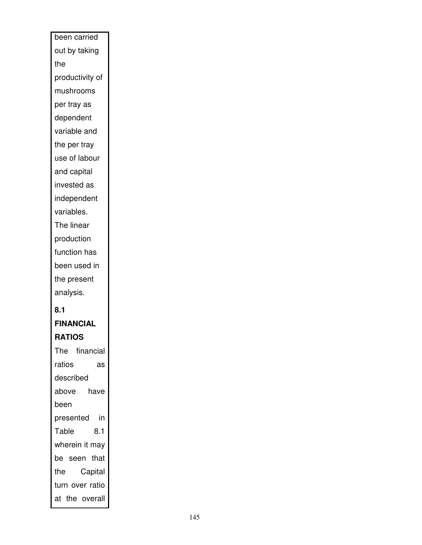| been carried      |
|-------------------|
| out by taking     |
| the               |
| productivity of   |
| mushrooms         |
| per tray as       |
| dependent         |
| variable and      |
| the per tray      |
| use of labour     |
| and capital       |
| invested as       |
| independent       |
| variables.        |
| The linear        |
| production        |
| function has      |
| been used in      |
| the present       |
| analysis.         |
| 8.1               |
| <b>FINANCIAL</b>  |
| <b>RATIOS</b>     |
| The financial     |
| ratios<br>as      |
| described         |
| above<br>have     |
| been              |
| in i<br>presented |
| Table<br>8.1      |
| wherein it may    |
| be seen that      |
| Capital<br>the    |
| turn over ratio   |
| at the overall    |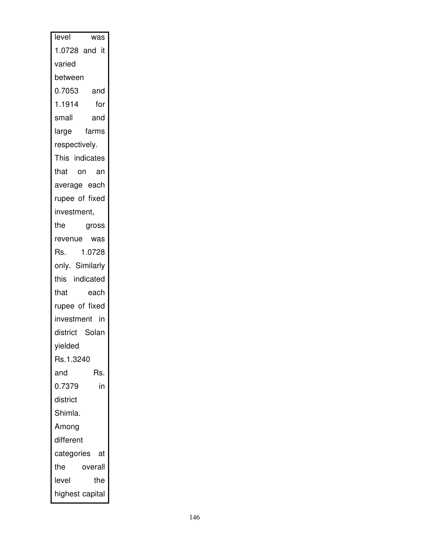| level<br>was     |
|------------------|
| 1.0728 and it    |
| varied           |
| between          |
| 0.7053<br>and    |
| 1.1914<br>for    |
| small<br>and     |
| farms<br>large   |
| respectively.    |
| This indicates   |
| that on an       |
| average each     |
| rupee of fixed   |
| investment,      |
| the<br>gross     |
| revenue was      |
| 1.0728<br>Rs.    |
| only. Similarly  |
| this indicated   |
| that<br>each     |
| rupee of fixed   |
| investment in    |
| district Solan   |
| yielded          |
| Rs.1.3240        |
| Rs.<br>and       |
| 0.7379<br>in     |
| district         |
| Shimla.          |
| Among            |
| different        |
| categories<br>at |
| the<br>overall   |
| level<br>the     |
| highest capital  |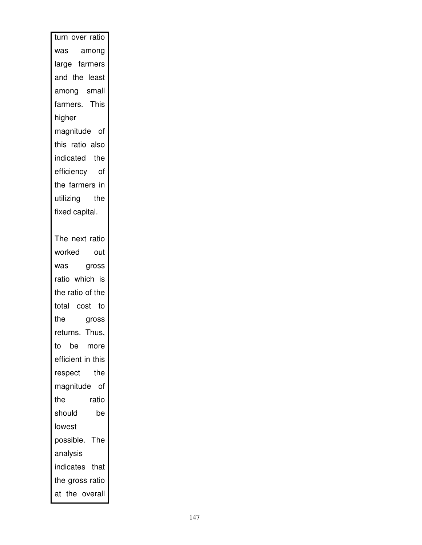| turn over ratio   |
|-------------------|
| was among         |
| large farmers     |
| and the least     |
| among small       |
| farmers. This     |
| higher            |
| magnitude of      |
| this ratio also   |
| indicated the     |
| efficiency of     |
| the farmers in    |
| utilizing the     |
| fixed capital.    |
|                   |
| The next ratio    |
| worked out        |
| was gross         |
| ratio which is    |
| the ratio of the  |
| total cost to     |
| the<br>gross      |
| returns. Thus,    |
| to be more        |
| efficient in this |
| the<br>respect    |
| magnitude of      |
| ratio<br>the      |
| should<br>be      |
| lowest            |
| possible.<br>The  |
| analysis          |
| indicates that    |
| the gross ratio   |
| at the overall    |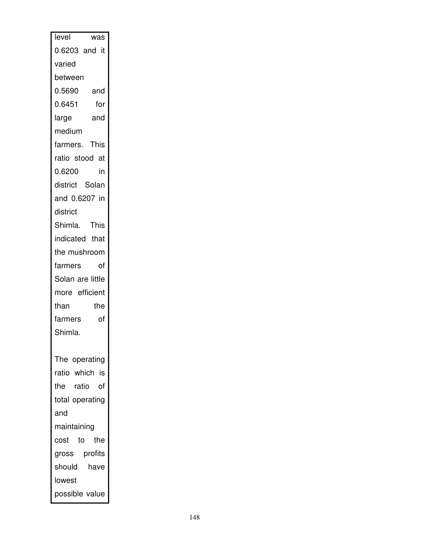| level<br>was      |
|-------------------|
| 0.6203 and it     |
| varied            |
| between           |
| 0.5690<br>and     |
| 0.6451<br>for     |
| and<br>large      |
| medium            |
| farmers. This     |
| ratio stood at    |
| 0.6200<br>in      |
| district Solan    |
| and 0.6207 in     |
| district          |
| Shimla. This      |
| indicated that    |
| the mushroom      |
| farmers<br>of     |
| Solan are little  |
| more efficient    |
| than<br>the       |
| farmers<br>of     |
| Shimla.           |
|                   |
| The operating     |
| ratio which is    |
| the ratio of      |
| total operating   |
| and               |
| maintaining       |
| the<br>cost<br>to |
| gross profits     |
| should<br>have    |
| lowest            |
| possible value    |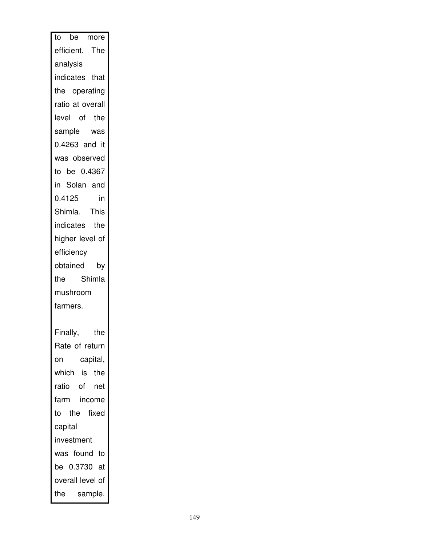|            | to be more       |
|------------|------------------|
|            | efficient. The   |
| analysis   |                  |
|            | indicates that   |
|            | the operating    |
|            | ratio at overall |
|            | level of the     |
|            | sample was       |
|            | 0.4263 and it    |
|            | was observed     |
|            | to be 0.4367     |
|            | in Solan and     |
| 0.4125     | in               |
|            | Shimla. This     |
|            | indicates the    |
|            | higher level of  |
| efficiency |                  |
|            | obtained by      |
|            | the Shimla       |
| mushroom   |                  |
| farmers.   |                  |
|            |                  |
| Finally,   | the              |
|            | Rate of return   |
| on         | capital,         |
|            | which is the     |
|            | ratio of net     |
|            | farm income      |
|            | to the fixed     |
| capital    |                  |
| investment |                  |
|            | was found to     |
|            | be 0.3730 at     |
|            | overall level of |
|            | the sample.      |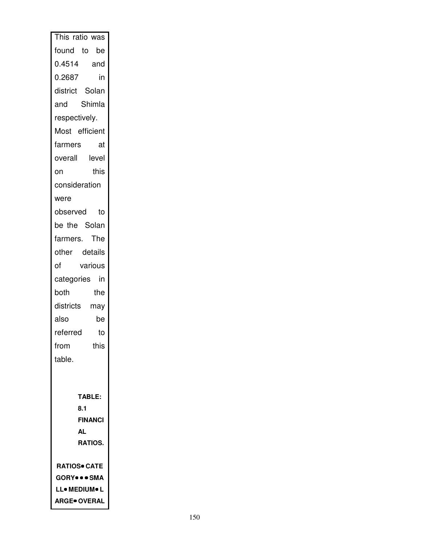| This ratio was                       |
|--------------------------------------|
| found to<br>be                       |
| 0.4514 and                           |
| 0.2687<br>in                         |
| district Solan                       |
| Shimla<br>and                        |
| respectively.                        |
| Most efficient                       |
| farmers<br>at                        |
| overall level                        |
| this<br>on                           |
| consideration                        |
| were                                 |
| observed<br>to                       |
| be the Solan                         |
| farmers. The                         |
| other details                        |
| of<br>various                        |
| categories<br>in                     |
| both<br>the                          |
| districts may                        |
| also<br>be                           |
| referred<br>to                       |
| from<br>this                         |
| table.                               |
|                                      |
|                                      |
| <b>TABLE:</b><br>8.1                 |
| <b>FINANCI</b>                       |
| AL                                   |
| RATIOS.                              |
|                                      |
| <b>RATIOS• CATE</b>                  |
| <b>GORY</b> • • SMA<br>LL• MEDIUM• L |
| <b>ARGE</b> OVERAL                   |
|                                      |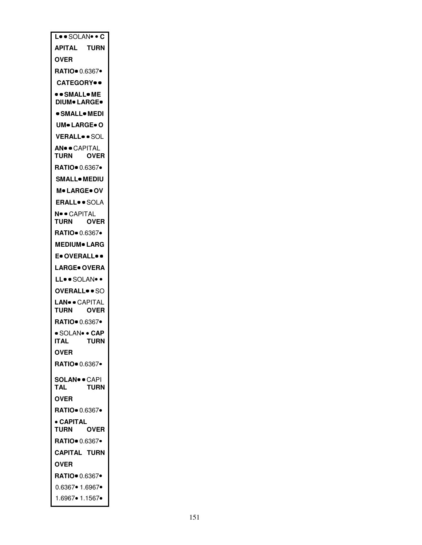| L. SOLAN. C                                      |             |
|--------------------------------------------------|-------------|
| APITAL TURN                                      |             |
| OVER                                             |             |
|                                                  |             |
| <b>CATEGORY</b> •                                |             |
| <b>. • SMALL• ME</b><br><b>DIUM® LARGE®</b>      |             |
| ● SMALL● MEDI                                    |             |
| UM● LARGE● O                                     |             |
| VERALLSOL                                        |             |
| <b>AN®®CAPITAL</b><br>TURN                       | <b>OVER</b> |
| RATIO 0.6367                                     |             |
| SMALL● MEDIU                                     |             |
| <b>M• LARGE• OV</b>                              |             |
| ERALL• • SOLA                                    |             |
| N® · CAPITAL<br><b>TURN</b>                      | <b>OVER</b> |
| RATIO 0.6367·                                    |             |
| MEDIUM● LARG                                     |             |
| E• OVERALL• •                                    |             |
| LARGE● OVERA                                     |             |
| LL. SOLAN.                                       |             |
| <b>OVERALL</b> • SO                              |             |
| LAN <sup>o</sup> · CAPITAL<br>TURN               | <b>OVER</b> |
| <b>RATIO</b> 0.6367•                             |             |
| · SOLAN <sup>•</sup> • CAP<br><b>ITAL</b>        | <b>TURN</b> |
| <b>OVER</b>                                      |             |
| RATIO 0.6367                                     |             |
| <b>SOLAN® · CAPI</b><br><b>TAL</b>               | TURN        |
| <b>OVER</b>                                      |             |
|                                                  |             |
| <b>RATIO</b> 0.6367                              |             |
| • CAPITAL                                        |             |
| <b>TURN</b>                                      | <b>OVER</b> |
| RATIO 0.6367                                     |             |
| <b>CAPITAL TURN</b>                              |             |
| OVER                                             |             |
| RATIO 0.6367.                                    |             |
| $0.6367 \cdot 1.6967 \cdot$<br>1.6967 • 1.1567 • |             |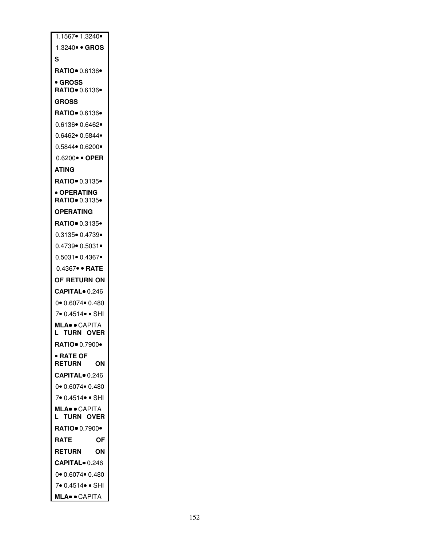| 1.1567 • 1.3240 •                    |
|--------------------------------------|
| 1.3240 • GROS                        |
| S                                    |
| RATIO● 0.6136●                       |
| • GROSS                              |
| RATIO•  0.6136•                      |
| <b>GROSS</b>                         |
| RATIO 0.6136                         |
| 0.6136● 0.6462●                      |
| 0.6462● 0.5844●                      |
| 0.5844● 0.6200●                      |
| 0.6200• • OPER                       |
| <b>ATING</b>                         |
| RATIO● 0.3135●                       |
| • OPERATING                          |
| <b>RATIO</b> 0.3135                  |
| OPERATING                            |
| RATIO• 0.3135•                       |
| 0.3135● 0.4739●                      |
| $0.4739 \cdot 0.5031 \cdot$          |
| 0.5031● 0.4367●                      |
|                                      |
| 0.4367∙ ∙ RATE                       |
| OF RETURN ON                         |
| <b>CAPITAL</b> 0.246                 |
| 0● 0.6074● 0.480                     |
| 7● 0.4514● ● SHI                     |
| MLA• • CAPITA                        |
| <b>TURN OVER</b><br>L.               |
| RATIO 0.7900                         |
| • RATE OF<br><b>RETURN</b><br>ΟN     |
| CAPITAL <sup>o</sup> 0.246           |
| $0$ $\bullet$ 0.6074 $\bullet$ 0.480 |
| 7 0.4514 · SHI                       |
| <b>MLA</b> ·· CAPITA                 |
| L<br><b>TURN OVER</b>                |
| RATIO 0.7900 ·                       |
| RATE<br>ΟF                           |
| <b>RETURN</b><br>ΟN                  |
| <b>CAPITAL</b> 0.246                 |
| 0● 0.6074● 0.480                     |
| 7● 0.4514● ● SHI                     |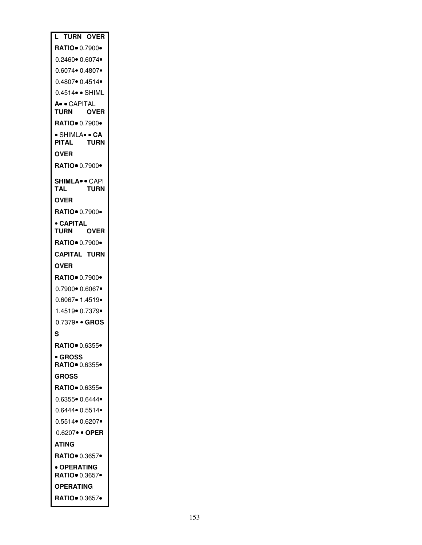| L                                    | <b>TURN OVER</b> |
|--------------------------------------|------------------|
| <b>RATIO</b> 0.7900                  |                  |
| 0.2460● 0.6074●                      |                  |
| 0.6074● 0.4807●                      |                  |
| 0.4807● 0.4514●                      |                  |
| $0.4514 \bullet \bullet$ SHIML       |                  |
| A. CAPITAL<br>TURN                   | <b>OVER</b>      |
|                                      |                  |
| • SHIMLA• • CA<br>PITAL              | TURN             |
| OVER                                 |                  |
| <b>RATIO</b> 0.7900 <b>·</b>         |                  |
|                                      |                  |
| <b>SHIMLA</b> . CAPI<br>TAL          | <b>TURN</b>      |
| <b>OVER</b>                          |                  |
| RATIO 0.7900                         |                  |
| • CAPITAL                            |                  |
| TURN                                 | OVER             |
| RATIO · 0.7900 ·                     |                  |
| <b>CAPITAL TURN</b>                  |                  |
| OVER                                 |                  |
| <b>RATIO</b> 0.7900 <b>·</b>         |                  |
| 0.7900● 0.6067●                      |                  |
| $0.6067 \cdot 1.4519 \cdot$          |                  |
| 1.4519• 0.7379•                      |                  |
| 0.7379• • GROS                       |                  |
| S                                    |                  |
|                                      |                  |
| • GROSS<br><b>RATIO</b> 0.6355       |                  |
| <b>GROSS</b>                         |                  |
| RATIO <sup>.</sup> 0.6355.           |                  |
| $0.6355 \cdot 0.6444 \cdot$          |                  |
| $0.6444 \bullet 0.5514 \bullet$      |                  |
| 0.5514● 0.6207●                      |                  |
| $0.6207 \bullet \bullet$ OPER        |                  |
| ATING                                |                  |
| RATIO 0.3657                         |                  |
| • OPERATING<br><b>RATIO</b> 0.3657 • |                  |
| OPERATING                            |                  |
| RATIO 0.3657.                        |                  |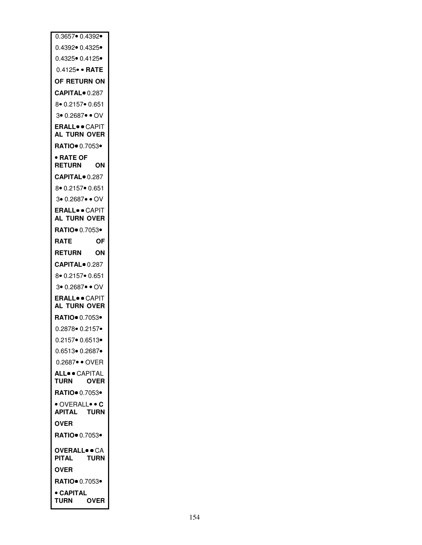| 0.3657 0.4392                          |             |
|----------------------------------------|-------------|
| 0.4392● 0.4325●                        |             |
| 0.4325• 0.4125•                        |             |
| $0.4125 \bullet \bullet$ RATE          |             |
| OF RETURN ON                           |             |
| <b>CAPITAL</b> 0.287                   |             |
| 8 0.2157 0.651                         |             |
| 3• 0.2687• • OV                        |             |
| <b>ERALL</b> o • CAPIT<br>AL TURN OVER |             |
| RATIO 0.7053                           |             |
| • RATE OF                              |             |
| <b>RETURN</b>                          | ΟN          |
| <b>CAPITAL</b> 0.287                   |             |
| 8 0.2157 0.651                         |             |
| 3 • 0.2687 • OV                        |             |
| ERALL• • CAPIT<br>AL TURN OVER         |             |
| RATIO 0.7053                           |             |
| <b>RATE</b>                            | ΟF          |
| <b>RETURN</b>                          | OΝ          |
| <b>CAPITAL</b> 0.287                   |             |
| 8 0.2157 0.651                         |             |
| 3 • 0.2687 • OV                        |             |
| <b>ERALL</b> <sup>o</sup> CAPIT        |             |
| AL TURN OVER                           |             |
| <b>RATIO</b> 0.7053 <b>•</b>           |             |
| 0.2878 0.2157                          |             |
| 0.2157• 0.6513•                        |             |
| 0.6513● 0.2687●                        |             |
| 0.2687 · OVER                          |             |
| <b>ALL</b> · CAPITAL<br><b>TURN</b>    | <b>OVER</b> |
| RATIO 0.7053                           |             |
| OVERALL . C<br><b>APITAL</b>           | <b>TURN</b> |
| OVER                                   |             |
| RATIO <sup>.</sup> 0.7053 <sup>.</sup> |             |
| <b>OVERALLOOCA</b>                     |             |
| PITAL                                  | <b>TURN</b> |
| <b>OVER</b>                            |             |
| RATIO 0.7053                           |             |
| • CAPITAL<br><b>TURN</b>               | OVER        |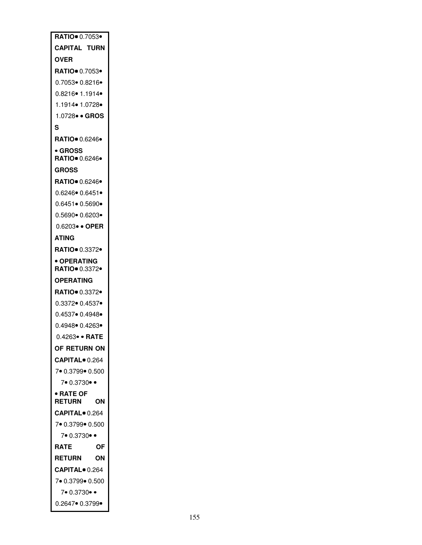| RATIO 0.7053                          |
|---------------------------------------|
| <b>CAPITAL TURN</b>                   |
| OVER                                  |
| <b>RATIO</b> 0.7053 •                 |
| 0.7053∙ 0.8216∙                       |
| 0.8216● 1.1914●                       |
| 1.1914● 1.0728●                       |
| 1.0728• • GROS                        |
| S                                     |
| RATIO● 0.6246●                        |
| • GROSS<br>RATIO 0.6246·              |
| <b>GROSS</b>                          |
| RATIO 0.6246·                         |
| 0.6246● 0.6451●                       |
| 0.6451● 0.5690●                       |
| 0.5690● 0.6203●                       |
| 0.6203● ● OPER                        |
| ATING                                 |
| RATIO• 0.3372•                        |
| · OPERATING<br>RATIO● 0.3372●         |
| OPERATING                             |
| RATIO● 0.3372●                        |
| 0.3372● 0.4537●                       |
| 0.4537● 0.4948●                       |
| 0.4948● 0.4263●                       |
| 0.4263 · RATE                         |
| OF RETURN ON                          |
| <b>CAPITAL</b> 0.264                  |
| 7 0.3799 0.500                        |
| 7.0.3730.                             |
| <b>RATE OF</b><br><b>RETURN</b><br>ΟN |
| <b>CAPITAL</b> 0.264                  |
| 7 0.3799 0.500                        |
| 7.0.3730.                             |
| RATE<br>ΟF                            |
| <b>RETURN</b><br>OΝ                   |
| CAPITAL <sup>o</sup> 0.264            |
| 7 0.3799 0.500                        |
| 7• 0.3730• •                          |
| 0.2647• 0.3799•                       |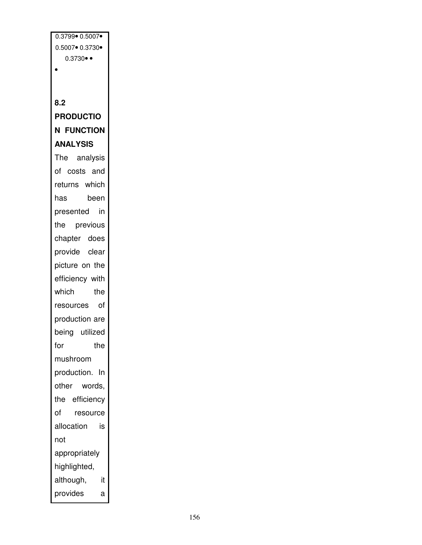0.3799 0.5007 0.5007 0.3730  $0.3730 \bullet \bullet$  $\bullet$ **8.2 PRODUCTIO N FUNCTION ANALYSIS** The analysis of costs and returns which has been presented in the previous chapter does provide clear picture on the efficiency with which the resources of production are being utilized for the mushroom production. In other words, the efficiency of resource allocation is not appropriately highlighted, although, it provides a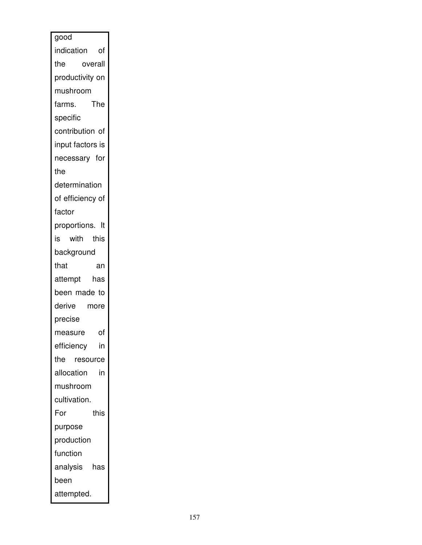| good             |
|------------------|
| indication of    |
| overall<br>the   |
| productivity on  |
| mushroom         |
| The<br>farms.    |
| specific         |
| contribution of  |
| input factors is |
| necessary for    |
| the              |
| determination    |
| of efficiency of |
| factor           |
| proportions. It  |
| with this<br>is  |
| background       |
| that<br>an       |
| attempt<br>has   |
| been made to     |
| derive<br>more   |
| precise          |
| of<br>measure    |
| in<br>efficiency |
| the resource     |
| allocation<br>in |
| mushroom         |
| cultivation.     |
| For<br>this      |
| purpose          |
| production       |
| function         |
| analysis<br>has  |
| been             |
| attempted.       |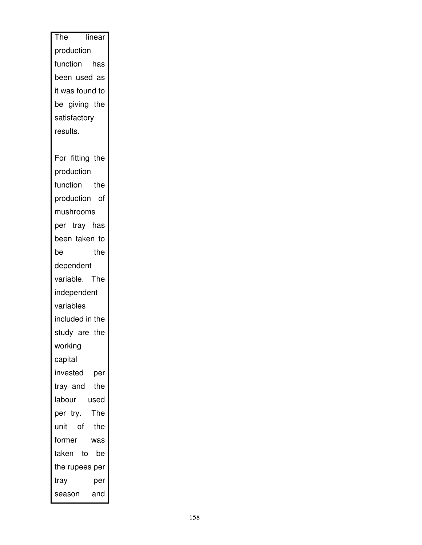| The linear      |
|-----------------|
| production      |
| function has    |
| been used as    |
| it was found to |
| be giving the   |
| satisfactory    |
| results.        |
|                 |
| For fitting the |
| production      |
| function the    |
| production of   |
| mushrooms       |
| per tray has    |
| been taken to   |
| the<br>be       |
| dependent       |
| variable. The   |
| independent     |
| variables       |
| included in the |
| study are the   |
| working         |
| capital         |
| invested<br>per |
| the<br>tray and |
| labour<br>used  |
| The<br>per try. |
| unit of<br>the  |
| former<br>was   |
| taken to<br>be  |
| the rupees per  |
| tray<br>per     |
| and<br>season   |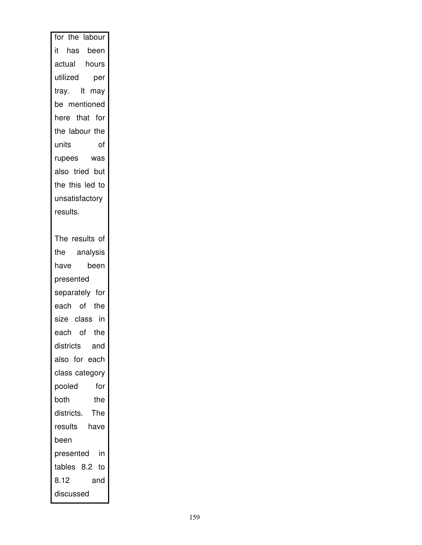| for the labour    |
|-------------------|
| it has been       |
| actual hours      |
| utilized<br>per   |
| tray. It may      |
| be mentioned      |
| here that for     |
| the labour the    |
|                   |
|                   |
| also tried but    |
| the this led to   |
| unsatisfactory    |
| results.          |
|                   |
| The results of    |
| the analysis      |
| have<br>been      |
| presented         |
| separately for    |
| each of the       |
| size class in     |
| each of the       |
| districts<br>and  |
| also for each     |
| class category    |
| pooled<br>for     |
| the<br>both       |
| The<br>districts. |
| results<br>have   |
| been              |
| presented in      |
| tables 8.2 to     |
| 8.12<br>and       |
| discussed         |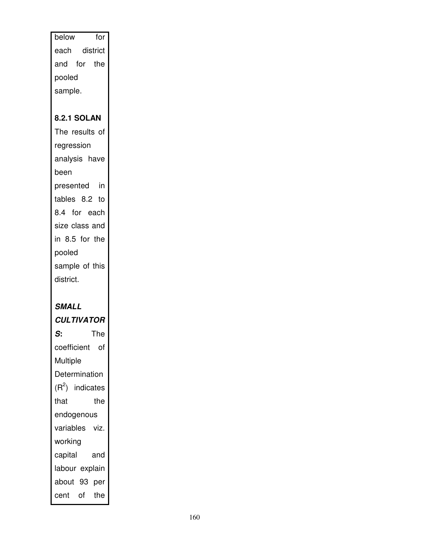| below<br>for       |
|--------------------|
| each district      |
| and for the        |
| pooled             |
| sample.            |
|                    |
| <b>8.2.1 SOLAN</b> |
| The results of     |
| regression         |
| analysis have      |
| been               |
| presented in       |
| tables 8.2 to      |
| 8.4 for each       |
| size class and     |
| in 8.5 for the     |
| pooled             |
| sample of this     |
| district.          |
|                    |
| SMALL              |
| <b>CULTIVATOR</b>  |
| The<br>S:          |
| coefficient of     |
| <b>Multiple</b>    |
| Determination      |
| $(R2)$ indicates   |
| that<br>the        |
| endogenous         |
| variables viz.     |
| working            |
| capital<br>and     |
| labour explain     |
| about 93<br>per    |
| cent of<br>the     |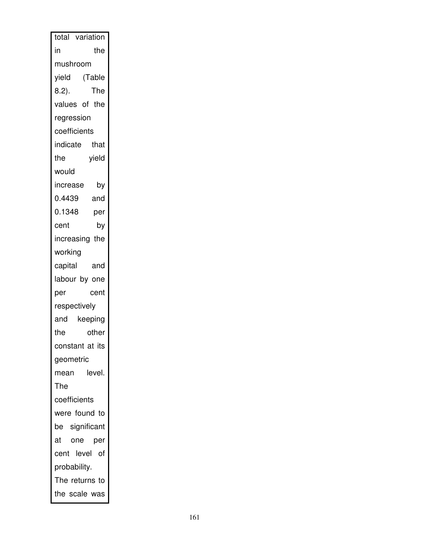| total variation  |
|------------------|
| in<br>the        |
| mushroom         |
| (Table<br>yield  |
| The<br>$8.2$ ).  |
| values of the    |
| regression       |
| coefficients     |
| indicate<br>that |
| the<br>yield     |
| would            |
| increase<br>by   |
| 0.4439<br>and    |
| 0.1348<br>per    |
| by<br>cent       |
| increasing the   |
| working          |
| capital<br>and   |
| labour by one    |
| cent<br>per      |
| respectively     |
| and<br>keeping   |
| the<br>other     |
| constant at its  |
| geometric        |
| level.<br>mean   |
| The              |
| coefficients     |
| were found to    |
| be significant   |
| one<br>at<br>per |
| cent level of    |
| probability.     |
| The returns to   |
| the scale was    |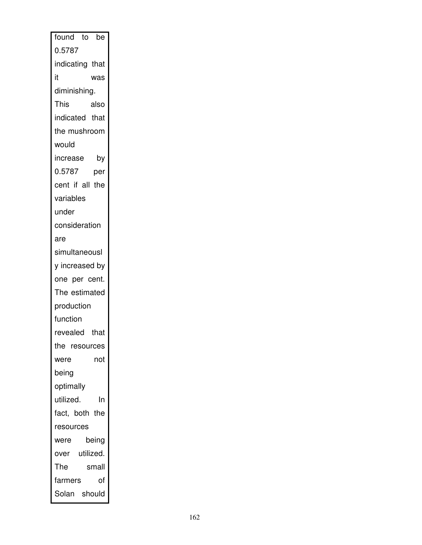| found to<br>be  |
|-----------------|
| 0.5787          |
| indicating that |
| it<br>was       |
| diminishing.    |
| This<br>also    |
| indicated that  |
| the mushroom    |
| would           |
| increase<br>by  |
| 0.5787<br>per   |
| cent if all the |
| variables       |
| under           |
| consideration   |
| are             |
| simultaneousl   |
| y increased by  |
| one per cent.   |
| The estimated   |
| production      |
| function        |
| revealed that   |
| the resources   |
| not<br>were     |
| being           |
| optimally       |
| utilized.<br>In |
| fact, both the  |
| resources       |
| being<br>were   |
| over utilized.  |
| The<br>small    |
| farmers<br>οf   |
| Solan should    |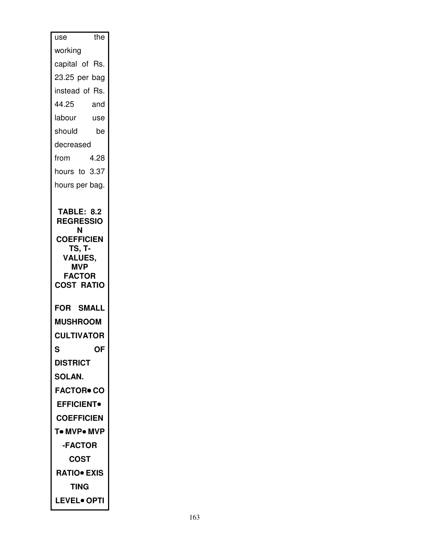| the<br>use                                         |
|----------------------------------------------------|
| working                                            |
| capital of Rs.                                     |
| 23.25 per bag                                      |
| instead of Rs.                                     |
| 44.25<br>and                                       |
| labour<br>use                                      |
| should<br>be                                       |
| decreased                                          |
| 4.28<br>from                                       |
| hours to 3.37                                      |
| hours per bag.                                     |
| Ν<br><b>COEFFICIEN</b><br>TS, T-<br><b>VALUES,</b> |
|                                                    |
| <b>MVP</b><br><b>FACTOR</b>                        |
| <b>COST RATIO</b>                                  |
|                                                    |
| <b>FOR SMALL</b><br><b>MUSHROOM</b>                |
| <b>CULTIVATOR</b>                                  |
| ОF<br>S                                            |
| <b>DISTRICT</b>                                    |
| <b>SOLAN.</b>                                      |
| <b>FACTOR• CO</b>                                  |
| <b>EFFICIENT</b>                                   |
| <b>COEFFICIEN</b>                                  |
| T• MVP• MVP                                        |
| -FACTOR                                            |
| COST                                               |
| <b>RATIO• EXIS</b>                                 |
| TING                                               |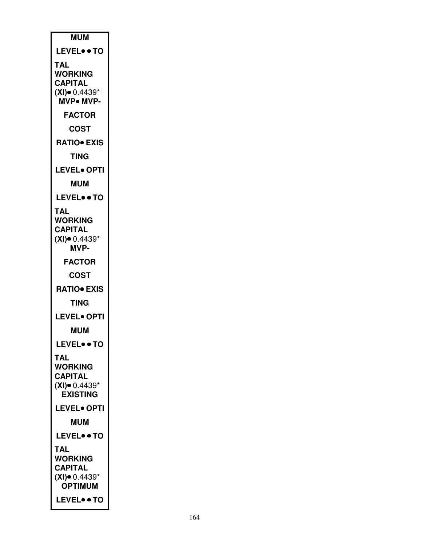| <b>MUM</b>                          |
|-------------------------------------|
| <b>LEVEL• • TO</b>                  |
| TAL                                 |
| WORKING<br><b>CAPITAL</b>           |
| $(XI)$ 0.4439*                      |
| <b>MVP</b> • MVP-                   |
| <b>FACTOR</b>                       |
| <b>COST</b>                         |
| <b>RATIO EXIS</b>                   |
| TING                                |
| <b>LEVEL• OPTI</b>                  |
| <b>MUM</b>                          |
| <b>LEVEL• • TO</b>                  |
| TAL<br><b>WORKING</b>               |
| <b>CAPITAL</b>                      |
| $(XI)$ 0.4439*                      |
| MVP-                                |
| <b>FACTOR</b>                       |
| COST                                |
| <b>RATIO</b> EXIS<br>TING           |
| <b>LEVEL• OPTI</b>                  |
|                                     |
| <b>MUM</b>                          |
| <b>LEVEL• • TO</b>                  |
| TAL<br><b>WORKING</b>               |
| <b>CAPITAL</b>                      |
| $(XI)$ $0.4439*$<br><b>EXISTING</b> |
| <b>LEVEL• OPTI</b>                  |
| <b>MUM</b>                          |
| <b>LEVEL• • TO</b>                  |
| <b>TAL</b>                          |
| <b>WORKING</b>                      |
| <b>CAPITAL</b><br>$(XI)$ $0.4439*$  |
| <b>OPTIMUM</b>                      |
| <b>LEVEL• • TO</b>                  |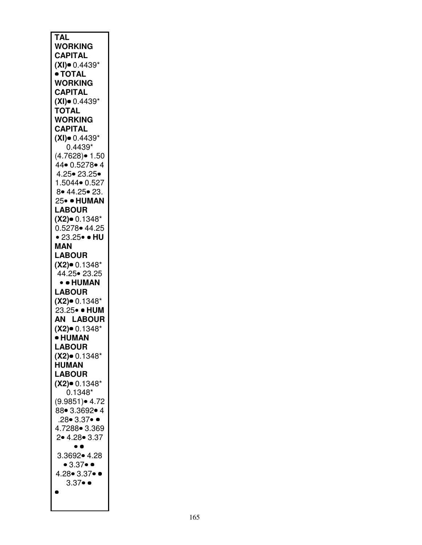| <b>TAL</b>                   |
|------------------------------|
|                              |
| <b>WORKING</b>               |
| <b>CAPITAL</b>               |
|                              |
| $(XI)$ $0.4439*$             |
| ● TOTAL                      |
|                              |
| <b>WORKING</b>               |
|                              |
| <b>CAPITAL</b>               |
| $(XI)$ 0.4439*               |
|                              |
| <b>TOTAL</b>                 |
|                              |
| <b>WORKING</b>               |
| <b>CAPITAL</b>               |
|                              |
| $(XI)$ $0.4439*$             |
|                              |
| $0.4439*$                    |
| $(4.7628)$ $\bullet$ 1.50    |
|                              |
| 44• 0.5278• 4                |
|                              |
| 4.25• 23.25•                 |
| 1.5044• 0.527                |
|                              |
| 8 • 44.25 • 23.              |
|                              |
| 25• • HUMAN                  |
| <b>LABOUR</b>                |
|                              |
| $(X2)$ 0.1348*               |
|                              |
| 0.5278• 44.25                |
| • 23.25• • HU                |
|                              |
| MAN                          |
|                              |
| <b>LABOUR</b>                |
|                              |
|                              |
| $(X2)$ 0.1348*               |
|                              |
| 44.25• 23.25                 |
| • • HUMAN                    |
|                              |
| <b>LABOUR</b>                |
|                              |
| $(X2)$ 0.1348*               |
| .<br>23.25• • HUM            |
|                              |
| <b>AN LABOUR</b>             |
|                              |
| $(X2)$ 0.1348*               |
| • HUMAN                      |
|                              |
| <b>LABOUR</b>                |
|                              |
| $(X2)$ 0.1348*               |
| <b>HUMAN</b>                 |
|                              |
| <b>LABOUR</b>                |
|                              |
| $(X2)$ 0.1348*               |
| .<br>0.1348*                 |
|                              |
| (9.9851) • 4.72              |
| 88  3.3692  4                |
|                              |
| $.28 \bullet 3.37 \bullet 4$ |
|                              |
| 4.7288 3.369                 |
| 2 • 4.28 • 3.37              |
|                              |
| $\bullet$ $\bullet$          |
| 3.3692• 4.28                 |
|                              |
| • 3.37 • •                   |
|                              |
| 4.28 3.37 ••                 |
| $3.37 \bullet \bullet$       |
|                              |
| 0                            |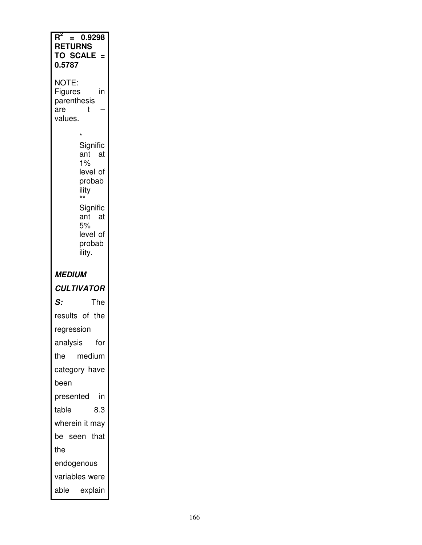| Rʻ<br>0.9298<br>Ξ<br><b>RETURNS</b><br><b>TO SCALE</b><br>0.5787                                                                                  |
|---------------------------------------------------------------------------------------------------------------------------------------------------|
| NOTE:<br>Figures<br>in<br>parenthesis<br>are<br>t<br>values.                                                                                      |
| $\star$<br>Signific<br>ant at<br>1%<br>level of<br>probab<br>ility<br>$\star\star$<br>Signific<br>ant<br>at<br>5%<br>level of<br>probab<br>ility. |
| <i><b>MEDIUM</b></i>                                                                                                                              |
|                                                                                                                                                   |
| <b>CULTIVATOR</b>                                                                                                                                 |
| S:<br>The                                                                                                                                         |
| results of the                                                                                                                                    |
| regression                                                                                                                                        |
| for<br>analysis                                                                                                                                   |
| medium<br>the                                                                                                                                     |
| category have                                                                                                                                     |
| been                                                                                                                                              |
| in<br>presented                                                                                                                                   |
| 8.3<br>table                                                                                                                                      |
| wherein it may                                                                                                                                    |
| be seen that                                                                                                                                      |
| the                                                                                                                                               |
| endogenous                                                                                                                                        |
| variables were<br>able explain                                                                                                                    |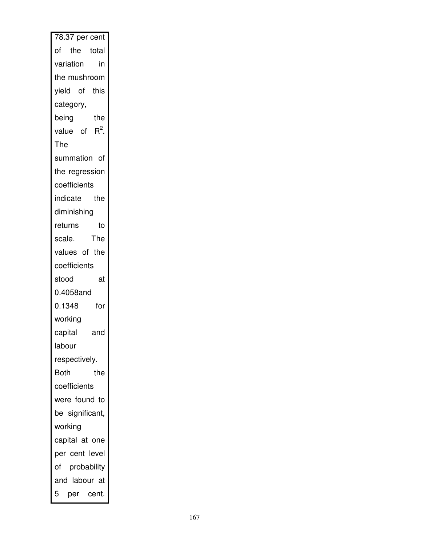| 78.37 per cent   |
|------------------|
| of the total     |
| variation<br>in  |
| the mushroom     |
| yield of this    |
| category,        |
| being<br>the     |
| value of $R^2$ . |
| The              |
| summation of     |
| the regression   |
| coefficients     |
| indicate the     |
| diminishing      |
| returns<br>to    |
| The<br>scale.    |
| values of the    |
| coefficients     |
| stood<br>at      |
| 0.4058and        |
| 0.1348<br>for    |
| working          |
| capital<br>and   |
| labour           |
| respectively.    |
| Both<br>the      |
| coefficients     |
| were found to    |
| be significant,  |
| working          |
| capital at one   |
| per cent level   |
| of probability   |
| and labour at    |
| 5<br>per cent.   |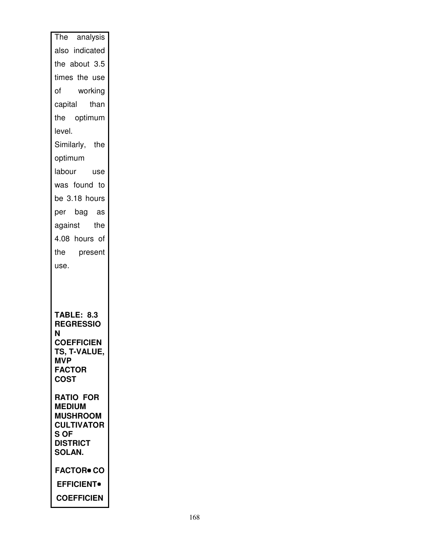| The analysis                          |
|---------------------------------------|
| also indicated                        |
| the about 3.5                         |
| times the use                         |
| working<br>of                         |
| capital than                          |
| the optimum                           |
| level.                                |
| Similarly, the                        |
| optimum                               |
| labour use                            |
| was found to                          |
| be 3.18 hours                         |
| per bag as                            |
| against the                           |
| 4.08 hours of                         |
| the present                           |
|                                       |
| use.                                  |
|                                       |
|                                       |
|                                       |
| <b>TABLE: 8.3</b><br><b>REGRESSIO</b> |
| Ν                                     |
| <b>COEFFICIEN</b><br>TS, T-VALUE,     |
| MVP                                   |
| <b>FACTOR</b><br><b>COST</b>          |
|                                       |
| RATIO FOR<br><b>MEDIUM</b>            |
| <b>MUSHROOM</b>                       |
| <b>CULTIVATOR</b><br>S OF             |
| <b>DISTRICT</b>                       |
| <b>SOLAN.</b>                         |
| <b>FACTOR• CO</b>                     |
| <b>EFFICIENT</b>                      |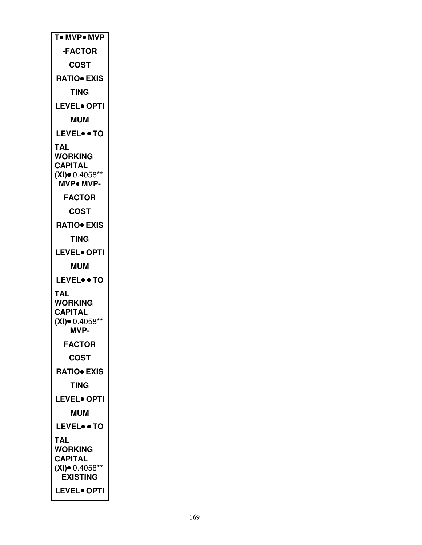| To MVPo MVP                         |
|-------------------------------------|
| <b>-FACTOR</b>                      |
| COST                                |
| <b>RATIO</b> EXIS                   |
| TING                                |
| <b>LEVEL</b> OPTI                   |
| <b>MUM</b>                          |
| <b>LEVEL• • TO</b>                  |
| TAL                                 |
| <b>WORKING</b><br><b>CAPITAL</b>    |
| $(XI)$ 0.4058**                     |
| MVP. MVP-                           |
| <b>FACTOR</b>                       |
| COST                                |
| <b>RATIO• EXIS</b>                  |
| TING                                |
| <b>LEVEL• OPTI</b>                  |
| <b>MUM</b>                          |
|                                     |
| LEVELTO                             |
| TAL                                 |
| <b>WORKING</b>                      |
| <b>CAPITAL</b><br>$(XI)$ = 0.4058** |
| MVP-                                |
| <b>FACTOR</b>                       |
| <b>COST</b>                         |
| <b>RATIO• EXIS</b>                  |
| TING                                |
| <b>LEVEL</b> OPTI                   |
| <b>MUM</b>                          |
| <b>LEVEL• • TO</b>                  |
| TAL                                 |
| <b>WORKING</b>                      |
| CAPITAL<br>$(XI)$ 0.4058**          |
| <b>EXISTING</b>                     |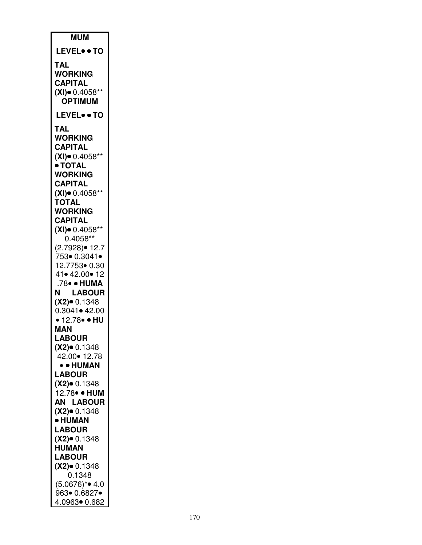| <b>MUM</b>                            |
|---------------------------------------|
| <b>LEVEL• • TO</b>                    |
| <b>TAL</b>                            |
| <b>WORKING</b>                        |
| <b>CAPITAL</b>                        |
| $(XI)$ 0.4058**<br><b>OPTIMUM</b>     |
| <b>LEVEL• • TO</b>                    |
| TAL                                   |
| <b>WORKING</b>                        |
| CAPITAL                               |
| $(XI)$ 0.4058**                       |
| • TOTAI<br><b>WORKING</b>             |
| <b>CAPITAL</b>                        |
| $(XI)$ 0.4058**                       |
| TOTAL                                 |
| <b>WORKING</b><br><b>CAPITAL</b>      |
| $(XI)$ = 0.4058**                     |
| $0.4058**$                            |
| (2.7928)• 12.7                        |
| 753• 0.3041•<br>12.7753• 0.30         |
| 41• 42.00• 12                         |
| .78• • HUMA                           |
| N.<br><b>LABOUR</b>                   |
| $(X2)$ 0.1348<br>$0.3041 \cdot 42.00$ |
| $\cdot$ 12.78 $\bullet$ $\bullet$ HU  |
| MAN                                   |
| <b>LABOU</b>                          |
| $(X2)$ 0.1348<br>42.00 12.78          |
| • • HUMAN                             |
| <b>LABOUR</b>                         |
| $(X2)$ 0.1348                         |
| 12.78 · HUM                           |
| <b>AN LABOUR</b><br>$(X2)$ 0.1348     |
| • HUMAN                               |
| <b>LABOUR</b>                         |
| $(X2)$ 0.1348                         |
| <b>HUMAN</b><br><b>LABOUR</b>         |
| $(X2)$ 0.1348                         |
| 0.1348                                |
| $(5.0676)*$ 4.0                       |
| 963• 0.6827•<br>4.0963• 0.682         |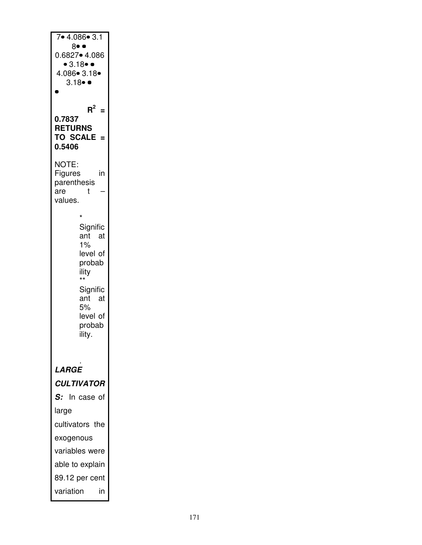| 7•4.086•3.1                                        |
|----------------------------------------------------|
| 8• •                                               |
| 0.6827• 4.086                                      |
| $\bullet$ 3.18 $\bullet$ $\bullet$<br>4.086• 3.18• |
| $3.18 \bullet$                                     |
|                                                    |
| $R^2$<br>$=$                                       |
| 0.7837                                             |
| <b>RETURNS</b><br><b>TO SCALE</b><br>- =           |
| 0.5406                                             |
| NOTE:                                              |
| Figures<br>in                                      |
| parenthesis<br>are<br>t                            |
| values.                                            |
| $\star$                                            |
| Signific                                           |
| ant<br>at                                          |
| 1%<br>level of                                     |
| probab                                             |
| ility<br>$\star\star$                              |
| Signific                                           |
| ant<br>at<br>5%                                    |
| level of                                           |
| probab                                             |
| ility.                                             |
|                                                    |
| LARGE                                              |
| <b>CULTIVATOR</b>                                  |
| In case of<br>S:                                   |
| large                                              |
| cultivators the                                    |
| exogenous                                          |
| variables were                                     |
| able to explain                                    |
| 89.12 per cent                                     |
| variation<br>in                                    |
|                                                    |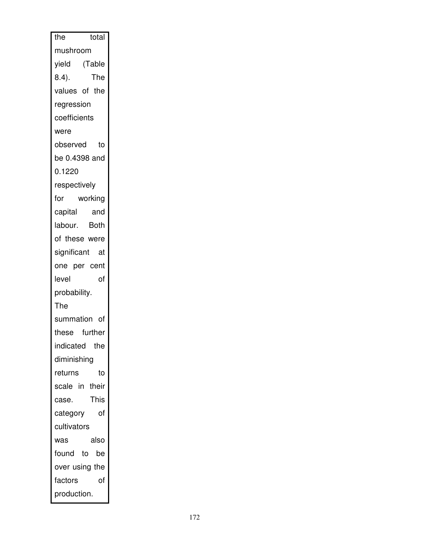| the<br>total    |
|-----------------|
| mushroom        |
| yield (Table    |
| The<br>$8.4$ ). |
| values of the   |
| regression      |
| coefficients    |
| were            |
| observed<br>to  |
| be 0.4398 and   |
| 0.1220          |
| respectively    |
| working<br>for  |
| capital<br>and  |
| labour. Both    |
| of these were   |
| significant at  |
| one per cent    |
| of<br>level     |
| probability.    |
| The             |
| summation of    |
| these further   |
| indicated the   |
| diminishing     |
| returns<br>to   |
| scale in their  |
| This<br>case.   |
| category<br>οf  |
| cultivators     |
| also<br>was     |
| found to<br>be  |
| over using the  |
| factors<br>of   |
| production.     |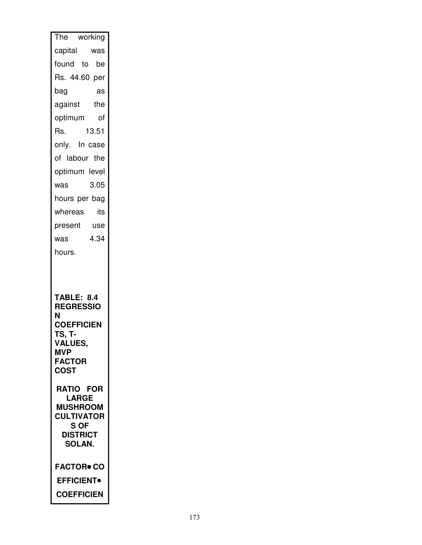| The working                           |
|---------------------------------------|
| capital<br>was                        |
| found to be                           |
| Rs. 44.60 per                         |
| bag<br>as                             |
| against<br>the                        |
| of<br>optimum                         |
| 13.51<br>Rs.                          |
| only. In case                         |
| of labour the                         |
| optimum level                         |
| 3.05<br>was                           |
| hours per bag                         |
| whereas<br>its                        |
| present use                           |
| 4.34<br>was                           |
| hours.                                |
|                                       |
| <b>TABLE: 8.4</b><br><b>REGRESSIO</b> |
| N<br><b>COEFFICIEN</b>                |
| TS, T-                                |
| <b>VALUES,</b><br><b>MVP</b>          |
| <b>FACTOR</b>                         |
| <b>COST</b>                           |
| <b>RATIO FOR</b>                      |
| <b>LARGE</b><br><b>MUSHROOM</b>       |
| <b>CULTIVATOR</b>                     |
| S OF<br><b>DISTRICT</b>               |
| <b>SOLAN.</b>                         |
| <b>FACTOR• CO</b>                     |
| <b>EFFICIENT</b>                      |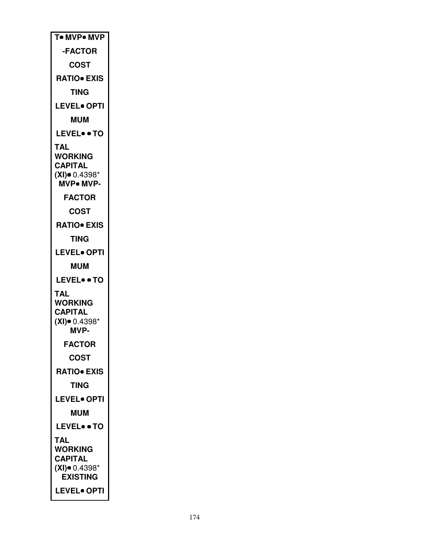| <b>T• MVP• MVP</b>                                                                          |
|---------------------------------------------------------------------------------------------|
| -FACTOR                                                                                     |
| <b>COST</b>                                                                                 |
| <b>RATIO</b> EXIS                                                                           |
| TING                                                                                        |
| <b>LEVEL• OPTI</b>                                                                          |
| <b>MUM</b>                                                                                  |
| <b>LEVEL• • TO</b>                                                                          |
| TAL<br><b>WORKING</b><br><b>CAPITAL</b><br>$(XI)$ $0.4398*$<br>MVP. MVP-                    |
| <b>FACTOR</b>                                                                               |
| COST                                                                                        |
| <b>RATIO• EXIS</b>                                                                          |
| TING                                                                                        |
| <b>LEVEL• OPTI</b>                                                                          |
|                                                                                             |
| <b>MUM</b>                                                                                  |
| <b>LEVEL• • TO</b>                                                                          |
| TAL<br><b>WORKING</b><br><b>CAPITAL</b><br>$(XI)$ 0.4398*<br><b>MVP-</b>                    |
| <b>FACTOR</b>                                                                               |
| <b>COST</b>                                                                                 |
| <b>RATIO• EXIS</b>                                                                          |
| <b>TING</b>                                                                                 |
| <b>LEVEL</b> OPTI                                                                           |
| <b>MUM</b>                                                                                  |
| <b>LEVEL• • TO</b>                                                                          |
| TAL<br><b>WORKING</b><br>CAPITAL<br>$(XI)$ 0.4398*<br><b>EXISTING</b><br><b>LEVEL• OPTI</b> |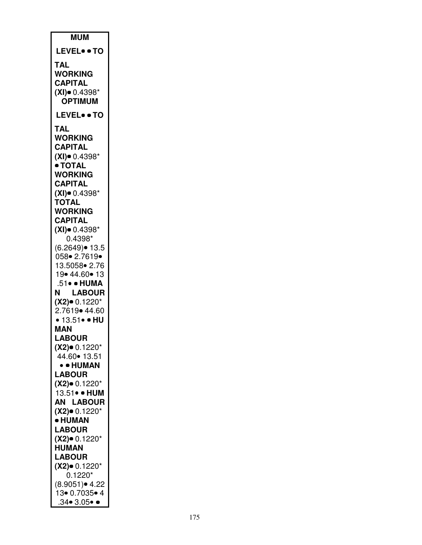| <b>MUM</b>                         |
|------------------------------------|
| <b>LEVEL• • TO</b>                 |
| <b>TAL</b>                         |
| WORKING                            |
| <b>CAPITAL</b>                     |
| $(XI)$ $0.4398*$<br><b>OPTIMUM</b> |
| <b>LEVEL• • TO</b>                 |
| TAL                                |
| <b>WORKING</b>                     |
| CAPITAL                            |
| $(XI)$ 0.4398*<br>• TOTAL          |
| <b>WORKING</b>                     |
| <b>CAPITAL</b>                     |
| $(XI)$ 0.4398*                     |
| <b>TOTAL</b><br><b>WORKING</b>     |
| <b>CAPITAL</b>                     |
| $(XI)$ $0.4398*$                   |
| 0.4398*<br>(6.2649) • 13.5         |
| 058• 2.7619•                       |
| 13.5058 • 2.76                     |
| 19• 44.60• 13<br>.51• • HUMA       |
| N<br><b>LABOUR</b>                 |
| $(X2)$ 0.1220*                     |
| 2.7619 • 44.60                     |
| • $13.51 \cdot $ • HU<br>MAN       |
| <b>LABOUR</b>                      |
| $(X2)$ 0.1220*                     |
| 44.60 • 13.51                      |
| • • HUMAN<br><b>LABOUR</b>         |
| (X2)• 0.1220*                      |
| 13.51• • HUM                       |
| <b>AN LABOUR</b>                   |
| $(X2)$ 0.1220*<br>• HUMAN          |
| <b>LABOUR</b>                      |
| $(X2)$ 0.1220*                     |
| <b>HUMAN</b><br><b>LABOUR</b>      |
| $(X2)$ 0.1220*                     |
| $0.1220*$                          |
| $(8.9051)$ 4.22<br>13• 0.7035• 4   |
| $.34 \bullet 3.05 \bullet \bullet$ |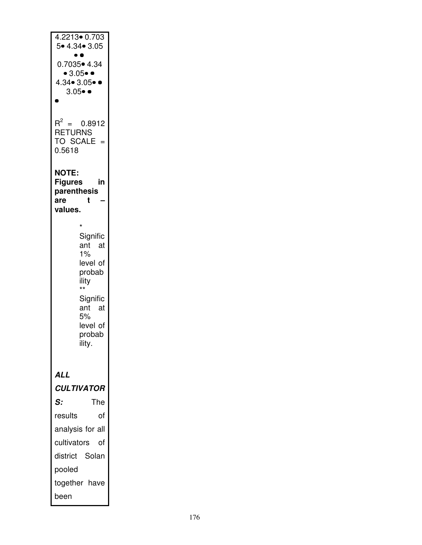| 4.2213• 0.703                        |
|--------------------------------------|
| 5. 4.34. 3.05                        |
| 0.7035• 4.34                         |
| • 3.05 •                             |
| $4.34 \cdot 3.05 \cdot 0$            |
| $3.05 \bullet \bullet$               |
|                                      |
| $R^2 = 0.8912$                       |
| <b>RETURNS</b><br><b>TO SCALE</b>    |
| 0.5618                               |
|                                      |
| <b>NOTE:</b><br><b>Figures</b><br>in |
| parenthesis                          |
| t<br>are<br>values.                  |
|                                      |
| $\star$<br>Signific                  |
| ant<br>at –                          |
| 1%                                   |
| level of<br>probab                   |
| ility<br>$^{\star\star}$             |
| Signific                             |
| ant<br>at                            |
| 5%<br>level of                       |
| probab                               |
| ility.                               |
|                                      |
| ALL                                  |
| <b>CULTIVATOR</b>                    |
| The<br>S:                            |
| results<br>of                        |
| analysis for all                     |
| cultivators<br>οf                    |
| district Solan                       |
| pooled                               |
| together have                        |
| been                                 |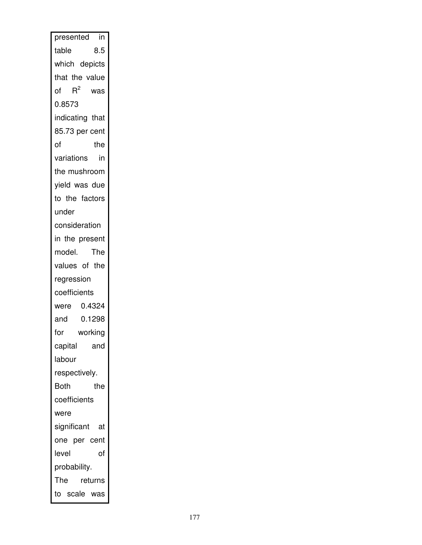| presented in       |
|--------------------|
| 8.5<br>table       |
| which depicts      |
| that the value     |
| of $R^2$<br>was    |
| 0.8573             |
| indicating that    |
| 85.73 per cent     |
| of<br>the          |
| variations<br>in   |
| the mushroom       |
| yield was due      |
| to the factors     |
| under              |
| consideration      |
| the present<br>in  |
| model. The         |
| values of the      |
| regression         |
| coefficients       |
| were 0.4324        |
| 0.1298<br>and      |
| for<br>working     |
| capital<br>and     |
| labour             |
| respectively.      |
| <b>Both</b><br>the |
| coefficients       |
| were               |
| significant at     |
| one per cent       |
| level<br>of        |
| probability.       |
| The<br>returns     |
| to scale was       |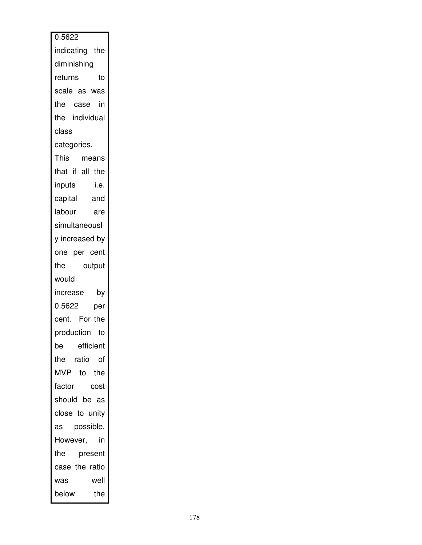| 0.5622                     |
|----------------------------|
| indicating the             |
| diminishing                |
| returns<br>to              |
| scale as was               |
| the case in                |
| the individual             |
| class                      |
| categories.                |
| This means                 |
| that if all the            |
| inputs<br>i.e.             |
| inputs i.e.<br>capital and |
| labour are                 |
| simultaneousl              |
| y increased by             |
| one per cent               |
| output<br>the              |
| would                      |
| increase by                |
| 0.5622<br>per              |
| cent. For the              |
| production to              |
| efficient<br>be            |
| the ratio<br>of            |
| <b>MVP</b><br>to the       |
| factor<br>cost             |
| should be as               |
| close to unity             |
| possible.<br>as            |
| in<br>However,             |
| the<br>present             |
| case the ratio             |
| well<br>was                |
| the<br>below               |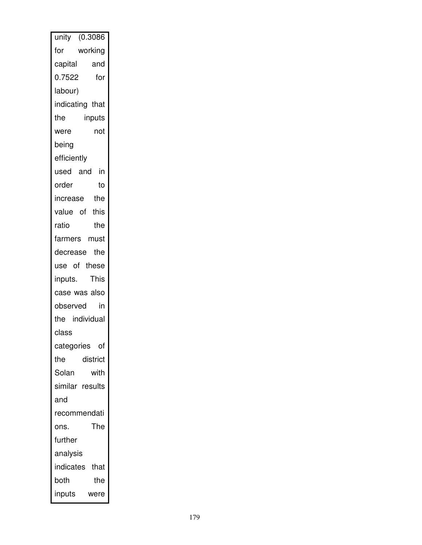| unity (0.3086     |
|-------------------|
| working<br>for    |
| capital<br>and    |
| 0.7522<br>for     |
| labour)           |
| indicating that   |
| the<br>inputs     |
| not<br>were       |
| being             |
| efficiently       |
| used and in       |
| order<br>to       |
| increase the      |
| value of this     |
| ratio<br>the      |
| farmers must      |
| decrease<br>the   |
| use of these      |
| inputs. This      |
| case was also     |
| observed<br>in    |
| the individual    |
| class             |
| categories<br>οf  |
| the<br>district   |
| Solan<br>with     |
| similar results   |
| and               |
| recommendati      |
| The<br>ons.       |
| further           |
| analysis          |
| indicates<br>that |
| both<br>the       |
| inputs<br>were    |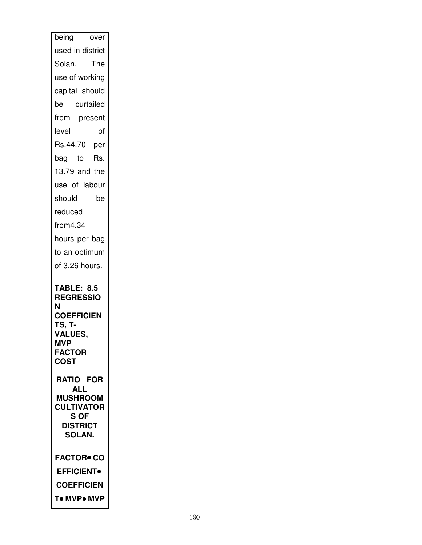| being<br>over                                                                                                                                                               |  |  |
|-----------------------------------------------------------------------------------------------------------------------------------------------------------------------------|--|--|
| used in district                                                                                                                                                            |  |  |
| The<br>Solan.                                                                                                                                                               |  |  |
| use of working                                                                                                                                                              |  |  |
| capital should                                                                                                                                                              |  |  |
| curtailed<br>be                                                                                                                                                             |  |  |
| from present                                                                                                                                                                |  |  |
| level<br>of                                                                                                                                                                 |  |  |
| Rs.44.70 per                                                                                                                                                                |  |  |
| bag to Rs.                                                                                                                                                                  |  |  |
| 13.79 and the                                                                                                                                                               |  |  |
| use of labour                                                                                                                                                               |  |  |
| should<br>be                                                                                                                                                                |  |  |
| reduced                                                                                                                                                                     |  |  |
| from 4.34                                                                                                                                                                   |  |  |
| hours per bag                                                                                                                                                               |  |  |
| to an optimum                                                                                                                                                               |  |  |
| of 3.26 hours.                                                                                                                                                              |  |  |
| <b>TABLE: 8.5</b><br><b>REGRESSIO</b><br>N<br><b>COEFFICIEN</b><br>TS, T-<br><b>VALUES,</b><br><b>MVP</b><br><b>FACTOR</b><br><b>COST</b><br><b>RATIO FOR</b><br><b>ALL</b> |  |  |
| <b>MUSHROOM</b><br><b>CULTIVATOR</b><br>S OF<br><b>DISTRICT</b><br><b>SOLAN.</b>                                                                                            |  |  |
| <b>FACTOR● CO</b>                                                                                                                                                           |  |  |
| <b>EFFICIENT</b>                                                                                                                                                            |  |  |
| <b>COEFFICIEN</b>                                                                                                                                                           |  |  |
| To MVPo MVP                                                                                                                                                                 |  |  |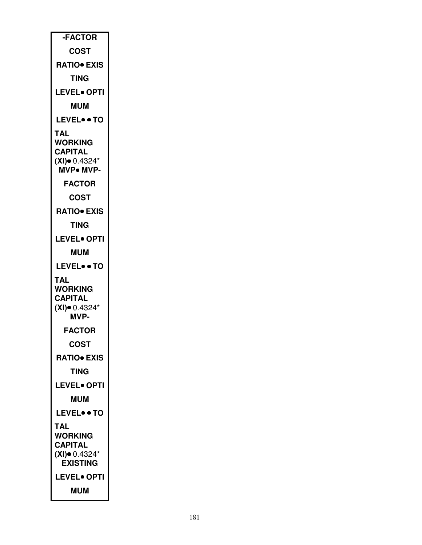| -FACTOR                                                                |  |  |
|------------------------------------------------------------------------|--|--|
| <b>COST</b>                                                            |  |  |
| <b>RATIO</b> EXIS                                                      |  |  |
| TING                                                                   |  |  |
| <b>LEVEL• OPTI</b>                                                     |  |  |
| <b>MUM</b>                                                             |  |  |
| <b>LEVEL</b> . TO                                                      |  |  |
| TAL<br>WORKING<br><b>CAPITAL</b><br>$(XI)$ 0.4324*<br><b>MVP• MVP-</b> |  |  |
| <b>FACTOR</b>                                                          |  |  |
| <b>COST</b>                                                            |  |  |
| <b>RATIO• EXIS</b>                                                     |  |  |
| TING                                                                   |  |  |
| <b>LEVEL</b> OPTI                                                      |  |  |
| <b>MUM</b>                                                             |  |  |
| <b>LEVEL• • TO</b>                                                     |  |  |
| TAL<br><b>WORKING</b><br><b>CAPITAL</b><br>$(XI)$ 0.4324*<br>MVP-      |  |  |
| <b>FACTOR</b>                                                          |  |  |
| <b>COST</b>                                                            |  |  |
| <b>RATIO• EXIS</b>                                                     |  |  |
| TING                                                                   |  |  |
| <b>LEVEL• OPTI</b>                                                     |  |  |
| MUM                                                                    |  |  |
| <b>LEVEL• • TO</b>                                                     |  |  |
| TAL<br>WORKING<br><b>CAPITAL</b><br>$(XI)$ 0.4324*<br><b>EXISTING</b>  |  |  |
| <b>LEVEL• OPTI</b>                                                     |  |  |
| <b>MUM</b>                                                             |  |  |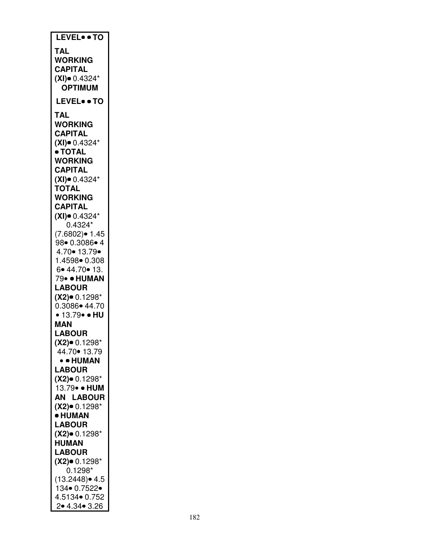| LEVEL . TO                |
|---------------------------|
| TAL                       |
| <b>WORKING</b>            |
|                           |
| <b>CAPITAL</b>            |
| $(XI)$ 0.4324*            |
| <b>OPTIMUM</b>            |
| <b>LEVEL• • TO</b>        |
|                           |
| TAL                       |
| WORKING                   |
| <b>CAPITAL</b>            |
| $(XI)$ $0.4324*$          |
| ● TOTAL                   |
| WORKING                   |
| <b>CAPITAL</b>            |
| $(XI)$ $0.4324*$          |
| <b>TOTAL</b>              |
| <b>WORKING</b>            |
| <b>CAPITAL</b>            |
| $(XI)$ 0.4324*            |
| $0.4324*$                 |
| $(7.6802)$ $\bullet$ 1.45 |
| 98 0.3086 4               |
| 4.70• 13.79•              |
| 1.4598 0.308              |
| 6.44.70.13.               |
| 79• • HUMAN               |
| <b>LABOUR</b>             |
| $(X2)$ 0.1298*            |
| 0.3086• 44.70             |
| • 13.79• • HU             |
|                           |
| MAN                       |
| <b>LABOUR</b>             |
| $(X2)$ 0.1298*            |
| 44.70 • 13.79             |
| • • HUMAN                 |
| <b>LABOUR</b>             |
| (X2)• 0.1298*             |
| 13.79• • HUM              |
| <b>AN LABOUR</b>          |
| $(X2)$ 0.1298*            |
| • HUMAN                   |
| <b>LABOUR</b>             |
| $(X2)$ 0.1298*            |
| <b>HUMAN</b>              |
| <b>LABOUR</b>             |
| $(X2)$ 0.1298*            |
| $0.1298*$                 |
| $(13.2448)$ $\bullet$ 4.5 |
| 134• 0.7522•              |
| 4.5134  0.752             |
| 2 • 4.34 • 3.26           |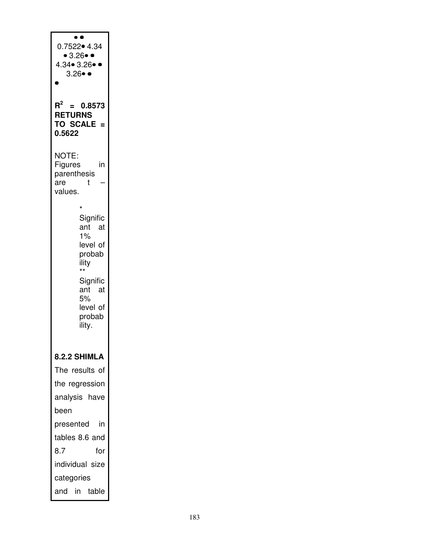| 0.7522• 4.34<br>• 3.26 •<br>4.34• 3.26•<br>3.26● ●                                                                                               |
|--------------------------------------------------------------------------------------------------------------------------------------------------|
| $\mathsf{R}^2$<br>0.8573<br><b>RETURNS</b><br><b>TO SCALE</b><br>0.5622                                                                          |
| NOTE:<br>Figures<br>in<br>parenthesis<br>t<br>are<br>values.                                                                                     |
| *<br>Signific<br>ant<br>- at<br>1%<br>level of<br>probab<br>ility<br>$\star\star$<br>Signific<br>ant<br>at<br>5%<br>level of<br>probab<br>ility. |
| 8.2.2 SHIMLA<br>The results of<br>the regression<br>analysis have<br>been                                                                        |
| presented<br>in<br>tables 8.6 and<br>8.7<br>for<br>individual size<br>categories                                                                 |
| and in table                                                                                                                                     |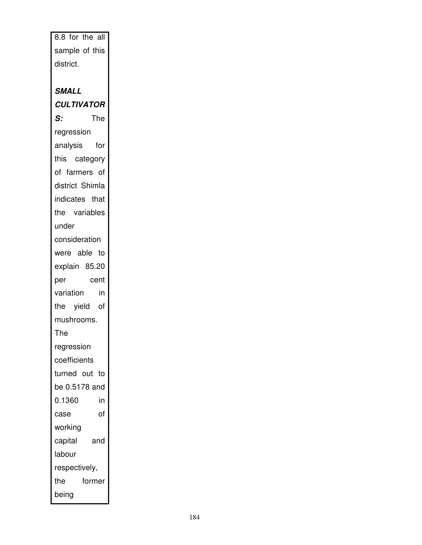| 8.8 for the all<br>sample of this<br>district.<br><b>SMALL</b><br><b>CULTIVATOR</b><br>The<br>S: |  |
|--------------------------------------------------------------------------------------------------|--|
|                                                                                                  |  |
|                                                                                                  |  |
|                                                                                                  |  |
|                                                                                                  |  |
|                                                                                                  |  |
|                                                                                                  |  |
|                                                                                                  |  |
| regression                                                                                       |  |
| analysis for                                                                                     |  |
| this category                                                                                    |  |
| of farmers of                                                                                    |  |
| district Shimla                                                                                  |  |
| indicates that                                                                                   |  |
| the variables                                                                                    |  |
| under                                                                                            |  |
| consideration                                                                                    |  |
| were able to                                                                                     |  |
| explain 85.20                                                                                    |  |
| cent<br>per                                                                                      |  |
| variation<br>in                                                                                  |  |
| the yield of                                                                                     |  |
| mushrooms.                                                                                       |  |
| The                                                                                              |  |
| regression                                                                                       |  |
| coefficients                                                                                     |  |
| turned out to                                                                                    |  |
|                                                                                                  |  |
| be 0.5178 and                                                                                    |  |
| 0.1360<br>in                                                                                     |  |
| of<br>case                                                                                       |  |
| working                                                                                          |  |
| capital<br>and                                                                                   |  |
| labour                                                                                           |  |
| respectively,                                                                                    |  |
| the<br>former                                                                                    |  |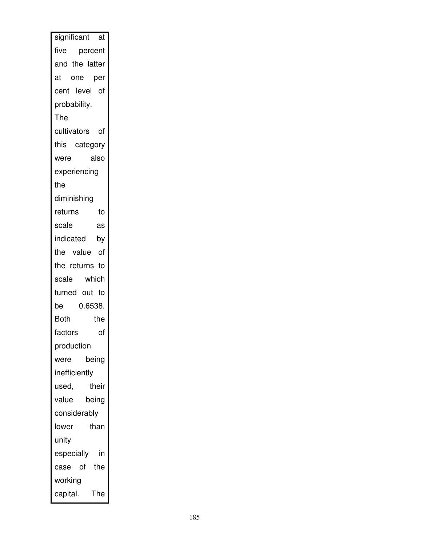| significant at     |  |  |
|--------------------|--|--|
| five percent       |  |  |
| and the latter     |  |  |
| at one per         |  |  |
| cent level of      |  |  |
| probability.       |  |  |
| The                |  |  |
| cultivators of     |  |  |
| this category      |  |  |
| also<br>were       |  |  |
| experiencing       |  |  |
| the                |  |  |
| diminishing        |  |  |
| returns<br>to      |  |  |
| scale<br>as        |  |  |
| indicated by       |  |  |
| the value of       |  |  |
| the returns to     |  |  |
| scale which        |  |  |
| turned out to      |  |  |
| 0.6538.<br>be      |  |  |
| <b>Both</b><br>the |  |  |
| factors<br>of      |  |  |
| production         |  |  |
| being<br>were      |  |  |
| inefficiently      |  |  |
| their<br>used,     |  |  |
| value<br>being     |  |  |
| considerably       |  |  |
| lower<br>than      |  |  |
| unity              |  |  |
| in<br>especially   |  |  |
| of the<br>case     |  |  |
| working            |  |  |
| capital.<br>The    |  |  |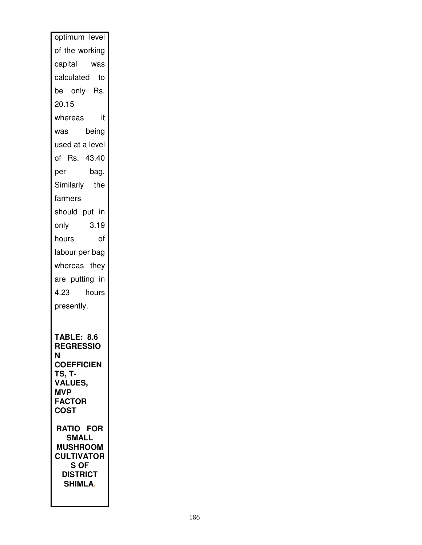| optimum level                                                                               |  |  |  |
|---------------------------------------------------------------------------------------------|--|--|--|
| of the working                                                                              |  |  |  |
| capital was                                                                                 |  |  |  |
| calculated<br>to                                                                            |  |  |  |
| be only Rs.                                                                                 |  |  |  |
| 20.15                                                                                       |  |  |  |
| whereas<br>it                                                                               |  |  |  |
| being<br>was                                                                                |  |  |  |
| used at a level                                                                             |  |  |  |
| of Rs. 43.40                                                                                |  |  |  |
| per<br>bag.                                                                                 |  |  |  |
| Similarly the                                                                               |  |  |  |
| farmers                                                                                     |  |  |  |
| should put in                                                                               |  |  |  |
| 3.19<br>only                                                                                |  |  |  |
| hours<br>οf                                                                                 |  |  |  |
| labour per bag                                                                              |  |  |  |
| whereas they                                                                                |  |  |  |
| are putting in                                                                              |  |  |  |
| hours<br>4.23                                                                               |  |  |  |
| presently.                                                                                  |  |  |  |
|                                                                                             |  |  |  |
| <b>TABLE: 8.6</b><br><b>REGRESSIO</b><br>N<br><b>COEFFICIEN</b><br>TS, T-<br><b>VALUES,</b> |  |  |  |
| <b>MVP</b>                                                                                  |  |  |  |
| <b>FACTOR</b><br><b>COST</b>                                                                |  |  |  |
| <b>RATIO FOR</b>                                                                            |  |  |  |
| <b>SMALL</b>                                                                                |  |  |  |
| <b>MUSHROOM</b><br><b>CULTIVATOR</b>                                                        |  |  |  |
| S OF                                                                                        |  |  |  |
| <b>DISTRICT</b><br><b>SHIMLA.</b>                                                           |  |  |  |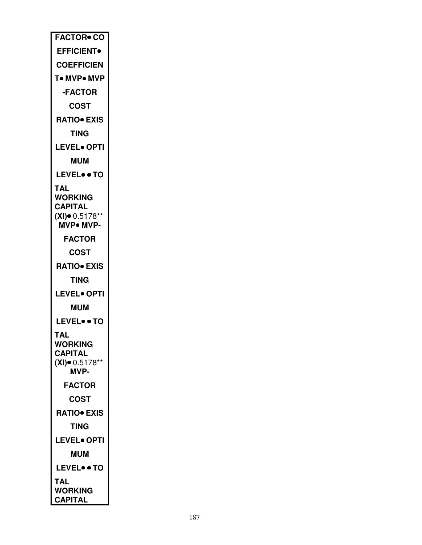| <b>FACTOR</b> CO                       |  |
|----------------------------------------|--|
| <b>EFFICIENT</b> •                     |  |
| <b>COEFFICIEN</b>                      |  |
| T• MVP• MVP                            |  |
| <b>-FACTOR</b>                         |  |
| COST                                   |  |
| <b>RATIO</b> EXIS                      |  |
| TING                                   |  |
| <b>LEVEL• OPTI</b>                     |  |
| <b>MUM</b>                             |  |
| <b>LEVEL• • TO</b>                     |  |
| TAL                                    |  |
| <b>WORKING</b>                         |  |
| <b>CAPITAL</b>                         |  |
| $(XI)$ = 0.5178**<br><b>MVP</b> . MVP- |  |
| <b>FACTOR</b>                          |  |
|                                        |  |
| COST                                   |  |
| <b>RATIO• EXIS</b>                     |  |
| TING                                   |  |
| <b>LEVEL• OPTI</b>                     |  |
| <b>MUM</b>                             |  |
| <b>LEVEL• • TO</b>                     |  |
| AL                                     |  |
| <b>WORKING</b><br><b>CAPITAL</b>       |  |
| $(XI)$ = 0.5178**                      |  |
| MVP-                                   |  |
| <b>FACTOR</b>                          |  |
| COST                                   |  |
| <b>RATIO• EXIS</b>                     |  |
| TING                                   |  |
| <b>LEVEL• OPTI</b>                     |  |
| <b>MUM</b>                             |  |
| <b>LEVEL• • TO</b>                     |  |
| <b>TAL</b>                             |  |
| <b>WORKING</b>                         |  |
| <b>CAPITAL</b>                         |  |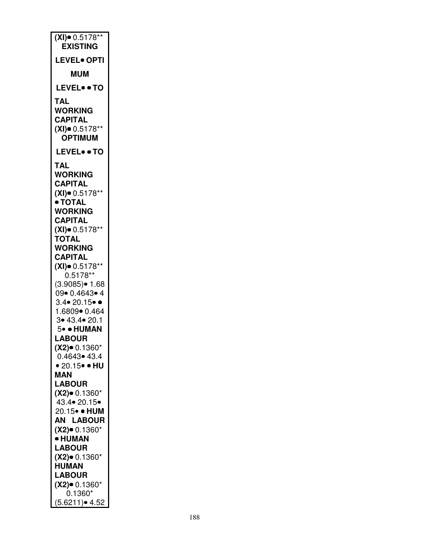| $(XI)$ = 0.5178**<br><b>EXISTING</b> |  |  |
|--------------------------------------|--|--|
| <b>LEVEL</b> OPTI                    |  |  |
| <b>MUM</b>                           |  |  |
| LEVELTO                              |  |  |
| TAL<br><b>WORKING</b>                |  |  |
| <b>CAPITAL</b>                       |  |  |
| $(XI)$ $0.5178**$<br><b>OPTIMUM</b>  |  |  |
| <b>LEVEL• • TO</b>                   |  |  |
| <b>TAL</b>                           |  |  |
| <b>WORKING</b>                       |  |  |
| <b>CAPITAL</b><br>$(XI)$ 0.5178**    |  |  |
| • TOTAL                              |  |  |
| <b>WORKING</b>                       |  |  |
| <b>CAPITAL</b>                       |  |  |
| $(XI)$ = 0.5178**<br><b>TOTAL</b>    |  |  |
| <b>WORKING</b>                       |  |  |
| <b>CAPITAL</b>                       |  |  |
| $(XI)$ $0.5178**$<br>$0.5178**$      |  |  |
| $(3.9085) \cdot 1.68$                |  |  |
| 09• 0.4643• 4                        |  |  |
| $3.4 \bullet 20.15 \bullet \bullet$  |  |  |
| 1.6809  0.464<br>3• 43.4• 20.1       |  |  |
| 5. HUMAN                             |  |  |
| <b>LABOUR</b>                        |  |  |
| (X2)● 0.1360*                        |  |  |
| 0.4643• 43.4<br>• 20.15 • HU         |  |  |
| MAN                                  |  |  |
| <b>LABOUR</b>                        |  |  |
| $(X2)$ $0.1360*$                     |  |  |
| 43.4 • 20.15 •<br>20.15• • HUM       |  |  |
| <b>AN LABOUR</b>                     |  |  |
| $(X2)$ 0.1360*                       |  |  |
| <b>• HUMAN</b>                       |  |  |
| <b>LABOUR</b><br>$(X2)$ 0.1360*      |  |  |
| <b>HUMAN</b>                         |  |  |
| <b>LABOUR</b>                        |  |  |
| $(X2)$ 0.1360*                       |  |  |
| $0.1360*$<br>(5.6211)• 4.52          |  |  |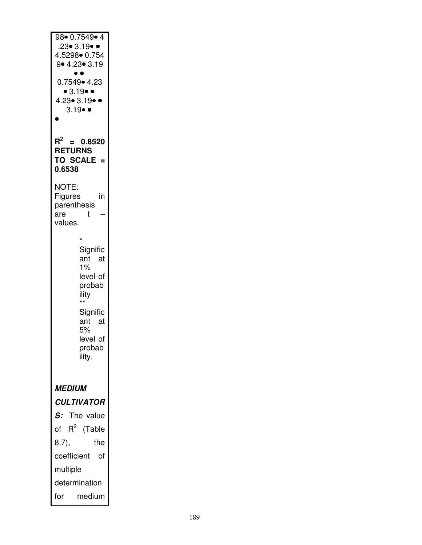| $98 \cdot 0.7549 \cdot 4$<br>$.23 \bullet 3.19 \bullet \bullet$<br>4.5298• 0.754<br>9• 4.23• 3.19<br>$\bullet\;\bullet$<br>0.7549• 4.23<br>• 3.19 • •<br>$4.23 \cdot 3.19 \cdot 0$<br>$3.19 \bullet$<br>Ō |
|-----------------------------------------------------------------------------------------------------------------------------------------------------------------------------------------------------------|
| $\mathsf{R}^2$<br>$= 0.8520$<br><b>RETURNS</b><br><b>TO SCALE</b><br>$=$<br>0.6538                                                                                                                        |
| <b>NOTE:</b><br>Figures<br>in<br>parenthesis<br>t<br>are<br>values.                                                                                                                                       |
| *<br>Signific<br>ant<br>- at<br>1%<br>level of<br>probab<br>ility<br>$^{\star\star}$<br>Signific<br>ant<br>at<br>5%<br>level of<br>probab<br>ility.                                                       |
| <i><b>MEDIUM</b></i><br><b>CULTIVATOR</b><br>The value<br>S:                                                                                                                                              |
| $R^2$<br>of<br>(Table<br>8.7),<br>the                                                                                                                                                                     |
| coefficient<br>of<br>multiple                                                                                                                                                                             |
| determination<br>for<br>medium                                                                                                                                                                            |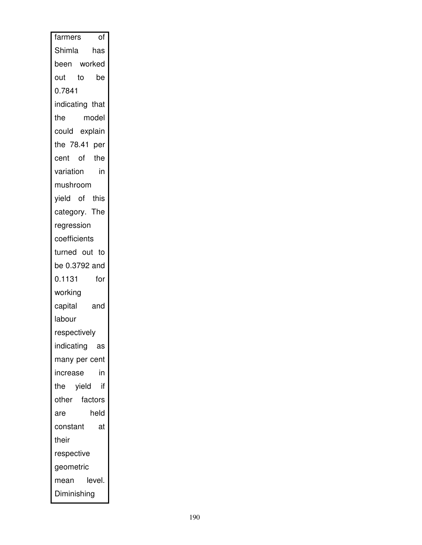| farmers         | of     |  |
|-----------------|--------|--|
| Shimla          | has    |  |
| been worked     |        |  |
| out to          | be     |  |
| 0.7841          |        |  |
| indicating that |        |  |
| the             | model  |  |
| could explain   |        |  |
| the 78.41 per   |        |  |
| cent of the     |        |  |
| variation       | in     |  |
| mushroom        |        |  |
| yield of this   |        |  |
| category. The   |        |  |
| regression      |        |  |
| coefficients    |        |  |
| turned out to   |        |  |
| be 0.3792 and   |        |  |
| 0.1131          | for    |  |
| working         |        |  |
| capital         | and    |  |
| labour          |        |  |
| respectively    |        |  |
| indicating as   |        |  |
| many per cent   |        |  |
| increase        | in     |  |
| the yield       | if     |  |
| other factors   |        |  |
| are             | held   |  |
| constant        | at     |  |
| their           |        |  |
| respective      |        |  |
| geometric       |        |  |
| mean            | level. |  |
| Diminishing     |        |  |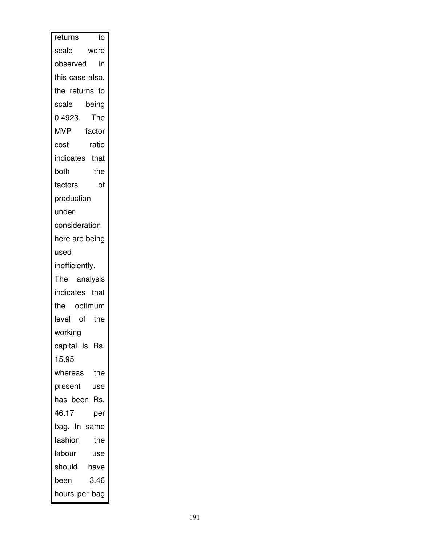| returns<br>to        |
|----------------------|
| scale<br>were        |
| observed<br>in       |
| this case also,      |
| the returns to       |
| scale<br>being       |
| 0.4923.<br>The       |
| <b>MVP</b><br>factor |
| ratio<br>cost        |
| indicates that       |
| both<br>the          |
| factors<br>οf        |
| production           |
| under                |
| consideration        |
| here are being       |
| used                 |
| inefficiently.       |
| The analysis         |
| indicates that       |
| the optimum          |
| level of the         |
| working              |
| capital is Rs.       |
| 15.95                |
| whereas<br>the       |
| present<br>use       |
| has been Rs.         |
| 46.17<br>per         |
| bag. In same         |
| fashion<br>the       |
| labour<br>use        |
| should<br>have       |
| 3.46<br>been         |
| hours per bag        |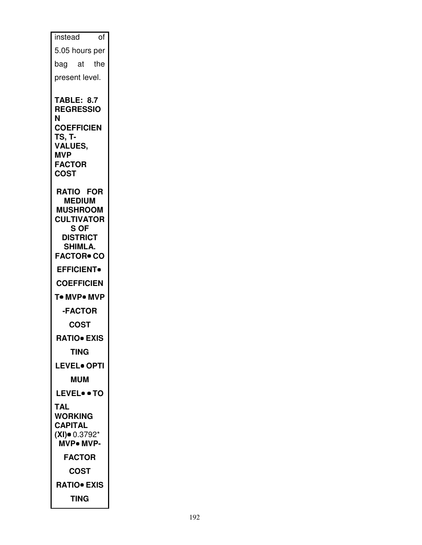| of<br>instead                                                                                                                                                   |
|-----------------------------------------------------------------------------------------------------------------------------------------------------------------|
| 5.05 hours per                                                                                                                                                  |
| bag at the                                                                                                                                                      |
|                                                                                                                                                                 |
| present level.                                                                                                                                                  |
| <b>TABLE: 8.7</b><br><b>REGRESSIO</b><br>N<br><b>COEFFICIEN</b><br>TS, T-<br><b>VALUES,</b><br><b>MVP</b><br><b>FACTOR</b><br><b>COST</b>                       |
| <b>RATIO FOR</b><br><b>MEDIUM</b><br><b>MUSHROOM</b><br><b>CULTIVATOR</b><br>S OF<br><b>DISTRICT</b><br><b>SHIMLA.</b><br><b>FACTOR• CO</b><br><b>EFFICIENT</b> |
| <b>COEFFICIEN</b>                                                                                                                                               |
| T• MVP• MVP                                                                                                                                                     |
| -FACTOR                                                                                                                                                         |
| COST                                                                                                                                                            |
| <b>RATIO</b> EXIS                                                                                                                                               |
| TING                                                                                                                                                            |
| <b>LEVEL</b> OPTI                                                                                                                                               |
| <b>MUM</b>                                                                                                                                                      |
| <b>LEVEL• • TO</b>                                                                                                                                              |
| TAL                                                                                                                                                             |
| <b>WORKING</b><br><b>CAPITAL</b><br>$(XI)$ 0.3792*<br><b>MVP</b> . MVP-                                                                                         |
| <b>FACTOR</b>                                                                                                                                                   |
| COST                                                                                                                                                            |
| <b>RATIO• EXIS</b>                                                                                                                                              |
| TING                                                                                                                                                            |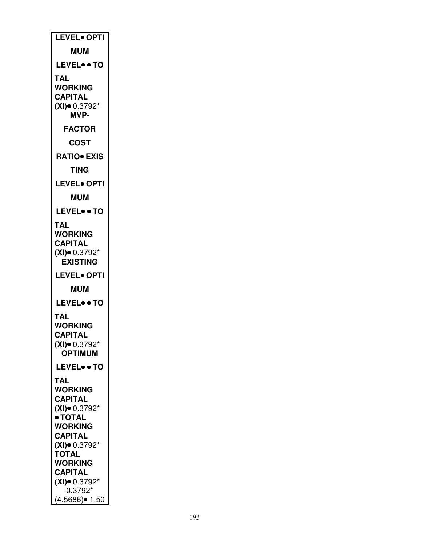| LEVEL. OPTI                                                                                |
|--------------------------------------------------------------------------------------------|
| <b>MUM</b>                                                                                 |
| <b>LEVEL• • TO</b>                                                                         |
| TAL<br><b>WORKING</b><br><b>CAPITAL</b><br>$(XI)$ = 0.3792*<br><b>MVP-</b>                 |
| <b>FACTOR</b>                                                                              |
| <b>COST</b>                                                                                |
| <b>RATIO• EXIS</b>                                                                         |
| <b>TING</b>                                                                                |
| <b>LEVEL• OPTI</b>                                                                         |
| <b>MUM</b>                                                                                 |
| <b>LEVEL• • TO</b>                                                                         |
| TAL<br>WORKING<br><b>CAPITAL</b><br>$(XI)$ 0.3792*<br><b>EXISTING</b>                      |
| <b>LEVEL• OPTI</b>                                                                         |
|                                                                                            |
| <b>MUM</b>                                                                                 |
| <b>LEVEL• • TO</b>                                                                         |
| TAL<br><b>WORKING</b><br><b>CAPITAL</b><br>$(XI)$ $0.3792*$<br><b>OPTIMUM</b>              |
| <b>LEVEL• • TO</b>                                                                         |
| TAL<br>WORKING<br><b>CAPITAL</b><br>$(XI)$ 0.3792*<br>• TOTAL<br>WORKING<br><b>CAPITAL</b> |
| $(XI)$ 0.3792*<br><b>TOTAL</b>                                                             |
| <b>WORKING</b>                                                                             |
| <b>CAPITAL</b><br>$(XI)$ 0.3792*<br>0.3792*                                                |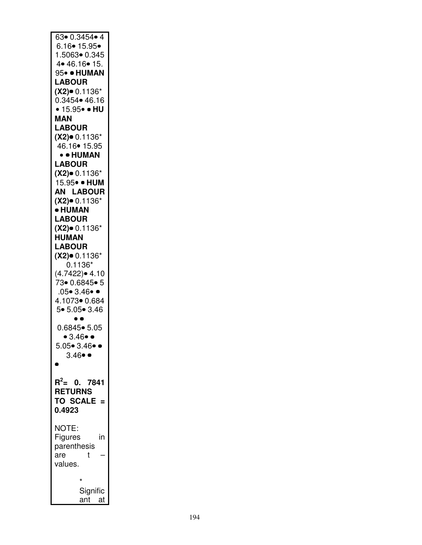| $63 \cdot 0.3454 \cdot 4$           |
|-------------------------------------|
| 6.16• 15.95•                        |
| 1.5063• 0.345                       |
| 4 • 46.16 • 15.                     |
| 95• • HUMAN                         |
| <b>LABOUR</b>                       |
| $(X2)$ 0.1136*                      |
| $0.3454 \cdot 46.16$                |
| • 15.95• • HU                       |
| MAN                                 |
| <b>LABOUR</b>                       |
| $(X2)$ 0.1136*                      |
| 46.16 • 15.95                       |
| • • HUMAN                           |
| <b>LABOUR</b>                       |
| $(X2)$ 0.1136*                      |
| 15.95• • HUM                        |
| AN LABOUR                           |
|                                     |
| $(X2)$ 0.1136*                      |
| • HUMAN                             |
| <b>LABOUR</b>                       |
| $(X2)$ 0.1136*                      |
| <b>HUMAN</b>                        |
| <b>LABOUR</b>                       |
| $(X2)$ 0.1136*                      |
| $0.1136*$                           |
| $(4.7422)$ $\bullet$ 4.10           |
| 73• 0.6845• 5                       |
| $.05 \bullet 3.46 \bullet 4$        |
| 4.1073 0.684                        |
| 5• 5.05• 3.46                       |
|                                     |
| $0.6845 \bullet 5.05$               |
| • $3.46$ •                          |
| $5.05 \bullet 3.46 \bullet \bullet$ |
| $3.46 \bullet$                      |
|                                     |
|                                     |
| $R^2$ = 0. 7841                     |
| <b>RETURNS</b>                      |
| TO SCALE =                          |
| 0.4923                              |
|                                     |
| NOTE:                               |
| Figures<br>in                       |
| parenthesis                         |
| are<br>t                            |
|                                     |
| values.                             |
| $\star$                             |
|                                     |
| Signific<br>ant at                  |
|                                     |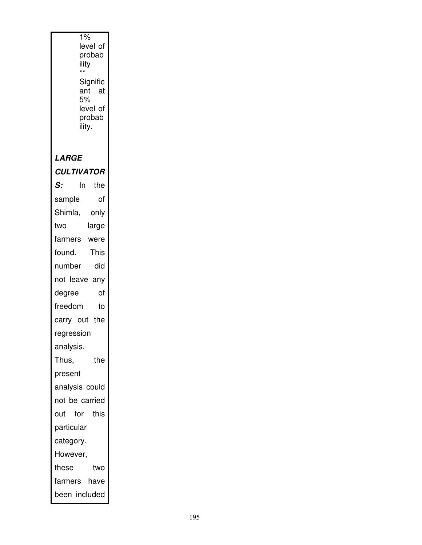| 1%<br>level of<br>probab<br>ility<br>**<br>Signific<br>ant<br>- at<br>5%<br>level of<br>probab |
|------------------------------------------------------------------------------------------------|
| ility.                                                                                         |
| LARGE                                                                                          |
| <b>CULTIVATOR</b>                                                                              |
| the<br>S:<br>ln.                                                                               |
| of<br>sample                                                                                   |
| Shimla,<br>only                                                                                |
| large<br>two                                                                                   |
| farmers were                                                                                   |
| This<br>found.                                                                                 |
| did<br>number                                                                                  |
| not leave any                                                                                  |
| of<br>degree                                                                                   |
| freedom<br>to                                                                                  |
| carry out the                                                                                  |
| regression                                                                                     |
| analysis.                                                                                      |
| Thus,<br>the                                                                                   |
| present                                                                                        |
| analysis could                                                                                 |
| not be carried                                                                                 |
| for this<br>out                                                                                |
| particular                                                                                     |
| category.                                                                                      |
| However,                                                                                       |
| these<br>two                                                                                   |
| have<br>farmers                                                                                |
| been included                                                                                  |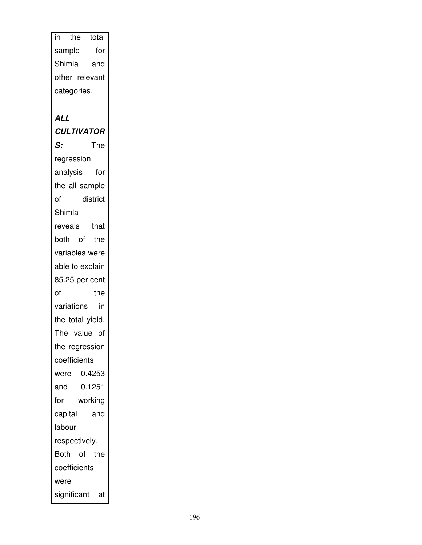in the total sample for Shimla and other relevant categories. **ALL CULTIVATOR S:** The regression analysis for the all sample of district Shimla reveals that both of the variables were able to explain 85.25 per cent of the variations in the total yield. The value of the regression coefficients were 0.4253 and 0.1251 for working capital and labour respectively. Both of the coefficients were significant at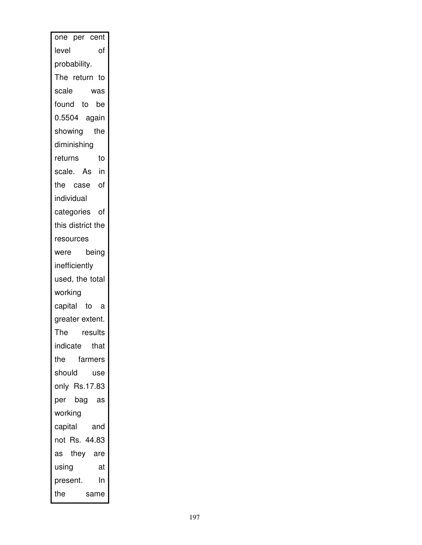| one per cent      |
|-------------------|
| level<br>of       |
| probability.      |
| The return to     |
| scale<br>was      |
| found to be       |
| 0.5504 again      |
| showing the       |
| diminishing       |
| returns<br>to     |
| scale. As in      |
| the case of       |
| individual        |
| categories of     |
| this district the |
| resources         |
| being<br>were     |
| inefficiently     |
| used, the total   |
| working           |
| capital to a      |
| greater extent.   |
| results<br>The    |
| indicate that     |
| farmers<br>the    |
| should<br>use     |
| only Rs.17.83     |
| per bag as        |
| working           |
| capital and       |
| not Rs. 44.83     |
| as they are       |
| using<br>at       |
| In<br>present.    |
| the<br>same       |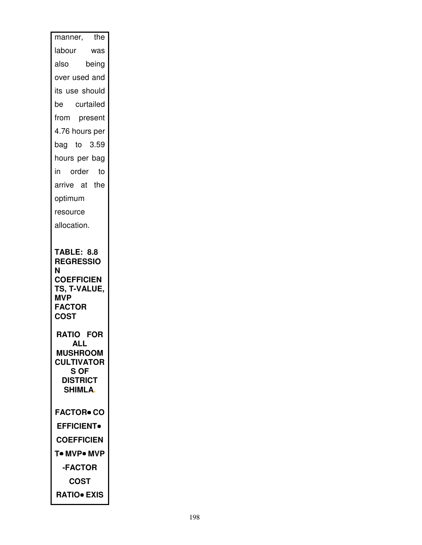| the<br>manner,                                                                                  |
|-------------------------------------------------------------------------------------------------|
| labour<br>was                                                                                   |
| being<br>also                                                                                   |
| over used and                                                                                   |
| its use should                                                                                  |
| be curtailed                                                                                    |
| from present                                                                                    |
| 4.76 hours per                                                                                  |
| bag to $3.59$                                                                                   |
| hours per bag                                                                                   |
| in order<br>to                                                                                  |
| arrive at the                                                                                   |
| optimum                                                                                         |
| resource                                                                                        |
| allocation.                                                                                     |
|                                                                                                 |
| <b>TABLE: 8.8</b><br><b>REGRESSIO</b><br>N                                                      |
| <b>COEFFICIEN</b><br>TS, T-VALUE,<br><b>MVP</b><br><b>FACTOR</b><br><b>COST</b>                 |
| <b>RATIO FOR</b>                                                                                |
| <b>ALL</b><br><b>MUSHROOM</b><br><b>CULTIVATOR</b><br>S OF<br><b>DISTRICT</b><br><b>SHIMLA.</b> |
| <b>FACTOR• CO</b>                                                                               |
| <b>EFFICIENT</b>                                                                                |
| <b>COEFFICIEN</b>                                                                               |
| T• MVP• MVP                                                                                     |
| -FACTOR                                                                                         |
| COST<br><b>RATIO• EXIS</b>                                                                      |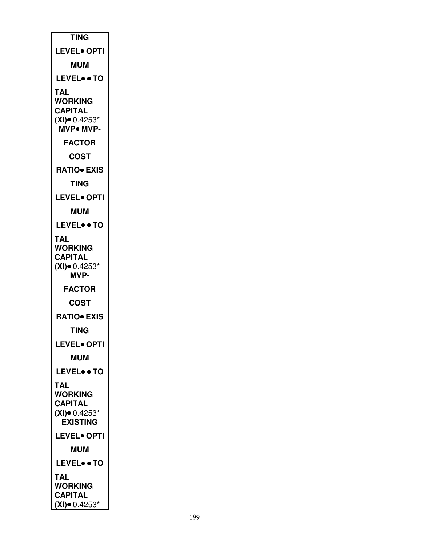| <b>TING</b>                                                                      |
|----------------------------------------------------------------------------------|
| <b>LEVEL</b> OPTI                                                                |
| <b>MUM</b>                                                                       |
| <b>LEVEL• • TO</b>                                                               |
| TAL<br><b>WORKING</b><br><b>CAPITAL</b><br>$(XI)$ $0.4253*$<br><b>MVP</b> . MVP- |
| <b>FACTOR</b>                                                                    |
| COST                                                                             |
| <b>RATIO EXIS</b>                                                                |
| TING                                                                             |
| <b>LEVEL• OPTI</b>                                                               |
| <b>MUM</b>                                                                       |
| <b>LEVEL• • TO</b>                                                               |
| TAL<br>WORKING<br><b>CAPITAL</b><br>$(XI)$ 0.4253*<br><b>MVP-</b>                |
| <b>FACTOR</b>                                                                    |
| COST                                                                             |
| <b>RATIO</b> EXIS                                                                |
| TING                                                                             |
| <b>LEVEL• OPTI</b>                                                               |
| <b>MUM</b>                                                                       |
| <b>LEVEL• • TO</b>                                                               |
| TAL<br><b>WORKING</b><br><b>CAPITAL</b><br>$(XI)$ 0.4253*<br><b>EXISTING</b>     |
| <b>LEVEL• OPTI</b>                                                               |
| <b>MUM</b>                                                                       |
| <b>LEVEL• • TO</b>                                                               |
| TAL<br><b>WORKING</b><br><b>CAPITAL</b><br>(XI)● 0.4253*                         |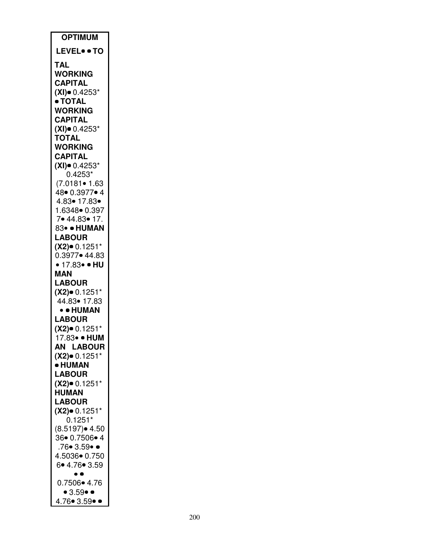| <b>OPTIMUM</b>                      |
|-------------------------------------|
| <b>LEVEL• • TO</b>                  |
| TAL                                 |
| <b>WORKING</b>                      |
| <b>CAPITAL</b>                      |
| $(XI)$ 0.4253*<br>· TOTAL           |
| <b>WORKING</b>                      |
| <b>CAPITAL</b>                      |
| $(XI)$ 0.4253*<br><b>TOTAL</b>      |
| <b>WORKING</b>                      |
| <b>CAPITAL</b>                      |
| $(XI)$ 0.4253*                      |
| $0.4253*$<br>$(7.0181 \bullet 1.63$ |
| 48● 0.3977● 4                       |
| 4.83• 17.83•                        |
| 1.6348• 0.397                       |
| 7• 44.83• 17.<br>83• · HUMAN        |
| <b>LABOUR</b>                       |
| $(X2)$ 0.1251*                      |
| 0.3977• 44.83<br>• 17.83• • HU      |
| MAN                                 |
| <b>LABOUR</b>                       |
| $(X2)$ 0.1251*                      |
| 44.83• 17.83<br>• • HUMAN           |
| <b>LABOUR</b>                       |
| $(X2)$ 0.1251*                      |
| 17.83• • HUM                        |
| <b>AN LABOUR</b>                    |
| $(X2)$ 0.1251*<br>• HUMAN           |
| <b>LABOUR</b>                       |
| $(X2)$ 0.1251*                      |
| <b>HUMAN</b>                        |
| <b>LABOUR</b>                       |
| $(X2)$ = 0.1251*<br>0.1251*         |
| (8.5197)• 4.50                      |
| 36• 0.7506• 4                       |
| .76• 3.59• •<br>4.5036 0.750        |
| 6.4.76.3.59                         |
|                                     |
| 0.7506• 4.76<br>• 3.59• •           |
| 4.76● 3.59●                         |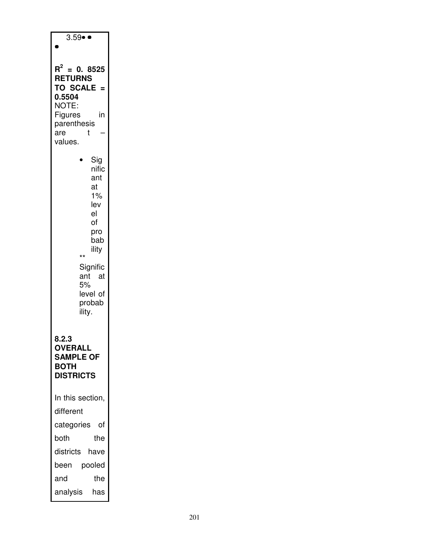| $3.59 \bullet$                                                                                                                                              |
|-------------------------------------------------------------------------------------------------------------------------------------------------------------|
| $\mathsf{R}^2$<br>$= 0.8525$<br><b>RETURNS</b><br><b>TO SCALE</b><br>0.5504<br>NOTE:<br>Figures<br>in<br>parenthesis<br>t<br>are<br>values.                 |
| Sig<br>nific<br>ant<br>at<br>1%<br>lev<br>el<br>of<br>pro<br>bab<br>ility<br>$^{\star\star}$<br>Signific<br>ant<br>at<br>5%<br>level of<br>probab<br>ility. |
| 8.Z.3<br><b>OVERALL</b><br><b>SAMPLE OF</b><br><b>BOTH</b><br><b>DISTRICTS</b>                                                                              |
| In this section,                                                                                                                                            |
| different                                                                                                                                                   |
| categories<br>οf                                                                                                                                            |
| the<br>both                                                                                                                                                 |
| districts<br>have                                                                                                                                           |
| pooled<br>been                                                                                                                                              |
| the<br>and                                                                                                                                                  |
| analysis<br>has                                                                                                                                             |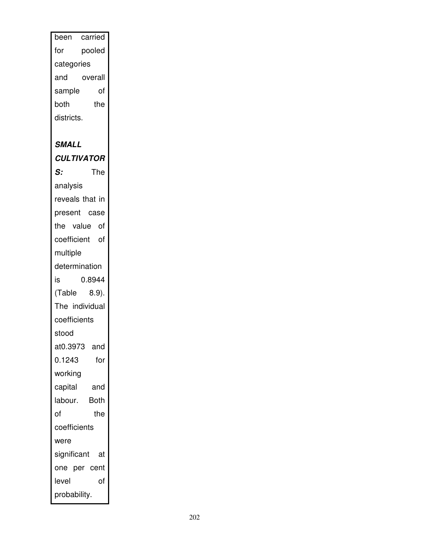been carried for pooled categories and overall sample of both the districts. **SMALL CULTIVATOR S:** The analysis reveals that in present case the value of coefficient of multiple determination is 0.8944 (Table 8.9). The individual coefficients stood at0.3973 and 0.1243 for working capital and labour. Both of the coefficients were significant at one per cent level of probability.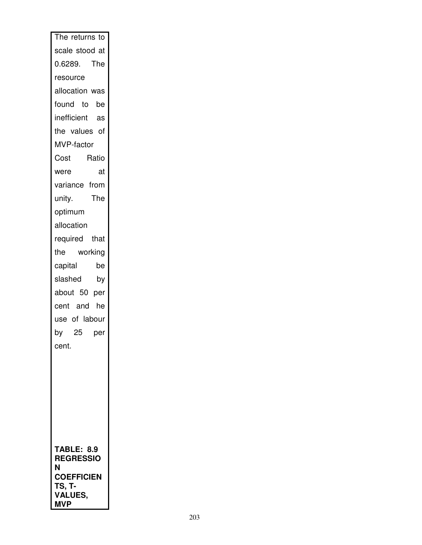| The returns to              |
|-----------------------------|
| scale stood at              |
| 0.6289. The                 |
| resource                    |
| allocation was              |
| found to be                 |
| inefficient as              |
| the values of               |
| MVP-factor                  |
| Cost<br>Ratio               |
| were<br>at                  |
| variance from               |
| The<br>unity.               |
| optimum                     |
| allocation                  |
| required that               |
| working<br>the              |
| capital<br>be               |
| slashed<br>by               |
| about 50 per                |
| cent and he                 |
| use of labour               |
| 25<br>by<br>per             |
| cent.                       |
|                             |
|                             |
|                             |
|                             |
|                             |
|                             |
| <b>TABLE: 8.9</b>           |
| <b>REGRESSIO</b>            |
| N                           |
| <b>COEFFICIEN</b><br>TS, T- |
| VALUES,                     |
| <b>MVP</b>                  |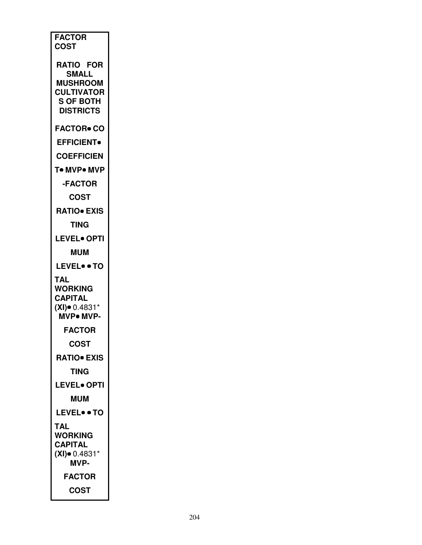| <b>FACTOR</b><br><b>COST</b>         |
|--------------------------------------|
| <b>RATIO FOR</b><br>SMALL            |
| <b>MUSHROOM</b>                      |
| <b>CULTIVATOR</b>                    |
| <b>S OF BOTH</b><br><b>DISTRICTS</b> |
| <b>FACTOR● CO</b>                    |
| <b>EFFICIENT</b>                     |
| <b>COEFFICIEN</b>                    |
| T• MVP• MVP                          |
|                                      |
| <b>-FACTOR</b>                       |
| COST                                 |
| <b>RATIO• EXIS</b>                   |
| TING                                 |
| <b>LEVEL• OPTI</b>                   |
| <b>MUM</b>                           |
| <b>LEVEL• • TO</b>                   |
| <b>TAL</b>                           |
| <b>WORKING</b>                       |
| <b>CAPITAL</b>                       |
| $(XI)$ 0.4831*<br>MVP. MVP-          |
| <b>FACTOR</b>                        |
| COST                                 |
| <b>RATIO EXIS</b>                    |
| <b>TING</b>                          |
| <b>LEVEL• OPTI</b>                   |
| <b>MUM</b>                           |
| <b>LEVEL• • TO</b>                   |
| TAL                                  |
| <b>WORKING</b>                       |
| <b>CAPITAL</b><br>$(XI)$ 0.4831*     |
| <b>MVP-</b>                          |
| <b>FACTOR</b>                        |
| COST                                 |
|                                      |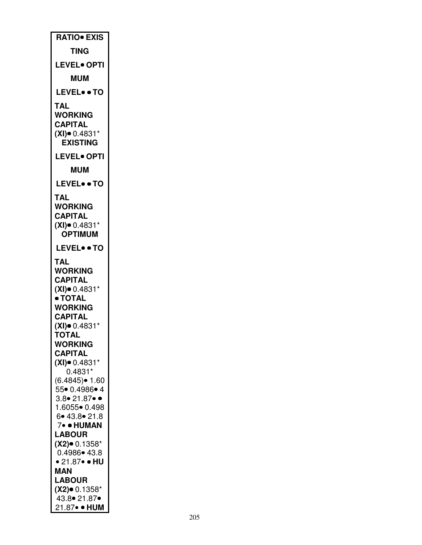| RATIO. EXIS                                |
|--------------------------------------------|
| TING                                       |
| <b>LEVEL• OPTI</b>                         |
| <b>MUM</b>                                 |
| <b>LEVEL• • TO</b>                         |
| TAL<br><b>WORKING</b>                      |
| <b>CAPITAL</b>                             |
| $(XI)$ 0.4831*<br><b>EXISTING</b>          |
| <b>LEVEL• OPTI</b>                         |
| <b>MUM</b>                                 |
| LEVELTO                                    |
| TAL                                        |
| <b>WORKING</b>                             |
| <b>CAPITAL</b><br>$(XI)$ 0.4831*           |
| <b>OPTIMUM</b>                             |
| <b>LEVEL• • TO</b>                         |
| TAL                                        |
| <b>WORKING</b><br><b>CAPITAL</b>           |
| $(XI)$ $0.4831*$                           |
| • TOTAL<br><b>WORKING</b>                  |
| <b>CAPITAL</b>                             |
| $(XI)$ 0.4831*<br><b>TOTAL</b>             |
| <b>WORKING</b>                             |
| <b>CAPITAL</b><br>$(XI)$ $0.4831*$         |
| $0.4831*$<br>$(6.4845)$ $\bullet$ 1.60     |
| 55• 0.4986• 4                              |
| $3.8 \cdot 21.87 \cdot 0$<br>1.6055• 0.498 |
| 6.43.8.21.8                                |
| 7• • HUMAN<br><b>LABOUR</b>                |
| $(X2)$ 0.1358*                             |
| $0.4986 \bullet 43.8$<br>• 21.87• • HU     |
| MAN                                        |
| <b>LABOUR</b><br>$(X2)$ 0.1358*            |
| 43.8 • 21.87 •                             |
| 21.87• • HUM                               |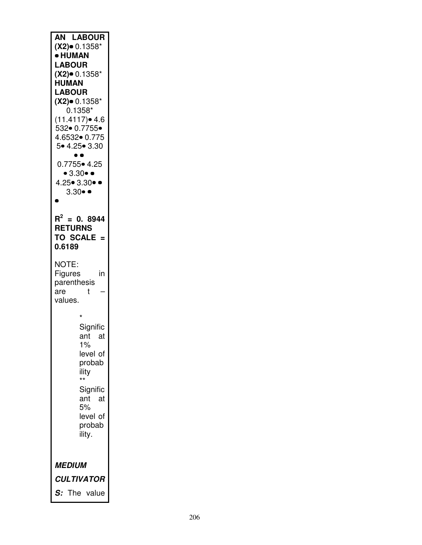| <b>AN LABOUR</b><br>$(X2)$ 0.1358*<br>· HUMAN<br><b>LABOUR</b><br>$(X2)$ 0.1358*<br><b>HUMAN</b><br><b>LABOUR</b><br>$(X2)$ 0.1358*<br>$0.1358*$<br>$(11.4117)$ $4.6$<br>532• 0.7755•<br>4.6532  0.775<br>5• 4.25• 3.30<br>$\bullet$ $\bullet$<br>$0.7755 \cdot 4.25$<br>•3.30•<br>$4.25 \bullet 3.30 \bullet \bullet$<br>$3.30 \bullet \bullet$ |
|--------------------------------------------------------------------------------------------------------------------------------------------------------------------------------------------------------------------------------------------------------------------------------------------------------------------------------------------------|
| $R^2 = 0.8944$<br><b>RETURNS</b><br>TO SCALE =<br>0.6189                                                                                                                                                                                                                                                                                         |
| NOTE:<br>Figures<br>in<br>parenthesis<br>are<br>t<br>values.                                                                                                                                                                                                                                                                                     |
| Signific<br>ant at<br>$1\%$<br>level of<br>probab<br>ility<br>Signific<br>ant<br>at<br>5%<br>level of<br>probab<br>ility.                                                                                                                                                                                                                        |
| <i>MEDIUM</i><br><b>CULTIVATOR</b><br>The value<br>S:                                                                                                                                                                                                                                                                                            |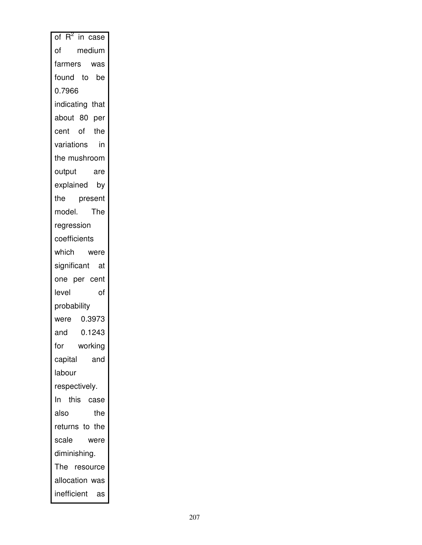| of $R^2$ in case |           |
|------------------|-----------|
| of               | medium    |
| farmers          | was       |
| found to         | be        |
| 0.7966           |           |
| indicating that  |           |
| about 80 per     |           |
| cent of          | the       |
| variations       | in        |
| the mushroom     |           |
| output           | are       |
| explained by     |           |
| the present      |           |
| model. The       |           |
| regression       |           |
| coefficients     |           |
| which were       |           |
| significant at   |           |
| one per cent     |           |
| level            | of        |
| probability      |           |
| were             | 0.3973    |
| and              | 0.1243    |
| for              | working   |
| capital          | and       |
| labour           |           |
| respectively.    |           |
| In In            | this case |
| also             | the       |
| returns to the   |           |
| scale            | were      |
| diminishing.     |           |
| The resource     |           |
| allocation was   |           |
| inefficient      | as        |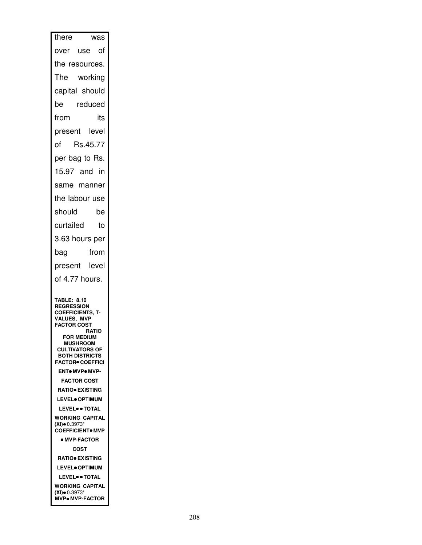| there<br>was                                                                                                                                                                                                                                                                                                                                                                                                                                                       |
|--------------------------------------------------------------------------------------------------------------------------------------------------------------------------------------------------------------------------------------------------------------------------------------------------------------------------------------------------------------------------------------------------------------------------------------------------------------------|
| over use of                                                                                                                                                                                                                                                                                                                                                                                                                                                        |
| the resources.                                                                                                                                                                                                                                                                                                                                                                                                                                                     |
| The working                                                                                                                                                                                                                                                                                                                                                                                                                                                        |
| capital should                                                                                                                                                                                                                                                                                                                                                                                                                                                     |
| reduced<br>be                                                                                                                                                                                                                                                                                                                                                                                                                                                      |
| from<br>its                                                                                                                                                                                                                                                                                                                                                                                                                                                        |
| present level                                                                                                                                                                                                                                                                                                                                                                                                                                                      |
| Rs.45.77<br>of                                                                                                                                                                                                                                                                                                                                                                                                                                                     |
| per bag to Rs.                                                                                                                                                                                                                                                                                                                                                                                                                                                     |
| 15.97 and in                                                                                                                                                                                                                                                                                                                                                                                                                                                       |
| same manner                                                                                                                                                                                                                                                                                                                                                                                                                                                        |
| the labour use                                                                                                                                                                                                                                                                                                                                                                                                                                                     |
| should<br>be                                                                                                                                                                                                                                                                                                                                                                                                                                                       |
| curtailed<br>to                                                                                                                                                                                                                                                                                                                                                                                                                                                    |
| 3.63 hours per                                                                                                                                                                                                                                                                                                                                                                                                                                                     |
| from<br>bag                                                                                                                                                                                                                                                                                                                                                                                                                                                        |
| present level                                                                                                                                                                                                                                                                                                                                                                                                                                                      |
| of 4.77 hours.                                                                                                                                                                                                                                                                                                                                                                                                                                                     |
| <b>TABLE: 8.10</b><br><b>REGRESSION</b><br><b>COEFFICIENTS, T-</b><br>VALUES, MVP<br><b>FACTOR COST</b><br><b>RATIO</b><br><b>FOR MEDIUM</b><br><b>MUSHROOM</b><br><b>CULTIVATORS OF</b><br><b>BOTH DISTRICTS</b><br><b>FACTOR® COEFFICI</b><br><b>ENT</b> MVP MVP-<br><b>FACTOR COST</b><br><b>RATIO EXISTING</b><br><b>LEVEL</b> OPTIMUM<br><b>LEVEL</b> • TOTAL<br>WORKING CAPITAL<br>$(XI) = 0.3973*$<br><b>COEFFICIENT</b> MVP<br><b>• MVP-FACTOR</b><br>COST |
| <b>RATIO EXISTING</b><br><b>LEVEL</b> OPTIMUM                                                                                                                                                                                                                                                                                                                                                                                                                      |
| <b>LEVEL</b> <sup>o</sup> TOTAL                                                                                                                                                                                                                                                                                                                                                                                                                                    |
| WORKING CAPITAL<br>$(XI) = 0.3973*$                                                                                                                                                                                                                                                                                                                                                                                                                                |
| <b>MVP•MVP-FACTOR</b>                                                                                                                                                                                                                                                                                                                                                                                                                                              |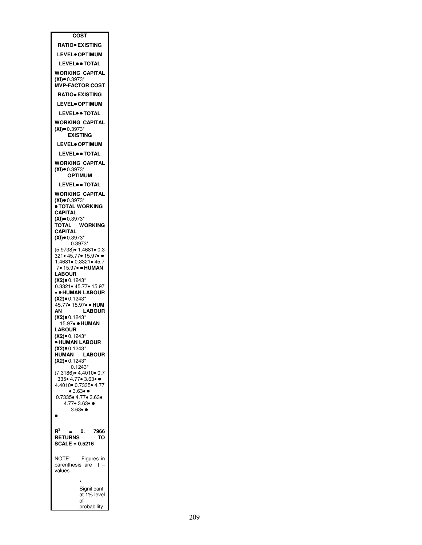| COST                                                 |
|------------------------------------------------------|
| <b>RATIO EXISTING</b>                                |
| <b>LEVEL</b> OPTIMUM                                 |
| <b>LEVEL</b> • TOTAL                                 |
| <b>WORKING CAPITAL</b><br>$(XI) = 0.3973*$           |
| <b>MVP-FACTOR COST</b>                               |
| <b>RATIO EXISTING</b>                                |
| <b>LEVEL</b> OPTIMUM                                 |
| LEVEL <sup>.</sup> TOTAL                             |
| WORKING CAPITAL                                      |
| $(XI) \bullet 0.3973*$<br><b>EXISTING</b>            |
| <b>LEVEL</b> OPTIMUM                                 |
| <b>LEVEL●● TOTAL</b>                                 |
| WORKING CAPITAL                                      |
| $(XI) \bullet 0.3973*$                               |
| <b>OPTIMUM</b>                                       |
| <b>LEVEL</b> • TOTAL                                 |
| WORKING CAPITAL<br>$(XI) = 0.3973*$                  |
| <b>• TOTAL WORKING</b>                               |
| <b>CAPITAL</b><br>$(XI) = 0.3973*$                   |
| TOTAL<br><b>WORKING</b>                              |
| <b>CAPITAL</b><br>$(XI) = 0.3973*$                   |
| 0.3973*                                              |
| (5.9738) • 1.4681 • 0.3<br>.<br>321● 45.77● 15.97● ● |
| 1.4681 • 0.3321 • 45.7                               |
| 7• 15.97• ● HUMAN<br><b>LABOUR</b>                   |
| $(X2) = 0.1243*$                                     |
| 0.3321• 45.77• 15.97<br>. HUMAN LABOUR               |
| $(X2) \bullet 0.1243*$                               |
| 45.77• 15.97• • HUM<br>АΝ<br><b>LABOUR</b>           |
| $(X2) \bullet 0.1243*$                               |
| 15.97• • HUMAN<br><b>LABOUR</b>                      |
| <b>(X2)</b> ●0.1243*                                 |
| · HUMAN LABOUR<br>$(X2) \bullet 0.1243$ *            |
| HUMAN LABOUR                                         |
| $(X2) = 0.1243*$<br>$0.1243*$                        |
| (7.3186) • 4.4010 • 0.7                              |
| 335 4.77 3.63 .<br>4.4010 0.7335 4.77                |
| $•3.63 \bullet \bullet$                              |
| 0.7335 • 4.77 • 3.63 •<br>$4.77 \cdot 3.63 \cdot $   |
| $3.63 - 1$                                           |
|                                                      |
| $R^2$<br>0.<br>7966                                  |
| <b>RETURNS</b><br>ТΟ                                 |
| $SCALE = 0.5216$                                     |
| Figures in<br>NOTE:                                  |
| parenthesis are t<br>values.                         |
|                                                      |
| Significant                                          |
| at 1% level                                          |
| of<br>probability                                    |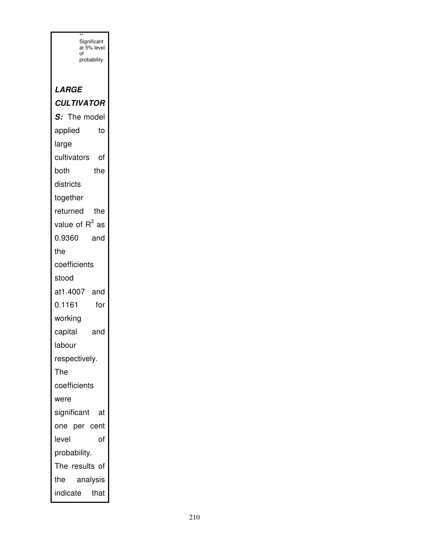| Significant<br>at 5% level |
|----------------------------|
| of<br>probability.         |
|                            |
| <i><b>LARGE</b></i>        |
| <b>CULTIVATOR</b>          |
| S: The model               |
| applied<br>to              |
| large                      |
| cultivators<br>of          |
| both<br>the                |
| districts                  |
| together                   |
| the<br>returned            |
| value of $R^2$ as          |
| 0.9360<br>and              |
| the                        |
| coefficients               |
| stood                      |
| at1.4007<br>and            |
| 0.1161<br>for              |
| working                    |
| capital<br>and             |
| labour                     |
| respectively.              |
| The                        |
| coefficients               |
| were                       |
| significant<br>at          |
| one per cent               |
| level<br>of                |
| probability.               |
| The results of             |
| the<br>analysis            |
| indicate<br>that           |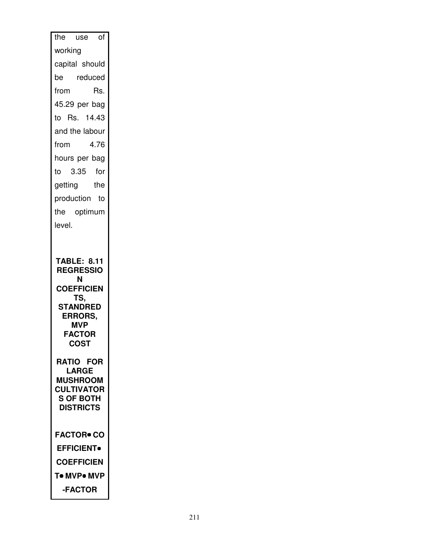| the use<br>0f                                                                                                                                       |
|-----------------------------------------------------------------------------------------------------------------------------------------------------|
| working                                                                                                                                             |
| capital should                                                                                                                                      |
| be reduced                                                                                                                                          |
| from<br>Rs.                                                                                                                                         |
| 45.29 per bag                                                                                                                                       |
| to Rs. 14.43                                                                                                                                        |
| and the labour                                                                                                                                      |
| 4.76<br>from                                                                                                                                        |
| hours per bag                                                                                                                                       |
| to 3.35 for                                                                                                                                         |
| getting the                                                                                                                                         |
| production to                                                                                                                                       |
| the optimum                                                                                                                                         |
| level.                                                                                                                                              |
|                                                                                                                                                     |
|                                                                                                                                                     |
| <b>TABLE: 8.11</b><br><b>REGRESSIO</b><br>Ν<br><b>COEFFICIEN</b><br>TS,<br><b>STANDRED</b><br>ERRORS,<br><b>MVP</b><br><b>FACTOR</b><br><b>COST</b> |
| <b>RATIO FOR</b>                                                                                                                                    |
| <b>LARGE</b><br><b>MUSHROOM</b><br><b>CULTIVATOR</b><br>S OF BOTH<br><b>DISTRICTS</b>                                                               |
| <b>FACTOR• CO</b>                                                                                                                                   |
| <b>EFFICIENT</b>                                                                                                                                    |
| <b>COEFFICIEN</b>                                                                                                                                   |
| T• MVP• MVP                                                                                                                                         |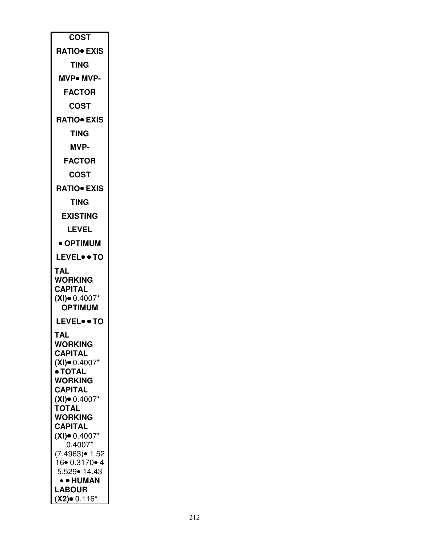| <b>COST</b><br><b>RATIO</b> EXIS<br>TING<br><b>MVP• MVP-</b><br><b>FACTOR</b><br>COST<br><b>RATIO• EXIS</b><br>TING<br>MVP-<br><b>FACTOR</b><br>COST<br><b>RATIO• EXIS</b><br><b>TING</b><br><b>EXISTING</b><br><b>LEVEL</b><br>• OPTIMUM<br><b>LEVEL• • TO</b><br>TAL<br>WORKING<br><b>CAPITAL</b><br>$(XI)$ $0.4007*$<br><b>OPTIMUM</b><br><b>LEVEL• • TO</b><br>TAI<br>WORKING<br><b>CAPITAL</b><br>(XI)● 0.4007*<br>• TOTAL<br>WORKING<br><b>CAPITAL</b><br>$(XI)$ 0.4007*<br><b>TOTAL</b><br>WORKING<br><b>CAPITAL</b><br>$(XI)$ $0.4007*$<br>$0.4007*$<br>(7.4963)● 1.52<br>16 0.3170 • 4<br>5.529• 14.43<br>• • HUMAN<br><b>LABOUR</b><br>(X2)● 0.116* |  |
|---------------------------------------------------------------------------------------------------------------------------------------------------------------------------------------------------------------------------------------------------------------------------------------------------------------------------------------------------------------------------------------------------------------------------------------------------------------------------------------------------------------------------------------------------------------------------------------------------------------------------------------------------------------|--|
|                                                                                                                                                                                                                                                                                                                                                                                                                                                                                                                                                                                                                                                               |  |
|                                                                                                                                                                                                                                                                                                                                                                                                                                                                                                                                                                                                                                                               |  |
|                                                                                                                                                                                                                                                                                                                                                                                                                                                                                                                                                                                                                                                               |  |
|                                                                                                                                                                                                                                                                                                                                                                                                                                                                                                                                                                                                                                                               |  |
|                                                                                                                                                                                                                                                                                                                                                                                                                                                                                                                                                                                                                                                               |  |
|                                                                                                                                                                                                                                                                                                                                                                                                                                                                                                                                                                                                                                                               |  |
|                                                                                                                                                                                                                                                                                                                                                                                                                                                                                                                                                                                                                                                               |  |
|                                                                                                                                                                                                                                                                                                                                                                                                                                                                                                                                                                                                                                                               |  |
|                                                                                                                                                                                                                                                                                                                                                                                                                                                                                                                                                                                                                                                               |  |
|                                                                                                                                                                                                                                                                                                                                                                                                                                                                                                                                                                                                                                                               |  |
|                                                                                                                                                                                                                                                                                                                                                                                                                                                                                                                                                                                                                                                               |  |
|                                                                                                                                                                                                                                                                                                                                                                                                                                                                                                                                                                                                                                                               |  |
|                                                                                                                                                                                                                                                                                                                                                                                                                                                                                                                                                                                                                                                               |  |
|                                                                                                                                                                                                                                                                                                                                                                                                                                                                                                                                                                                                                                                               |  |
|                                                                                                                                                                                                                                                                                                                                                                                                                                                                                                                                                                                                                                                               |  |
|                                                                                                                                                                                                                                                                                                                                                                                                                                                                                                                                                                                                                                                               |  |
|                                                                                                                                                                                                                                                                                                                                                                                                                                                                                                                                                                                                                                                               |  |
|                                                                                                                                                                                                                                                                                                                                                                                                                                                                                                                                                                                                                                                               |  |
|                                                                                                                                                                                                                                                                                                                                                                                                                                                                                                                                                                                                                                                               |  |
|                                                                                                                                                                                                                                                                                                                                                                                                                                                                                                                                                                                                                                                               |  |
|                                                                                                                                                                                                                                                                                                                                                                                                                                                                                                                                                                                                                                                               |  |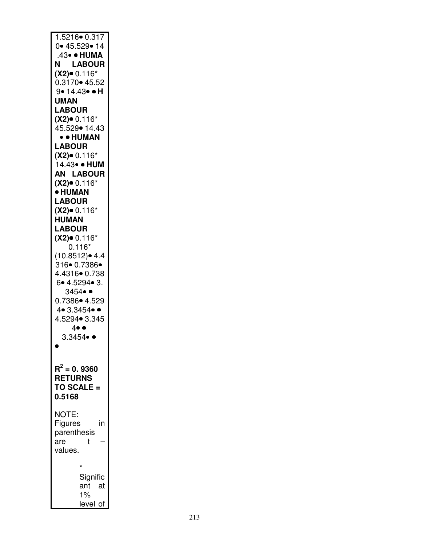| 0 • 45.529 • 14<br>.43• • HUMA<br><b>LABOUR</b><br>Ν<br>$(X2)$ 0.116*<br>0.3170 • 45.52<br>9• 14.43• • H<br><b>UMAN</b><br><b>LABOUR</b><br>$(X2)$ 0.116*<br>45.529• 14.43<br>• • HUMAN<br><b>LABOUR</b><br>$(X2)$ 0.116*<br>14.43• • HUM<br><b>AN LABOUR</b><br>$(X2)$ 0.116*<br><b>• HUMAN</b><br><b>LABOUR</b><br>$(X2)$ 0.116*<br><b>HUMAN</b><br><b>LABOUR</b><br>$(X2)$ 0.116*<br>$0.116*$<br>$(10.8512)$ $4.4$<br>$316 \cdot 0.7386 \cdot$<br>4.4316• 0.738<br>6. 4.5294. 3.<br>$3454 \bullet$<br>0.7386• 4.529<br>$4 \cdot 3.3454 \cdot \bullet$<br>4.5294• 3.345<br>$4 \bullet \bullet$<br>$3.3454 \bullet \bullet$<br>$R^2 = 0.9360$<br><b>RETURNS</b><br>TO SCALE =<br>0.5168<br>NOTE:<br>Figures<br>in<br>parenthesis<br>are<br>t<br>values.<br>*<br>Signific<br>ant at<br>$1\%$ |                        |
|----------------------------------------------------------------------------------------------------------------------------------------------------------------------------------------------------------------------------------------------------------------------------------------------------------------------------------------------------------------------------------------------------------------------------------------------------------------------------------------------------------------------------------------------------------------------------------------------------------------------------------------------------------------------------------------------------------------------------------------------------------------------------------------------|------------------------|
|                                                                                                                                                                                                                                                                                                                                                                                                                                                                                                                                                                                                                                                                                                                                                                                              | $1.5216 \bullet 0.317$ |
|                                                                                                                                                                                                                                                                                                                                                                                                                                                                                                                                                                                                                                                                                                                                                                                              |                        |
|                                                                                                                                                                                                                                                                                                                                                                                                                                                                                                                                                                                                                                                                                                                                                                                              |                        |
|                                                                                                                                                                                                                                                                                                                                                                                                                                                                                                                                                                                                                                                                                                                                                                                              |                        |
|                                                                                                                                                                                                                                                                                                                                                                                                                                                                                                                                                                                                                                                                                                                                                                                              |                        |
|                                                                                                                                                                                                                                                                                                                                                                                                                                                                                                                                                                                                                                                                                                                                                                                              |                        |
|                                                                                                                                                                                                                                                                                                                                                                                                                                                                                                                                                                                                                                                                                                                                                                                              |                        |
|                                                                                                                                                                                                                                                                                                                                                                                                                                                                                                                                                                                                                                                                                                                                                                                              |                        |
|                                                                                                                                                                                                                                                                                                                                                                                                                                                                                                                                                                                                                                                                                                                                                                                              |                        |
|                                                                                                                                                                                                                                                                                                                                                                                                                                                                                                                                                                                                                                                                                                                                                                                              |                        |
|                                                                                                                                                                                                                                                                                                                                                                                                                                                                                                                                                                                                                                                                                                                                                                                              |                        |
|                                                                                                                                                                                                                                                                                                                                                                                                                                                                                                                                                                                                                                                                                                                                                                                              |                        |
|                                                                                                                                                                                                                                                                                                                                                                                                                                                                                                                                                                                                                                                                                                                                                                                              |                        |
|                                                                                                                                                                                                                                                                                                                                                                                                                                                                                                                                                                                                                                                                                                                                                                                              |                        |
|                                                                                                                                                                                                                                                                                                                                                                                                                                                                                                                                                                                                                                                                                                                                                                                              |                        |
|                                                                                                                                                                                                                                                                                                                                                                                                                                                                                                                                                                                                                                                                                                                                                                                              |                        |
|                                                                                                                                                                                                                                                                                                                                                                                                                                                                                                                                                                                                                                                                                                                                                                                              |                        |
|                                                                                                                                                                                                                                                                                                                                                                                                                                                                                                                                                                                                                                                                                                                                                                                              |                        |
|                                                                                                                                                                                                                                                                                                                                                                                                                                                                                                                                                                                                                                                                                                                                                                                              |                        |
|                                                                                                                                                                                                                                                                                                                                                                                                                                                                                                                                                                                                                                                                                                                                                                                              |                        |
|                                                                                                                                                                                                                                                                                                                                                                                                                                                                                                                                                                                                                                                                                                                                                                                              |                        |
|                                                                                                                                                                                                                                                                                                                                                                                                                                                                                                                                                                                                                                                                                                                                                                                              |                        |
|                                                                                                                                                                                                                                                                                                                                                                                                                                                                                                                                                                                                                                                                                                                                                                                              |                        |
|                                                                                                                                                                                                                                                                                                                                                                                                                                                                                                                                                                                                                                                                                                                                                                                              |                        |
|                                                                                                                                                                                                                                                                                                                                                                                                                                                                                                                                                                                                                                                                                                                                                                                              |                        |
|                                                                                                                                                                                                                                                                                                                                                                                                                                                                                                                                                                                                                                                                                                                                                                                              |                        |
|                                                                                                                                                                                                                                                                                                                                                                                                                                                                                                                                                                                                                                                                                                                                                                                              |                        |
|                                                                                                                                                                                                                                                                                                                                                                                                                                                                                                                                                                                                                                                                                                                                                                                              |                        |
|                                                                                                                                                                                                                                                                                                                                                                                                                                                                                                                                                                                                                                                                                                                                                                                              |                        |
|                                                                                                                                                                                                                                                                                                                                                                                                                                                                                                                                                                                                                                                                                                                                                                                              |                        |
|                                                                                                                                                                                                                                                                                                                                                                                                                                                                                                                                                                                                                                                                                                                                                                                              |                        |
|                                                                                                                                                                                                                                                                                                                                                                                                                                                                                                                                                                                                                                                                                                                                                                                              |                        |
|                                                                                                                                                                                                                                                                                                                                                                                                                                                                                                                                                                                                                                                                                                                                                                                              |                        |
|                                                                                                                                                                                                                                                                                                                                                                                                                                                                                                                                                                                                                                                                                                                                                                                              |                        |
|                                                                                                                                                                                                                                                                                                                                                                                                                                                                                                                                                                                                                                                                                                                                                                                              |                        |
|                                                                                                                                                                                                                                                                                                                                                                                                                                                                                                                                                                                                                                                                                                                                                                                              |                        |
|                                                                                                                                                                                                                                                                                                                                                                                                                                                                                                                                                                                                                                                                                                                                                                                              |                        |
|                                                                                                                                                                                                                                                                                                                                                                                                                                                                                                                                                                                                                                                                                                                                                                                              |                        |
|                                                                                                                                                                                                                                                                                                                                                                                                                                                                                                                                                                                                                                                                                                                                                                                              |                        |
|                                                                                                                                                                                                                                                                                                                                                                                                                                                                                                                                                                                                                                                                                                                                                                                              |                        |
|                                                                                                                                                                                                                                                                                                                                                                                                                                                                                                                                                                                                                                                                                                                                                                                              |                        |
|                                                                                                                                                                                                                                                                                                                                                                                                                                                                                                                                                                                                                                                                                                                                                                                              |                        |
|                                                                                                                                                                                                                                                                                                                                                                                                                                                                                                                                                                                                                                                                                                                                                                                              |                        |
|                                                                                                                                                                                                                                                                                                                                                                                                                                                                                                                                                                                                                                                                                                                                                                                              |                        |
|                                                                                                                                                                                                                                                                                                                                                                                                                                                                                                                                                                                                                                                                                                                                                                                              | level of               |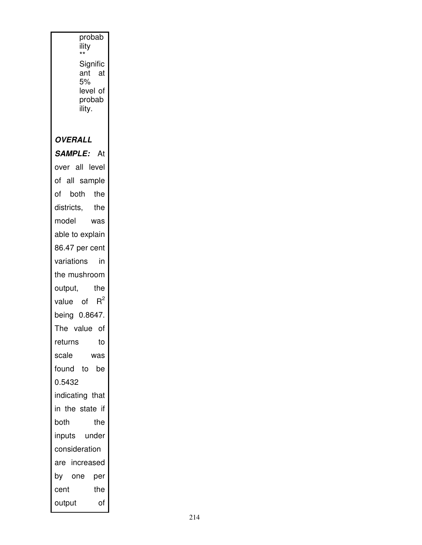|                | probab<br>ility<br>$^{\star\star}$ |
|----------------|------------------------------------|
|                | Signific<br>ant at                 |
|                | 5%                                 |
|                | level of                           |
|                | probab<br>ility.                   |
|                |                                    |
| <b>OVERALL</b> |                                    |
|                | SAMPLE: At                         |
|                | over all level                     |
|                | of all sample                      |
| of             | both the                           |
| districts,     | the                                |
| model          | was                                |
|                | able to explain                    |
|                | 86.47 per cent                     |
| variations     | in                                 |
|                | the mushroom                       |
| output,        | the                                |
|                | value of $R^2$                     |
|                | being 0.8647.                      |
|                | The value of                       |
| returns        | to                                 |
| scale          | was                                |
| found to       | be                                 |
| 0.5432         |                                    |
|                | indicating that                    |
|                | in the state if                    |
| both           | the                                |
|                | inputs under                       |
| consideration  |                                    |
|                | are increased                      |
| by one         | per                                |
| cent           | the                                |
| output         | οf                                 |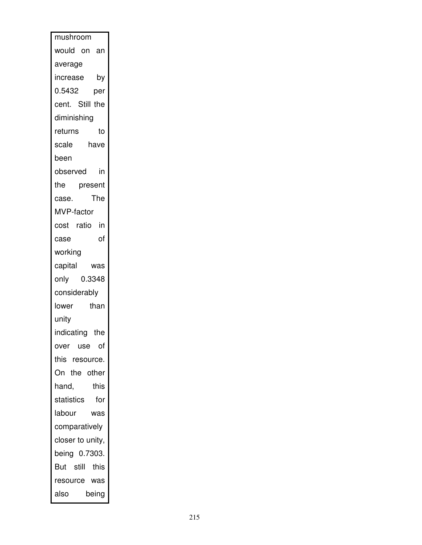| mushroom         |       |
|------------------|-------|
| would on an      |       |
| average          |       |
| increase by      |       |
| 0.5432           | per   |
| cent. Still the  |       |
| diminishing      |       |
| returns          | to    |
| scale<br>have    |       |
| been             |       |
| observed         | in    |
| the<br>present   |       |
| case.            | The   |
| MVP-factor       |       |
| cost ratio in    |       |
| case             | οf    |
| working          |       |
| capital was      |       |
| only 0.3348      |       |
| considerably     |       |
| lower            | than  |
| unity            |       |
| indicating the   |       |
| over use of      |       |
| this resource.   |       |
| On the other     |       |
| hand,            | this  |
| statistics       | for   |
| labour           | was   |
| comparatively    |       |
| closer to unity, |       |
| being 0.7303.    |       |
| But still this   |       |
| resource was     |       |
| also             | being |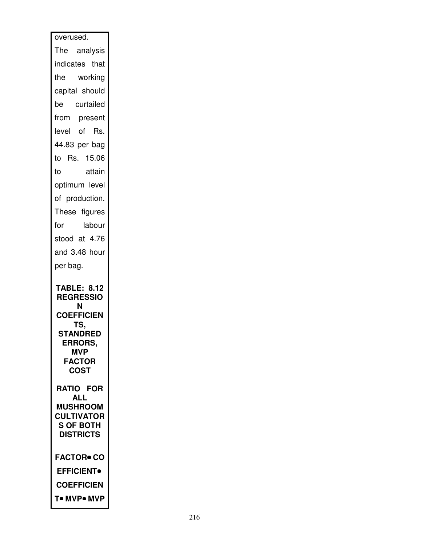| overused.                                   |
|---------------------------------------------|
| The analysis                                |
| indicates that                              |
| the working                                 |
| capital should                              |
| be curtailed                                |
| from present                                |
| level of Rs.                                |
| 44.83 per bag                               |
| to Rs. 15.06                                |
| attain<br>to                                |
| optimum level                               |
| of production.                              |
| These figures                               |
| for<br>labour                               |
| stood at 4.76                               |
| and 3.48 hour                               |
| per bag.                                    |
| <b>TABLE: 8.12</b><br><b>REGRESSIO</b><br>N |
| <b>COEFFICIEN</b>                           |
|                                             |
| TS,<br><b>STANDRED</b>                      |
| <b>ERRORS,</b>                              |
| <b>MVP</b><br><b>FACTOR</b>                 |
| <b>COST</b>                                 |
| <b>RATIO FOR</b>                            |
| <b>ALL</b>                                  |
| <b>MUSHROOM</b><br><b>CULTIVATOR</b>        |
| <b>S OF BOTH</b>                            |
| <b>DISTRICTS</b>                            |
| <b>FACTOR• CO</b>                           |
| <b>EFFICIENT</b>                            |
| <b>COEFFICIEN</b>                           |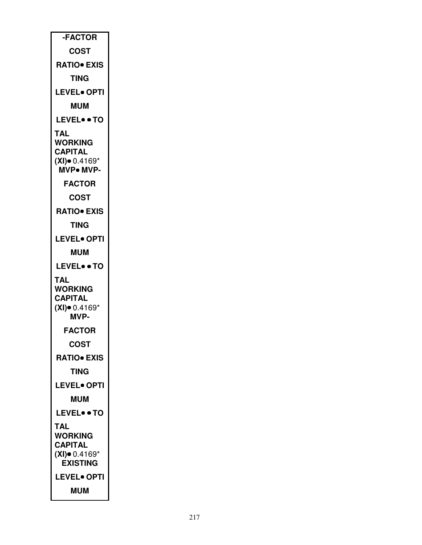| -FACTOR                                                                 |
|-------------------------------------------------------------------------|
| <b>COST</b>                                                             |
| <b>RATIO EXIS</b>                                                       |
| TING                                                                    |
| <b>LEVEL• OPTI</b>                                                      |
| <b>MUM</b>                                                              |
| <b>LEVEL</b> . TO                                                       |
| TAL<br>WORKING<br><b>CAPITAL</b><br>$(XI)$ 0.4169*<br><b>MVP• MVP-</b>  |
| <b>FACTOR</b>                                                           |
| COST                                                                    |
| <b>RATIO• EXIS</b>                                                      |
| TING                                                                    |
| <b>LEVEL</b> OPTI                                                       |
| <b>MUM</b>                                                              |
| <b>LEVEL• • TO</b>                                                      |
| TAL<br><b>WORKING</b><br><b>CAPITAL</b><br>$(XI)$ 0.4169*<br>MVP-       |
| <b>FACTOR</b>                                                           |
| <b>COST</b>                                                             |
| <b>RATIO EXIS</b>                                                       |
| TING                                                                    |
| <b>LEVEL• OPTI</b>                                                      |
| MUM                                                                     |
| <b>LEVEL• • TO</b>                                                      |
| TAL<br>WORKING<br><b>CAPITAL</b><br>$(XI)$ = 0.4169*<br><b>EXISTING</b> |
| LEVEL● OPTI                                                             |
| <b>MUM</b>                                                              |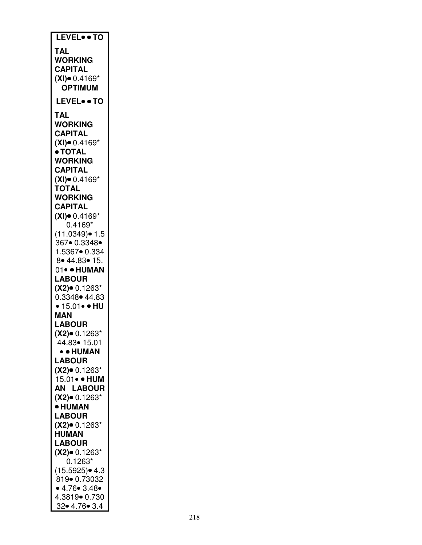| LEVEL . TO                       |
|----------------------------------|
| TAL                              |
| <b>WORKING</b>                   |
|                                  |
| <b>CAPITAL</b>                   |
| $(XI)$ 0.4169*                   |
| <b>OPTIMUM</b>                   |
| <b>LEVEL• • TO</b>               |
|                                  |
| TAL                              |
| <b>WORKING</b>                   |
| <b>CAPITAL</b>                   |
| $(XI)$ 0.4169*                   |
| • TOTAL                          |
| <b>WORKING</b>                   |
| <b>CAPITAL</b>                   |
| $(XI)$ = 0.4169*                 |
| <b>TOTAL</b>                     |
| <b>WORKING</b>                   |
| CAPITAL                          |
| $(XI)$ 0.4169*                   |
| $0.4169*$                        |
| (11.0349)● 1.5                   |
| 367• 0.3348•                     |
| 1.5367• 0.334                    |
| 8 • 44.83 • 15.                  |
| 01• · HUMAN                      |
|                                  |
| <b>LABOUR</b>                    |
| $(X2)$ 0.1263*                   |
| 0.3348 • 44.83                   |
| • 15.01• • HU                    |
| MAN                              |
| <b>LABOUR</b>                    |
| $(X2)$ 0.1263*                   |
| 44.83• 15.01                     |
|                                  |
| • • HUMAN                        |
| <b>LABOUR</b>                    |
| $(X2)$ 0.1263*                   |
| 15.01• • HUM                     |
| AN LABOUR                        |
| $(X2)$ 0.1263*                   |
| <b>• HUMAN</b>                   |
| <b>LABOUR</b>                    |
|                                  |
| $(X2)$ 0.1263*<br><b>HUMAN</b>   |
|                                  |
| <b>LABOUR</b>                    |
| $(X2)$ 0.1263*                   |
| $0.1263*$                        |
| $(15.5925)$ 4.3                  |
| 819• 0.73032                     |
| • 4.76 • 3.48 •                  |
| 4.3819• 0.730<br>32 • 4.76 • 3.4 |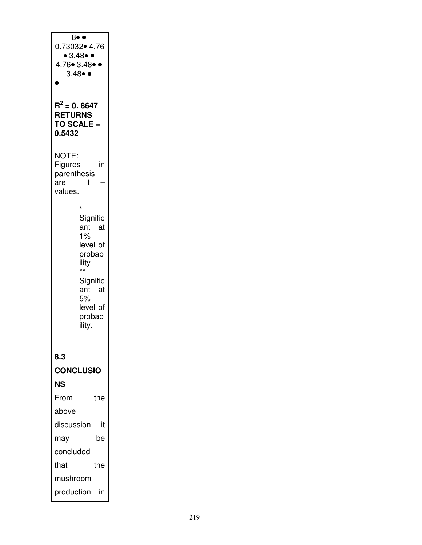| 8• •<br>0.73032• 4.76<br>$\bullet$ 3.48 $\bullet$ $\bullet$<br>4.76• 3.48•<br>$3.48 \bullet \bullet$ |  |
|------------------------------------------------------------------------------------------------------|--|
| $R^2$ = 0. 8647<br><b>RETURNS</b><br>TO SCALE =<br>0.5432                                            |  |
| NOTE:<br><b>Figures</b><br>in<br>parenthesis<br>t<br>are<br>values.                                  |  |
| $\star$<br>Signific<br>ant at<br>$1\%$<br>level of<br>probab<br>ility<br>$\star\star$                |  |
| Signific<br>ant<br>at<br>5%<br>level of<br>probab<br>ility.                                          |  |
| 8.3                                                                                                  |  |
| <b>CONCLUSIO</b>                                                                                     |  |
| NS                                                                                                   |  |
| From<br>the                                                                                          |  |
| above                                                                                                |  |
| discussion<br>it                                                                                     |  |
| be<br>may                                                                                            |  |
| concluded                                                                                            |  |
| the<br>that                                                                                          |  |
| mushroom                                                                                             |  |
| production<br>in                                                                                     |  |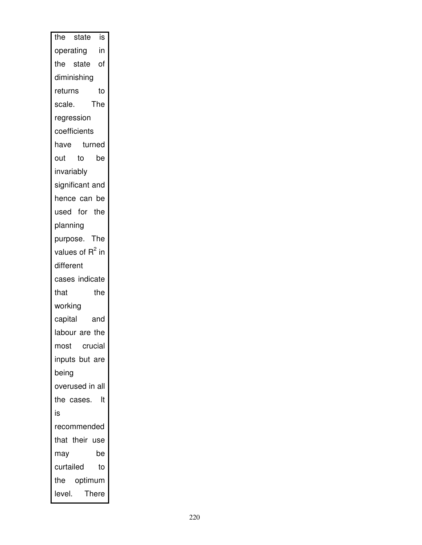| the state<br>is                       |
|---------------------------------------|
| $\overline{\mathsf{in}}$<br>operating |
| the state of                          |
| diminishing                           |
| returns<br>to                         |
| The<br>scale.                         |
| regression                            |
| coefficients                          |
| turned<br>have                        |
| $\overline{\mathsf{to}}$<br>out<br>be |
| invariably                            |
| significant and                       |
| hence can be                          |
| used for the                          |
| planning                              |
| purpose. The                          |
| values of R <sup>2</sup> in           |
| different                             |
| cases indicate                        |
| the<br>that                           |
| working                               |
| capital<br>and                        |
| labour are the                        |
| crucial<br>most                       |
| inputs but are                        |
| being                                 |
| overused in all                       |
| the cases.<br>It                      |
| is                                    |
| recommended                           |
| that their use                        |
| may<br>be                             |
| curtailed<br>to                       |
| the optimum                           |
| level.<br><b>There</b>                |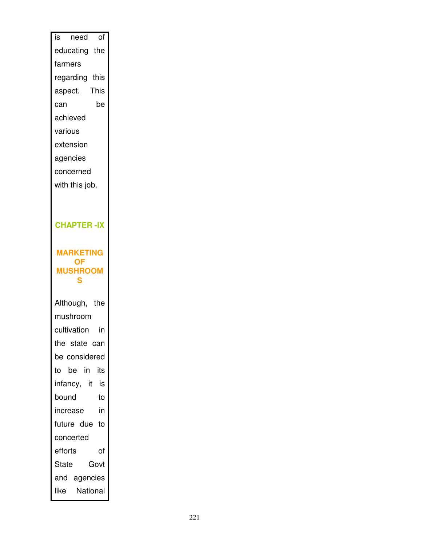| is need of           |  |
|----------------------|--|
|                      |  |
| educating the        |  |
| farmers              |  |
| regarding this       |  |
| aspect. This         |  |
| be<br>can            |  |
| achieved             |  |
| various              |  |
| extension            |  |
| agencies             |  |
| concerned            |  |
| with this job.       |  |
|                      |  |
|                      |  |
| <b>CHAPTER-IX</b>    |  |
|                      |  |
| <b>MARKETING</b>     |  |
| <b>OF</b>            |  |
| <b>MUSHROOM</b><br>S |  |
|                      |  |
|                      |  |
| Although, the        |  |
| mushroom             |  |
| cultivation<br>in    |  |
| the state can        |  |
| be considered        |  |
| to be in<br>its      |  |
| infancy, it is       |  |
| bound<br>to          |  |
| in<br>increase       |  |
| future due to        |  |
| concerted            |  |
| efforts<br>of        |  |
| Govt<br>State        |  |
| and agencies         |  |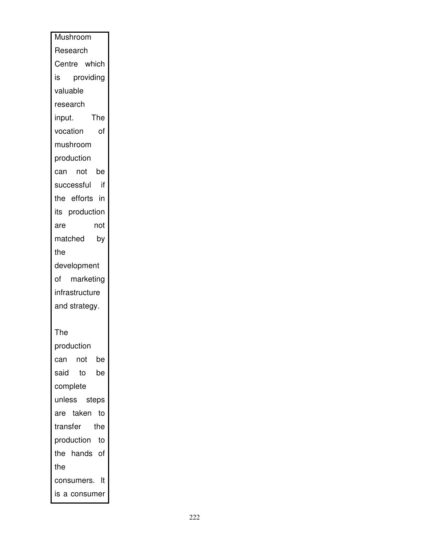| Mushroom         |
|------------------|
| Research         |
| Centre which     |
| providing<br>is  |
| valuable         |
| research         |
| The<br>input.    |
| vocation<br>of   |
| mushroom         |
| production       |
| can not be       |
| successful<br>if |
| the efforts in   |
| its production   |
| not<br>are       |
| matched<br>by    |
| the              |
| development      |
| of marketing     |
| infrastructure   |
| and strategy.    |
|                  |
| The              |
| production       |
| can not be       |
| said<br>to be    |
| complete         |
| unless steps     |
| are taken<br>to  |
| transfer the     |
| production to    |
| the hands of     |
| the              |
| consumers. It    |
| is a consumer    |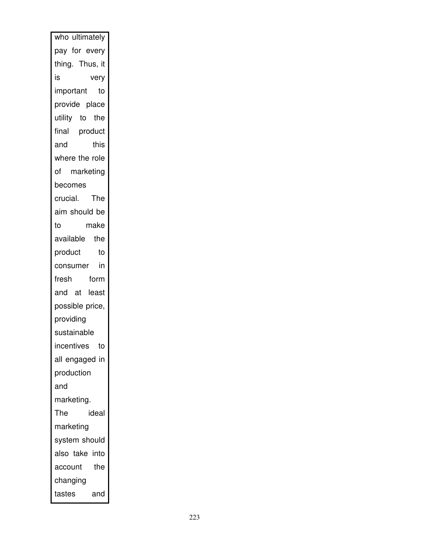| who ultimately   |
|------------------|
| pay for every    |
| thing. Thus, it  |
| is<br>very       |
| important<br>to  |
| provide place    |
| utility to the   |
| final product    |
| this<br>and      |
| where the role   |
| of marketing     |
| becomes          |
| crucial. The     |
| aim should be    |
| make<br>to       |
| available the    |
| product<br>to    |
| consumer in      |
| fresh<br>form    |
| and at least     |
| possible price,  |
| providing        |
| sustainable      |
| incentives<br>to |
| all engaged in   |
| production       |
| and              |
| marketing.       |
| The<br>ideal     |
| marketing        |
| system should    |
| also take into   |
| the<br>account   |
| changing         |
| tastes<br>and    |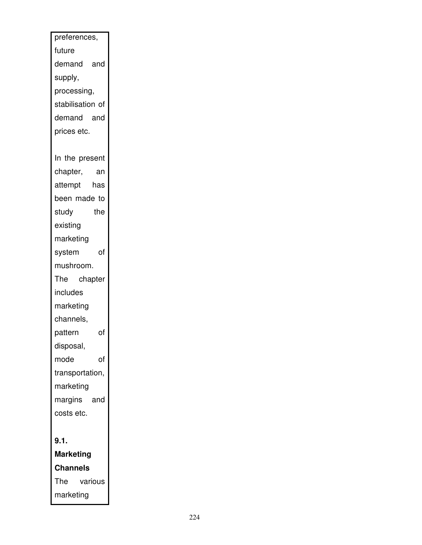| preferences,     |
|------------------|
| future           |
| demand and       |
| supply,          |
| processing,      |
| stabilisation of |
| demand and       |
| prices etc.      |
|                  |
| In the present   |
| chapter,<br>an   |
| attempt<br>has   |
| been made to     |
| study<br>the     |
| existing         |
| marketing        |
| of<br>system     |
| mushroom.        |
| The<br>chapter   |
| includes         |
| marketing        |
| channels,        |
| of<br>pattern    |
| disposal,        |
| of<br>mode       |
| transportation,  |
| marketing        |
| margins<br>and   |
| costs etc.       |
|                  |
| 9.1.             |
| <b>Marketing</b> |
| Channels         |
| The<br>various   |
| marketing        |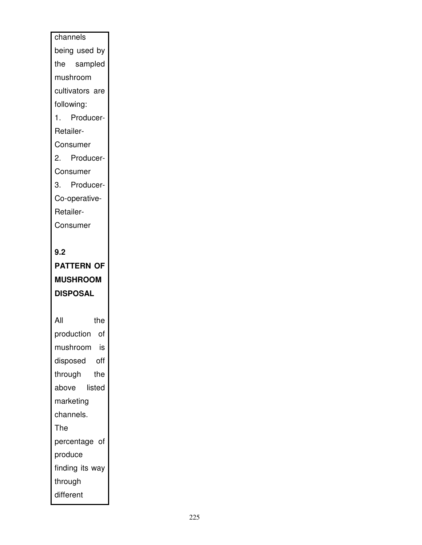# channels being used by the sampled mushroom cultivators are following: 1. Producer-Retailer-Consumer 2. Producer-Consumer 3. Producer-Co-operative-Retailer-Consumer **9.2 PATTERN OF MUSHROOM DISPOSAL**  All the production of mushroom is disposed off through the above listed marketing channels.

The

produce

through different

percentage of

finding its way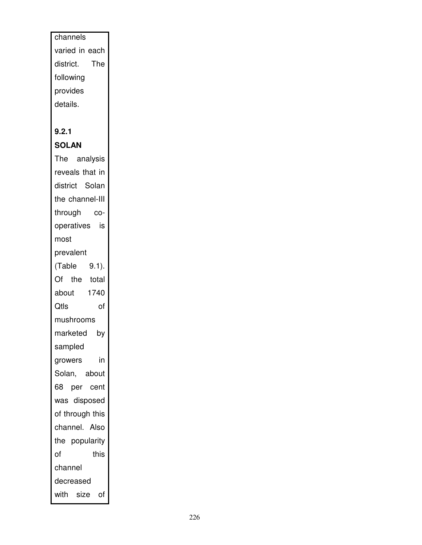channels varied in each district. The following provides details.

### **9.2.1**

**SOLAN** 

The analysis reveals that in district Solan the channel-III through cooperatives is most prevalent (Table 9.1). Of the total about 1740 Qtls of mushrooms marketed by sampled growers in Solan, about 68 per cent was disposed of through this channel. Also the popularity of this channel decreased with size of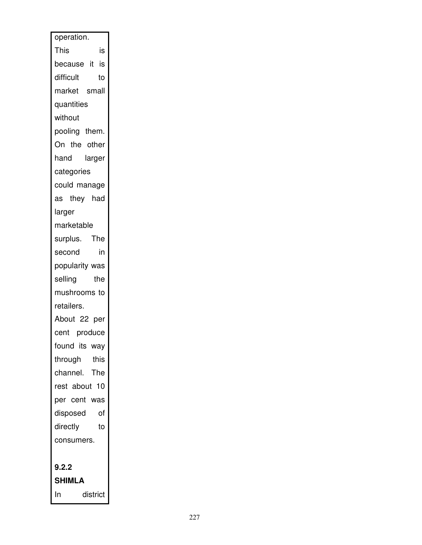| operation.      |
|-----------------|
| This<br>is      |
| because it is   |
| difficult<br>to |
| market small    |
| quantities      |
| without         |
| pooling them.   |
| On the other    |
| hand<br>larger  |
| categories      |
| could manage    |
| as they had     |
| larger          |
| marketable      |
| surplus. The    |
| in<br>second    |
| popularity was  |
| selling<br>the  |
| mushrooms to    |
| retailers.      |
| About 22 per    |
| cent produce    |
| found its way   |
| through<br>this |
| channel. The    |
| rest about 10   |
| per cent was    |
| disposed<br>of  |
| directly<br>to  |
| consumers.      |
|                 |
| 9.2.2           |
| <b>SHIMLA</b>   |
| In<br>district  |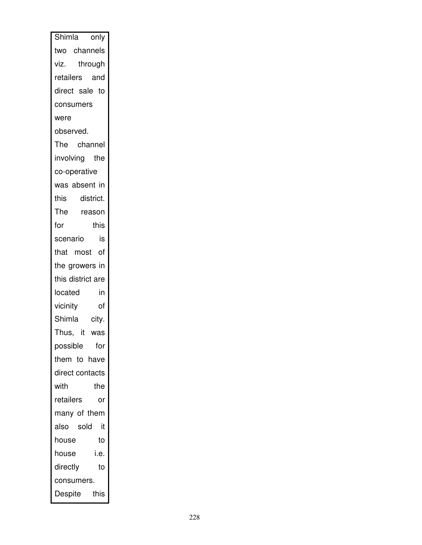| Shimla only       |
|-------------------|
| two channels      |
| viz. through      |
| retailers and     |
| direct sale to    |
| consumers         |
| were              |
| observed.         |
| The channel       |
| involving the     |
| co-operative      |
| was absent in     |
| this district.    |
| The reason        |
| for<br>this       |
| scenario<br>is    |
| that most of      |
| the growers in    |
| this district are |
| in<br>located     |
| vicinity<br>οf    |
| Shimla city.      |
| Thus, it<br>was   |
| for<br>possible   |
| them to have      |
| direct contacts   |
| with<br>the       |
| retailers<br>or   |
| many of them      |
| also sold<br>it   |
| house<br>to       |
| i.e.<br>house     |
| directly<br>to    |
| consumers.        |
| Despite<br>this   |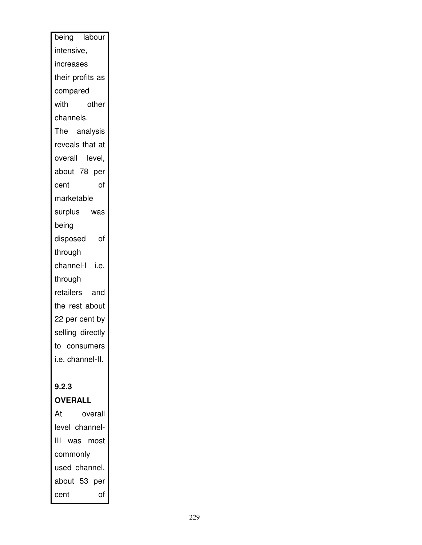| being labour      |
|-------------------|
| intensive,        |
| increases         |
| their profits as  |
| compared          |
| other<br>with     |
| channels.         |
| The analysis      |
| reveals that at   |
| overall<br>level, |
| about 78 per      |
| of<br>cent        |
| marketable        |
| surplus<br>was    |
| being             |
| disposed<br>of    |
| through           |
| channel-l i.e.    |
| through           |
| retailers<br>and  |
| the rest about    |
| 22 per cent by    |
| selling directly  |
| to consumers      |
| i.e. channel-II.  |
| 9.2.3             |
| <b>OVERALL</b>    |
| At<br>overall     |
| level channel-    |
| ШL<br>was most    |
| commonly          |
| used channel,     |
| about 53<br>per   |
| of<br>cent        |
|                   |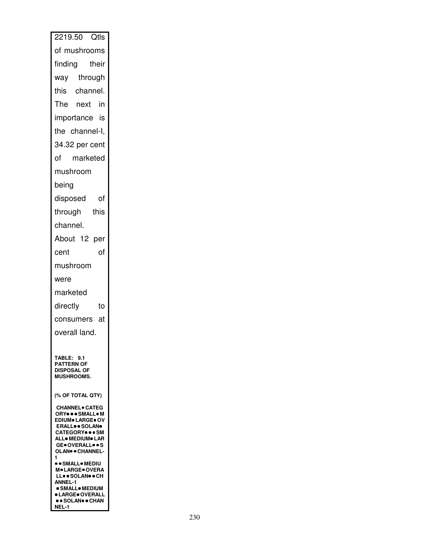| 2219.50 Qtls                                                      |
|-------------------------------------------------------------------|
| of mushrooms                                                      |
| finding<br>their                                                  |
| way through                                                       |
| this channel.                                                     |
| The next in                                                       |
| importance is                                                     |
| the channel-I,                                                    |
| 34.32 per cent                                                    |
| marketed<br>of                                                    |
| mushroom                                                          |
| being                                                             |
| disposed of                                                       |
| through this                                                      |
| channel.                                                          |
| About 12 per                                                      |
| of<br>cent                                                        |
| mushroom                                                          |
| were                                                              |
| marketed                                                          |
| directly<br>to                                                    |
| consumers at                                                      |
| overall land.                                                     |
|                                                                   |
| <b>TABLE: 9.1</b><br><b>PATTERN OF</b>                            |
| <b>DISPOSAL OF</b><br><b>MUSHROOMS.</b>                           |
|                                                                   |
| (% OF TOTAL QTY)                                                  |
| <b>CHANNEL</b> CATEG<br>ORY  SMALL . M<br><b>EDIUM● LARGE● OV</b> |
| <b>ERALL</b> SOLAN <sup>®</sup><br><b>CATEGORY</b> SM             |
| <b>ALL</b> MEDIUM LAR<br><b>GEOVERALLOOS</b>                      |
| <b>OLAN® · CHANNEL-</b><br>1                                      |
| ●●SMALL●MEDIU<br><b>M. LARGE. OVERA</b>                           |
| LL. SOLAN. CH<br><b>ANNEL-1</b><br>· SMALL• MEDIUM                |
| <b>• LARGE</b> OVERALL<br><b>. SOLAN® CHAN</b>                    |
| NEL-1                                                             |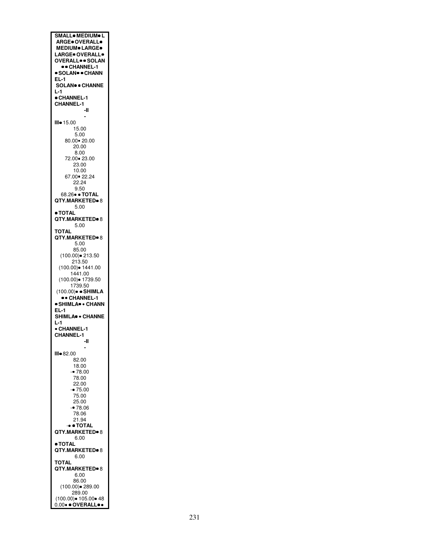**SMALL MEDIUM L ARGE OVERALL MEDIUM LARGE LARGE OVERALL OVERALL SOLAN CHANNEL-1 SOLAN CHANN EL-1 SOLAN CHANNE L-1 CHANNEL-1 CHANNEL-1 -II - III** 15.00 15.00 5.00 80.00 20.00 20.00 8.00 72.00 23.00 23.00 10.00 67.00 22.24 22.24 9.50 68.26 **TOTAL QTY.MARKETED** 8 5.00 **TOTAL QTY.MARKETED** 8 5.00 **TOTAL QTY.MARKETED** 8 5.00 85.00 (100.00) 213.50 213.50 (100.00) 1441.00 1441.00 (100.00) 1739.50 1739.50 (100.00) **SHIMLA CHANNEL-1 SHIMLA CHANN EL-1 SHIMLA CHANNE L-1 CHANNEL-1 CHANNEL-1 -II - III** 82.00 82.00 18.00 - 78.00 78.00 22.00 - 75.00 75.00 25.00 - 78.06 78.06 21.94 - **TOTAL QTY.MARKETED** 8 6.00 **TOTAL QTY.MARKETED** 8 6.00 **TOTAL QTY.MARKETED** 8 6.00 86.00 (100.00) 289.00 289.00 (100.00) 105.00 48 0.00 **OVERALL**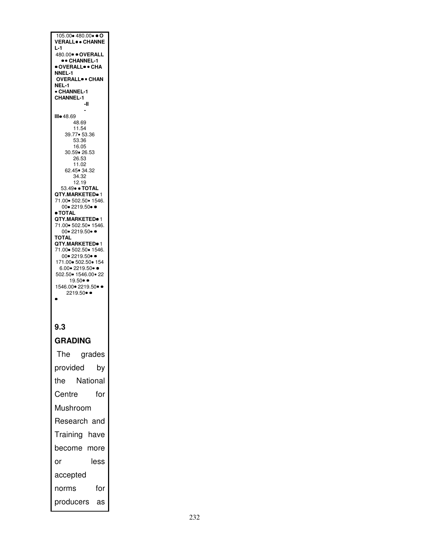105.00 480.00 **O VERALL CHANNE L-1**  480.00 **OVERALL CHANNEL-1 OVERALL CHA NNEL-1 OVERALL CHAN NEL-1 CHANNEL-1 CHANNEL-1 -II - III** 48.69 48.69 11.54 39.77 53.36 53.36 16.05 30.59 26.53 26.53 11.02 62.45 34.32 34.32 12.19 53.49 **TOTAL QTY.MARKETED** 1 71.00 502.50 1546. 00• 2219.50• • **TOTAL QTY.MARKETED** 1 71.00 502.50 1546. 00• 2219.50• • **TOTAL QTY.MARKETED** 1 71.00 502.50 1546. 00 • 2219.50 • 171.00 502.50 154 6.00• 2219.50• ● 502.50 1546.00 22 19.50• • 1546.00• 2219.50• ●  $2219.50 \bullet$  $\bullet$ 

#### **9.3**

**GRADING** 

The grades provided by the National Centre for Mushroom Research and Training have become more or less accepted norms for producers as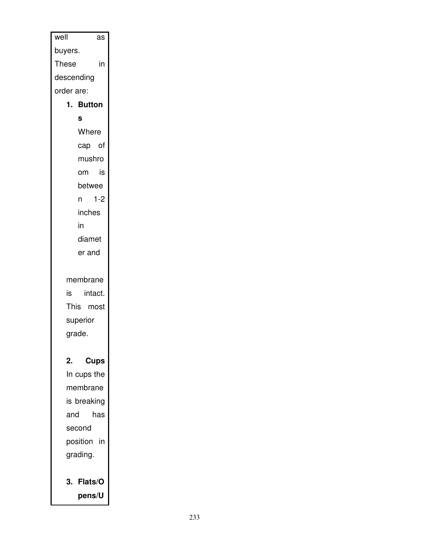| well       | as          |  |
|------------|-------------|--|
| buyers.    |             |  |
| These      | in          |  |
| descending |             |  |
| order are: |             |  |
|            | 1. Button   |  |
|            | S           |  |
|            | Where       |  |
|            | cap of      |  |
|            | mushro      |  |
|            | is<br>om    |  |
|            | betwee      |  |
|            | $1-2$<br>n. |  |
|            | inches      |  |
|            | in          |  |
|            | diamet      |  |
|            | er and      |  |
|            | membrane    |  |
| is         | intact.     |  |
|            | This most   |  |
|            | superior    |  |
| grade.     |             |  |
|            |             |  |
| 2.         | <b>Cups</b> |  |
|            | In cups the |  |
|            | membrane    |  |
|            | is breaking |  |
| and        | has         |  |
| second     |             |  |
|            | position in |  |
|            | grading.    |  |
|            | 3. Flats/O  |  |
|            | pens/U      |  |
|            |             |  |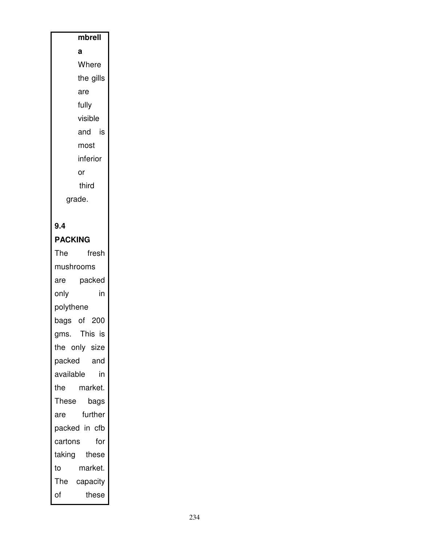### **mbrell a**  Where the gills are fully visible and is most inferior or third

grade.

### **9.4**

**PACKING** 

The fresh mushrooms are packed only in polythene bags of 200 gms. This is the only size packed and available in the market. These bags are further packed in cfb cartons for taking these to market. The capacity of these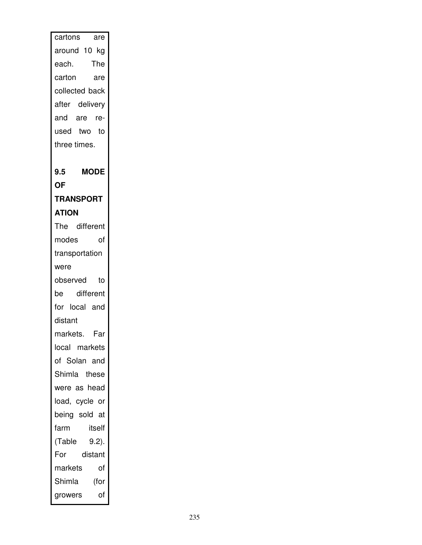| cartons<br>are     |
|--------------------|
| around 10 kg       |
| each. The          |
| carton<br>are      |
| collected back     |
| after delivery     |
| and are re-        |
| used two to        |
| three times.       |
|                    |
| <b>MODE</b><br>9.5 |
| <b>OF</b>          |
| <b>TRANSPORT</b>   |
| <b>ATION</b>       |
| The different      |
| modes<br>of        |
| transportation     |
| were               |
| observed<br>to     |
| different<br>be    |
| for local and      |
| distant            |
| markets. Far       |
| local markets      |
| of Solan and       |
| Shimla these       |
| were as head       |
|                    |
| load, cycle or     |
| being sold at      |
| farm<br>itself     |
| $9.2$ ).<br>(Table |
| For<br>distant     |
| markets<br>of      |
| Shimla<br>(for     |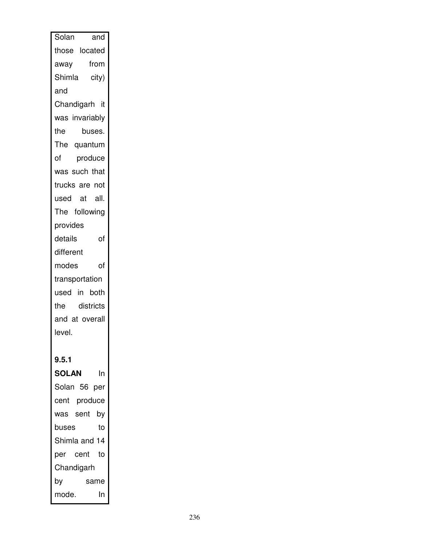| Solan<br>and       |
|--------------------|
| those located      |
| from<br>away       |
| Shimla city)       |
| and                |
| Chandigarh it      |
| was invariably     |
| the<br>buses.      |
| The quantum        |
| of<br>produce      |
| was such that      |
| trucks are not     |
| used at all.       |
| The following      |
| provides           |
| details<br>of      |
| different          |
| of<br>modes        |
| transportation     |
| used in both       |
| the districts      |
| and at overall     |
| level.             |
|                    |
| 9.5.1              |
| <b>SOLAN</b><br>In |
| Solan 56 per       |
| cent produce       |
| was sent<br>by     |
| to<br>buses        |
| Shimla and 14      |
| per cent<br>to     |
| Chandigarh         |
| by<br>same         |
| In<br>mode.        |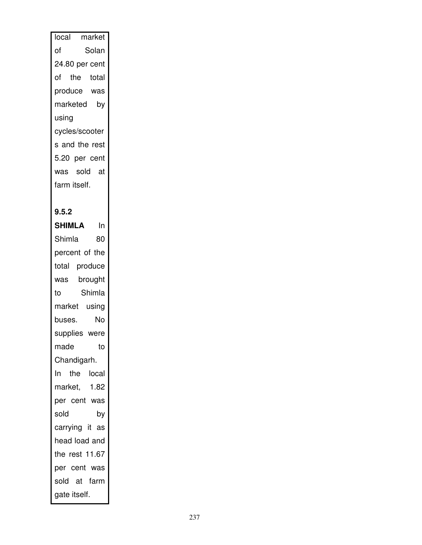| local market   |       |
|----------------|-------|
| Ωf             | Solan |
| 24.80 per cent |       |
| of the total   |       |
| produce was    |       |
| marketed       | by    |
| using          |       |
| cycles/scooter |       |
| s and the rest |       |
| 5.20 per cent  |       |
| was sold at    |       |
| farm itself.   |       |
|                |       |

#### **9.5.2**

**SHIMLA** In Shimla 80 percent of the total produce was brought to Shimla market using buses. No supplies were made to Chandigarh. In the local market, 1.82 per cent was sold by carrying it as head load and the rest 11.67 per cent was sold at farm gate itself.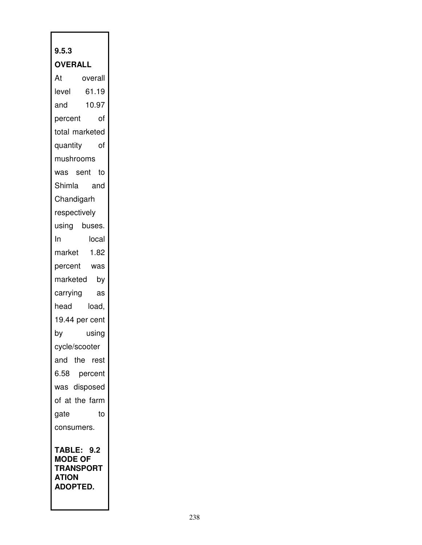## **9.5.3 OVERALL**  At overall level 61.19 and 10.97 percent of total marketed quantity of mushrooms was sent to Shimla and **Chandigarh** respectively using buses. In local market 1.82 percent was marketed by carrying as head load, 19.44 per cent by using cycle/scooter and the rest 6.58 percent was disposed of at the farm gate to consumers. **TABLE: 9.2 MODE OF TRANSPORT ATION ADOPTED.**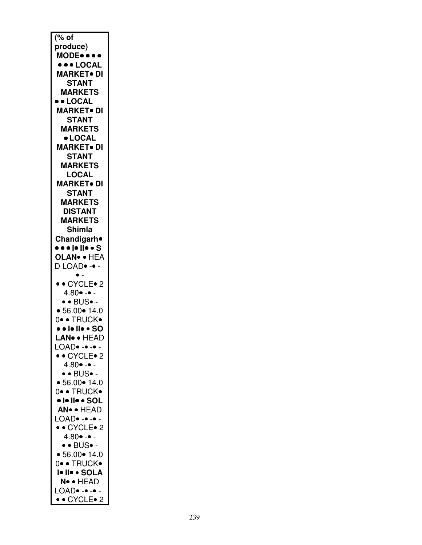| % of                                                  |
|-------------------------------------------------------|
|                                                       |
| produce)                                              |
| MODE                                                  |
|                                                       |
| <b>•••LOCAL</b>                                       |
| <b>MARKET</b> • DI                                    |
|                                                       |
| <b>STANT</b>                                          |
| <b>MARKETS</b>                                        |
|                                                       |
| <b>LOCAL</b>                                          |
| <b>MARKET</b> DI                                      |
|                                                       |
| <b>STANT</b>                                          |
| <b>MARKETS</b>                                        |
|                                                       |
| · LOCAL                                               |
| <b>MARKET• DI</b>                                     |
|                                                       |
| <b>STANT</b>                                          |
| <b>MARKETS</b>                                        |
|                                                       |
| <b>LOCAL</b>                                          |
| <b>MARKET• DI</b>                                     |
|                                                       |
| <b>STANT</b>                                          |
| <b>MARKETS</b>                                        |
|                                                       |
| <b>DISTANT</b>                                        |
| <b>MARKETS</b>                                        |
|                                                       |
| <b>Shimla</b>                                         |
| Chandigarh <sup>o</sup>                               |
|                                                       |
| • • •  •   • • S                                      |
| OLAN <sup>®</sup> • HEA                               |
|                                                       |
|                                                       |
| D LOAD. -.                                            |
|                                                       |
|                                                       |
|                                                       |
| • • CYCLE• 2                                          |
| $4.80 \bullet - \bullet -$                            |
| $\bullet$ $\bullet$ $\overline{\text{BUS}} \bullet$ - |
|                                                       |
| • 56.00 • 14.0                                        |
|                                                       |
| 0• • TRUCK•                                           |
| <b>••</b>  •   • • SO                                 |
| <b>LAN</b> ·· HEAD                                    |
|                                                       |
| LOAD. -                                               |
| • • CYCLE• 2                                          |
|                                                       |
| $4.80 \bullet - \bullet -$                            |
| $\bullet$ $\bullet$ BUS $\bullet$ -                   |
|                                                       |
| • 56.00 • 14.0                                        |
| 0• • TRUCK•                                           |
|                                                       |
| •  •   • • SOL                                        |
| AN · HEAD                                             |
|                                                       |
| LOAD. -                                               |
| • • CYCLE• 2                                          |
|                                                       |
| $4.80 \cdot - \cdot -$                                |
| $\bullet$ $\bullet$ BUS $\bullet$ -                   |
|                                                       |
| • 56.00 • 14.0                                        |
| 0• • TRUCK•                                           |
|                                                       |
| I <b>• II• •</b> Sola                                 |
| N• • HEAD                                             |
|                                                       |
| LOAD<br>• • CYCLE• 2                                  |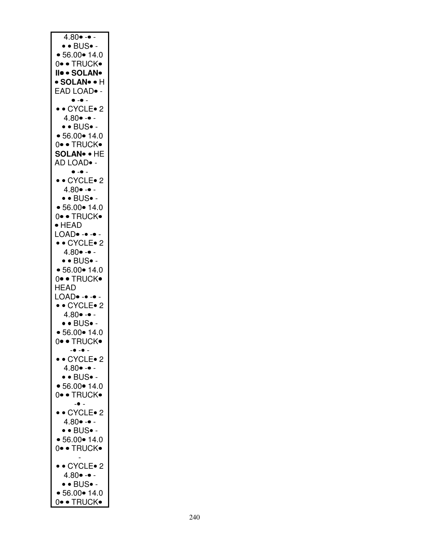| $4.80 - -$                             |
|----------------------------------------|
|                                        |
| $\bullet\bullet$ BUS $\bullet$ -       |
| • 56.00 • 14.0                         |
|                                        |
| 0• • TRUCK•                            |
| II. SOLAN.                             |
|                                        |
| • SOLAN• • H                           |
| EAD LOAD <sup>.</sup> -                |
|                                        |
| $\bullet$ - $\bullet$ -                |
|                                        |
| $\bullet\bullet$ CYCLE $\bullet$ 2     |
| $4.80 \cdot - \cdot$                   |
|                                        |
| $\bullet\bullet{\sf BUS}\bullet$ -     |
| • 56.00 • 14.0                         |
|                                        |
| 0• • TRUCK•                            |
| <b>SOLAN• • HE</b>                     |
|                                        |
| AD LOAD• -                             |
|                                        |
| $\bullet$ $\text{-}\bullet$ $\text{-}$ |
| • • CYCLE• 2                           |
|                                        |
| $4.80 \bullet - \bullet -$             |
| $\bullet$ $\bullet$ BUS $\bullet$ -    |
|                                        |
| • 56.00 • 14.0                         |
| 0• • TRUCK•                            |
|                                        |
| $\bullet$ HEAD                         |
|                                        |
| LOAD• -• -• -                          |
| • • CYCLE• 2                           |
|                                        |
| $4.80 \bullet - \bullet -$             |
| $\bullet$ • BUS $\bullet$ -            |
|                                        |
| • 56.00 • 14.0                         |
| 0• • TRUCK•                            |
|                                        |
| HEAD                                   |
|                                        |
| LOAD. -                                |
| • • CYCLE• 2                           |
|                                        |
| $4.80 \bullet - \bullet -$             |
| $\bullet$ • BUS $\bullet$ -            |
|                                        |
| • 56.00 • 14.0                         |
| 0∙ • TRUCK•                            |
|                                        |
| $   -$                                 |
| • • CYCLE• 2                           |
|                                        |
| $4.80 \bullet - \bullet -$             |
| $\bullet$ • BUS $\bullet$ -            |
|                                        |
| • 56.00 • 14.0                         |
|                                        |
| 0• • TRUCK•                            |
|                                        |
|                                        |
| • • CYCLE • 2                          |
| $4.80 \cdot - \cdot -$                 |
|                                        |
| $\bullet$ • BUS $\bullet$ -            |
|                                        |
| • 56.00 • 14.0                         |
| 0• • TRUCK•                            |
|                                        |
|                                        |
| • • CYCLE • 2                          |
|                                        |
| $4.80 \bullet - \bullet -$             |
| $\bullet$ $\bullet$ BUS $\bullet$ -    |
|                                        |
| • 56.00 • 14.0                         |
| 0• • TRUCK•                            |
|                                        |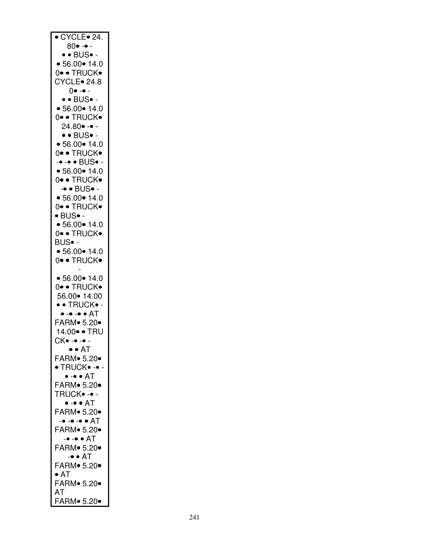| $\overline{\bullet}$ CYCLE $\overline{\bullet}$ 24. |
|-----------------------------------------------------|
|                                                     |
|                                                     |
| 80• -• -                                            |
|                                                     |
| $\bullet$ • BUS $\bullet$ -                         |
| • 56.00 • 14.0                                      |
|                                                     |
| 0• • TRUCK•                                         |
|                                                     |
| CYCLE · 24.8                                        |
| $0 \bullet - \bullet -$                             |
|                                                     |
| $\bullet$ $\bullet$ BUS $\bullet$ -                 |
|                                                     |
| • 56.00 • 14.0                                      |
| 0• • TRUCK•                                         |
|                                                     |
| $24.80 \bullet - \bullet -$                         |
|                                                     |
| $\bullet\bullet{\mathsf{BUS}}\bullet$ -             |
|                                                     |
| • 56.00 • 14.0                                      |
| 0• • TRUCK•                                         |
|                                                     |
| -• -• • BUS• -                                      |
|                                                     |
| • 56.00 • 14.0                                      |
| 0• • TRUCK•                                         |
|                                                     |
| -• • BUS• -                                         |
|                                                     |
| • 56.00 • 14.0                                      |
|                                                     |
| 0• • TRUCK•                                         |
| $\bullet$ BUS $\bullet$ -                           |
|                                                     |
| • 56.00 • 14.0                                      |
|                                                     |
| 0• • TRUCK•                                         |
| BUS• -                                              |
|                                                     |
| • 56.00 • 14.0                                      |
|                                                     |
| 0. TRUCK.                                           |
|                                                     |
|                                                     |
|                                                     |
|                                                     |
| • 56.00 • 14.0                                      |
|                                                     |
| 0• • TRUCK•                                         |
| 56.00 • 14.00                                       |
|                                                     |
| • • TRUCK• -                                        |
|                                                     |
| $\bullet$ - $\bullet$ - $\bullet$ AT                |
| FARM. 5.20.                                         |
|                                                     |
| 14.00 · TRU                                         |
|                                                     |
| CK• -• -• -                                         |
| $\bullet\bullet$ at                                 |
|                                                     |
| FARM. 5.20.                                         |
|                                                     |
| $\bullet$ TRUCK $\bullet$ - $\bullet$ -             |
|                                                     |
| $\bullet$ - $\bullet$ $\bullet$ $\overline{AT}$     |
| FARM. 5.20.                                         |
|                                                     |
| TRUCK                                               |
|                                                     |
| • -• • AT                                           |
| <b>FARM</b> 5.20                                    |
|                                                     |
| -• -• -• • AT                                       |
|                                                     |
| FARM. 5.20.                                         |
|                                                     |
| -• -• • AT                                          |
|                                                     |
| FARM. 5.20.                                         |
| $-• • A$                                            |
|                                                     |
| FARM. 5.20.                                         |
| $\bullet$ AT                                        |
|                                                     |
| FARM. 5.20.                                         |
|                                                     |
| AT<br>FARM• 5.20•                                   |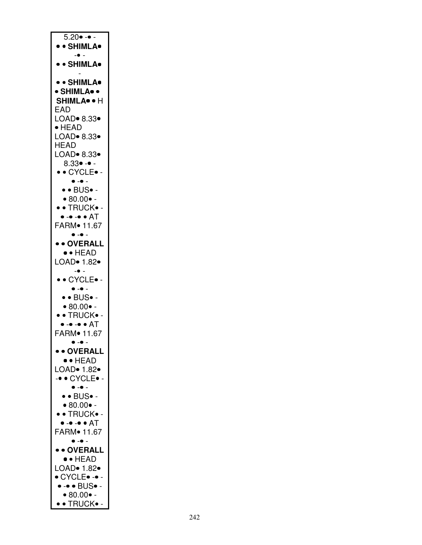| $5.20 - -$                                                                                 |
|--------------------------------------------------------------------------------------------|
| • • SHIMLA•                                                                                |
| $ \bullet$ $-$                                                                             |
|                                                                                            |
| • • SHIMLA•                                                                                |
|                                                                                            |
| • • SHIMLA•                                                                                |
| • SHIMLA• •                                                                                |
|                                                                                            |
| SHIMLA <sup>·</sup> + H                                                                    |
| EAD                                                                                        |
| LOAD. 8.33.                                                                                |
| $\bullet$ HEAD                                                                             |
|                                                                                            |
| LOAD• 8.33•                                                                                |
| HEAD                                                                                       |
| LOAD• 8.33•                                                                                |
| $8.33 \bullet - \bullet -$                                                                 |
|                                                                                            |
| • • CYCLE• -                                                                               |
| $\bullet$ . $\bullet$ .                                                                    |
| • • BUS• -                                                                                 |
| $• 80.00 • -$                                                                              |
|                                                                                            |
| • • TRUCK• -                                                                               |
| • -• -• • AT                                                                               |
| FARM <sup>•</sup> 11.67                                                                    |
| $\bullet - \bullet -$                                                                      |
|                                                                                            |
| • • OVERALL                                                                                |
| $\bullet\bullet$ head                                                                      |
| LOAD• 1.82•                                                                                |
| $\bullet$ -                                                                                |
|                                                                                            |
| ·· CYCLE•-                                                                                 |
| $\bullet$ $-\bullet$ .                                                                     |
| $\bullet\bullet{\sf BUS}\bullet$ -                                                         |
|                                                                                            |
| $• 80.00 • -$                                                                              |
| · • TRUCK• -                                                                               |
| • -• -• • AT                                                                               |
| FARM <sup>•</sup> 11.67                                                                    |
|                                                                                            |
| $\bullet$ $\textcolor{red}{\bullet}$ $\textcolor{red}{\bullet}$ $\textcolor{red}{\bullet}$ |
| • • OVERALL                                                                                |
| $\bullet \bullet$ HEAD                                                                     |
| LOAD <sup>•</sup> 1.82•                                                                    |
|                                                                                            |
| -. CYCLE.                                                                                  |
| $\bullet$ - $\bullet$ -                                                                    |
| $\bullet\bullet{\sf BUS}\bullet$ -                                                         |
|                                                                                            |
| $\bullet$ 80.00 $\bullet$ -                                                                |
| • • TRUCK• -                                                                               |
| • -• -• • AT                                                                               |
| FARM <sup>•</sup> 11.67                                                                    |
| $\bullet - \bullet -$                                                                      |
|                                                                                            |
| • • OVERALL                                                                                |
| $\bullet$ + HEAD                                                                           |
| LOAD. 1.82.                                                                                |
|                                                                                            |
| $\bullet$ CYCLE $\bullet$ - $\bullet$ -                                                    |
| • -• • BUS• -                                                                              |
| • 80.00 •                                                                                  |
|                                                                                            |
| • • TRUCK• -                                                                               |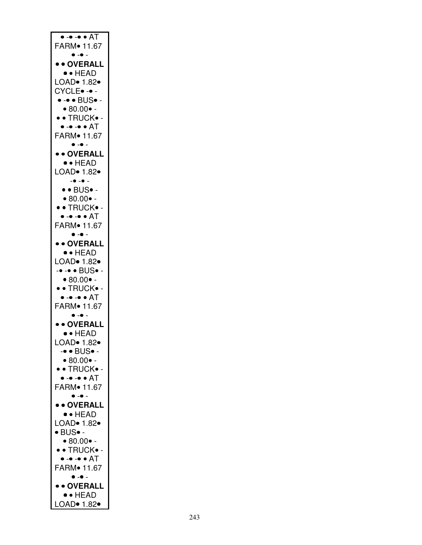| $\bullet$ - $\bullet$ - $\bullet$ AT<br>FARM <sup>•</sup> 11.67                            |
|--------------------------------------------------------------------------------------------|
| $\bullet$ - $\bullet$ -<br>• • OVERALL                                                     |
| $\bullet$ + HEAD<br>LOAD $\bullet$ 1.82 $\bullet$                                          |
| CYCLE •-•-<br>$\bullet$ - $\bullet$ $\bullet$ $\overline{\text{BUS}} \bullet$ -            |
| $• 80.00 • -$<br>• • TRUCK• -                                                              |
| $\bullet$ - $\bullet$ - $\bullet$ $\bullet$ $\overline{\sf AT}$<br>FARM <sup>•</sup> 11.67 |
| $\bullet - \bullet -$<br>• • OVERALL                                                       |
| $\bullet \bullet$ HEAD<br>LOAD <sup>•</sup> 1.82•                                          |
| $-0 - 0 -$<br>$\bullet$ $\bullet$ BUS $\bullet$ -                                          |
| $• 80.00 • -$<br>• • TRUCK• -                                                              |
| • -• -• • AT<br>FARM <sup>•</sup> 11.67                                                    |
| $\bullet$ $-\bullet$ $-$<br>• • OVERALL                                                    |
| $\bullet$ + HEAD<br>LOAD <sup>•</sup> 1.82•                                                |
| -• -• • BUS• -<br>$• 80.00 • -$                                                            |
| · • TRUCK• -<br>$\bullet$ - $\bullet$ - $\bullet$ AT                                       |
| FARM <sup>•</sup> 11.67<br>$\bullet$                                                       |
| • • OVERALL<br>•• HEAD                                                                     |
| LOAD $\bullet$ 1.82 $\bullet$<br>-• • BUS• -                                               |
| $• 80.00 • -$<br>· • TRUCK• -                                                              |
| $\bullet$ - $\bullet$ - $\bullet$ $\bullet$ $\overline{\sf AT}$<br>FARM. 11.67             |
| $\bullet$ $-\bullet$ .<br>• • OVERALL                                                      |
| $\bullet\bullet$ HEAD<br>LOAD• 1.82•                                                       |
| $\bullet$ BUS $\bullet$ -<br>$• 80.00 • -$                                                 |
| · • TRUCK• -<br>• -• -• • AT                                                               |
| FARM <sup>•</sup> 11.67<br>$\bullet$ . $\bullet$ .                                         |
| • • OVERALL<br>$\bullet$ + HEAD                                                            |
| LOAD• 1.82•                                                                                |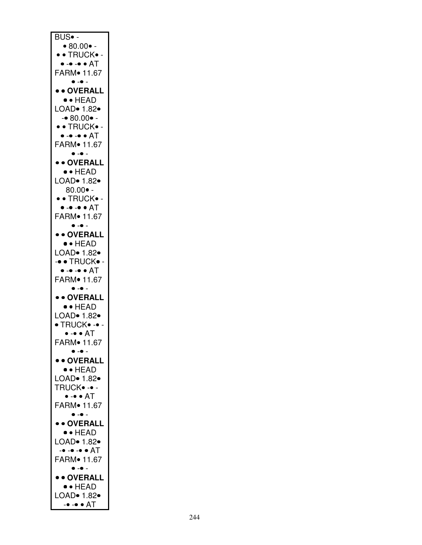| BUS∙ -                                                          |
|-----------------------------------------------------------------|
|                                                                 |
| $\bullet$ 80.00 $\bullet$ -                                     |
| • • TRUCK• -<br>• -• -• • AT                                    |
| FARM <sup>•</sup> 11.67                                         |
| $\bullet$ - $\bullet$ -                                         |
| • • OVERALL                                                     |
| $\bullet \bullet$ HEAD                                          |
| LOAD <sup>•</sup> 1.82•                                         |
| $- 80.00 -$<br>· • TRUCK• -                                     |
| $\bullet$ - $\bullet$ - $\bullet$ $\bullet$ $\overline{\sf AT}$ |
| FARM <sup>•</sup> 11.67                                         |
| $\bullet$ - $\bullet$ -                                         |
| • • OVERALL                                                     |
| $\bullet$ + HEAD<br>LOAD $\bullet$ 1.82 $\bullet$               |
| $80.00 \bullet -$                                               |
| • • TRUCK• -                                                    |
| • -• -• • AT                                                    |
| FARM <sup>•</sup> 11.67                                         |
| $\bullet$ - $\bullet$ -                                         |
| • • OVERALL<br>$\bullet$ + HEAD                                 |
| LOAD. 1.82.                                                     |
| -. TRUCK.                                                       |
| $\bullet$ - $\bullet$ - $\bullet$ $\bullet$ $\overline{\sf AT}$ |
| FARM <sup>•</sup> 11.67                                         |
| $\bullet - \bullet$ .<br>• • OVERALL                            |
| ·· HEAD                                                         |
| LOAD. 1.82.                                                     |
| $\bullet$ TRUCK $\bullet$ - $\bullet$ -                         |
| $\bullet$ - $\bullet$ $\bullet$ $AT$                            |
|                                                                 |
| FARM <sup>•</sup> 11.67                                         |
| $\bullet$ - $\bullet$ -                                         |
| • • OVERALL<br>$\bullet$ + HEAD                                 |
|                                                                 |
| LOAD <sup>•</sup> 1.82•<br>TRUCK                                |
| • -• • AT                                                       |
| FARM <sup>•</sup> 11.67                                         |
| $\bullet$ - $\bullet$ -                                         |
| • • OVERALL<br>$\bullet$ + HEAD                                 |
| LOAD• 1.82•                                                     |
| -• -• -• • AT                                                   |
| FARM <sup>•</sup> 11.67                                         |
| $\bullet$ $-\bullet$ $-$                                        |
| • • OVERALL<br><b>•• HEAD</b>                                   |
| LOAD• 1.82•<br>-• -• • AT                                       |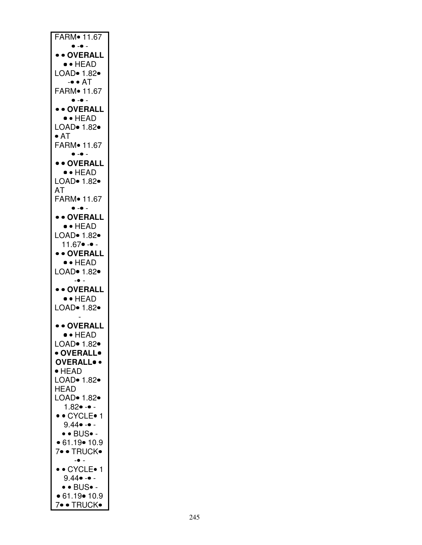| FARM. 11.67                                                 |
|-------------------------------------------------------------|
| $\bullet - \bullet -$<br>• • OVERALL                        |
| $\bullet$ + HEAD                                            |
| LOAD. 1.82.<br>$-• • AT$                                    |
| FARM <sup>•</sup> 11.67                                     |
| $\bullet - \bullet -$<br>• • OVERALL                        |
| $\bullet$ + HEAD                                            |
| LOAD• 1.82•<br>$\bullet$ AT                                 |
| FARM• 11.67<br>$\bullet$ - $\bullet$ -                      |
| • • OVERALL                                                 |
| $\bullet$ + HEAD                                            |
| LOAD <sup>•</sup> 1.82•<br>AT                               |
| FARM• 11.67<br>$\bullet$ - $\bullet$ -                      |
| • • OVERALL                                                 |
| $\bullet$ + HEAD<br>LOAD <sup>•</sup> 1.82•                 |
| $11.67 \bullet - \bullet -$                                 |
| • • OVERALL                                                 |
| ·· HEAD<br>LOAD• 1.82•                                      |
| $ \bullet$ $-$<br>• • OVERALL                               |
| $\bullet$ + HEAD                                            |
| LOAD $\bullet$ 1.82 $\bullet$                               |
| • • OVERALL                                                 |
| •• HEAD<br>LOAD• 1.82•                                      |
| • OVERALL•                                                  |
| <b>OVERALLO .</b>                                           |
| $\bullet$ HEAD<br>LOAD. 1.82.                               |
| <b>HEAD</b>                                                 |
| LOAD $\bullet$ 1.82 $\bullet$<br>$1.82 \bullet - \bullet -$ |
| • • CYCLE• 1                                                |
| $9.44 \bullet - \bullet -$<br>$\bullet$ • BUS $\bullet$ -   |
| • 61.19 • 10.9                                              |
| 7• • TRUCK•<br>$\bullet$ .                                  |
| $\bullet\bullet$ CYCLE $\bullet$ 1                          |
| 9.44● -● -<br>$\bullet$ • BUS $\bullet$ -                   |
| • 61.19 • 10.9                                              |
| 7• • TRUCK•                                                 |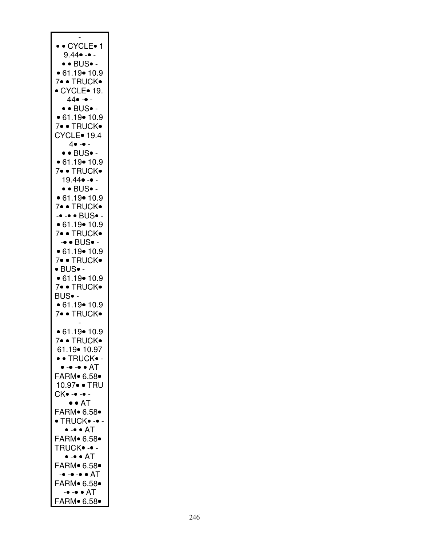| • • CYCLE• 1                                         |
|------------------------------------------------------|
| $9.44 \bullet - \bullet -$                           |
| $\bullet$ • BUS $\bullet$ -                          |
| $\bullet$ 61.19 $\bullet$ 10.9                       |
| 7• • TRUCK•<br>● CYCLE● 19.                          |
| $44 \bullet - \bullet -$                             |
| $\bullet$ $\bullet$ BUS $\bullet$ -                  |
| • 61.19 • 10.9                                       |
| 7• • TRUCK•<br><b>CYCLE</b> 19.4                     |
| $4 \bullet - \bullet -$                              |
| $\bullet\bullet$ BUS $\bullet$ -                     |
| • 61.19 • 10.9                                       |
| 7• • TRUCK•<br>19.44• -• -                           |
| $\bullet$ $\bullet$ BUS $\bullet$ -                  |
| • 61.19 • 10.9                                       |
| 7• • TRUCK•                                          |
| -• -• • BUS• -<br>• 61.19 • 10.9                     |
| 7• • TRUCK•                                          |
| $\text{-}\bullet$ BUS $\bullet$ -                    |
| $\bullet$ 61.19 $\bullet$ 10.9<br>7• • TRUCK•        |
| $\bullet$ BUS $\bullet$ -                            |
| • 61.19 • 10.9                                       |
| 7• • TRUCK•                                          |
| BUS∙ -<br>• 61.19 • 10.9                             |
| 7• • TRUCK•                                          |
|                                                      |
| • 61.19 • 10.9<br>· TRUCK<br>$\overline{7}$          |
| 61.19• 10.97                                         |
| • • TRUCK• -                                         |
| • -• -• • AT                                         |
| FARM. 6.58.<br>10.97• • TRU                          |
| .<br>- •- • - CK                                     |
| $\bullet$ $\bullet$ AT                               |
| FARM. 6.58.                                          |
| $\bullet$ TRUCK $\bullet$ - $\bullet$ -<br>• -• • AT |
| FARM. 6.58.                                          |
| TRUCK• -• -                                          |
| • -• • AT<br>FARM. 6.58.                             |
| -• -• -• • AT                                        |
| FARM. 6.58.                                          |
| -• -• • AT                                           |
| FARM. 6.58.                                          |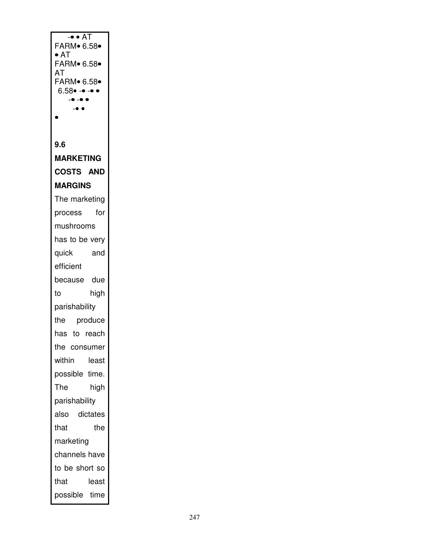| $-• • AT$<br>FARM∙ 6.58∙                         |  |  |  |  |
|--------------------------------------------------|--|--|--|--|
| $\bullet$ AT                                     |  |  |  |  |
| <b>FARM</b> 6.58<br>AT                           |  |  |  |  |
| FARM. 6.58.                                      |  |  |  |  |
| $6.58 \bullet - \bullet - \bullet$<br>$-0 - 0 0$ |  |  |  |  |
| $-•$<br>0                                        |  |  |  |  |
|                                                  |  |  |  |  |
| 9.6                                              |  |  |  |  |
| <b>MARKETING</b>                                 |  |  |  |  |
| <b>COSTS AND</b>                                 |  |  |  |  |
| <b>MARGINS</b>                                   |  |  |  |  |
| The marketing                                    |  |  |  |  |
| for<br>process                                   |  |  |  |  |
| mushrooms                                        |  |  |  |  |
| has to be very                                   |  |  |  |  |
| quick<br>and                                     |  |  |  |  |
| efficient                                        |  |  |  |  |
| because due                                      |  |  |  |  |
| high<br>to                                       |  |  |  |  |
| parishability                                    |  |  |  |  |
| the produce                                      |  |  |  |  |
| has to reach                                     |  |  |  |  |
| the consumer                                     |  |  |  |  |
| within<br>least                                  |  |  |  |  |
| possible time.                                   |  |  |  |  |
| The<br>high                                      |  |  |  |  |
| parishability                                    |  |  |  |  |
| also dictates                                    |  |  |  |  |
| that<br>the                                      |  |  |  |  |
| marketing                                        |  |  |  |  |
| channels have                                    |  |  |  |  |
| to be short so                                   |  |  |  |  |
| that<br>least                                    |  |  |  |  |
| possible time                                    |  |  |  |  |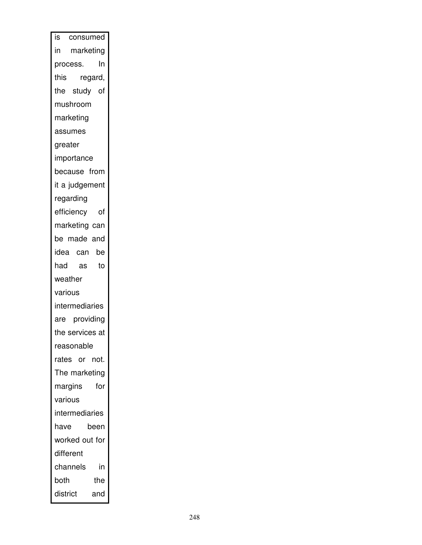| is consumed      |  |  |  |  |
|------------------|--|--|--|--|
| in marketing     |  |  |  |  |
| In<br>process.   |  |  |  |  |
| this<br>regard,  |  |  |  |  |
| the study of     |  |  |  |  |
| mushroom         |  |  |  |  |
| marketing        |  |  |  |  |
| assumes          |  |  |  |  |
| greater          |  |  |  |  |
| importance       |  |  |  |  |
| because from     |  |  |  |  |
| it a judgement   |  |  |  |  |
| regarding        |  |  |  |  |
| efficiency<br>of |  |  |  |  |
| marketing can    |  |  |  |  |
| be made and      |  |  |  |  |
| idea can be      |  |  |  |  |
| had<br>as<br>to  |  |  |  |  |
| weather          |  |  |  |  |
| various          |  |  |  |  |
| intermediaries   |  |  |  |  |
| are providing    |  |  |  |  |
| the services at  |  |  |  |  |
| reasonable       |  |  |  |  |
| rates or not.    |  |  |  |  |
| The marketing    |  |  |  |  |
| margins<br>for   |  |  |  |  |
| various          |  |  |  |  |
| intermediaries   |  |  |  |  |
| have<br>been     |  |  |  |  |
| worked out for   |  |  |  |  |
| different        |  |  |  |  |
| channels<br>in   |  |  |  |  |
| both<br>the      |  |  |  |  |
| district<br>and  |  |  |  |  |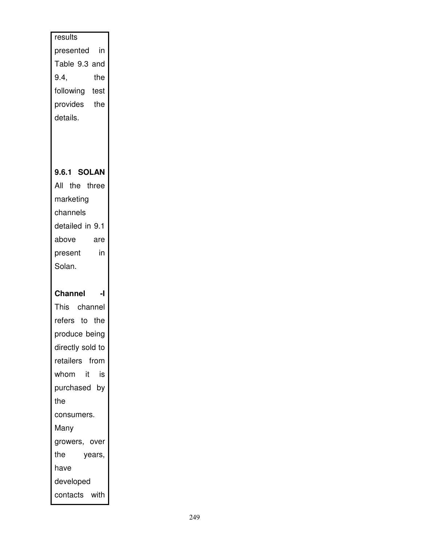| results<br>in<br>presented<br>Table 9.3 and<br>9.4,<br>the<br>following test<br>provides the<br>details.<br>9.6.1 SOLAN<br>All the three<br>marketing<br>channels<br>detailed in 9.1<br>above<br>are<br>in<br>present<br>Solan.<br><b>Channel</b><br>$\mathbf{I}$<br>This channel<br>refers to the<br>produce being<br>directly sold to<br>retailers from<br>whom it<br>is<br>purchased by<br>the<br>consumers.<br>Many<br>growers, over<br>the<br>years, |               |  |  |  |  |
|-----------------------------------------------------------------------------------------------------------------------------------------------------------------------------------------------------------------------------------------------------------------------------------------------------------------------------------------------------------------------------------------------------------------------------------------------------------|---------------|--|--|--|--|
|                                                                                                                                                                                                                                                                                                                                                                                                                                                           |               |  |  |  |  |
|                                                                                                                                                                                                                                                                                                                                                                                                                                                           |               |  |  |  |  |
|                                                                                                                                                                                                                                                                                                                                                                                                                                                           |               |  |  |  |  |
|                                                                                                                                                                                                                                                                                                                                                                                                                                                           |               |  |  |  |  |
|                                                                                                                                                                                                                                                                                                                                                                                                                                                           |               |  |  |  |  |
|                                                                                                                                                                                                                                                                                                                                                                                                                                                           |               |  |  |  |  |
|                                                                                                                                                                                                                                                                                                                                                                                                                                                           |               |  |  |  |  |
|                                                                                                                                                                                                                                                                                                                                                                                                                                                           |               |  |  |  |  |
|                                                                                                                                                                                                                                                                                                                                                                                                                                                           |               |  |  |  |  |
|                                                                                                                                                                                                                                                                                                                                                                                                                                                           |               |  |  |  |  |
|                                                                                                                                                                                                                                                                                                                                                                                                                                                           |               |  |  |  |  |
|                                                                                                                                                                                                                                                                                                                                                                                                                                                           |               |  |  |  |  |
|                                                                                                                                                                                                                                                                                                                                                                                                                                                           |               |  |  |  |  |
|                                                                                                                                                                                                                                                                                                                                                                                                                                                           |               |  |  |  |  |
|                                                                                                                                                                                                                                                                                                                                                                                                                                                           |               |  |  |  |  |
|                                                                                                                                                                                                                                                                                                                                                                                                                                                           |               |  |  |  |  |
|                                                                                                                                                                                                                                                                                                                                                                                                                                                           |               |  |  |  |  |
|                                                                                                                                                                                                                                                                                                                                                                                                                                                           |               |  |  |  |  |
|                                                                                                                                                                                                                                                                                                                                                                                                                                                           |               |  |  |  |  |
|                                                                                                                                                                                                                                                                                                                                                                                                                                                           |               |  |  |  |  |
|                                                                                                                                                                                                                                                                                                                                                                                                                                                           |               |  |  |  |  |
|                                                                                                                                                                                                                                                                                                                                                                                                                                                           |               |  |  |  |  |
|                                                                                                                                                                                                                                                                                                                                                                                                                                                           |               |  |  |  |  |
|                                                                                                                                                                                                                                                                                                                                                                                                                                                           |               |  |  |  |  |
|                                                                                                                                                                                                                                                                                                                                                                                                                                                           |               |  |  |  |  |
|                                                                                                                                                                                                                                                                                                                                                                                                                                                           |               |  |  |  |  |
|                                                                                                                                                                                                                                                                                                                                                                                                                                                           |               |  |  |  |  |
|                                                                                                                                                                                                                                                                                                                                                                                                                                                           |               |  |  |  |  |
|                                                                                                                                                                                                                                                                                                                                                                                                                                                           |               |  |  |  |  |
|                                                                                                                                                                                                                                                                                                                                                                                                                                                           |               |  |  |  |  |
|                                                                                                                                                                                                                                                                                                                                                                                                                                                           |               |  |  |  |  |
|                                                                                                                                                                                                                                                                                                                                                                                                                                                           |               |  |  |  |  |
|                                                                                                                                                                                                                                                                                                                                                                                                                                                           | have          |  |  |  |  |
|                                                                                                                                                                                                                                                                                                                                                                                                                                                           | developed     |  |  |  |  |
|                                                                                                                                                                                                                                                                                                                                                                                                                                                           | contacts with |  |  |  |  |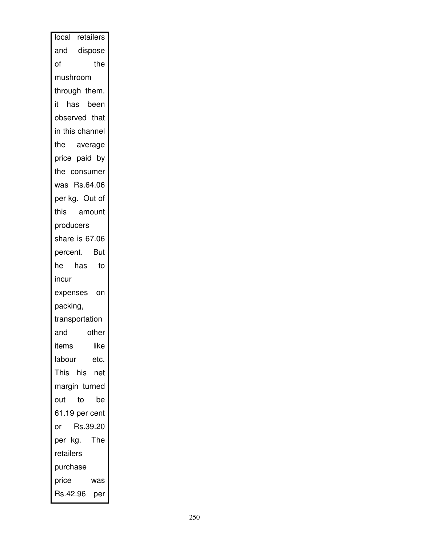|           | local retailers |      |  |  |  |
|-----------|-----------------|------|--|--|--|
|           | and dispose     |      |  |  |  |
| the<br>of |                 |      |  |  |  |
| mushroom  |                 |      |  |  |  |
|           | through them.   |      |  |  |  |
|           | it has been     |      |  |  |  |
|           | observed that   |      |  |  |  |
|           | in this channel |      |  |  |  |
|           | the average     |      |  |  |  |
|           | price paid by   |      |  |  |  |
|           | the consumer    |      |  |  |  |
|           | was Rs.64.06    |      |  |  |  |
|           | per kg. Out of  |      |  |  |  |
|           | this amount     |      |  |  |  |
| producers |                 |      |  |  |  |
|           | share is 67.06  |      |  |  |  |
|           | percent. But    |      |  |  |  |
|           | he has to       |      |  |  |  |
| incur     |                 |      |  |  |  |
|           | expenses on     |      |  |  |  |
| packing,  |                 |      |  |  |  |
|           | transportation  |      |  |  |  |
| and       | other           |      |  |  |  |
| items     |                 | like |  |  |  |
| labour    | etc.            |      |  |  |  |
|           | This his net    |      |  |  |  |
|           | margin turned   |      |  |  |  |
| out       | to              | be   |  |  |  |
|           | 61.19 per cent  |      |  |  |  |
| or        | Rs.39.20        |      |  |  |  |
|           | per kg. The     |      |  |  |  |
| retailers |                 |      |  |  |  |
| purchase  |                 |      |  |  |  |
| price     | was             |      |  |  |  |
|           | Rs.42.96 per    |      |  |  |  |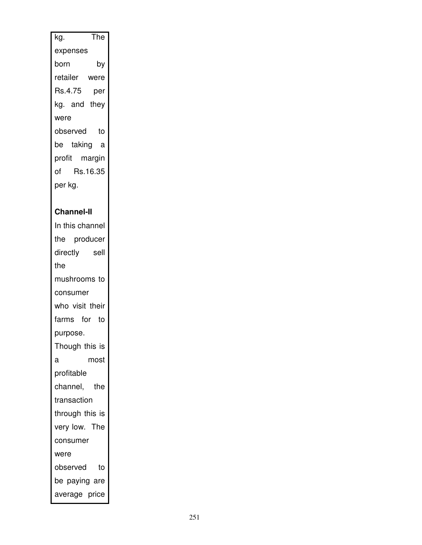| $\overline{\mathsf{The}}$ |
|---------------------------|
| kg.                       |
| expenses                  |
| by<br>born                |
| retailer were             |
| Rs.4.75 per               |
| kg. and they              |
| were                      |
| observed to               |
| be taking a               |
| profit margin             |
| of Rs.16.35               |
| per kg.                   |
|                           |
| <b>Channel-II</b>         |
| In this channel           |
| the producer              |
| directly sell             |
| the                       |
| mushrooms to              |
| consumer                  |
| who visit their           |
| farms for to              |
| purpose.                  |
| Though this is            |
| a<br>most                 |
|                           |
| profitable                |
| channel, the              |
| transaction               |
| through this is           |
| very low. The             |
| consumer                  |
| were                      |
| observed to               |
| be paying are             |
| average price             |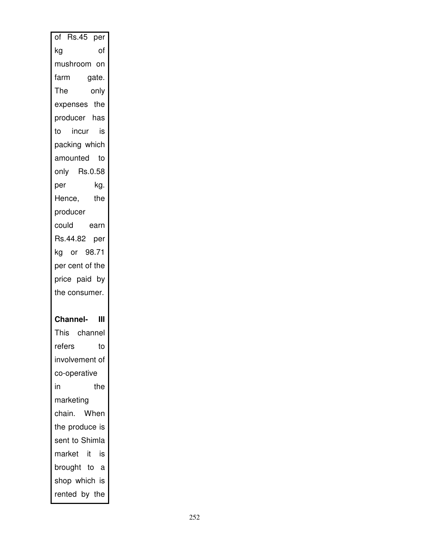| $\overline{of}$ Rs.45 per |
|---------------------------|
| of<br>kg                  |
| mushroom on               |
| farm<br>gate.             |
| The<br>only               |
| expenses the              |
| producer has              |
| incur<br>is<br>to         |
| packing which             |
| amounted<br>to            |
| only Rs.0.58              |
| kg.<br>per                |
| the<br>Hence,             |
| producer                  |
| earn<br>could             |
| Rs.44.82 per              |
| kg or 98.71               |
| per cent of the           |
| price paid by             |
| the consumer.             |
|                           |
|                           |
| <b>Channel-</b><br>Ш      |
| This channel              |
| refers<br>to              |
| involvement of            |
| co-operative              |
| in<br>the                 |
| marketing                 |
| chain.<br>When            |
| the produce is            |
| sent to Shimla            |
| market it<br>is           |
| brought to<br>a           |
| shop which is             |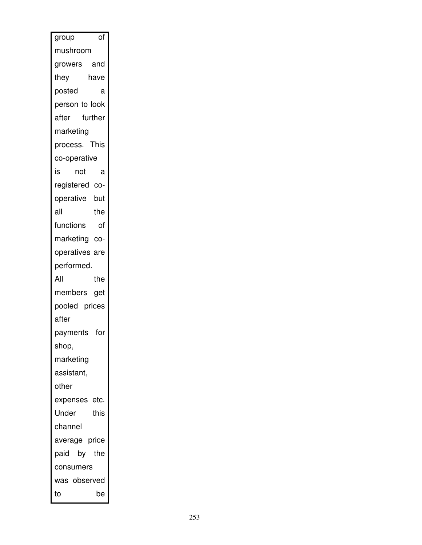| of<br>group      |
|------------------|
| mushroom         |
| and<br>growers   |
| they<br>have     |
| posted<br>а      |
| person to look   |
| after further    |
| marketing        |
| This<br>process. |
| co-operative     |
| is<br>not<br>a   |
| registered co-   |
| but<br>operative |
| all<br>the       |
| functions<br>of  |
| marketing co-    |
| operatives are   |
| performed.       |
| All<br>the       |
| members get      |
| pooled prices    |
| after            |
| payments for     |
| shop,            |
| marketing        |
| assistant,       |
| other            |
| expenses etc.    |
| Under<br>this    |
| channel          |
| average price    |
| paid by the      |
| consumers        |
| was observed     |
| to<br>be         |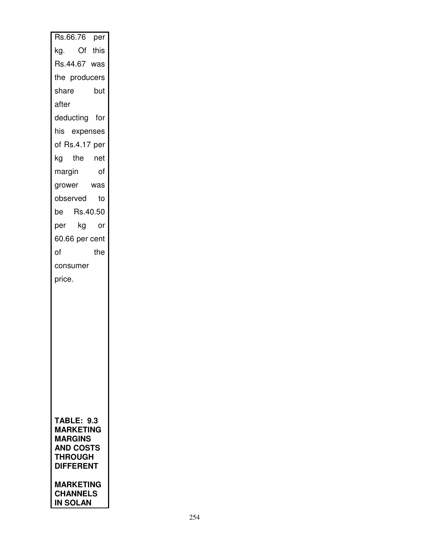| Rs.66.76 per                |
|-----------------------------|
| Of this<br>kg.              |
| Rs.44.67 was                |
| the producers               |
| share<br>but                |
| after                       |
| deducting for               |
| his expenses                |
| of Rs.4.17 per              |
| kg the net                  |
| margin<br>of                |
| grower<br>was               |
| observed<br>to              |
| Rs.40.50<br>be              |
| kg<br>per<br>or             |
| 60.66 per cent              |
| of<br>the                   |
| consumer                    |
| price.                      |
|                             |
|                             |
|                             |
|                             |
|                             |
|                             |
|                             |
|                             |
|                             |
| <b>TABLE: 9.3</b>           |
| <b>MARKETING</b>            |
| MARGINS<br><b>AND COSTS</b> |
| <b>THROUGH</b>              |
| <b>DIFFERENT</b>            |
| MARKETING                   |
| <b>CHANNELS</b><br>IN SOLAN |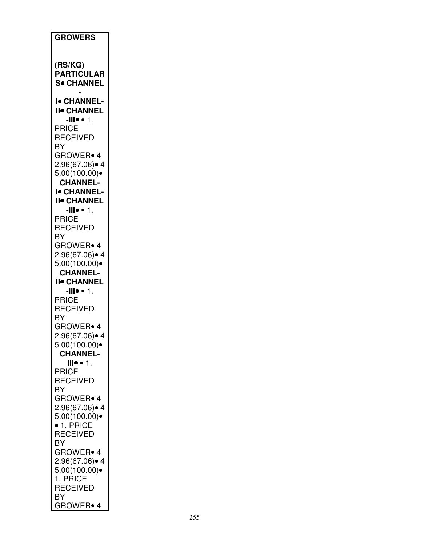| <b>GROWERS</b>                                                                |
|-------------------------------------------------------------------------------|
| (RS/KG)<br><b>PARTICULAR</b><br><b>S</b> . CHANNEL                            |
| <b>I</b> CHANNEL-<br><b>II• CHANNEL</b>                                       |
| - $\mathbf{III} \bullet \bullet 1$ .<br><b>PRICE</b><br><b>RECEIVED</b><br>BY |
| <b>GROWER</b> 4<br>2.96(67.06)• 4<br>5.00(100.00)                             |
| <b>CHANNEL-</b><br>I <sup>.</sup> CHANNEL-<br><b>II</b> CHANNEL               |
| -III $\bullet$ $\bullet$ 1.<br><b>PRICE</b><br><b>RECEIVED</b>                |
| BY<br>GROWER• 4<br>2.96(67.06)● 4                                             |
| 5.00(100.00)<br><b>CHANNEL-</b><br><b>II</b> CHANNEL<br><b>-III• •</b> 1.     |
| <b>PRICE</b><br><b>RECEIVED</b><br>ΒY                                         |
| GROWER <sup>®</sup> 4<br>2.96(67.06)∙ 4<br>5.00(100.00)                       |
| <b>CHANNEL-</b><br>$\mathbf{  }\bullet \bullet \mathbf{1}$ .<br><b>PRICE</b>  |
| <b>RECEIVED</b><br>BY<br>GROWER• 4                                            |
| 2.96(67.06)● 4<br>5.00(100.00)<br>$\bullet$ 1. PRICE                          |
| RECEIVED<br>ΒY<br>GROWER• 4                                                   |
| 2.96(67.06)● 4<br>5.00(100.00)<br>1. PRICE                                    |
| <b>RECEIVED</b><br>BY<br>GROWER• 4                                            |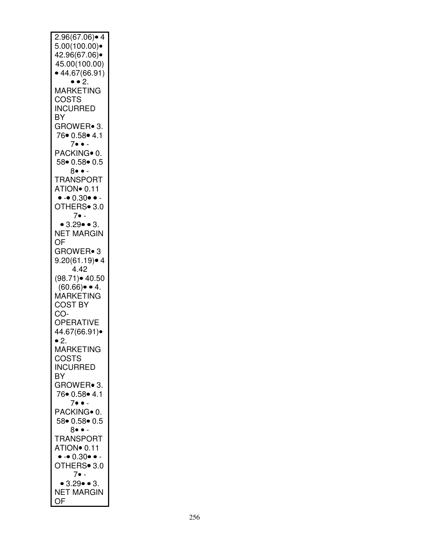| 2.96(67.06)• 4                                     |
|----------------------------------------------------|
|                                                    |
|                                                    |
|                                                    |
| 5.00(100.00)                                       |
| 42.96(67.06)•                                      |
|                                                    |
|                                                    |
| 45.00(100.00)                                      |
|                                                    |
| • 44.67(66.91)                                     |
|                                                    |
| $\bullet$ $\bullet$ 2.                             |
|                                                    |
| <b>MARKETING</b>                                   |
|                                                    |
|                                                    |
| COSTS                                              |
| <b>INCURRED</b>                                    |
|                                                    |
|                                                    |
| BY                                                 |
|                                                    |
| GROWER• 3.                                         |
|                                                    |
| 76 0.58 4.1                                        |
|                                                    |
| $7 \bullet \bullet$ .                              |
|                                                    |
|                                                    |
| PACKING <sup>o</sup> 0.                            |
|                                                    |
| 58• 0.58• 0.5                                      |
|                                                    |
| 8••                                                |
|                                                    |
| <b>TRANSPORT</b>                                   |
|                                                    |
| ATION <sup>o</sup> 0.11                            |
|                                                    |
| $\bullet$ - $\bullet$ $0.30$ $\bullet$ $\bullet$ - |
|                                                    |
|                                                    |
| OTHERS <sup>•</sup> 3.0                            |
|                                                    |
| 7• -                                               |
|                                                    |
| • $3.29 \cdot 3.$                                  |
|                                                    |
| <b>NET MARGIN</b>                                  |
|                                                    |
| OF                                                 |
|                                                    |
|                                                    |
| GROWER• 3                                          |
|                                                    |
| $9.20(61.19)$ • 4                                  |
|                                                    |
| 4.42                                               |
|                                                    |
| $(98.71)$ 40.50                                    |
|                                                    |
| $(60.66) \bullet 4.$                               |
|                                                    |
|                                                    |
| <b>MARKETING</b>                                   |
|                                                    |
| <b>COST BY</b>                                     |
|                                                    |
| CO-                                                |
|                                                    |
|                                                    |
|                                                    |
| OPERATIVE                                          |
|                                                    |
| 44.67(66.91)●                                      |
|                                                    |
| ∙ 2.                                               |
|                                                    |
| <b>MARKETING</b>                                   |
|                                                    |
| COSTS                                              |
|                                                    |
|                                                    |
| <b>INCURRED</b>                                    |
|                                                    |
| BY                                                 |
|                                                    |
| GROWER• 3.                                         |
|                                                    |
| 76● 0.58● 4.1                                      |
|                                                    |
| $7 \bullet \bullet$ -                              |
|                                                    |
| PACKING <sup>o</sup> 0.                            |
|                                                    |
| 58 0.58 0.5                                        |
|                                                    |
| $8 \bullet \bullet$ -                              |
|                                                    |
| <b>TRANSPORT</b>                                   |
|                                                    |
|                                                    |
| ATION <sup>o</sup> 0.11                            |
|                                                    |
| $\bullet - \bullet 0.30 \bullet \bullet -$         |
| OTHERS <sup>•</sup> 3.0                            |
|                                                    |
|                                                    |
| 7• -                                               |
|                                                    |
| • 3.29 • 3.                                        |
|                                                    |
| <b>NET MARGIN</b>                                  |
| OF                                                 |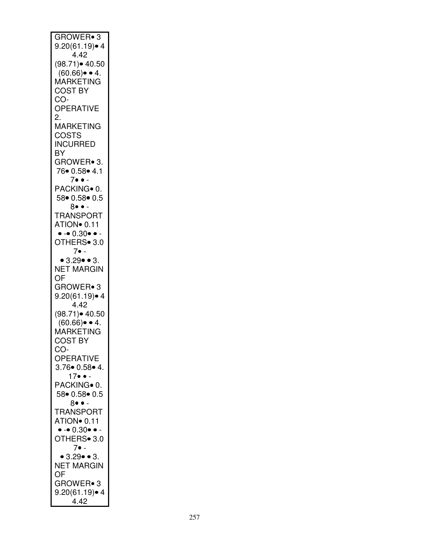| GROWER• 3                                      |
|------------------------------------------------|
|                                                |
|                                                |
|                                                |
| $9.20(61.19) \cdot 4$<br>4.42                  |
|                                                |
|                                                |
| (98.71)● 40.50                                 |
|                                                |
| $(60.66) \bullet 4.$                           |
|                                                |
| <b>MARKETING</b>                               |
| <b>COST BY</b>                                 |
|                                                |
| CO-                                            |
|                                                |
| OPERATIVE                                      |
|                                                |
| 2.                                             |
|                                                |
| <b>MARKETING</b>                               |
|                                                |
| <b>COSTS</b>                                   |
|                                                |
| <b>INCURRED</b>                                |
|                                                |
| BY                                             |
|                                                |
| GROWER• 3.                                     |
|                                                |
| 76• 0.58• 4.1                                  |
|                                                |
| $7 \bullet \bullet$ -                          |
|                                                |
| PACKING• 0.                                    |
|                                                |
| 58 0.58 0.5                                    |
|                                                |
| $8 \bullet \bullet$ .                          |
| <b>TRANSPORT</b>                               |
|                                                |
| ATION <sup>o</sup> 0.11                        |
|                                                |
| $\bullet$ - $\bullet$ 0.30 $\bullet$ $\bullet$ |
|                                                |
| OTHERS• 3.0                                    |
|                                                |
| $7 \bullet$ -                                  |
|                                                |
| • $3.29 \cdot 3.$                              |
|                                                |
| <b>NET MARGIN</b>                              |
|                                                |
| OF                                             |
|                                                |
| GROWER• 3                                      |
|                                                |
| $9.20(61.19)$ • 4                              |
|                                                |
| 4.42                                           |
|                                                |
| (98.71)● 40.50<br>(60.66)● ● 4.<br>MARKETING   |
|                                                |
|                                                |
|                                                |
|                                                |
| <b>COST BY</b>                                 |
|                                                |
| CO-                                            |
|                                                |
|                                                |
|                                                |
| <b>OPERATIVE</b>                               |
|                                                |
| 3.76 • 0.58 • 4.                               |
| $17 \bullet \bullet$                           |
|                                                |
|                                                |
| PACKING <sup>o</sup> 0.                        |
| 58 0.58 0.5                                    |
|                                                |
| 8•• -                                          |
|                                                |
| <b>TRANSPORT</b>                               |
|                                                |
| ATION <sup>o</sup> 0.11                        |
|                                                |
| $\bullet - 0.30 \bullet \bullet$               |
|                                                |
| OTHERS• 3.0                                    |
|                                                |
| $7 \bullet -$                                  |
|                                                |
| • 3.29 • 3.                                    |
| <b>NET MARGIN</b>                              |
|                                                |
| OF                                             |
|                                                |
| GROWER• 3                                      |
|                                                |
|                                                |
| $9.20(61.19)$ $4$<br>4.42                      |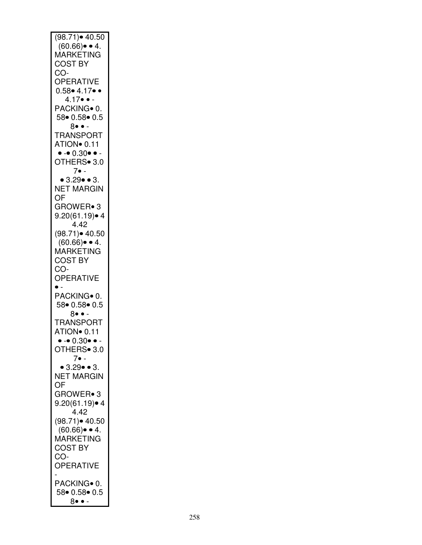| $(98.71)$ 40.50                  |
|----------------------------------|
| $(60.66) \bullet 4.$             |
| MARKETING                        |
|                                  |
| <b>COST BY</b>                   |
| CO-                              |
|                                  |
| <b>OPERATIVE</b>                 |
| $0.58 \cdot 4.17 \cdot \cdot$    |
| $4.17 \bullet -$                 |
|                                  |
| PACKING <sup>o</sup> 0.          |
| 58• 0.58• 0.5                    |
|                                  |
| 8••∙                             |
| <b>TRANSPORT</b>                 |
|                                  |
| ATION <sup>o</sup> 0.11          |
| $\bullet - 0.30 \bullet \bullet$ |
| OTHERS <sup>•</sup> 3.0          |
|                                  |
| $7 \bullet$ -                    |
| • $3.29 \cdot 3.$                |
|                                  |
| <b>NET MARGIN</b>                |
| OF                               |
|                                  |
| GROWER• 3                        |
| $9.20(61.19)$ $4$                |
| 4.42                             |
|                                  |
| $(98.71)$ $\bullet$ 40.50        |
| $(60.66) \bullet 4.$             |
|                                  |
| MARKETING                        |
| <b>COST BY</b>                   |
|                                  |
|                                  |
| CO-                              |
|                                  |
| OPERATIVE                        |
| $\bullet$ -                      |
| PACKING• 0.                      |
|                                  |
| 58 0.58 0.5                      |
| 8•• -                            |
| <b>TRANSPORT</b>                 |
|                                  |
| ATION <sup>o</sup> 0.11          |
| $-0.30$                          |
|                                  |
| OTHERS• 3.0                      |
| 7∙ -                             |
| • $3.29 \cdot 3.$                |
|                                  |
| <b>NET MARGIN</b>                |
| OF                               |
|                                  |
| GROWER• 3                        |
| $9.20(61.19)$ • 4                |
| 4.42                             |
|                                  |
| $(98.71)$ $40.50$                |
| $(60.66) \bullet 4.$             |
|                                  |
| MARKETING                        |
| <b>COST BY</b>                   |
| CO-                              |
|                                  |
| <b>OPERATIVE</b>                 |
|                                  |
|                                  |
| PACKING• 0.                      |
| 58 0.58 0.5<br>8• •              |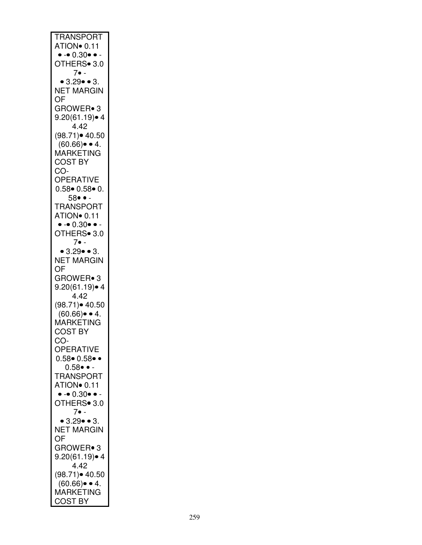| <b>TRANSPORT</b>                           |
|--------------------------------------------|
|                                            |
| ATION <sup>o</sup> 0.11                    |
|                                            |
| $\bullet - \bullet 0.30 \bullet \bullet -$ |
| OTHERS• 3.0                                |
|                                            |
|                                            |
| $7 \bullet$ -                              |
|                                            |
| • 3.29 • 3.                                |
|                                            |
| <b>NET MARGIN</b>                          |
|                                            |
| OF                                         |
|                                            |
| GROWER• 3                                  |
|                                            |
| $9.20(61.19)$ • 4                          |
|                                            |
| 4.42                                       |
|                                            |
| $(98.71)$ 40.50                            |
|                                            |
| $(60.66) \bullet 4.$                       |
|                                            |
| MARKETING                                  |
|                                            |
| <b>COST BY</b>                             |
|                                            |
| CO-                                        |
|                                            |
| <b>OPERATIVE</b>                           |
|                                            |
| $0.58 \cdot 0.58 \cdot 0.$                 |
|                                            |
| 58• • -                                    |
|                                            |
| <b>TRANSPORT</b>                           |
|                                            |
| ATION <sup>o</sup> 0.11                    |
|                                            |
|                                            |
| $\bullet - \bullet 0.30 \bullet \bullet -$ |
| OTHERS• 3.0                                |
|                                            |
|                                            |
| $7 \bullet$ -                              |
|                                            |
| $\bullet$ 3.29 $\bullet$ $\bullet$ 3.      |
|                                            |
| <b>NET MARGIN</b>                          |
|                                            |
|                                            |
|                                            |
| OF                                         |
|                                            |
| GROWER• 3                                  |
|                                            |
| $9.20(61.19)$ • 4                          |
|                                            |
| 4.42                                       |
|                                            |
| $(98.71)$ 40.50                            |
|                                            |
| $(60.66) \bullet 4.$                       |
|                                            |
| MARKETING                                  |
|                                            |
| <b>COST BY</b>                             |
|                                            |
| CO-                                        |
|                                            |
| OPERATIVE                                  |
|                                            |
| $0.58 \cdot 0.58 \cdot \cdot$              |
|                                            |
| $0.58 \bullet -$                           |
|                                            |
| <b>TRANSPORT</b>                           |
|                                            |
| ATION <sup>o</sup> 0.11                    |
|                                            |
| $\bullet - \bullet 0.30 \bullet \bullet -$ |
|                                            |
| OTHERS• 3.0                                |
| $7 \bullet$ -                              |
|                                            |
|                                            |
| • $3.29 \cdot 3.$                          |
| <b>NET MARGIN</b>                          |
|                                            |
| OF                                         |
|                                            |
|                                            |
| GROWER• 3                                  |
|                                            |
| 9.20(61.19)● 4                             |
| 4.42                                       |
|                                            |
|                                            |
| $(98.71)$ 40.50                            |
|                                            |
| $(60.66) \bullet 4.$                       |
| MARKETING                                  |
| <b>COST BY</b>                             |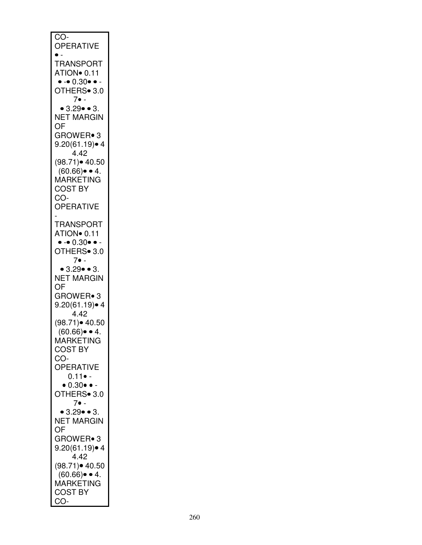| $\overline{CO}$ -                          |
|--------------------------------------------|
| <b>OPERATIVE</b>                           |
|                                            |
| $\bullet$ .                                |
| <b>TRANSPORT</b>                           |
|                                            |
| ATION <sup>o</sup> 0.11                    |
| $\bullet - 0.30 \bullet - 0.30$            |
|                                            |
|                                            |
| $7 \bullet$ -                              |
| $\bullet$ 3.29 $\bullet$ $\bullet$ 3.      |
|                                            |
| <b>NET MARGIN</b>                          |
| OF                                         |
|                                            |
| GROWER• 3                                  |
| $9.20(61.19)$ • 4                          |
| 4.42                                       |
|                                            |
| $(98.71)$ $40.50$                          |
| $(60.66) \bullet 4.$                       |
|                                            |
| MARKETING                                  |
| <b>COST BY</b>                             |
| CO-                                        |
|                                            |
| <b>OPERATIVE</b>                           |
|                                            |
|                                            |
| <b>TRANSPORT</b>                           |
| ATION <sup>o</sup> 0.11                    |
|                                            |
| $\bullet - \bullet 0.30 \bullet \bullet -$ |
| OTHERS• 3.0                                |
| 7• -                                       |
|                                            |
| • $3.29 \cdot 3.$                          |
| <b>NET MARGIN</b>                          |
|                                            |
| OF                                         |
| GROWER• 3                                  |
|                                            |
| $9.20(61.19)$ • 4                          |
| 4.42                                       |
| (98.71)● 40.50                             |
|                                            |
| $(60.66) \bullet 4.$                       |
| MARKETING                                  |
|                                            |
| <b>COST BY</b>                             |
| CO-                                        |
| OPERATIVE                                  |
|                                            |
| $0.11 \bullet -$                           |
| $\bullet$ 0.30 $\bullet$ -                 |
|                                            |
| OTHERS <sup>®</sup> 3.0                    |
| $7 \bullet$ -                              |
| • $3.29 \cdot 3.$                          |
|                                            |
| <b>NET MARGIN</b>                          |
| OF                                         |
|                                            |
| GROWER• 3                                  |
| $9.20(61.19)$ 4                            |
|                                            |
| 4.42                                       |
| $(98.71)$ $40.50$                          |
|                                            |
|                                            |
|                                            |
|                                            |
| `(60.66)● ● 4.<br>MARKETING                |
| <b>COST BY</b><br>CO-                      |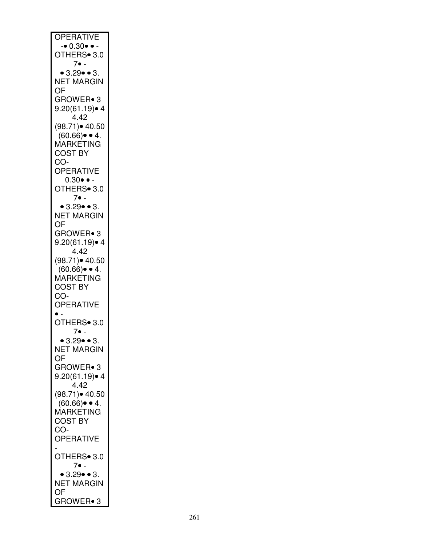| <b>OPERATIVE</b>                         |
|------------------------------------------|
| $\bullet$ 0.30 $\bullet$ $\bullet$       |
| OTHERS• 3.0                              |
| 7• -                                     |
| • 3.29 • 3.                              |
| <b>NET MARGIN</b>                        |
| OF                                       |
| GROWER• 3                                |
| $9.20(61.19)$ • 4                        |
| 4.42                                     |
| (98.71) • 40.50                          |
| $(60.66) \bullet 4.$                     |
| MARKETING                                |
| <b>COST BY</b>                           |
| CO-                                      |
| <b>OPERATIVE</b>                         |
| $0.30 \bullet -$                         |
| OTHERS <sup>®</sup> 3.0                  |
| $7 \bullet$ -                            |
| • $3.29 \cdot 3.$                        |
| <b>NET MARGIN</b>                        |
| OF                                       |
| <b>GROWER</b> • 3                        |
| $9.20(61.19)$ 4                          |
| 4.42                                     |
| $(98.71)$ $\bullet$ 40.50                |
| $(60.66) \bullet 4.$                     |
| <b>MARKETING</b>                         |
| <b>COST BY</b>                           |
| CO-                                      |
| <b>OPERATIVE</b>                         |
|                                          |
| OTHERS <sup>®</sup> 3.0                  |
| 7• -                                     |
| • 3.29• • 3.                             |
| <b>NET MARGIN</b>                        |
| OF                                       |
| GROWER• 3                                |
| $9.20(61.19)$ $4$                        |
| 4.42                                     |
| $(98.71)$ 40.50                          |
| $(60.66) \bullet 4.$<br><b>MARKETING</b> |
| <b>COST BY</b>                           |
| CO-                                      |
| OPERATIVE                                |
|                                          |
| OTHERS• 3.0                              |
| 7• -                                     |
| • $3.29 \cdot 3.$                        |
| <b>NET MARGIN</b>                        |
| OF                                       |
| GROWER• 3                                |
|                                          |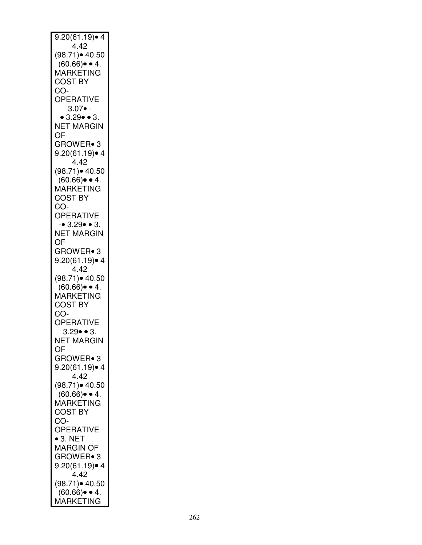| $9.20(61.19)$ • 4                        |
|------------------------------------------|
| 4.42                                     |
| (98.71)• 40.50                           |
| $(60.66) \bullet 4.$                     |
| <b>MARKETING</b>                         |
| <b>COST BY</b>                           |
| CO-                                      |
| OPERATIVE                                |
| $3.07 \bullet -$                         |
| • $3.29 \cdot 3.$                        |
| NET MARGIN                               |
| OF                                       |
| GROWER• 3                                |
| $9.20(61.19)$ $\bullet$ 4                |
| 4.42                                     |
| (98.71) • 40.50                          |
| $(60.66) \bullet 4.$                     |
| MARKETING                                |
| <b>COST BY</b>                           |
| CO-                                      |
|                                          |
| <b>OPERATIVE</b>                         |
| $-0.3.29 - 3.$                           |
| <b>NET MARGIN</b>                        |
| OF                                       |
| GROWER• 3                                |
| $9.20(61.19)$ $\bullet$ 4                |
| 4.42                                     |
| $(98.71)$ 40.50                          |
| $(60.66) \bullet 4.$                     |
| MARKETING                                |
| <b>COST BY</b>                           |
| CO-                                      |
| OPERATIVE                                |
| $3.29 \bullet 3.$                        |
| NET MARGIN                               |
| OF                                       |
| GROWER• 3                                |
| $9.20(61.19)$ • 4                        |
| 4.42                                     |
| $(98.71)$ 40.50                          |
|                                          |
| $(60.66) \bullet 4.$<br><b>MARKETING</b> |
| <b>COST BY</b>                           |
|                                          |
| CO-                                      |
| OPERATIVE                                |
| $\bullet$ 3. NET                         |
| MARGIN OF                                |
| GROWER• 3                                |
| $9.20(61.19)$ • 4                        |
| 4.42                                     |
| $(98.71)$ 40.50                          |
| $(60.66) \bullet 4.$                     |
| MARKETING                                |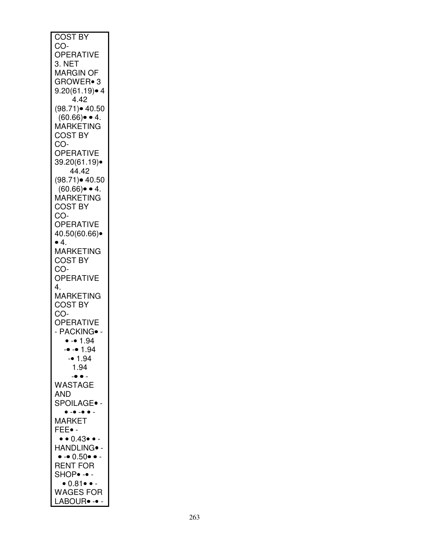| <b>COST BY</b>                                   |
|--------------------------------------------------|
| CO-                                              |
|                                                  |
| OPERATIVE                                        |
|                                                  |
| 3. NET                                           |
| <b>MARGIN OF</b>                                 |
|                                                  |
| GROWER• 3                                        |
| $9.20(61.19)$ 4                                  |
|                                                  |
| 4.42                                             |
|                                                  |
| $(98.71)$ 40.50                                  |
| $(60.66) \bullet 4.$                             |
|                                                  |
| MARKETING                                        |
| <b>COST BY</b>                                   |
|                                                  |
| CO-                                              |
| <b>OPERATIVE</b>                                 |
|                                                  |
| 39.20(61.19)•                                    |
| 44.42                                            |
|                                                  |
| (98.71) • 40.50                                  |
|                                                  |
| $(60.66) \bullet 4.$                             |
| MARKETING                                        |
|                                                  |
| <b>COST BY</b>                                   |
| CO-                                              |
|                                                  |
| <b>OPERATIVE</b>                                 |
|                                                  |
| 40.50(60.66)•                                    |
| $\bullet$ 4.                                     |
|                                                  |
| MARKETING                                        |
| <b>COST BY</b>                                   |
|                                                  |
| CO-                                              |
|                                                  |
| <b>OPERATIVE</b>                                 |
| 4.                                               |
|                                                  |
| MARKETING                                        |
| <b>COST BY</b>                                   |
|                                                  |
| CO-                                              |
| OPERATIVE                                        |
|                                                  |
| - PACKING ·-                                     |
|                                                  |
| $- 1.94$                                         |
| $-• - • 1.94$                                    |
|                                                  |
| $- 1.94$                                         |
| 1.94                                             |
|                                                  |
| $\bullet$ $\bullet$ $\overline{\phantom{a}}$     |
|                                                  |
| WASTAGE                                          |
| AND                                              |
|                                                  |
| SPOILAGE∙ -                                      |
| $\bullet$ -<br>$\overline{\phantom{a}}$ .        |
|                                                  |
| <b>MARKET</b>                                    |
| FEE• -                                           |
|                                                  |
| $\bullet$ $\bullet$ $0.43$ $\bullet$ $\bullet$ - |
|                                                  |
| HANDLING∙ -                                      |
| $\bullet$ - $\bullet$ $0.50$ $\bullet$ -         |
|                                                  |
| <b>RENT FOR</b>                                  |
| SHOP• -• -                                       |
|                                                  |
| $\bullet$ 0.81 $\bullet$ -                       |
|                                                  |
| <b>WAGES FOR</b>                                 |
| LABOUR• -•                                       |
|                                                  |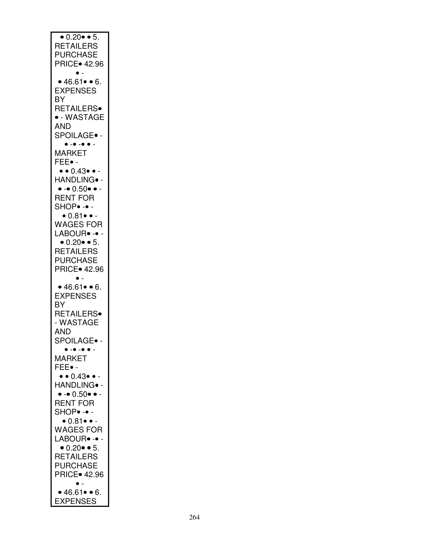| $\bullet$ 0.20 $\bullet$ $\bullet$ 5.            |
|--------------------------------------------------|
|                                                  |
|                                                  |
|                                                  |
| <b>RETAILERS</b>                                 |
|                                                  |
| <b>PURCHASE</b>                                  |
|                                                  |
| <b>PRICE</b> 42.96                               |
|                                                  |
|                                                  |
|                                                  |
|                                                  |
| • 46.61 • 6.                                     |
|                                                  |
| <b>EXPENSES</b>                                  |
|                                                  |
| ΒY                                               |
|                                                  |
| RETAILERS <sup>®</sup>                           |
|                                                  |
| · - WASTAGE                                      |
|                                                  |
|                                                  |
| AND                                              |
|                                                  |
| SPOILAGE.                                        |
|                                                  |
| $\bullet - \bullet - \bullet \bullet -$          |
|                                                  |
| <b>MARKET</b>                                    |
|                                                  |
|                                                  |
| FEE• -                                           |
|                                                  |
| $\bullet\bullet0.43\bullet\bullet$ -             |
|                                                  |
| HANDLING• -                                      |
|                                                  |
| $\bullet - \bullet 0.50 \bullet \bullet -$       |
|                                                  |
| <b>RENT FOR</b>                                  |
|                                                  |
| $SHOP- -$                                        |
|                                                  |
| $\bullet$ 0.81 $\bullet$ -                       |
|                                                  |
|                                                  |
| <b>WAGES FOR</b>                                 |
|                                                  |
| LABOUR <sup>.</sup> -                            |
|                                                  |
| $\bullet$ 0.20 $\bullet$ $\bullet$ 5.            |
|                                                  |
| <b>RETAILERS</b>                                 |
|                                                  |
|                                                  |
| <b>PURCHASE</b>                                  |
|                                                  |
| <b>PRICE</b> 42.96                               |
|                                                  |
|                                                  |
|                                                  |
|                                                  |
|                                                  |
| • 46.61 • 6.                                     |
|                                                  |
| <b>EXPENSES</b>                                  |
|                                                  |
|                                                  |
| ΒY                                               |
|                                                  |
| RETAILERS.                                       |
|                                                  |
| - WASTAGE                                        |
|                                                  |
| AND                                              |
|                                                  |
|                                                  |
| SPOILAGE∙                                        |
|                                                  |
| $\bullet$ - $\bullet$ - $\bullet$ $\bullet$ .    |
|                                                  |
| <b>MARKET</b>                                    |
|                                                  |
| FEE∙ -                                           |
|                                                  |
|                                                  |
| $\bullet$ $\bullet$ $0.43$ $\bullet$ $\bullet$ - |
|                                                  |
| HANDLING∙ -                                      |
|                                                  |
| $\bullet$ - $\bullet$ 0.50 $\bullet$ $\bullet$ - |
|                                                  |
| <b>RENT FOR</b>                                  |
|                                                  |
| SHOP• -• -                                       |
|                                                  |
| $\bullet$ 0.81 $\bullet$ -                       |
|                                                  |
|                                                  |
| <b>WAGES FOR</b>                                 |
|                                                  |
| LABOUR• -•                                       |
|                                                  |
| $\bullet$ 0.20 $\bullet$ $\bullet$ 5.            |
|                                                  |
| <b>RETAILERS</b>                                 |
|                                                  |
| <b>PURCHASE</b>                                  |
|                                                  |
|                                                  |
| <b>PRICE</b> 42.96                               |
|                                                  |
|                                                  |
|                                                  |
| • 46.61 • 6.                                     |
| <b>EXPENSES</b>                                  |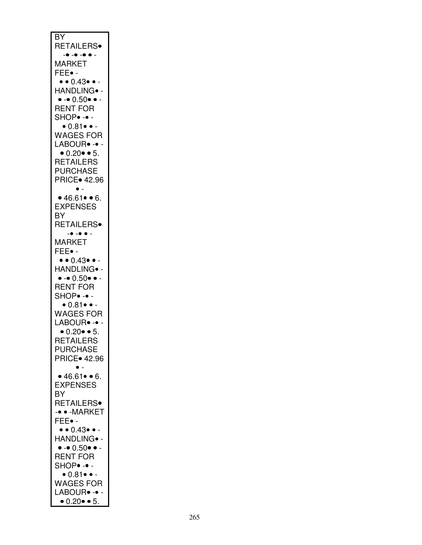| BY<br><b>RETAILERS</b> •<br>- • -• -• • -                                 |
|---------------------------------------------------------------------------|
| <b>MARKET</b><br>FEE∙ -                                                   |
| $\bullet \bullet 0.43 \bullet \bullet -$<br>HANDLING <sup>.</sup> -       |
| $\bullet$ - $\bullet$ 0.50 $\bullet$ $\bullet$ -<br>RENT FOR<br>SHOP. --  |
| $\bullet$ 0.81 $\bullet$ $\bullet$ -<br><b>WAGES FOR</b><br>LABOUR• -• -  |
| • $0.20$ • 5.<br><b>RETAILERS</b>                                         |
| <b>PURCHASE</b><br><b>PRICE</b> 42.96                                     |
| • 46.61 • 6.<br><b>EXPENSES</b>                                           |
| BY<br>RETAILERS <sup>®</sup>                                              |
| $-0$ $-$<br>$-°$<br><b>MARKET</b><br>FEE• -                               |
| $\bullet$ $\bullet$ 0.43 $\bullet$ $\bullet$ -<br>HANDLING• -             |
| $\bullet$ - $\bullet$ $0.50$ $\bullet$ -<br><b>RENT FOR</b>               |
| SHOP• -• -<br>$\bullet$ 0.81 $\bullet$ -<br><b>WAGES FOR</b>              |
| LABOUR• -•<br>$\bullet$ 0.20 $\bullet$ $\bullet$ 5.                       |
| <b>RETAILERS</b><br><b>PURCHASE</b><br><b>PRICE</b> 42.96                 |
| ¢<br>• 46.61 • 6.                                                         |
| <b>EXPENSES</b><br>ΒY<br>RETAILERS <sup>®</sup>                           |
| -• • - MARKET<br>FEE• -                                                   |
| $\bullet\bullet0.43\bullet\bullet$ -<br>HANDLING∙ -                       |
| $\bullet$ - $\bullet$ $0.50$ $\bullet$ -<br><b>RENT FOR</b><br>SHOP• -• - |
| $\bullet$ 0.81 $\bullet$ $\bullet$ -<br><b>WAGES FOR</b>                  |
| LABOUR <sup>.</sup> -<br>$\bullet$ 0.20 $\bullet$ $\bullet$ 5.            |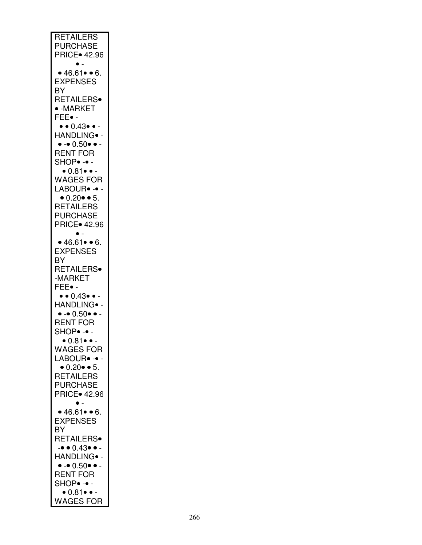| <b>RETAILERS</b>                           |
|--------------------------------------------|
|                                            |
| <b>PURCHASE</b>                            |
|                                            |
| <b>PRICE</b> 42.96                         |
|                                            |
| $\bullet$ .                                |
|                                            |
| • 46.61 • 6.                               |
|                                            |
| <b>EXPENSES</b>                            |
|                                            |
| BY                                         |
|                                            |
| RETAILERS <sup>®</sup>                     |
| $\bullet$ -MARKET                          |
|                                            |
| FEE• -                                     |
|                                            |
| • • 0.43• • -                              |
|                                            |
| HANDLING <sup>.</sup> -                    |
|                                            |
| $\bullet - \bullet 0.50 \bullet \bullet -$ |
|                                            |
| <b>RENT FOR</b>                            |
|                                            |
| SHOP• -• -                                 |
|                                            |
| $\bullet$ 0.81 $\bullet$ $\bullet$ -       |
| <b>WAGES FOR</b>                           |
|                                            |
| LABOUR <sup>®</sup> -                      |
|                                            |
| $\bullet$ 0.20 $\bullet$ $\bullet$ 5.      |
|                                            |
| <b>RETAILERS</b>                           |
|                                            |
| <b>PURCHASE</b>                            |
|                                            |
| <b>PRICE</b> 42.96                         |
|                                            |
| j.                                         |
|                                            |
| • 46.61 • 6.                               |
|                                            |
| <b>EXPENSES</b>                            |
|                                            |
| BY                                         |
|                                            |
|                                            |
|                                            |
| RETAILERS <sup>®</sup>                     |
| -MARKET                                    |
|                                            |
| FEE• -                                     |
|                                            |
| $\bullet\bullet0.43\bullet\bullet$ -       |
|                                            |
| HANDLING <sup>.</sup> -                    |
|                                            |
| $\bullet - \bullet 0.50 \bullet \bullet -$ |
|                                            |
| <b>RENT FOR</b>                            |
|                                            |
| <b>SHOP</b> • -• -                         |
|                                            |
| • 0.81• • –                                |
|                                            |
| <b>WAGES FOR</b>                           |
|                                            |
| LABOUR <sup>®</sup> -                      |
|                                            |
| • $0.20$ • 5.                              |
| <b>RETAILERS</b>                           |
|                                            |
| <b>PURCHASE</b>                            |
|                                            |
| <b>PRICE</b> 42.96                         |
|                                            |
|                                            |
|                                            |
| • 46.61 • 6.                               |
|                                            |
| <b>EXPENSES</b>                            |
|                                            |
| BY                                         |
|                                            |
| <b>RETAILERS</b>                           |
|                                            |
| $- \bullet 0.43 \bullet  -$                |
| HANDLING <sup>®</sup> -                    |
|                                            |
| $\bullet - \bullet 0.50 \bullet \bullet -$ |
|                                            |
| <b>RENT FOR</b>                            |
|                                            |
| $SHOP- -$                                  |
|                                            |
| $\bullet$ 0.81 $\bullet$ -                 |
| <b>WAGES FOR</b>                           |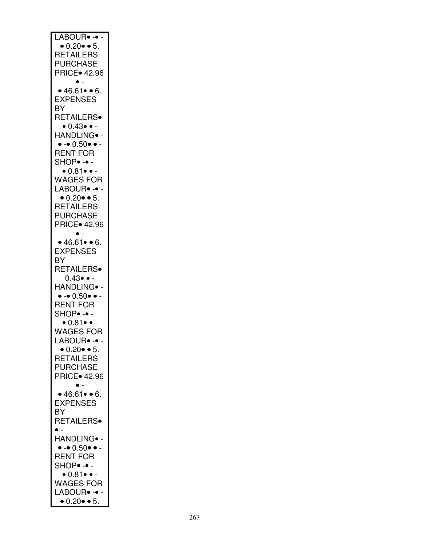| LABOUR• -• -                                |
|---------------------------------------------|
| • $0.20$ • 5.                               |
| <b>RETAILERS</b>                            |
| PURCHASE                                    |
| <b>PRICE</b> 42.96                          |
| • 46.61 • 6.                                |
| <b>EXPENSES</b>                             |
| BY                                          |
| RETAILERS <sup>®</sup>                      |
| $\bullet$ 0.43 $\bullet$ -                  |
| HANDLING <sup>.</sup> -                     |
| $\bullet - \bullet 0.50 \bullet \bullet -$  |
| <b>RENT FOR</b>                             |
| SHOP• -• -                                  |
| $\bullet$ 0.81 $\bullet$ -                  |
| <b>WAGES FOR</b>                            |
| LABOUR <sup>.</sup> -                       |
| • $0.20$ • 5.                               |
| <b>RETAILERS</b>                            |
| PURCHASE                                    |
| <b>PRICE</b> 42.96                          |
|                                             |
| • 46.61 • 6.                                |
| <b>EXPENSES</b>                             |
| BY                                          |
| <b>RETAILERS</b>                            |
| $0.43 \bullet -$<br>HANDLING <sup>®</sup> - |
| $\bullet - \bullet 0.50 \bullet \bullet -$  |
| <b>RENT FOR</b>                             |
| $SHOP- -$                                   |
| $\bullet$ 0.81 $\bullet$ -                  |
| <b>WAGES FOR</b>                            |
| LABOUR• -•                                  |
| $\bullet$ 0.20 $\bullet$ $\bullet$ 5.       |
| <b>RETAILERS</b>                            |
| <b>PURCHASE</b>                             |
| <b>PRICE</b> 42.96                          |
|                                             |
| • 46.61 • 6.                                |
| <b>EXPENSES</b>                             |
| BY                                          |
| RETAILERS.                                  |
| $\bullet$ .                                 |
| HANDLING• -                                 |
| $\bullet - \bullet 0.50 \bullet \bullet -$  |
| <b>RENT FOR</b>                             |
| SHOP. -.                                    |
| $\bullet$ 0.81 $\bullet$ -                  |
| <b>WAGES FOR</b><br>LABOUR• -• -            |
| $\bullet$ 0.20 $\bullet$ $\bullet$ 5.       |
|                                             |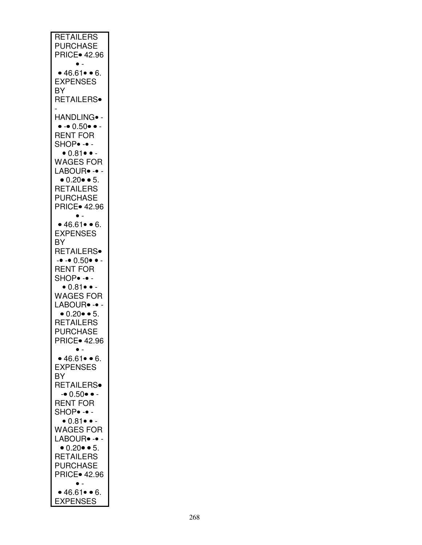| <b>RETAILERS</b>                           |
|--------------------------------------------|
| PURCHASE                                   |
|                                            |
| <b>PRICE</b> 42.96                         |
| $\bullet$ .                                |
| • 46.61 • 6.                               |
| <b>EXPENSES</b>                            |
|                                            |
| ΒY                                         |
| RETAILERS <sup>®</sup>                     |
|                                            |
|                                            |
| HANDLING• -                                |
| $\bullet - \bullet 0.50 \bullet \bullet -$ |
| <b>RENT FOR</b>                            |
| SHOP. -.                                   |
|                                            |
| $\bullet$ 0.81 $\bullet$ $\bullet$ -       |
| <b>WAGES FOR</b>                           |
| LABOUR <sup>.</sup> -                      |
|                                            |
| $\bullet$ 0.20 $\bullet$ $\bullet$ 5.      |
| <b>RETAILERS</b>                           |
| <b>PURCHASE</b>                            |
| <b>PRICE</b> 42.96                         |
|                                            |
|                                            |
| • 46.61 • 6.                               |
| <b>EXPENSES</b>                            |
|                                            |
| BY                                         |
| RETAILERS <sup>®</sup>                     |
| $ -$ 0.50 $\bullet$ $-$                    |
| <b>RENT FOR</b>                            |
|                                            |
| SHOP• -• -                                 |
| $\bullet$ 0.81 $\bullet$ -                 |
| <b>WAGES FOR</b>                           |
| LABOUR <sup>®</sup> -                      |
| • $0.20$ • 5.                              |
|                                            |
| <b>RETAILERS</b>                           |
| <b>PURCHASE</b>                            |
| PRICE∙ 42.96                               |
| $\bullet$ .                                |
|                                            |
| • 46.61 • 6.                               |
| <b>EXPENSES</b>                            |
| BY                                         |
| RETAILERS <sup>®</sup>                     |
|                                            |
| $-• 0.50 • -$                              |
| <b>RENT FOR</b>                            |
| SHOP• -• -                                 |
| $\bullet$ 0.81 $\bullet$ -                 |
|                                            |
| <b>WAGES FOR</b>                           |
| LABOUR• -•                                 |
| • $0.20$ • 5.                              |
| <b>RETAILERS</b>                           |
|                                            |
| <b>PURCHASE</b>                            |
| <b>PRICE</b> 42.96                         |
|                                            |
| • 46.61 • 6.                               |
| <b>EXPENSES</b>                            |
|                                            |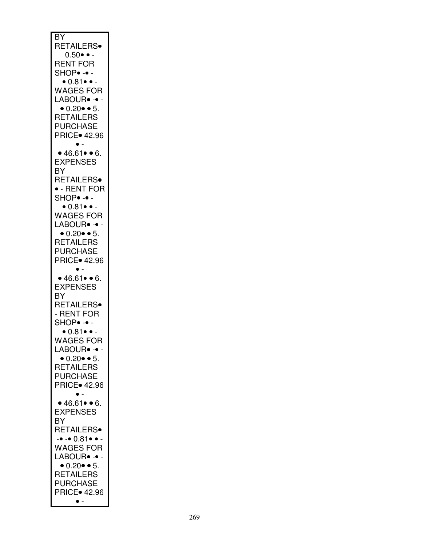| BY                                    |
|---------------------------------------|
|                                       |
| RETAILERS∙                            |
| $0.50 \bullet -$                      |
| <b>RENT FOR</b>                       |
| SHOP• -• -                            |
|                                       |
| $\bullet$ 0.81 $\bullet$ -            |
| <b>WAGES FOR</b>                      |
| LABOUR• -•                            |
| $\bullet$ 0.20 $\bullet$ $\bullet$ 5. |
| <b>RETAILERS</b>                      |
| <b>PURCHASE</b>                       |
|                                       |
| <b>PRICE</b> 42.96                    |
| $\bullet$ -                           |
| • 46.61 • 6.                          |
| <b>EXPENSES</b>                       |
| ΒY                                    |
| RETAILERS <sup>®</sup>                |
| • - RENT FOR                          |
|                                       |
| SHOP• -• -                            |
| • 0.81 • •                            |
| <b>WAGES FOR</b>                      |
| LABOUR <sup>®</sup> -                 |
| $\bullet$ 0.20 $\bullet$ $\bullet$ 5. |
| <b>RETAILERS</b>                      |
| <b>PURCHASE</b>                       |
|                                       |
| <b>PRICE</b> 42.96                    |
|                                       |
| • 46.61 • 6.                          |
| <b>EXPENSES</b>                       |
| BY                                    |
| RETAILERS <sup>®</sup>                |
|                                       |
|                                       |
| - RENT FOR                            |
| SHOP• -• -                            |
| $\bullet$ 0.81 $\bullet$ $\bullet$ -  |
| WAGES FOR                             |
|                                       |
| LABOUR• -•                            |
| $\bullet$ 0.20 $\bullet$ $\bullet$ 5. |
| <b>RETAILERS</b>                      |
| <b>PURCHASE</b>                       |
| <b>PRICE</b> 42.96                    |
|                                       |
| • 46.61 • 6.                          |
| <b>EXPENSES</b>                       |
|                                       |
| ΒY                                    |
| <b>RETAILERS</b> •                    |
| -• -• 0.81• • -                       |
| <b>WAGES FOR</b>                      |
| LABOUR• -•                            |
| $\bullet$ 0.20 $\bullet$ $\bullet$ 5. |
|                                       |
| <b>RETAILERS</b>                      |
| <b>PURCHASE</b>                       |
| <b>PRICE</b> 42.96<br>$\bullet$ -     |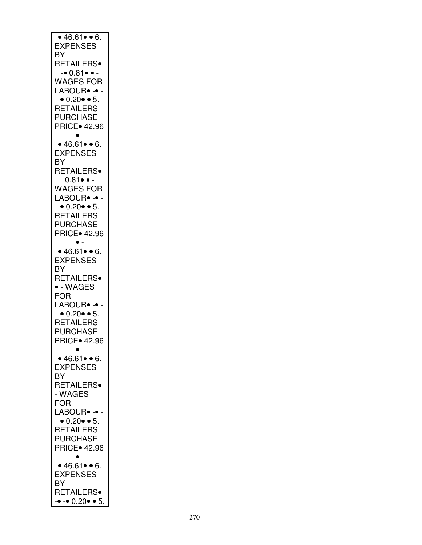| • 46.61 • 6.<br><b>EXPENSES</b>                                     |
|---------------------------------------------------------------------|
| BY<br><b>RETAILERS</b> •                                            |
| -• 0.81• • -<br><b>WAGES FOR</b>                                    |
| LABOUR <sup>.</sup> -<br>• $0.20$ • 5.                              |
| <b>RETAILERS</b><br><b>PURCHASE</b><br><b>PRICE</b> 42.96           |
| • 46.61 • 6.                                                        |
| <b>EXPENSES</b><br>BY                                               |
| <b>RETAILERS</b><br>$0.81 \bullet -$                                |
| <b>WAGES FOR</b><br>LABOUR <sup>®</sup> -                           |
| $\bullet$ 0.20 $\bullet$ $\bullet$ 5.<br><b>RETAILERS</b>           |
| PURCHASE<br><b>PRICE</b> 42.96                                      |
| • 46.61 • 6.<br><b>EXPENSES</b>                                     |
| BY<br><b>RETAILERS</b> •                                            |
| $\bullet$ - WAGES<br>FOR                                            |
| LABOUR• -•<br>$\bullet$ 0.20 $\bullet$ $\bullet$ 5.                 |
| <b>RETAILERS</b><br><b>PURCHASE</b>                                 |
| PRICE● 42.96                                                        |
| • 46.61 • 6.<br><b>EXPENSES</b>                                     |
| ΒY<br>RETAILERS <sup>®</sup><br>- WAGES                             |
| FOR<br>LABOUR• -• -                                                 |
| $\bullet$ 0.20 $\bullet$ $\bullet$ 5.<br><b>RETAILERS</b>           |
| <b>PURCHASE</b><br><b>PRICE</b> 42.96                               |
| $\bullet$ .<br>• 46.61 • 6.                                         |
| <b>EXPENSES</b><br>BY                                               |
| <b>RETAILERS</b><br>$\bullet$ $\bullet$ 0.20 $\bullet$ $\bullet$ 5. |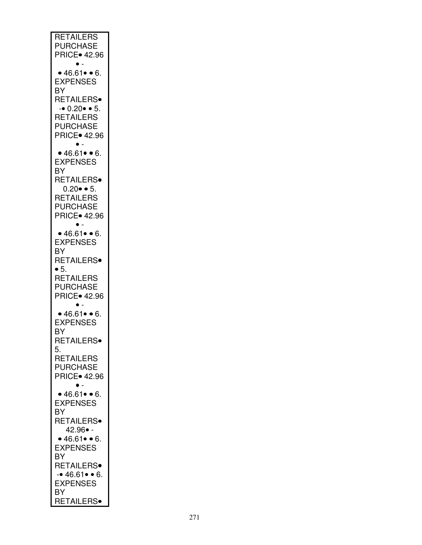| <b>RETAILERS</b>                        |
|-----------------------------------------|
| <b>PURCHASE</b><br><b>PRICE</b> 42.96   |
| $\bullet$ .                             |
| • 46.61• • 6.                           |
| <b>EXPENSES</b>                         |
| BY                                      |
| RETAILERS <sup>®</sup><br>$-0.20 - 5$ . |
| <b>RETAILERS</b>                        |
| <b>PURCHASE</b>                         |
| <b>PRICE</b> 42.96                      |
| • 46.61 • 6.                            |
| <b>EXPENSES</b>                         |
| BY                                      |
| RETAILERS <sup>®</sup>                  |
| $0.20 \cdot 5.$                         |
| <b>RETAILERS</b><br><b>PURCHASE</b>     |
| <b>PRICE</b> 42.96                      |
|                                         |
| • 46.61 • 6.                            |
| <b>EXPENSES</b><br>BY                   |
| RETAILERS <sup>®</sup>                  |
| $\bullet$ 5.                            |
| <b>RETAILERS</b>                        |
| <b>PURCHASE</b>                         |
| <b>PRICE</b> 42.96<br>$\bullet$ .       |
| • 46.61 • 6.                            |
| <b>EXPENSES</b>                         |
| BY                                      |
| <b>RETAILERS</b><br>5.                  |
| <b>RETAILERS</b>                        |
| <b>PURCHASE</b>                         |
| <b>PRICE</b> 42.96                      |
| • 46.61 • 6.                            |
| <b>EXPENSES</b>                         |
| BY                                      |
| RETAILERS <sup>®</sup>                  |
| 42.96• -<br>• 46.61 • 6.                |
| <b>EXPENSES</b>                         |
| BY                                      |
| <b>RETAILERS</b> •                      |
| $-46.61 - 6.$<br><b>EXPENSES</b>        |
| BY                                      |
| RETAILERS <sup>®</sup>                  |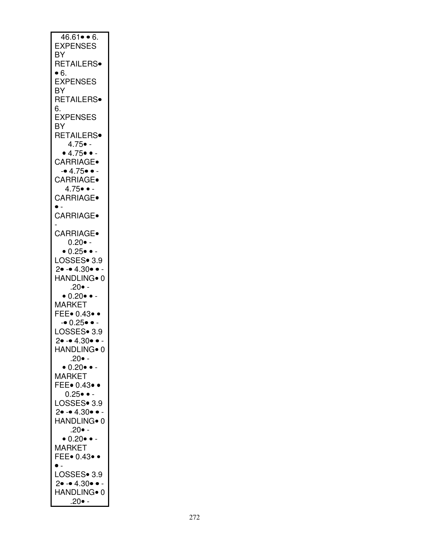| $46.61 \bullet 6.$                   |
|--------------------------------------|
|                                      |
|                                      |
| <b>EXPENSES</b>                      |
|                                      |
| BY                                   |
|                                      |
| RETAILERS <sup>®</sup>               |
|                                      |
| • 6.                                 |
|                                      |
| <b>EXPENSES</b>                      |
|                                      |
| BY                                   |
|                                      |
| RETAILERS <sup>®</sup>               |
|                                      |
| 6.                                   |
|                                      |
| <b>EXPENSES</b>                      |
|                                      |
| ΒY                                   |
|                                      |
| RETAILERS <sup>®</sup>               |
|                                      |
| $4.75 \bullet -$                     |
|                                      |
| • 4.75 • •                           |
|                                      |
| CARRIAGE.                            |
|                                      |
| $-4.75 - -$                          |
|                                      |
| CARRIAGE.                            |
|                                      |
| $4.75 \bullet \bullet -$             |
|                                      |
| CARRIAGE.                            |
|                                      |
| $\bullet$ -                          |
|                                      |
| CARRIAGE.                            |
|                                      |
|                                      |
|                                      |
| <b>CARRIAGE</b>                      |
|                                      |
| $0.20 -$                             |
|                                      |
| $\bullet$ 0.25 $\bullet$ $\bullet$ - |
|                                      |
| LOSSES <sup>®</sup> 3.9              |
|                                      |
| $2 \bullet - 4.30 \bullet -$         |
| HANDLING <sup>®</sup> 0              |
|                                      |
|                                      |
|                                      |
|                                      |
| $.20 \bullet$ -                      |
|                                      |
| $\bullet$ 0.20 $\bullet$ $\bullet$ - |
| <b>MARKET</b>                        |
|                                      |
| FEE. 0.43. .                         |
|                                      |
| $-0.25 - -$                          |
|                                      |
| LOSSES <sup>®</sup> 3.9              |
|                                      |
| $\overline{\phantom{a}}$             |
| $2 - 4.30$                           |
| HANDLING• 0                          |
|                                      |
| $.20 \bullet$ -                      |
|                                      |
| $\bullet$ 0.20 $\bullet$ $\bullet$ - |
|                                      |
| <b>MARKET</b>                        |
|                                      |
| FEE. 0.43.                           |
|                                      |
| $0.25 \bullet \bullet -$             |
|                                      |
| LOSSES• 3.9                          |
|                                      |
| $2 - 4.30 - 4$                       |
|                                      |
| HANDLING <sup>®</sup> 0              |
|                                      |
| $.20 -$                              |
|                                      |
| $\bullet$ 0.20 $\bullet$ $\bullet$ - |
|                                      |
| <b>MARKET</b>                        |
|                                      |
| FEE. 0.43                            |
| $\bullet$ .                          |
|                                      |
|                                      |
| LOSSES• 3.9                          |
| $2 \bullet - 4.30 \bullet -$         |
|                                      |
| HANDLING <sup>®</sup> 0              |
| .20● -                               |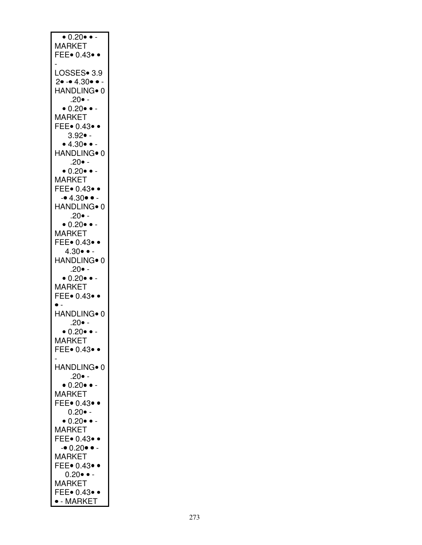| $\overline{\bullet}$ 0.20 $\overline{\bullet}$ $\overline{\bullet}$ - |
|-----------------------------------------------------------------------|
|                                                                       |
| <b>MARKET</b>                                                         |
| FEE. 0.43.                                                            |
|                                                                       |
|                                                                       |
|                                                                       |
| LOSSES• 3.9                                                           |
|                                                                       |
| $2 - 4.30 - -$                                                        |
|                                                                       |
| HANDLING <sup>®</sup> 0                                               |
|                                                                       |
| $.20 -$                                                               |
| $\bullet$ 0.20 $\bullet$ $\bullet$ -                                  |
|                                                                       |
| <b>MARKET</b>                                                         |
|                                                                       |
| FEE• 0.43• •                                                          |
|                                                                       |
| $3.92 \bullet -$                                                      |
|                                                                       |
| • 4.30 • •                                                            |
|                                                                       |
| HANDLING <sup>®</sup> 0                                               |
|                                                                       |
| $.20 -$                                                               |
| $\bullet$ 0.20 $\bullet$ $\bullet$ -                                  |
|                                                                       |
| MARKET                                                                |
|                                                                       |
| FEE. 0.43. .                                                          |
|                                                                       |
| $-4.30 \bullet -$                                                     |
|                                                                       |
| HANDLING <sup>®</sup> 0                                               |
|                                                                       |
| $.20 -$                                                               |
| $\bullet$ 0.20 $\bullet$ $\bullet$ -                                  |
|                                                                       |
| MARKET                                                                |
|                                                                       |
| FEE• 0.43• •                                                          |
|                                                                       |
| $4.30 \bullet -$                                                      |
|                                                                       |
| HANDLING <sup>®</sup> 0                                               |
|                                                                       |
| $.20 -$                                                               |
|                                                                       |
| $\bullet$ 0.20 $\bullet$ $\bullet$ -                                  |
| <b>MARKET</b>                                                         |
|                                                                       |
| FEE• 0.43• •                                                          |
|                                                                       |
|                                                                       |
|                                                                       |
| HANDLING <sup>®</sup> 0                                               |
|                                                                       |
| $.20 \bullet -$                                                       |
|                                                                       |
| $\bullet$ 0.20 $\bullet$ $\bullet$ -                                  |
| <b>MARKET</b>                                                         |
|                                                                       |
| FEE. 0.43.                                                            |
|                                                                       |
|                                                                       |
|                                                                       |
| HANDLING• 0                                                           |
|                                                                       |
| $.20 -$                                                               |
|                                                                       |
| $\bullet$ 0.20 $\bullet$ $\bullet$ -                                  |
|                                                                       |
| <b>MARKET</b>                                                         |
|                                                                       |
| FEE• 0.43• •                                                          |
| $0.20 \bullet -$                                                      |
|                                                                       |
| $\bullet$ 0.20 $\bullet$ $\bullet$                                    |
|                                                                       |
| <b>MARKET</b>                                                         |
|                                                                       |
| FEE• 0.43• •                                                          |
|                                                                       |
| $-0.20$ $\bullet$ $-$                                                 |
|                                                                       |
| <b>MARKET</b>                                                         |
| FEE• 0.43• •                                                          |
|                                                                       |
| $0.20 \bullet -$                                                      |
|                                                                       |
|                                                                       |
|                                                                       |
| <b>MARKET</b>                                                         |
|                                                                       |
| FEE. 0.43.<br>$\bullet$ - MARKET                                      |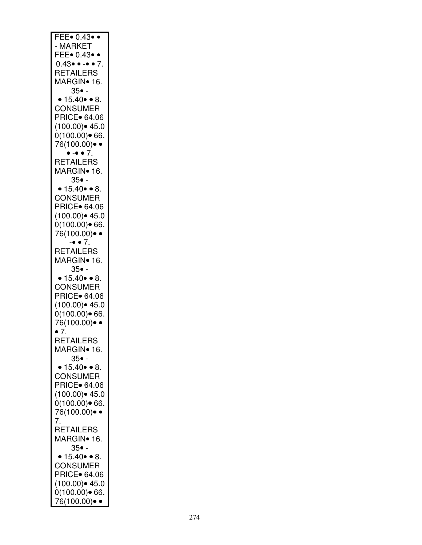| FEE. 0.43.                                   |
|----------------------------------------------|
|                                              |
| <b>MARKET</b>                                |
|                                              |
| FEE $\bullet$ 0.43 $\bullet$ $\bullet$       |
|                                              |
| $0.43 \bullet \bullet - \bullet \bullet 7$ . |
| <b>RETAILERS</b>                             |
|                                              |
| MARGIN• 16.                                  |
|                                              |
| $35$ • -                                     |
|                                              |
| • $15.40 \cdot 8.$                           |
|                                              |
| <b>CONSUMER</b>                              |
|                                              |
| <b>PRICE</b> 64.06                           |
|                                              |
| $(100.00)$ $\bullet$ 45.0                    |
| 0(100.00)∙ 66.                               |
|                                              |
| 76(100.00)•                                  |
|                                              |
| $\bullet - \bullet \bullet 7$ .              |
|                                              |
| RETAILERS                                    |
|                                              |
| MARGIN∙ 16.                                  |
| $35\bullet$ -                                |
|                                              |
| $15.40 \bullet 8$ .<br>$\bullet$             |
|                                              |
| <b>CONSUMER</b>                              |
|                                              |
| PRICE. 64.06                                 |
|                                              |
| $(100.00)$ $\bullet$ 45.0                    |
|                                              |
| 0(100.00)∙ 66.                               |
|                                              |
| 76(100.00)• •                                |
| $ \bullet$ 7.                                |
|                                              |
| <b>RETAILERS</b>                             |
|                                              |
| MARGIN <sup>•</sup> 16.                      |
|                                              |
|                                              |
|                                              |
| $35$ • -                                     |
| $15.40 \bullet 8.$                           |
|                                              |
| <b>CONSUMER</b>                              |
|                                              |
| <b>PRICE</b> 64.06                           |
|                                              |
| $(100.00)$ 45.0                              |
|                                              |
| $0(100.00)$ 66.                              |
|                                              |
| 76(100.00)● ●                                |
| • 7.                                         |
|                                              |
| <b>RETAILERS</b>                             |
|                                              |
| MARGIN∙ 16.                                  |
|                                              |
| $35\bullet$ -                                |
|                                              |
| $15.40 \bullet 8.$                           |
|                                              |
| <b>CONSUMER</b>                              |
|                                              |
| PRICE• 64.06                                 |
| (100.00)● 45.0                               |
|                                              |
| 0(100.00)• 66.                               |
|                                              |
| 76(100.00)● ●                                |
|                                              |
| 7.                                           |
|                                              |
| RETAILERS                                    |
|                                              |
| MARGIN <sup>•</sup> 16.                      |
| $35$ • -                                     |
|                                              |
| • 15.40 • 8.                                 |
|                                              |
| <b>CONSUMER</b>                              |
|                                              |
| <b>PRICE</b> 64.06                           |
|                                              |
| $(100.00)$ $45.0$                            |
|                                              |
| 0(100.00)● 66.<br>76(100.00)● ・              |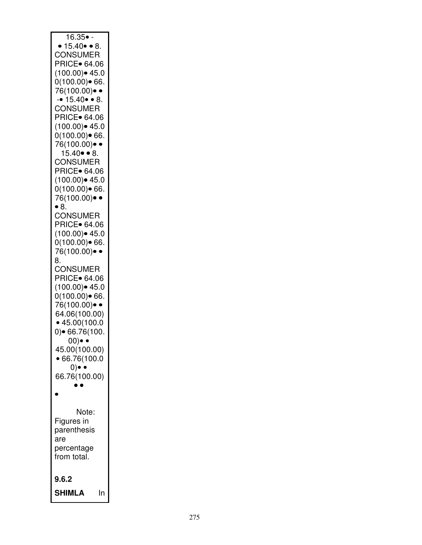| 16.35• -<br>$15.40 \bullet 8$ .                               |
|---------------------------------------------------------------|
| <b>CONSUMER</b><br><b>PRICE</b> 64.06<br>$(100.00)$ $45.0$    |
| $0(100.00)$ 66.<br>76(100.00)● ●                              |
| $-• 15.40 • 8.$<br><b>CONSUMER</b>                            |
| PRICE. 64.06<br>$(100.00)$ $45.0$                             |
| $0(100.00)$ 66.<br>76(100.00)● ●                              |
| $15.40 \bullet 8.$<br><b>CONSUMER</b>                         |
| PRICE. 64.06<br>$(100.00)$ $45.0$<br>$0(100.00)$ 66.          |
| 76(100.00)● ●<br>$\bullet$ 8.                                 |
| <b>CONSUMER</b><br><b>PRICE</b> 64.06                         |
| $(100.00)$ $45.0$<br>$0(100.00)$ • 66.                        |
| 76(100.00)● ・<br>8.<br><b>CONSUMER</b>                        |
| <b>PRICE</b> 64.06<br>$(100.00)$ 45.0                         |
| $0(100.00)$ 66.<br>76(100.00)● ●                              |
| 64.06(100.00)<br>• 45.00(100.0                                |
| $0$ ) $\bullet$ 66.76(100.<br>00)<br>$\overline{\phantom{a}}$ |
| 45.00(100.00)<br>•66.76(100.0<br>$0) \bullet \bullet$         |
| 66.76(100.00)                                                 |
|                                                               |
| Note:<br>Figures in                                           |
| parenthesis<br>are                                            |
| percentage<br>from total.                                     |
| 9.6.2                                                         |
| <b>SHIMLA</b><br>In                                           |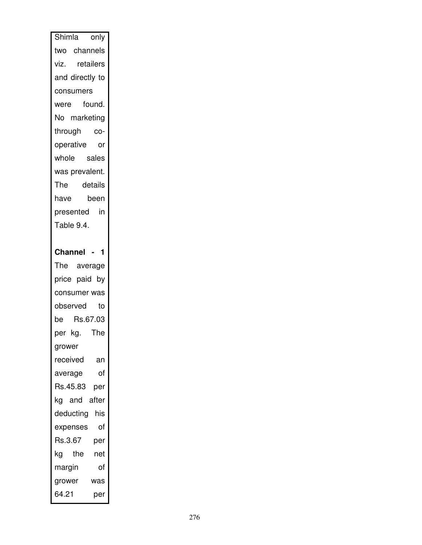| Shimla only                            |
|----------------------------------------|
| two channels                           |
| viz. retailers                         |
| and directly to                        |
| consumers                              |
| were found.                            |
| No marketing                           |
| through co-                            |
| operative or                           |
| whole sales                            |
| was prevalent.                         |
|                                        |
| The detail <mark>s</mark><br>have been |
| presented in                           |
| Table 9.4.                             |
|                                        |
| Channel - 1                            |
| The average                            |
| price paid by                          |
|                                        |
| consumer was                           |
| observed to                            |
| be<br>Rs.67.03                         |
|                                        |
| per kg. The<br>grower                  |
| received<br>an                         |
| of<br>average                          |
| Rs.45.83<br>per                        |
| kg and after                           |
| deducting<br>his                       |
| οf<br>expenses                         |
| Rs.3.67<br>per                         |
| the<br>kg<br>net                       |
| of<br>margin                           |
| grower<br>was                          |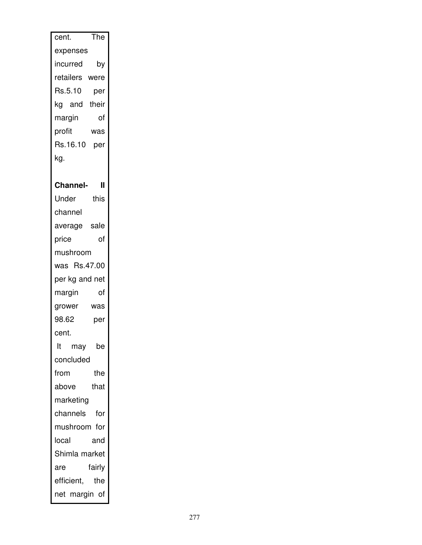| The<br>cent.          |
|-----------------------|
| expenses              |
| by<br>incurred        |
| retailers were        |
| Rs.5.10<br>per        |
| their<br>kg and       |
| margin<br>of          |
| profit<br>was         |
| Rs.16.10<br>per       |
| kg.                   |
|                       |
| <b>Channel-</b><br>II |
| this<br>Under         |
| channel               |
| average sale          |
| of<br>price           |
| mushroom              |
| was Rs.47.00          |
| per kg and net        |
| margin<br>of          |
| grower<br>was         |
| 98.62<br>per          |
| cent.                 |
| lt<br>be<br>may       |
| concluded             |
| the<br>from           |
| above<br>that         |
| marketing             |
| channels<br>for       |
| mushroom for          |
| local<br>and          |
| Shimla market         |
| fairly<br>are         |
| efficient,<br>the     |
| net margin of         |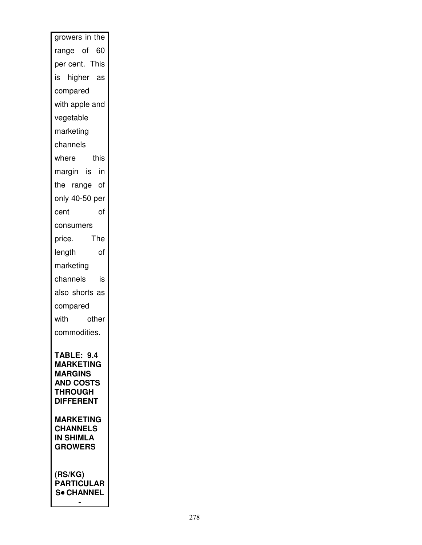| growers in the                                                                                                                                                                          |
|-----------------------------------------------------------------------------------------------------------------------------------------------------------------------------------------|
| range of 60                                                                                                                                                                             |
| per cent. This                                                                                                                                                                          |
| is higher as                                                                                                                                                                            |
| compared                                                                                                                                                                                |
| with apple and                                                                                                                                                                          |
| vegetable                                                                                                                                                                               |
| marketing                                                                                                                                                                               |
| channels                                                                                                                                                                                |
| this<br>where                                                                                                                                                                           |
| margin is in                                                                                                                                                                            |
| the range of                                                                                                                                                                            |
| only 40-50 per                                                                                                                                                                          |
| cent<br>of                                                                                                                                                                              |
| consumers                                                                                                                                                                               |
| The<br>price.                                                                                                                                                                           |
| length<br>of                                                                                                                                                                            |
| marketing                                                                                                                                                                               |
| channels<br>is                                                                                                                                                                          |
| also shorts as                                                                                                                                                                          |
| compared                                                                                                                                                                                |
| with<br>other                                                                                                                                                                           |
| commodities.                                                                                                                                                                            |
| TABLE: 9.4<br><b>MARKETING</b><br><b>MARGINS</b><br><b>AND COSTS</b><br><b>THROUGH</b><br><b>DIFFERENT</b><br><b>MARKETING</b><br><b>CHANNELS</b><br><b>IN SHIMLA</b><br><b>GROWERS</b> |
| (RS/KG)<br><b>PARTICULAR</b><br><b>S• CHANNEL</b>                                                                                                                                       |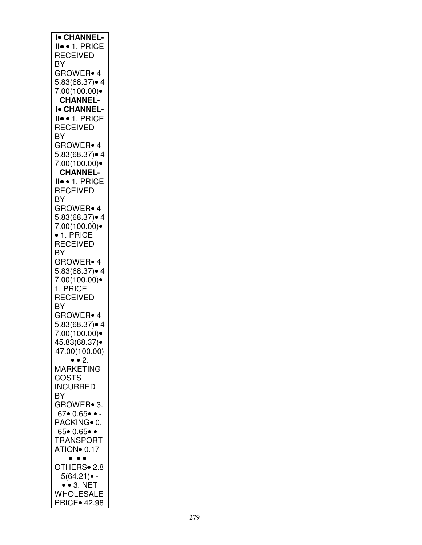| <b>I</b> CHANNEL-                        |
|------------------------------------------|
| II• • 1. PRICE                           |
|                                          |
| <b>RECEIVED</b>                          |
| BY                                       |
| <b>GROWER</b> 4                          |
| 5.83(68.37)• 4                           |
| 7.00(100.00)                             |
| <b>CHANNEL-</b>                          |
| <b>I</b> CHANNEL-                        |
| II · 1. PRICE                            |
| <b>RECEIVED</b>                          |
| ΒY                                       |
| GROWER <sup>®</sup> 4                    |
| 5.83(68.37)• 4                           |
|                                          |
| 7.00(100.00)                             |
| <b>CHANNEL-</b>                          |
| II · 1. PRICE                            |
| <b>RECEIVED</b>                          |
| BY                                       |
| GROWER• 4                                |
| 5.83(68.37)● 4                           |
| 7.00(100.00)                             |
| $\bullet$ 1. PRICE                       |
| <b>RECEIVED</b>                          |
| BY                                       |
| GROWER• 4                                |
| 5.83(68.37)• 4                           |
|                                          |
| 7.00(100.00)                             |
| 1. PRICE                                 |
| <b>RECEIVED</b>                          |
| ΒY                                       |
| GROWER <sup>®</sup> 4                    |
| 5.83(68.37)● 4                           |
| 7.00(100.00)                             |
| 45.83(68.37)●                            |
| 47.00(100.00)                            |
| $\dot{\bullet}$ $\dot{\bullet}$ 2.       |
| MARKETING                                |
| COSTS                                    |
| <b>INCURRED</b>                          |
| BY                                       |
| GROWER• 3.                               |
|                                          |
| 67• 0.65• • -                            |
| PACKING <sup>o</sup> 0.                  |
| 65• 0.65• • -                            |
| TRANSPORT                                |
| ATION <sup>®</sup> 0.17                  |
| $\bullet$ $\text{-}\bullet$<br>$\bullet$ |
| OTHERS• 2.8                              |
| $5(64.21)$ • -                           |
| $\bullet$ 3. NET                         |
| WHOLESALE                                |
| <b>PRICE</b> 42.98                       |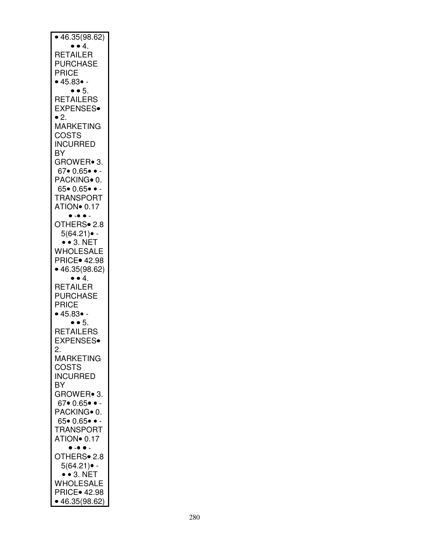| $\bullet$ 46.35(98.62)              |
|-------------------------------------|
| $\bullet$ $\bullet$ 4.              |
| RETAILER                            |
| <b>PURCHASE</b>                     |
| <b>PRICE</b><br>• 45.83 •           |
| $\bullet$ $\bullet$ 5.              |
| RETAILERS                           |
| <b>EXPENSES</b>                     |
| $\bullet$ 2.                        |
| <b>MARKETING</b>                    |
| <b>COSTS</b>                        |
| <b>INCURRED</b>                     |
| BY                                  |
| GROWER• 3.                          |
| $67 \bullet 0.65 \bullet \bullet -$ |
| PACKING <sup>o</sup> 0.             |
| $65 \bullet 0.65 \bullet \bullet -$ |
| <b>TRANSPORT</b>                    |
| ATION <sup>o</sup> 0.17             |
| $\bullet - \bullet \bullet -$       |
| OTHERS• 2.8                         |
| $5(64.21)$ .<br>$\bullet$ 3. NET    |
| WHOLESALE                           |
| PRICE. 42.98                        |
| • 46.35(98.62)                      |
| $\bullet$ $\bullet$ 4.              |
| RETAILER                            |
| <b>PURCHASE</b>                     |
| <b>PRICE</b>                        |
| • 45.83 •                           |
| $\bullet$ $\bullet$ 5.              |
| RETAILERS                           |
| <b>EXPENSES</b>                     |
| 2.                                  |
| MARKETING                           |
| COSTS<br><b>INCURRED</b>            |
|                                     |
| BY<br>GROWER• 3.                    |
| $67 \bullet 0.65 \bullet \bullet -$ |
| PACKING <sup>o</sup> 0.             |
| $65 \bullet 0.65 \bullet \bullet -$ |
| <b>TRANSPORT</b>                    |
| ATION <sup>o</sup> 0.17             |
| $\bullet$ - $\bullet$ $\bullet$ -   |
| OTHERS <sup>•</sup> 2.8             |
| 5(64.21)● -                         |
| $\bullet$ 3. NET                    |
| WHOLESALE                           |
|                                     |
| • 46.35(98.62)                      |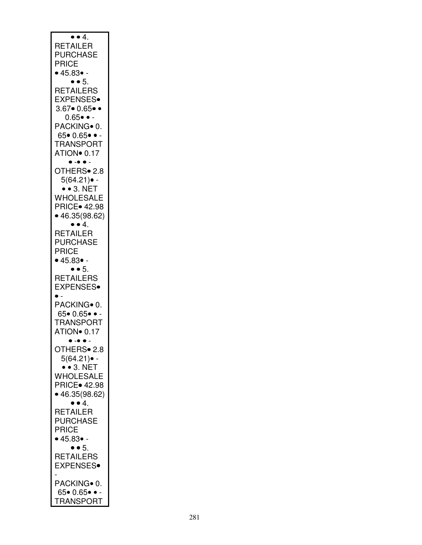| $\bullet$ $\bullet$ 4.<br><b>RETAILER</b><br><b>PURCHASE</b><br>PRICE<br>• 45.83 •                                 |
|--------------------------------------------------------------------------------------------------------------------|
| $\bullet$ $\bullet$ 5.<br><b>RETAILERS</b><br><b>EXPENSES</b><br>$3.67 \cdot 0.65 \cdot \cdot$<br>$0.65 \bullet -$ |
| PACKING <sup>o</sup> 0.<br>$65 \bullet 0.65 \bullet \bullet -$<br><b>TRANSPORT</b><br>ATION <sup>o</sup> 0.17      |
| $\bullet$ - $\bullet$ $\bullet$ -<br>OTHERS• 2.8<br>$5(64.21)$ -<br>$\bullet$ $\bullet$ 3. NET                     |
| WHOLESALE<br><b>PRICE</b> 42.98<br>• 46.35(98.62)                                                                  |
| .4 ● ●<br>RETAILER<br>PURCHASE<br>PRICE<br>• 45.83 •                                                               |
| $\bullet$ $\bullet$ 5.<br><b>RETAILERS</b><br><b>EXPENSES</b><br>$\bullet$ .                                       |
| PACKING∙ 0.<br>$65 \bullet 0.65 \bullet \bullet -$<br><b>TRANSPORT</b><br>ATION <sup>o</sup> 0.17                  |
| , <sub>=</sub><br>$\cdot$ .<br>OTHERS <sup>®</sup> 2.8<br>$5(64.21)$ .<br>$\bullet$ $\bullet$ 3. NET               |
| <b>WHOLESALE</b><br>PRICE. 42.98<br>• 46.35(98.62)<br>$\bullet$ $\bullet$ 4.                                       |
| <b>RETAILER</b><br><b>PURCHASE</b><br>PRICE<br>• 45.83 •                                                           |
| $\bullet$ $\bullet$ 5.<br><b>RETAILERS</b><br><b>EXPENSES</b>                                                      |
| PACKING <sup>o</sup> 0.<br>$65 \bullet 0.65 \bullet \bullet -$<br><b>TRANSPORT</b>                                 |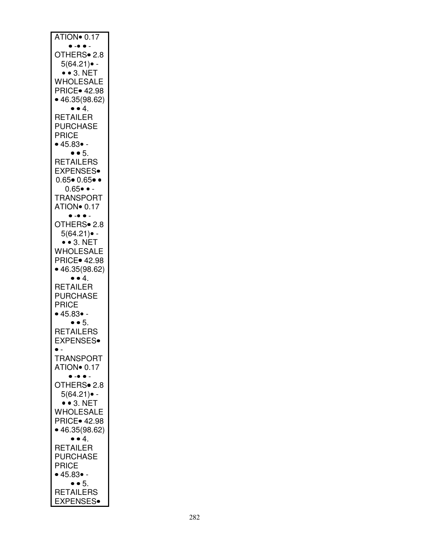| ATION <sup>o</sup> 0.17<br>$\bullet - \bullet \bullet -$                                                     |
|--------------------------------------------------------------------------------------------------------------|
| OTHERS <sup>•</sup> 2.8<br>$5(64.21)$ .                                                                      |
| $\bullet$ $\bullet$ 3. NET<br>WHOLESALE<br>PRICE • 42.98<br>• 46.35(98.62)                                   |
| $\bullet$ $\bullet$ 4.<br><b>RETAILER</b><br><b>PURCHASE</b><br><b>PRICE</b><br>• 45.83 •                    |
| $\bullet$ $\bullet$ 5.<br>RETAILERS<br><b>EXPENSES</b><br>$0.65 \cdot 0.65 \cdot \cdot$                      |
| $0.65 \bullet \bullet -$<br><b>TRANSPORT</b><br>ATION <sup>o</sup> 0.17<br>$\bullet$ - $\bullet$ $\bullet$ . |
| OTHERS <sup>®</sup> 2.8<br>$5(64.21)$ .<br>$\cdot$ 3. NET                                                    |
| WHOLESALE<br>PRICE. 42.98<br>• 46.35(98.62)                                                                  |
| $\bullet$ $\bullet$ 4.<br><b>RETAILER</b><br><b>PURCHASE</b><br><b>PRICE</b><br>• 45.83 •                    |
| $\bullet$ $\bullet$ 5.<br><b>RETAILERS</b><br>EXPENSES∙                                                      |
| $\bullet$ .<br><b>TRANSPORT</b><br>ATION <sup>o</sup> 0.17<br>$\bullet$ $\bullet$ $\bullet$ $\bullet$        |
| OTHERS <sup>•</sup> 2.8<br>$5(64.21)$ .<br>$\cdot$ 3. NET                                                    |
| WHOLESALE<br>PRICE. 42.98<br>• 46.35(98.62)<br>$\bullet$ $\bullet$ 4.                                        |
| RETAILER<br>PURCHASE<br>PRICE<br>• 45.83 •                                                                   |
| 9 ● 5.<br>RETAILERS<br><b>EXPENSES</b>                                                                       |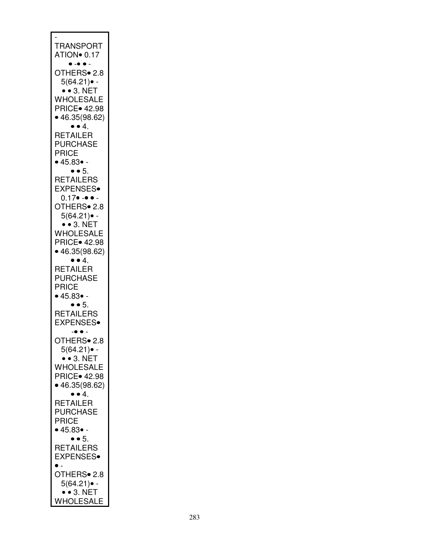| <b>TRANSPORT</b>                                               |
|----------------------------------------------------------------|
| ATION <sup>o</sup> 0.17<br>$\bullet$ - $\bullet$ $\bullet$ -   |
| OTHERS• 2.8<br>$5(64.21)$ .                                    |
| $\bullet$ $\bullet$ 3. NET<br>WHOLESALE                        |
| <b>PRICE</b> 42.98<br>• 46.35(98.62)<br>$\bullet$ $\bullet$ 4. |
| RETAILER<br><b>PURCHASE</b>                                    |
| PRICE<br>• 45.83 •                                             |
| $\bullet$ $\bullet$ 5.<br>RETAILERS                            |
| <b>EXPENSES</b><br>$0.17 \bullet - \bullet -$                  |
| OTHERS <sup>•</sup> 2.8<br>$5(64.21)$ .                        |
| $\bullet$ $\bullet$ 3. NET<br>WHOLESALE                        |
| PRICE • 42.98<br>• 46.35(98.62)                                |
| $\bullet$ $\bullet$ 4.<br><b>RETAILER</b><br><b>PURCHASE</b>   |
| PRICE<br>• 45.83 •                                             |
| $\bullet$ $\bullet$ 5.                                         |
| RETAILERS<br><b>EXPENSES</b>                                   |
| OTHERS• 2.8<br>$5(64.21)$ -                                    |
| $\bullet$ 3. NET<br>WHOLESALE                                  |
| <b>PRICE</b> 42.98<br>• 46.35(98.62)                           |
| $\bullet$ $\bullet$ 4.<br>RETAILER                             |
| <b>PURCHASE</b><br>PRICE                                       |
| $\bullet$ 45.83 $\bullet$ -<br>$\bullet$ $\bullet$ 5.          |
| <b>RETAILERS</b><br><b>EXPENSES</b><br>$\bullet$ .             |
| OTHERS• 2.8<br>$5(64.21)$ .                                    |
| $\bullet$ $\bullet$ 3. NET<br>WHOLESALE                        |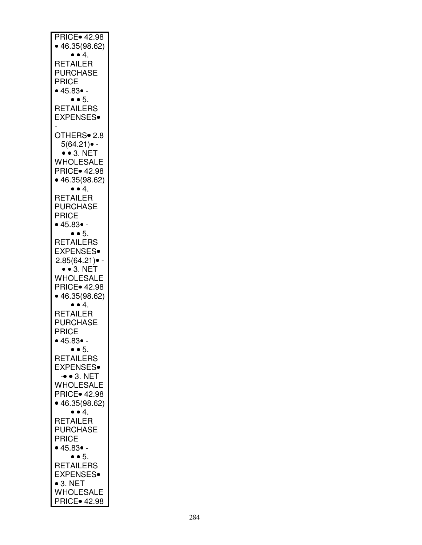| <b>PRICE</b> 42.98<br>• 46.35(98.62)                                                                    |
|---------------------------------------------------------------------------------------------------------|
| $\bullet$ $\bullet$ 4.<br><b>RETAILER</b><br>PURCHASE<br>PRICE<br>• 45.83 •                             |
| $\bullet$ $\bullet$ 5.<br>RETAILERS<br><b>EXPENSES</b>                                                  |
| OTHERS• 2.8<br>$5(64.21)$ -<br>$\bullet$ $\bullet$ 3. NET                                               |
| WHOLESALE<br><b>PRICE</b> 42.98<br>• 46.35(98.62)                                                       |
| $\bullet$ $\bullet$ 4.<br>RETAILER<br>PURCHASE<br>PRICE<br>$\bullet$ 45.83 $\bullet$ -                  |
| $\bullet$ $\bullet$ 5.<br>RETAILERS<br><b>EXPENSES</b><br>2.85(64.21)<br>$\bullet$ $\bullet$ 3. NET     |
| WHOLESALE<br><b>PRICE</b> 42.98<br>• 46.35(98.62)                                                       |
| $\bullet$ $\bullet$ 4.<br>RETAILER<br><b>PURCHASE</b><br>PRICE<br>• 45.83• -                            |
| $\bullet$ $\bullet$ 5.<br>RETAILERS<br><b>EXPENSES</b><br>$\bullet$ $\bullet$ 3. NET                    |
| WHOLESALE<br><b>PRICE</b> 42.98<br>• 46.35(98.62)<br>$\bullet$ $\bullet$ 4.                             |
| RETAILER<br><b>PURCHASE</b><br>PRICE<br>• 45.83 •                                                       |
| $\bullet$ $\bullet$ 5.<br>RETAILERS<br>EXPENSES.<br>$\bullet$ 3. NET<br>WHOLESALE<br><b>PRICE</b> 42.98 |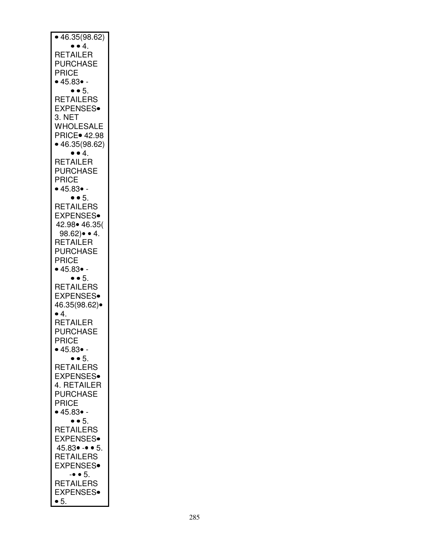| • 46.35(98.62)<br>$\bullet$ $\bullet$ 4.                                                                                                                                                                                  |
|---------------------------------------------------------------------------------------------------------------------------------------------------------------------------------------------------------------------------|
| RETAILER<br>PURCHASE<br><b>PRICE</b><br>• 45.83 •                                                                                                                                                                         |
| $\bullet$ $\bullet$ 5.<br><b>RETAILERS</b><br><b>EXPENSES</b><br>3. NET<br>WHOLESALE<br><b>PRICE</b> 42.98<br>• 46.35(98.62)<br>$\bullet$ $\bullet$ 4.<br><b>RETAILER</b><br><b>PURCHASE</b><br><b>PRICE</b><br>• 45.83 • |
| $\bullet$ $\bullet$ 5.<br>RETAILERS<br><b>EXPENSES</b><br>42.98• 46.35(<br>$98.62 \rightarrow 4.$<br>RETAILER<br><b>PURCHASE</b><br>PRICE<br>• 45.83 •                                                                    |
| $\bullet \bullet 5.$<br><b>RETAILERS</b><br><b>EXPENSES</b><br>46.35(98.62)•<br>$\bullet$ 4.<br>RETAILER<br><b>PURCHASE</b><br>PRICE<br>• 45.83 •                                                                         |
| $\bullet$ $\bullet$ 5.<br>RETAILERS<br><b>EXPENSES</b><br>4. RETAILER<br><b>PURCHASE</b><br><b>PRICE</b><br>• 45.83 •                                                                                                     |
| $\bullet$ $\bullet$ 5.<br>RETAILERS<br><b>EXPENSES</b><br>$45.83 \bullet - \bullet 5$ .<br>RETAILERS<br><b>EXPENSES</b><br>$\bullet$ $\bullet$ 5.                                                                         |
| RETAILERS<br><b>EXPENSES</b><br>$\bullet$ 5.                                                                                                                                                                              |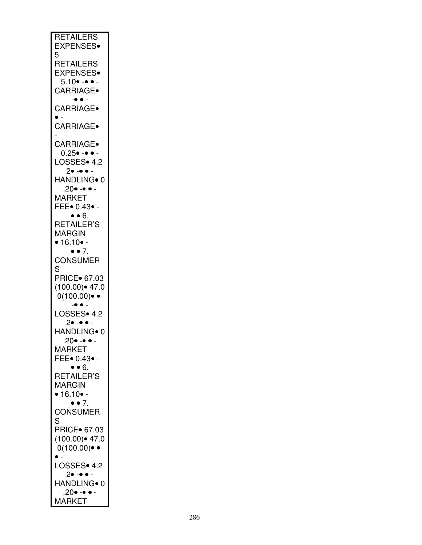| <b>RETAILERS</b>                             |
|----------------------------------------------|
|                                              |
| <b>EXPENSES</b>                              |
| 5.                                           |
|                                              |
| <b>RETAILERS</b>                             |
|                                              |
| <b>EXPENSES</b>                              |
|                                              |
| $5.10 \bullet - \bullet -$                   |
| CARRIAGE.                                    |
|                                              |
| $\bullet$ $\bullet$ $-$                      |
| CARRIAGE.                                    |
|                                              |
|                                              |
|                                              |
| <b>CARRIAGE</b>                              |
|                                              |
|                                              |
| <b>CARRIAGE</b>                              |
|                                              |
| $0.25 \bullet - \bullet -$                   |
| LOSSES• 4.2                                  |
|                                              |
| 2• -• • -                                    |
| HANDLING <sup>®</sup> 0                      |
|                                              |
| .20• -• • -                                  |
| <b>MARKET</b>                                |
|                                              |
| FEE• 0.43• -                                 |
|                                              |
| $\bullet$ $\bullet$ 6.                       |
| <b>RETAILER'S</b>                            |
|                                              |
| <b>MARGIN</b>                                |
|                                              |
| • 16.10 •                                    |
| $\bullet$ $\bullet$ 7.                       |
|                                              |
| <b>CONSUMER</b>                              |
|                                              |
|                                              |
| S                                            |
|                                              |
| PRICE 67.03                                  |
|                                              |
| $(100.00)$ $47.0$                            |
| $0(100.00)$ ••                               |
|                                              |
| $\bullet$ $\bullet$ $\overline{\phantom{a}}$ |
|                                              |
| LOSSES• 4.2                                  |
| $2 \bullet - \bullet \bullet -$              |
|                                              |
| HANDLING∙ 0                                  |
| .20• -• •                                    |
|                                              |
| <b>MARKET</b>                                |
| FEE• 0.43• -                                 |
|                                              |
|                                              |
|                                              |
| .6 ● ●<br>RETAILER'S                         |
| <b>MARGIN</b>                                |
|                                              |
| $\bullet$ 16.10 $\bullet$ -                  |
| $\bullet$ $\bullet$ 7.                       |
|                                              |
| <b>CONSUMER</b>                              |
| S                                            |
|                                              |
| PRICE• 67.03                                 |
|                                              |
| $(100.00)$ 47.0                              |
|                                              |
| $0(100.00)$ •                                |
| $\bullet$ .                                  |
|                                              |
| LOSSES• 4.2                                  |
| 2• -• • -                                    |
|                                              |
| HANDLING• 0                                  |
| $.20 \bullet - \bullet -$                    |
| <b>MARKET</b>                                |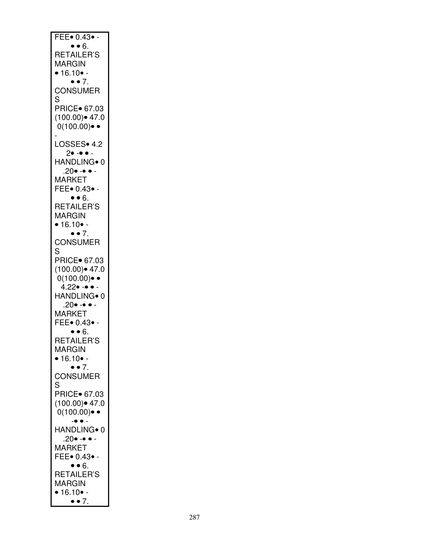| FEE $\bullet$ 0.43 $\bullet$ -<br>• 6.                |
|-------------------------------------------------------|
| RETAILER'S                                            |
| <b>MARGIN</b>                                         |
| • 16.10 •                                             |
| $\bullet$ $\bullet$ 7.                                |
| <b>CONSUMER</b>                                       |
| S<br>PRICE• 67.03                                     |
| $(100.00)$ 47.0                                       |
| $0(100.00)$ $\bullet$                                 |
|                                                       |
| LOSSES• 4.2<br>$2 \bullet - \bullet -$                |
| HANDLING <sup>®</sup> 0                               |
| .20• -• • -                                           |
| <b>MARKET</b>                                         |
| FEE• 0.43• -                                          |
| $\bullet \bullet 6.$<br>RETAILER'S                    |
| MARGIN                                                |
| • $16.10$ •-                                          |
| $\bullet$ $\bullet$ 7.                                |
| <b>CONSUMER</b><br>S                                  |
| PRICE• 67.03                                          |
| $(100.00)$ 47.0                                       |
| $0(100.00)$ $\bullet$                                 |
| 4.22• -• • -                                          |
| HANDLING• 0<br>$.20 \bullet - \bullet -$              |
| <b>MARKET</b>                                         |
| FEE• 0.43• -                                          |
| $\bullet \bullet 6.$                                  |
| RETAILER'S<br>MARGIN                                  |
| • 16.10 •                                             |
| $\bullet$ $\bullet$ 7.                                |
| <b>CONSUMER</b>                                       |
| S                                                     |
| PRICE 67.03<br>$(100.00)$ $\bullet$ 47.0              |
| $0(100.00)$ • •                                       |
| $\bullet$ $\bullet$ .                                 |
| HANDLING <sup>®</sup> 0                               |
| $.20 \bullet - \bullet -$<br><b>MARKET</b>            |
| FEE• 0.43• -                                          |
| $\bullet$ $\bullet$ $6.$                              |
| RETAILER'S                                            |
| MARGIN                                                |
| $\bullet$ 16.10 $\bullet$ -<br>$\bullet$ $\bullet$ 7. |
|                                                       |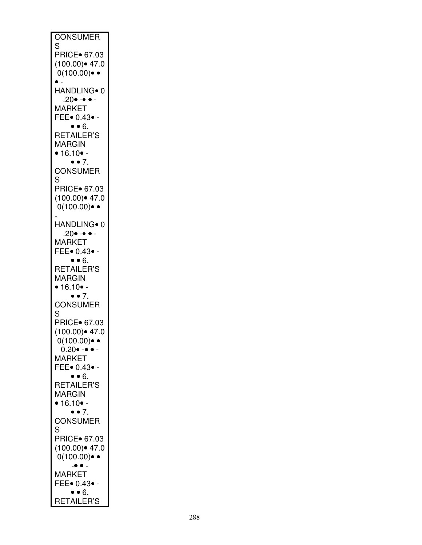| <b>CONSUMER</b><br>S                                                                                                  |
|-----------------------------------------------------------------------------------------------------------------------|
| <b>PRICE</b> 67.03<br>$(100.00)$ 47.0<br>$0(100.00)$ ••<br>$\bullet$ -                                                |
| HANDLING• 0                                                                                                           |
| $.20 \bullet - \bullet -$<br><b>MARKET</b><br>FEE• 0.43• -<br>$\bullet \bullet 6.$                                    |
| <b>RETAILER'S</b><br><b>MARGIN</b><br>• $16.10$ •-<br>$\bullet$ $\bullet$ 7.                                          |
| <b>CONSUMER</b>                                                                                                       |
| S<br>PRICE 67.03<br>$(100.00)$ 47.0<br>$0(100.00) \cdot \cdot$                                                        |
| HANDLING∙ 0                                                                                                           |
| $.20 \bullet - \bullet -$<br><b>MARKET</b><br>FEE. 0.43.                                                              |
| $\bullet \bullet 6.$<br>RETAILER'S<br>MARGIN<br>$\bullet$ 16.10 $\bullet$ -<br>$\bullet$ $\bullet$ 7.                 |
| <b>CONSUMER</b>                                                                                                       |
| S<br>PRICE• 67.03<br>$(100.00)$ $47.0$<br>0(100.00)● ●<br>$0.20 \bullet - \bullet -$<br><b>MARKET</b><br>FEE• 0.43• - |
| $\bullet$ $\bullet$ $6.$<br>RETAILER'S<br>MARGIN<br>$\bullet$ 16.10 $\bullet$ -                                       |
| $\bullet$ $\bullet$ 7.<br><b>CONSUMER</b>                                                                             |
| S<br>PRICE• 67.03<br>$(100.00)$ 47.0<br>$0(100.00)$ • •<br>$\bullet$ $\bullet$ .                                      |
| <b>MARKET</b><br>FEE. 0.43.                                                                                           |
| $\bullet$ $\bullet$ $6.$<br>RETAILER'S                                                                                |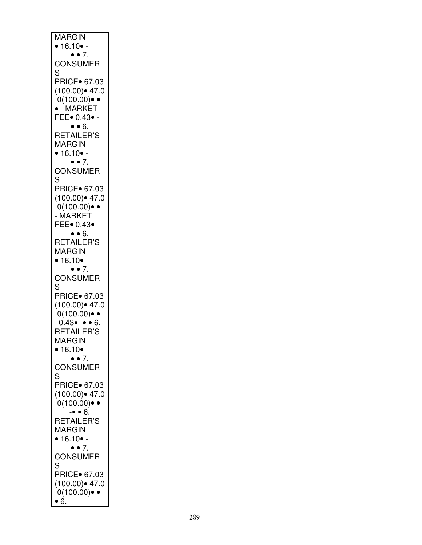| <b>MARGIN</b>                   |
|---------------------------------|
|                                 |
| • $16.10$ •-                    |
| $\bullet$ $\bullet$ 7.          |
|                                 |
| <b>CONSUMER</b>                 |
|                                 |
| S                               |
| PRICE 67.03                     |
|                                 |
| $(100.00)$ $47.0$               |
| $0(100.00)$ $\bullet$           |
|                                 |
| $\bullet$ - MARKET              |
|                                 |
| FEE• 0.43• -                    |
| $\bullet$ $\bullet$ 6.          |
|                                 |
| RETAILER'S                      |
| <b>MARGIN</b>                   |
|                                 |
| • $16.10$ •-                    |
| $\bullet$ $\bullet$ 7.          |
|                                 |
| <b>CONSUMER</b>                 |
|                                 |
| S                               |
| PRICE 67.03                     |
|                                 |
| $(100.00)$ 47.0                 |
|                                 |
| $0(100.00)$ •                   |
| - MARKET                        |
|                                 |
| FEE• 0.43• -                    |
| $\bullet \bullet 6.$            |
|                                 |
| RETAILER'S                      |
| <b>MARGIN</b>                   |
|                                 |
|                                 |
|                                 |
| • 16.10 •                       |
| $\bullet$ $\bullet$ 7.          |
|                                 |
| <b>CONSUMER</b>                 |
| S                               |
|                                 |
| PRICE• 67.03                    |
|                                 |
| $(100.00)$ 47.0                 |
|                                 |
| $0(100.00)$ ••                  |
| $0.43 \bullet - \bullet 6.$     |
|                                 |
| RETAILER'S                      |
| MARGIN                          |
|                                 |
| • 16.10 •                       |
| $\bullet$ $\bullet$ 7.          |
|                                 |
| <b>CONSUMER</b>                 |
| S                               |
|                                 |
| PRICE• 67.03                    |
|                                 |
| $(100.00)$ 47.0                 |
| $0(100.00)$ ••                  |
|                                 |
| $-• 6.$                         |
| RETAILER'S                      |
|                                 |
| <b>MARGIN</b>                   |
|                                 |
| $\bullet$ 16.10 $\bullet$ -     |
| $\bullet$ $\bullet$ 7.          |
|                                 |
| <b>CONSUMER</b>                 |
| S                               |
|                                 |
| PRICE• 67.03                    |
|                                 |
| $(100.00)$ • 47.0               |
| $0(100.00)$ • •<br>$\bullet$ 6. |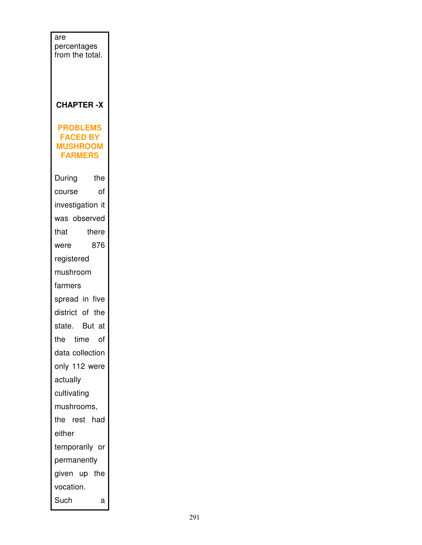| are<br>percentages<br>from the total.                                   |  |
|-------------------------------------------------------------------------|--|
| <b>CHAPTER-X</b>                                                        |  |
| <b>PROBLEMS</b><br><b>FACED BY</b><br><b>MUSHROOM</b><br><b>FARMERS</b> |  |
| the<br>During                                                           |  |
| οf<br>course                                                            |  |
| investigation it                                                        |  |
| was observed                                                            |  |
| that<br>there                                                           |  |
| 876<br>were                                                             |  |
| registered                                                              |  |
| mushroom                                                                |  |
| farmers                                                                 |  |
| spread in five                                                          |  |
| district of the                                                         |  |
| state. But at                                                           |  |
| the<br>time<br>of                                                       |  |
| data collection                                                         |  |
| only 112 were                                                           |  |
| actually                                                                |  |
| cultivating                                                             |  |
| mushrooms,<br>the rest<br>had                                           |  |
| either                                                                  |  |
| temporarily or                                                          |  |
| permanently                                                             |  |
| given up<br>the                                                         |  |
| vocation.                                                               |  |
| Such<br>а                                                               |  |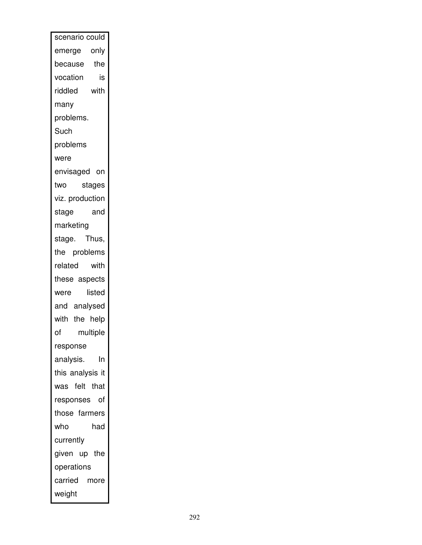| scenario could   |
|------------------|
| emerge only      |
| because<br>the   |
| vocation<br>is   |
| riddled<br>with  |
| many             |
| problems.        |
| Such             |
| problems         |
| were             |
| envisaged on     |
| stages<br>two    |
| viz. production  |
| and<br>stage     |
| marketing        |
| stage. Thus,     |
| the problems     |
| related<br>with  |
| these aspects    |
| listed<br>were   |
| and analysed     |
| with the help    |
| multiple<br>of   |
| response         |
| analysis.<br>In  |
| this analysis it |
| was felt that    |
| responses of     |
| those farmers    |
| who<br>had       |
| currently        |
| given up the     |
| operations       |
| carried more     |
| weight           |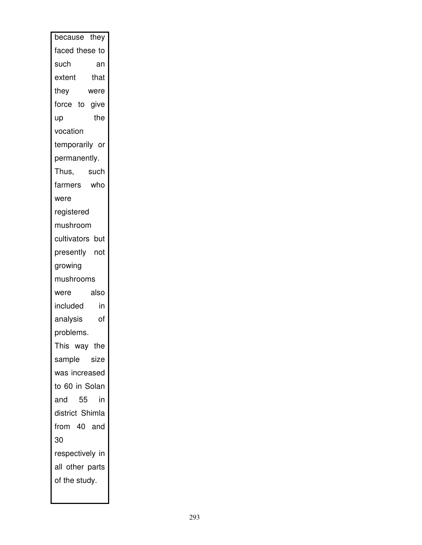| because they    |
|-----------------|
| faced these to  |
| such<br>an      |
| extent<br>that  |
| they<br>were    |
| force to give   |
| the<br>up       |
| vocation        |
| temporarily or  |
| permanently.    |
| Thus,<br>such   |
| farmers who     |
| were            |
| registered      |
| mushroom        |
| cultivators but |
| presently not   |
| growing         |
|                 |
| mushrooms       |
| also<br>were    |
| included<br>in  |
| analysis<br>of  |
| problems.       |
| This way the    |
| sample size     |
| was increased   |
| to 60 in Solan  |
| and 55<br>in    |
| district Shimla |
| from 40 and     |
| 30              |
| respectively in |
| all other parts |
| of the study.   |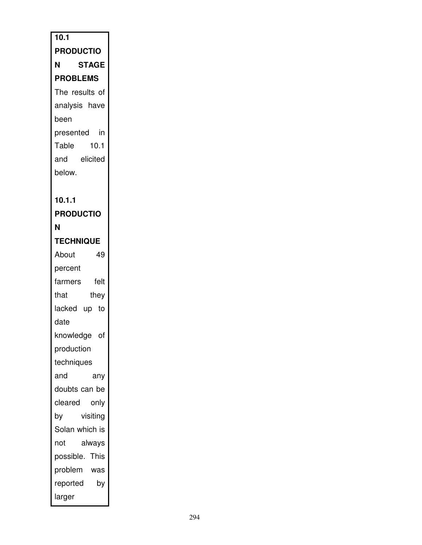| $\overline{10.1}$ |
|-------------------|
| <b>PRODUCTIO</b>  |
| <b>STAGE</b><br>Ν |
| <b>PROBLEMS</b>   |
| The results of    |
| analysis have     |
| been              |
| presented in      |
| Table<br>10.1     |
| and<br>elicited   |
| below.            |
|                   |
| 10.1.1            |
| <b>PRODUCTIO</b>  |
| Ν                 |
| <b>TECHNIQUE</b>  |
| 49<br>About       |
| percent           |
| felt<br>farmers   |
| that<br>they      |
| lacked up to      |
| date              |
| knowledge of      |
| production        |
| techniques        |
| and<br>any        |
| doubts can be     |
| cleared<br>only   |
| visiting<br>by    |
| Solan which is    |
| always<br>not     |
| possible. This    |
| problem<br>was    |
| by<br>reported    |
| larger            |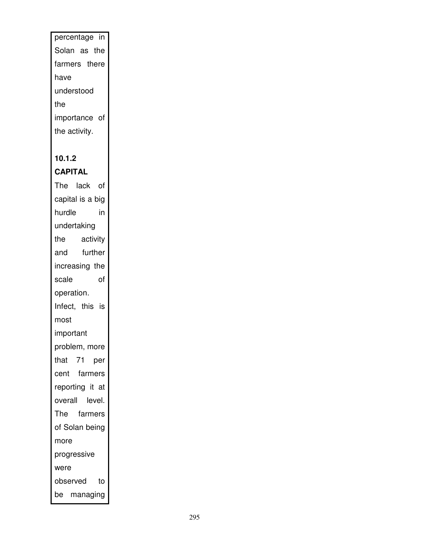# percentage in Solan as the farmers there have understood the importance of the activity.

## **10.1.2**

## **CAPITAL**

The lack of capital is a big hurdle in undertaking the activity and further increasing the scale of operation. Infect, this is most important problem, more that 71 per cent farmers reporting it at overall level. The farmers of Solan being more progressive were observed to be managing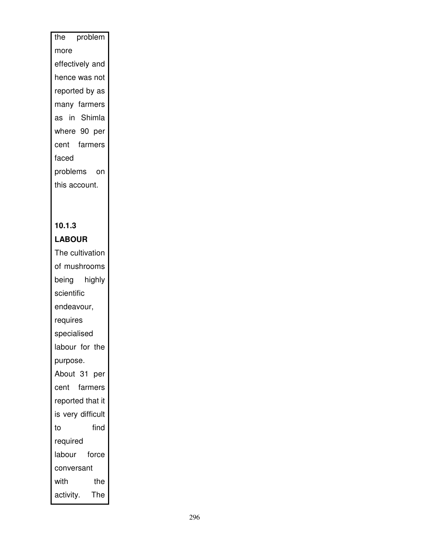# the problem more effectively and hence was not reported by as many farmers as in Shimla where 90 per cent farmers faced problems on this account.

#### **10.1.3 LABOUR**

The cultivation of mushrooms being highly scientific endeavour, requires specialised labour for the purpose. About 31 per cent farmers reported that it is very difficult to find required labour force conversant with the activity. The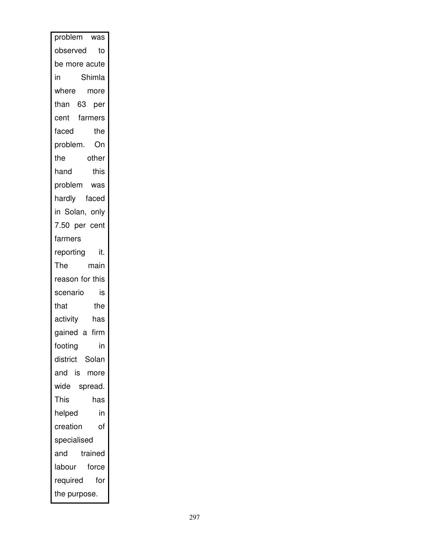| problem         | was     |
|-----------------|---------|
| observed        | to      |
| be more acute   |         |
| in              | Shimla  |
| where           | more    |
| than 63 per     |         |
| cent farmers    |         |
| faced           | the     |
| problem.        | On      |
| the             | other   |
| hand            | this    |
| problem was     |         |
| hardly faced    |         |
| in Solan, only  |         |
| 7.50 per cent   |         |
| farmers         |         |
| reporting       | it.     |
| The             | main    |
| reason for this |         |
| scenario        | is      |
| that            | the     |
| activity        | has     |
| gained a firm   |         |
| footing         | in      |
| district Solan  |         |
| and is          | more    |
| wide spread.    |         |
| This            | has     |
| helped          | in      |
| creation        | of      |
| specialised     |         |
| and             | trained |
| labour          | force   |
| required        | for     |
| the purpose.    |         |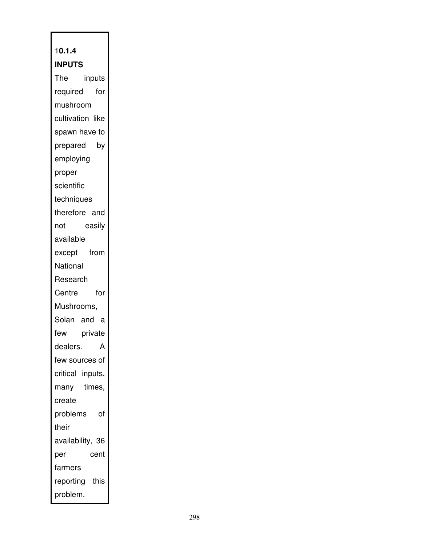## 1**0.1.4 INPUTS**

The inputs required for mushroom cultivation like spawn have to prepared by employing proper scientific techniques therefore and not easily available except from **National** Research Centre for Mushrooms, Solan and a few private dealers. A few sources of critical inputs, many times, create problems of their availability, 36 per cent farmers reporting this problem.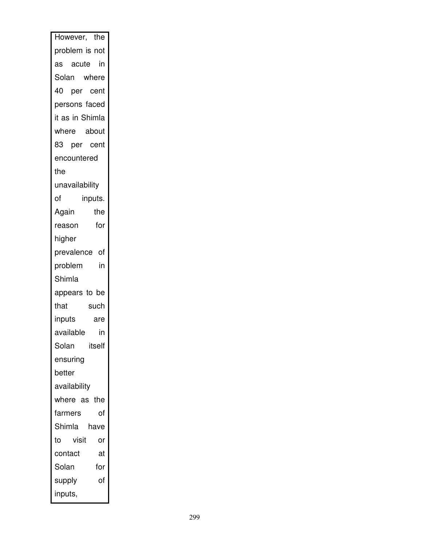| However, the      |
|-------------------|
| problem is not    |
| as acute in       |
| Solan where       |
| 40 per cent       |
| persons faced     |
| it as in Shimla   |
| where about       |
| 83 per cent       |
| encountered       |
| the               |
| unavailability    |
| of<br>inputs.     |
| Again<br>the      |
| for<br>reason     |
| higher            |
| prevalence of     |
| in<br>problem     |
| Shimla            |
| appears to be     |
| that<br>such      |
| inputs<br>are     |
| available<br>in   |
| Solan<br>itself   |
| ensuring          |
| better            |
| availability      |
| where as the      |
| of<br>farmers     |
| Shimla<br>have    |
| visit<br>to<br>or |
| contact<br>at     |
| Solan<br>for      |
| of<br>supply      |
| inputs,           |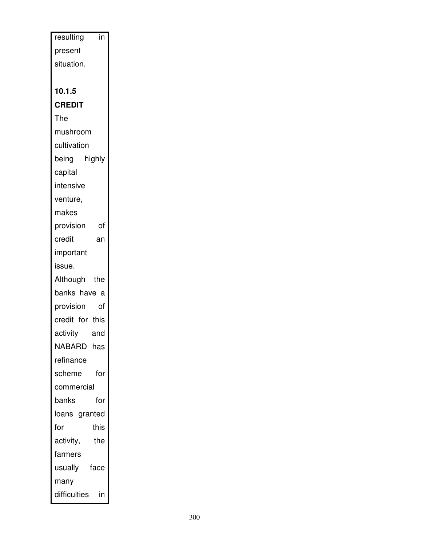| resulting<br>in    |  |
|--------------------|--|
| present            |  |
| situation.         |  |
|                    |  |
| 10.1.5             |  |
| <b>CREDIT</b>      |  |
| The                |  |
| mushroom           |  |
| cultivation        |  |
| being highly       |  |
| capital            |  |
| intensive          |  |
| venture,           |  |
| makes              |  |
| provision<br>0f    |  |
| credit<br>an       |  |
| important          |  |
| issue.             |  |
| Although the       |  |
| banks have a       |  |
| provision<br>of    |  |
| credit for this    |  |
| activity<br>and    |  |
| NABARD has         |  |
| refinance          |  |
| for<br>scheme      |  |
| commercial         |  |
| banks<br>for       |  |
| loans granted      |  |
| this<br>for        |  |
| activity,<br>the   |  |
| farmers            |  |
| face<br>usually    |  |
| many               |  |
| difficulties<br>in |  |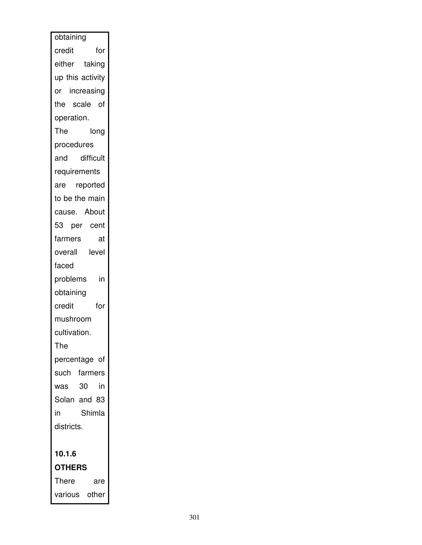| obtaining        |
|------------------|
| for<br>credit    |
| either taking    |
| up this activity |
| or increasing    |
| the scale of     |
| operation.       |
| The<br>long      |
| procedures       |
| difficult<br>and |
| requirements     |
| are reported     |
| to be the main   |
| cause. About     |
| 53 per cent      |
| farmers<br>at    |
| level<br>overall |
| faced            |
| problems<br>in   |
| obtaining        |
| for<br>credit    |
| mushroom         |
| cultivation.     |
| The              |
| percentage of    |
| such farmers     |
| -30<br>in<br>was |
| Solan and 83     |
| Shimla<br>in     |
| districts.       |
|                  |
| 10.1.6           |
| <b>OTHERS</b>    |
| There<br>are     |
| various other    |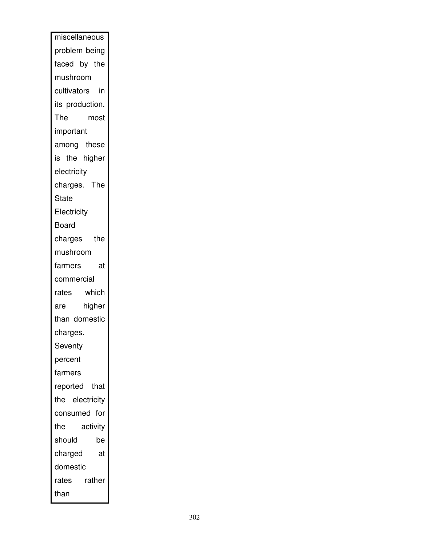| miscellaneous   |
|-----------------|
| problem being   |
| faced by the    |
| mushroom        |
| cultivators in  |
| its production. |
| The<br>most     |
| important       |
| among these     |
| is the higher   |
| electricity     |
| charges. The    |
| State           |
| Electricity     |
| Board           |
| charges<br>the  |
| mushroom        |
| farmers<br>at   |
| commercial      |
| which<br>rates  |
| higher<br>are   |
| than domestic   |
| charges.        |
| Seventy         |
| percent         |
| farmers         |
| reported that   |
| the electricity |
| consumed<br>for |
| the<br>activity |
| should<br>be    |
| charged<br>at   |
| domestic        |
| rather<br>rates |
| than            |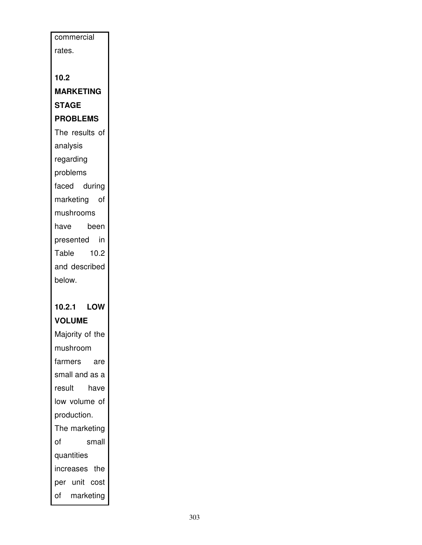| commercial       |  |
|------------------|--|
| rates.           |  |
|                  |  |
| 10.2             |  |
| <b>MARKETING</b> |  |
| <b>STAGE</b>     |  |
| <b>PROBLEMS</b>  |  |
| The results of   |  |
| analysis         |  |
| regarding        |  |
| problems         |  |
| faced during     |  |
| marketing of     |  |
| mushrooms        |  |
| have<br>been     |  |
| presented in     |  |
| 10.2<br>Table    |  |
| and described    |  |
| below.           |  |
|                  |  |
|                  |  |
| 10.2.1 LOW       |  |
| <b>VOLUME</b>    |  |
| Majority of the  |  |
| mushroom         |  |
| farmers<br>are   |  |
| small and as a   |  |
| result<br>have   |  |
| low volume of    |  |
| production.      |  |
| The marketing    |  |
| of<br>small      |  |
| quantities       |  |
| increases the    |  |
| per unit cost    |  |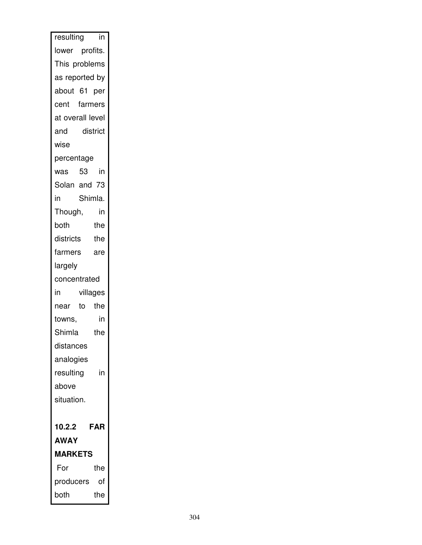| resulting        |          | in         |
|------------------|----------|------------|
| lower profits.   |          |            |
| This problems    |          |            |
| as reported by   |          |            |
| about 61 per     |          |            |
| cent farmers     |          |            |
| at overall level |          |            |
| and              | district |            |
| wise             |          |            |
| percentage       |          |            |
| was 53           |          | in         |
| Solan and 73     |          |            |
| in               |          | Shimla.    |
| Though,          |          | in         |
| both             |          | the        |
| districts        |          | the        |
| farmers          |          | are        |
| largely          |          |            |
| concentrated     |          |            |
| in               |          | villages   |
| near             | to the   |            |
| towns,           |          | in         |
| Shimla           |          | the        |
| distances        |          |            |
| analogies        |          |            |
|                  |          |            |
| resulting        |          | in         |
| above            |          |            |
| situation.       |          |            |
|                  |          |            |
| 10.2.2           |          | <b>FAR</b> |
| <b>AWAY</b>      |          |            |
| <b>MARKETS</b>   |          |            |
| For              |          | the        |
| producers        |          | of         |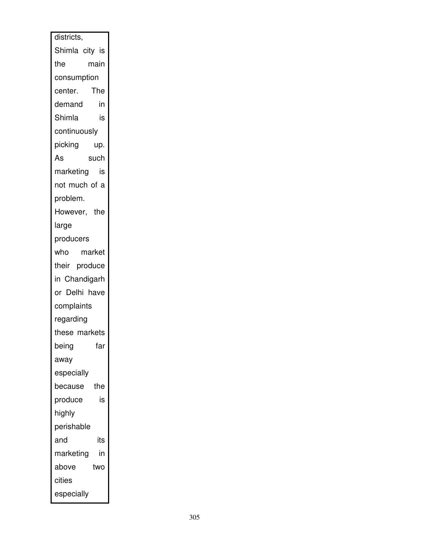| districts,      |
|-----------------|
| Shimla city is  |
| main<br>the     |
| consumption     |
| The<br>center.  |
| in<br>demand    |
| Shimla<br>is    |
| continuously    |
| picking<br>up.  |
| As<br>such      |
| marketing<br>is |
| not much of a   |
| problem.        |
| However, the    |
| large           |
| producers       |
| who market      |
| their produce   |
| in Chandigarh   |
| or Delhi have   |
| complaints      |
| regarding       |
| these markets   |
| far<br>being    |
| away            |
| especially      |
| the<br>because  |
| is<br>produce   |
| highly          |
| perishable      |
| and<br>its      |
| marketing<br>in |
| above<br>two    |
| cities          |
| especially      |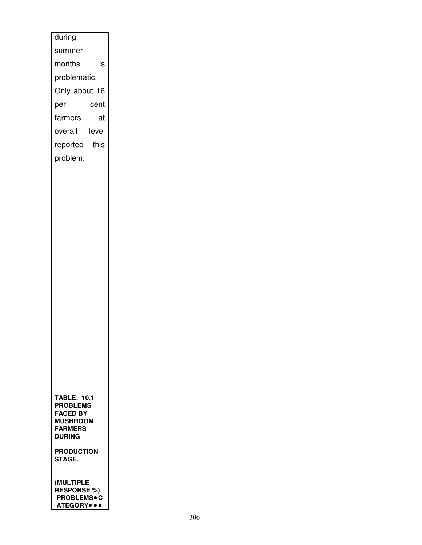| during                                    |
|-------------------------------------------|
| summer                                    |
| is<br>months                              |
| problematic.                              |
| Only about 16                             |
| per<br>cent                               |
| farmers<br>at                             |
| level<br>overall                          |
| reported<br>this                          |
| problem.                                  |
|                                           |
|                                           |
|                                           |
|                                           |
|                                           |
|                                           |
|                                           |
|                                           |
|                                           |
|                                           |
|                                           |
|                                           |
|                                           |
|                                           |
|                                           |
|                                           |
|                                           |
|                                           |
|                                           |
| <b>TABLE: 10.1</b>                        |
| <b>PROBLEMS</b><br><b>FACED BY</b>        |
| <b>MUSHROOM</b>                           |
| <b>FARMERS</b><br><b>DURING</b>           |
| <b>PRODUCTION</b>                         |
| STAGE.                                    |
|                                           |
| <b>(MULTIPLE</b>                          |
| <b>RESPONSE %)</b><br><b>PROBLEMS</b> • C |
| ATEGORY <sup></sup>                       |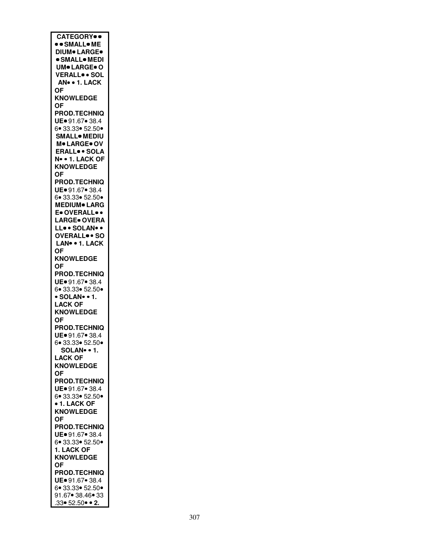| <b>CATEGORY</b> .                              |
|------------------------------------------------|
| <b>• • SMALL• ME</b>                           |
| <b>DIUM</b> LARGE.                             |
| · SMALL• MEDI                                  |
| <b>UM</b> • LARGE • O                          |
| VERALLSOL                                      |
| AN • 1. LACK                                   |
|                                                |
| <b>OF</b>                                      |
| <b>KNOWLEDGE</b>                               |
| <b>OF</b>                                      |
| <b>PROD.TECHNIQ</b>                            |
| UE. 91.67. 38.4                                |
| 6 33.33 52.50                                  |
| <b>SMALL</b> MEDIU                             |
| M. LARGE. OV                                   |
| <b>ERALL</b> <sup>o</sup> · SOLA               |
| N• • 1. LACK OF                                |
| <b>KNOWLEDGE</b>                               |
| ΟF                                             |
| <b>PROD.TECHNIQ</b>                            |
|                                                |
| UE. 91.67. 38.4                                |
| 6• 33.33• 52.50•<br>MEDIUM• LARG               |
|                                                |
| E. OVERALL                                     |
| <b>LARGE</b> OVERA                             |
| LLSOLAN                                        |
| OVERALL <sup>.</sup> SO                        |
| LAN• • 1. LACK                                 |
| <b>OF</b>                                      |
| <b>KNOWLEDGE</b>                               |
| 0F                                             |
|                                                |
|                                                |
| <b>PROD.TECHNIQ</b>                            |
| UE. 91.67. 38.4                                |
| 6• 33.33• 52.50•                               |
| · SOLAN · 1.                                   |
| <b>LACK OF</b>                                 |
| <b>KNOWLEDGE</b>                               |
| 0F                                             |
| <b>PROD.TECHNIQ</b>                            |
| UE. 91.67. 38.4                                |
|                                                |
| 6● 33.33● 52.50●                               |
|                                                |
| SOLAN∙ ∙ 1.<br>LACK OF                         |
| <b>KNOWLEDGE</b>                               |
| <b>OF</b>                                      |
| <b>PROD.TECHNIQ</b>                            |
| UE = 91.67 = 38.4                              |
| 6 33.33 52.50                                  |
| • 1. LACK OF                                   |
| <b>KNOWLEDGE</b>                               |
| <b>OF</b>                                      |
| <b>PROD.TECHNIQ</b>                            |
| UE. 91.67. 38.4                                |
| 6 33.33 52.50                                  |
|                                                |
| 1. LACK OF                                     |
| <b>KNOWLEDGE</b>                               |
| <b>OF</b>                                      |
| <b>PROD.TECHNIQ</b>                            |
| UE = 91.67 · 38.4                              |
| 6.33.33.50.                                    |
| 91.67• 38.46• 33<br>$.33 \cdot 52.50 \cdot 2.$ |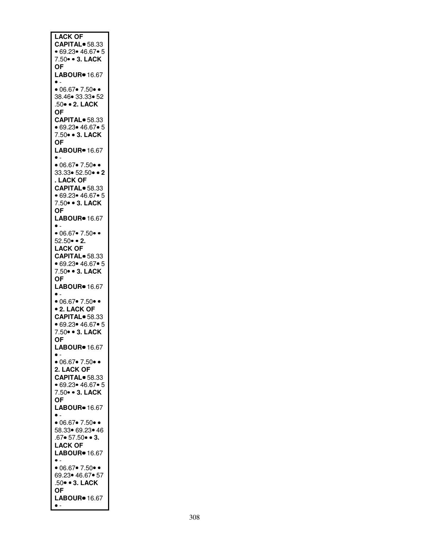| <b>LACK OF</b>                                     |
|----------------------------------------------------|
| CAPITAL <sup>®</sup> 58.33                         |
| • 69.23• 46.67• 5<br>7.50 • 3. LACK                |
| ОF                                                 |
| LABOUR <sup>®</sup> 16.67                          |
| $\bullet$ .                                        |
| • 06.67 • 7.50 •<br>38.46 33.33 52                 |
| .50 · 2. LACK                                      |
| <b>OF</b>                                          |
| CAPITAL <sup>®</sup> 58.33                         |
| • 69.23• 46.67• 5<br>7.50 • 3. LACK                |
| ΟF                                                 |
| LABOUR <sup>®</sup> 16.67                          |
| $\bullet$ -                                        |
| • 06.67• 7.50• •<br>$33.33 \cdot 52.50 \cdot 2$    |
| . LACK OF                                          |
| CAPITAL <sup>®</sup> 58.33                         |
| • 69.23 • 46.67 • 5                                |
| 7.50 • 3. LACK                                     |
| ОF<br>LABOUR <sup>®</sup> 16.67                    |
| $\bullet$ .                                        |
| $\bullet$ 06.67 $\bullet$ 7.50 $\bullet$ $\bullet$ |
| $52.50 \cdot 2$ .                                  |
| <b>LACK OF</b>                                     |
| CAPITAL <sup>®</sup> 58.33<br>• 69.23• 46.67• 5    |
| 7.50 • 3. LACK                                     |
| ОF                                                 |
| LABOUR <sup>®</sup> 16.67                          |
| $\bullet$ .<br>•06.67 • 7.50 •                     |
| <b>• 2. LACK OF</b>                                |
| CAPITAL <sup>®</sup> 58.33                         |
| • 69.23 • 46.67 • 5                                |
| 7.50 • 3. LACK                                     |
| OF<br>LABOUR <sup>®</sup> 16.67                    |
| $\bullet$ .                                        |
| •06.67 • 7.50 •                                    |
| 2. LACK OF                                         |
| CAPITAL <sup>®</sup> 58.33<br>• 69.23• 46.67• 5    |
| 7.50 • 3. LACK                                     |
| <b>OF</b>                                          |
| LABOUR <sup>®</sup> 16.67                          |
| $\bullet$ .<br>•06.67 • 7.50 •                     |
|                                                    |
| 58.33● 69.23● 46<br>.67● 57.50● ● <b>3.</b>        |
| <b>LACK OF</b>                                     |
| LABOUR <sup>®</sup> 16.67                          |
| $\bullet$ -<br>•06.67 • 7.50 •                     |
| 69.23 • 46.67 • 57                                 |
| .50 · 3. LACK                                      |
| <b>OF</b>                                          |
| LABOUR <sup>®</sup> 16.67<br>$\bullet$ -           |
|                                                    |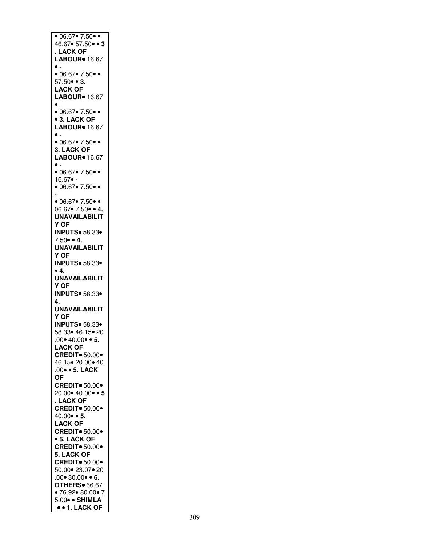| • $06.\overline{67}$ 7.50 •                     |
|-------------------------------------------------|
| 46.67• 57.50• • 3                               |
| . LACK OF                                       |
| LABOUR <sup>®</sup> 16.67                       |
| $\bullet$ .                                     |
| • 06.67 • 7.50 •                                |
| $57.50 \cdot 3$ .                               |
| <b>LACK OF</b>                                  |
| LABOUR <sup>®</sup> 16.67                       |
| $\bullet$ .                                     |
| •06.67 • 7.50 •                                 |
|                                                 |
| <b>• 3. LACK OF</b>                             |
| LABOUR <sup>®</sup> 16.67                       |
| $\bullet$ -                                     |
| • 06.67• 7.50• •                                |
| 3. LACK OF                                      |
| LABOUR <sup>®</sup> 16.67                       |
| $\bullet$ .                                     |
| •06.67 • 7.50 •                                 |
| 16.67• -                                        |
| • 06.67 • 7.50 •                                |
| $\overline{\phantom{0}}$                        |
|                                                 |
| ● 06.67● 7.50● ●<br>06.67● 7.50● ● 4.           |
| <b>UNAVAILABILIT</b>                            |
| Y OF                                            |
| <b>INPUTS</b> 58.33                             |
|                                                 |
| $7.50 \cdot 4$ .                                |
| <b>UNAVAILABILIT</b>                            |
| Y OF                                            |
| <b>INPUTS</b> 58.33                             |
|                                                 |
| •4.                                             |
|                                                 |
| <b>UNAVAILABILIT</b>                            |
| Y OF                                            |
| <b>INPUTS</b> 58.33                             |
| 4.                                              |
| <b>UNAVAILABILIT</b>                            |
| Y OF                                            |
| <b>INPUTS</b> 58.33                             |
| 58.33 46.15 20                                  |
| $.00 \cdot 40.00 \cdot 5.$                      |
| <b>LACK OF</b>                                  |
| <b>CREDIT</b> 50.00*                            |
| 46.15 • 20.00 • 40                              |
| .00 · 5. LACK                                   |
|                                                 |
| <b>OF</b>                                       |
| <b>CREDIT</b> 50.00                             |
| 20.00 • 40.00 • 5                               |
| . LACK OF                                       |
| <b>CREDIT</b> 50.00                             |
| $40.00 \cdot 5$ .                               |
| <b>LACK OF</b>                                  |
| <b>CREDIT</b> • 50.00                           |
| • 5. LACK OF                                    |
| <b>CREDIT</b> 50.00                             |
| 5. LACK OF                                      |
|                                                 |
| <b>CREDIT</b> 50.00                             |
| 50.00● 23.07● 20                                |
| $.00 \cdot 30.00 \cdot 6$ .                     |
| OTHERS <sup>®</sup> 66.67                       |
| •76.92•80.00•7                                  |
| 5.00 · SHIMLA<br>$\bullet$ $\bullet$ 1. LACK OF |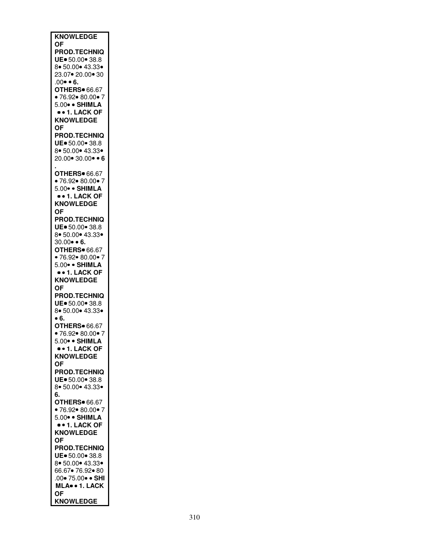| <b>KNOWLEDGE</b>                           |
|--------------------------------------------|
| <b>OF</b><br><b>PROD.TECHNIQ</b>           |
| UE. 50.00 38.8                             |
| 8 50.00 43.33                              |
| 23.07 • 20.00 • 30                         |
| .00● ● 6.<br><b>OTHERS</b> 66.67           |
| •76.92•80.00•7                             |
| 5.00 · SHIMLA                              |
| $\bullet$ + 1. LACK OF<br><b>KNOWLEDGE</b> |
| ΟF                                         |
| <b>PROD.TECHNIQ</b>                        |
| UE. 50.00 38.8                             |
| 8 50.00 43.33<br>20.00 • 30.00 • • 6       |
|                                            |
| <b>OTHERS</b> 66.67                        |
| • 76.92• 80.00• 7                          |
| 5.00 · SHIMLA<br>$\bullet$ + 1. LACK OF    |
| <b>KNOWLEDGE</b>                           |
| OF                                         |
| <b>PROD.TECHNIQ</b>                        |
| UE. 50.00 38.8<br>8 50.00 43.33            |
| $30.00 \cdot 6$ .                          |
| <b>OTHERS</b> 66.67                        |
| •76.92 •80.00 •7                           |
| 5.00 · SHIMLA<br>• • 1. LACK OF            |
| <b>KNOWLEDGE</b>                           |
| <b>OF</b>                                  |
| <b>PROD.TECHNIQ</b>                        |
| UE = 50.00 · 38.8<br>8 50.00 43.33         |
| • 6.                                       |
| <b>OTHERS</b> 66.67                        |
| • 76.92• 80.00• 7                          |
| 5.00 · SHIMLA<br>$\bullet$ + 1. LACK OF    |
| <b>KNOWLEDGE</b>                           |
| <b>OF</b>                                  |
| <b>PROD.TECHNIQ</b><br>UE. 50.00 38.8      |
| 8 50.00 43.33                              |
| 6.                                         |
| <b>OTHERS</b> 66.67                        |
| •76.92 • 80.00 • 7<br>5.00 · SHIMLA        |
| $\bullet$ + 1. LACK OF                     |
| <b>KNOWLEDGE</b>                           |
| <b>OF</b>                                  |
| <b>PROD.TECHNIQ</b><br>UE. 50.00. 38.8     |
| 8 50.00 43.33                              |
| 66.67● 76.92● 80                           |
| .00• 75.00• • SHI                          |
| MLA . 1. LACK<br><b>OF</b>                 |
| <b>KNOWLEDGE</b>                           |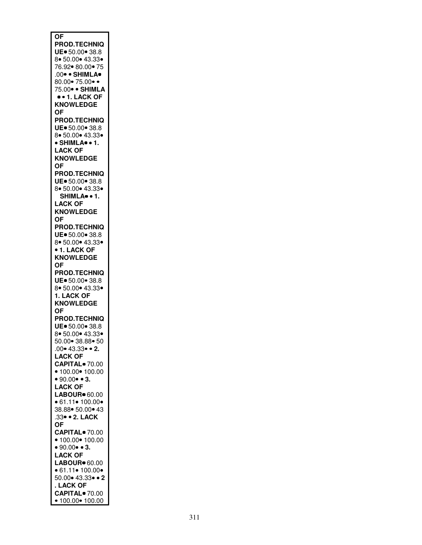| $\overline{\mathsf{OF}}$                        |
|-------------------------------------------------|
|                                                 |
| <b>PROD.TECHNIQ</b>                             |
|                                                 |
| UE. 50.00. 38.8                                 |
| 8 50.00 43.33                                   |
|                                                 |
| 76.92 • 80.00 • 75                              |
|                                                 |
| .00 <sup>·</sup> SHIMLA <sup>·</sup>            |
|                                                 |
| 80.00• 75.00• •                                 |
|                                                 |
| 75.00 · SHIMLA                                  |
|                                                 |
| $\bullet$ + 1. LACK OF                          |
| <b>KNOWLEDGE</b>                                |
|                                                 |
| ΟF                                              |
|                                                 |
| <b>PROD.TECHNIQ</b>                             |
|                                                 |
| UE. 50.00 38.8                                  |
|                                                 |
| 8 50.00 43.33                                   |
|                                                 |
| · SHIMLA · 1.                                   |
| <b>LACK OF</b>                                  |
|                                                 |
| <b>KNOWLEDGE</b>                                |
|                                                 |
| <b>OF</b>                                       |
|                                                 |
| <b>PROD.TECHNIQ</b>                             |
|                                                 |
| UE = 50.00 = 38.8                               |
|                                                 |
| 8 50.00 43.33                                   |
| SHIMLA <sup>®</sup> · 1.                        |
|                                                 |
| <b>LACK OF</b>                                  |
|                                                 |
| <b>KNOWLEDGE</b>                                |
|                                                 |
| <b>OF</b>                                       |
|                                                 |
| <b>PROD.TECHNIQ</b>                             |
|                                                 |
| UE. 50.00. 38.8                                 |
|                                                 |
| 8 50.00 43.33                                   |
| • 1. LACK OF                                    |
|                                                 |
| <b>KNOWLEDGE</b>                                |
|                                                 |
| <b>OF</b>                                       |
|                                                 |
|                                                 |
|                                                 |
| <b>PROD.TECHNIQ</b>                             |
| UE. 50.00. 38.8                                 |
|                                                 |
| 8 50.00 43.33                                   |
|                                                 |
| 1. LACK OF                                      |
|                                                 |
| <b>KNOWLEDGE</b>                                |
|                                                 |
| <b>OF</b>                                       |
|                                                 |
| <b>PROD.TECHNIQ</b>                             |
| UE. 50.00. 38.8                                 |
|                                                 |
| 8 50.00 43.33                                   |
|                                                 |
| 50.00 38.88 50                                  |
| $.00 \cdot 43.33 \cdot 2.$                      |
|                                                 |
|                                                 |
|                                                 |
| LACK OF<br>CAPITAL● 70.00                       |
|                                                 |
| • $100.00$ • $100.00$                           |
|                                                 |
| • 90.00 • 3.                                    |
|                                                 |
| <b>LACK OF</b>                                  |
| LABOUR <sup>®</sup> 60.00                       |
|                                                 |
| • 61.11 • 100.00 •                              |
|                                                 |
| 38.88 • 50.00 • 43                              |
|                                                 |
| 33 · 2. LACK                                    |
|                                                 |
| <b>OF</b>                                       |
| CAPITAL <sup>®</sup> 70.00                      |
|                                                 |
| • 100.00 • 100.00                               |
|                                                 |
| • 90.00 • 3.                                    |
|                                                 |
| <b>LACK OF</b>                                  |
|                                                 |
| LABOUR <sup>®</sup> 60.00                       |
| • 61.11 • 100.00 •                              |
|                                                 |
| $50.00 \cdot 43.33 \cdot 2$                     |
|                                                 |
| . LACK OF                                       |
|                                                 |
| CAPITAL <sup>o</sup> 70.00<br>• 100.00 • 100.00 |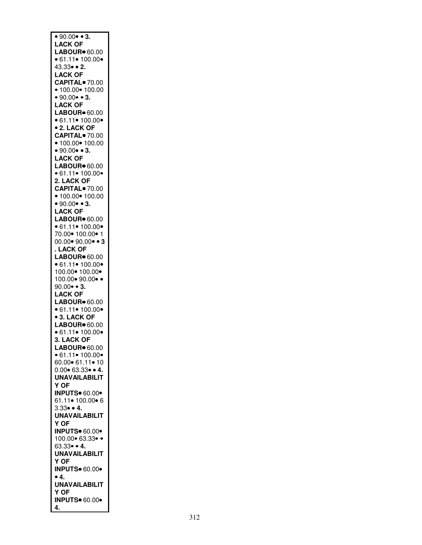| • 90.00 • 3.                     |
|----------------------------------|
|                                  |
| <b>LACK OF</b>                   |
| <b>LABOUR</b> <sup>•</sup> 60.00 |
|                                  |
| • 61.11• 100.00•<br>43.33• • 2.  |
|                                  |
| <b>LACK OF</b>                   |
|                                  |
| CAPITAL <sup>o</sup> 70.00       |
| • 100.00 • 100.00                |
| • 90.00 • 3.                     |
|                                  |
| <b>LACK OF</b>                   |
| LABOUR <sup>®</sup> 60.00        |
| • 61.11 • 100.00 •               |
|                                  |
| <b>• 2. LACK OF</b>              |
| CAPITAL <sup>o</sup> 70.00       |
|                                  |
| • 100.00 • 100.00                |
| • 90.00 • 3.                     |
| <b>LACK OF</b>                   |
|                                  |
| LABOUR <sup>®</sup> 60.00        |
| • 61.11 • 100.00 •               |
|                                  |
| 2. LACK OF                       |
| CAPITAL <sup>®</sup> 70.00       |
|                                  |
| • $100.00$ • $100.00$            |
| • 90.00 • 3.                     |
| <b>LACK OF</b>                   |
|                                  |
| LABOUR <sup>®</sup> 60.00        |
| • 61.11 • 100.00 •               |
|                                  |
| 70.00● 100.00● 1                 |
| $00.00 \cdot 90.00 \cdot 3$      |
| . LACK OF                        |
|                                  |
| LABOUR <sup>®</sup> 60.00        |
| • 61.11 • 100.00 •               |
|                                  |
|                                  |
| 100.00 • 100.00 •                |
|                                  |
| 100.00• 90.00• •                 |
| $90.00 \bullet 3.$               |
| <b>LACK OF</b>                   |
|                                  |
| LABOUR <sup>®</sup> 60.00        |
| • 61.11 • 100.00 •               |
| <b>• 3. LACK OF</b>              |
|                                  |
| LABOUR <sup>®</sup> 60.00        |
| • 61.11 • 100.00 •               |
| 3. LACK OF                       |
|                                  |
| <b>LABOUR</b> <sup>®</sup> 60.00 |
| • 61.11 • 100.00 •               |
| 60.00 61.11 10                   |
|                                  |
| $0.00 \cdot 63.33 \cdot 4.$      |
| <b>UNAVAILABILIT</b>             |
|                                  |
| Y OF                             |
| <b>INPUTS</b> 60.00*             |
| 61.11• 100.00• 6                 |
|                                  |
| $3.33 \bullet 4.$                |
| <b>UNAVAILABILIT</b>             |
| Y OF                             |
|                                  |
| <b>INPUTS</b> 60.00*             |
| 100.00 63.33 ·                   |
|                                  |
| $63.33 \bullet 4.$               |
| <b>UNAVAILABILIT</b>             |
| Y OF                             |
|                                  |
| <b>INPUTS</b> 60.00              |
| •4.                              |
|                                  |
| <b>UNAVAILABILIT</b>             |
| Y OF                             |
| <b>INPUTS</b> 60.00*             |
| 4.                               |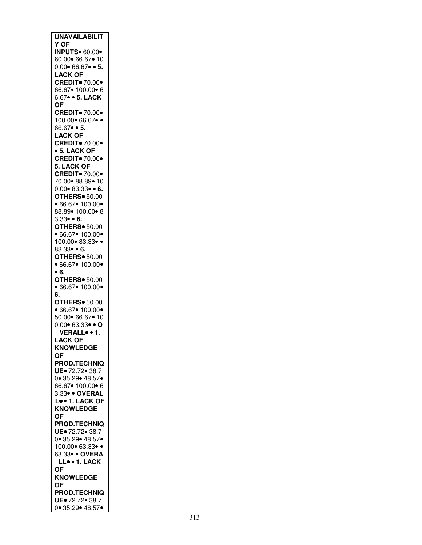| <b>UNAVAILABILIT</b>                             |
|--------------------------------------------------|
| Y OF                                             |
| <b>INPUTS</b> 60.00*                             |
| 60.00 66.67 • 10                                 |
| $0.00 \cdot 66.67 \cdot 5$ .                     |
| <b>LACK OF</b>                                   |
| <b>CREDIT</b> 70.00                              |
| 66.67● 100.00● 6<br>6.67 • 5. LACK               |
| ОF                                               |
| <b>CREDIT</b> 70.00                              |
| 100.00 66.67 ··                                  |
| $66.67 \bullet 5.$                               |
| <b>LACK OF</b>                                   |
| <b>CREDIT</b> 70.00                              |
| • 5. LACK OF                                     |
| <b>CREDIT</b> 70.00 <sup>.</sup>                 |
| 5. LACK OF                                       |
| <b>CREDIT</b> 70.00*                             |
| 70.00 88.89 10                                   |
| $0.00 \bullet 83.33 \bullet 6.$                  |
| <b>OTHERS</b> 50.00<br>•66.67 • 100.00 •         |
| 88.89• 100.00• 8                                 |
| $3.33 \bullet 6.$                                |
| <b>OTHERS</b> 50.00                              |
| •66.67 • 100.00 •                                |
| 100.00 83.33 ·                                   |
| $83.33 \bullet 6.$                               |
| <b>OTHERS</b> 50.00                              |
| •66.67 • 100.00 •                                |
| • 6.                                             |
| <b>OTHERS</b> 50.00                              |
| •66.67 •100.00•<br>6.                            |
| <b>OTHERS</b> 50.00                              |
| •66.67 •100.00•                                  |
| 50.00 66.67 • 10                                 |
| $0.00 \cdot 63.33 \cdot 0$                       |
| VERALL <sup>o</sup> . 1.                         |
| <b>LACK OF</b>                                   |
| <b>KNOWLEDGE</b>                                 |
| ΟF                                               |
| <b>PROD.TECHNIQ</b>                              |
| UE. 72.72. 38.7                                  |
| 0 35.29 48.57                                    |
| 66.67● 100.00● 6<br>3.33 <mark>● ● OVERAL</mark> |
|                                                  |
| Lo . 1. LACK OF<br><b>KNOWLEDGE</b>              |
| ΟF                                               |
| <b>PROD.TECHNIQ</b>                              |
| UE. 72.72. 38.7                                  |
| 0.35.29.48.57.                                   |
| 100.00 63.33 ··                                  |
| 63.33 · OVERA                                    |
| LL 1. LACK                                       |
| <b>OF</b>                                        |
| <b>KNOWLEDGE</b>                                 |
| 0F                                               |
| <b>PROD.TECHNIQ</b>                              |
| UE. 72.72. 38.7<br>0 35.29 48.57                 |
|                                                  |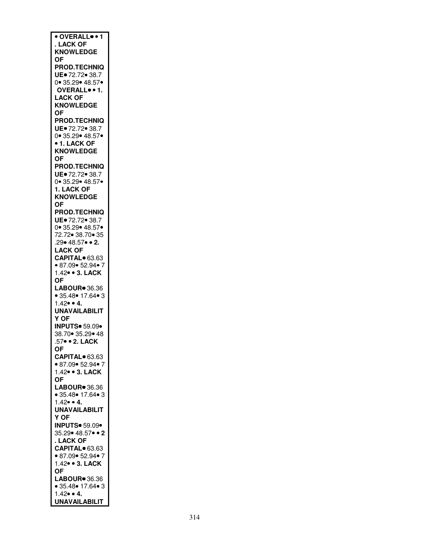| • OVERALL <sup>.</sup> 1                |
|-----------------------------------------|
|                                         |
| <b>LACK OF</b>                          |
| <b>KNOWLEDGE</b>                        |
| 0F                                      |
| <b>PROD.TECHNIQ</b>                     |
| UE. 72.72. 38.7                         |
|                                         |
| 0 35.29 48.57                           |
| OVERALL . 1.                            |
| <b>LACK OF</b>                          |
| <b>KNOWLEDGE</b>                        |
| <b>OF</b>                               |
|                                         |
| <b>PROD.TECHNIQ</b>                     |
| UE. 72.72. 38.7                         |
| 0 35.29 48.57                           |
| <b>• 1. LACK OF</b>                     |
| <b>KNOWLEDGE</b>                        |
|                                         |
| <b>OF</b>                               |
| <b>PROD.TECHNIQ</b>                     |
| UE.72.72. 38.7                          |
| 0.35.29.48.57.                          |
| 1. LACK OF                              |
|                                         |
| <b>KNOWLEDGE</b>                        |
| <b>OF</b>                               |
| <b>PROD.TECHNIQ</b>                     |
| UE. 72.72. 38.7                         |
| 0 35.29 48.57                           |
|                                         |
| 72.72 38.70 35                          |
| 29 48.57 • 2.                           |
|                                         |
| L <mark>ACK OF</mark><br>CAPITAL● 63.63 |
| • 87.09• 52.94• 7                       |
|                                         |
| 1.42 • 3. LACK                          |
| ОF                                      |
| LABOUR <sup>®</sup> 36.36               |
| • 35.48• 17.64• 3                       |
| $1.42 \cdot 4.$                         |
|                                         |
| <b>UNAVAILABILIT</b>                    |
| Y OF                                    |
| <b>INPUTS</b> 59.09                     |
| 38.70 35.29 48                          |
| .57● ● 2. LACK                          |
|                                         |
| OF                                      |
| CAPITAL <sup>®</sup> 63.63              |
| • 87.09• 52.94• 7                       |
| 1.42 • 3. LACK                          |
| ΟF                                      |
|                                         |
| LABOUR <sup>®</sup> 36.36               |
| • 35.48 • 17.64 • 3                     |
| $1.42 \bullet 4.$                       |
| <b>UNAVAILABILIT</b>                    |
| Y OF                                    |
| <b>INPUTS</b> 59.09                     |
|                                         |
| 35.29 • 48.57 • 2                       |
| . LACK OF                               |
| CAPITAL <sup>o</sup> 63.63              |
| • 87.09• 52.94• 7                       |
| 1.42 • 3. LACK                          |
|                                         |
| <b>OF</b>                               |
| LABOUR <sup>®</sup> 36.36               |
| • 35.48 • 17.64 • 3                     |
| $1.42 \bullet 4.$                       |
| <b>UNAVAILABILIT</b>                    |
|                                         |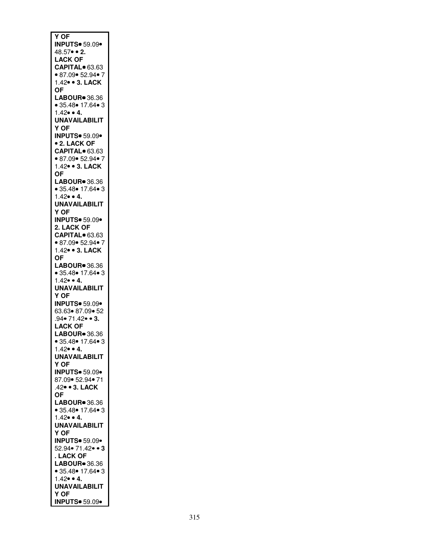| <b>Y OF</b>                                 |
|---------------------------------------------|
|                                             |
| <b>INPUTS</b> 59.09                         |
| 48.57 • 2.                                  |
|                                             |
| <b>LACK OF</b>                              |
| CAPITAL <sup>®</sup> 63.63                  |
|                                             |
| • 87.09 • 52.94 •                           |
|                                             |
| 1.42 • 3. LACK                              |
|                                             |
| ΟF                                          |
|                                             |
| LABOUR <sup>®</sup> 36.36                   |
| • 35.48• 17.64• 3                           |
|                                             |
| $1.42 \bullet 4.$                           |
|                                             |
| <b>UNAVAILABILIT</b>                        |
| Y OF                                        |
|                                             |
| <b>INPUTS</b> 59.09                         |
|                                             |
| <b>• 2. LACK OF</b>                         |
|                                             |
| CAPITAL <sup>®</sup> 63.63                  |
| • 87.09• 52.94• 7                           |
|                                             |
| 1.42 • 3. LACK                              |
|                                             |
| 0F                                          |
| LABOUR <sup>®</sup> 36.36                   |
|                                             |
| • 35.48• 17.64• 3                           |
|                                             |
| $1.42 \cdot 4.$                             |
|                                             |
| <b>UNAVAILABILIT</b>                        |
| Y OF                                        |
|                                             |
| <b>INPUTS</b> 59.09                         |
|                                             |
| 2. LACK OF                                  |
| CAPITAL <sup>®</sup> 63.63                  |
|                                             |
| • 87.09• 52.94• 7                           |
|                                             |
| 1.42 • 3. LACK                              |
|                                             |
| ΟF                                          |
| LABOUR <sup>®</sup> 36.36                   |
|                                             |
| • 35.48 • 17.64 • 3                         |
|                                             |
| $1.42 \bullet 4.$                           |
| <b>UNAVAILABILIT</b>                        |
|                                             |
| Y OF                                        |
|                                             |
| <b>INPUTS</b> 59.09                         |
|                                             |
|                                             |
| 63.63● 87.09● 52<br>.94● 71.42● ● <b>3.</b> |
|                                             |
| <b>LACK OF</b>                              |
|                                             |
| LABOUR <sup>®</sup> 36.36                   |
|                                             |
| • 35.48 • 17.64 • 3                         |
| $1.42 \cdot 4.$                             |
|                                             |
| <b>UNAVAILABILIT</b>                        |
|                                             |
| Y OF                                        |
| <b>INPUTS</b> 59.09                         |
|                                             |
| 87.09• 52.94• 71                            |
|                                             |
| .42 · 3. LACK                               |
| <b>OF</b>                                   |
|                                             |
| LABOUR <sup>®</sup> 36.36                   |
|                                             |
|                                             |
| ● 35.48● 17.64● 3<br>1.42● ● 4.             |
|                                             |
| <b>UNAVAILABILIT</b>                        |
|                                             |
| Y OF                                        |
|                                             |
| <b>INPUTS</b> 59.09                         |
| 52.94● 71.42● ● 3                           |
|                                             |
| . LACK OF                                   |
|                                             |
|                                             |
| • 35.48• 17.64• 3                           |
|                                             |
| $1.42 \bullet 4.$                           |
|                                             |
| <b>UNAVAILABILIT</b>                        |
| Y OF                                        |
|                                             |
| <b>INPUTS</b> 59.09 .                       |
|                                             |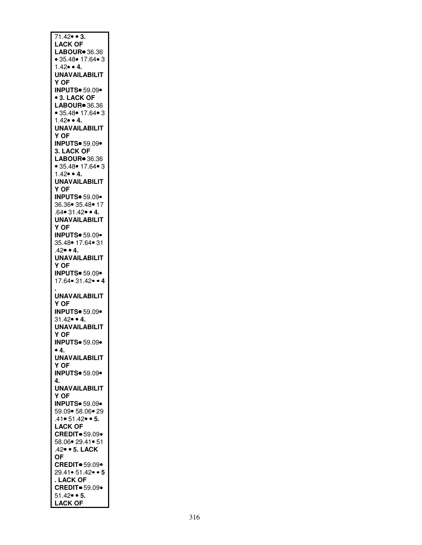| $71.42 \bullet 3.$                       |
|------------------------------------------|
| <b>LACK OF</b>                           |
| LABOUR <sup>®</sup> 36.36                |
| • 35.48• 17.64• 3                        |
| $1.42 \cdot 4.$                          |
| <b>UNAVAILABILIT</b>                     |
| Y OF                                     |
| <b>INPUTS</b> 59.09                      |
| <b>3. LACK OF</b>                        |
| LABOUR <sup>®</sup> 36.36                |
| • 35.48 • 17.64 • 3                      |
| $1.42 \bullet 4.$                        |
| <b>UNAVAILABILIT</b><br>Y OF             |
| <b>INPUTS</b> 59.09                      |
| 3. LACK OF                               |
| LABOUR <sup>®</sup> 36.36                |
| • 35.48• 17.64• 3                        |
| $1.42 \cdot 4.$                          |
| <b>UNAVAILABILIT</b>                     |
| Y OF                                     |
| <b>INPUTS</b> 59.09                      |
| 36.36 35.48 17                           |
| $.64 \cdot 31.42 \cdot 4$ .              |
| <b>UNAVAILABILIT</b>                     |
| Y OF                                     |
| <b>INPUTS</b> 59.09                      |
| 35.48• 17.64• 31                         |
| $.42 \bullet 4.$                         |
| <b>UNAVAILABILIT</b>                     |
| Y OF                                     |
|                                          |
|                                          |
| <b>INPUTS</b> 59.09<br>17.64 • 31.42 • 4 |
|                                          |
| <b>UNAVAILABILIT</b>                     |
| Y OF                                     |
| <b>INPUTS</b> 59.09                      |
| $31.42 \bullet 4.$                       |
| <b>UNAVAILABILIT</b>                     |
| Y OF                                     |
| <b>INPUTS</b> 59.09                      |
| $\bullet$ 4.                             |
| <b>UNAVAILABILIT</b>                     |
| Y OF                                     |
| <b>INPUTS</b> 59.09                      |
| 4.                                       |
| <b>UNAVAILABILIT</b>                     |
| Y OF                                     |
| <b>INPUTS</b> 59.09                      |
| 59.09 • 58.06 • 29                       |
| $.41 \cdot 51.42 \cdot 5.$               |
| <b>LACK OF</b>                           |
| <b>CREDIT</b> 59.09                      |
| 58.06• 29.41• 51                         |
| .42 • 5. LACK                            |
| OF                                       |
| <b>CREDIT</b> 59.09                      |
| 29.41• 51.42• • 5                        |
| . LACK OF                                |
| <b>CREDIT</b> 59.09                      |
| $51.42 \cdot 5.$<br><b>LACK OF</b>       |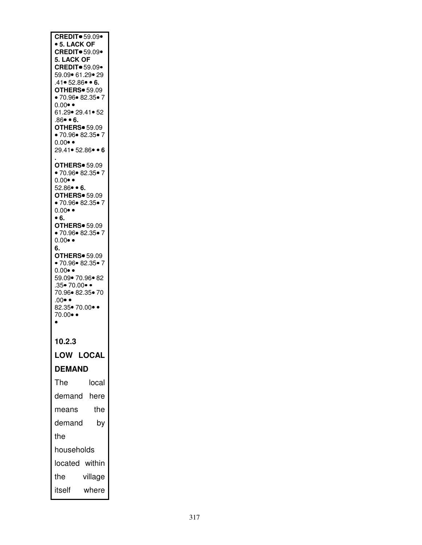| <b>CREDIT</b> 59.09<br>• 5. LACK OF                |         |
|----------------------------------------------------|---------|
| <b>CREDIT</b> 59.09                                |         |
| 5. LACK OF<br><b>CREDIT</b> 59.09                  |         |
| 59.09• 61.29• 29<br>$.41 \bullet 52.86 \bullet 6.$ |         |
| <b>OTHERS</b> 59.09                                |         |
| •70.96•82.35•7<br>$0.00 \bullet \bullet$           |         |
| 61.29• 29.41• 52                                   |         |
| $.86 - 6.$<br><b>OTHERS</b> 59.09                  |         |
| •70.96•82.35•7<br>$0.00 \bullet \bullet$           |         |
| 29.41• 52.86• • 6                                  |         |
| <b>OTHERS</b> 59.09                                |         |
| •70.96•82.35•7<br>$0.00 \bullet \bullet$           |         |
| $52.86 \bullet 6.$                                 |         |
| <b>OTHERS</b> 59.09<br>•70.96•82.35•7              |         |
| $0.00 \bullet \bullet$<br>• 6.                     |         |
| <b>OTHERS</b> 59.09                                |         |
| •70.96•82.35•7<br>$0.00 \bullet \bullet$           |         |
| 6.<br><b>OTHERS</b> 59.09                          |         |
| •70.96•82.35•7                                     |         |
| $0.00 \bullet \bullet$<br>59.09• 70.96• 82         |         |
| .35• 70.00• •<br>70.96 82.35 70                    |         |
| $.00 \bullet$                                      |         |
| 82.35● 70.00● ●<br>70.00 $\bullet$                 |         |
|                                                    |         |
| 10.2.3                                             |         |
| <b>LOW LOCAL</b>                                   |         |
| <b>DEMAND</b>                                      |         |
| The                                                | local   |
| demand                                             | here    |
| means                                              | the     |
| demand                                             | by      |
| the                                                |         |
| households                                         |         |
| located within                                     |         |
| the                                                | village |
| itself                                             | where   |
|                                                    |         |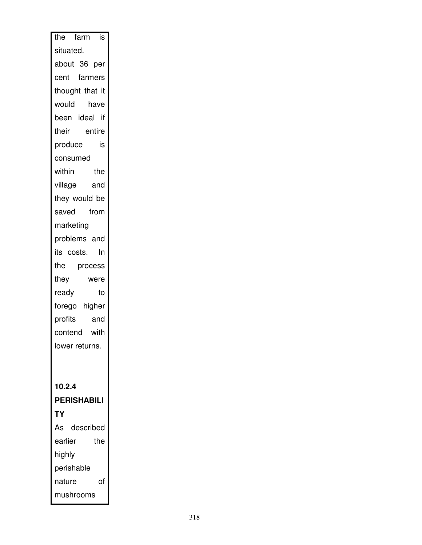| the farm is        |
|--------------------|
| situated.          |
| about 36 per       |
| cent farmers       |
| thought that it    |
| would<br>have      |
| been ideal if      |
| entire<br>their    |
| produce<br>is      |
| consumed           |
| within<br>the      |
| village<br>and     |
| they would be      |
| saved from         |
| marketing          |
| problems and       |
| its costs.<br>ln   |
| process<br>the     |
| they<br>were       |
| ready<br>to        |
| forego higher      |
| profits<br>and     |
| contend with       |
| lower returns.     |
|                    |
|                    |
| 10.2.4             |
| <b>PERISHABILI</b> |
| <b>TY</b>          |
| described<br>As    |
| earlier<br>the     |
| highly             |
| perishable         |
| of<br>nature       |
| mushrooms          |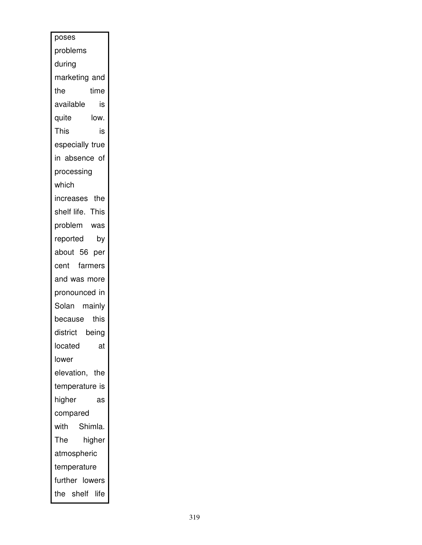| poses            |        |
|------------------|--------|
| problems         |        |
| during           |        |
| marketing and    |        |
| the              | time   |
| available        | is     |
| quite            | low.   |
| This             | is     |
| especially true  |        |
| in absence of    |        |
| processing       |        |
| which            |        |
| increases the    |        |
| shelf life. This |        |
| problem was      |        |
| reported         | by     |
| about 56 per     |        |
| cent farmers     |        |
| and was more     |        |
| pronounced in    |        |
| Solan mainly     |        |
| because          | this   |
| district         | being  |
| located          | at     |
| lower            |        |
| elevation, the   |        |
| temperature is   |        |
| higher           | as     |
| compared         |        |
| Shimla.<br>with  |        |
| The              | higher |
| atmospheric      |        |
| temperature      |        |
| further lowers   |        |
| the shelf life   |        |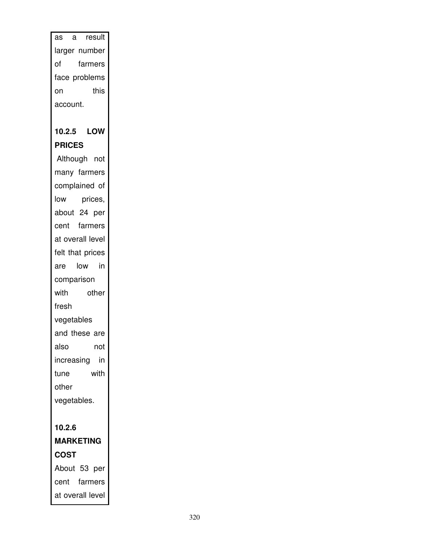as a result larger number of farmers face problems on this account. **10.2.5 LOW PRICES**  Although not

many farmers complained of low prices, about 24 per cent farmers at overall level felt that prices are low in comparison with other fresh vegetables and these are also not increasing in tune with other vegetables.

## **10.2.6 MARKETING COST**  About 53 per

cent farmers at overall level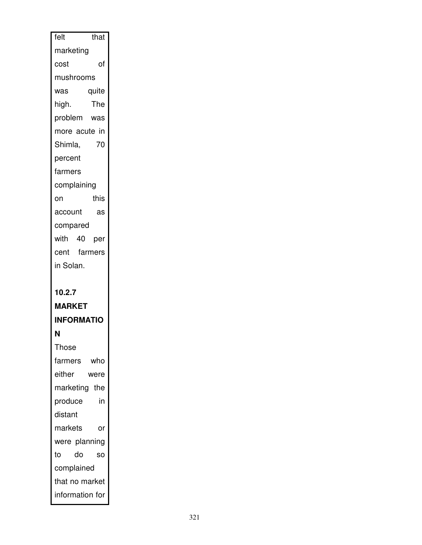| felt<br>that      |
|-------------------|
| marketing         |
| of<br>cost        |
| mushrooms         |
| quite<br>was      |
| The<br>high.      |
| problem was       |
| more acute in     |
| 70<br>Shimla,     |
| percent           |
| farmers           |
| complaining       |
| this<br>on        |
| account<br>as     |
| compared          |
| with 40 per       |
| cent farmers      |
| in Solan.         |
|                   |
|                   |
| 10.2.7            |
| <b>MARKET</b>     |
| <b>INFORMATIO</b> |
| Ν                 |
| <b>Those</b>      |
| farmers who       |
| either<br>were    |
| marketing the     |
| in<br>produce     |
| distant           |
| markets<br>or     |
| were planning     |
| do<br>to<br>SO    |
| complained        |
| that no market    |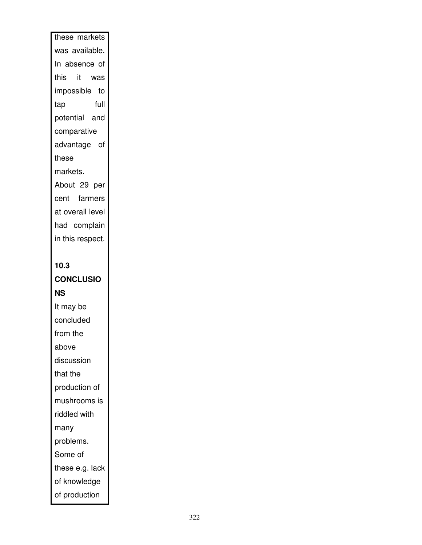# these markets was available. In absence of this it was impossible to tap full potential and comparative advantage of these markets. About 29 per cent farmers at overall level had complain in this respect.

# **10.3**

# **CONCLUSIO**

### **NS**

It may be concluded from the above discussion that the production of mushrooms is riddled with many problems. Some of these e.g. lack of knowledge of production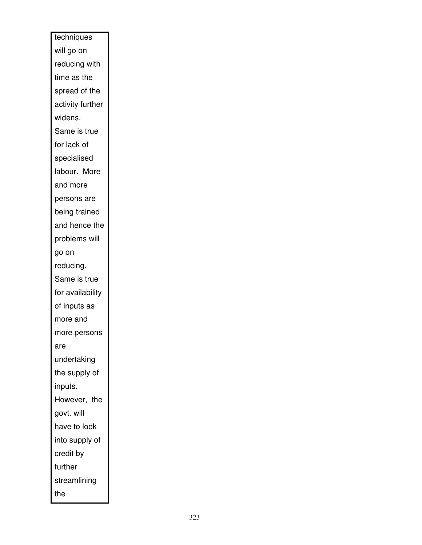| techniques       |
|------------------|
| will go on       |
| reducing with    |
| time as the      |
| spread of the    |
| activity further |
| widens.          |
| Same is true     |
| for lack of      |
| specialised      |
| labour. More     |
| and more         |
| persons are      |
| being trained    |
| and hence the    |
| problems will    |
| go on            |
| reducing.        |
| Same is true     |
| for availability |
| of inputs as     |
| more and         |
| more persons     |
| are              |
| undertaking      |
| the supply of    |
| inputs.          |
| However, the     |
| govt. will       |
| have to look     |
| into supply of   |
| credit by        |
| further          |
| streamlining     |
| the              |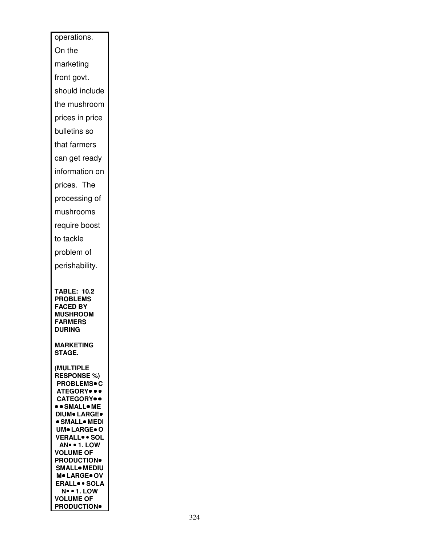| operations.                                            |
|--------------------------------------------------------|
| On the                                                 |
| marketing                                              |
| front govt.                                            |
| should include                                         |
| the mushroom                                           |
| prices in price                                        |
| bulletins so                                           |
| that farmers                                           |
| can get ready                                          |
| information on                                         |
| prices. The                                            |
| processing of                                          |
| mushrooms                                              |
| require boost                                          |
| to tackle                                              |
| problem of                                             |
| perishability.                                         |
|                                                        |
|                                                        |
| <b>TABLE: 10.2</b>                                     |
| <b>PROBLEMS</b><br><b>FACED BY</b>                     |
| <b>MUSHROOM</b>                                        |
| <b>FARMERS</b><br><b>DURING</b>                        |
|                                                        |
| <b>MARKETING</b><br><b>STAGE.</b>                      |
| <b>(MULTIPLE</b>                                       |
| <b>RESPONSE %)</b>                                     |
| <b>PROBLEMS</b> • C<br>ATEGORY <sup></sup>             |
| <b>CATEGORY</b> .                                      |
| • • SMALL• ME                                          |
| <b>DIUM</b> LARGE <sup>.</sup><br><b>• SMALL• MEDI</b> |
| UM <sup>®</sup> LARGE® O                               |
| <b>VERALL SOL</b>                                      |
| AN • 1. LOW<br><b>VOLUME OF</b>                        |
| <b>PRODUCTION</b>                                      |
| <b>SMALL</b> MEDIU<br>M. LARGE. OV                     |
| <b>ERALL</b> <sup>o</sup> SOLA                         |
| <b>N</b> • • 1. LOW<br><b>VOLUME OF</b>                |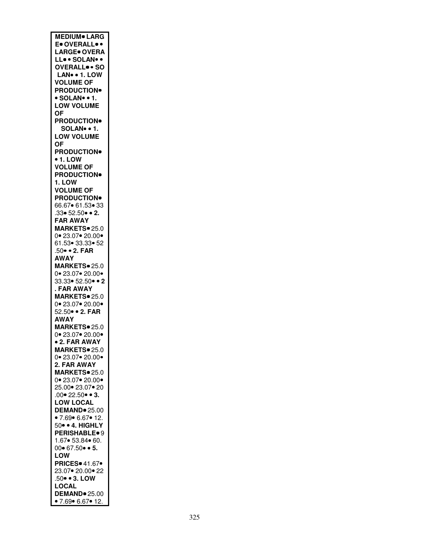| <b>MEDIUM</b> LARG                  |
|-------------------------------------|
| E. OVERALL                          |
| LARGE. OVERA                        |
| LLSOLAN                             |
| OVERALL <sup>.</sup> SO             |
|                                     |
| LAN • 1. LOW                        |
| <b>VOLUME OF</b>                    |
| <b>PRODUCTION</b>                   |
| · SOLAN• • 1.                       |
| <b>LOW VOLUME</b>                   |
| 0F                                  |
| <b>PRODUCTION</b>                   |
| SOLAN. . 1.                         |
| <b>LOW VOLUME</b>                   |
|                                     |
| ΟF                                  |
| <b>PRODUCTION</b>                   |
| $\bullet$ 1. LOW                    |
| <b>VOLUME OF</b>                    |
| <b>PRODUCTION</b>                   |
| 1. LOW                              |
| <b>VOLUME OF</b>                    |
| <b>PRODUCTION</b>                   |
| 66.67• 61.53• 33                    |
|                                     |
| $.33 \cdot 52.50 \cdot 2.$          |
| <b>FAR AWAY</b>                     |
| MARKETS. 25.0                       |
| 0.23.07.20.00                       |
| 61.53• 33.33• 52                    |
| .50 • 2. FAR                        |
| <b>AWAY</b>                         |
| MARKETS <sup>®</sup> 25.0           |
| 0.23.07.20.00                       |
|                                     |
| 33.33• 52.50• • 2                   |
| . FAR AWAY                          |
| MARKETS <sup>®</sup> 25.0           |
| $0 \cdot 23.07 \cdot 20.00 \cdot$   |
| 52.50 •• 2. FAR                     |
| <b>AWAY</b>                         |
| MARKETS <sup>®</sup> 25.0           |
| 0.23.07.20.00                       |
| • 2. FAR AWAY                       |
|                                     |
|                                     |
| MARKETS <sup>®</sup> 25.0           |
| $\frac{111}{10}$ 23.07● 20.00●      |
| 2. FAR AWAY                         |
| MARKETS <sup>®</sup> 25.0           |
| 0 23.07 20.00                       |
| 25.00 23.07 20                      |
|                                     |
| .00 $•22.50 •3$ .                   |
| <b>LOW LOCAL</b>                    |
| DEMAND <sup>®</sup> 25.00           |
| • 7.69• 6.67• 12.                   |
| 50 · 4. HIGHLY                      |
| PERISHABLE <sup>®</sup> 9           |
| 1.67 • 53.84 • 60.                  |
| $00 \cdot 67.50 \cdot 5$ .          |
| LOW                                 |
| <b>PRICES</b> 41.67                 |
| 23.07• 20.00• 22                    |
| .50 • 3. LOW                        |
|                                     |
| <b>LOCAL</b><br><b>DEMAND</b> 25.00 |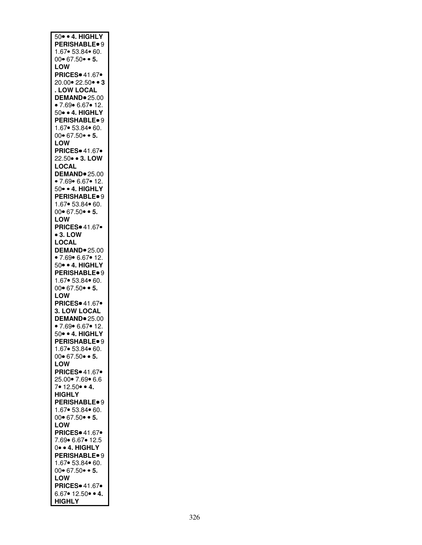| 50 · 4. HIGHLY                            |
|-------------------------------------------|
| <b>PERISHABLE</b> <sup>9</sup>            |
| 1.67• 53.84• 60.                          |
|                                           |
| $00 \cdot 67.50 \cdot 5$ .                |
| LOW                                       |
| <b>PRICES</b> 41.67                       |
| 20.00 • 22.50 • 3                         |
| . LOW LOCAL                               |
|                                           |
| <b>DEMAND</b> 25.00                       |
| • 7.69• 6.67• 12.                         |
| 50 · 4. HIGHLY                            |
| PERISHABLE <sup>®</sup> 9                 |
| 1.67 • 53.84 • 60.                        |
| $00 \cdot 67.50 \cdot 5$ .                |
|                                           |
| LOW                                       |
| <b>PRICES</b> 41.67                       |
| 22.50 • 3. LOW                            |
| LOCAL                                     |
| DEMAND <sup>®</sup> 25.00                 |
|                                           |
| • 7.69 • 6.67 • 12.                       |
| 50 · 4. HIGHLY                            |
| <b>PERISHABLE</b> <sup>9</sup>            |
| 1.67 • 53.84 • 60.                        |
| $00 \cdot 67.50 \cdot 5$ .                |
|                                           |
| LOW                                       |
| PRICES <sup>®</sup> 41.67 <sup>®</sup>    |
| $• 3.$ LOW                                |
| LOCAL                                     |
| <b>DEMAND</b> 25.00                       |
|                                           |
| • 7.69• 6.67• 12.                         |
| 50 · 4. HIGHLY                            |
| PERISHABLE <sup>®</sup> 9                 |
| 1.67 • 53.84 • 60.                        |
| $00 \cdot 67.50 \cdot 5$ .                |
| LOW                                       |
|                                           |
| PRICES • 41.67                            |
| 3. LOW LOCAL                              |
| <b>DEMAND</b> 25.00                       |
| • 7.69 • 6.67 • 12.                       |
| 50• • 4. HIGHLY                           |
|                                           |
|                                           |
| <b>PERISHABLE</b> 9<br>1.67 • 53.84 • 60. |
| $00 \cdot 67.50 \cdot 5$ .                |
| LOW                                       |
| <b>PRICES</b> 41.67                       |
|                                           |
| 25.00● 7.69● 6.6                          |
| 7. 12.50. . 4.                            |
| <b>HIGHLY</b>                             |
| PERISHABLE <sup>®</sup> 9                 |
| 1.67 • 53.84 • 60.                        |
| $00 \cdot 67.50 \cdot 5$ .                |
|                                           |
| LOW                                       |
| <b>PRICES</b> <sup>41.67•</sup>           |
| 7.69 6.67 • 12.5                          |
| 0• • 4. HIGHLY                            |
| PERISHABLE <sup>®</sup> 9                 |
|                                           |
| 1.67 • 53.84 • 60.                        |
| $00 \cdot 67.50 \cdot 5$ .                |
| LOW                                       |
| <b>PRICES</b> 41.67•                      |
| $6.67 \cdot 12.50 \cdot 4$ .              |
| <b>HIGHLY</b>                             |
|                                           |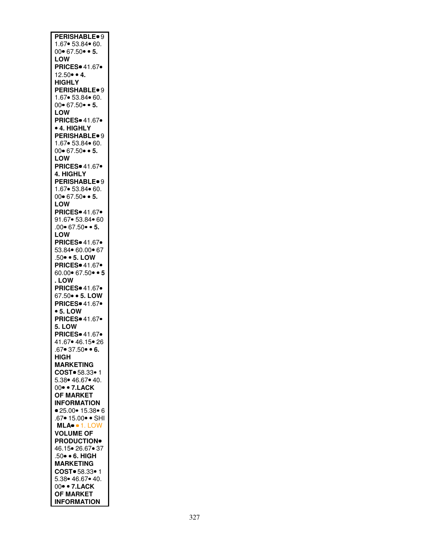| PERISHABLE <sup>®</sup> 9                  |
|--------------------------------------------|
|                                            |
|                                            |
| 1.67 • 53.84 • 60.                         |
|                                            |
| $00 \cdot 67.50 \cdot 5$ .                 |
|                                            |
| LOW                                        |
|                                            |
| <b>PRICES</b> <sup>41.67•</sup>            |
|                                            |
| $12.50 \cdot 4$ .                          |
|                                            |
| <b>HIGHLY</b>                              |
|                                            |
| <b>PERISHABLE</b> <sup>9</sup>             |
|                                            |
| 1.67• 53.84• 60.                           |
|                                            |
| $00 \cdot 67.50 \cdot 5$ .                 |
|                                            |
| LOW                                        |
|                                            |
| <b>PRICES</b> 41.67                        |
|                                            |
| <b>• 4. HIGHLY</b>                         |
|                                            |
| <b>PERISHABLE</b> <sup>9</sup>             |
|                                            |
| 1.67 • 53.84 • 60.                         |
|                                            |
| $00 \cdot 67.50 \cdot 5$ .                 |
|                                            |
| LOW                                        |
|                                            |
| <b>PRICES</b> 41.67•                       |
|                                            |
| 4. HIGHLY                                  |
|                                            |
| <b>PERISHABLE</b> <sup>9</sup>             |
|                                            |
|                                            |
| 1.67 • 53.84 • 60.                         |
|                                            |
| $00 \cdot 67.50 \cdot 5$ .                 |
|                                            |
| LOW                                        |
|                                            |
| <b>PRICES</b> 41.67                        |
|                                            |
| 91.67 • 53.84 • 60                         |
|                                            |
| .00 $\bullet$ 67.50 $\bullet$ $\bullet$ 5. |
|                                            |
| LOW                                        |
|                                            |
| <b>PRICES</b> 41.67                        |
|                                            |
| 53.84 60.00 67                             |
|                                            |
| .50 • 5. LOW                               |
|                                            |
| <b>PRICES</b> 41.67                        |
|                                            |
| $60.00 \cdot 67.50 \cdot 5$                |
|                                            |
| . LOW                                      |
|                                            |
| <b>PRICES</b> 41.67                        |
|                                            |
| 67.50 • 5. LOW                             |
|                                            |
|                                            |
|                                            |
| <b>PRICES</b> <sup>41.67•</sup>            |
|                                            |
| $• 5.$ LOW                                 |
|                                            |
| <b>PRICES</b> 41.67                        |
|                                            |
| 5. LOW                                     |
|                                            |
| <b>PRICES</b> 41.67                        |
|                                            |
| 41.67 • 46.15 • 26                         |
|                                            |
| $.67 \cdot 37.50 \cdot 6.$                 |
|                                            |
| <b>HIGH</b>                                |
|                                            |
| <b>MARKETING</b>                           |
|                                            |
| COST <sup>o</sup> 58.33 <sup>o</sup> 1     |
|                                            |
| 5.38 46.67 40.                             |
|                                            |
| 00 • 7. LACK                               |
|                                            |
| <b>OF MARKET</b>                           |
|                                            |
| <b>INFORMATION</b>                         |
|                                            |
| ● 25.00● 15.38● 6                          |
|                                            |
| .67• 15.00• • SHI                          |
|                                            |
| MLA. . 1. LOW                              |
|                                            |
| <b>VOLUME OF</b>                           |
|                                            |
| <b>PRODUCTION</b>                          |
|                                            |
|                                            |
| 46.15 • 26.67 • 37                         |
|                                            |
|                                            |
|                                            |
| .50● ● 6. HIGH<br>MARKETING                |
| COST = 58.33 · 1                           |
|                                            |
| 5.38 46.67 • 40.                           |
|                                            |
| 00 • 7. LACK                               |
|                                            |
| <b>OF MARKET</b>                           |
| <b>INFORMATION</b>                         |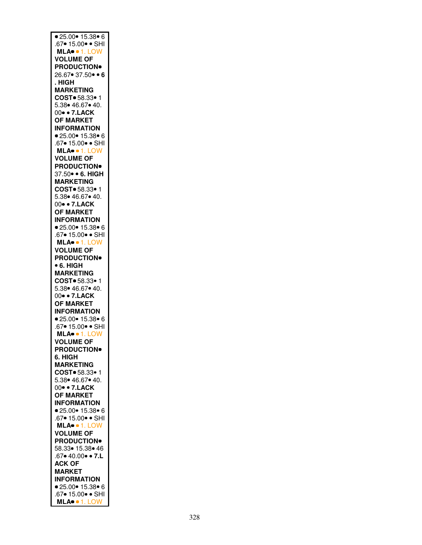| • 25.00 • 15.38 • 6                                                        |
|----------------------------------------------------------------------------|
| .67● 15.00● ● SHI<br>MLA● ● 1. LOW                                         |
|                                                                            |
| <b>VOLUME OF</b>                                                           |
|                                                                            |
| <b>PRODUCTION®</b>                                                         |
| $26.67 \cdot 37.50 \cdot 6$                                                |
| . HIGH                                                                     |
| <b>MARKETING</b>                                                           |
| COST = 58.33 · 1                                                           |
| 5.38 46.67 40.                                                             |
| 00 • 7. LACK                                                               |
|                                                                            |
| <b>OF MARKET</b>                                                           |
| <b>INFORMATION</b>                                                         |
| ■ 25.00● 15.38● 6<br>67● 15.00● ● SHI<br><b>MLA● ●</b> 1. LOW<br>VOLUME OF |
|                                                                            |
|                                                                            |
|                                                                            |
| <b>PRODUCTION</b>                                                          |
| 37.50 · 6. HIGH                                                            |
|                                                                            |
| <b>MARKETING</b>                                                           |
| COST = 58.33 · 1                                                           |
| 5.38 46.67 40.                                                             |
| 00 • 7. LACK                                                               |
| <b>OF MARKET</b>                                                           |
| <b>INFORMATION</b>                                                         |
| ● 25.00● 15.38● 6                                                          |
|                                                                            |
| .67• 15.00• • SHI                                                          |
| MLA · 1. LOW                                                               |
| <b>VOLUME OF</b>                                                           |
| <b>PRODUCTION</b>                                                          |
| • 6. HIGH                                                                  |
| <b>MARKETING</b>                                                           |
|                                                                            |
|                                                                            |
| COST = 58.33 · 1                                                           |
| 5.38● 46.67● 40.                                                           |
| 00 • 7. LACK                                                               |
| <b>OF MARKET</b>                                                           |
| <b>INFORMATION</b>                                                         |
|                                                                            |
| ● 25.00● 15.38● 6                                                          |
| .67• 15.00• • SHI                                                          |
| MLA · 1. LOW                                                               |
| <b>VOLUME OF</b>                                                           |
| <b>PRODUCTION</b>                                                          |
| 6. HIGH                                                                    |
| <b>MARKETING</b>                                                           |
| COST. 58.33.1                                                              |
|                                                                            |
| 5.38 46.67 40.                                                             |
| 00 • 7. LACK                                                               |
| <b>OF MARKET</b>                                                           |
| <b>INFORMATION</b>                                                         |
| •25.00•15.38•6                                                             |
| .67• 15.00• • SHI                                                          |
| MLA. 1. LOW                                                                |
| <b>VOLUME OF</b>                                                           |
|                                                                            |
| <b>PRODUCTION</b>                                                          |
| 58.33● 15.38● 46                                                           |
| $.67 \cdot 40.00 \cdot 7.L$                                                |
| <b>ACK OF</b>                                                              |
| <b>MARKET</b>                                                              |
| <b>INFORMATION</b>                                                         |
|                                                                            |
| •25.00•15.38•6<br>.67• 15.00• • SHI<br>MLA• • 1. LOW                       |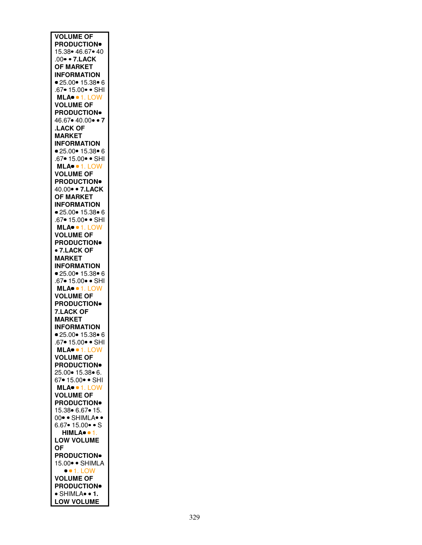| <b>VOLUME OF</b>                       |
|----------------------------------------|
|                                        |
| <b>PRODUCTION</b>                      |
| 15.38 • 46.67 • 40                     |
|                                        |
| .00 • 7. LACK                          |
|                                        |
| <b>OF MARKET</b>                       |
| <b>INFORMATION</b>                     |
|                                        |
| ● 25.00● 15.38● 6                      |
|                                        |
| .67• 15.00• • SHI                      |
|                                        |
| MLA <sup>o +</sup> 1. LOW<br>VOLUME OF |
|                                        |
|                                        |
| <b>PRODUCTION</b>                      |
|                                        |
| 46.67• 40.00• • 7                      |
|                                        |
| <b>LACK OF</b>                         |
|                                        |
| <b>MARKET</b>                          |
|                                        |
| <b>INFORMATION</b>                     |
| ● 25.00● 15.38● 6                      |
|                                        |
| .67• 15.00• • SHI                      |
|                                        |
| MLA <sup>.</sup> 1. LOW                |
|                                        |
| <b>VOLUME OF</b>                       |
|                                        |
| <b>PRODUCTION</b>                      |
| 40.00 •• 7.LACK                        |
|                                        |
| <b>OF MARKET</b>                       |
|                                        |
| <b>INFORMATION</b>                     |
|                                        |
| ● 25.00● 15.38● 6                      |
|                                        |
| .67 • 15.00 · SHI                      |
| MLA <sup>.</sup> 1. LOW                |
|                                        |
| <b>VOLUME OF</b>                       |
|                                        |
| <b>PRODUCTION</b> <sup>®</sup>         |
|                                        |
| • 7.LACK OF                            |
|                                        |
| <b>MARKET</b>                          |
| <b>INFORMATION</b>                     |
|                                        |
|                                        |
|                                        |
| ● 25.00● 15.38● 6                      |
|                                        |
| .67• 15.00• • SHI                      |
|                                        |
| MLA · 1. LOW                           |
| <b>VOLUME OF</b>                       |
|                                        |
| <b>PRODUCTION</b>                      |
|                                        |
| <b>7.LACK OF</b>                       |
|                                        |
| <b>MARKET</b>                          |
|                                        |
| <b>INFORMATION</b>                     |
| • 25.00 • 15.38 • 6                    |
|                                        |
| .67• 15.00• • SHI                      |
|                                        |
|                                        |
|                                        |
| MLA●● 1. LOW<br>VOLUME OF              |
| <b>PRODUCTION</b>                      |
|                                        |
| 25.00 • 15.38 • 6.                     |
|                                        |
| 67• 15.00• • SHI                       |
|                                        |
| MLA <sup>.</sup> 1. LOW                |
|                                        |
| <b>VOLUME OF</b>                       |
| <b>PRODUCTION</b>                      |
|                                        |
| 15.38 6.67 • 15.                       |
|                                        |
| 00. SHIMLA.                            |
| $6.67 \cdot 15.00 \cdot S$             |
|                                        |
| HIMLA <sup>o</sup> · 1.                |
|                                        |
| <b>LOW VOLUME</b>                      |
|                                        |
| <b>OF</b>                              |
| <b>PRODUCTION</b>                      |
|                                        |
| 15.00 · SHIMLA                         |
|                                        |
| $\bullet$ 1. LOW                       |
|                                        |
| <b>VOLUME OF</b>                       |
|                                        |
| <b>PRODUCTION</b>                      |
| · SHIMLA• • 1.                         |
| <b>LOW VOLUME</b>                      |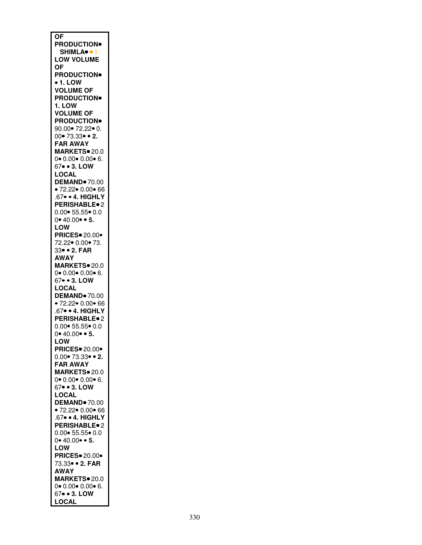| <b>OF</b>                                           |
|-----------------------------------------------------|
|                                                     |
| <b>PRODUCTION</b>                                   |
| SHIMLA <sup>o</sup> · 1.                            |
| <b>LOW VOLUME</b>                                   |
| <b>OF</b>                                           |
| <b>PRODUCTION</b>                                   |
| • 1. LOW                                            |
| <b>VOLUME OF</b>                                    |
| <b>PRODUCTION</b>                                   |
|                                                     |
| <b>1. LOW</b>                                       |
| <b>VOLUME OF</b>                                    |
| <b>PRODUCTION</b>                                   |
| 90.00● 72.22● 0.                                    |
| $00 \cdot 73.33 \cdot 2.$                           |
| <b>FAR AWAY</b>                                     |
| MARKETS <sup>®</sup> 20.0                           |
| $0 \cdot 0.00 \cdot 0.00 \cdot 6.$                  |
|                                                     |
| 67• • 3. LOW                                        |
| LOCAL                                               |
| DEMAND <sup>®</sup> 70.00                           |
| •72.22 •0.00 •66                                    |
| .67 · 4. HIGHLY                                     |
| PERISHABLE <sup>®</sup> 2                           |
|                                                     |
| 0.00● 55.55● 0.0<br>0● 40.00● ● <b>5.</b>           |
|                                                     |
| LOW                                                 |
| <b>PRICES</b> 20.00*                                |
| 72.22 0.00 73.                                      |
| 33• • 2. FAR                                        |
| AWAY                                                |
| MARKETS <sup>®</sup> 20.0                           |
| $0 \cdot 0.00 \cdot 0.00 \cdot 6$ .                 |
| 67• • 3. LOW                                        |
|                                                     |
| <b>LOCAL</b>                                        |
| <b>DEMAND</b> 70.00                                 |
| • 72.22• 0.00• 6 <mark>6</mark><br>.67• • 4. HIGHLY |
|                                                     |
| <b>PERISHABLE</b> <sup>2</sup>                      |
| $0.00 \cdot 55.55 \cdot 0.0$                        |
| $0 \cdot 40.00 \cdot 5$ .                           |
| LOW                                                 |
|                                                     |
| <b>PRICES</b> 20.00*                                |
| 0.00● 73.33● ● <mark>2.</mark><br>FAR AWAY          |
|                                                     |
| MARKETS. 20.0                                       |
| $0 \cdot 0.00 \cdot 0.00 \cdot 6$ .                 |
| 67 • 3. LOW                                         |
| <b>LOCAL</b>                                        |
| <b>DEMAND</b> 70.00                                 |
|                                                     |
| • 72.22• 0.00• 66<br>.67• • 4. HIGHLY               |
|                                                     |
| <b>PERISHABLE</b> <sup>2</sup>                      |
| $0.00 \cdot 55.55 \cdot 0.0$                        |
| $0 \cdot 40.00 \cdot 5$ .                           |
| LOW                                                 |
| <b>PRICES</b> 20.00                                 |
| 73.33 • 2. FAR                                      |
| <b>AWAY</b>                                         |
| MARKETS <sup>®</sup> 20.0                           |
| $0 \cdot 0.00 \cdot 0.00 \cdot 6.$                  |
|                                                     |
| 67• • 3. LOW                                        |
| LOCAL                                               |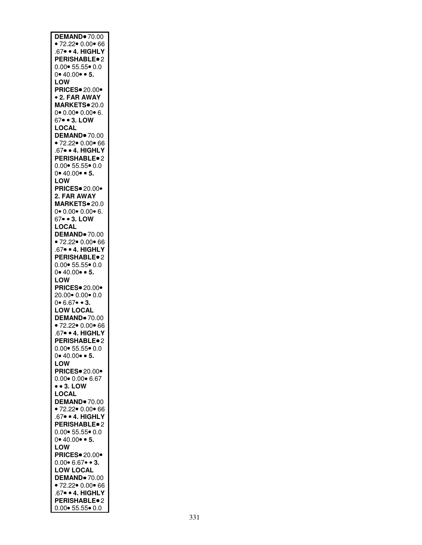| DEMAND <sup>®</sup> 70.00                                      |
|----------------------------------------------------------------|
| • 72.22• $0.00$ • 66                                           |
| 67 · 4. HIGHLY                                                 |
|                                                                |
| <b>PERISHABLE</b> <sup>o</sup> 2                               |
| $0.00 \cdot 55.55 \cdot 0.0$                                   |
|                                                                |
| $0 \cdot 40.00 \cdot 5$ .                                      |
|                                                                |
| LOW                                                            |
| <b>PRICES</b> 20.00*                                           |
|                                                                |
| <b>• 2. FAR AWAY</b>                                           |
| MARKETS <sup>o</sup> 20.0                                      |
|                                                                |
| $0 \cdot 0.00 \cdot 0.00 \cdot 6$ .                            |
| 67• • 3. LOW                                                   |
|                                                                |
| <b>LOCAL</b>                                                   |
| DEMAND <sup>®</sup> 70.00                                      |
|                                                                |
| • 72.22• $0.00$ • 66                                           |
| 67 · 4. HIGHLY                                                 |
|                                                                |
| <b>PERISHABLE</b> <sup>2</sup>                                 |
| $0.00 \cdot 55.55 \cdot 0.0$                                   |
|                                                                |
| $0 \cdot 40.00 \cdot 5$ .                                      |
|                                                                |
| LOW                                                            |
| <b>PRICES</b> 20.00                                            |
| 2. FAR AWAY                                                    |
|                                                                |
| MARKETS <sup>®</sup> 20.0                                      |
|                                                                |
| $0$ $0.00$ $0.00$ $6.$                                         |
| 67• • 3. LOW                                                   |
|                                                                |
| <b>LOCAL</b>                                                   |
| <b>DEMAND</b> 70.00                                            |
|                                                                |
| • 72.22• $0.00$ • 66                                           |
| 67 · 4. HIGHLY                                                 |
|                                                                |
| <b>PERISHABLE</b> <sup>2</sup>                                 |
| $0.00 \cdot 55.55 \cdot 0.0$                                   |
|                                                                |
| $0 \cdot 40.00 \cdot 5$ .                                      |
| LOW                                                            |
|                                                                |
| <b>PRICES</b> 20.00                                            |
| 20.00 0.00 0.0                                                 |
|                                                                |
| $0 \cdot 6.67 \cdot 3.$                                        |
| <b>LOW LOCAL</b>                                               |
|                                                                |
| <b>DEMAND</b> 70.00                                            |
| •72.22 •0.00 •66                                               |
|                                                                |
| 67• • 4. HIGHLY                                                |
| <b>PERISHABLE</b> <sup>2</sup>                                 |
|                                                                |
| $0.00 \cdot 55.55 \cdot 0.0$                                   |
|                                                                |
|                                                                |
| $0 \cdot 40.00 \cdot 5$ .                                      |
| LOW                                                            |
|                                                                |
| <b>PRICES</b> 20.00*                                           |
|                                                                |
| $0.00 \cdot 0.00 \cdot 6.67$                                   |
| $\bullet$ $\bullet$ 3. LOW                                     |
|                                                                |
| <b>LOCAL</b>                                                   |
| <b>DEMAND</b> 70.00                                            |
|                                                                |
| •72.22 • 0.00 • 66                                             |
| .67 · 4. HIGHLY                                                |
| PERISHABLE <sup>®</sup> 2                                      |
|                                                                |
| $0.00 \cdot 55.55 \cdot 0.0$                                   |
|                                                                |
| $0 \cdot 40.00 \cdot 5$ .                                      |
| LOW                                                            |
|                                                                |
| <b>PRICES</b> 20.00                                            |
| $0.00 \cdot 6.67 \cdot 3$ .                                    |
|                                                                |
| <b>LOW LOCAL</b>                                               |
| DEMAND <sup>®</sup> 70.00                                      |
|                                                                |
| • $72.22 \cdot 0.00 \cdot 66$                                  |
| .67 · 4. HIGHLY                                                |
|                                                                |
| <b>PERISHABLE</b> <sup>2</sup><br>$0.00 \cdot 55.55 \cdot 0.0$ |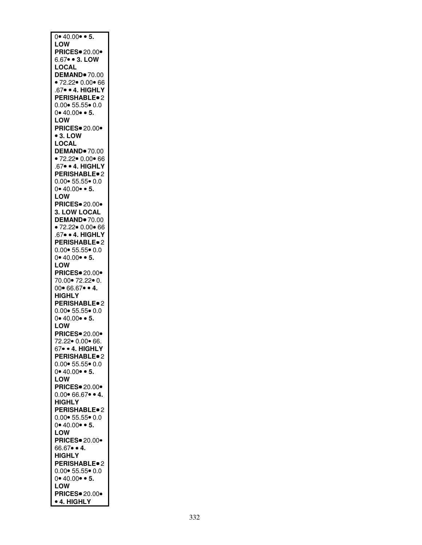| $0 \cdot 40.00 \cdot 5$ .                           |
|-----------------------------------------------------|
| LOW                                                 |
|                                                     |
| <b>PRICES</b> 20.00                                 |
|                                                     |
| 6.67 • 3. LOW                                       |
| LOCAL                                               |
|                                                     |
| <b>DEMAND</b> 70.00                                 |
| • 72.22• $0.00$ • 66                                |
|                                                     |
| .67 · 4. HIGHLY                                     |
|                                                     |
| <b>PERISHABLE</b> <sup>o</sup> 2                    |
| $0.00 \cdot 55.55 \cdot 0.0$                        |
|                                                     |
| $0 \cdot 40.00 \cdot 5$ .                           |
| LOW                                                 |
|                                                     |
| <b>PRICES</b> 20.00*                                |
|                                                     |
| $•3.$ LOW                                           |
| LOCAL                                               |
|                                                     |
| <b>DEMAND</b> 70.00                                 |
|                                                     |
| • 72.22• 0.00 <mark>•</mark> 66<br>.67• • 4. HIGHLY |
|                                                     |
| <b>PERISHABLE</b> <sup>2</sup>                      |
|                                                     |
| $0.00 \cdot 55.55 \cdot 0.0$                        |
|                                                     |
| $0 \cdot 40.00 \cdot 5$ .                           |
| <b>LOW</b>                                          |
|                                                     |
| <b>PRICES</b> 20.00*                                |
| 3. LOW LOCAL                                        |
|                                                     |
| <b>DEMAND</b> 70.00                                 |
|                                                     |
| • 72.22• $0.00$ • 66                                |
| 67 · 4. HIGHLY                                      |
|                                                     |
| <b>PERISHABLE</b> <sup>o</sup> 2                    |
| $0.00 \cdot 55.55 \cdot 0.0$                        |
|                                                     |
| $0 \cdot 40.00 \cdot 5$ .                           |
|                                                     |
| LOW                                                 |
| <b>PRICES</b> 20.00*                                |
|                                                     |
| 70.00 * 72.22 • 0.                                  |
| $00 \cdot 66.67 \cdot 4$ .                          |
|                                                     |
| <b>HIGHLY</b>                                       |
|                                                     |
| <b>PERISHABLE</b> <sup>o</sup> 2                    |
| $0.00 \cdot 55.55 \cdot 0.0$                        |
|                                                     |
| $0 \cdot 40.00 \cdot 5$ .                           |
| LOW                                                 |
|                                                     |
| <b>PRICES</b> 20.00                                 |
|                                                     |
| 72.22● 0.00● 66.                                    |
| 67• • 4. HIGHLY                                     |
|                                                     |
| <b>PERISHABLE</b> <sup>o</sup> 2                    |
| $0.00 \cdot 55.55 \cdot 0.0$                        |
|                                                     |
| $0 \cdot 40.00 \cdot 5$ .                           |
| LOW                                                 |
|                                                     |
| <b>PRICES</b> 20.00*                                |
|                                                     |
| $0.00 \cdot 66.67 \cdot 4$ .                        |
| <b>HIGHLY</b>                                       |
|                                                     |
| PERISHABLE <sup>®</sup> 2                           |
| $0.00 \cdot 55.55 \cdot 0.0$                        |
|                                                     |
| $0 \cdot 40.00 \cdot 5$ .                           |
|                                                     |
| LOW                                                 |
| <b>PRICES</b> 20.00                                 |
|                                                     |
| 66.67 • 4.                                          |
|                                                     |
| <b>HIGHLY</b>                                       |
| PERISHABLE <sup>o</sup> 2                           |
|                                                     |
| $0.00 \cdot 55.55 \cdot 0.0$                        |
| $0 \cdot 40.00 \cdot 5$ .                           |
|                                                     |
| LOW                                                 |
|                                                     |
|                                                     |
| <b>PRICES</b> 20.00 •<br>• 4. HIGHLY                |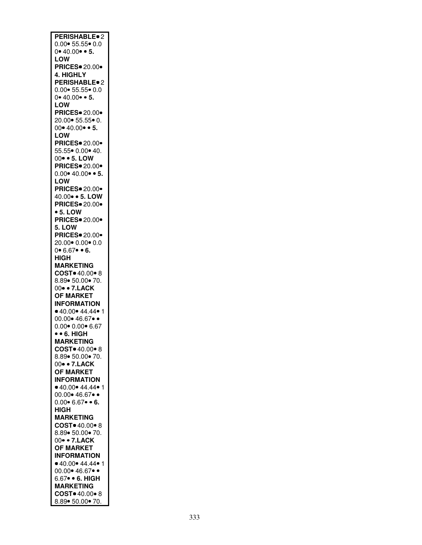| PERISHABLE <sup>®</sup> 2              |
|----------------------------------------|
| $0.00 \cdot 55.55 \cdot 0.0$           |
|                                        |
| $0 \cdot 40.00 \cdot 5$ .              |
| LOW                                    |
|                                        |
| <b>PRICES</b> 20.00                    |
| 4. HIGHLY                              |
|                                        |
| <b>PERISHABLE</b> <sup>2</sup>         |
| $0.00 \cdot 55.55 \cdot 0.0$           |
|                                        |
| 0•40.00••5.                            |
| <b>LOW</b>                             |
|                                        |
| <b>PRICES</b> 20.00                    |
| 20.00 • 55.55 • 0.                     |
|                                        |
| $00 \cdot 40.00 \cdot 5$ .             |
|                                        |
| <b>LOW</b>                             |
| <b>PRICES</b> 20.00*                   |
|                                        |
| 55.55 0.00 40.                         |
| 00 • 5. LOW                            |
|                                        |
| <b>PRICES</b> 20.00*                   |
| $0.00 \cdot 40.00 \cdot 5$ .           |
|                                        |
| LOW                                    |
| <b>PRICES</b> 20.00                    |
|                                        |
| 40.00 • 5. LOW                         |
| <b>PRICES</b> 20.00                    |
|                                        |
| • 5. LOW                               |
| <b>PRICES</b> 20.00                    |
|                                        |
| 5. LOW                                 |
|                                        |
| <b>PRICES</b> 20.00*                   |
| 20.00 0.00 0.0                         |
|                                        |
| $0 \cdot 6.67 \cdot 6.$                |
| HIGH                                   |
|                                        |
| <b>MARKETING</b>                       |
| COST = 40.00 · 8                       |
|                                        |
| 8.89 • 50.00 • 70.                     |
| 00 • 7. LACK                           |
|                                        |
| <b>OF MARKET</b>                       |
| <b>INFORMATION</b>                     |
|                                        |
| • 40.00 • 44.44 • 1                    |
| $00.00 \cdot 46.67 \cdot \cdot$        |
|                                        |
| $0.00 \cdot 0.00 \cdot 6.67$           |
| $\bullet$ $\bullet$ 6. HIGH            |
|                                        |
| MARKETING                              |
| COST <sup>o</sup> 40.00 <sup>o</sup> 8 |
|                                        |
| 8.89• 50.00• 70.                       |
| 00• • 7.LACK                           |
|                                        |
| <b>OF MARKET</b>                       |
| <b>INFORMATION</b>                     |
|                                        |
| • 40.00 • 44.44 • 1                    |
| 00.00 * 46.67 .                        |
|                                        |
| $0.00 \cdot 6.67 \cdot 6$ .            |
| <b>HIGH</b>                            |
|                                        |
| <b>MARKETING</b>                       |
| COST <sup>o</sup> 40.00 <sup>o</sup> 8 |
|                                        |
| 8.89 • 50.00 • 70.                     |
| 00 • 7. LACK                           |
|                                        |
| <b>OF MARKET</b>                       |
| <b>INFORMATION</b>                     |
|                                        |
| $0.40.00$ $44.44$ $1$                  |
| 00.00 • 46.67 ••                       |
|                                        |
| 6.67• • 6. HIGH                        |
| <b>MARKETING</b>                       |
|                                        |
| COST <sup>o</sup> 40.00 <sup>o</sup> 8 |
| 8.89 • 50.00 • 70.                     |
|                                        |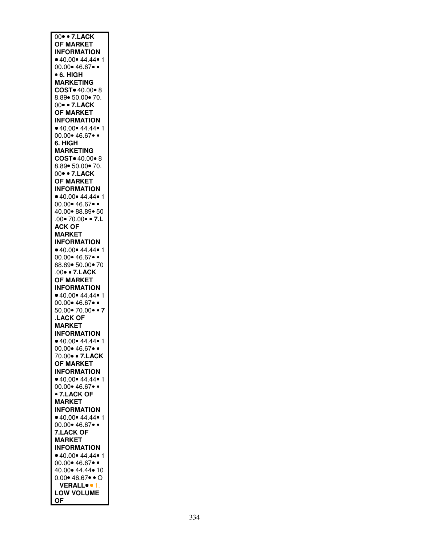| $\overline{00}$ • 7.LACK               |
|----------------------------------------|
| <b>OF MARKET</b>                       |
| <b>INFORMATION</b>                     |
| $0.40.00$ $44.44$ $1$                  |
|                                        |
| 00.00 * 46.67 .                        |
| • 6. HIGH                              |
| <b>MARKETING</b>                       |
| COST <sup>o</sup> 40.00 <sup>o</sup> 8 |
| 8.89• 50.00• 70.                       |
| 00 • 7. LACK                           |
| <b>OF MARKET</b>                       |
| <b>INFORMATION</b>                     |
| • 40.00 • 44.44 • 1                    |
| 00.00 • 46.67 ••                       |
|                                        |
| 6. HIGH                                |
| <b>MARKETING</b>                       |
| COST = 40.00 · 8                       |
| 8.89  50.00  70.                       |
| 00 • 7. LACK                           |
| <b>OF MARKET</b>                       |
| <b>INFORMATION</b>                     |
| $0.40.00$ 44.44 $\bullet$ 1            |
| $00.00 \cdot 46.67 \cdot \cdot$        |
| 40.00 88.89 50                         |
|                                        |
| $.00 \cdot 70.00 \cdot 7.1$            |
| <b>ACK OF</b>                          |
| <b>MARKET</b>                          |
| <b>INFORMATION</b>                     |
| $0.40.00$ $44.44$ 1                    |
| 00.00 • 46.67 ••                       |
| 88.89 • 50.00 • 70                     |
| .00 · 7. LACK                          |
|                                        |
| <b>OF MARKET</b>                       |
| <b>INFORMATION</b>                     |
| • 40.00 • 44.44 • 1                    |
| 00.00 • 46.67 ••                       |
| $50.00 \cdot 70.00 \cdot 7$            |
| <b>LACK OF</b>                         |
| <b>MARKET</b>                          |
| <b>INFORMATION</b>                     |
| 40.00 44.44<br>1                       |
| $00.00 \cdot 46.67 \cdot \cdot$        |
| 70.00 • 7.LACK                         |
|                                        |
| <b>OF MARKET</b>                       |
| <b>INFORMATION</b>                     |
| • 40.00 • 44.44 • 1                    |
| 00.00 * 46.67 .                        |
| • 7.LACK OF                            |
| <b>MARKET</b>                          |
| <b>INFORMATION</b>                     |
| • 40.00 • 44.44 • 1                    |
| 00.00 • 46.67 ••                       |
|                                        |
| <b>7.LACK OF</b>                       |
| <b>MARKET</b>                          |
| <b>INFORMATION</b>                     |
| $0.40.00$ $44.44$ $1$                  |
| 00.00 • 46.67 ••                       |
| 40.00 * 44.44 * 10                     |
| $0.00 \cdot 46.67 \cdot 0$             |
| VERALL <sup>o</sup> · 1.               |
| <b>LOW VOLUME</b>                      |
| <b>OF</b>                              |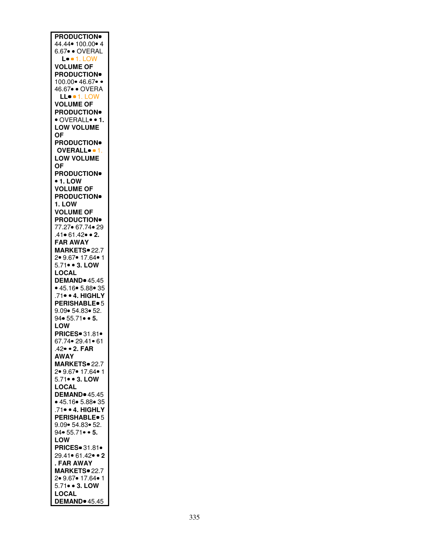| <b>PRODUCTION</b>                         |
|-------------------------------------------|
|                                           |
|                                           |
| 44.44 • 100.00 • 4                        |
| 6.67 · OVERAL                             |
|                                           |
| <b>L.</b> • 1. LOW                        |
| <b>VOLUME OF</b>                          |
|                                           |
| <b>PRODUCTION</b>                         |
|                                           |
| 100.00 * 46.67                            |
| 46.67 · OVERA                             |
|                                           |
| LLO . 1. LOW                              |
| <b>VOLUME OF</b>                          |
|                                           |
| <b>PRODUCTION</b>                         |
|                                           |
| · OVERALL <sup>.</sup> • 1.               |
| <b>LOW VOLUME</b>                         |
|                                           |
| ОF                                        |
|                                           |
| <b>PRODUCTION</b> <sup>®</sup>            |
| OVERALL                                   |
|                                           |
| <b>LOW VOLUME</b>                         |
|                                           |
| <b>OF</b>                                 |
| <b>PRODUCTION</b>                         |
|                                           |
| • 1. LOW                                  |
|                                           |
| <b>VOLUME OF</b>                          |
| <b>PRODUCTION</b>                         |
|                                           |
| 1. LOW                                    |
|                                           |
| <b>VOLUME OF</b>                          |
| <b>PRODUCTION</b>                         |
|                                           |
| 77.27 67.74 • 29                          |
|                                           |
| .41• 61.42• • 2.                          |
| <b>FAR AWAY</b>                           |
|                                           |
| MARKETS <sup>®</sup> 22.7                 |
|                                           |
| 2• 9.67• 17.64• 1                         |
| 5.71 • 3. LOW                             |
|                                           |
| <b>LOCAL</b>                              |
| <b>DEMAND</b> 45.45                       |
|                                           |
| • 45.16 • 5.88 • 35                       |
|                                           |
| .71 · 4. HIGHLY                           |
| <b>PERISHABLE</b> <sup>o</sup> 5          |
|                                           |
| 9.09 • 54.83 • 52.                        |
|                                           |
|                                           |
| 94 $\bullet$ 55.71 $\bullet$ $\bullet$ 5. |
|                                           |
| <b>LOW</b>                                |
|                                           |
| <b>PRICES</b> 31.81.                      |
| 67.74• 29.41• 61                          |
|                                           |
| 42 • 2. FAR                               |
| <b>AWAY</b>                               |
|                                           |
| <b>MARKETS</b> 22.7                       |
|                                           |
| 2 9.67 17.64 1                            |
| 5.71 • 3. LOW                             |
|                                           |
| <b>LOCAL</b>                              |
|                                           |
| DEMAND <sup>®</sup> 45.45                 |
| • 45.16 • 5.88 • 35                       |
|                                           |
| 71 . 4. HIGHLY                            |
| <b>PERISHABLE</b> <sup>o</sup> 5          |
|                                           |
| 9.09  54.83  52.                          |
|                                           |
| 94 • 55.71 • 5.                           |
| LOW                                       |
|                                           |
| <b>PRICES</b> 31.81 •                     |
|                                           |
| 29.41• 61.42• • 2                         |
| . FAR AWAY                                |
|                                           |
| MARKETS <sup>®</sup> 22.7                 |
| 2● 9.67● 17.64● 1                         |
|                                           |
| 5.71• • 3. LOW                            |
|                                           |
| <b>LOCAL</b><br>DEMAND <sup>®</sup> 45.45 |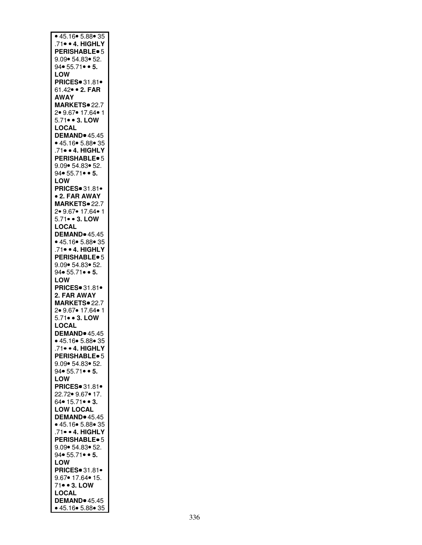| • 45.16 • 5.88 • 35                                              |
|------------------------------------------------------------------|
| .71 · 4. HIGHLY                                                  |
|                                                                  |
| <b>PERISHABLE</b> <sup>o</sup> 5                                 |
| 9.09  54.83  52.                                                 |
| $94 \cdot 55.71 \cdot 5.$                                        |
| LOW                                                              |
| PRICES 31.81.                                                    |
| 61.42 • 2. FAR                                                   |
| <b>AWAY</b>                                                      |
|                                                                  |
| MARKETS <sup>®</sup> 22.7                                        |
| 2• 9.67• 17.64• 1                                                |
| 5.71 • 3. LOW                                                    |
| <b>LOCAL</b>                                                     |
| <b>DEMAND</b> 45.45                                              |
|                                                                  |
| $\bullet$ 45.16 $\bullet$ 5.88 $\bullet$ 35                      |
| .71 · 4. HIGHLY                                                  |
| <b>PERISHABLE</b> <sup>o</sup> 5                                 |
| 9.09  54.83  52.                                                 |
| $94 \cdot 55.71 \cdot 5.$                                        |
| LOW                                                              |
| <b>PRICES</b> 31.81·                                             |
|                                                                  |
| • 2. FAR AWAY                                                    |
| MARKETS <sup>®</sup> 22.7                                        |
| 2• 9.67• 17.64• 1                                                |
| 5.71 • 3. LOW                                                    |
| LOCAL                                                            |
| <b>DEMAND</b> 45.45                                              |
|                                                                  |
| ● 45.16 <mark>● 5.88● 35</mark><br>.71● ● <mark>4. HIGHLY</mark> |
|                                                                  |
| <b>PERISHABLE</b> <sup>o</sup> 5                                 |
| 9.09  54.83  52.                                                 |
| 94 $\bullet$ 55.71 $\bullet$ $\bullet$ 5.                        |
| LOW                                                              |
| PRICES 31.81.                                                    |
|                                                                  |
| 2. FAR AWAY                                                      |
| MARKETS. 22.7                                                    |
| 2• 9.67• 17.64• 1                                                |
|                                                                  |
|                                                                  |
| 5.71 • 3. LOW                                                    |
| <b>LOCAL</b>                                                     |
| <b>DEMAND</b> 45.45                                              |
|                                                                  |
| <mark>∙ 45.16• 5.88• 35</mark><br>.71• • 4 <mark>. HIGHLY</mark> |
| <b>PERISHABLE</b> <sup>6</sup>                                   |
| 9.09  54.83  52.                                                 |
|                                                                  |
| $94 \cdot 55.71 \cdot 5.$                                        |
| LOW                                                              |
| PRICES 31.81.                                                    |
| 22.72• 9.67• 17.                                                 |
| $64 \cdot 15.71 \cdot 3.$                                        |
| <b>LOW LOCAL</b>                                                 |
|                                                                  |
| DEMAND <sup>®</sup> 45.45                                        |
| • 45.16• 5.88• 35                                                |
| .71 · 4. HIGHLY                                                  |
| PERISHABLE <sup>®</sup> 5                                        |
| 9.09  54.83  52.                                                 |
| 94 $\bullet$ 55.71 $\bullet$ $\bullet$ 5.                        |
| LOW                                                              |
|                                                                  |
| PRICES 31.81.                                                    |
| 9.67● 17.64● 15.                                                 |
| 71 • 3. LOW                                                      |
| <b>LOCAL</b>                                                     |
| DEMAND <sup>®</sup> 45.45<br>• 45.16 • 5.88 • 35                 |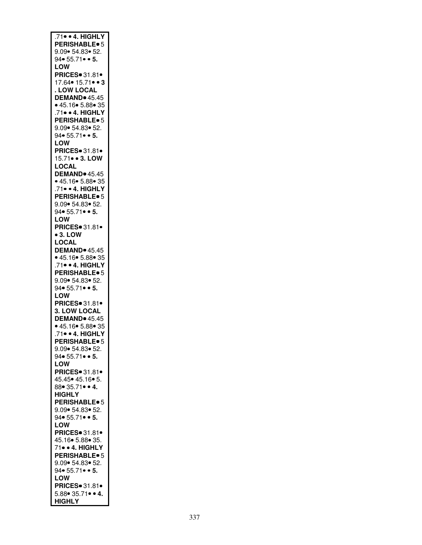| .71 · 4. HIGHLY                              |
|----------------------------------------------|
|                                              |
| <b>PERISHABLE</b> <sup>o</sup> 5             |
| 9.09• 54.83• 52.                             |
| $94 \cdot 55.71 \cdot 5.$                    |
|                                              |
| LOW                                          |
| <b>PRICES</b> 31.81                          |
|                                              |
| 17.64• 15.71• • 3                            |
| <b>LOW LOCAL</b>                             |
|                                              |
| DEMAND <sup>®</sup> 45.45                    |
| • 45.16 • 5.88 • 35                          |
| .71• • 4. HIGHLY                             |
|                                              |
| <b>PERISHABLE</b> <sup>®</sup> 5             |
| 9.09 • 54.83 • 52.                           |
|                                              |
| 94• 55.71• • 5.                              |
| LOW                                          |
|                                              |
| PRICES 31.81.                                |
| 15.71 • 3. LOW                               |
|                                              |
| LOCAL                                        |
| DEMAND <sup>®</sup> 45.45                    |
| • 45.16• 5.88• 35                            |
|                                              |
| .71 · 4. HIGHLY                              |
| <b>PERISHABLE</b> <sup>6</sup>               |
|                                              |
| 9.09 • 54.83 • 52.                           |
| $94 \cdot 55.71 \cdot 5.$                    |
|                                              |
| <b>LOW</b>                                   |
| <b>PRICES</b> 31.81 •                        |
| $• 3.$ LOW                                   |
|                                              |
| LOCAL                                        |
| <b>DEMAND</b> 45.45                          |
|                                              |
| • 45.16• 5.88• 35                            |
| 71 • 4. HIGHLY                               |
|                                              |
| <b>PERISHABLE</b> <sup>®</sup> 5             |
| 9.09 54.83 52.                               |
| 94• 55.71• • 5.                              |
|                                              |
| LOW                                          |
| PRICES 31.81                                 |
|                                              |
| 3. LOW LOCAL                                 |
| <b>DEMAND</b> <sup>45.45</sup>               |
|                                              |
| • 45.16• 5.88• 35                            |
| .71 · 4. HIGHLY                              |
|                                              |
| <b>PERISHABLE</b> <sup>o</sup> 5             |
| 9.09• 54.83• 52.                             |
| $94 \cdot 55.71 \cdot 5.$                    |
|                                              |
| LOW                                          |
| <b>PRICES</b> 31.81 ·                        |
|                                              |
| 45.45• 45.16• 5.                             |
| 88• 35.71• • 4.                              |
| <b>HIGHLY</b>                                |
|                                              |
| <b>PERISHABLE</b> <sup>o</sup> 5             |
| 9.09 • 54.83 • 52.                           |
|                                              |
| 94• 55.71• • 5.                              |
| LOW                                          |
|                                              |
| PRICES 31.81.                                |
| 45.16  5.88  35.                             |
| 71• • 4. HIGHLY                              |
|                                              |
| <b>PERISHABLE</b> <sup>o</sup> 5             |
| 9.09  54.83  52.                             |
|                                              |
| $94 \cdot 55.71 \cdot 5.$                    |
| LOW                                          |
|                                              |
|                                              |
| <b>PRICES</b> 31.81 •                        |
|                                              |
| $5.88 \cdot 35.71 \cdot 4.$<br><b>HIGHLY</b> |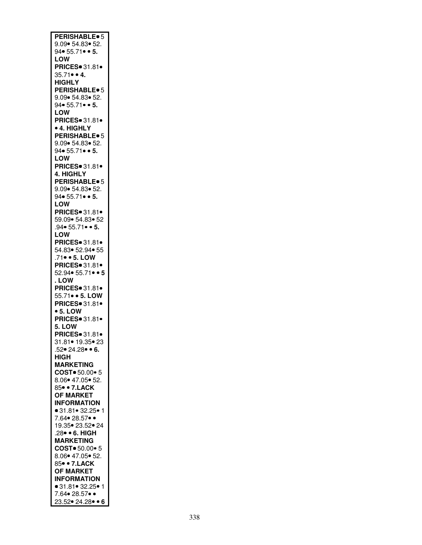| <b>PERISHABLE</b> <sup>o</sup> 5          |
|-------------------------------------------|
| 9.09 54.83 52.                            |
|                                           |
| 94 $\bullet$ 55.71 $\bullet$ $\bullet$ 5. |
|                                           |
| LOW                                       |
| <b>PRICES</b> 31.81·                      |
|                                           |
| $35.71 \bullet 4.$                        |
| <b>HIGHLY</b>                             |
|                                           |
| <b>PERISHABLE</b> <sup>o</sup> 5          |
|                                           |
| 9.09 • 54.83 • 52.                        |
| $94 \cdot 55.71 \cdot 5.$                 |
|                                           |
| <b>LOW</b>                                |
| PRICES 31.81.                             |
|                                           |
| <b>• 4. HIGHLY</b>                        |
|                                           |
| <b>PERISHABLE</b> <sup>o</sup> 5          |
| 9.09 • 54.83 • 52.                        |
|                                           |
| $94 \cdot 55.71 \cdot 5.$                 |
| LOW                                       |
|                                           |
| <b>PRICES</b> 31.81.                      |
|                                           |
| 4. HIGHLY                                 |
| PERISHABLE <sup>®</sup> 5                 |
|                                           |
| 9.09 • 54.83 • 52.                        |
|                                           |
| $94 \cdot 55.71 \cdot 5.$                 |
| LOW                                       |
|                                           |
| PRICES = 31.81 ·                          |
| 59.09   54.83   52                        |
|                                           |
| 94 • 55.71 • 5.                           |
|                                           |
| LOW                                       |
| PRICES 31.81 <sup>.</sup>                 |
|                                           |
| 54.83● 52.94● 55                          |
|                                           |
| .71• • 5. LOW<br>PRICES• 31.81•           |
|                                           |
|                                           |
| $52.94 \cdot 55.71 \cdot 5$               |
| .LOW                                      |
|                                           |
| PRICES 31.81.                             |
|                                           |
| 55.71 • 5. LOW                            |
| PRICES 31.81.                             |
|                                           |
| $• 5.$ LOW                                |
| <b>PRICES</b> 31.81                       |
|                                           |
| 5. LOW                                    |
|                                           |
| PRICES 31.81.                             |
|                                           |
| 31.81● 19.35● 23                          |
| .52• 24.28• • 6.                          |
|                                           |
| <b>HIGH</b>                               |
| <b>MARKETING</b>                          |
|                                           |
|                                           |
|                                           |
| COST = 50.00 = 5                          |
| 8.06 • 47.05 • 52.                        |
|                                           |
| 85• • 7.LACK                              |
|                                           |
| <b>OF MARKET</b>                          |
| <b>INFORMATION</b>                        |
|                                           |
|                                           |
| ● 31.81● 32.25● 1<br>7.64● 28.57● ●       |
|                                           |
| 19.35 • 23.52 • 24                        |
|                                           |
| .28 · 6. HIGH                             |
| <b>MARKETING</b>                          |
|                                           |
| COST = 50.00 = 5                          |
|                                           |
| 8.06 • 47.05 • 52.                        |
| 85• • 7.LACK                              |
|                                           |
| <b>OF MARKET</b>                          |
| <b>INFORMATION</b>                        |
|                                           |
| ● 31.81● 32.25● 1                         |
| 7.64 • 28.57 ••                           |
| 23.52 24.28 • 6                           |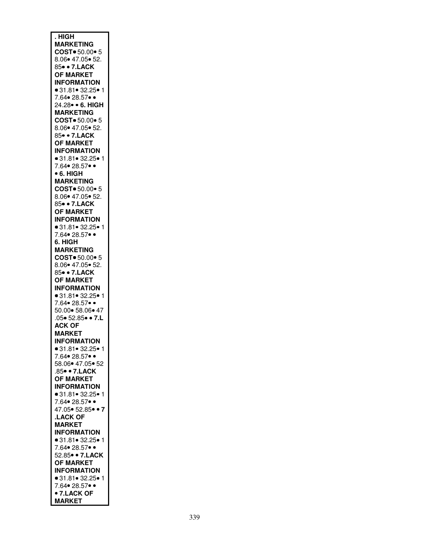| . HIGH                                      |
|---------------------------------------------|
|                                             |
| <b>MARKETING</b>                            |
| COST = 50.00 = 5                            |
|                                             |
| 8.06 • 47.05 • 52.                          |
| 85• • 7.LACK                                |
|                                             |
| <b>OF MARKET</b>                            |
|                                             |
| <b>INFORMATION</b>                          |
| ● 31.81● 32.25● 1                           |
|                                             |
| 7.64• 28.57• •                              |
|                                             |
| 24.28• • 6. HIGH                            |
| <b>MARKETING</b>                            |
|                                             |
| COST = 50.00 = 5                            |
| 8.06 * 47.05 * 52.                          |
|                                             |
| 85• • 7.LACK                                |
|                                             |
| <b>OF MARKET</b>                            |
| <b>INFORMATION</b>                          |
|                                             |
| $\bullet$ 31.81 $\bullet$ 32.25 $\bullet$ 1 |
|                                             |
| 7.64 • 28.57 ••                             |
| • 6. HIGH                                   |
|                                             |
| <b>MARKETING</b>                            |
|                                             |
| COST = 50.00 = 5                            |
| 8.06● 47.05● 52.                            |
|                                             |
| 85• • 7.LACK                                |
| <b>OF MARKET</b>                            |
|                                             |
| <b>INFORMATION</b>                          |
|                                             |
| ● 31.81● 32.25● 1                           |
| 7.64• 28.57• •                              |
|                                             |
| 6. HIGH                                     |
|                                             |
| <b>MARKETING</b>                            |
| COST = 50.00 = 5                            |
|                                             |
| 8.06• 47.05• 52.                            |
| 85• • 7.LACK                                |
|                                             |
| <b>OF MARKET</b>                            |
|                                             |
| <b>INFORMATION</b>                          |
| ● 31.81● 32.25● 1                           |
|                                             |
| 7.64● 28.57● ●                              |
|                                             |
| 50.00 • 58.06 • 47                          |
| .05 • 52.85 • 7.L                           |
|                                             |
| <b>ACK OF</b>                               |
| <b>MARKET</b>                               |
|                                             |
| <b>INFORMATION</b>                          |
|                                             |
|                                             |
| ● 31.81● 32.25● 1<br>7.64● 28.57● ●         |
|                                             |
| 58.06 • 47.05 • 52                          |
|                                             |
| .85• • 7.LACK                               |
| <b>OF MARKET</b>                            |
|                                             |
| <b>INFORMATION</b>                          |
|                                             |
| ● 31.81● 32.25● 1                           |
| 7.64• 28.57• •                              |
|                                             |
| 47.05 • 52.85 • 7                           |
| <b>LACK OF</b>                              |
|                                             |
|                                             |
|                                             |
| <b>MARKET</b>                               |
| <b>INFORMATION</b>                          |
|                                             |
| • 31.81 • 32.25 • 1                         |
|                                             |
| 7.64• 28.57• •                              |
| 52.85 • 7.LACK                              |
|                                             |
| <b>OF MARKET</b>                            |
| <b>INFORMATION</b>                          |
|                                             |
| ● 31.81● 32.25● 1                           |
|                                             |
| 7.64• 28.57• •                              |
| • 7.LACK OF                                 |
| <b>MARKET</b>                               |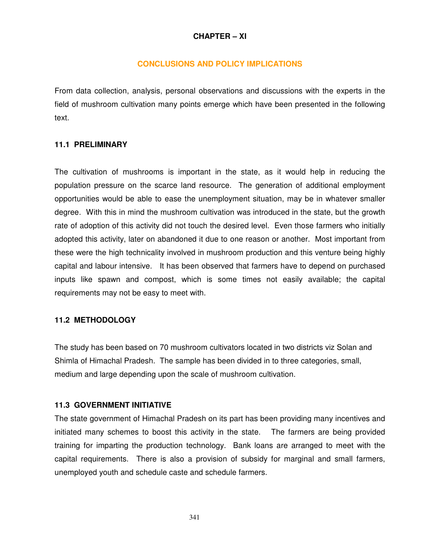# **CHAPTER – XI**

## **CONCLUSIONS AND POLICY IMPLICATIONS**

From data collection, analysis, personal observations and discussions with the experts in the field of mushroom cultivation many points emerge which have been presented in the following text.

## **11.1 PRELIMINARY**

The cultivation of mushrooms is important in the state, as it would help in reducing the population pressure on the scarce land resource. The generation of additional employment opportunities would be able to ease the unemployment situation, may be in whatever smaller degree. With this in mind the mushroom cultivation was introduced in the state, but the growth rate of adoption of this activity did not touch the desired level. Even those farmers who initially adopted this activity, later on abandoned it due to one reason or another. Most important from these were the high technicality involved in mushroom production and this venture being highly capital and labour intensive. It has been observed that farmers have to depend on purchased inputs like spawn and compost, which is some times not easily available; the capital requirements may not be easy to meet with.

## **11.2 METHODOLOGY**

The study has been based on 70 mushroom cultivators located in two districts viz Solan and Shimla of Himachal Pradesh. The sample has been divided in to three categories, small, medium and large depending upon the scale of mushroom cultivation.

## **11.3 GOVERNMENT INITIATIVE**

The state government of Himachal Pradesh on its part has been providing many incentives and initiated many schemes to boost this activity in the state. The farmers are being provided training for imparting the production technology. Bank loans are arranged to meet with the capital requirements. There is also a provision of subsidy for marginal and small farmers, unemployed youth and schedule caste and schedule farmers.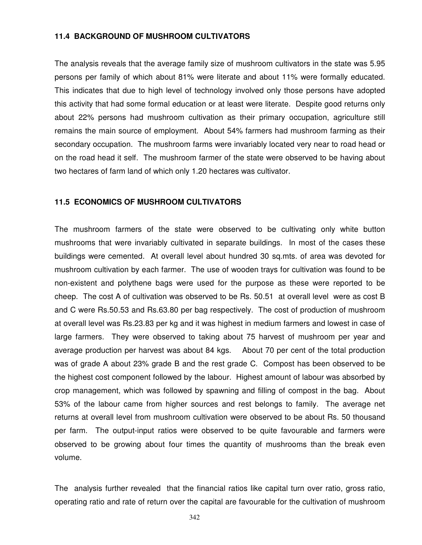#### **11.4 BACKGROUND OF MUSHROOM CULTIVATORS**

The analysis reveals that the average family size of mushroom cultivators in the state was 5.95 persons per family of which about 81% were literate and about 11% were formally educated. This indicates that due to high level of technology involved only those persons have adopted this activity that had some formal education or at least were literate. Despite good returns only about 22% persons had mushroom cultivation as their primary occupation, agriculture still remains the main source of employment. About 54% farmers had mushroom farming as their secondary occupation. The mushroom farms were invariably located very near to road head or on the road head it self. The mushroom farmer of the state were observed to be having about two hectares of farm land of which only 1.20 hectares was cultivator.

#### **11.5 ECONOMICS OF MUSHROOM CULTIVATORS**

The mushroom farmers of the state were observed to be cultivating only white button mushrooms that were invariably cultivated in separate buildings. In most of the cases these buildings were cemented. At overall level about hundred 30 sq.mts. of area was devoted for mushroom cultivation by each farmer. The use of wooden trays for cultivation was found to be non-existent and polythene bags were used for the purpose as these were reported to be cheep. The cost A of cultivation was observed to be Rs. 50.51 at overall level were as cost B and C were Rs.50.53 and Rs.63.80 per bag respectively. The cost of production of mushroom at overall level was Rs.23.83 per kg and it was highest in medium farmers and lowest in case of large farmers. They were observed to taking about 75 harvest of mushroom per year and average production per harvest was about 84 kgs. About 70 per cent of the total production was of grade A about 23% grade B and the rest grade C. Compost has been observed to be the highest cost component followed by the labour. Highest amount of labour was absorbed by crop management, which was followed by spawning and filling of compost in the bag. About 53% of the labour came from higher sources and rest belongs to family. The average net returns at overall level from mushroom cultivation were observed to be about Rs. 50 thousand per farm. The output-input ratios were observed to be quite favourable and farmers were observed to be growing about four times the quantity of mushrooms than the break even volume.

The analysis further revealed that the financial ratios like capital turn over ratio, gross ratio, operating ratio and rate of return over the capital are favourable for the cultivation of mushroom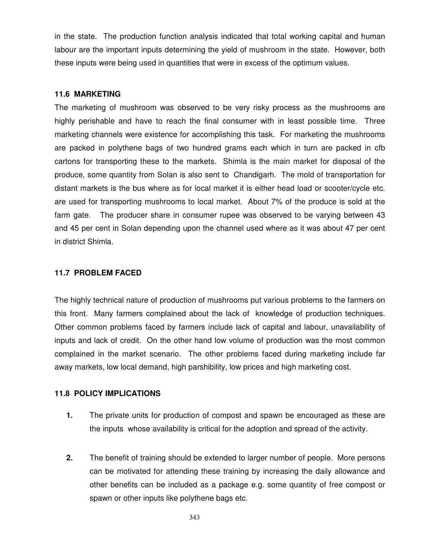in the state. The production function analysis indicated that total working capital and human labour are the important inputs determining the yield of mushroom in the state. However, both these inputs were being used in quantities that were in excess of the optimum values.

## **11.6 MARKETING**

The marketing of mushroom was observed to be very risky process as the mushrooms are highly perishable and have to reach the final consumer with in least possible time. Three marketing channels were existence for accomplishing this task. For marketing the mushrooms are packed in polythene bags of two hundred grams each which in turn are packed in cfb cartons for transporting these to the markets. Shimla is the main market for disposal of the produce, some quantity from Solan is also sent to Chandigarh. The mold of transportation for distant markets is the bus where as for local market it is either head load or scooter/cycle etc. are used for transporting mushrooms to local market. About 7% of the produce is sold at the farm gate. The producer share in consumer rupee was observed to be varying between 43 and 45 per cent in Solan depending upon the channel used where as it was about 47 per cent in district Shimla.

## **11.7 PROBLEM FACED**

The highly technical nature of production of mushrooms put various problems to the farmers on this front. Many farmers complained about the lack of knowledge of production techniques. Other common problems faced by farmers include lack of capital and labour, unavailability of inputs and lack of credit. On the other hand low volume of production was the most common complained in the market scenario. The other problems faced during marketing include far away markets, low local demand, high parshibility, low prices and high marketing cost.

## **11.8 POLICY IMPLICATIONS**

- **1.** The private units for production of compost and spawn be encouraged as these are the inputs whose availability is critical for the adoption and spread of the activity.
- **2.** The benefit of training should be extended to larger number of people. More persons can be motivated for attending these training by increasing the daily allowance and other benefits can be included as a package e.g. some quantity of free compost or spawn or other inputs like polythene bags etc.